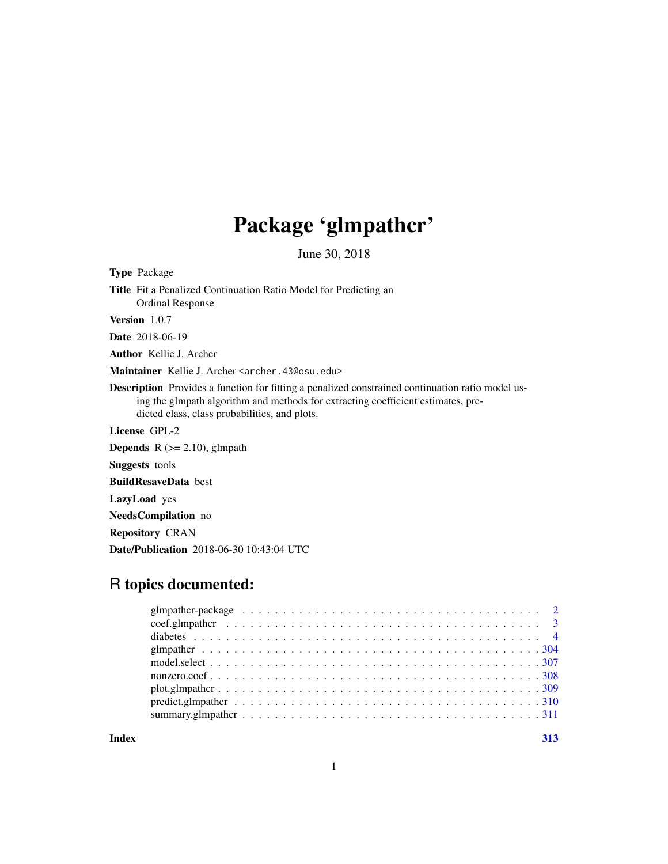# Package 'glmpathcr'

June 30, 2018

<span id="page-0-0"></span>Type Package

Title Fit a Penalized Continuation Ratio Model for Predicting an Ordinal Response

Version 1.0.7

Date 2018-06-19

Author Kellie J. Archer

Maintainer Kellie J. Archer <archer.43@osu.edu>

Description Provides a function for fitting a penalized constrained continuation ratio model using the glmpath algorithm and methods for extracting coefficient estimates, predicted class, class probabilities, and plots.

License GPL-2

**Depends**  $R$  ( $>= 2.10$ ), glmpath

Suggests tools

BuildResaveData best

LazyLoad yes

NeedsCompilation no

Repository CRAN

Date/Publication 2018-06-30 10:43:04 UTC

# R topics documented:

| $predict.gImpather \dots \dots \dots \dots \dots \dots \dots \dots \dots \dots \dots \dots \dots \dots \dots \dots \dots 310$ |  |
|-------------------------------------------------------------------------------------------------------------------------------|--|
|                                                                                                                               |  |
|                                                                                                                               |  |

**Index** [313](#page-312-0)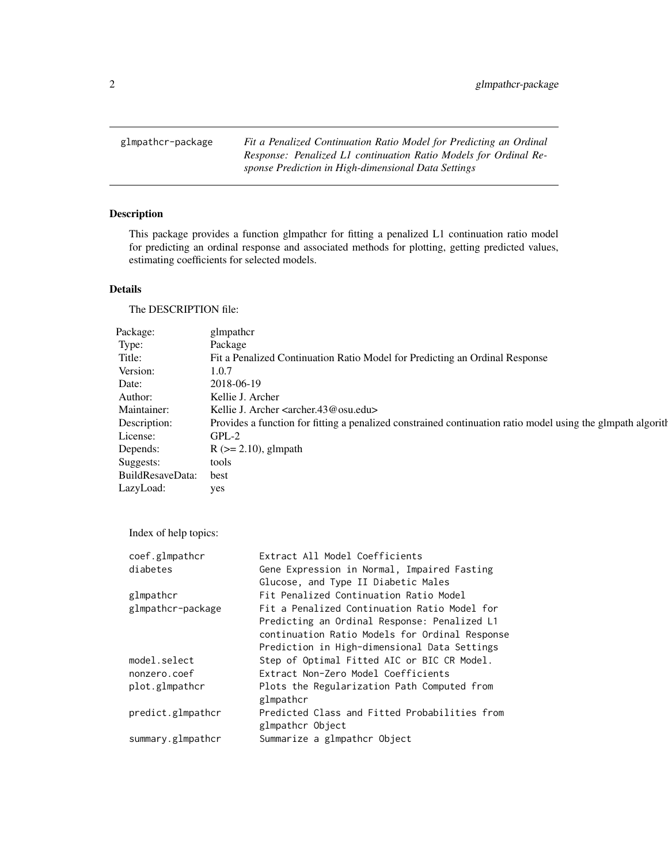<span id="page-1-0"></span>glmpathcr-package *Fit a Penalized Continuation Ratio Model for Predicting an Ordinal Response: Penalized L1 continuation Ratio Models for Ordinal Response Prediction in High-dimensional Data Settings*

# Description

This package provides a function glmpathcr for fitting a penalized L1 continuation ratio model for predicting an ordinal response and associated methods for plotting, getting predicted values, estimating coefficients for selected models.

# Details

The DESCRIPTION file:

| Package:         | glmpathcr                                                                                                   |
|------------------|-------------------------------------------------------------------------------------------------------------|
| Type:            | Package                                                                                                     |
| Title:           | Fit a Penalized Continuation Ratio Model for Predicting an Ordinal Response                                 |
| Version:         | 1.0.7                                                                                                       |
| Date:            | 2018-06-19                                                                                                  |
| Author:          | Kellie J. Archer                                                                                            |
| Maintainer:      | Kellie J. Archer <archer.43@osu.edu></archer.43@osu.edu>                                                    |
| Description:     | Provides a function for fitting a penalized constrained continuation ratio model using the glmpath algorith |
| License:         | $GPL-2$                                                                                                     |
| Depends:         | $R$ ( $>= 2.10$ ), glmpath                                                                                  |
| Suggests:        | tools                                                                                                       |
| BuildResaveData: | best                                                                                                        |
| LazyLoad:        | yes                                                                                                         |
|                  |                                                                                                             |

Index of help topics:

| coef.glmpathcr    | Extract All Model Coefficients                 |
|-------------------|------------------------------------------------|
| diabetes          | Gene Expression in Normal, Impaired Fasting    |
|                   | Glucose, and Type II Diabetic Males            |
| glmpathcr         | Fit Penalized Continuation Ratio Model         |
| glmpathcr-package | Fit a Penalized Continuation Ratio Model for   |
|                   | Predicting an Ordinal Response: Penalized L1   |
|                   | continuation Ratio Models for Ordinal Response |
|                   | Prediction in High-dimensional Data Settings   |
| model.select      | Step of Optimal Fitted AIC or BIC CR Model.    |
| nonzero.coef      | Extract Non-Zero Model Coefficients            |
| plot.glmpathcr    | Plots the Regularization Path Computed from    |
|                   | glmpathcr                                      |
| predict.glmpathcr | Predicted Class and Fitted Probabilities from  |
|                   | glmpathcr Object                               |
| summary.glmpathcr | Summarize a glmpathcr Object                   |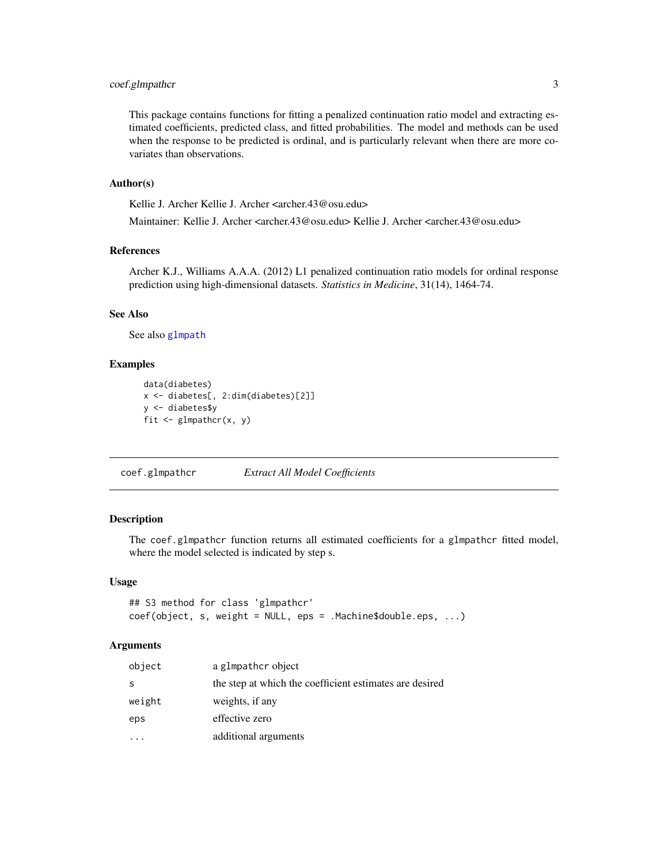# <span id="page-2-0"></span>coef.glmpathcr 3

This package contains functions for fitting a penalized continuation ratio model and extracting estimated coefficients, predicted class, and fitted probabilities. The model and methods can be used when the response to be predicted is ordinal, and is particularly relevant when there are more covariates than observations.

#### Author(s)

Kellie J. Archer Kellie J. Archer <archer.43@osu.edu>

Maintainer: Kellie J. Archer <archer.43@osu.edu> Kellie J. Archer <archer.43@osu.edu>

# References

Archer K.J., Williams A.A.A. (2012) L1 penalized continuation ratio models for ordinal response prediction using high-dimensional datasets. *Statistics in Medicine*, 31(14), 1464-74.

# See Also

See also [glmpath](#page-0-0)

#### Examples

```
data(diabetes)
x <- diabetes[, 2:dim(diabetes)[2]]
y <- diabetes$y
fit \leq glmpathcr(x, y)
```
coef.glmpathcr *Extract All Model Coefficients*

## Description

The coef.glmpathcr function returns all estimated coefficients for a glmpathcr fitted model, where the model selected is indicated by step s.

#### Usage

```
## S3 method for class 'glmpathcr'
coef(object, s, weight = NULL, eps = .Machine$double.eps, ...)
```
#### Arguments

| object | a glmpather object                                      |
|--------|---------------------------------------------------------|
| S      | the step at which the coefficient estimates are desired |
| weight | weights, if any                                         |
| eps    | effective zero                                          |
|        | additional arguments                                    |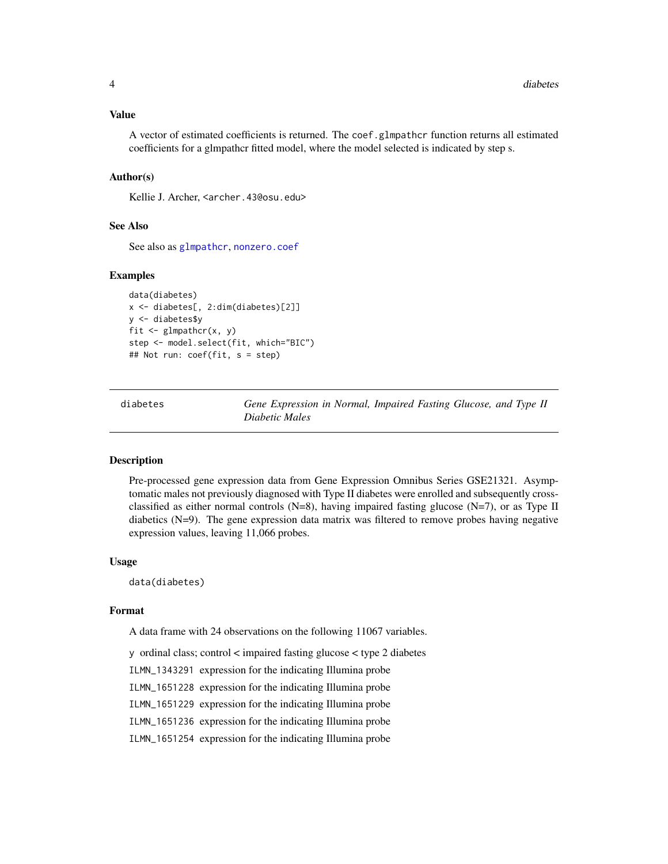#### <span id="page-3-0"></span>Value

A vector of estimated coefficients is returned. The coef.glmpathcr function returns all estimated coefficients for a glmpathcr fitted model, where the model selected is indicated by step s.

## Author(s)

Kellie J. Archer, <archer.43@osu.edu>

#### See Also

See also as [glmpathcr](#page-303-1), [nonzero.coef](#page-307-1)

#### Examples

```
data(diabetes)
x <- diabetes[, 2:dim(diabetes)[2]]
y <- diabetes$y
fit \leq glmpathcr(x, y)
step <- model.select(fit, which="BIC")
## Not run: coef(fit, s = step)
```
diabetes *Gene Expression in Normal, Impaired Fasting Glucose, and Type II Diabetic Males*

#### Description

Pre-processed gene expression data from Gene Expression Omnibus Series GSE21321. Asymptomatic males not previously diagnosed with Type II diabetes were enrolled and subsequently crossclassified as either normal controls  $(N=8)$ , having impaired fasting glucose  $(N=7)$ , or as Type II diabetics (N=9). The gene expression data matrix was filtered to remove probes having negative expression values, leaving 11,066 probes.

#### Usage

data(diabetes)

#### Format

A data frame with 24 observations on the following 11067 variables.

y ordinal class; control < impaired fasting glucose < type 2 diabetes

ILMN\_1343291 expression for the indicating Illumina probe

ILMN\_1651228 expression for the indicating Illumina probe

ILMN\_1651229 expression for the indicating Illumina probe

ILMN\_1651236 expression for the indicating Illumina probe

ILMN\_1651254 expression for the indicating Illumina probe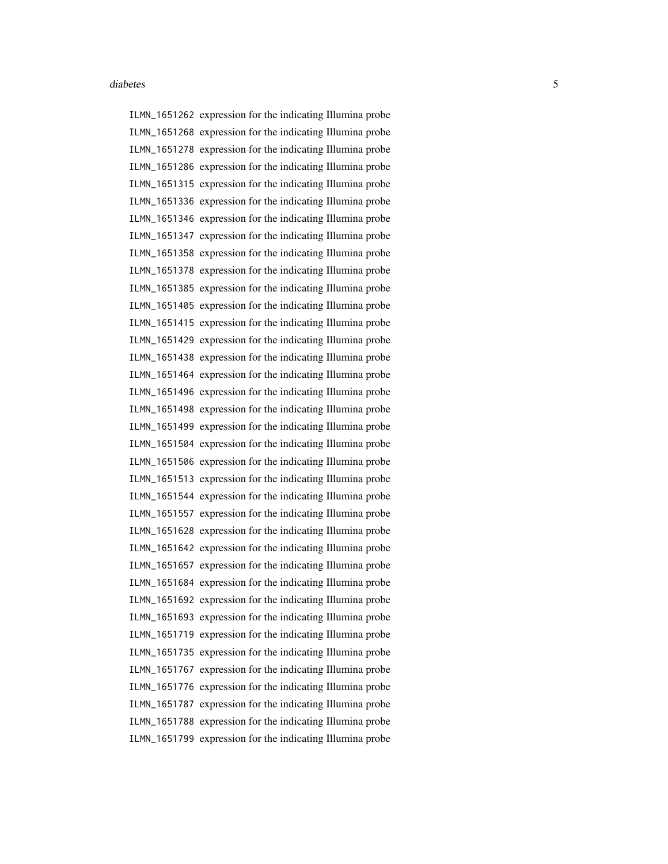ILMN\_1651262 expression for the indicating Illumina probe ILMN\_1651268 expression for the indicating Illumina probe ILMN\_1651278 expression for the indicating Illumina probe ILMN\_1651286 expression for the indicating Illumina probe ILMN\_1651315 expression for the indicating Illumina probe ILMN\_1651336 expression for the indicating Illumina probe ILMN\_1651346 expression for the indicating Illumina probe ILMN\_1651347 expression for the indicating Illumina probe ILMN\_1651358 expression for the indicating Illumina probe ILMN\_1651378 expression for the indicating Illumina probe ILMN\_1651385 expression for the indicating Illumina probe ILMN\_1651405 expression for the indicating Illumina probe ILMN\_1651415 expression for the indicating Illumina probe ILMN\_1651429 expression for the indicating Illumina probe ILMN\_1651438 expression for the indicating Illumina probe ILMN\_1651464 expression for the indicating Illumina probe ILMN\_1651496 expression for the indicating Illumina probe ILMN\_1651498 expression for the indicating Illumina probe ILMN\_1651499 expression for the indicating Illumina probe ILMN\_1651504 expression for the indicating Illumina probe ILMN\_1651506 expression for the indicating Illumina probe ILMN\_1651513 expression for the indicating Illumina probe ILMN\_1651544 expression for the indicating Illumina probe ILMN\_1651557 expression for the indicating Illumina probe ILMN\_1651628 expression for the indicating Illumina probe ILMN\_1651642 expression for the indicating Illumina probe ILMN\_1651657 expression for the indicating Illumina probe ILMN\_1651684 expression for the indicating Illumina probe ILMN\_1651692 expression for the indicating Illumina probe ILMN\_1651693 expression for the indicating Illumina probe ILMN\_1651719 expression for the indicating Illumina probe ILMN\_1651735 expression for the indicating Illumina probe ILMN\_1651767 expression for the indicating Illumina probe ILMN\_1651776 expression for the indicating Illumina probe ILMN\_1651787 expression for the indicating Illumina probe ILMN\_1651788 expression for the indicating Illumina probe ILMN\_1651799 expression for the indicating Illumina probe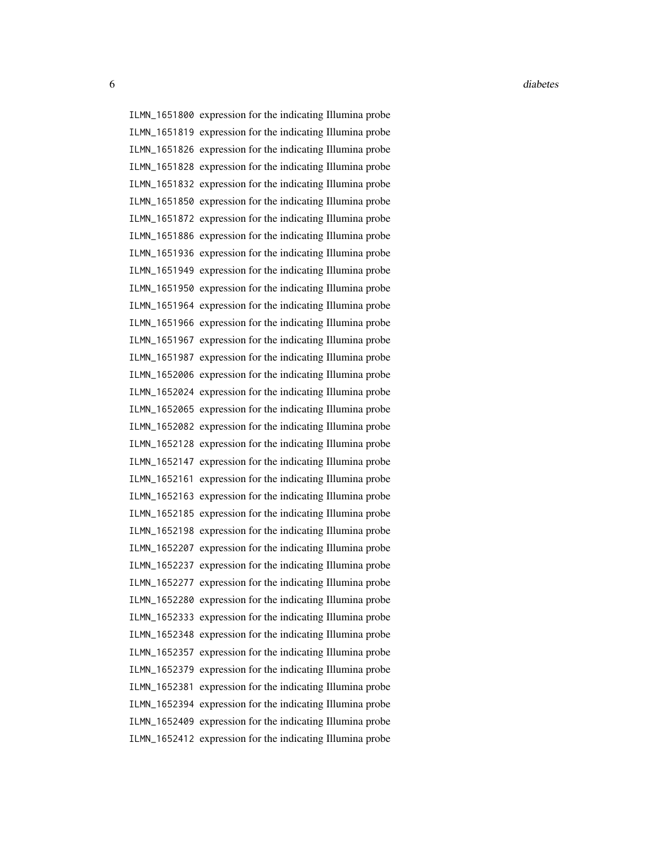ILMN\_1651800 expression for the indicating Illumina probe ILMN\_1651819 expression for the indicating Illumina probe ILMN\_1651826 expression for the indicating Illumina probe ILMN\_1651828 expression for the indicating Illumina probe ILMN\_1651832 expression for the indicating Illumina probe ILMN\_1651850 expression for the indicating Illumina probe ILMN\_1651872 expression for the indicating Illumina probe ILMN\_1651886 expression for the indicating Illumina probe ILMN\_1651936 expression for the indicating Illumina probe ILMN\_1651949 expression for the indicating Illumina probe ILMN\_1651950 expression for the indicating Illumina probe ILMN\_1651964 expression for the indicating Illumina probe ILMN\_1651966 expression for the indicating Illumina probe ILMN\_1651967 expression for the indicating Illumina probe ILMN\_1651987 expression for the indicating Illumina probe ILMN\_1652006 expression for the indicating Illumina probe ILMN\_1652024 expression for the indicating Illumina probe ILMN\_1652065 expression for the indicating Illumina probe ILMN\_1652082 expression for the indicating Illumina probe ILMN\_1652128 expression for the indicating Illumina probe ILMN\_1652147 expression for the indicating Illumina probe ILMN\_1652161 expression for the indicating Illumina probe ILMN\_1652163 expression for the indicating Illumina probe ILMN\_1652185 expression for the indicating Illumina probe ILMN\_1652198 expression for the indicating Illumina probe ILMN\_1652207 expression for the indicating Illumina probe ILMN\_1652237 expression for the indicating Illumina probe ILMN\_1652277 expression for the indicating Illumina probe ILMN\_1652280 expression for the indicating Illumina probe ILMN\_1652333 expression for the indicating Illumina probe ILMN\_1652348 expression for the indicating Illumina probe ILMN\_1652357 expression for the indicating Illumina probe ILMN\_1652379 expression for the indicating Illumina probe ILMN\_1652381 expression for the indicating Illumina probe ILMN\_1652394 expression for the indicating Illumina probe ILMN\_1652409 expression for the indicating Illumina probe ILMN\_1652412 expression for the indicating Illumina probe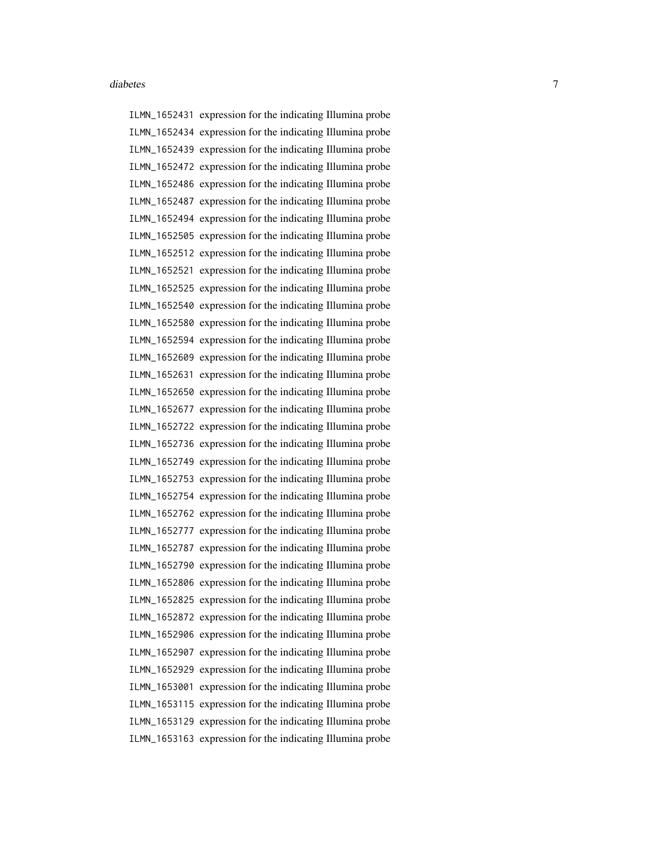ILMN\_1652431 expression for the indicating Illumina probe ILMN\_1652434 expression for the indicating Illumina probe ILMN\_1652439 expression for the indicating Illumina probe ILMN\_1652472 expression for the indicating Illumina probe ILMN\_1652486 expression for the indicating Illumina probe ILMN\_1652487 expression for the indicating Illumina probe ILMN\_1652494 expression for the indicating Illumina probe ILMN\_1652505 expression for the indicating Illumina probe ILMN\_1652512 expression for the indicating Illumina probe ILMN\_1652521 expression for the indicating Illumina probe ILMN\_1652525 expression for the indicating Illumina probe ILMN\_1652540 expression for the indicating Illumina probe ILMN\_1652580 expression for the indicating Illumina probe ILMN\_1652594 expression for the indicating Illumina probe ILMN\_1652609 expression for the indicating Illumina probe ILMN\_1652631 expression for the indicating Illumina probe ILMN\_1652650 expression for the indicating Illumina probe ILMN\_1652677 expression for the indicating Illumina probe ILMN\_1652722 expression for the indicating Illumina probe ILMN\_1652736 expression for the indicating Illumina probe ILMN\_1652749 expression for the indicating Illumina probe ILMN\_1652753 expression for the indicating Illumina probe ILMN\_1652754 expression for the indicating Illumina probe ILMN\_1652762 expression for the indicating Illumina probe ILMN\_1652777 expression for the indicating Illumina probe ILMN\_1652787 expression for the indicating Illumina probe ILMN\_1652790 expression for the indicating Illumina probe ILMN\_1652806 expression for the indicating Illumina probe ILMN\_1652825 expression for the indicating Illumina probe ILMN\_1652872 expression for the indicating Illumina probe ILMN\_1652906 expression for the indicating Illumina probe ILMN\_1652907 expression for the indicating Illumina probe ILMN\_1652929 expression for the indicating Illumina probe ILMN\_1653001 expression for the indicating Illumina probe ILMN\_1653115 expression for the indicating Illumina probe ILMN\_1653129 expression for the indicating Illumina probe ILMN\_1653163 expression for the indicating Illumina probe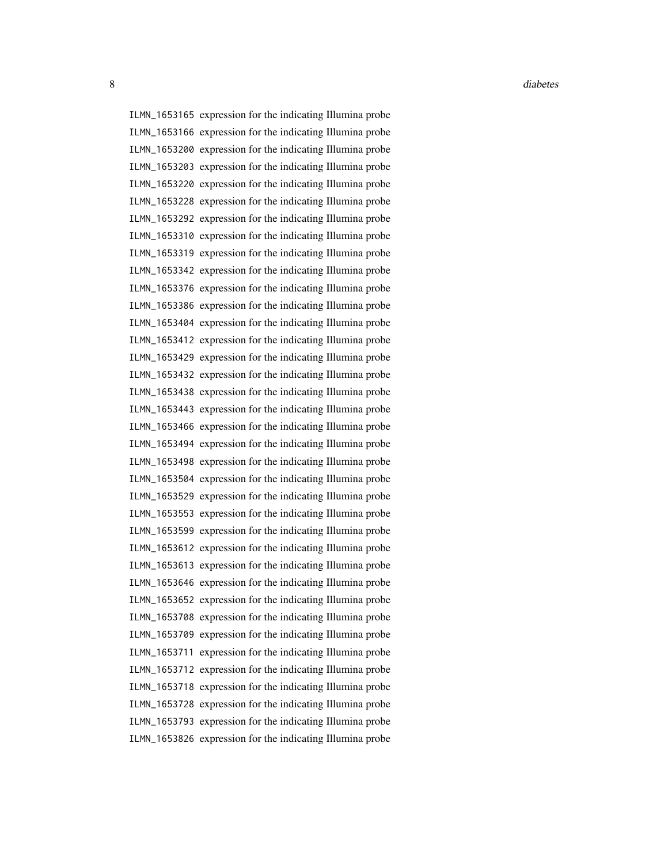8 diabetes and the contract of the contract of the contract of the contract of the contract of the contract of the contract of the contract of the contract of the contract of the contract of the contract of the contract of

ILMN\_1653165 expression for the indicating Illumina probe ILMN\_1653166 expression for the indicating Illumina probe ILMN\_1653200 expression for the indicating Illumina probe ILMN\_1653203 expression for the indicating Illumina probe ILMN\_1653220 expression for the indicating Illumina probe ILMN\_1653228 expression for the indicating Illumina probe ILMN\_1653292 expression for the indicating Illumina probe ILMN\_1653310 expression for the indicating Illumina probe ILMN\_1653319 expression for the indicating Illumina probe ILMN\_1653342 expression for the indicating Illumina probe ILMN\_1653376 expression for the indicating Illumina probe ILMN\_1653386 expression for the indicating Illumina probe ILMN\_1653404 expression for the indicating Illumina probe ILMN\_1653412 expression for the indicating Illumina probe ILMN\_1653429 expression for the indicating Illumina probe ILMN\_1653432 expression for the indicating Illumina probe ILMN\_1653438 expression for the indicating Illumina probe ILMN\_1653443 expression for the indicating Illumina probe ILMN\_1653466 expression for the indicating Illumina probe ILMN\_1653494 expression for the indicating Illumina probe ILMN\_1653498 expression for the indicating Illumina probe ILMN\_1653504 expression for the indicating Illumina probe ILMN\_1653529 expression for the indicating Illumina probe ILMN\_1653553 expression for the indicating Illumina probe ILMN\_1653599 expression for the indicating Illumina probe ILMN\_1653612 expression for the indicating Illumina probe ILMN\_1653613 expression for the indicating Illumina probe ILMN\_1653646 expression for the indicating Illumina probe ILMN\_1653652 expression for the indicating Illumina probe ILMN\_1653708 expression for the indicating Illumina probe ILMN\_1653709 expression for the indicating Illumina probe ILMN\_1653711 expression for the indicating Illumina probe ILMN\_1653712 expression for the indicating Illumina probe ILMN\_1653718 expression for the indicating Illumina probe ILMN\_1653728 expression for the indicating Illumina probe ILMN\_1653793 expression for the indicating Illumina probe ILMN\_1653826 expression for the indicating Illumina probe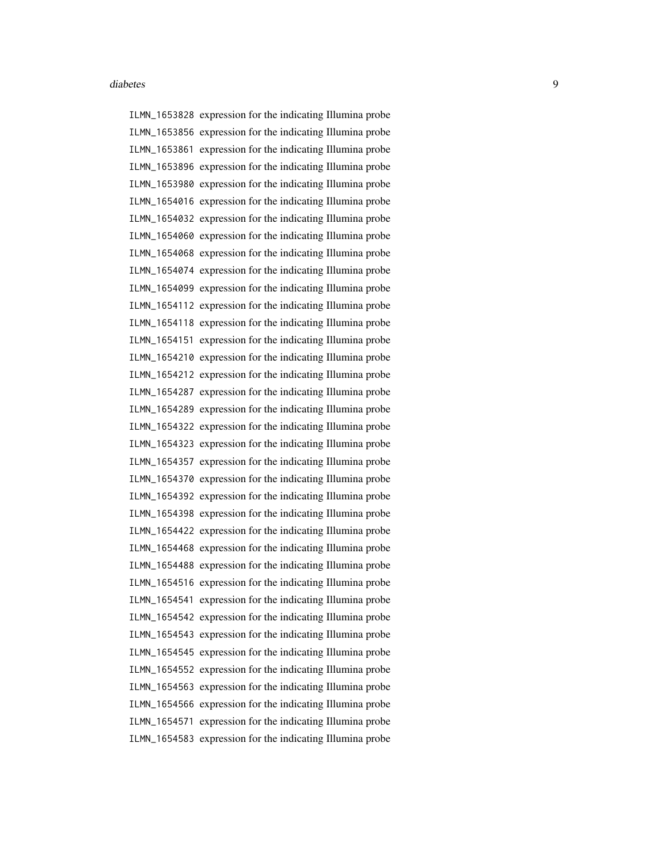ILMN\_1653828 expression for the indicating Illumina probe ILMN\_1653856 expression for the indicating Illumina probe ILMN\_1653861 expression for the indicating Illumina probe ILMN\_1653896 expression for the indicating Illumina probe ILMN\_1653980 expression for the indicating Illumina probe ILMN\_1654016 expression for the indicating Illumina probe ILMN\_1654032 expression for the indicating Illumina probe ILMN\_1654060 expression for the indicating Illumina probe ILMN\_1654068 expression for the indicating Illumina probe ILMN\_1654074 expression for the indicating Illumina probe ILMN\_1654099 expression for the indicating Illumina probe ILMN\_1654112 expression for the indicating Illumina probe ILMN\_1654118 expression for the indicating Illumina probe ILMN\_1654151 expression for the indicating Illumina probe ILMN\_1654210 expression for the indicating Illumina probe ILMN\_1654212 expression for the indicating Illumina probe ILMN\_1654287 expression for the indicating Illumina probe ILMN\_1654289 expression for the indicating Illumina probe ILMN\_1654322 expression for the indicating Illumina probe ILMN\_1654323 expression for the indicating Illumina probe ILMN\_1654357 expression for the indicating Illumina probe ILMN\_1654370 expression for the indicating Illumina probe ILMN\_1654392 expression for the indicating Illumina probe ILMN\_1654398 expression for the indicating Illumina probe ILMN\_1654422 expression for the indicating Illumina probe ILMN\_1654468 expression for the indicating Illumina probe ILMN\_1654488 expression for the indicating Illumina probe ILMN\_1654516 expression for the indicating Illumina probe ILMN\_1654541 expression for the indicating Illumina probe ILMN\_1654542 expression for the indicating Illumina probe ILMN\_1654543 expression for the indicating Illumina probe ILMN\_1654545 expression for the indicating Illumina probe ILMN\_1654552 expression for the indicating Illumina probe ILMN\_1654563 expression for the indicating Illumina probe ILMN\_1654566 expression for the indicating Illumina probe ILMN\_1654571 expression for the indicating Illumina probe ILMN\_1654583 expression for the indicating Illumina probe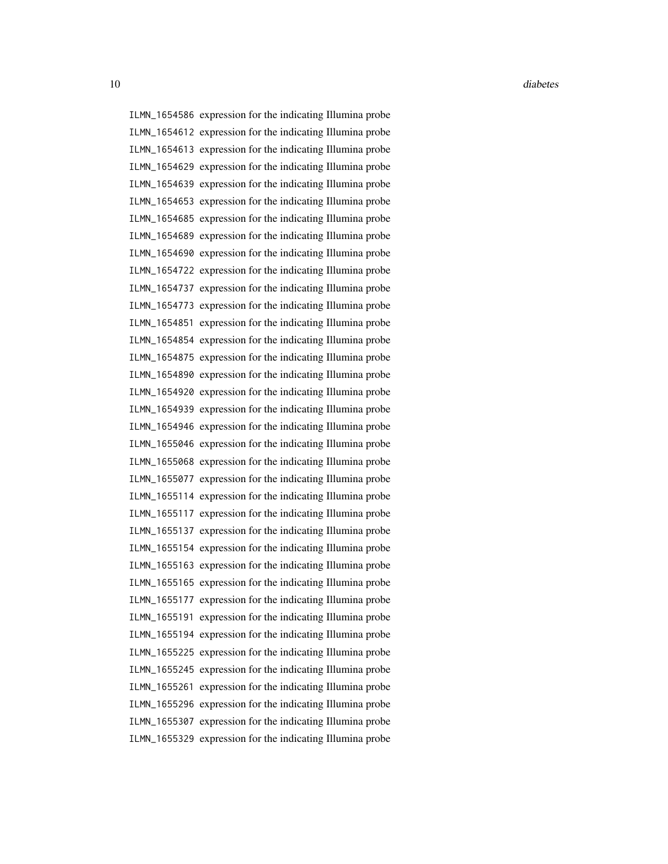10 diabetes diabetes diabetes diabetes diabetes diabetes diabetes diabetes diabetes diabetes diabetes diabetes diabetes diabetes diabetes diabetes diabetes diabetes diabetes diabetes diabetes diabetes diabetes diabetes dia

ILMN\_1654586 expression for the indicating Illumina probe ILMN\_1654612 expression for the indicating Illumina probe ILMN\_1654613 expression for the indicating Illumina probe ILMN\_1654629 expression for the indicating Illumina probe ILMN\_1654639 expression for the indicating Illumina probe ILMN\_1654653 expression for the indicating Illumina probe ILMN\_1654685 expression for the indicating Illumina probe ILMN\_1654689 expression for the indicating Illumina probe ILMN\_1654690 expression for the indicating Illumina probe ILMN\_1654722 expression for the indicating Illumina probe ILMN\_1654737 expression for the indicating Illumina probe ILMN\_1654773 expression for the indicating Illumina probe ILMN\_1654851 expression for the indicating Illumina probe ILMN\_1654854 expression for the indicating Illumina probe ILMN\_1654875 expression for the indicating Illumina probe ILMN\_1654890 expression for the indicating Illumina probe ILMN\_1654920 expression for the indicating Illumina probe ILMN\_1654939 expression for the indicating Illumina probe ILMN\_1654946 expression for the indicating Illumina probe ILMN\_1655046 expression for the indicating Illumina probe ILMN\_1655068 expression for the indicating Illumina probe ILMN\_1655077 expression for the indicating Illumina probe ILMN\_1655114 expression for the indicating Illumina probe ILMN\_1655117 expression for the indicating Illumina probe ILMN\_1655137 expression for the indicating Illumina probe ILMN\_1655154 expression for the indicating Illumina probe ILMN\_1655163 expression for the indicating Illumina probe ILMN\_1655165 expression for the indicating Illumina probe ILMN\_1655177 expression for the indicating Illumina probe ILMN\_1655191 expression for the indicating Illumina probe ILMN\_1655194 expression for the indicating Illumina probe ILMN\_1655225 expression for the indicating Illumina probe ILMN\_1655245 expression for the indicating Illumina probe ILMN\_1655261 expression for the indicating Illumina probe ILMN\_1655296 expression for the indicating Illumina probe ILMN\_1655307 expression for the indicating Illumina probe ILMN\_1655329 expression for the indicating Illumina probe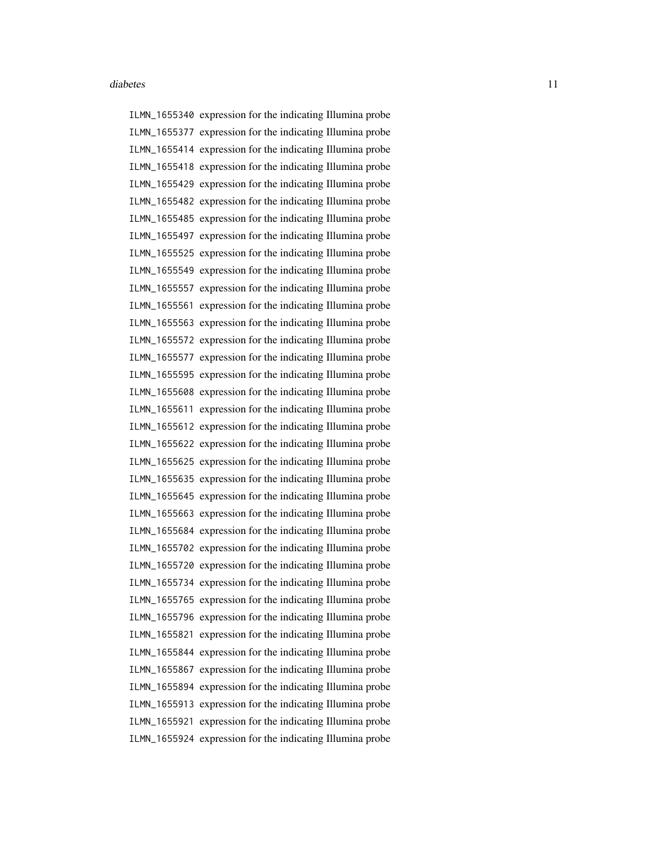ILMN\_1655340 expression for the indicating Illumina probe ILMN\_1655377 expression for the indicating Illumina probe ILMN\_1655414 expression for the indicating Illumina probe ILMN\_1655418 expression for the indicating Illumina probe ILMN\_1655429 expression for the indicating Illumina probe ILMN\_1655482 expression for the indicating Illumina probe ILMN\_1655485 expression for the indicating Illumina probe ILMN\_1655497 expression for the indicating Illumina probe ILMN\_1655525 expression for the indicating Illumina probe ILMN\_1655549 expression for the indicating Illumina probe ILMN\_1655557 expression for the indicating Illumina probe ILMN\_1655561 expression for the indicating Illumina probe ILMN\_1655563 expression for the indicating Illumina probe ILMN\_1655572 expression for the indicating Illumina probe ILMN\_1655577 expression for the indicating Illumina probe ILMN\_1655595 expression for the indicating Illumina probe ILMN\_1655608 expression for the indicating Illumina probe ILMN\_1655611 expression for the indicating Illumina probe ILMN\_1655612 expression for the indicating Illumina probe ILMN\_1655622 expression for the indicating Illumina probe ILMN\_1655625 expression for the indicating Illumina probe ILMN\_1655635 expression for the indicating Illumina probe ILMN\_1655645 expression for the indicating Illumina probe ILMN\_1655663 expression for the indicating Illumina probe ILMN\_1655684 expression for the indicating Illumina probe ILMN\_1655702 expression for the indicating Illumina probe ILMN\_1655720 expression for the indicating Illumina probe ILMN\_1655734 expression for the indicating Illumina probe ILMN\_1655765 expression for the indicating Illumina probe ILMN\_1655796 expression for the indicating Illumina probe ILMN\_1655821 expression for the indicating Illumina probe ILMN\_1655844 expression for the indicating Illumina probe ILMN\_1655867 expression for the indicating Illumina probe ILMN\_1655894 expression for the indicating Illumina probe ILMN\_1655913 expression for the indicating Illumina probe ILMN\_1655921 expression for the indicating Illumina probe ILMN\_1655924 expression for the indicating Illumina probe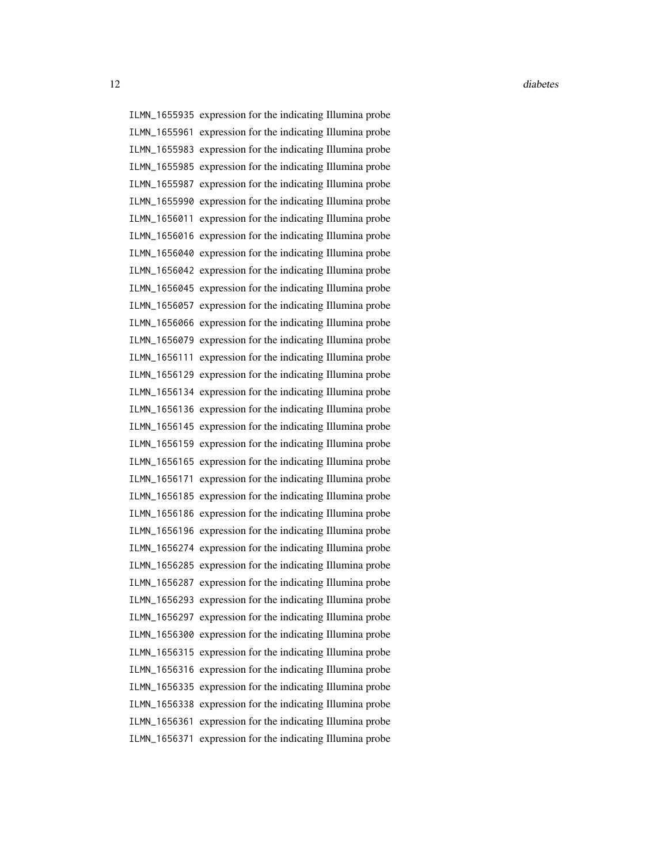ILMN\_1655935 expression for the indicating Illumina probe ILMN\_1655961 expression for the indicating Illumina probe ILMN\_1655983 expression for the indicating Illumina probe ILMN\_1655985 expression for the indicating Illumina probe ILMN\_1655987 expression for the indicating Illumina probe ILMN\_1655990 expression for the indicating Illumina probe ILMN\_1656011 expression for the indicating Illumina probe ILMN\_1656016 expression for the indicating Illumina probe ILMN\_1656040 expression for the indicating Illumina probe ILMN\_1656042 expression for the indicating Illumina probe ILMN\_1656045 expression for the indicating Illumina probe ILMN\_1656057 expression for the indicating Illumina probe ILMN\_1656066 expression for the indicating Illumina probe ILMN\_1656079 expression for the indicating Illumina probe ILMN\_1656111 expression for the indicating Illumina probe ILMN\_1656129 expression for the indicating Illumina probe ILMN\_1656134 expression for the indicating Illumina probe ILMN\_1656136 expression for the indicating Illumina probe ILMN\_1656145 expression for the indicating Illumina probe ILMN\_1656159 expression for the indicating Illumina probe ILMN\_1656165 expression for the indicating Illumina probe ILMN\_1656171 expression for the indicating Illumina probe ILMN\_1656185 expression for the indicating Illumina probe ILMN\_1656186 expression for the indicating Illumina probe ILMN\_1656196 expression for the indicating Illumina probe ILMN\_1656274 expression for the indicating Illumina probe ILMN\_1656285 expression for the indicating Illumina probe ILMN\_1656287 expression for the indicating Illumina probe ILMN\_1656293 expression for the indicating Illumina probe ILMN\_1656297 expression for the indicating Illumina probe ILMN\_1656300 expression for the indicating Illumina probe ILMN\_1656315 expression for the indicating Illumina probe ILMN\_1656316 expression for the indicating Illumina probe ILMN\_1656335 expression for the indicating Illumina probe ILMN\_1656338 expression for the indicating Illumina probe ILMN\_1656361 expression for the indicating Illumina probe ILMN\_1656371 expression for the indicating Illumina probe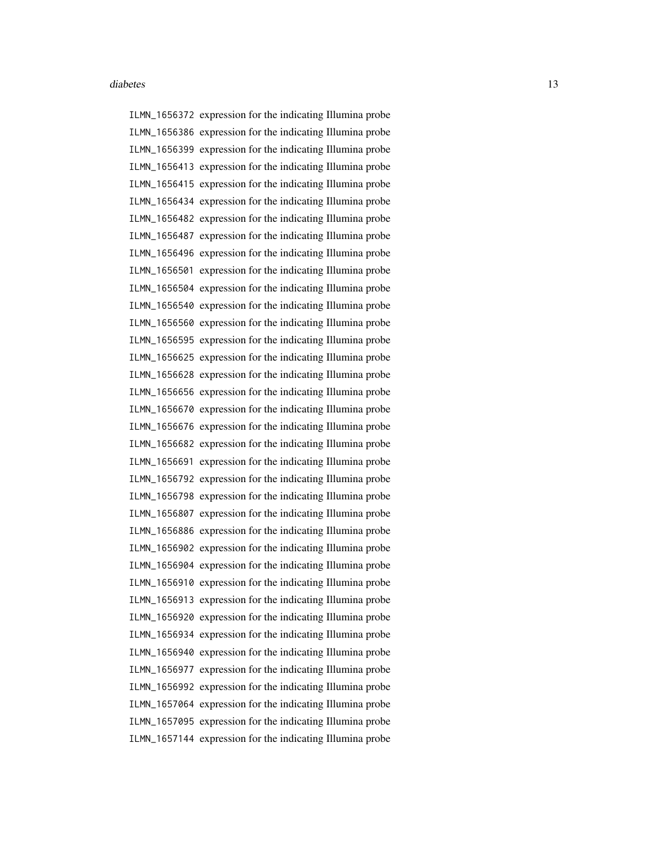ILMN\_1656372 expression for the indicating Illumina probe ILMN\_1656386 expression for the indicating Illumina probe ILMN\_1656399 expression for the indicating Illumina probe ILMN\_1656413 expression for the indicating Illumina probe ILMN\_1656415 expression for the indicating Illumina probe ILMN\_1656434 expression for the indicating Illumina probe ILMN\_1656482 expression for the indicating Illumina probe ILMN\_1656487 expression for the indicating Illumina probe ILMN\_1656496 expression for the indicating Illumina probe ILMN\_1656501 expression for the indicating Illumina probe ILMN\_1656504 expression for the indicating Illumina probe ILMN\_1656540 expression for the indicating Illumina probe ILMN\_1656560 expression for the indicating Illumina probe ILMN\_1656595 expression for the indicating Illumina probe ILMN\_1656625 expression for the indicating Illumina probe ILMN\_1656628 expression for the indicating Illumina probe ILMN\_1656656 expression for the indicating Illumina probe ILMN\_1656670 expression for the indicating Illumina probe ILMN\_1656676 expression for the indicating Illumina probe ILMN\_1656682 expression for the indicating Illumina probe ILMN\_1656691 expression for the indicating Illumina probe ILMN\_1656792 expression for the indicating Illumina probe ILMN\_1656798 expression for the indicating Illumina probe ILMN\_1656807 expression for the indicating Illumina probe ILMN\_1656886 expression for the indicating Illumina probe ILMN\_1656902 expression for the indicating Illumina probe ILMN\_1656904 expression for the indicating Illumina probe ILMN\_1656910 expression for the indicating Illumina probe ILMN\_1656913 expression for the indicating Illumina probe ILMN\_1656920 expression for the indicating Illumina probe ILMN\_1656934 expression for the indicating Illumina probe ILMN\_1656940 expression for the indicating Illumina probe ILMN\_1656977 expression for the indicating Illumina probe ILMN\_1656992 expression for the indicating Illumina probe ILMN\_1657064 expression for the indicating Illumina probe ILMN\_1657095 expression for the indicating Illumina probe ILMN\_1657144 expression for the indicating Illumina probe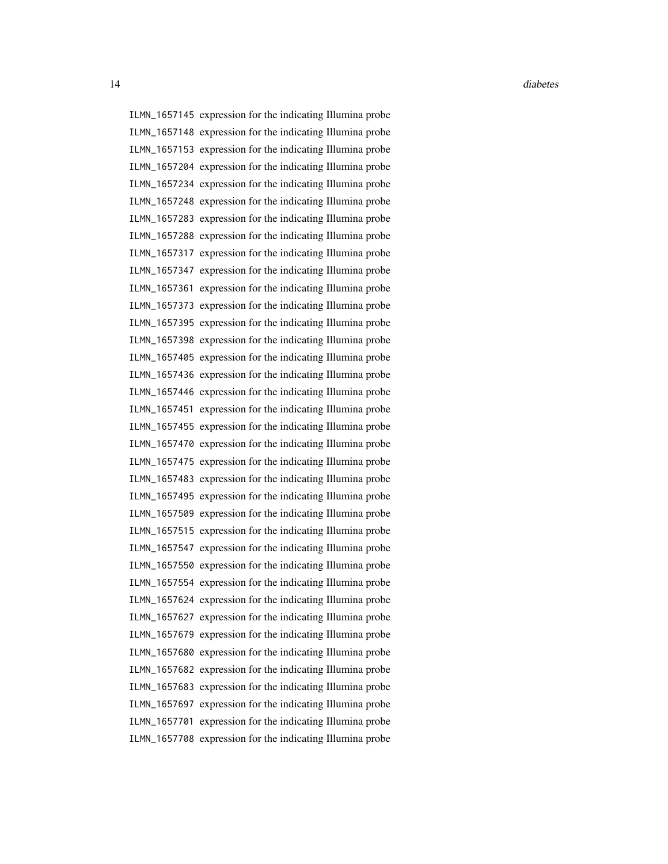ILMN\_1657145 expression for the indicating Illumina probe ILMN\_1657148 expression for the indicating Illumina probe ILMN\_1657153 expression for the indicating Illumina probe ILMN\_1657204 expression for the indicating Illumina probe ILMN\_1657234 expression for the indicating Illumina probe ILMN\_1657248 expression for the indicating Illumina probe ILMN\_1657283 expression for the indicating Illumina probe ILMN\_1657288 expression for the indicating Illumina probe ILMN\_1657317 expression for the indicating Illumina probe ILMN\_1657347 expression for the indicating Illumina probe ILMN\_1657361 expression for the indicating Illumina probe ILMN\_1657373 expression for the indicating Illumina probe ILMN\_1657395 expression for the indicating Illumina probe ILMN\_1657398 expression for the indicating Illumina probe ILMN\_1657405 expression for the indicating Illumina probe ILMN\_1657436 expression for the indicating Illumina probe ILMN\_1657446 expression for the indicating Illumina probe ILMN\_1657451 expression for the indicating Illumina probe ILMN\_1657455 expression for the indicating Illumina probe ILMN\_1657470 expression for the indicating Illumina probe ILMN\_1657475 expression for the indicating Illumina probe ILMN\_1657483 expression for the indicating Illumina probe ILMN\_1657495 expression for the indicating Illumina probe ILMN\_1657509 expression for the indicating Illumina probe ILMN\_1657515 expression for the indicating Illumina probe ILMN\_1657547 expression for the indicating Illumina probe ILMN\_1657550 expression for the indicating Illumina probe ILMN\_1657554 expression for the indicating Illumina probe ILMN\_1657624 expression for the indicating Illumina probe ILMN\_1657627 expression for the indicating Illumina probe ILMN\_1657679 expression for the indicating Illumina probe ILMN\_1657680 expression for the indicating Illumina probe ILMN\_1657682 expression for the indicating Illumina probe ILMN\_1657683 expression for the indicating Illumina probe ILMN\_1657697 expression for the indicating Illumina probe ILMN\_1657701 expression for the indicating Illumina probe ILMN\_1657708 expression for the indicating Illumina probe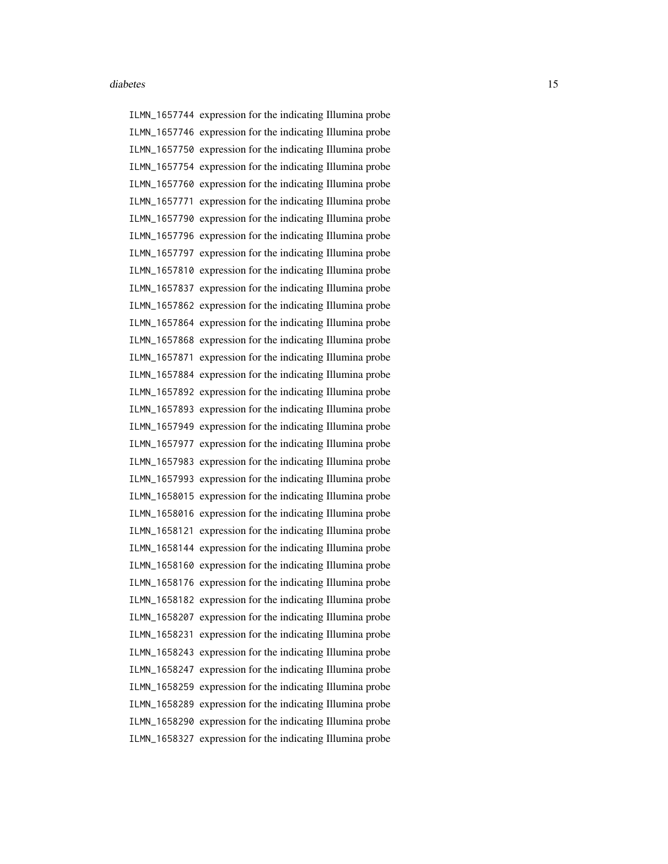ILMN\_1657744 expression for the indicating Illumina probe ILMN\_1657746 expression for the indicating Illumina probe ILMN\_1657750 expression for the indicating Illumina probe ILMN\_1657754 expression for the indicating Illumina probe ILMN\_1657760 expression for the indicating Illumina probe ILMN\_1657771 expression for the indicating Illumina probe ILMN\_1657790 expression for the indicating Illumina probe ILMN\_1657796 expression for the indicating Illumina probe ILMN\_1657797 expression for the indicating Illumina probe ILMN\_1657810 expression for the indicating Illumina probe ILMN\_1657837 expression for the indicating Illumina probe ILMN\_1657862 expression for the indicating Illumina probe ILMN\_1657864 expression for the indicating Illumina probe ILMN\_1657868 expression for the indicating Illumina probe ILMN\_1657871 expression for the indicating Illumina probe ILMN\_1657884 expression for the indicating Illumina probe ILMN\_1657892 expression for the indicating Illumina probe ILMN\_1657893 expression for the indicating Illumina probe ILMN\_1657949 expression for the indicating Illumina probe ILMN\_1657977 expression for the indicating Illumina probe ILMN\_1657983 expression for the indicating Illumina probe ILMN\_1657993 expression for the indicating Illumina probe ILMN\_1658015 expression for the indicating Illumina probe ILMN\_1658016 expression for the indicating Illumina probe ILMN\_1658121 expression for the indicating Illumina probe ILMN\_1658144 expression for the indicating Illumina probe ILMN\_1658160 expression for the indicating Illumina probe ILMN\_1658176 expression for the indicating Illumina probe ILMN\_1658182 expression for the indicating Illumina probe ILMN\_1658207 expression for the indicating Illumina probe ILMN\_1658231 expression for the indicating Illumina probe ILMN\_1658243 expression for the indicating Illumina probe ILMN\_1658247 expression for the indicating Illumina probe ILMN\_1658259 expression for the indicating Illumina probe ILMN\_1658289 expression for the indicating Illumina probe ILMN\_1658290 expression for the indicating Illumina probe ILMN\_1658327 expression for the indicating Illumina probe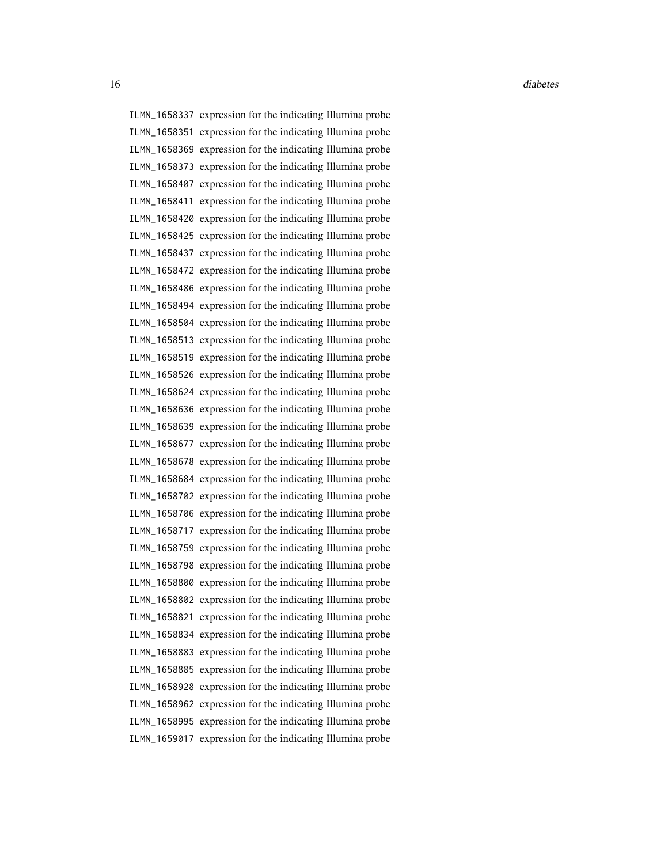16 diabetes diabetes diabetes diabetes diabetes diabetes diabetes diabetes diabetes diabetes diabetes diabetes diabetes diabetes diabetes diabetes diabetes diabetes diabetes diabetes diabetes diabetes diabetes diabetes dia

ILMN\_1658337 expression for the indicating Illumina probe ILMN\_1658351 expression for the indicating Illumina probe ILMN\_1658369 expression for the indicating Illumina probe ILMN\_1658373 expression for the indicating Illumina probe ILMN\_1658407 expression for the indicating Illumina probe ILMN\_1658411 expression for the indicating Illumina probe ILMN\_1658420 expression for the indicating Illumina probe ILMN\_1658425 expression for the indicating Illumina probe ILMN\_1658437 expression for the indicating Illumina probe ILMN\_1658472 expression for the indicating Illumina probe ILMN\_1658486 expression for the indicating Illumina probe ILMN\_1658494 expression for the indicating Illumina probe ILMN\_1658504 expression for the indicating Illumina probe ILMN\_1658513 expression for the indicating Illumina probe ILMN\_1658519 expression for the indicating Illumina probe ILMN\_1658526 expression for the indicating Illumina probe ILMN\_1658624 expression for the indicating Illumina probe ILMN\_1658636 expression for the indicating Illumina probe ILMN\_1658639 expression for the indicating Illumina probe ILMN\_1658677 expression for the indicating Illumina probe ILMN\_1658678 expression for the indicating Illumina probe ILMN\_1658684 expression for the indicating Illumina probe ILMN\_1658702 expression for the indicating Illumina probe ILMN\_1658706 expression for the indicating Illumina probe ILMN\_1658717 expression for the indicating Illumina probe ILMN\_1658759 expression for the indicating Illumina probe ILMN\_1658798 expression for the indicating Illumina probe ILMN\_1658800 expression for the indicating Illumina probe ILMN\_1658802 expression for the indicating Illumina probe ILMN\_1658821 expression for the indicating Illumina probe ILMN\_1658834 expression for the indicating Illumina probe ILMN\_1658883 expression for the indicating Illumina probe ILMN\_1658885 expression for the indicating Illumina probe ILMN\_1658928 expression for the indicating Illumina probe ILMN\_1658962 expression for the indicating Illumina probe ILMN\_1658995 expression for the indicating Illumina probe ILMN\_1659017 expression for the indicating Illumina probe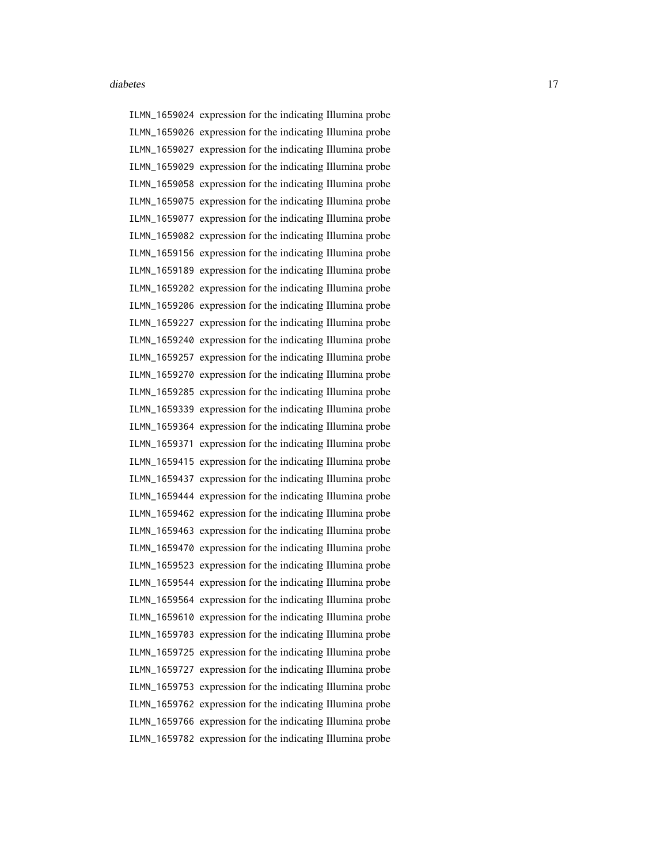ILMN\_1659024 expression for the indicating Illumina probe ILMN\_1659026 expression for the indicating Illumina probe ILMN\_1659027 expression for the indicating Illumina probe ILMN\_1659029 expression for the indicating Illumina probe ILMN\_1659058 expression for the indicating Illumina probe ILMN\_1659075 expression for the indicating Illumina probe ILMN\_1659077 expression for the indicating Illumina probe ILMN\_1659082 expression for the indicating Illumina probe ILMN\_1659156 expression for the indicating Illumina probe ILMN\_1659189 expression for the indicating Illumina probe ILMN\_1659202 expression for the indicating Illumina probe ILMN\_1659206 expression for the indicating Illumina probe ILMN\_1659227 expression for the indicating Illumina probe ILMN\_1659240 expression for the indicating Illumina probe ILMN\_1659257 expression for the indicating Illumina probe ILMN\_1659270 expression for the indicating Illumina probe ILMN\_1659285 expression for the indicating Illumina probe ILMN\_1659339 expression for the indicating Illumina probe ILMN\_1659364 expression for the indicating Illumina probe ILMN\_1659371 expression for the indicating Illumina probe ILMN\_1659415 expression for the indicating Illumina probe ILMN\_1659437 expression for the indicating Illumina probe ILMN\_1659444 expression for the indicating Illumina probe ILMN\_1659462 expression for the indicating Illumina probe ILMN\_1659463 expression for the indicating Illumina probe ILMN\_1659470 expression for the indicating Illumina probe ILMN\_1659523 expression for the indicating Illumina probe ILMN\_1659544 expression for the indicating Illumina probe ILMN\_1659564 expression for the indicating Illumina probe ILMN\_1659610 expression for the indicating Illumina probe ILMN\_1659703 expression for the indicating Illumina probe ILMN\_1659725 expression for the indicating Illumina probe ILMN\_1659727 expression for the indicating Illumina probe ILMN\_1659753 expression for the indicating Illumina probe ILMN\_1659762 expression for the indicating Illumina probe ILMN\_1659766 expression for the indicating Illumina probe ILMN\_1659782 expression for the indicating Illumina probe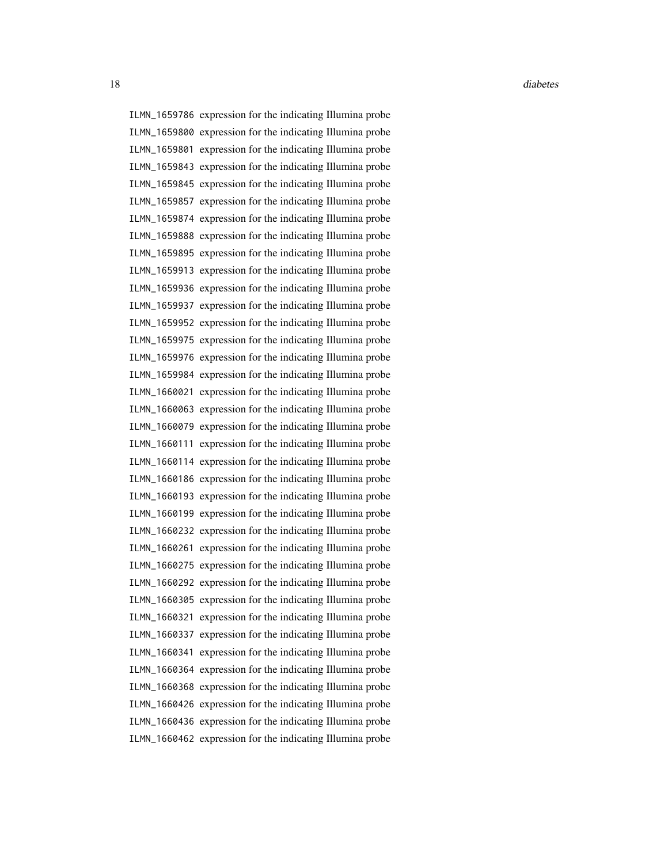18 diabetes diabetes diabetes diabetes diabetes diabetes diabetes diabetes diabetes diabetes diabetes diabetes diabetes diabetes diabetes diabetes diabetes diabetes diabetes diabetes diabetes diabetes diabetes diabetes dia

ILMN\_1659786 expression for the indicating Illumina probe ILMN\_1659800 expression for the indicating Illumina probe ILMN\_1659801 expression for the indicating Illumina probe ILMN\_1659843 expression for the indicating Illumina probe ILMN\_1659845 expression for the indicating Illumina probe ILMN\_1659857 expression for the indicating Illumina probe ILMN\_1659874 expression for the indicating Illumina probe ILMN\_1659888 expression for the indicating Illumina probe ILMN\_1659895 expression for the indicating Illumina probe ILMN\_1659913 expression for the indicating Illumina probe ILMN\_1659936 expression for the indicating Illumina probe ILMN\_1659937 expression for the indicating Illumina probe ILMN\_1659952 expression for the indicating Illumina probe ILMN\_1659975 expression for the indicating Illumina probe ILMN\_1659976 expression for the indicating Illumina probe ILMN\_1659984 expression for the indicating Illumina probe ILMN\_1660021 expression for the indicating Illumina probe ILMN\_1660063 expression for the indicating Illumina probe ILMN\_1660079 expression for the indicating Illumina probe ILMN\_1660111 expression for the indicating Illumina probe ILMN\_1660114 expression for the indicating Illumina probe ILMN\_1660186 expression for the indicating Illumina probe ILMN\_1660193 expression for the indicating Illumina probe ILMN\_1660199 expression for the indicating Illumina probe ILMN\_1660232 expression for the indicating Illumina probe ILMN\_1660261 expression for the indicating Illumina probe ILMN\_1660275 expression for the indicating Illumina probe ILMN\_1660292 expression for the indicating Illumina probe ILMN\_1660305 expression for the indicating Illumina probe ILMN\_1660321 expression for the indicating Illumina probe ILMN\_1660337 expression for the indicating Illumina probe ILMN\_1660341 expression for the indicating Illumina probe ILMN\_1660364 expression for the indicating Illumina probe ILMN\_1660368 expression for the indicating Illumina probe ILMN\_1660426 expression for the indicating Illumina probe ILMN\_1660436 expression for the indicating Illumina probe ILMN\_1660462 expression for the indicating Illumina probe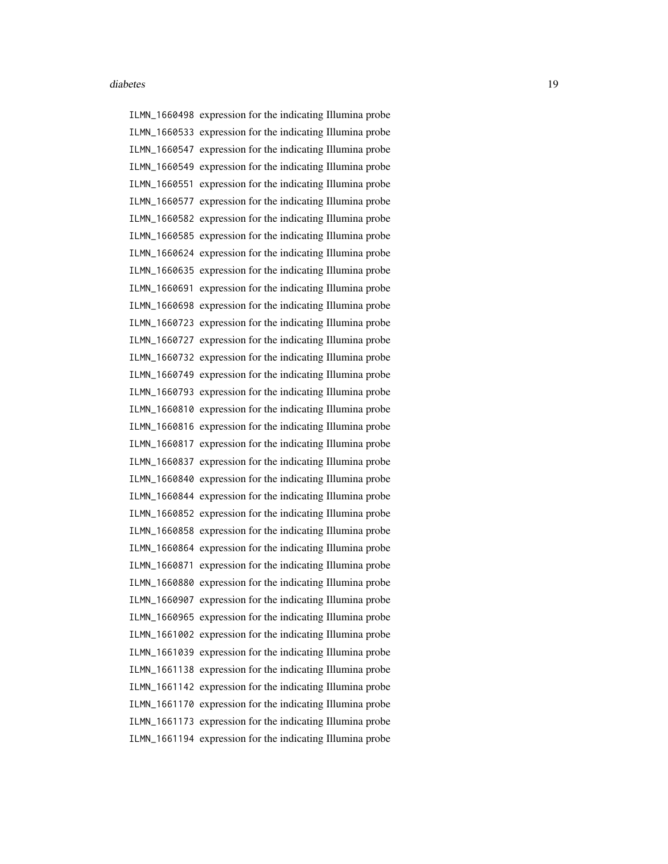ILMN\_1660498 expression for the indicating Illumina probe ILMN\_1660533 expression for the indicating Illumina probe ILMN\_1660547 expression for the indicating Illumina probe ILMN\_1660549 expression for the indicating Illumina probe ILMN\_1660551 expression for the indicating Illumina probe ILMN\_1660577 expression for the indicating Illumina probe ILMN\_1660582 expression for the indicating Illumina probe ILMN\_1660585 expression for the indicating Illumina probe ILMN\_1660624 expression for the indicating Illumina probe ILMN\_1660635 expression for the indicating Illumina probe ILMN\_1660691 expression for the indicating Illumina probe ILMN\_1660698 expression for the indicating Illumina probe ILMN\_1660723 expression for the indicating Illumina probe ILMN\_1660727 expression for the indicating Illumina probe ILMN\_1660732 expression for the indicating Illumina probe ILMN\_1660749 expression for the indicating Illumina probe ILMN\_1660793 expression for the indicating Illumina probe ILMN\_1660810 expression for the indicating Illumina probe ILMN\_1660816 expression for the indicating Illumina probe ILMN\_1660817 expression for the indicating Illumina probe ILMN\_1660837 expression for the indicating Illumina probe ILMN\_1660840 expression for the indicating Illumina probe ILMN\_1660844 expression for the indicating Illumina probe ILMN\_1660852 expression for the indicating Illumina probe ILMN\_1660858 expression for the indicating Illumina probe ILMN\_1660864 expression for the indicating Illumina probe ILMN\_1660871 expression for the indicating Illumina probe ILMN\_1660880 expression for the indicating Illumina probe ILMN\_1660907 expression for the indicating Illumina probe ILMN\_1660965 expression for the indicating Illumina probe ILMN\_1661002 expression for the indicating Illumina probe ILMN\_1661039 expression for the indicating Illumina probe ILMN\_1661138 expression for the indicating Illumina probe ILMN\_1661142 expression for the indicating Illumina probe ILMN\_1661170 expression for the indicating Illumina probe ILMN\_1661173 expression for the indicating Illumina probe ILMN\_1661194 expression for the indicating Illumina probe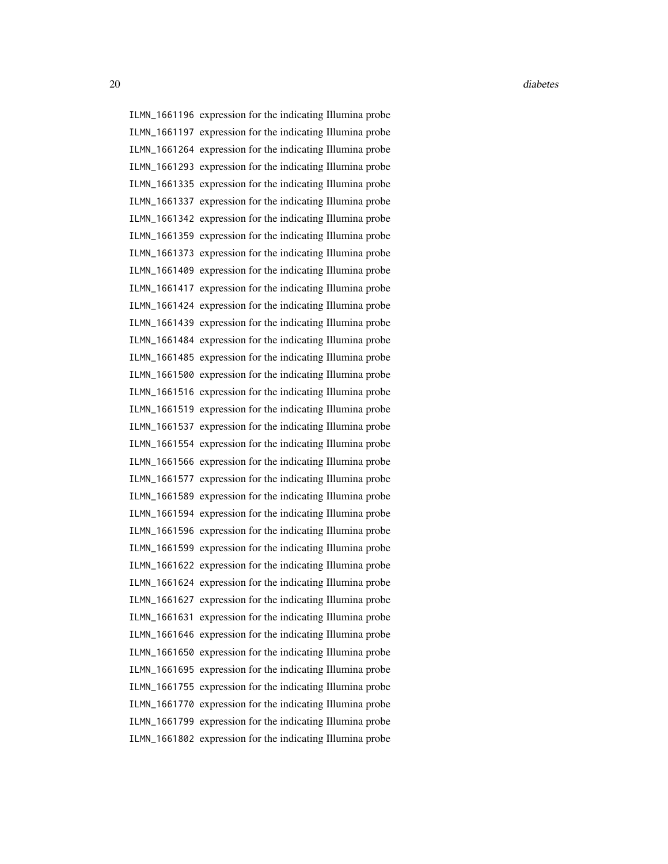ILMN\_1661196 expression for the indicating Illumina probe ILMN\_1661197 expression for the indicating Illumina probe ILMN\_1661264 expression for the indicating Illumina probe ILMN\_1661293 expression for the indicating Illumina probe ILMN\_1661335 expression for the indicating Illumina probe ILMN\_1661337 expression for the indicating Illumina probe ILMN\_1661342 expression for the indicating Illumina probe ILMN\_1661359 expression for the indicating Illumina probe ILMN\_1661373 expression for the indicating Illumina probe ILMN\_1661409 expression for the indicating Illumina probe ILMN\_1661417 expression for the indicating Illumina probe ILMN\_1661424 expression for the indicating Illumina probe ILMN\_1661439 expression for the indicating Illumina probe ILMN\_1661484 expression for the indicating Illumina probe ILMN\_1661485 expression for the indicating Illumina probe ILMN\_1661500 expression for the indicating Illumina probe ILMN\_1661516 expression for the indicating Illumina probe ILMN\_1661519 expression for the indicating Illumina probe ILMN\_1661537 expression for the indicating Illumina probe ILMN\_1661554 expression for the indicating Illumina probe ILMN\_1661566 expression for the indicating Illumina probe ILMN\_1661577 expression for the indicating Illumina probe ILMN\_1661589 expression for the indicating Illumina probe ILMN\_1661594 expression for the indicating Illumina probe ILMN\_1661596 expression for the indicating Illumina probe ILMN\_1661599 expression for the indicating Illumina probe ILMN\_1661622 expression for the indicating Illumina probe ILMN\_1661624 expression for the indicating Illumina probe ILMN\_1661627 expression for the indicating Illumina probe ILMN\_1661631 expression for the indicating Illumina probe ILMN\_1661646 expression for the indicating Illumina probe ILMN\_1661650 expression for the indicating Illumina probe ILMN\_1661695 expression for the indicating Illumina probe ILMN\_1661755 expression for the indicating Illumina probe ILMN\_1661770 expression for the indicating Illumina probe ILMN\_1661799 expression for the indicating Illumina probe ILMN\_1661802 expression for the indicating Illumina probe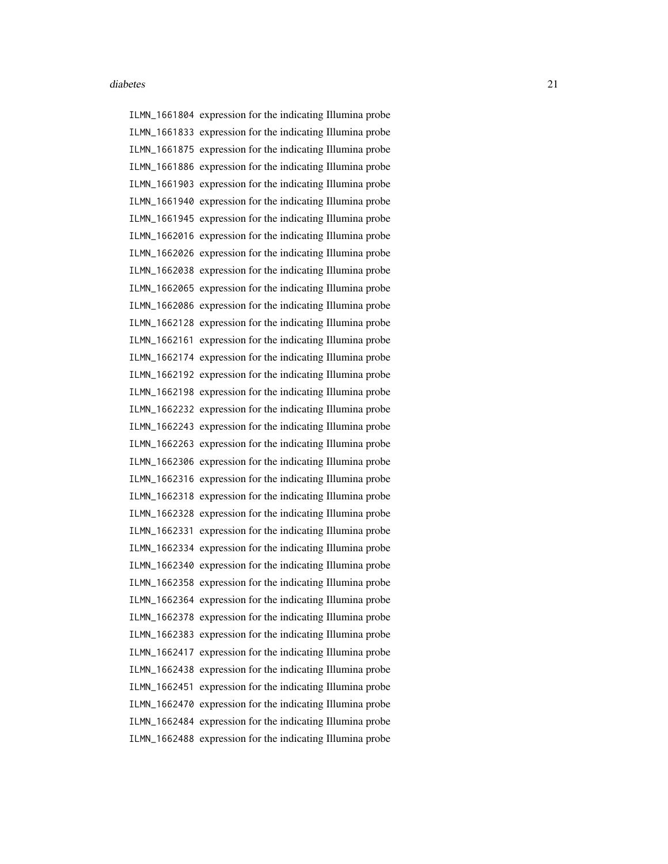ILMN\_1661804 expression for the indicating Illumina probe ILMN\_1661833 expression for the indicating Illumina probe ILMN\_1661875 expression for the indicating Illumina probe ILMN\_1661886 expression for the indicating Illumina probe ILMN\_1661903 expression for the indicating Illumina probe ILMN\_1661940 expression for the indicating Illumina probe ILMN\_1661945 expression for the indicating Illumina probe ILMN\_1662016 expression for the indicating Illumina probe ILMN\_1662026 expression for the indicating Illumina probe ILMN\_1662038 expression for the indicating Illumina probe ILMN\_1662065 expression for the indicating Illumina probe ILMN\_1662086 expression for the indicating Illumina probe ILMN\_1662128 expression for the indicating Illumina probe ILMN\_1662161 expression for the indicating Illumina probe ILMN\_1662174 expression for the indicating Illumina probe ILMN\_1662192 expression for the indicating Illumina probe ILMN\_1662198 expression for the indicating Illumina probe ILMN\_1662232 expression for the indicating Illumina probe ILMN\_1662243 expression for the indicating Illumina probe ILMN\_1662263 expression for the indicating Illumina probe ILMN\_1662306 expression for the indicating Illumina probe ILMN\_1662316 expression for the indicating Illumina probe ILMN\_1662318 expression for the indicating Illumina probe ILMN\_1662328 expression for the indicating Illumina probe ILMN\_1662331 expression for the indicating Illumina probe ILMN\_1662334 expression for the indicating Illumina probe ILMN\_1662340 expression for the indicating Illumina probe ILMN\_1662358 expression for the indicating Illumina probe ILMN\_1662364 expression for the indicating Illumina probe ILMN\_1662378 expression for the indicating Illumina probe ILMN\_1662383 expression for the indicating Illumina probe ILMN\_1662417 expression for the indicating Illumina probe ILMN\_1662438 expression for the indicating Illumina probe ILMN\_1662451 expression for the indicating Illumina probe ILMN\_1662470 expression for the indicating Illumina probe ILMN\_1662484 expression for the indicating Illumina probe ILMN\_1662488 expression for the indicating Illumina probe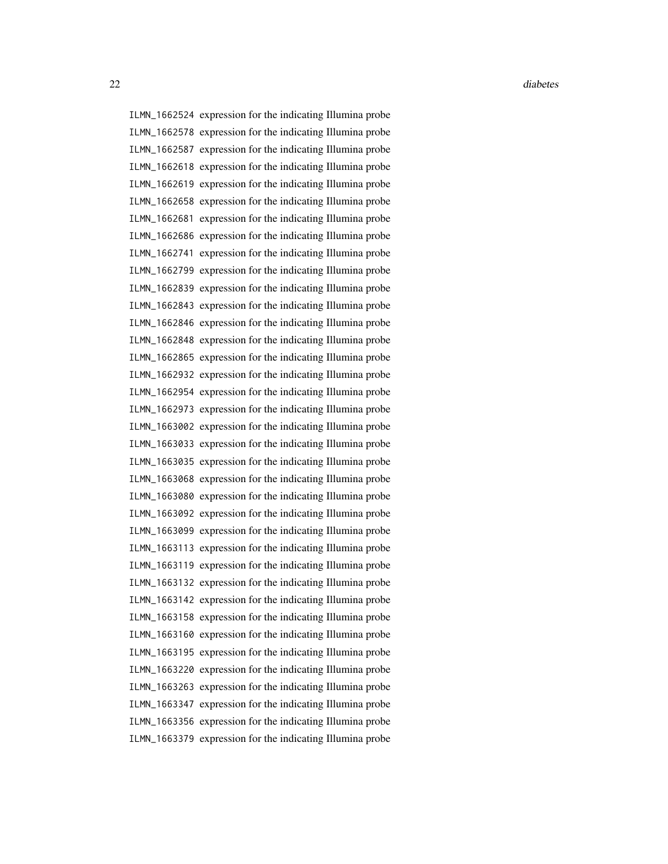22 diabetes and the contract of the contract of the contract of the contract of the contract of the contract of the contract of the contract of the contract of the contract of the contract of the contract of the contract o

ILMN\_1662524 expression for the indicating Illumina probe ILMN\_1662578 expression for the indicating Illumina probe ILMN\_1662587 expression for the indicating Illumina probe ILMN\_1662618 expression for the indicating Illumina probe ILMN\_1662619 expression for the indicating Illumina probe ILMN\_1662658 expression for the indicating Illumina probe ILMN\_1662681 expression for the indicating Illumina probe ILMN\_1662686 expression for the indicating Illumina probe ILMN\_1662741 expression for the indicating Illumina probe ILMN\_1662799 expression for the indicating Illumina probe ILMN\_1662839 expression for the indicating Illumina probe ILMN\_1662843 expression for the indicating Illumina probe ILMN\_1662846 expression for the indicating Illumina probe ILMN\_1662848 expression for the indicating Illumina probe ILMN\_1662865 expression for the indicating Illumina probe ILMN\_1662932 expression for the indicating Illumina probe ILMN\_1662954 expression for the indicating Illumina probe ILMN\_1662973 expression for the indicating Illumina probe ILMN\_1663002 expression for the indicating Illumina probe ILMN\_1663033 expression for the indicating Illumina probe ILMN\_1663035 expression for the indicating Illumina probe ILMN\_1663068 expression for the indicating Illumina probe ILMN\_1663080 expression for the indicating Illumina probe ILMN\_1663092 expression for the indicating Illumina probe ILMN\_1663099 expression for the indicating Illumina probe ILMN\_1663113 expression for the indicating Illumina probe ILMN\_1663119 expression for the indicating Illumina probe ILMN\_1663132 expression for the indicating Illumina probe ILMN\_1663142 expression for the indicating Illumina probe ILMN\_1663158 expression for the indicating Illumina probe ILMN\_1663160 expression for the indicating Illumina probe ILMN\_1663195 expression for the indicating Illumina probe ILMN\_1663220 expression for the indicating Illumina probe ILMN\_1663263 expression for the indicating Illumina probe ILMN\_1663347 expression for the indicating Illumina probe ILMN\_1663356 expression for the indicating Illumina probe ILMN\_1663379 expression for the indicating Illumina probe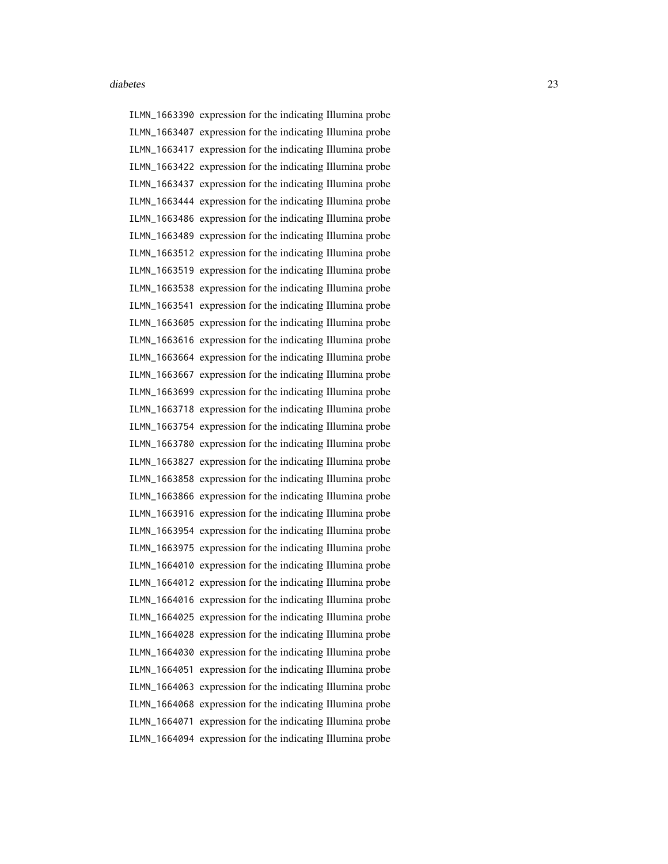ILMN\_1663390 expression for the indicating Illumina probe ILMN\_1663407 expression for the indicating Illumina probe ILMN\_1663417 expression for the indicating Illumina probe ILMN\_1663422 expression for the indicating Illumina probe ILMN\_1663437 expression for the indicating Illumina probe ILMN\_1663444 expression for the indicating Illumina probe ILMN\_1663486 expression for the indicating Illumina probe ILMN\_1663489 expression for the indicating Illumina probe ILMN\_1663512 expression for the indicating Illumina probe ILMN\_1663519 expression for the indicating Illumina probe ILMN\_1663538 expression for the indicating Illumina probe ILMN\_1663541 expression for the indicating Illumina probe ILMN\_1663605 expression for the indicating Illumina probe ILMN\_1663616 expression for the indicating Illumina probe ILMN\_1663664 expression for the indicating Illumina probe ILMN\_1663667 expression for the indicating Illumina probe ILMN\_1663699 expression for the indicating Illumina probe ILMN\_1663718 expression for the indicating Illumina probe ILMN\_1663754 expression for the indicating Illumina probe ILMN\_1663780 expression for the indicating Illumina probe ILMN\_1663827 expression for the indicating Illumina probe ILMN\_1663858 expression for the indicating Illumina probe ILMN\_1663866 expression for the indicating Illumina probe ILMN\_1663916 expression for the indicating Illumina probe ILMN\_1663954 expression for the indicating Illumina probe ILMN\_1663975 expression for the indicating Illumina probe ILMN\_1664010 expression for the indicating Illumina probe ILMN\_1664012 expression for the indicating Illumina probe ILMN\_1664016 expression for the indicating Illumina probe ILMN\_1664025 expression for the indicating Illumina probe ILMN\_1664028 expression for the indicating Illumina probe ILMN\_1664030 expression for the indicating Illumina probe ILMN\_1664051 expression for the indicating Illumina probe ILMN\_1664063 expression for the indicating Illumina probe ILMN\_1664068 expression for the indicating Illumina probe ILMN\_1664071 expression for the indicating Illumina probe ILMN\_1664094 expression for the indicating Illumina probe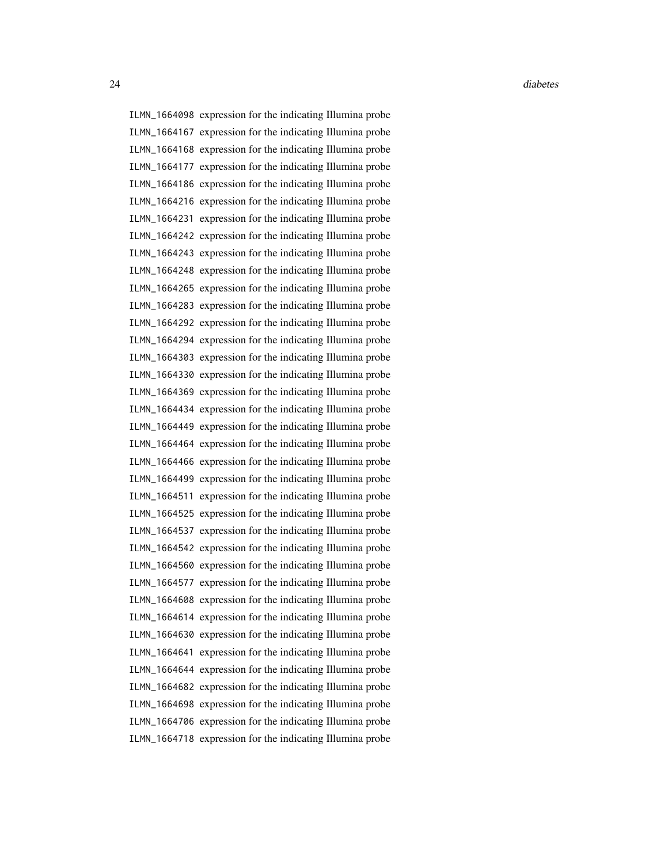ILMN\_1664098 expression for the indicating Illumina probe ILMN\_1664167 expression for the indicating Illumina probe ILMN\_1664168 expression for the indicating Illumina probe ILMN\_1664177 expression for the indicating Illumina probe ILMN\_1664186 expression for the indicating Illumina probe ILMN\_1664216 expression for the indicating Illumina probe ILMN\_1664231 expression for the indicating Illumina probe ILMN\_1664242 expression for the indicating Illumina probe ILMN\_1664243 expression for the indicating Illumina probe ILMN\_1664248 expression for the indicating Illumina probe ILMN\_1664265 expression for the indicating Illumina probe ILMN\_1664283 expression for the indicating Illumina probe ILMN\_1664292 expression for the indicating Illumina probe ILMN\_1664294 expression for the indicating Illumina probe ILMN\_1664303 expression for the indicating Illumina probe ILMN\_1664330 expression for the indicating Illumina probe ILMN\_1664369 expression for the indicating Illumina probe ILMN\_1664434 expression for the indicating Illumina probe ILMN\_1664449 expression for the indicating Illumina probe ILMN\_1664464 expression for the indicating Illumina probe ILMN\_1664466 expression for the indicating Illumina probe ILMN\_1664499 expression for the indicating Illumina probe ILMN\_1664511 expression for the indicating Illumina probe ILMN\_1664525 expression for the indicating Illumina probe ILMN\_1664537 expression for the indicating Illumina probe ILMN\_1664542 expression for the indicating Illumina probe ILMN\_1664560 expression for the indicating Illumina probe ILMN\_1664577 expression for the indicating Illumina probe ILMN\_1664608 expression for the indicating Illumina probe ILMN\_1664614 expression for the indicating Illumina probe ILMN\_1664630 expression for the indicating Illumina probe ILMN\_1664641 expression for the indicating Illumina probe ILMN\_1664644 expression for the indicating Illumina probe ILMN\_1664682 expression for the indicating Illumina probe ILMN\_1664698 expression for the indicating Illumina probe ILMN\_1664706 expression for the indicating Illumina probe ILMN\_1664718 expression for the indicating Illumina probe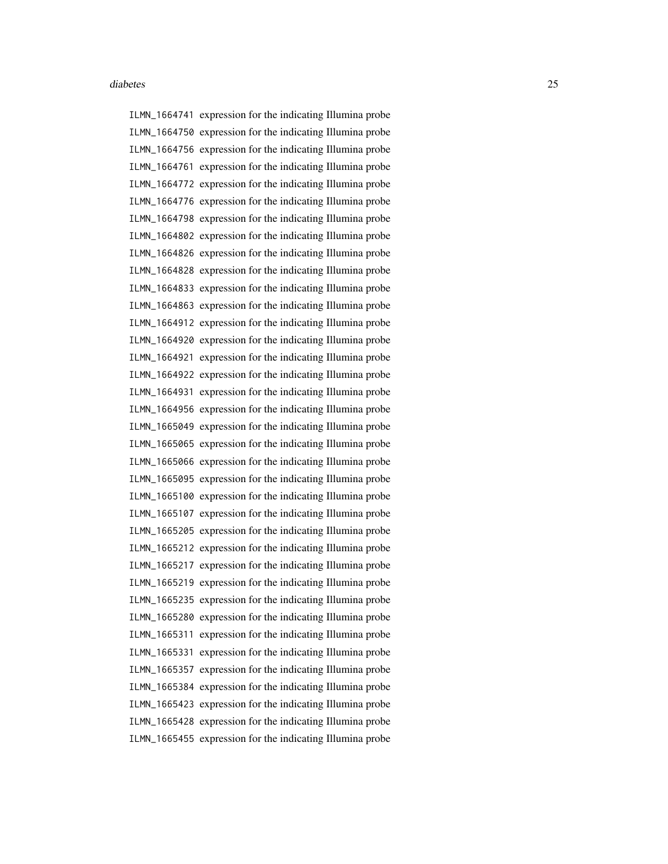ILMN\_1664741 expression for the indicating Illumina probe ILMN\_1664750 expression for the indicating Illumina probe ILMN\_1664756 expression for the indicating Illumina probe ILMN\_1664761 expression for the indicating Illumina probe ILMN\_1664772 expression for the indicating Illumina probe ILMN\_1664776 expression for the indicating Illumina probe ILMN\_1664798 expression for the indicating Illumina probe ILMN\_1664802 expression for the indicating Illumina probe ILMN\_1664826 expression for the indicating Illumina probe ILMN\_1664828 expression for the indicating Illumina probe ILMN\_1664833 expression for the indicating Illumina probe ILMN\_1664863 expression for the indicating Illumina probe ILMN\_1664912 expression for the indicating Illumina probe ILMN\_1664920 expression for the indicating Illumina probe ILMN\_1664921 expression for the indicating Illumina probe ILMN\_1664922 expression for the indicating Illumina probe ILMN\_1664931 expression for the indicating Illumina probe ILMN\_1664956 expression for the indicating Illumina probe ILMN\_1665049 expression for the indicating Illumina probe ILMN\_1665065 expression for the indicating Illumina probe ILMN\_1665066 expression for the indicating Illumina probe ILMN\_1665095 expression for the indicating Illumina probe ILMN\_1665100 expression for the indicating Illumina probe ILMN\_1665107 expression for the indicating Illumina probe ILMN\_1665205 expression for the indicating Illumina probe ILMN\_1665212 expression for the indicating Illumina probe ILMN\_1665217 expression for the indicating Illumina probe ILMN\_1665219 expression for the indicating Illumina probe ILMN\_1665235 expression for the indicating Illumina probe ILMN\_1665280 expression for the indicating Illumina probe ILMN\_1665311 expression for the indicating Illumina probe ILMN\_1665331 expression for the indicating Illumina probe ILMN\_1665357 expression for the indicating Illumina probe ILMN\_1665384 expression for the indicating Illumina probe ILMN\_1665423 expression for the indicating Illumina probe ILMN\_1665428 expression for the indicating Illumina probe ILMN\_1665455 expression for the indicating Illumina probe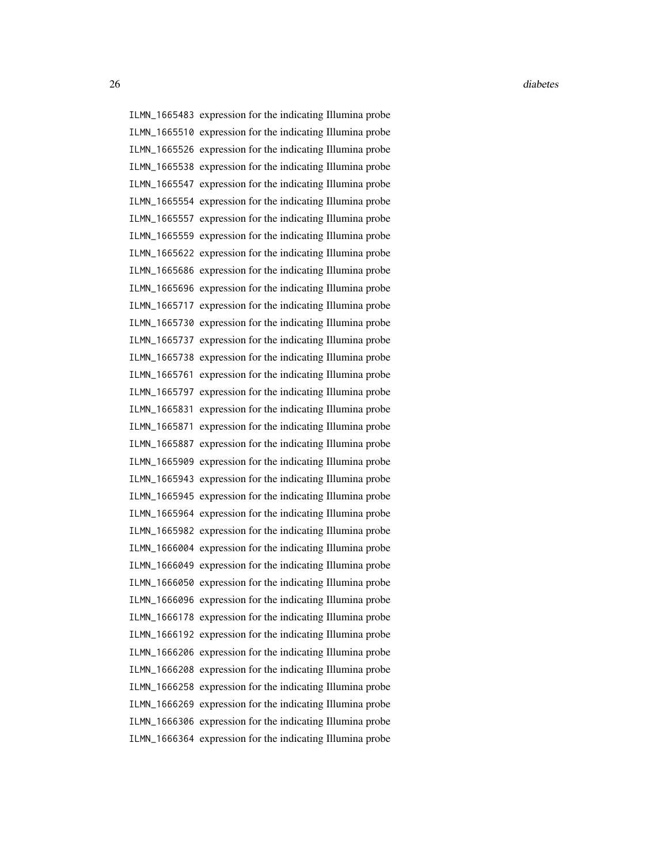26 diabetes and the contract of the contract of the contract of the contract of the contract of the contract of the contract of the contract of the contract of the contract of the contract of the contract of the contract o

ILMN\_1665483 expression for the indicating Illumina probe ILMN\_1665510 expression for the indicating Illumina probe ILMN\_1665526 expression for the indicating Illumina probe ILMN\_1665538 expression for the indicating Illumina probe ILMN\_1665547 expression for the indicating Illumina probe ILMN\_1665554 expression for the indicating Illumina probe ILMN\_1665557 expression for the indicating Illumina probe ILMN\_1665559 expression for the indicating Illumina probe ILMN\_1665622 expression for the indicating Illumina probe ILMN\_1665686 expression for the indicating Illumina probe ILMN\_1665696 expression for the indicating Illumina probe ILMN\_1665717 expression for the indicating Illumina probe ILMN\_1665730 expression for the indicating Illumina probe ILMN\_1665737 expression for the indicating Illumina probe ILMN\_1665738 expression for the indicating Illumina probe ILMN\_1665761 expression for the indicating Illumina probe ILMN\_1665797 expression for the indicating Illumina probe ILMN\_1665831 expression for the indicating Illumina probe ILMN\_1665871 expression for the indicating Illumina probe ILMN\_1665887 expression for the indicating Illumina probe ILMN\_1665909 expression for the indicating Illumina probe ILMN\_1665943 expression for the indicating Illumina probe ILMN\_1665945 expression for the indicating Illumina probe ILMN\_1665964 expression for the indicating Illumina probe ILMN\_1665982 expression for the indicating Illumina probe ILMN\_1666004 expression for the indicating Illumina probe ILMN\_1666049 expression for the indicating Illumina probe ILMN\_1666050 expression for the indicating Illumina probe ILMN\_1666096 expression for the indicating Illumina probe ILMN\_1666178 expression for the indicating Illumina probe ILMN\_1666192 expression for the indicating Illumina probe ILMN\_1666206 expression for the indicating Illumina probe ILMN\_1666208 expression for the indicating Illumina probe ILMN\_1666258 expression for the indicating Illumina probe ILMN\_1666269 expression for the indicating Illumina probe ILMN\_1666306 expression for the indicating Illumina probe ILMN\_1666364 expression for the indicating Illumina probe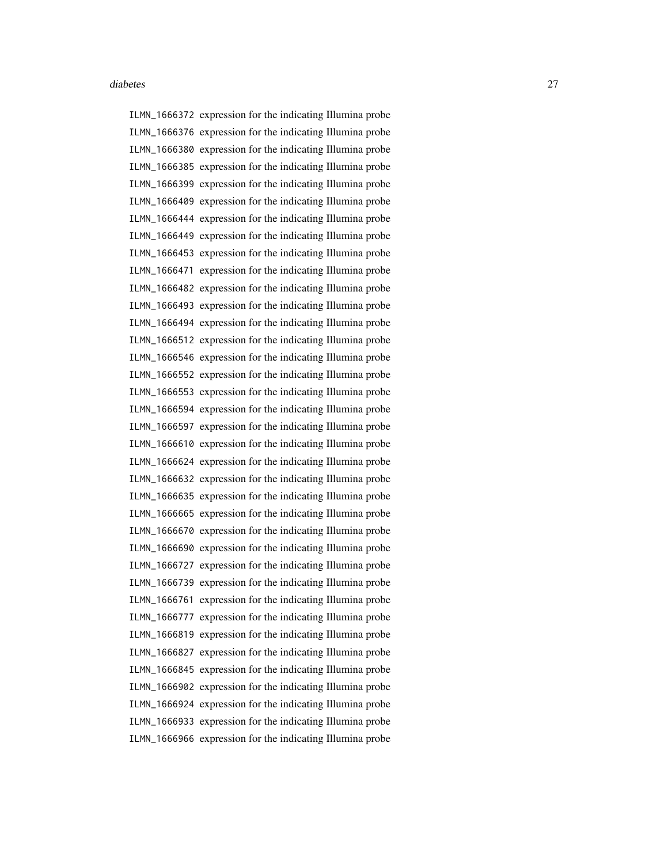ILMN\_1666372 expression for the indicating Illumina probe ILMN\_1666376 expression for the indicating Illumina probe ILMN\_1666380 expression for the indicating Illumina probe ILMN\_1666385 expression for the indicating Illumina probe ILMN\_1666399 expression for the indicating Illumina probe ILMN\_1666409 expression for the indicating Illumina probe ILMN\_1666444 expression for the indicating Illumina probe ILMN\_1666449 expression for the indicating Illumina probe ILMN\_1666453 expression for the indicating Illumina probe ILMN\_1666471 expression for the indicating Illumina probe ILMN\_1666482 expression for the indicating Illumina probe ILMN\_1666493 expression for the indicating Illumina probe ILMN\_1666494 expression for the indicating Illumina probe ILMN\_1666512 expression for the indicating Illumina probe ILMN\_1666546 expression for the indicating Illumina probe ILMN\_1666552 expression for the indicating Illumina probe ILMN\_1666553 expression for the indicating Illumina probe ILMN\_1666594 expression for the indicating Illumina probe ILMN\_1666597 expression for the indicating Illumina probe ILMN\_1666610 expression for the indicating Illumina probe ILMN\_1666624 expression for the indicating Illumina probe ILMN\_1666632 expression for the indicating Illumina probe ILMN\_1666635 expression for the indicating Illumina probe ILMN\_1666665 expression for the indicating Illumina probe ILMN\_1666670 expression for the indicating Illumina probe ILMN\_1666690 expression for the indicating Illumina probe ILMN\_1666727 expression for the indicating Illumina probe ILMN\_1666739 expression for the indicating Illumina probe ILMN\_1666761 expression for the indicating Illumina probe ILMN\_1666777 expression for the indicating Illumina probe ILMN\_1666819 expression for the indicating Illumina probe ILMN\_1666827 expression for the indicating Illumina probe ILMN\_1666845 expression for the indicating Illumina probe ILMN\_1666902 expression for the indicating Illumina probe ILMN\_1666924 expression for the indicating Illumina probe ILMN\_1666933 expression for the indicating Illumina probe ILMN\_1666966 expression for the indicating Illumina probe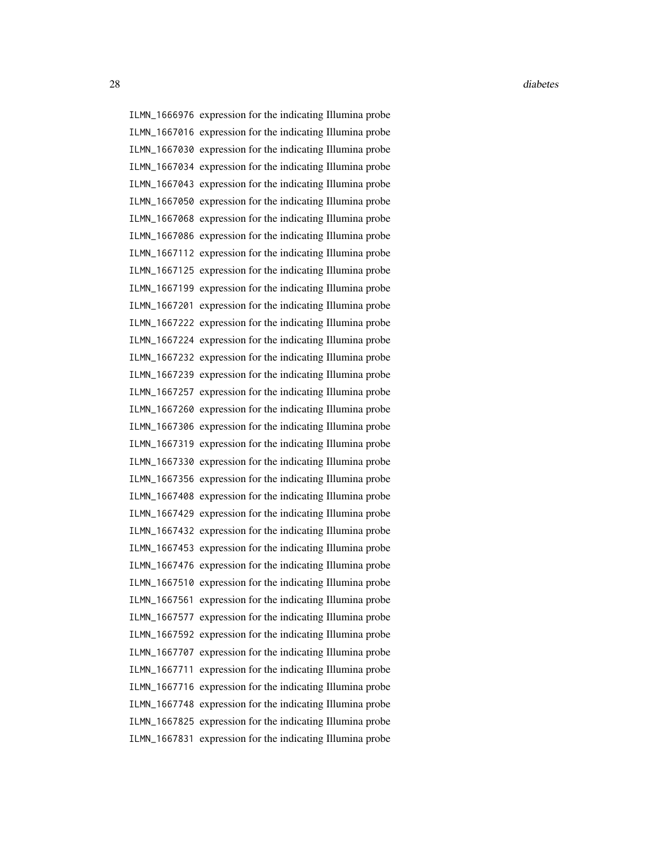28 diabetes and the contract of the contract of the contract of the contract of the contract of the contract of the contract of the contract of the contract of the contract of the contract of the contract of the contract o

ILMN\_1666976 expression for the indicating Illumina probe ILMN\_1667016 expression for the indicating Illumina probe ILMN\_1667030 expression for the indicating Illumina probe ILMN\_1667034 expression for the indicating Illumina probe ILMN\_1667043 expression for the indicating Illumina probe ILMN\_1667050 expression for the indicating Illumina probe ILMN\_1667068 expression for the indicating Illumina probe ILMN\_1667086 expression for the indicating Illumina probe ILMN\_1667112 expression for the indicating Illumina probe ILMN\_1667125 expression for the indicating Illumina probe ILMN\_1667199 expression for the indicating Illumina probe ILMN\_1667201 expression for the indicating Illumina probe ILMN\_1667222 expression for the indicating Illumina probe ILMN\_1667224 expression for the indicating Illumina probe ILMN\_1667232 expression for the indicating Illumina probe ILMN\_1667239 expression for the indicating Illumina probe ILMN\_1667257 expression for the indicating Illumina probe ILMN\_1667260 expression for the indicating Illumina probe ILMN\_1667306 expression for the indicating Illumina probe ILMN\_1667319 expression for the indicating Illumina probe ILMN\_1667330 expression for the indicating Illumina probe ILMN\_1667356 expression for the indicating Illumina probe ILMN\_1667408 expression for the indicating Illumina probe ILMN\_1667429 expression for the indicating Illumina probe ILMN\_1667432 expression for the indicating Illumina probe ILMN\_1667453 expression for the indicating Illumina probe ILMN\_1667476 expression for the indicating Illumina probe ILMN\_1667510 expression for the indicating Illumina probe ILMN\_1667561 expression for the indicating Illumina probe ILMN\_1667577 expression for the indicating Illumina probe ILMN\_1667592 expression for the indicating Illumina probe ILMN\_1667707 expression for the indicating Illumina probe ILMN\_1667711 expression for the indicating Illumina probe ILMN\_1667716 expression for the indicating Illumina probe ILMN\_1667748 expression for the indicating Illumina probe ILMN\_1667825 expression for the indicating Illumina probe ILMN\_1667831 expression for the indicating Illumina probe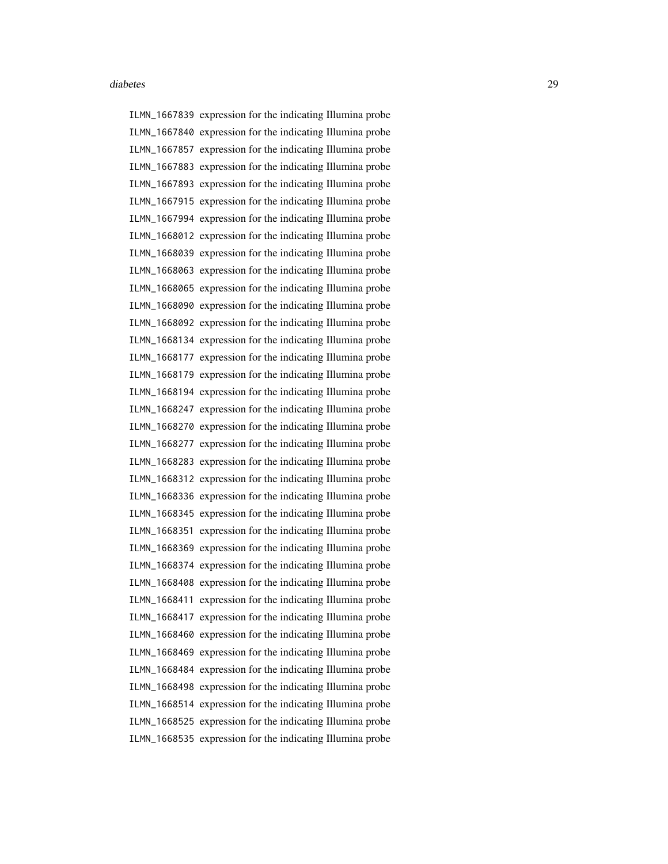ILMN\_1667839 expression for the indicating Illumina probe ILMN\_1667840 expression for the indicating Illumina probe ILMN\_1667857 expression for the indicating Illumina probe ILMN\_1667883 expression for the indicating Illumina probe ILMN\_1667893 expression for the indicating Illumina probe ILMN\_1667915 expression for the indicating Illumina probe ILMN\_1667994 expression for the indicating Illumina probe ILMN\_1668012 expression for the indicating Illumina probe ILMN\_1668039 expression for the indicating Illumina probe ILMN\_1668063 expression for the indicating Illumina probe ILMN\_1668065 expression for the indicating Illumina probe ILMN\_1668090 expression for the indicating Illumina probe ILMN\_1668092 expression for the indicating Illumina probe ILMN\_1668134 expression for the indicating Illumina probe ILMN\_1668177 expression for the indicating Illumina probe ILMN\_1668179 expression for the indicating Illumina probe ILMN\_1668194 expression for the indicating Illumina probe ILMN\_1668247 expression for the indicating Illumina probe ILMN\_1668270 expression for the indicating Illumina probe ILMN\_1668277 expression for the indicating Illumina probe ILMN\_1668283 expression for the indicating Illumina probe ILMN\_1668312 expression for the indicating Illumina probe ILMN\_1668336 expression for the indicating Illumina probe ILMN\_1668345 expression for the indicating Illumina probe ILMN\_1668351 expression for the indicating Illumina probe ILMN\_1668369 expression for the indicating Illumina probe ILMN\_1668374 expression for the indicating Illumina probe ILMN\_1668408 expression for the indicating Illumina probe ILMN\_1668411 expression for the indicating Illumina probe ILMN\_1668417 expression for the indicating Illumina probe ILMN\_1668460 expression for the indicating Illumina probe ILMN\_1668469 expression for the indicating Illumina probe ILMN\_1668484 expression for the indicating Illumina probe ILMN\_1668498 expression for the indicating Illumina probe ILMN\_1668514 expression for the indicating Illumina probe ILMN\_1668525 expression for the indicating Illumina probe ILMN\_1668535 expression for the indicating Illumina probe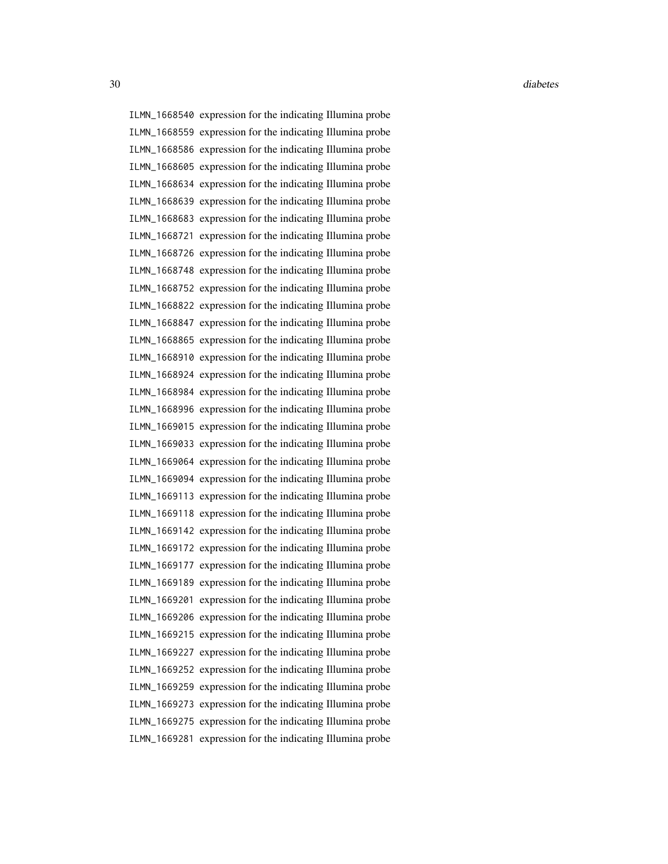ILMN\_1668540 expression for the indicating Illumina probe ILMN\_1668559 expression for the indicating Illumina probe ILMN\_1668586 expression for the indicating Illumina probe ILMN\_1668605 expression for the indicating Illumina probe ILMN\_1668634 expression for the indicating Illumina probe ILMN\_1668639 expression for the indicating Illumina probe ILMN\_1668683 expression for the indicating Illumina probe ILMN\_1668721 expression for the indicating Illumina probe ILMN\_1668726 expression for the indicating Illumina probe ILMN\_1668748 expression for the indicating Illumina probe ILMN\_1668752 expression for the indicating Illumina probe ILMN\_1668822 expression for the indicating Illumina probe ILMN\_1668847 expression for the indicating Illumina probe ILMN\_1668865 expression for the indicating Illumina probe ILMN\_1668910 expression for the indicating Illumina probe ILMN\_1668924 expression for the indicating Illumina probe ILMN\_1668984 expression for the indicating Illumina probe ILMN\_1668996 expression for the indicating Illumina probe ILMN\_1669015 expression for the indicating Illumina probe ILMN\_1669033 expression for the indicating Illumina probe ILMN\_1669064 expression for the indicating Illumina probe ILMN\_1669094 expression for the indicating Illumina probe ILMN\_1669113 expression for the indicating Illumina probe ILMN\_1669118 expression for the indicating Illumina probe ILMN\_1669142 expression for the indicating Illumina probe ILMN\_1669172 expression for the indicating Illumina probe ILMN\_1669177 expression for the indicating Illumina probe ILMN\_1669189 expression for the indicating Illumina probe ILMN\_1669201 expression for the indicating Illumina probe ILMN\_1669206 expression for the indicating Illumina probe ILMN\_1669215 expression for the indicating Illumina probe ILMN\_1669227 expression for the indicating Illumina probe ILMN\_1669252 expression for the indicating Illumina probe ILMN\_1669259 expression for the indicating Illumina probe ILMN\_1669273 expression for the indicating Illumina probe ILMN\_1669275 expression for the indicating Illumina probe ILMN\_1669281 expression for the indicating Illumina probe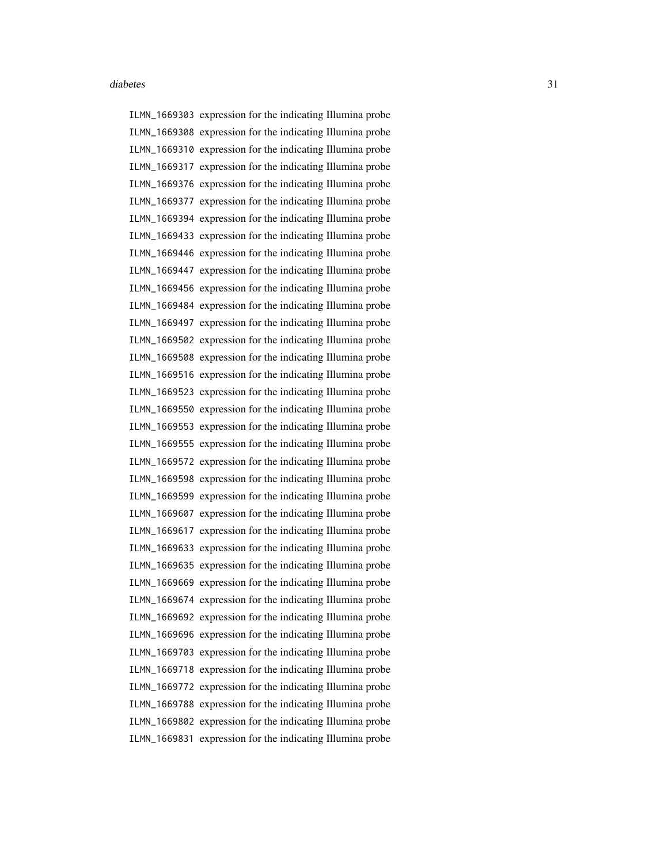ILMN\_1669303 expression for the indicating Illumina probe ILMN\_1669308 expression for the indicating Illumina probe ILMN\_1669310 expression for the indicating Illumina probe ILMN\_1669317 expression for the indicating Illumina probe ILMN\_1669376 expression for the indicating Illumina probe ILMN\_1669377 expression for the indicating Illumina probe ILMN\_1669394 expression for the indicating Illumina probe ILMN\_1669433 expression for the indicating Illumina probe ILMN\_1669446 expression for the indicating Illumina probe ILMN\_1669447 expression for the indicating Illumina probe ILMN\_1669456 expression for the indicating Illumina probe ILMN\_1669484 expression for the indicating Illumina probe ILMN\_1669497 expression for the indicating Illumina probe ILMN\_1669502 expression for the indicating Illumina probe ILMN\_1669508 expression for the indicating Illumina probe ILMN\_1669516 expression for the indicating Illumina probe ILMN\_1669523 expression for the indicating Illumina probe ILMN\_1669550 expression for the indicating Illumina probe ILMN\_1669553 expression for the indicating Illumina probe ILMN\_1669555 expression for the indicating Illumina probe ILMN\_1669572 expression for the indicating Illumina probe ILMN\_1669598 expression for the indicating Illumina probe ILMN\_1669599 expression for the indicating Illumina probe ILMN\_1669607 expression for the indicating Illumina probe ILMN\_1669617 expression for the indicating Illumina probe ILMN\_1669633 expression for the indicating Illumina probe ILMN\_1669635 expression for the indicating Illumina probe ILMN\_1669669 expression for the indicating Illumina probe ILMN\_1669674 expression for the indicating Illumina probe ILMN\_1669692 expression for the indicating Illumina probe ILMN\_1669696 expression for the indicating Illumina probe ILMN\_1669703 expression for the indicating Illumina probe ILMN\_1669718 expression for the indicating Illumina probe ILMN\_1669772 expression for the indicating Illumina probe ILMN\_1669788 expression for the indicating Illumina probe ILMN\_1669802 expression for the indicating Illumina probe ILMN\_1669831 expression for the indicating Illumina probe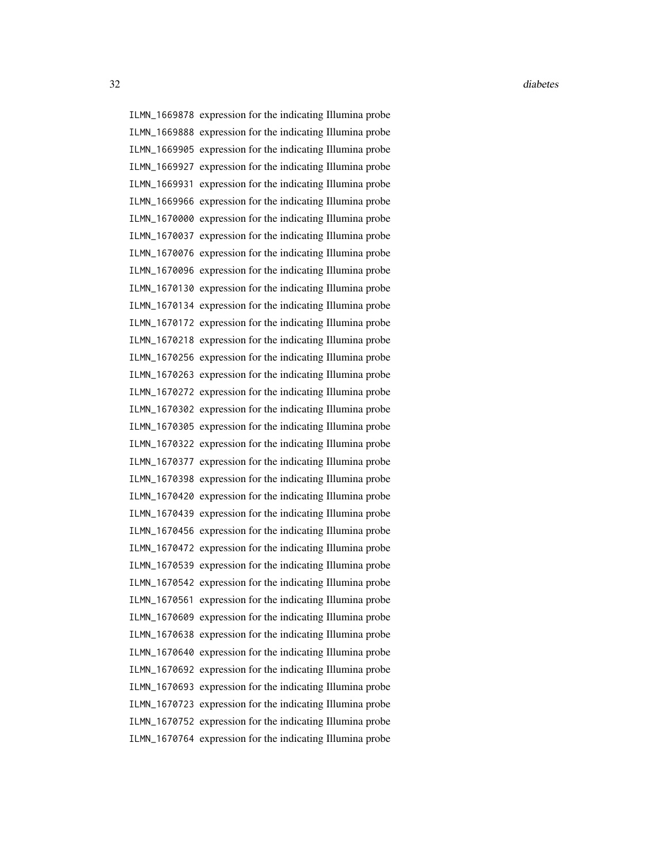ILMN\_1669878 expression for the indicating Illumina probe ILMN\_1669888 expression for the indicating Illumina probe ILMN\_1669905 expression for the indicating Illumina probe ILMN\_1669927 expression for the indicating Illumina probe ILMN\_1669931 expression for the indicating Illumina probe ILMN\_1669966 expression for the indicating Illumina probe ILMN\_1670000 expression for the indicating Illumina probe ILMN\_1670037 expression for the indicating Illumina probe ILMN\_1670076 expression for the indicating Illumina probe ILMN\_1670096 expression for the indicating Illumina probe ILMN\_1670130 expression for the indicating Illumina probe ILMN\_1670134 expression for the indicating Illumina probe ILMN\_1670172 expression for the indicating Illumina probe ILMN\_1670218 expression for the indicating Illumina probe ILMN\_1670256 expression for the indicating Illumina probe ILMN\_1670263 expression for the indicating Illumina probe ILMN\_1670272 expression for the indicating Illumina probe ILMN\_1670302 expression for the indicating Illumina probe ILMN\_1670305 expression for the indicating Illumina probe ILMN\_1670322 expression for the indicating Illumina probe ILMN\_1670377 expression for the indicating Illumina probe ILMN\_1670398 expression for the indicating Illumina probe ILMN\_1670420 expression for the indicating Illumina probe ILMN\_1670439 expression for the indicating Illumina probe ILMN\_1670456 expression for the indicating Illumina probe ILMN\_1670472 expression for the indicating Illumina probe ILMN\_1670539 expression for the indicating Illumina probe ILMN\_1670542 expression for the indicating Illumina probe ILMN\_1670561 expression for the indicating Illumina probe ILMN\_1670609 expression for the indicating Illumina probe ILMN\_1670638 expression for the indicating Illumina probe ILMN\_1670640 expression for the indicating Illumina probe ILMN\_1670692 expression for the indicating Illumina probe ILMN\_1670693 expression for the indicating Illumina probe ILMN\_1670723 expression for the indicating Illumina probe ILMN\_1670752 expression for the indicating Illumina probe ILMN\_1670764 expression for the indicating Illumina probe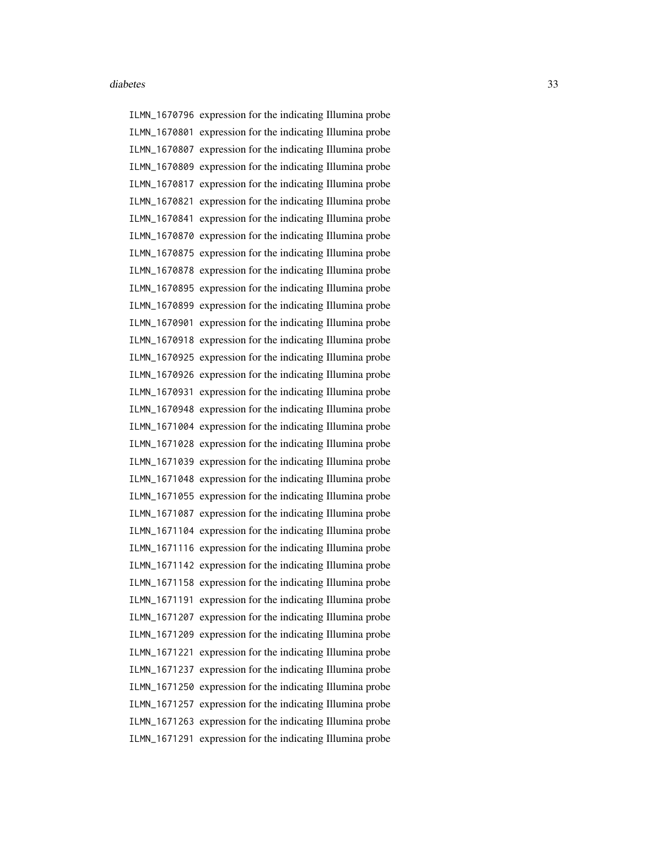ILMN\_1670796 expression for the indicating Illumina probe ILMN\_1670801 expression for the indicating Illumina probe ILMN\_1670807 expression for the indicating Illumina probe ILMN\_1670809 expression for the indicating Illumina probe ILMN\_1670817 expression for the indicating Illumina probe ILMN\_1670821 expression for the indicating Illumina probe ILMN\_1670841 expression for the indicating Illumina probe ILMN\_1670870 expression for the indicating Illumina probe ILMN\_1670875 expression for the indicating Illumina probe ILMN\_1670878 expression for the indicating Illumina probe ILMN\_1670895 expression for the indicating Illumina probe ILMN\_1670899 expression for the indicating Illumina probe ILMN\_1670901 expression for the indicating Illumina probe ILMN\_1670918 expression for the indicating Illumina probe ILMN\_1670925 expression for the indicating Illumina probe ILMN\_1670926 expression for the indicating Illumina probe ILMN\_1670931 expression for the indicating Illumina probe ILMN\_1670948 expression for the indicating Illumina probe ILMN\_1671004 expression for the indicating Illumina probe ILMN\_1671028 expression for the indicating Illumina probe ILMN\_1671039 expression for the indicating Illumina probe ILMN\_1671048 expression for the indicating Illumina probe ILMN\_1671055 expression for the indicating Illumina probe ILMN\_1671087 expression for the indicating Illumina probe ILMN\_1671104 expression for the indicating Illumina probe ILMN\_1671116 expression for the indicating Illumina probe ILMN\_1671142 expression for the indicating Illumina probe ILMN\_1671158 expression for the indicating Illumina probe ILMN\_1671191 expression for the indicating Illumina probe ILMN\_1671207 expression for the indicating Illumina probe ILMN\_1671209 expression for the indicating Illumina probe ILMN\_1671221 expression for the indicating Illumina probe ILMN\_1671237 expression for the indicating Illumina probe ILMN\_1671250 expression for the indicating Illumina probe ILMN\_1671257 expression for the indicating Illumina probe ILMN\_1671263 expression for the indicating Illumina probe ILMN\_1671291 expression for the indicating Illumina probe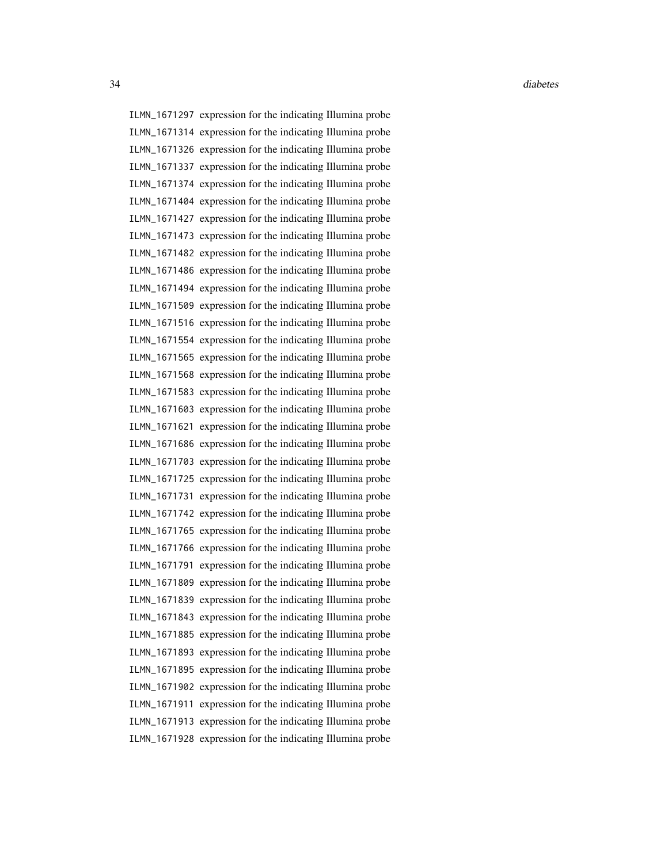ILMN\_1671297 expression for the indicating Illumina probe ILMN\_1671314 expression for the indicating Illumina probe ILMN\_1671326 expression for the indicating Illumina probe ILMN\_1671337 expression for the indicating Illumina probe ILMN\_1671374 expression for the indicating Illumina probe ILMN\_1671404 expression for the indicating Illumina probe ILMN\_1671427 expression for the indicating Illumina probe ILMN\_1671473 expression for the indicating Illumina probe ILMN\_1671482 expression for the indicating Illumina probe ILMN\_1671486 expression for the indicating Illumina probe ILMN\_1671494 expression for the indicating Illumina probe ILMN\_1671509 expression for the indicating Illumina probe ILMN\_1671516 expression for the indicating Illumina probe ILMN\_1671554 expression for the indicating Illumina probe ILMN\_1671565 expression for the indicating Illumina probe ILMN\_1671568 expression for the indicating Illumina probe ILMN\_1671583 expression for the indicating Illumina probe ILMN\_1671603 expression for the indicating Illumina probe ILMN\_1671621 expression for the indicating Illumina probe ILMN\_1671686 expression for the indicating Illumina probe ILMN\_1671703 expression for the indicating Illumina probe ILMN\_1671725 expression for the indicating Illumina probe ILMN\_1671731 expression for the indicating Illumina probe ILMN\_1671742 expression for the indicating Illumina probe ILMN\_1671765 expression for the indicating Illumina probe ILMN\_1671766 expression for the indicating Illumina probe ILMN\_1671791 expression for the indicating Illumina probe ILMN\_1671809 expression for the indicating Illumina probe ILMN\_1671839 expression for the indicating Illumina probe ILMN\_1671843 expression for the indicating Illumina probe ILMN\_1671885 expression for the indicating Illumina probe ILMN\_1671893 expression for the indicating Illumina probe ILMN\_1671895 expression for the indicating Illumina probe ILMN\_1671902 expression for the indicating Illumina probe ILMN\_1671911 expression for the indicating Illumina probe ILMN\_1671913 expression for the indicating Illumina probe ILMN\_1671928 expression for the indicating Illumina probe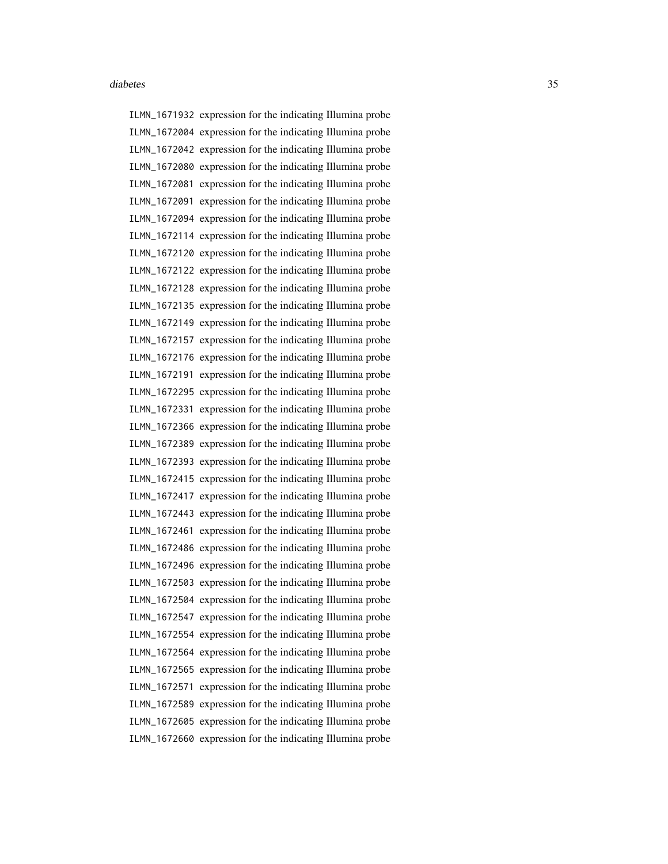ILMN\_1671932 expression for the indicating Illumina probe ILMN\_1672004 expression for the indicating Illumina probe ILMN\_1672042 expression for the indicating Illumina probe ILMN\_1672080 expression for the indicating Illumina probe ILMN\_1672081 expression for the indicating Illumina probe ILMN\_1672091 expression for the indicating Illumina probe ILMN\_1672094 expression for the indicating Illumina probe ILMN\_1672114 expression for the indicating Illumina probe ILMN\_1672120 expression for the indicating Illumina probe ILMN\_1672122 expression for the indicating Illumina probe ILMN\_1672128 expression for the indicating Illumina probe ILMN\_1672135 expression for the indicating Illumina probe ILMN\_1672149 expression for the indicating Illumina probe ILMN\_1672157 expression for the indicating Illumina probe ILMN\_1672176 expression for the indicating Illumina probe ILMN\_1672191 expression for the indicating Illumina probe ILMN\_1672295 expression for the indicating Illumina probe ILMN\_1672331 expression for the indicating Illumina probe ILMN\_1672366 expression for the indicating Illumina probe ILMN\_1672389 expression for the indicating Illumina probe ILMN\_1672393 expression for the indicating Illumina probe ILMN\_1672415 expression for the indicating Illumina probe ILMN\_1672417 expression for the indicating Illumina probe ILMN\_1672443 expression for the indicating Illumina probe ILMN\_1672461 expression for the indicating Illumina probe ILMN\_1672486 expression for the indicating Illumina probe ILMN\_1672496 expression for the indicating Illumina probe ILMN\_1672503 expression for the indicating Illumina probe ILMN\_1672504 expression for the indicating Illumina probe ILMN\_1672547 expression for the indicating Illumina probe ILMN\_1672554 expression for the indicating Illumina probe ILMN\_1672564 expression for the indicating Illumina probe ILMN\_1672565 expression for the indicating Illumina probe ILMN\_1672571 expression for the indicating Illumina probe ILMN\_1672589 expression for the indicating Illumina probe ILMN\_1672605 expression for the indicating Illumina probe ILMN\_1672660 expression for the indicating Illumina probe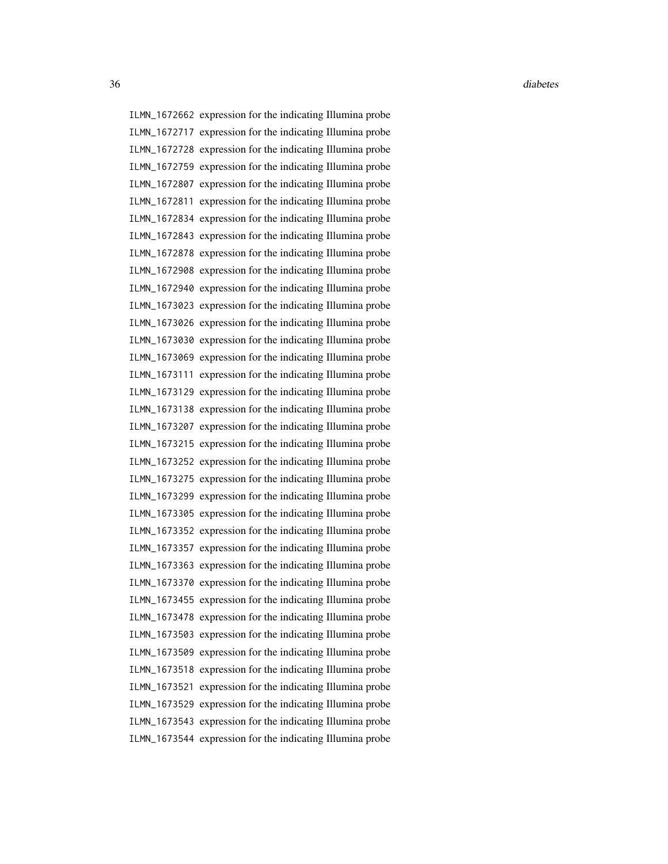ILMN\_1672662 expression for the indicating Illumina probe ILMN\_1672717 expression for the indicating Illumina probe ILMN\_1672728 expression for the indicating Illumina probe ILMN\_1672759 expression for the indicating Illumina probe ILMN\_1672807 expression for the indicating Illumina probe ILMN\_1672811 expression for the indicating Illumina probe ILMN\_1672834 expression for the indicating Illumina probe ILMN\_1672843 expression for the indicating Illumina probe ILMN\_1672878 expression for the indicating Illumina probe ILMN\_1672908 expression for the indicating Illumina probe ILMN\_1672940 expression for the indicating Illumina probe ILMN\_1673023 expression for the indicating Illumina probe ILMN\_1673026 expression for the indicating Illumina probe ILMN\_1673030 expression for the indicating Illumina probe ILMN\_1673069 expression for the indicating Illumina probe ILMN\_1673111 expression for the indicating Illumina probe ILMN\_1673129 expression for the indicating Illumina probe ILMN\_1673138 expression for the indicating Illumina probe ILMN\_1673207 expression for the indicating Illumina probe ILMN\_1673215 expression for the indicating Illumina probe ILMN\_1673252 expression for the indicating Illumina probe ILMN\_1673275 expression for the indicating Illumina probe ILMN\_1673299 expression for the indicating Illumina probe ILMN\_1673305 expression for the indicating Illumina probe ILMN\_1673352 expression for the indicating Illumina probe ILMN\_1673357 expression for the indicating Illumina probe ILMN\_1673363 expression for the indicating Illumina probe ILMN\_1673370 expression for the indicating Illumina probe ILMN\_1673455 expression for the indicating Illumina probe ILMN\_1673478 expression for the indicating Illumina probe ILMN\_1673503 expression for the indicating Illumina probe ILMN\_1673509 expression for the indicating Illumina probe ILMN\_1673518 expression for the indicating Illumina probe ILMN\_1673521 expression for the indicating Illumina probe ILMN\_1673529 expression for the indicating Illumina probe ILMN\_1673543 expression for the indicating Illumina probe ILMN\_1673544 expression for the indicating Illumina probe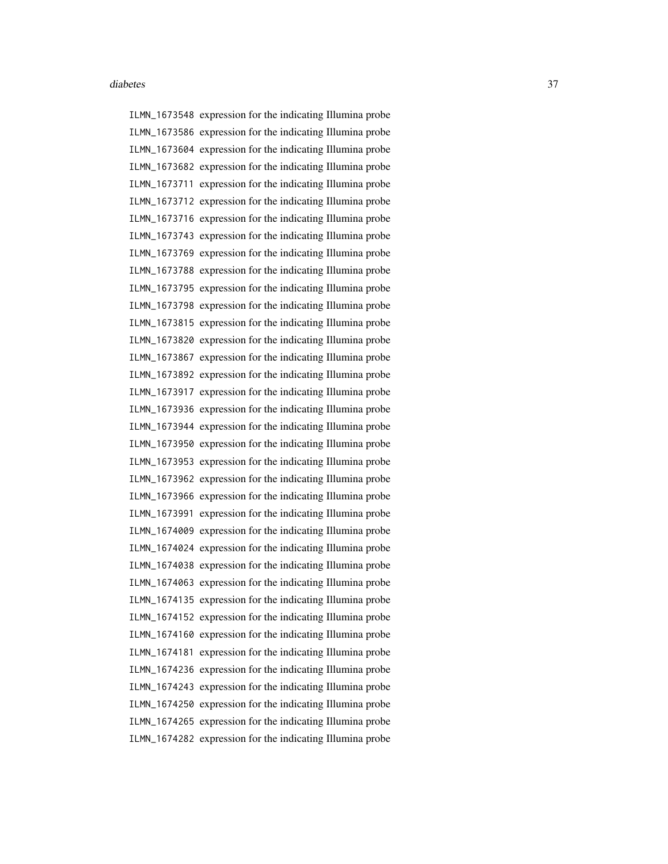ILMN\_1673548 expression for the indicating Illumina probe ILMN\_1673586 expression for the indicating Illumina probe ILMN\_1673604 expression for the indicating Illumina probe ILMN\_1673682 expression for the indicating Illumina probe ILMN\_1673711 expression for the indicating Illumina probe ILMN\_1673712 expression for the indicating Illumina probe ILMN\_1673716 expression for the indicating Illumina probe ILMN\_1673743 expression for the indicating Illumina probe ILMN\_1673769 expression for the indicating Illumina probe ILMN\_1673788 expression for the indicating Illumina probe ILMN\_1673795 expression for the indicating Illumina probe ILMN\_1673798 expression for the indicating Illumina probe ILMN\_1673815 expression for the indicating Illumina probe ILMN\_1673820 expression for the indicating Illumina probe ILMN\_1673867 expression for the indicating Illumina probe ILMN\_1673892 expression for the indicating Illumina probe ILMN\_1673917 expression for the indicating Illumina probe ILMN\_1673936 expression for the indicating Illumina probe ILMN\_1673944 expression for the indicating Illumina probe ILMN\_1673950 expression for the indicating Illumina probe ILMN\_1673953 expression for the indicating Illumina probe ILMN\_1673962 expression for the indicating Illumina probe ILMN\_1673966 expression for the indicating Illumina probe ILMN\_1673991 expression for the indicating Illumina probe ILMN\_1674009 expression for the indicating Illumina probe ILMN\_1674024 expression for the indicating Illumina probe ILMN\_1674038 expression for the indicating Illumina probe ILMN\_1674063 expression for the indicating Illumina probe ILMN\_1674135 expression for the indicating Illumina probe ILMN\_1674152 expression for the indicating Illumina probe ILMN\_1674160 expression for the indicating Illumina probe ILMN\_1674181 expression for the indicating Illumina probe ILMN\_1674236 expression for the indicating Illumina probe ILMN\_1674243 expression for the indicating Illumina probe ILMN\_1674250 expression for the indicating Illumina probe ILMN\_1674265 expression for the indicating Illumina probe ILMN\_1674282 expression for the indicating Illumina probe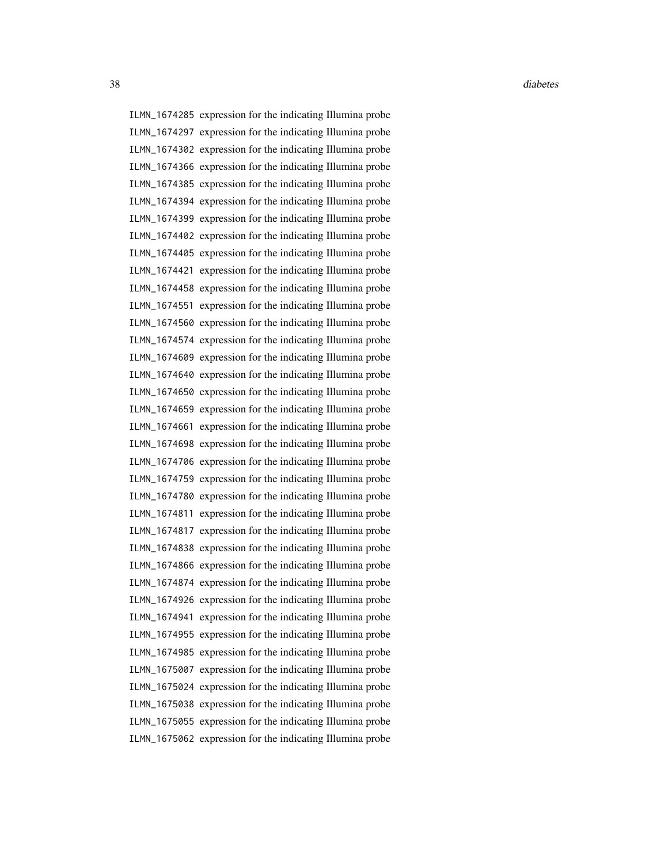ILMN\_1674285 expression for the indicating Illumina probe ILMN\_1674297 expression for the indicating Illumina probe ILMN\_1674302 expression for the indicating Illumina probe ILMN\_1674366 expression for the indicating Illumina probe ILMN\_1674385 expression for the indicating Illumina probe ILMN\_1674394 expression for the indicating Illumina probe ILMN\_1674399 expression for the indicating Illumina probe ILMN\_1674402 expression for the indicating Illumina probe ILMN\_1674405 expression for the indicating Illumina probe ILMN\_1674421 expression for the indicating Illumina probe ILMN\_1674458 expression for the indicating Illumina probe ILMN\_1674551 expression for the indicating Illumina probe ILMN\_1674560 expression for the indicating Illumina probe ILMN\_1674574 expression for the indicating Illumina probe ILMN\_1674609 expression for the indicating Illumina probe ILMN\_1674640 expression for the indicating Illumina probe ILMN\_1674650 expression for the indicating Illumina probe ILMN\_1674659 expression for the indicating Illumina probe ILMN\_1674661 expression for the indicating Illumina probe ILMN\_1674698 expression for the indicating Illumina probe ILMN\_1674706 expression for the indicating Illumina probe ILMN\_1674759 expression for the indicating Illumina probe ILMN\_1674780 expression for the indicating Illumina probe ILMN\_1674811 expression for the indicating Illumina probe ILMN\_1674817 expression for the indicating Illumina probe ILMN\_1674838 expression for the indicating Illumina probe ILMN\_1674866 expression for the indicating Illumina probe ILMN\_1674874 expression for the indicating Illumina probe ILMN\_1674926 expression for the indicating Illumina probe ILMN\_1674941 expression for the indicating Illumina probe ILMN\_1674955 expression for the indicating Illumina probe ILMN\_1674985 expression for the indicating Illumina probe ILMN\_1675007 expression for the indicating Illumina probe ILMN\_1675024 expression for the indicating Illumina probe ILMN\_1675038 expression for the indicating Illumina probe ILMN\_1675055 expression for the indicating Illumina probe ILMN\_1675062 expression for the indicating Illumina probe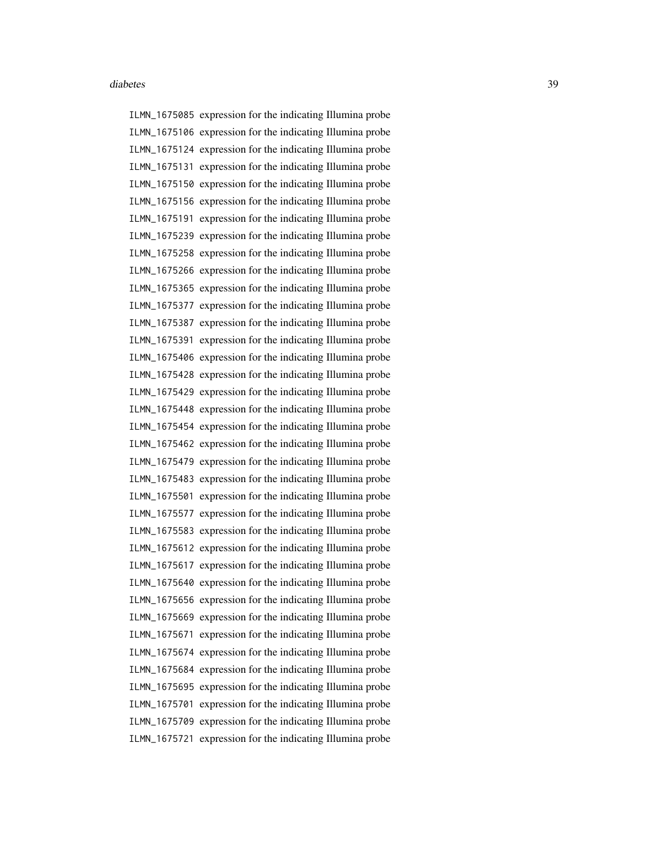ILMN\_1675085 expression for the indicating Illumina probe ILMN\_1675106 expression for the indicating Illumina probe ILMN\_1675124 expression for the indicating Illumina probe ILMN\_1675131 expression for the indicating Illumina probe ILMN\_1675150 expression for the indicating Illumina probe ILMN\_1675156 expression for the indicating Illumina probe ILMN\_1675191 expression for the indicating Illumina probe ILMN\_1675239 expression for the indicating Illumina probe ILMN\_1675258 expression for the indicating Illumina probe ILMN\_1675266 expression for the indicating Illumina probe ILMN\_1675365 expression for the indicating Illumina probe ILMN\_1675377 expression for the indicating Illumina probe ILMN\_1675387 expression for the indicating Illumina probe ILMN\_1675391 expression for the indicating Illumina probe ILMN\_1675406 expression for the indicating Illumina probe ILMN\_1675428 expression for the indicating Illumina probe ILMN\_1675429 expression for the indicating Illumina probe ILMN\_1675448 expression for the indicating Illumina probe ILMN\_1675454 expression for the indicating Illumina probe ILMN\_1675462 expression for the indicating Illumina probe ILMN\_1675479 expression for the indicating Illumina probe ILMN\_1675483 expression for the indicating Illumina probe ILMN\_1675501 expression for the indicating Illumina probe ILMN\_1675577 expression for the indicating Illumina probe ILMN\_1675583 expression for the indicating Illumina probe ILMN\_1675612 expression for the indicating Illumina probe ILMN\_1675617 expression for the indicating Illumina probe ILMN\_1675640 expression for the indicating Illumina probe ILMN\_1675656 expression for the indicating Illumina probe ILMN\_1675669 expression for the indicating Illumina probe ILMN\_1675671 expression for the indicating Illumina probe ILMN\_1675674 expression for the indicating Illumina probe ILMN\_1675684 expression for the indicating Illumina probe ILMN\_1675695 expression for the indicating Illumina probe ILMN\_1675701 expression for the indicating Illumina probe ILMN\_1675709 expression for the indicating Illumina probe ILMN\_1675721 expression for the indicating Illumina probe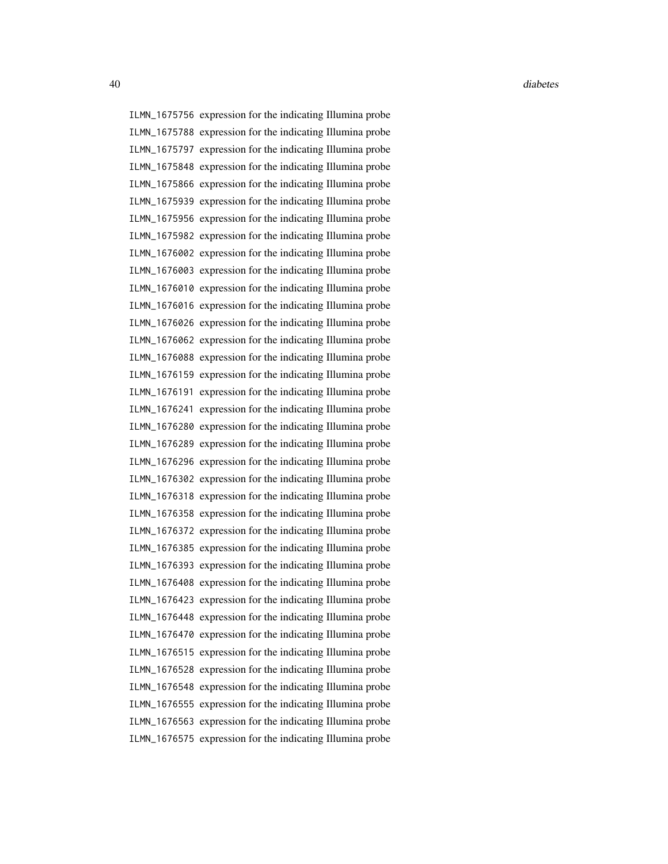ILMN\_1675756 expression for the indicating Illumina probe ILMN\_1675788 expression for the indicating Illumina probe ILMN\_1675797 expression for the indicating Illumina probe ILMN\_1675848 expression for the indicating Illumina probe ILMN\_1675866 expression for the indicating Illumina probe ILMN\_1675939 expression for the indicating Illumina probe ILMN\_1675956 expression for the indicating Illumina probe ILMN\_1675982 expression for the indicating Illumina probe ILMN\_1676002 expression for the indicating Illumina probe ILMN\_1676003 expression for the indicating Illumina probe ILMN\_1676010 expression for the indicating Illumina probe ILMN\_1676016 expression for the indicating Illumina probe ILMN\_1676026 expression for the indicating Illumina probe ILMN\_1676062 expression for the indicating Illumina probe ILMN\_1676088 expression for the indicating Illumina probe ILMN\_1676159 expression for the indicating Illumina probe ILMN\_1676191 expression for the indicating Illumina probe ILMN\_1676241 expression for the indicating Illumina probe ILMN\_1676280 expression for the indicating Illumina probe ILMN\_1676289 expression for the indicating Illumina probe ILMN\_1676296 expression for the indicating Illumina probe ILMN\_1676302 expression for the indicating Illumina probe ILMN\_1676318 expression for the indicating Illumina probe ILMN\_1676358 expression for the indicating Illumina probe ILMN\_1676372 expression for the indicating Illumina probe ILMN\_1676385 expression for the indicating Illumina probe ILMN\_1676393 expression for the indicating Illumina probe ILMN\_1676408 expression for the indicating Illumina probe ILMN\_1676423 expression for the indicating Illumina probe ILMN\_1676448 expression for the indicating Illumina probe ILMN\_1676470 expression for the indicating Illumina probe ILMN\_1676515 expression for the indicating Illumina probe ILMN\_1676528 expression for the indicating Illumina probe ILMN\_1676548 expression for the indicating Illumina probe ILMN\_1676555 expression for the indicating Illumina probe ILMN\_1676563 expression for the indicating Illumina probe ILMN\_1676575 expression for the indicating Illumina probe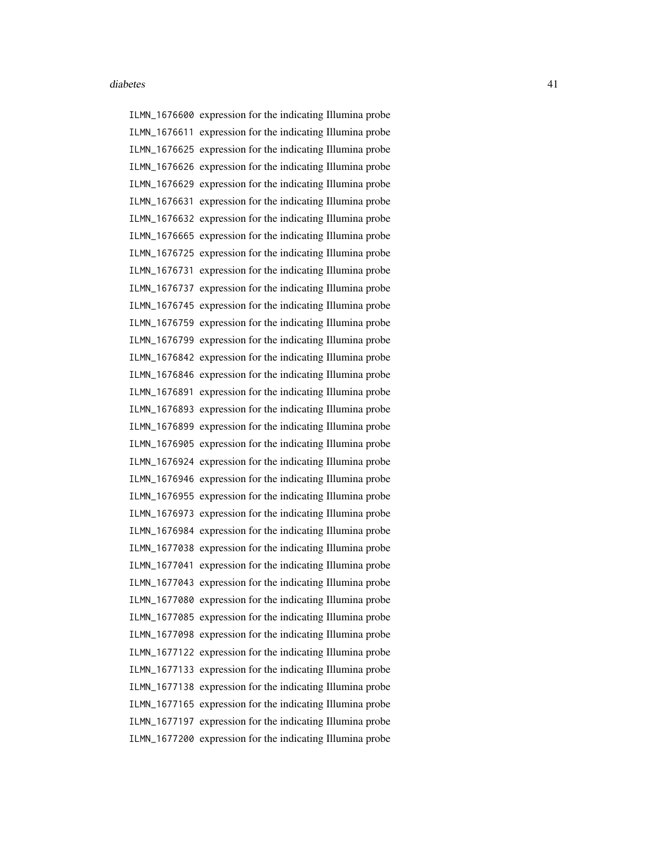ILMN\_1676600 expression for the indicating Illumina probe ILMN\_1676611 expression for the indicating Illumina probe ILMN\_1676625 expression for the indicating Illumina probe ILMN\_1676626 expression for the indicating Illumina probe ILMN\_1676629 expression for the indicating Illumina probe ILMN\_1676631 expression for the indicating Illumina probe ILMN\_1676632 expression for the indicating Illumina probe ILMN\_1676665 expression for the indicating Illumina probe ILMN\_1676725 expression for the indicating Illumina probe ILMN\_1676731 expression for the indicating Illumina probe ILMN\_1676737 expression for the indicating Illumina probe ILMN\_1676745 expression for the indicating Illumina probe ILMN\_1676759 expression for the indicating Illumina probe ILMN\_1676799 expression for the indicating Illumina probe ILMN\_1676842 expression for the indicating Illumina probe ILMN\_1676846 expression for the indicating Illumina probe ILMN\_1676891 expression for the indicating Illumina probe ILMN\_1676893 expression for the indicating Illumina probe ILMN\_1676899 expression for the indicating Illumina probe ILMN\_1676905 expression for the indicating Illumina probe ILMN\_1676924 expression for the indicating Illumina probe ILMN\_1676946 expression for the indicating Illumina probe ILMN\_1676955 expression for the indicating Illumina probe ILMN\_1676973 expression for the indicating Illumina probe ILMN\_1676984 expression for the indicating Illumina probe ILMN\_1677038 expression for the indicating Illumina probe ILMN\_1677041 expression for the indicating Illumina probe ILMN\_1677043 expression for the indicating Illumina probe ILMN\_1677080 expression for the indicating Illumina probe ILMN\_1677085 expression for the indicating Illumina probe ILMN\_1677098 expression for the indicating Illumina probe ILMN\_1677122 expression for the indicating Illumina probe ILMN\_1677133 expression for the indicating Illumina probe ILMN\_1677138 expression for the indicating Illumina probe ILMN\_1677165 expression for the indicating Illumina probe ILMN\_1677197 expression for the indicating Illumina probe ILMN\_1677200 expression for the indicating Illumina probe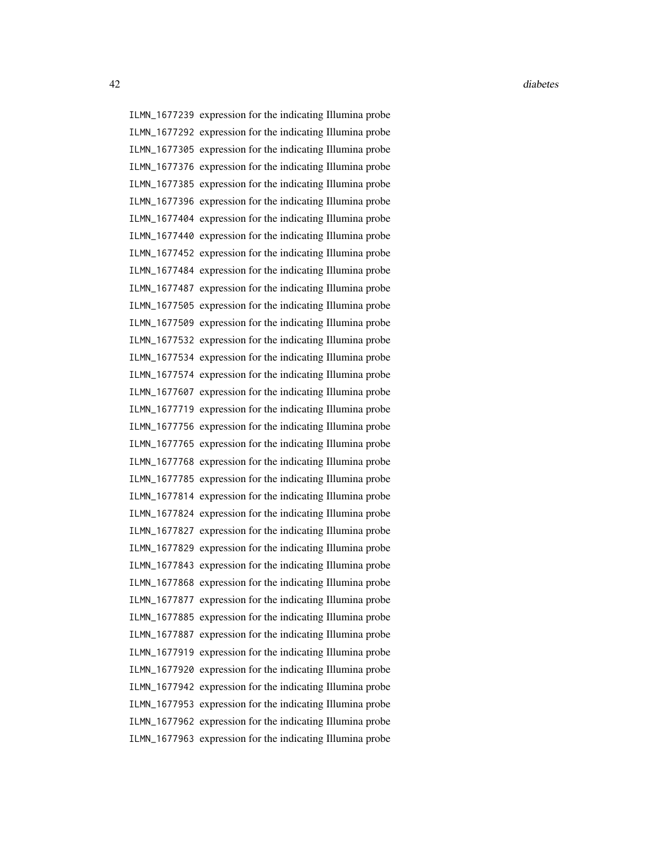ILMN\_1677239 expression for the indicating Illumina probe ILMN\_1677292 expression for the indicating Illumina probe ILMN\_1677305 expression for the indicating Illumina probe ILMN\_1677376 expression for the indicating Illumina probe ILMN\_1677385 expression for the indicating Illumina probe ILMN\_1677396 expression for the indicating Illumina probe ILMN\_1677404 expression for the indicating Illumina probe ILMN\_1677440 expression for the indicating Illumina probe ILMN\_1677452 expression for the indicating Illumina probe ILMN\_1677484 expression for the indicating Illumina probe ILMN\_1677487 expression for the indicating Illumina probe ILMN\_1677505 expression for the indicating Illumina probe ILMN\_1677509 expression for the indicating Illumina probe ILMN\_1677532 expression for the indicating Illumina probe ILMN\_1677534 expression for the indicating Illumina probe ILMN\_1677574 expression for the indicating Illumina probe ILMN\_1677607 expression for the indicating Illumina probe ILMN\_1677719 expression for the indicating Illumina probe ILMN\_1677756 expression for the indicating Illumina probe ILMN\_1677765 expression for the indicating Illumina probe ILMN\_1677768 expression for the indicating Illumina probe ILMN\_1677785 expression for the indicating Illumina probe ILMN\_1677814 expression for the indicating Illumina probe ILMN\_1677824 expression for the indicating Illumina probe ILMN\_1677827 expression for the indicating Illumina probe ILMN\_1677829 expression for the indicating Illumina probe ILMN\_1677843 expression for the indicating Illumina probe ILMN\_1677868 expression for the indicating Illumina probe ILMN\_1677877 expression for the indicating Illumina probe ILMN\_1677885 expression for the indicating Illumina probe ILMN\_1677887 expression for the indicating Illumina probe ILMN\_1677919 expression for the indicating Illumina probe ILMN\_1677920 expression for the indicating Illumina probe ILMN\_1677942 expression for the indicating Illumina probe ILMN\_1677953 expression for the indicating Illumina probe ILMN\_1677962 expression for the indicating Illumina probe ILMN\_1677963 expression for the indicating Illumina probe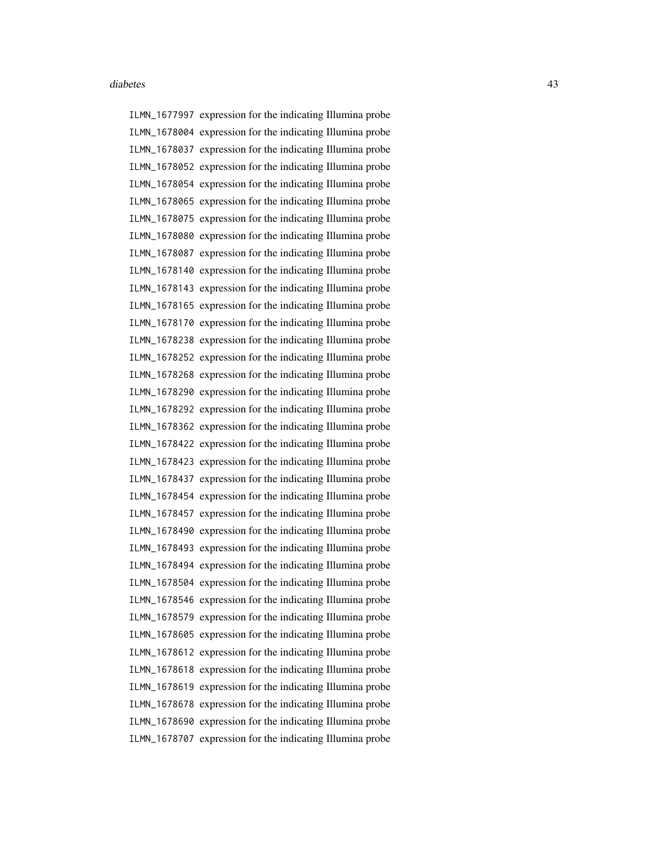ILMN\_1677997 expression for the indicating Illumina probe ILMN\_1678004 expression for the indicating Illumina probe ILMN\_1678037 expression for the indicating Illumina probe ILMN\_1678052 expression for the indicating Illumina probe ILMN\_1678054 expression for the indicating Illumina probe ILMN\_1678065 expression for the indicating Illumina probe ILMN\_1678075 expression for the indicating Illumina probe ILMN\_1678080 expression for the indicating Illumina probe ILMN\_1678087 expression for the indicating Illumina probe ILMN\_1678140 expression for the indicating Illumina probe ILMN\_1678143 expression for the indicating Illumina probe ILMN\_1678165 expression for the indicating Illumina probe ILMN\_1678170 expression for the indicating Illumina probe ILMN\_1678238 expression for the indicating Illumina probe ILMN\_1678252 expression for the indicating Illumina probe ILMN\_1678268 expression for the indicating Illumina probe ILMN\_1678290 expression for the indicating Illumina probe ILMN\_1678292 expression for the indicating Illumina probe ILMN\_1678362 expression for the indicating Illumina probe ILMN\_1678422 expression for the indicating Illumina probe ILMN\_1678423 expression for the indicating Illumina probe ILMN\_1678437 expression for the indicating Illumina probe ILMN\_1678454 expression for the indicating Illumina probe ILMN\_1678457 expression for the indicating Illumina probe ILMN\_1678490 expression for the indicating Illumina probe ILMN\_1678493 expression for the indicating Illumina probe ILMN\_1678494 expression for the indicating Illumina probe ILMN\_1678504 expression for the indicating Illumina probe ILMN\_1678546 expression for the indicating Illumina probe ILMN\_1678579 expression for the indicating Illumina probe ILMN\_1678605 expression for the indicating Illumina probe ILMN\_1678612 expression for the indicating Illumina probe ILMN\_1678618 expression for the indicating Illumina probe ILMN\_1678619 expression for the indicating Illumina probe ILMN\_1678678 expression for the indicating Illumina probe ILMN\_1678690 expression for the indicating Illumina probe ILMN\_1678707 expression for the indicating Illumina probe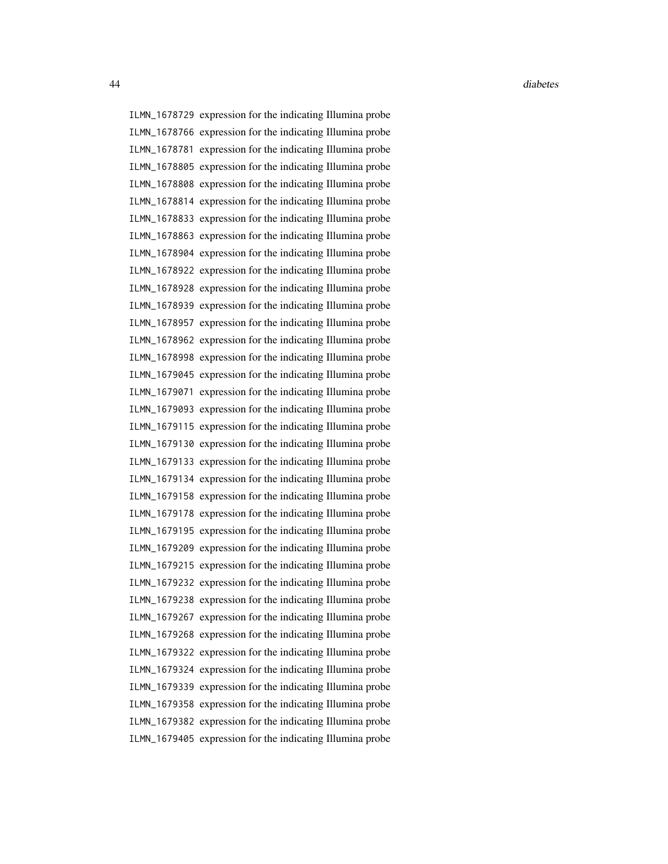ILMN\_1678729 expression for the indicating Illumina probe ILMN\_1678766 expression for the indicating Illumina probe ILMN\_1678781 expression for the indicating Illumina probe ILMN\_1678805 expression for the indicating Illumina probe ILMN\_1678808 expression for the indicating Illumina probe ILMN\_1678814 expression for the indicating Illumina probe ILMN\_1678833 expression for the indicating Illumina probe ILMN\_1678863 expression for the indicating Illumina probe ILMN\_1678904 expression for the indicating Illumina probe ILMN\_1678922 expression for the indicating Illumina probe ILMN\_1678928 expression for the indicating Illumina probe ILMN\_1678939 expression for the indicating Illumina probe ILMN\_1678957 expression for the indicating Illumina probe ILMN\_1678962 expression for the indicating Illumina probe ILMN\_1678998 expression for the indicating Illumina probe ILMN\_1679045 expression for the indicating Illumina probe ILMN\_1679071 expression for the indicating Illumina probe ILMN\_1679093 expression for the indicating Illumina probe ILMN\_1679115 expression for the indicating Illumina probe ILMN\_1679130 expression for the indicating Illumina probe ILMN\_1679133 expression for the indicating Illumina probe ILMN\_1679134 expression for the indicating Illumina probe ILMN\_1679158 expression for the indicating Illumina probe ILMN\_1679178 expression for the indicating Illumina probe ILMN\_1679195 expression for the indicating Illumina probe ILMN\_1679209 expression for the indicating Illumina probe ILMN\_1679215 expression for the indicating Illumina probe ILMN\_1679232 expression for the indicating Illumina probe ILMN\_1679238 expression for the indicating Illumina probe ILMN\_1679267 expression for the indicating Illumina probe ILMN\_1679268 expression for the indicating Illumina probe ILMN\_1679322 expression for the indicating Illumina probe ILMN\_1679324 expression for the indicating Illumina probe ILMN\_1679339 expression for the indicating Illumina probe ILMN\_1679358 expression for the indicating Illumina probe ILMN\_1679382 expression for the indicating Illumina probe ILMN\_1679405 expression for the indicating Illumina probe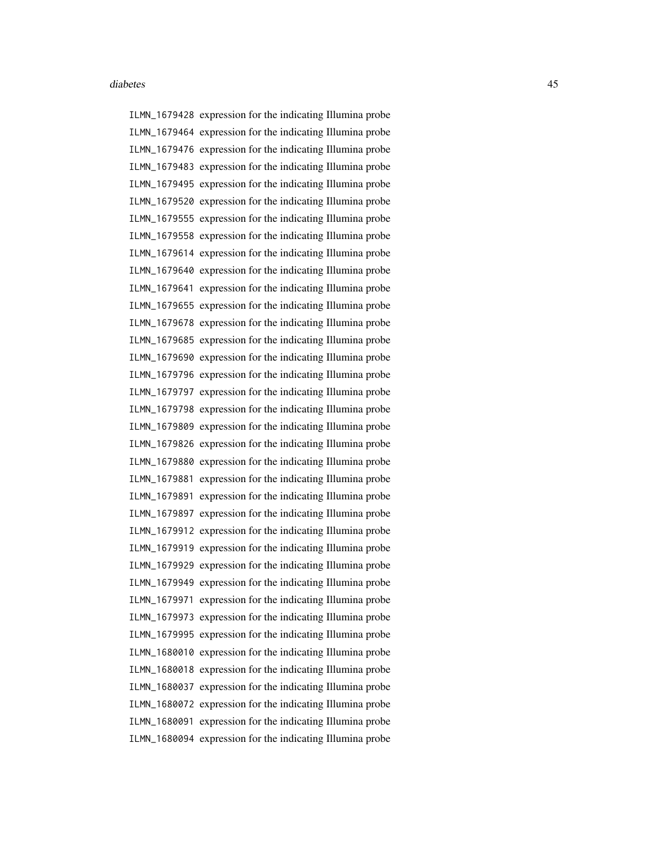ILMN\_1679428 expression for the indicating Illumina probe ILMN\_1679464 expression for the indicating Illumina probe ILMN\_1679476 expression for the indicating Illumina probe ILMN\_1679483 expression for the indicating Illumina probe ILMN\_1679495 expression for the indicating Illumina probe ILMN\_1679520 expression for the indicating Illumina probe ILMN\_1679555 expression for the indicating Illumina probe ILMN\_1679558 expression for the indicating Illumina probe ILMN\_1679614 expression for the indicating Illumina probe ILMN\_1679640 expression for the indicating Illumina probe ILMN\_1679641 expression for the indicating Illumina probe ILMN\_1679655 expression for the indicating Illumina probe ILMN\_1679678 expression for the indicating Illumina probe ILMN\_1679685 expression for the indicating Illumina probe ILMN\_1679690 expression for the indicating Illumina probe ILMN\_1679796 expression for the indicating Illumina probe ILMN\_1679797 expression for the indicating Illumina probe ILMN\_1679798 expression for the indicating Illumina probe ILMN\_1679809 expression for the indicating Illumina probe ILMN\_1679826 expression for the indicating Illumina probe ILMN\_1679880 expression for the indicating Illumina probe ILMN\_1679881 expression for the indicating Illumina probe ILMN\_1679891 expression for the indicating Illumina probe ILMN\_1679897 expression for the indicating Illumina probe ILMN\_1679912 expression for the indicating Illumina probe ILMN\_1679919 expression for the indicating Illumina probe ILMN\_1679929 expression for the indicating Illumina probe ILMN\_1679949 expression for the indicating Illumina probe ILMN\_1679971 expression for the indicating Illumina probe ILMN\_1679973 expression for the indicating Illumina probe ILMN\_1679995 expression for the indicating Illumina probe ILMN\_1680010 expression for the indicating Illumina probe ILMN\_1680018 expression for the indicating Illumina probe ILMN\_1680037 expression for the indicating Illumina probe ILMN\_1680072 expression for the indicating Illumina probe ILMN\_1680091 expression for the indicating Illumina probe ILMN\_1680094 expression for the indicating Illumina probe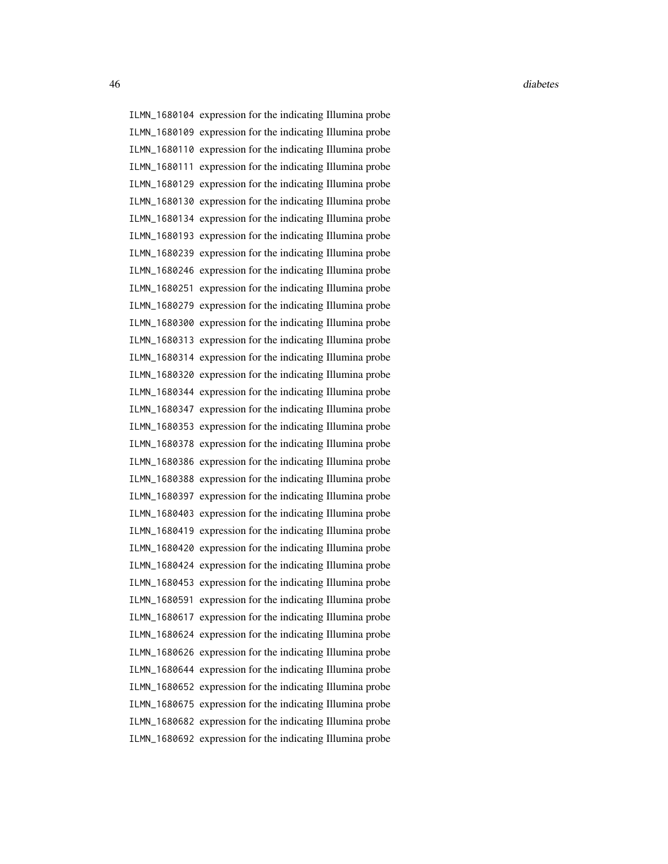46 diabetes diabetes diabetes diabetes diabetes diabetes diabetes diabetes diabetes diabetes diabetes diabetes

ILMN\_1680104 expression for the indicating Illumina probe ILMN\_1680109 expression for the indicating Illumina probe ILMN\_1680110 expression for the indicating Illumina probe ILMN\_1680111 expression for the indicating Illumina probe ILMN\_1680129 expression for the indicating Illumina probe ILMN\_1680130 expression for the indicating Illumina probe ILMN\_1680134 expression for the indicating Illumina probe ILMN\_1680193 expression for the indicating Illumina probe ILMN\_1680239 expression for the indicating Illumina probe ILMN\_1680246 expression for the indicating Illumina probe ILMN\_1680251 expression for the indicating Illumina probe ILMN\_1680279 expression for the indicating Illumina probe ILMN\_1680300 expression for the indicating Illumina probe ILMN\_1680313 expression for the indicating Illumina probe ILMN\_1680314 expression for the indicating Illumina probe ILMN\_1680320 expression for the indicating Illumina probe ILMN\_1680344 expression for the indicating Illumina probe ILMN\_1680347 expression for the indicating Illumina probe ILMN\_1680353 expression for the indicating Illumina probe ILMN\_1680378 expression for the indicating Illumina probe ILMN\_1680386 expression for the indicating Illumina probe ILMN\_1680388 expression for the indicating Illumina probe ILMN\_1680397 expression for the indicating Illumina probe ILMN\_1680403 expression for the indicating Illumina probe ILMN\_1680419 expression for the indicating Illumina probe ILMN\_1680420 expression for the indicating Illumina probe ILMN\_1680424 expression for the indicating Illumina probe ILMN\_1680453 expression for the indicating Illumina probe ILMN\_1680591 expression for the indicating Illumina probe ILMN\_1680617 expression for the indicating Illumina probe ILMN\_1680624 expression for the indicating Illumina probe ILMN\_1680626 expression for the indicating Illumina probe ILMN\_1680644 expression for the indicating Illumina probe ILMN\_1680652 expression for the indicating Illumina probe ILMN\_1680675 expression for the indicating Illumina probe ILMN\_1680682 expression for the indicating Illumina probe ILMN\_1680692 expression for the indicating Illumina probe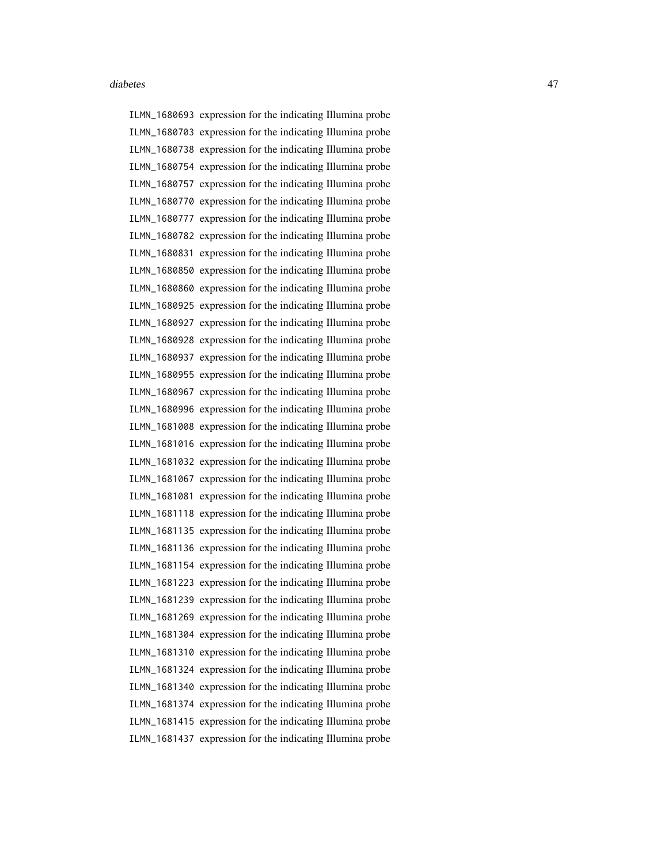ILMN\_1680693 expression for the indicating Illumina probe ILMN\_1680703 expression for the indicating Illumina probe ILMN\_1680738 expression for the indicating Illumina probe ILMN\_1680754 expression for the indicating Illumina probe ILMN\_1680757 expression for the indicating Illumina probe ILMN\_1680770 expression for the indicating Illumina probe ILMN\_1680777 expression for the indicating Illumina probe ILMN\_1680782 expression for the indicating Illumina probe ILMN\_1680831 expression for the indicating Illumina probe ILMN\_1680850 expression for the indicating Illumina probe ILMN\_1680860 expression for the indicating Illumina probe ILMN\_1680925 expression for the indicating Illumina probe ILMN\_1680927 expression for the indicating Illumina probe ILMN\_1680928 expression for the indicating Illumina probe ILMN\_1680937 expression for the indicating Illumina probe ILMN\_1680955 expression for the indicating Illumina probe ILMN\_1680967 expression for the indicating Illumina probe ILMN\_1680996 expression for the indicating Illumina probe ILMN\_1681008 expression for the indicating Illumina probe ILMN\_1681016 expression for the indicating Illumina probe ILMN\_1681032 expression for the indicating Illumina probe ILMN\_1681067 expression for the indicating Illumina probe ILMN\_1681081 expression for the indicating Illumina probe ILMN\_1681118 expression for the indicating Illumina probe ILMN\_1681135 expression for the indicating Illumina probe ILMN\_1681136 expression for the indicating Illumina probe ILMN\_1681154 expression for the indicating Illumina probe ILMN\_1681223 expression for the indicating Illumina probe ILMN\_1681239 expression for the indicating Illumina probe ILMN\_1681269 expression for the indicating Illumina probe ILMN\_1681304 expression for the indicating Illumina probe ILMN\_1681310 expression for the indicating Illumina probe ILMN\_1681324 expression for the indicating Illumina probe ILMN\_1681340 expression for the indicating Illumina probe ILMN\_1681374 expression for the indicating Illumina probe ILMN\_1681415 expression for the indicating Illumina probe ILMN\_1681437 expression for the indicating Illumina probe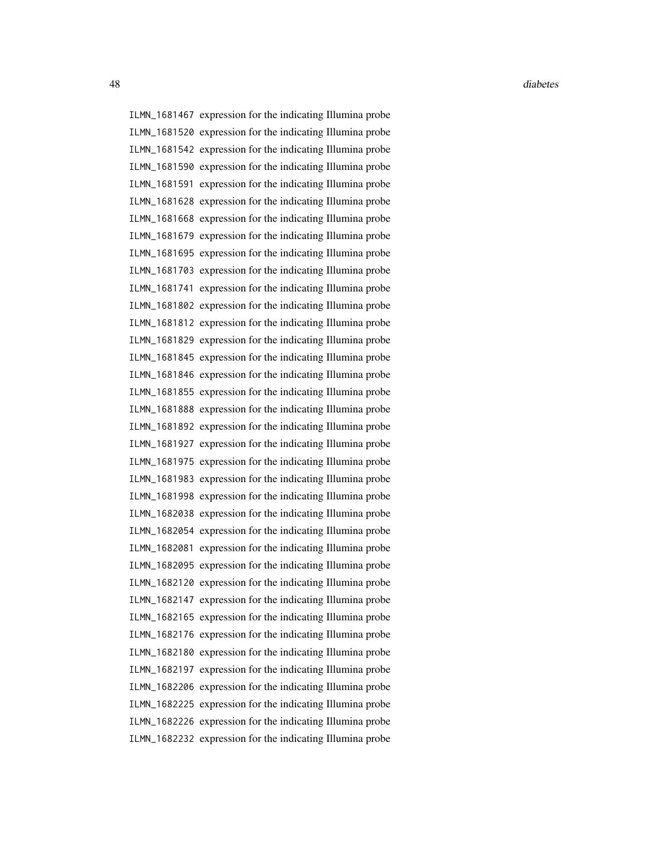ILMN\_1681467 expression for the indicating Illumina probe ILMN\_1681520 expression for the indicating Illumina probe ILMN\_1681542 expression for the indicating Illumina probe ILMN\_1681590 expression for the indicating Illumina probe ILMN\_1681591 expression for the indicating Illumina probe ILMN\_1681628 expression for the indicating Illumina probe ILMN\_1681668 expression for the indicating Illumina probe ILMN\_1681679 expression for the indicating Illumina probe ILMN\_1681695 expression for the indicating Illumina probe ILMN\_1681703 expression for the indicating Illumina probe ILMN\_1681741 expression for the indicating Illumina probe ILMN\_1681802 expression for the indicating Illumina probe ILMN\_1681812 expression for the indicating Illumina probe ILMN\_1681829 expression for the indicating Illumina probe ILMN\_1681845 expression for the indicating Illumina probe ILMN\_1681846 expression for the indicating Illumina probe ILMN\_1681855 expression for the indicating Illumina probe ILMN\_1681888 expression for the indicating Illumina probe ILMN\_1681892 expression for the indicating Illumina probe ILMN\_1681927 expression for the indicating Illumina probe ILMN\_1681975 expression for the indicating Illumina probe ILMN\_1681983 expression for the indicating Illumina probe ILMN\_1681998 expression for the indicating Illumina probe ILMN\_1682038 expression for the indicating Illumina probe ILMN\_1682054 expression for the indicating Illumina probe ILMN\_1682081 expression for the indicating Illumina probe ILMN\_1682095 expression for the indicating Illumina probe ILMN\_1682120 expression for the indicating Illumina probe ILMN\_1682147 expression for the indicating Illumina probe ILMN\_1682165 expression for the indicating Illumina probe ILMN\_1682176 expression for the indicating Illumina probe ILMN\_1682180 expression for the indicating Illumina probe ILMN\_1682197 expression for the indicating Illumina probe ILMN\_1682206 expression for the indicating Illumina probe ILMN\_1682225 expression for the indicating Illumina probe ILMN\_1682226 expression for the indicating Illumina probe ILMN\_1682232 expression for the indicating Illumina probe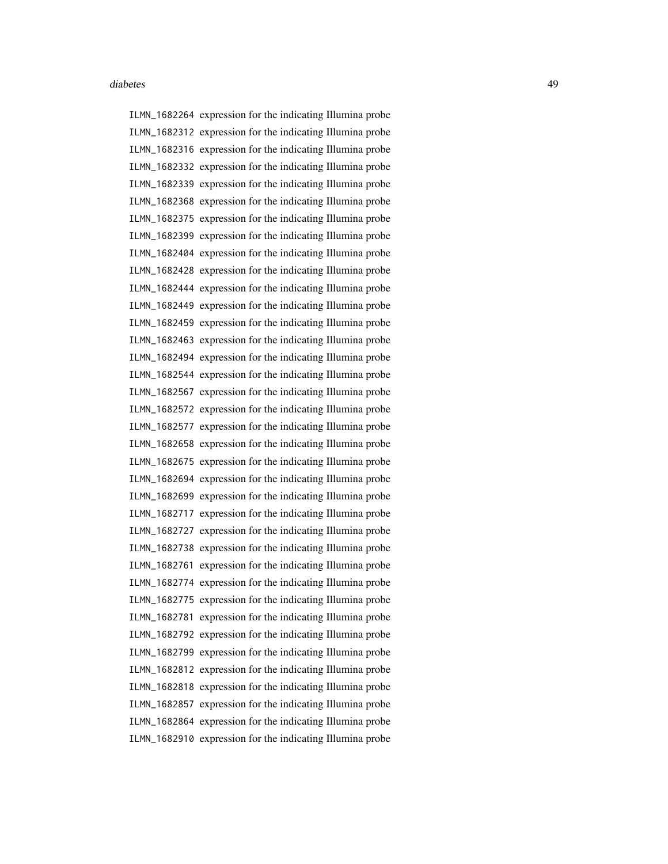ILMN\_1682264 expression for the indicating Illumina probe ILMN\_1682312 expression for the indicating Illumina probe ILMN\_1682316 expression for the indicating Illumina probe ILMN\_1682332 expression for the indicating Illumina probe ILMN\_1682339 expression for the indicating Illumina probe ILMN\_1682368 expression for the indicating Illumina probe ILMN\_1682375 expression for the indicating Illumina probe ILMN\_1682399 expression for the indicating Illumina probe ILMN\_1682404 expression for the indicating Illumina probe ILMN\_1682428 expression for the indicating Illumina probe ILMN\_1682444 expression for the indicating Illumina probe ILMN\_1682449 expression for the indicating Illumina probe ILMN\_1682459 expression for the indicating Illumina probe ILMN\_1682463 expression for the indicating Illumina probe ILMN\_1682494 expression for the indicating Illumina probe ILMN\_1682544 expression for the indicating Illumina probe ILMN\_1682567 expression for the indicating Illumina probe ILMN\_1682572 expression for the indicating Illumina probe ILMN\_1682577 expression for the indicating Illumina probe ILMN\_1682658 expression for the indicating Illumina probe ILMN\_1682675 expression for the indicating Illumina probe ILMN\_1682694 expression for the indicating Illumina probe ILMN\_1682699 expression for the indicating Illumina probe ILMN\_1682717 expression for the indicating Illumina probe ILMN\_1682727 expression for the indicating Illumina probe ILMN\_1682738 expression for the indicating Illumina probe ILMN\_1682761 expression for the indicating Illumina probe ILMN\_1682774 expression for the indicating Illumina probe ILMN\_1682775 expression for the indicating Illumina probe ILMN\_1682781 expression for the indicating Illumina probe ILMN\_1682792 expression for the indicating Illumina probe ILMN\_1682799 expression for the indicating Illumina probe ILMN\_1682812 expression for the indicating Illumina probe ILMN\_1682818 expression for the indicating Illumina probe ILMN\_1682857 expression for the indicating Illumina probe ILMN\_1682864 expression for the indicating Illumina probe ILMN\_1682910 expression for the indicating Illumina probe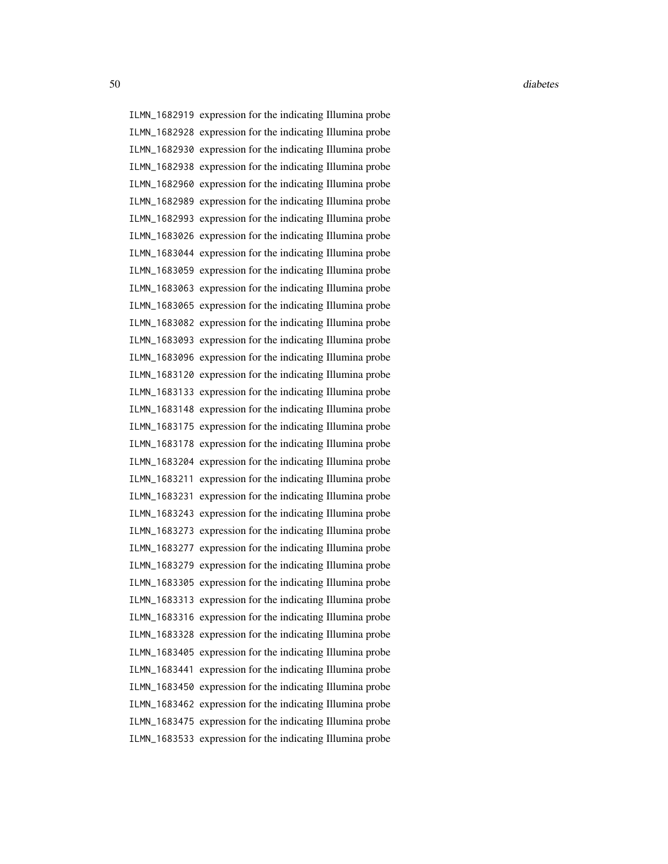ILMN\_1682919 expression for the indicating Illumina probe ILMN\_1682928 expression for the indicating Illumina probe ILMN\_1682930 expression for the indicating Illumina probe ILMN\_1682938 expression for the indicating Illumina probe ILMN\_1682960 expression for the indicating Illumina probe ILMN\_1682989 expression for the indicating Illumina probe ILMN\_1682993 expression for the indicating Illumina probe ILMN\_1683026 expression for the indicating Illumina probe ILMN\_1683044 expression for the indicating Illumina probe ILMN\_1683059 expression for the indicating Illumina probe ILMN\_1683063 expression for the indicating Illumina probe ILMN\_1683065 expression for the indicating Illumina probe ILMN\_1683082 expression for the indicating Illumina probe ILMN\_1683093 expression for the indicating Illumina probe ILMN\_1683096 expression for the indicating Illumina probe ILMN\_1683120 expression for the indicating Illumina probe ILMN\_1683133 expression for the indicating Illumina probe ILMN\_1683148 expression for the indicating Illumina probe ILMN\_1683175 expression for the indicating Illumina probe ILMN\_1683178 expression for the indicating Illumina probe ILMN\_1683204 expression for the indicating Illumina probe ILMN\_1683211 expression for the indicating Illumina probe ILMN\_1683231 expression for the indicating Illumina probe ILMN\_1683243 expression for the indicating Illumina probe ILMN\_1683273 expression for the indicating Illumina probe ILMN\_1683277 expression for the indicating Illumina probe ILMN\_1683279 expression for the indicating Illumina probe ILMN\_1683305 expression for the indicating Illumina probe ILMN\_1683313 expression for the indicating Illumina probe ILMN\_1683316 expression for the indicating Illumina probe ILMN\_1683328 expression for the indicating Illumina probe ILMN\_1683405 expression for the indicating Illumina probe ILMN\_1683441 expression for the indicating Illumina probe ILMN\_1683450 expression for the indicating Illumina probe ILMN\_1683462 expression for the indicating Illumina probe ILMN\_1683475 expression for the indicating Illumina probe ILMN\_1683533 expression for the indicating Illumina probe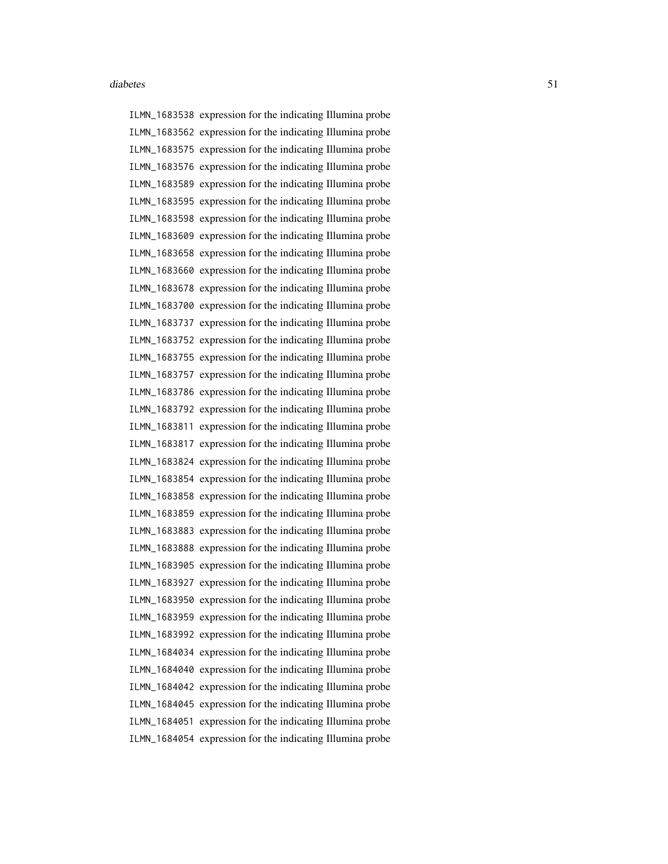ILMN\_1683538 expression for the indicating Illumina probe ILMN\_1683562 expression for the indicating Illumina probe ILMN\_1683575 expression for the indicating Illumina probe ILMN\_1683576 expression for the indicating Illumina probe ILMN\_1683589 expression for the indicating Illumina probe ILMN\_1683595 expression for the indicating Illumina probe ILMN\_1683598 expression for the indicating Illumina probe ILMN\_1683609 expression for the indicating Illumina probe ILMN\_1683658 expression for the indicating Illumina probe ILMN\_1683660 expression for the indicating Illumina probe ILMN\_1683678 expression for the indicating Illumina probe ILMN\_1683700 expression for the indicating Illumina probe ILMN\_1683737 expression for the indicating Illumina probe ILMN\_1683752 expression for the indicating Illumina probe ILMN\_1683755 expression for the indicating Illumina probe ILMN\_1683757 expression for the indicating Illumina probe ILMN\_1683786 expression for the indicating Illumina probe ILMN\_1683792 expression for the indicating Illumina probe ILMN\_1683811 expression for the indicating Illumina probe ILMN\_1683817 expression for the indicating Illumina probe ILMN\_1683824 expression for the indicating Illumina probe ILMN\_1683854 expression for the indicating Illumina probe ILMN\_1683858 expression for the indicating Illumina probe ILMN\_1683859 expression for the indicating Illumina probe ILMN\_1683883 expression for the indicating Illumina probe ILMN\_1683888 expression for the indicating Illumina probe ILMN\_1683905 expression for the indicating Illumina probe ILMN\_1683927 expression for the indicating Illumina probe ILMN\_1683950 expression for the indicating Illumina probe ILMN\_1683959 expression for the indicating Illumina probe ILMN\_1683992 expression for the indicating Illumina probe ILMN\_1684034 expression for the indicating Illumina probe ILMN\_1684040 expression for the indicating Illumina probe ILMN\_1684042 expression for the indicating Illumina probe ILMN\_1684045 expression for the indicating Illumina probe ILMN\_1684051 expression for the indicating Illumina probe ILMN\_1684054 expression for the indicating Illumina probe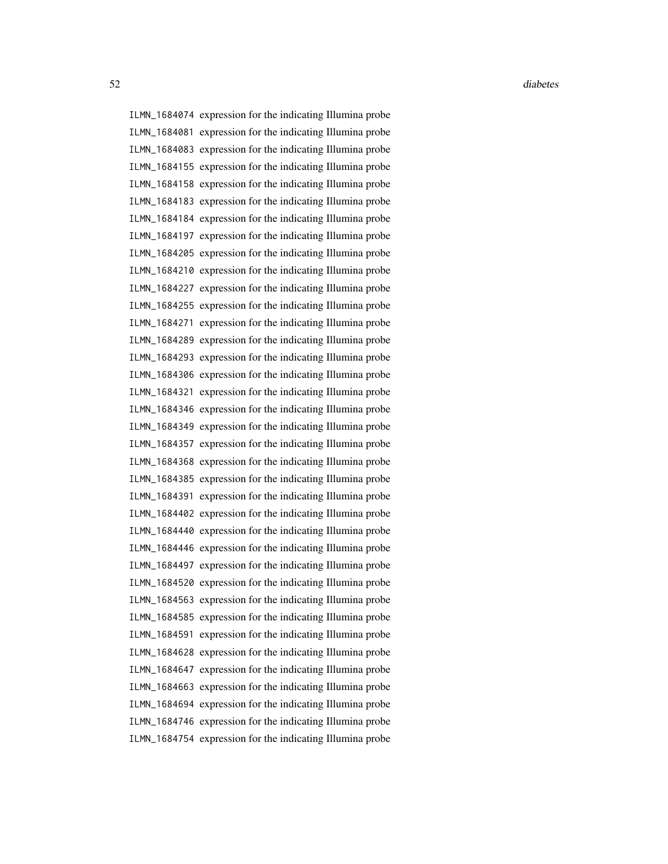ILMN\_1684074 expression for the indicating Illumina probe ILMN\_1684081 expression for the indicating Illumina probe ILMN\_1684083 expression for the indicating Illumina probe ILMN\_1684155 expression for the indicating Illumina probe ILMN\_1684158 expression for the indicating Illumina probe ILMN\_1684183 expression for the indicating Illumina probe ILMN\_1684184 expression for the indicating Illumina probe ILMN\_1684197 expression for the indicating Illumina probe ILMN\_1684205 expression for the indicating Illumina probe ILMN\_1684210 expression for the indicating Illumina probe ILMN\_1684227 expression for the indicating Illumina probe ILMN\_1684255 expression for the indicating Illumina probe ILMN\_1684271 expression for the indicating Illumina probe ILMN\_1684289 expression for the indicating Illumina probe ILMN\_1684293 expression for the indicating Illumina probe ILMN\_1684306 expression for the indicating Illumina probe ILMN\_1684321 expression for the indicating Illumina probe ILMN\_1684346 expression for the indicating Illumina probe ILMN\_1684349 expression for the indicating Illumina probe ILMN\_1684357 expression for the indicating Illumina probe ILMN\_1684368 expression for the indicating Illumina probe ILMN\_1684385 expression for the indicating Illumina probe ILMN\_1684391 expression for the indicating Illumina probe ILMN\_1684402 expression for the indicating Illumina probe ILMN\_1684440 expression for the indicating Illumina probe ILMN\_1684446 expression for the indicating Illumina probe ILMN\_1684497 expression for the indicating Illumina probe ILMN\_1684520 expression for the indicating Illumina probe ILMN\_1684563 expression for the indicating Illumina probe ILMN\_1684585 expression for the indicating Illumina probe ILMN\_1684591 expression for the indicating Illumina probe ILMN\_1684628 expression for the indicating Illumina probe ILMN\_1684647 expression for the indicating Illumina probe ILMN\_1684663 expression for the indicating Illumina probe ILMN\_1684694 expression for the indicating Illumina probe ILMN\_1684746 expression for the indicating Illumina probe ILMN\_1684754 expression for the indicating Illumina probe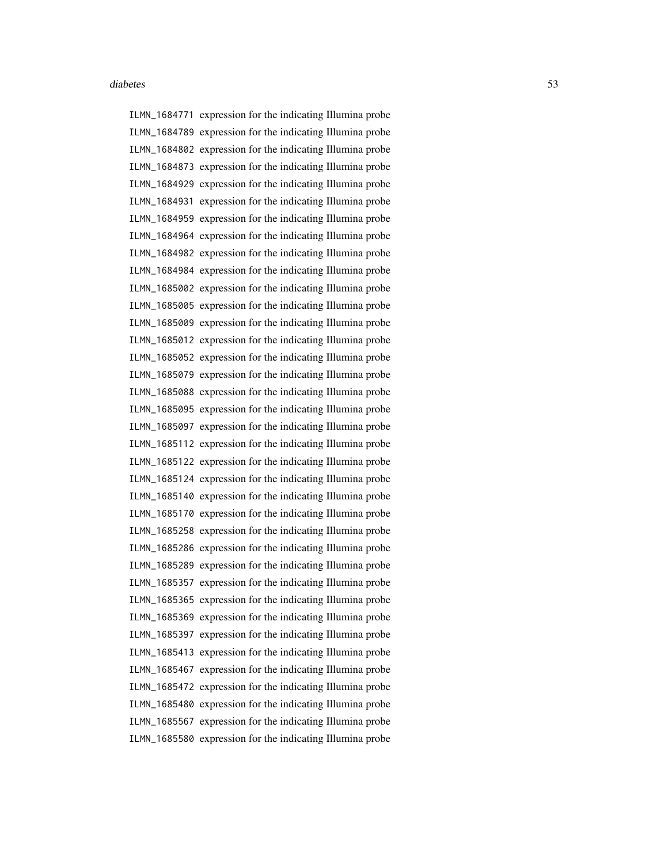ILMN\_1684771 expression for the indicating Illumina probe ILMN\_1684789 expression for the indicating Illumina probe ILMN\_1684802 expression for the indicating Illumina probe ILMN\_1684873 expression for the indicating Illumina probe ILMN\_1684929 expression for the indicating Illumina probe ILMN\_1684931 expression for the indicating Illumina probe ILMN\_1684959 expression for the indicating Illumina probe ILMN\_1684964 expression for the indicating Illumina probe ILMN\_1684982 expression for the indicating Illumina probe ILMN\_1684984 expression for the indicating Illumina probe ILMN\_1685002 expression for the indicating Illumina probe ILMN\_1685005 expression for the indicating Illumina probe ILMN\_1685009 expression for the indicating Illumina probe ILMN\_1685012 expression for the indicating Illumina probe ILMN\_1685052 expression for the indicating Illumina probe ILMN\_1685079 expression for the indicating Illumina probe ILMN\_1685088 expression for the indicating Illumina probe ILMN\_1685095 expression for the indicating Illumina probe ILMN\_1685097 expression for the indicating Illumina probe ILMN\_1685112 expression for the indicating Illumina probe ILMN\_1685122 expression for the indicating Illumina probe ILMN\_1685124 expression for the indicating Illumina probe ILMN\_1685140 expression for the indicating Illumina probe ILMN\_1685170 expression for the indicating Illumina probe ILMN\_1685258 expression for the indicating Illumina probe ILMN\_1685286 expression for the indicating Illumina probe ILMN\_1685289 expression for the indicating Illumina probe ILMN\_1685357 expression for the indicating Illumina probe ILMN\_1685365 expression for the indicating Illumina probe ILMN\_1685369 expression for the indicating Illumina probe ILMN\_1685397 expression for the indicating Illumina probe ILMN\_1685413 expression for the indicating Illumina probe ILMN\_1685467 expression for the indicating Illumina probe ILMN\_1685472 expression for the indicating Illumina probe ILMN\_1685480 expression for the indicating Illumina probe ILMN\_1685567 expression for the indicating Illumina probe ILMN\_1685580 expression for the indicating Illumina probe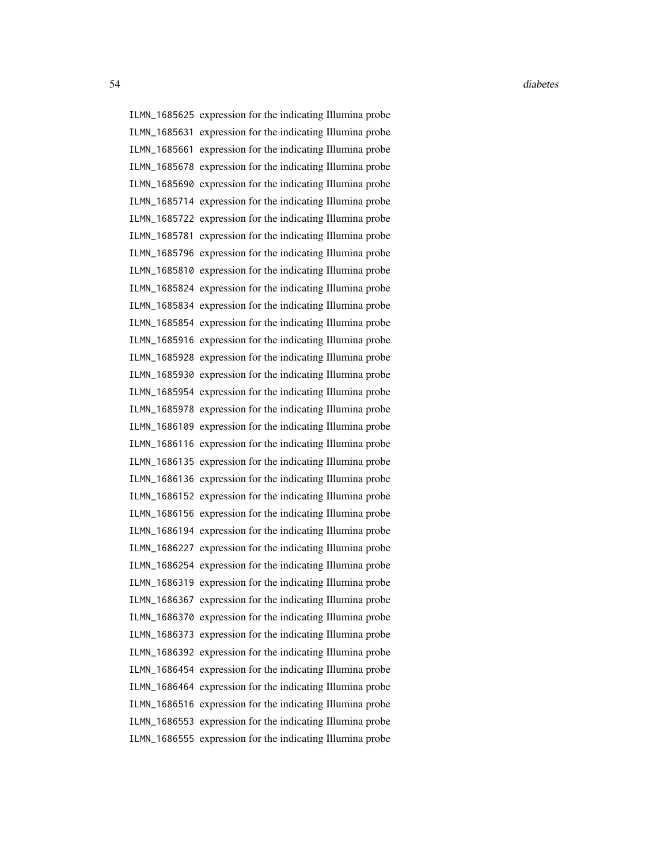ILMN\_1685625 expression for the indicating Illumina probe ILMN\_1685631 expression for the indicating Illumina probe ILMN\_1685661 expression for the indicating Illumina probe ILMN\_1685678 expression for the indicating Illumina probe ILMN\_1685690 expression for the indicating Illumina probe ILMN\_1685714 expression for the indicating Illumina probe ILMN\_1685722 expression for the indicating Illumina probe ILMN\_1685781 expression for the indicating Illumina probe ILMN\_1685796 expression for the indicating Illumina probe ILMN\_1685810 expression for the indicating Illumina probe ILMN\_1685824 expression for the indicating Illumina probe ILMN\_1685834 expression for the indicating Illumina probe ILMN\_1685854 expression for the indicating Illumina probe ILMN\_1685916 expression for the indicating Illumina probe ILMN\_1685928 expression for the indicating Illumina probe ILMN\_1685930 expression for the indicating Illumina probe ILMN\_1685954 expression for the indicating Illumina probe ILMN\_1685978 expression for the indicating Illumina probe ILMN\_1686109 expression for the indicating Illumina probe ILMN\_1686116 expression for the indicating Illumina probe ILMN\_1686135 expression for the indicating Illumina probe ILMN\_1686136 expression for the indicating Illumina probe ILMN\_1686152 expression for the indicating Illumina probe ILMN\_1686156 expression for the indicating Illumina probe ILMN\_1686194 expression for the indicating Illumina probe ILMN\_1686227 expression for the indicating Illumina probe ILMN\_1686254 expression for the indicating Illumina probe ILMN\_1686319 expression for the indicating Illumina probe ILMN\_1686367 expression for the indicating Illumina probe ILMN\_1686370 expression for the indicating Illumina probe ILMN\_1686373 expression for the indicating Illumina probe ILMN\_1686392 expression for the indicating Illumina probe ILMN\_1686454 expression for the indicating Illumina probe ILMN\_1686464 expression for the indicating Illumina probe ILMN\_1686516 expression for the indicating Illumina probe ILMN\_1686553 expression for the indicating Illumina probe ILMN\_1686555 expression for the indicating Illumina probe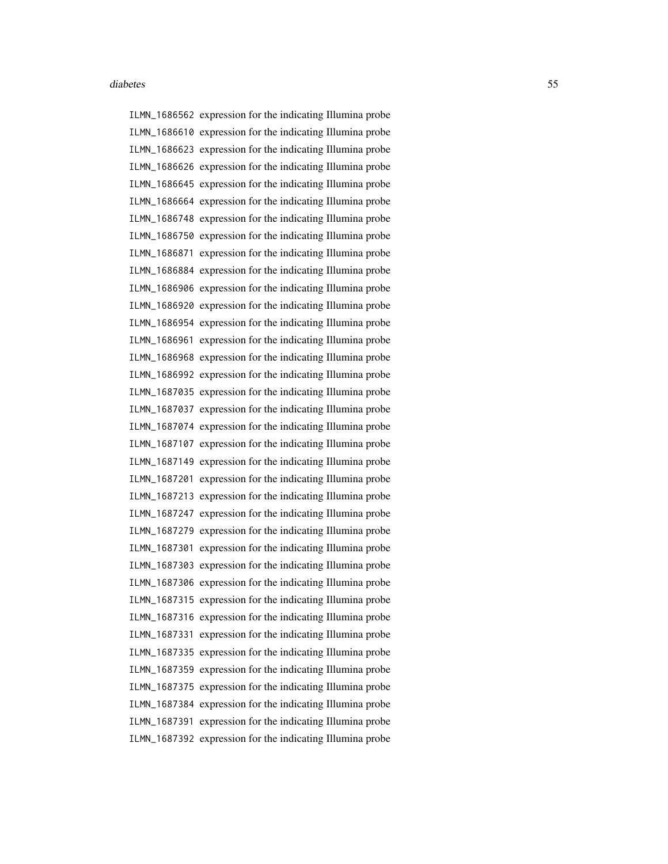ILMN\_1686562 expression for the indicating Illumina probe ILMN\_1686610 expression for the indicating Illumina probe ILMN\_1686623 expression for the indicating Illumina probe ILMN\_1686626 expression for the indicating Illumina probe ILMN\_1686645 expression for the indicating Illumina probe ILMN\_1686664 expression for the indicating Illumina probe ILMN\_1686748 expression for the indicating Illumina probe ILMN\_1686750 expression for the indicating Illumina probe ILMN\_1686871 expression for the indicating Illumina probe ILMN\_1686884 expression for the indicating Illumina probe ILMN\_1686906 expression for the indicating Illumina probe ILMN\_1686920 expression for the indicating Illumina probe ILMN\_1686954 expression for the indicating Illumina probe ILMN\_1686961 expression for the indicating Illumina probe ILMN\_1686968 expression for the indicating Illumina probe ILMN\_1686992 expression for the indicating Illumina probe ILMN\_1687035 expression for the indicating Illumina probe ILMN\_1687037 expression for the indicating Illumina probe ILMN\_1687074 expression for the indicating Illumina probe ILMN\_1687107 expression for the indicating Illumina probe ILMN\_1687149 expression for the indicating Illumina probe ILMN\_1687201 expression for the indicating Illumina probe ILMN\_1687213 expression for the indicating Illumina probe ILMN\_1687247 expression for the indicating Illumina probe ILMN\_1687279 expression for the indicating Illumina probe ILMN\_1687301 expression for the indicating Illumina probe ILMN\_1687303 expression for the indicating Illumina probe ILMN\_1687306 expression for the indicating Illumina probe ILMN\_1687315 expression for the indicating Illumina probe ILMN\_1687316 expression for the indicating Illumina probe ILMN\_1687331 expression for the indicating Illumina probe ILMN\_1687335 expression for the indicating Illumina probe ILMN\_1687359 expression for the indicating Illumina probe ILMN\_1687375 expression for the indicating Illumina probe ILMN\_1687384 expression for the indicating Illumina probe ILMN\_1687391 expression for the indicating Illumina probe ILMN\_1687392 expression for the indicating Illumina probe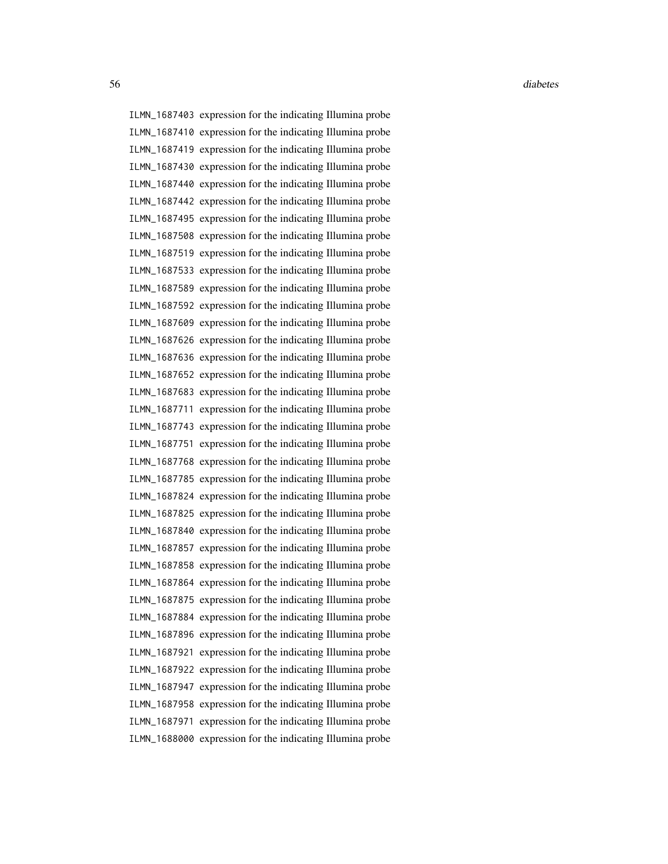ILMN\_1687403 expression for the indicating Illumina probe ILMN\_1687410 expression for the indicating Illumina probe ILMN\_1687419 expression for the indicating Illumina probe ILMN\_1687430 expression for the indicating Illumina probe ILMN\_1687440 expression for the indicating Illumina probe ILMN\_1687442 expression for the indicating Illumina probe ILMN\_1687495 expression for the indicating Illumina probe ILMN\_1687508 expression for the indicating Illumina probe ILMN\_1687519 expression for the indicating Illumina probe ILMN\_1687533 expression for the indicating Illumina probe ILMN\_1687589 expression for the indicating Illumina probe ILMN\_1687592 expression for the indicating Illumina probe ILMN\_1687609 expression for the indicating Illumina probe ILMN\_1687626 expression for the indicating Illumina probe ILMN\_1687636 expression for the indicating Illumina probe ILMN\_1687652 expression for the indicating Illumina probe ILMN\_1687683 expression for the indicating Illumina probe ILMN\_1687711 expression for the indicating Illumina probe ILMN\_1687743 expression for the indicating Illumina probe ILMN\_1687751 expression for the indicating Illumina probe ILMN\_1687768 expression for the indicating Illumina probe ILMN\_1687785 expression for the indicating Illumina probe ILMN\_1687824 expression for the indicating Illumina probe ILMN\_1687825 expression for the indicating Illumina probe ILMN\_1687840 expression for the indicating Illumina probe ILMN\_1687857 expression for the indicating Illumina probe ILMN\_1687858 expression for the indicating Illumina probe ILMN\_1687864 expression for the indicating Illumina probe ILMN\_1687875 expression for the indicating Illumina probe ILMN\_1687884 expression for the indicating Illumina probe ILMN\_1687896 expression for the indicating Illumina probe ILMN\_1687921 expression for the indicating Illumina probe ILMN\_1687922 expression for the indicating Illumina probe ILMN\_1687947 expression for the indicating Illumina probe ILMN\_1687958 expression for the indicating Illumina probe ILMN\_1687971 expression for the indicating Illumina probe ILMN\_1688000 expression for the indicating Illumina probe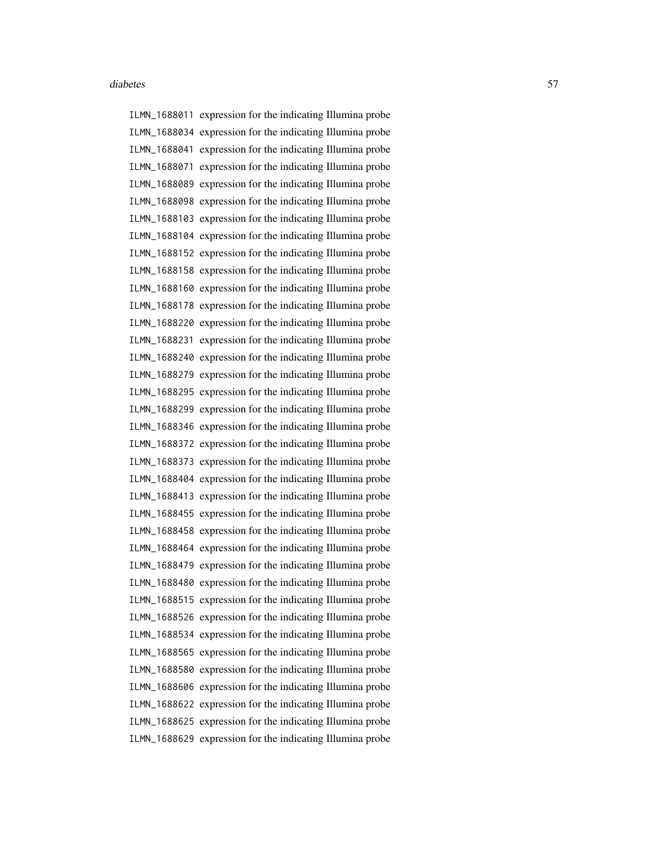ILMN\_1688011 expression for the indicating Illumina probe ILMN\_1688034 expression for the indicating Illumina probe ILMN\_1688041 expression for the indicating Illumina probe ILMN\_1688071 expression for the indicating Illumina probe ILMN\_1688089 expression for the indicating Illumina probe ILMN\_1688098 expression for the indicating Illumina probe ILMN\_1688103 expression for the indicating Illumina probe ILMN\_1688104 expression for the indicating Illumina probe ILMN\_1688152 expression for the indicating Illumina probe ILMN\_1688158 expression for the indicating Illumina probe ILMN\_1688160 expression for the indicating Illumina probe ILMN\_1688178 expression for the indicating Illumina probe ILMN\_1688220 expression for the indicating Illumina probe ILMN\_1688231 expression for the indicating Illumina probe ILMN\_1688240 expression for the indicating Illumina probe ILMN\_1688279 expression for the indicating Illumina probe ILMN\_1688295 expression for the indicating Illumina probe ILMN\_1688299 expression for the indicating Illumina probe ILMN\_1688346 expression for the indicating Illumina probe ILMN\_1688372 expression for the indicating Illumina probe ILMN\_1688373 expression for the indicating Illumina probe ILMN\_1688404 expression for the indicating Illumina probe ILMN\_1688413 expression for the indicating Illumina probe ILMN\_1688455 expression for the indicating Illumina probe ILMN\_1688458 expression for the indicating Illumina probe ILMN\_1688464 expression for the indicating Illumina probe ILMN\_1688479 expression for the indicating Illumina probe ILMN\_1688480 expression for the indicating Illumina probe ILMN\_1688515 expression for the indicating Illumina probe ILMN\_1688526 expression for the indicating Illumina probe ILMN\_1688534 expression for the indicating Illumina probe ILMN\_1688565 expression for the indicating Illumina probe ILMN\_1688580 expression for the indicating Illumina probe ILMN\_1688606 expression for the indicating Illumina probe ILMN\_1688622 expression for the indicating Illumina probe ILMN\_1688625 expression for the indicating Illumina probe ILMN\_1688629 expression for the indicating Illumina probe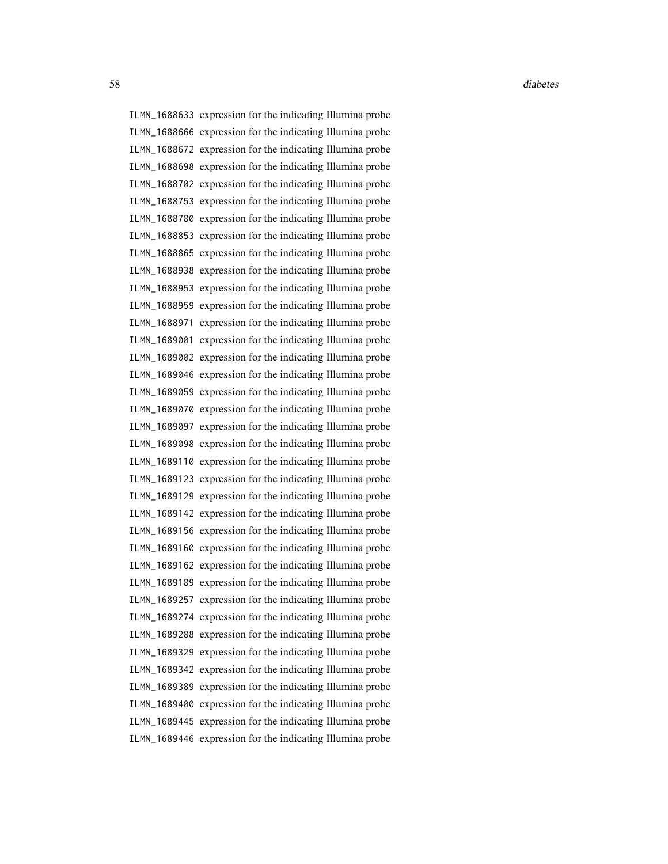ILMN\_1688633 expression for the indicating Illumina probe ILMN\_1688666 expression for the indicating Illumina probe ILMN\_1688672 expression for the indicating Illumina probe ILMN\_1688698 expression for the indicating Illumina probe ILMN\_1688702 expression for the indicating Illumina probe ILMN\_1688753 expression for the indicating Illumina probe ILMN\_1688780 expression for the indicating Illumina probe ILMN\_1688853 expression for the indicating Illumina probe ILMN\_1688865 expression for the indicating Illumina probe ILMN\_1688938 expression for the indicating Illumina probe ILMN\_1688953 expression for the indicating Illumina probe ILMN\_1688959 expression for the indicating Illumina probe ILMN\_1688971 expression for the indicating Illumina probe ILMN\_1689001 expression for the indicating Illumina probe ILMN\_1689002 expression for the indicating Illumina probe ILMN\_1689046 expression for the indicating Illumina probe ILMN\_1689059 expression for the indicating Illumina probe ILMN\_1689070 expression for the indicating Illumina probe ILMN\_1689097 expression for the indicating Illumina probe ILMN\_1689098 expression for the indicating Illumina probe ILMN\_1689110 expression for the indicating Illumina probe ILMN\_1689123 expression for the indicating Illumina probe ILMN\_1689129 expression for the indicating Illumina probe ILMN\_1689142 expression for the indicating Illumina probe ILMN\_1689156 expression for the indicating Illumina probe ILMN\_1689160 expression for the indicating Illumina probe ILMN\_1689162 expression for the indicating Illumina probe ILMN\_1689189 expression for the indicating Illumina probe ILMN\_1689257 expression for the indicating Illumina probe ILMN\_1689274 expression for the indicating Illumina probe ILMN\_1689288 expression for the indicating Illumina probe ILMN\_1689329 expression for the indicating Illumina probe ILMN\_1689342 expression for the indicating Illumina probe ILMN\_1689389 expression for the indicating Illumina probe ILMN\_1689400 expression for the indicating Illumina probe ILMN\_1689445 expression for the indicating Illumina probe ILMN\_1689446 expression for the indicating Illumina probe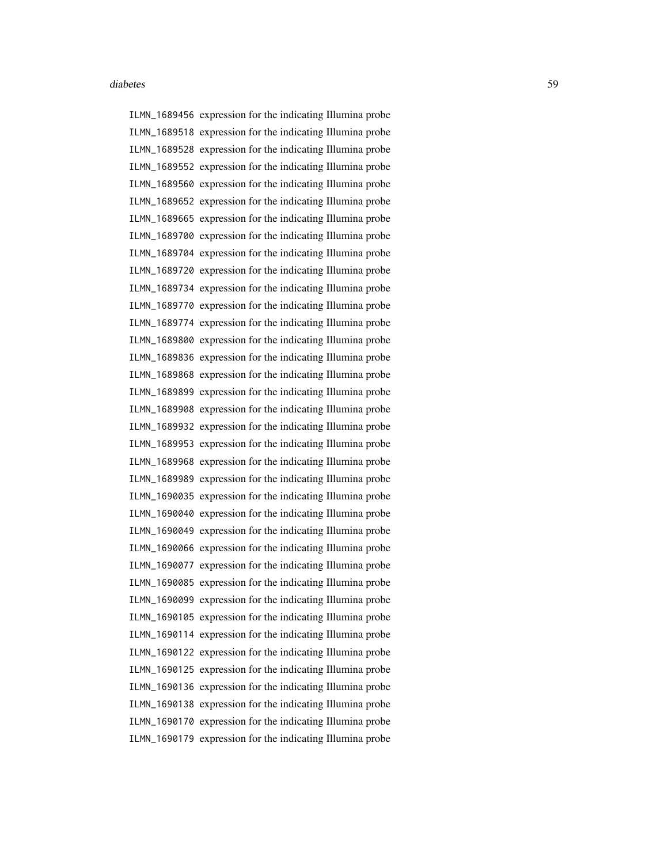ILMN\_1689456 expression for the indicating Illumina probe ILMN\_1689518 expression for the indicating Illumina probe ILMN\_1689528 expression for the indicating Illumina probe ILMN\_1689552 expression for the indicating Illumina probe ILMN\_1689560 expression for the indicating Illumina probe ILMN\_1689652 expression for the indicating Illumina probe ILMN\_1689665 expression for the indicating Illumina probe ILMN\_1689700 expression for the indicating Illumina probe ILMN\_1689704 expression for the indicating Illumina probe ILMN\_1689720 expression for the indicating Illumina probe ILMN\_1689734 expression for the indicating Illumina probe ILMN\_1689770 expression for the indicating Illumina probe ILMN\_1689774 expression for the indicating Illumina probe ILMN\_1689800 expression for the indicating Illumina probe ILMN\_1689836 expression for the indicating Illumina probe ILMN\_1689868 expression for the indicating Illumina probe ILMN\_1689899 expression for the indicating Illumina probe ILMN\_1689908 expression for the indicating Illumina probe ILMN\_1689932 expression for the indicating Illumina probe ILMN\_1689953 expression for the indicating Illumina probe ILMN\_1689968 expression for the indicating Illumina probe ILMN\_1689989 expression for the indicating Illumina probe ILMN\_1690035 expression for the indicating Illumina probe ILMN\_1690040 expression for the indicating Illumina probe ILMN\_1690049 expression for the indicating Illumina probe ILMN\_1690066 expression for the indicating Illumina probe ILMN\_1690077 expression for the indicating Illumina probe ILMN\_1690085 expression for the indicating Illumina probe ILMN\_1690099 expression for the indicating Illumina probe ILMN\_1690105 expression for the indicating Illumina probe ILMN\_1690114 expression for the indicating Illumina probe ILMN\_1690122 expression for the indicating Illumina probe ILMN\_1690125 expression for the indicating Illumina probe ILMN\_1690136 expression for the indicating Illumina probe ILMN\_1690138 expression for the indicating Illumina probe ILMN\_1690170 expression for the indicating Illumina probe ILMN\_1690179 expression for the indicating Illumina probe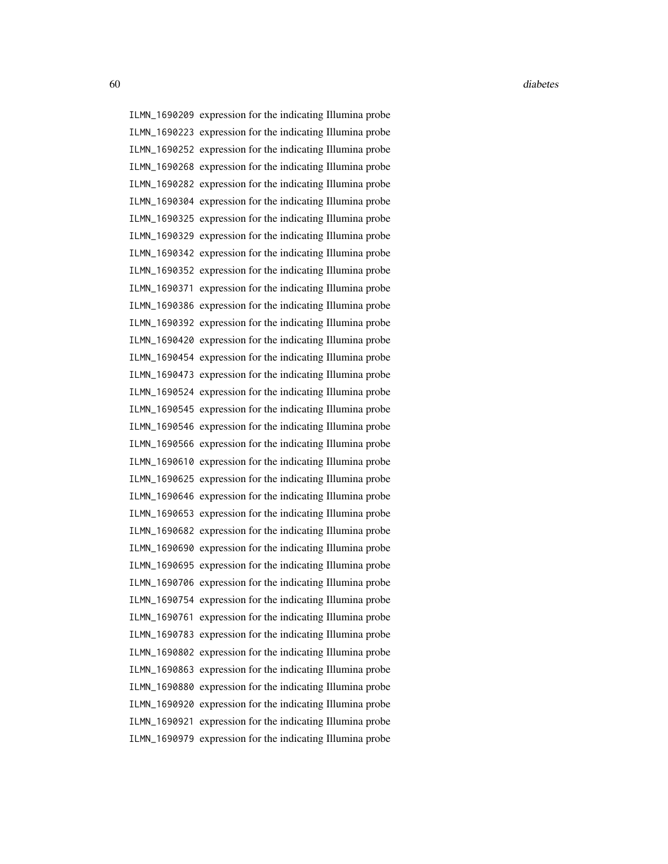ILMN\_1690209 expression for the indicating Illumina probe ILMN\_1690223 expression for the indicating Illumina probe ILMN\_1690252 expression for the indicating Illumina probe ILMN\_1690268 expression for the indicating Illumina probe ILMN\_1690282 expression for the indicating Illumina probe ILMN\_1690304 expression for the indicating Illumina probe ILMN\_1690325 expression for the indicating Illumina probe ILMN\_1690329 expression for the indicating Illumina probe ILMN\_1690342 expression for the indicating Illumina probe ILMN\_1690352 expression for the indicating Illumina probe ILMN\_1690371 expression for the indicating Illumina probe ILMN\_1690386 expression for the indicating Illumina probe ILMN\_1690392 expression for the indicating Illumina probe ILMN\_1690420 expression for the indicating Illumina probe ILMN\_1690454 expression for the indicating Illumina probe ILMN\_1690473 expression for the indicating Illumina probe ILMN\_1690524 expression for the indicating Illumina probe ILMN\_1690545 expression for the indicating Illumina probe ILMN\_1690546 expression for the indicating Illumina probe ILMN\_1690566 expression for the indicating Illumina probe ILMN\_1690610 expression for the indicating Illumina probe ILMN\_1690625 expression for the indicating Illumina probe ILMN\_1690646 expression for the indicating Illumina probe ILMN\_1690653 expression for the indicating Illumina probe ILMN\_1690682 expression for the indicating Illumina probe ILMN\_1690690 expression for the indicating Illumina probe ILMN\_1690695 expression for the indicating Illumina probe ILMN\_1690706 expression for the indicating Illumina probe ILMN\_1690754 expression for the indicating Illumina probe ILMN\_1690761 expression for the indicating Illumina probe ILMN\_1690783 expression for the indicating Illumina probe ILMN\_1690802 expression for the indicating Illumina probe ILMN\_1690863 expression for the indicating Illumina probe ILMN\_1690880 expression for the indicating Illumina probe ILMN\_1690920 expression for the indicating Illumina probe ILMN\_1690921 expression for the indicating Illumina probe ILMN\_1690979 expression for the indicating Illumina probe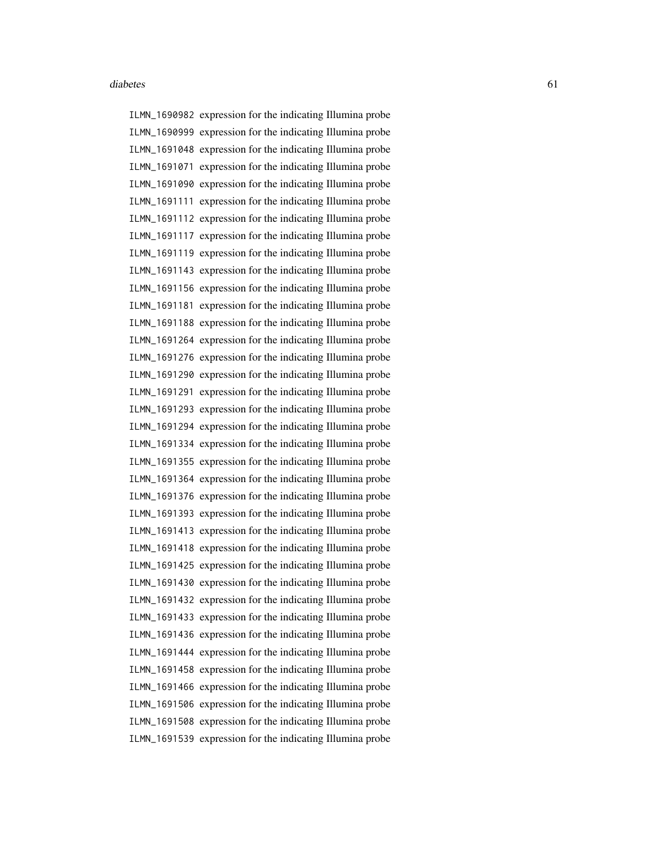ILMN\_1690982 expression for the indicating Illumina probe ILMN\_1690999 expression for the indicating Illumina probe ILMN\_1691048 expression for the indicating Illumina probe ILMN\_1691071 expression for the indicating Illumina probe ILMN\_1691090 expression for the indicating Illumina probe ILMN\_1691111 expression for the indicating Illumina probe ILMN\_1691112 expression for the indicating Illumina probe ILMN\_1691117 expression for the indicating Illumina probe ILMN\_1691119 expression for the indicating Illumina probe ILMN\_1691143 expression for the indicating Illumina probe ILMN\_1691156 expression for the indicating Illumina probe ILMN\_1691181 expression for the indicating Illumina probe ILMN\_1691188 expression for the indicating Illumina probe ILMN\_1691264 expression for the indicating Illumina probe ILMN\_1691276 expression for the indicating Illumina probe ILMN\_1691290 expression for the indicating Illumina probe ILMN\_1691291 expression for the indicating Illumina probe ILMN\_1691293 expression for the indicating Illumina probe ILMN\_1691294 expression for the indicating Illumina probe ILMN\_1691334 expression for the indicating Illumina probe ILMN\_1691355 expression for the indicating Illumina probe ILMN\_1691364 expression for the indicating Illumina probe ILMN\_1691376 expression for the indicating Illumina probe ILMN\_1691393 expression for the indicating Illumina probe ILMN\_1691413 expression for the indicating Illumina probe ILMN\_1691418 expression for the indicating Illumina probe ILMN\_1691425 expression for the indicating Illumina probe ILMN\_1691430 expression for the indicating Illumina probe ILMN\_1691432 expression for the indicating Illumina probe ILMN\_1691433 expression for the indicating Illumina probe ILMN\_1691436 expression for the indicating Illumina probe ILMN\_1691444 expression for the indicating Illumina probe ILMN\_1691458 expression for the indicating Illumina probe ILMN\_1691466 expression for the indicating Illumina probe ILMN\_1691506 expression for the indicating Illumina probe ILMN\_1691508 expression for the indicating Illumina probe ILMN\_1691539 expression for the indicating Illumina probe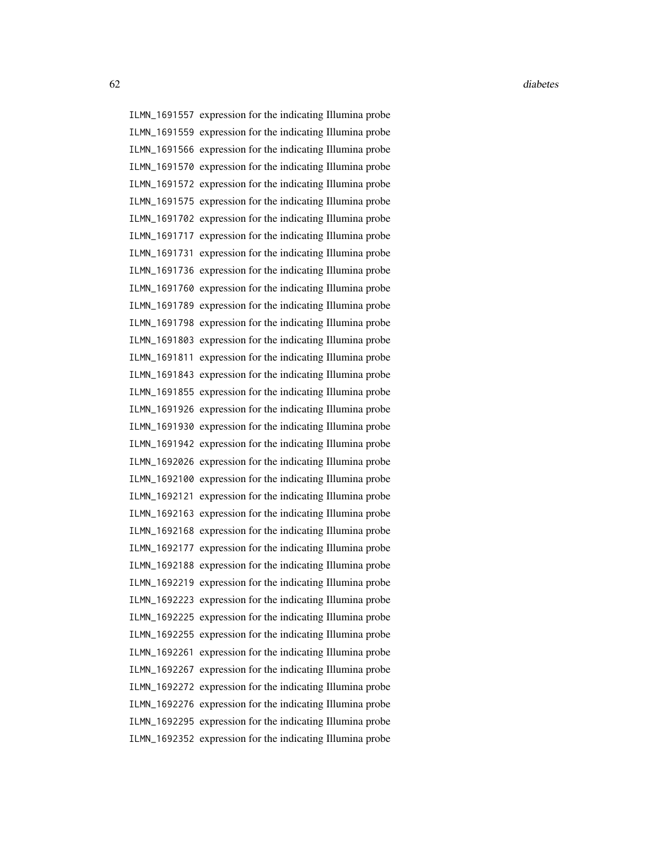ILMN\_1691557 expression for the indicating Illumina probe ILMN\_1691559 expression for the indicating Illumina probe ILMN\_1691566 expression for the indicating Illumina probe ILMN\_1691570 expression for the indicating Illumina probe ILMN\_1691572 expression for the indicating Illumina probe ILMN\_1691575 expression for the indicating Illumina probe ILMN\_1691702 expression for the indicating Illumina probe ILMN\_1691717 expression for the indicating Illumina probe ILMN\_1691731 expression for the indicating Illumina probe ILMN\_1691736 expression for the indicating Illumina probe ILMN\_1691760 expression for the indicating Illumina probe ILMN\_1691789 expression for the indicating Illumina probe ILMN\_1691798 expression for the indicating Illumina probe ILMN\_1691803 expression for the indicating Illumina probe ILMN\_1691811 expression for the indicating Illumina probe ILMN\_1691843 expression for the indicating Illumina probe ILMN\_1691855 expression for the indicating Illumina probe ILMN\_1691926 expression for the indicating Illumina probe ILMN\_1691930 expression for the indicating Illumina probe ILMN\_1691942 expression for the indicating Illumina probe ILMN\_1692026 expression for the indicating Illumina probe ILMN\_1692100 expression for the indicating Illumina probe ILMN\_1692121 expression for the indicating Illumina probe ILMN\_1692163 expression for the indicating Illumina probe ILMN\_1692168 expression for the indicating Illumina probe ILMN\_1692177 expression for the indicating Illumina probe ILMN\_1692188 expression for the indicating Illumina probe ILMN\_1692219 expression for the indicating Illumina probe ILMN\_1692223 expression for the indicating Illumina probe ILMN\_1692225 expression for the indicating Illumina probe ILMN\_1692255 expression for the indicating Illumina probe ILMN\_1692261 expression for the indicating Illumina probe ILMN\_1692267 expression for the indicating Illumina probe ILMN\_1692272 expression for the indicating Illumina probe ILMN\_1692276 expression for the indicating Illumina probe ILMN\_1692295 expression for the indicating Illumina probe ILMN\_1692352 expression for the indicating Illumina probe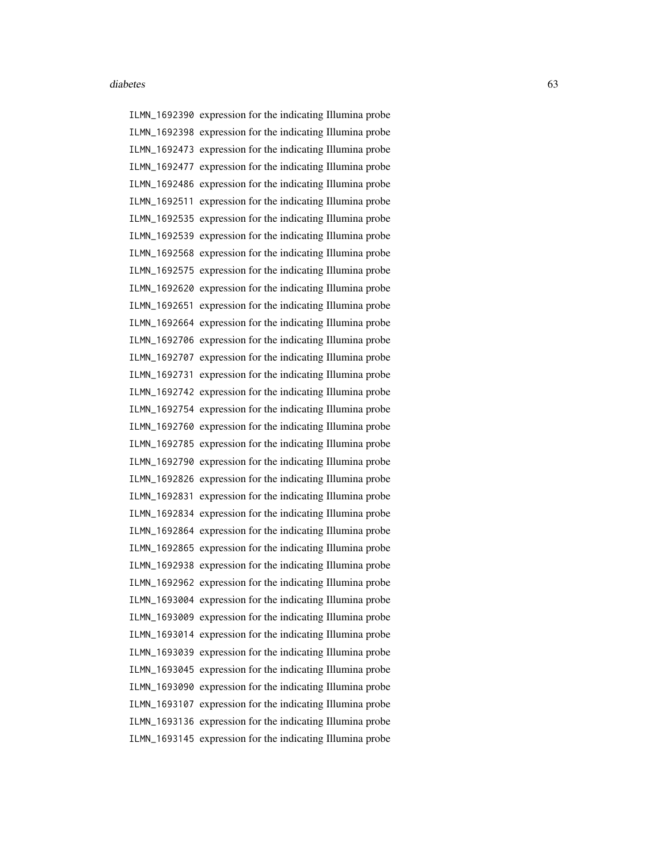ILMN\_1692390 expression for the indicating Illumina probe ILMN\_1692398 expression for the indicating Illumina probe ILMN\_1692473 expression for the indicating Illumina probe ILMN\_1692477 expression for the indicating Illumina probe ILMN\_1692486 expression for the indicating Illumina probe ILMN\_1692511 expression for the indicating Illumina probe ILMN\_1692535 expression for the indicating Illumina probe ILMN\_1692539 expression for the indicating Illumina probe ILMN\_1692568 expression for the indicating Illumina probe ILMN\_1692575 expression for the indicating Illumina probe ILMN\_1692620 expression for the indicating Illumina probe ILMN\_1692651 expression for the indicating Illumina probe ILMN\_1692664 expression for the indicating Illumina probe ILMN\_1692706 expression for the indicating Illumina probe ILMN\_1692707 expression for the indicating Illumina probe ILMN\_1692731 expression for the indicating Illumina probe ILMN\_1692742 expression for the indicating Illumina probe ILMN\_1692754 expression for the indicating Illumina probe ILMN\_1692760 expression for the indicating Illumina probe ILMN\_1692785 expression for the indicating Illumina probe ILMN\_1692790 expression for the indicating Illumina probe ILMN\_1692826 expression for the indicating Illumina probe ILMN\_1692831 expression for the indicating Illumina probe ILMN\_1692834 expression for the indicating Illumina probe ILMN\_1692864 expression for the indicating Illumina probe ILMN\_1692865 expression for the indicating Illumina probe ILMN\_1692938 expression for the indicating Illumina probe ILMN\_1692962 expression for the indicating Illumina probe ILMN\_1693004 expression for the indicating Illumina probe ILMN\_1693009 expression for the indicating Illumina probe ILMN\_1693014 expression for the indicating Illumina probe ILMN\_1693039 expression for the indicating Illumina probe ILMN\_1693045 expression for the indicating Illumina probe ILMN\_1693090 expression for the indicating Illumina probe ILMN\_1693107 expression for the indicating Illumina probe ILMN\_1693136 expression for the indicating Illumina probe ILMN\_1693145 expression for the indicating Illumina probe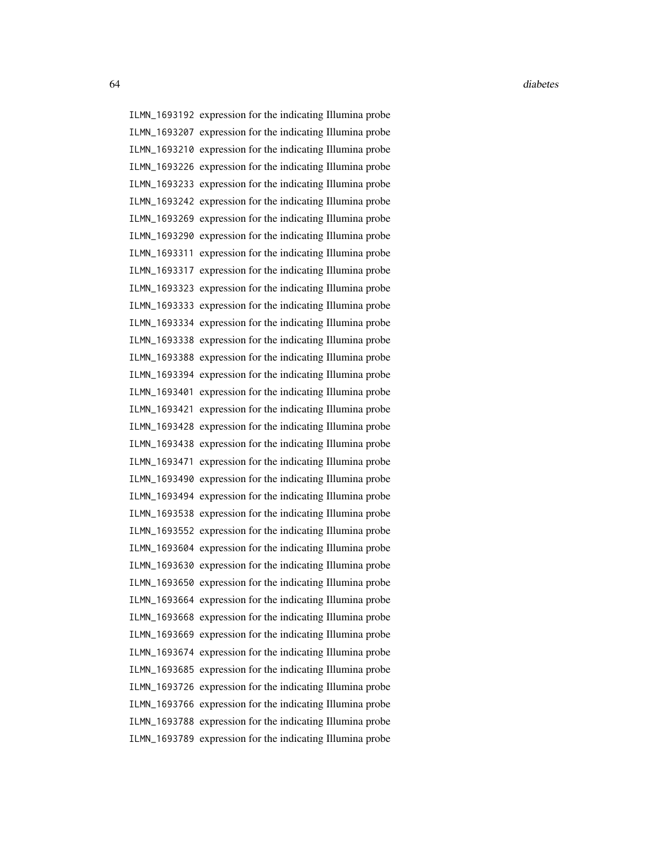ILMN\_1693192 expression for the indicating Illumina probe ILMN\_1693207 expression for the indicating Illumina probe ILMN\_1693210 expression for the indicating Illumina probe ILMN\_1693226 expression for the indicating Illumina probe ILMN\_1693233 expression for the indicating Illumina probe ILMN\_1693242 expression for the indicating Illumina probe ILMN\_1693269 expression for the indicating Illumina probe ILMN\_1693290 expression for the indicating Illumina probe ILMN\_1693311 expression for the indicating Illumina probe ILMN\_1693317 expression for the indicating Illumina probe ILMN\_1693323 expression for the indicating Illumina probe ILMN\_1693333 expression for the indicating Illumina probe ILMN\_1693334 expression for the indicating Illumina probe ILMN\_1693338 expression for the indicating Illumina probe ILMN\_1693388 expression for the indicating Illumina probe ILMN\_1693394 expression for the indicating Illumina probe ILMN\_1693401 expression for the indicating Illumina probe ILMN\_1693421 expression for the indicating Illumina probe ILMN\_1693428 expression for the indicating Illumina probe ILMN\_1693438 expression for the indicating Illumina probe ILMN\_1693471 expression for the indicating Illumina probe ILMN\_1693490 expression for the indicating Illumina probe ILMN\_1693494 expression for the indicating Illumina probe ILMN\_1693538 expression for the indicating Illumina probe ILMN\_1693552 expression for the indicating Illumina probe ILMN\_1693604 expression for the indicating Illumina probe ILMN\_1693630 expression for the indicating Illumina probe ILMN\_1693650 expression for the indicating Illumina probe ILMN\_1693664 expression for the indicating Illumina probe ILMN\_1693668 expression for the indicating Illumina probe ILMN\_1693669 expression for the indicating Illumina probe ILMN\_1693674 expression for the indicating Illumina probe ILMN\_1693685 expression for the indicating Illumina probe ILMN\_1693726 expression for the indicating Illumina probe ILMN\_1693766 expression for the indicating Illumina probe ILMN\_1693788 expression for the indicating Illumina probe ILMN\_1693789 expression for the indicating Illumina probe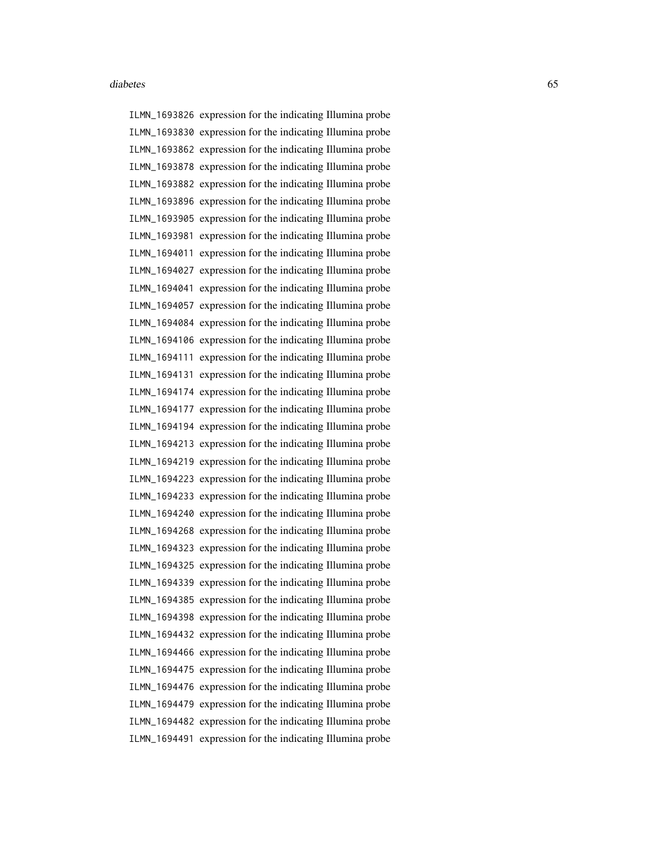ILMN\_1693826 expression for the indicating Illumina probe ILMN\_1693830 expression for the indicating Illumina probe ILMN\_1693862 expression for the indicating Illumina probe ILMN\_1693878 expression for the indicating Illumina probe ILMN\_1693882 expression for the indicating Illumina probe ILMN\_1693896 expression for the indicating Illumina probe ILMN\_1693905 expression for the indicating Illumina probe ILMN\_1693981 expression for the indicating Illumina probe ILMN\_1694011 expression for the indicating Illumina probe ILMN\_1694027 expression for the indicating Illumina probe ILMN\_1694041 expression for the indicating Illumina probe ILMN\_1694057 expression for the indicating Illumina probe ILMN\_1694084 expression for the indicating Illumina probe ILMN\_1694106 expression for the indicating Illumina probe ILMN\_1694111 expression for the indicating Illumina probe ILMN\_1694131 expression for the indicating Illumina probe ILMN\_1694174 expression for the indicating Illumina probe ILMN\_1694177 expression for the indicating Illumina probe ILMN\_1694194 expression for the indicating Illumina probe ILMN\_1694213 expression for the indicating Illumina probe ILMN\_1694219 expression for the indicating Illumina probe ILMN\_1694223 expression for the indicating Illumina probe ILMN\_1694233 expression for the indicating Illumina probe ILMN\_1694240 expression for the indicating Illumina probe ILMN\_1694268 expression for the indicating Illumina probe ILMN\_1694323 expression for the indicating Illumina probe ILMN\_1694325 expression for the indicating Illumina probe ILMN\_1694339 expression for the indicating Illumina probe ILMN\_1694385 expression for the indicating Illumina probe ILMN\_1694398 expression for the indicating Illumina probe ILMN\_1694432 expression for the indicating Illumina probe ILMN\_1694466 expression for the indicating Illumina probe ILMN\_1694475 expression for the indicating Illumina probe ILMN\_1694476 expression for the indicating Illumina probe ILMN\_1694479 expression for the indicating Illumina probe ILMN\_1694482 expression for the indicating Illumina probe ILMN\_1694491 expression for the indicating Illumina probe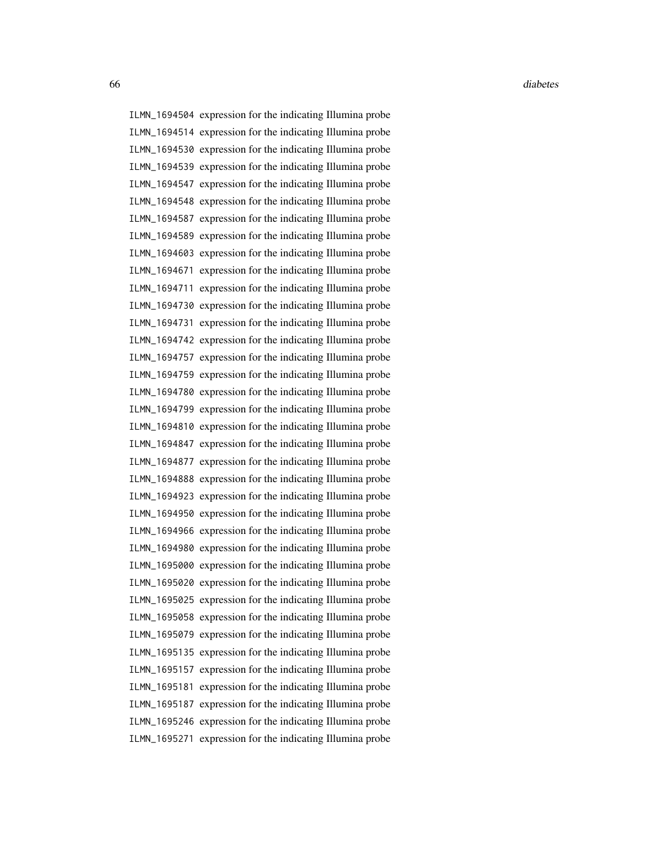ILMN\_1694504 expression for the indicating Illumina probe ILMN\_1694514 expression for the indicating Illumina probe ILMN\_1694530 expression for the indicating Illumina probe ILMN\_1694539 expression for the indicating Illumina probe ILMN\_1694547 expression for the indicating Illumina probe ILMN\_1694548 expression for the indicating Illumina probe ILMN\_1694587 expression for the indicating Illumina probe ILMN\_1694589 expression for the indicating Illumina probe ILMN\_1694603 expression for the indicating Illumina probe ILMN\_1694671 expression for the indicating Illumina probe ILMN\_1694711 expression for the indicating Illumina probe ILMN\_1694730 expression for the indicating Illumina probe ILMN\_1694731 expression for the indicating Illumina probe ILMN\_1694742 expression for the indicating Illumina probe ILMN\_1694757 expression for the indicating Illumina probe ILMN\_1694759 expression for the indicating Illumina probe ILMN\_1694780 expression for the indicating Illumina probe ILMN\_1694799 expression for the indicating Illumina probe ILMN\_1694810 expression for the indicating Illumina probe ILMN\_1694847 expression for the indicating Illumina probe ILMN\_1694877 expression for the indicating Illumina probe ILMN\_1694888 expression for the indicating Illumina probe ILMN\_1694923 expression for the indicating Illumina probe ILMN\_1694950 expression for the indicating Illumina probe ILMN\_1694966 expression for the indicating Illumina probe ILMN\_1694980 expression for the indicating Illumina probe ILMN\_1695000 expression for the indicating Illumina probe ILMN\_1695020 expression for the indicating Illumina probe ILMN\_1695025 expression for the indicating Illumina probe ILMN\_1695058 expression for the indicating Illumina probe ILMN\_1695079 expression for the indicating Illumina probe ILMN\_1695135 expression for the indicating Illumina probe ILMN\_1695157 expression for the indicating Illumina probe ILMN\_1695181 expression for the indicating Illumina probe ILMN\_1695187 expression for the indicating Illumina probe ILMN\_1695246 expression for the indicating Illumina probe ILMN\_1695271 expression for the indicating Illumina probe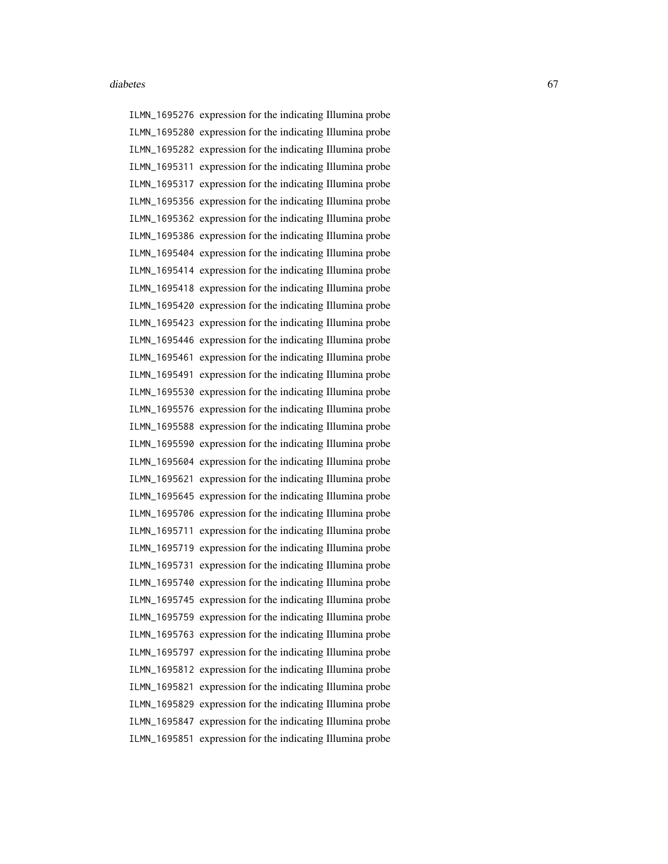ILMN\_1695276 expression for the indicating Illumina probe ILMN\_1695280 expression for the indicating Illumina probe ILMN\_1695282 expression for the indicating Illumina probe ILMN\_1695311 expression for the indicating Illumina probe ILMN\_1695317 expression for the indicating Illumina probe ILMN\_1695356 expression for the indicating Illumina probe ILMN\_1695362 expression for the indicating Illumina probe ILMN\_1695386 expression for the indicating Illumina probe ILMN\_1695404 expression for the indicating Illumina probe ILMN\_1695414 expression for the indicating Illumina probe ILMN\_1695418 expression for the indicating Illumina probe ILMN\_1695420 expression for the indicating Illumina probe ILMN\_1695423 expression for the indicating Illumina probe ILMN\_1695446 expression for the indicating Illumina probe ILMN\_1695461 expression for the indicating Illumina probe ILMN\_1695491 expression for the indicating Illumina probe ILMN\_1695530 expression for the indicating Illumina probe ILMN\_1695576 expression for the indicating Illumina probe ILMN\_1695588 expression for the indicating Illumina probe ILMN\_1695590 expression for the indicating Illumina probe ILMN\_1695604 expression for the indicating Illumina probe ILMN\_1695621 expression for the indicating Illumina probe ILMN\_1695645 expression for the indicating Illumina probe ILMN\_1695706 expression for the indicating Illumina probe ILMN\_1695711 expression for the indicating Illumina probe ILMN\_1695719 expression for the indicating Illumina probe ILMN\_1695731 expression for the indicating Illumina probe ILMN\_1695740 expression for the indicating Illumina probe ILMN\_1695745 expression for the indicating Illumina probe ILMN\_1695759 expression for the indicating Illumina probe ILMN\_1695763 expression for the indicating Illumina probe ILMN\_1695797 expression for the indicating Illumina probe ILMN\_1695812 expression for the indicating Illumina probe ILMN\_1695821 expression for the indicating Illumina probe ILMN\_1695829 expression for the indicating Illumina probe ILMN\_1695847 expression for the indicating Illumina probe ILMN\_1695851 expression for the indicating Illumina probe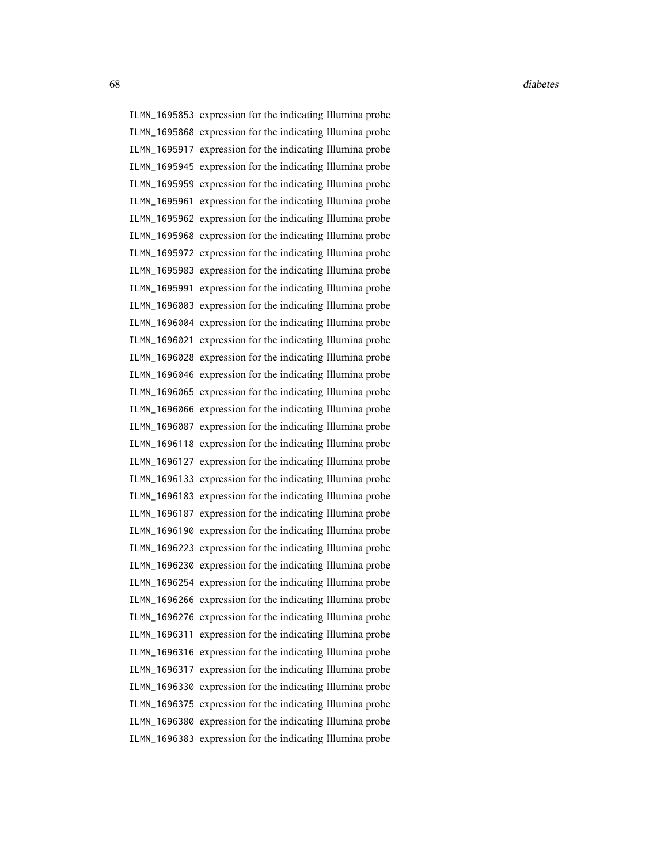ILMN\_1695853 expression for the indicating Illumina probe ILMN\_1695868 expression for the indicating Illumina probe ILMN\_1695917 expression for the indicating Illumina probe ILMN\_1695945 expression for the indicating Illumina probe ILMN\_1695959 expression for the indicating Illumina probe ILMN\_1695961 expression for the indicating Illumina probe ILMN\_1695962 expression for the indicating Illumina probe ILMN\_1695968 expression for the indicating Illumina probe ILMN\_1695972 expression for the indicating Illumina probe ILMN\_1695983 expression for the indicating Illumina probe ILMN\_1695991 expression for the indicating Illumina probe ILMN\_1696003 expression for the indicating Illumina probe ILMN\_1696004 expression for the indicating Illumina probe ILMN\_1696021 expression for the indicating Illumina probe ILMN\_1696028 expression for the indicating Illumina probe ILMN\_1696046 expression for the indicating Illumina probe ILMN\_1696065 expression for the indicating Illumina probe ILMN\_1696066 expression for the indicating Illumina probe ILMN\_1696087 expression for the indicating Illumina probe ILMN\_1696118 expression for the indicating Illumina probe ILMN\_1696127 expression for the indicating Illumina probe ILMN\_1696133 expression for the indicating Illumina probe ILMN\_1696183 expression for the indicating Illumina probe ILMN\_1696187 expression for the indicating Illumina probe ILMN\_1696190 expression for the indicating Illumina probe ILMN\_1696223 expression for the indicating Illumina probe ILMN\_1696230 expression for the indicating Illumina probe ILMN\_1696254 expression for the indicating Illumina probe ILMN\_1696266 expression for the indicating Illumina probe ILMN\_1696276 expression for the indicating Illumina probe ILMN\_1696311 expression for the indicating Illumina probe ILMN\_1696316 expression for the indicating Illumina probe ILMN\_1696317 expression for the indicating Illumina probe ILMN\_1696330 expression for the indicating Illumina probe ILMN\_1696375 expression for the indicating Illumina probe ILMN\_1696380 expression for the indicating Illumina probe ILMN\_1696383 expression for the indicating Illumina probe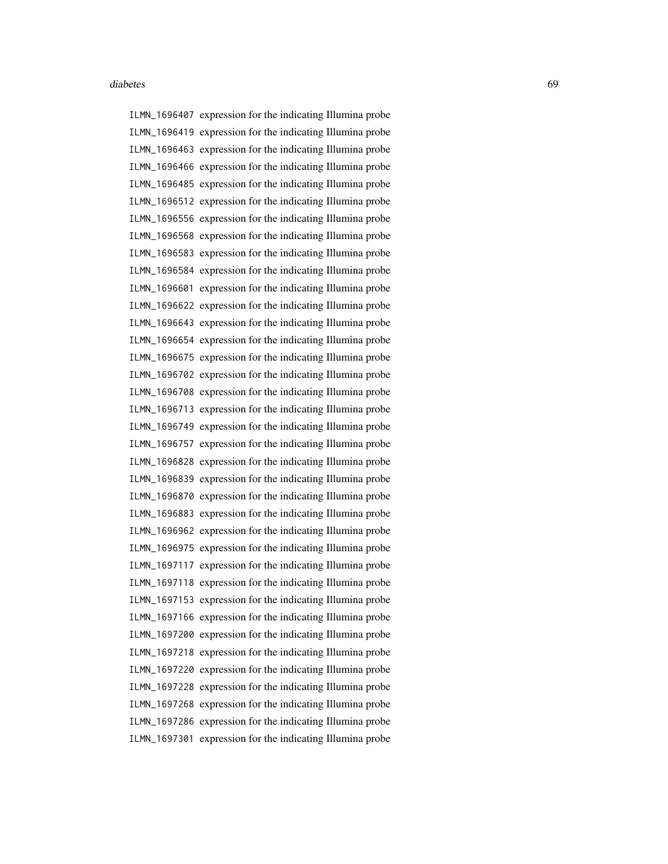ILMN\_1696407 expression for the indicating Illumina probe ILMN\_1696419 expression for the indicating Illumina probe ILMN\_1696463 expression for the indicating Illumina probe ILMN\_1696466 expression for the indicating Illumina probe ILMN\_1696485 expression for the indicating Illumina probe ILMN\_1696512 expression for the indicating Illumina probe ILMN\_1696556 expression for the indicating Illumina probe ILMN\_1696568 expression for the indicating Illumina probe ILMN\_1696583 expression for the indicating Illumina probe ILMN\_1696584 expression for the indicating Illumina probe ILMN\_1696601 expression for the indicating Illumina probe ILMN\_1696622 expression for the indicating Illumina probe ILMN\_1696643 expression for the indicating Illumina probe ILMN\_1696654 expression for the indicating Illumina probe ILMN\_1696675 expression for the indicating Illumina probe ILMN\_1696702 expression for the indicating Illumina probe ILMN\_1696708 expression for the indicating Illumina probe ILMN\_1696713 expression for the indicating Illumina probe ILMN\_1696749 expression for the indicating Illumina probe ILMN\_1696757 expression for the indicating Illumina probe ILMN\_1696828 expression for the indicating Illumina probe ILMN\_1696839 expression for the indicating Illumina probe ILMN\_1696870 expression for the indicating Illumina probe ILMN\_1696883 expression for the indicating Illumina probe ILMN\_1696962 expression for the indicating Illumina probe ILMN\_1696975 expression for the indicating Illumina probe ILMN\_1697117 expression for the indicating Illumina probe ILMN\_1697118 expression for the indicating Illumina probe ILMN\_1697153 expression for the indicating Illumina probe ILMN\_1697166 expression for the indicating Illumina probe ILMN\_1697200 expression for the indicating Illumina probe ILMN\_1697218 expression for the indicating Illumina probe ILMN\_1697220 expression for the indicating Illumina probe ILMN\_1697228 expression for the indicating Illumina probe ILMN\_1697268 expression for the indicating Illumina probe ILMN\_1697286 expression for the indicating Illumina probe ILMN\_1697301 expression for the indicating Illumina probe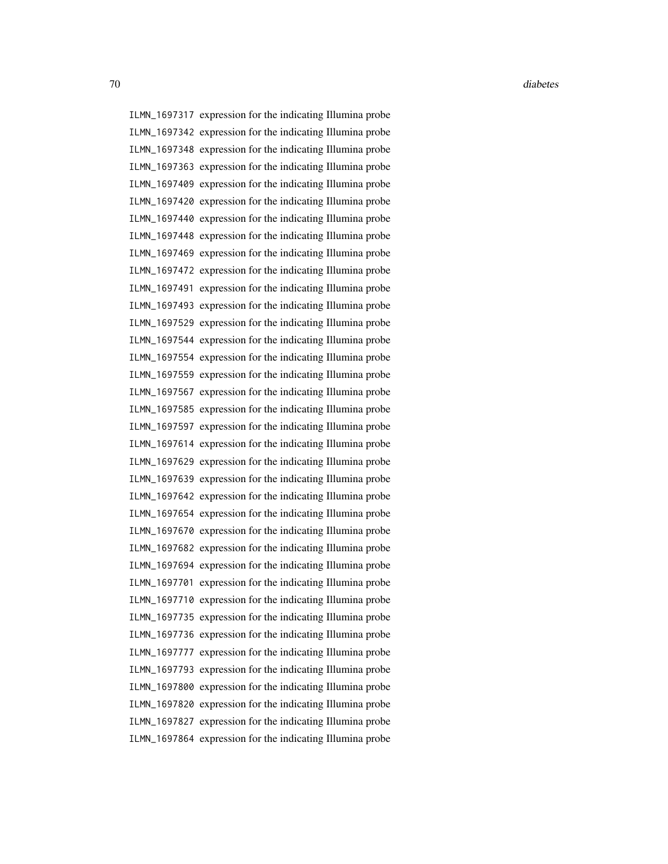ILMN\_1697317 expression for the indicating Illumina probe ILMN\_1697342 expression for the indicating Illumina probe ILMN\_1697348 expression for the indicating Illumina probe ILMN\_1697363 expression for the indicating Illumina probe ILMN\_1697409 expression for the indicating Illumina probe ILMN\_1697420 expression for the indicating Illumina probe ILMN\_1697440 expression for the indicating Illumina probe ILMN\_1697448 expression for the indicating Illumina probe ILMN\_1697469 expression for the indicating Illumina probe ILMN\_1697472 expression for the indicating Illumina probe ILMN\_1697491 expression for the indicating Illumina probe ILMN\_1697493 expression for the indicating Illumina probe ILMN\_1697529 expression for the indicating Illumina probe ILMN\_1697544 expression for the indicating Illumina probe ILMN\_1697554 expression for the indicating Illumina probe ILMN\_1697559 expression for the indicating Illumina probe ILMN\_1697567 expression for the indicating Illumina probe ILMN\_1697585 expression for the indicating Illumina probe ILMN\_1697597 expression for the indicating Illumina probe ILMN\_1697614 expression for the indicating Illumina probe ILMN\_1697629 expression for the indicating Illumina probe ILMN\_1697639 expression for the indicating Illumina probe ILMN\_1697642 expression for the indicating Illumina probe ILMN\_1697654 expression for the indicating Illumina probe ILMN\_1697670 expression for the indicating Illumina probe ILMN\_1697682 expression for the indicating Illumina probe ILMN\_1697694 expression for the indicating Illumina probe ILMN\_1697701 expression for the indicating Illumina probe ILMN\_1697710 expression for the indicating Illumina probe ILMN\_1697735 expression for the indicating Illumina probe ILMN\_1697736 expression for the indicating Illumina probe ILMN\_1697777 expression for the indicating Illumina probe ILMN\_1697793 expression for the indicating Illumina probe ILMN\_1697800 expression for the indicating Illumina probe ILMN\_1697820 expression for the indicating Illumina probe ILMN\_1697827 expression for the indicating Illumina probe ILMN\_1697864 expression for the indicating Illumina probe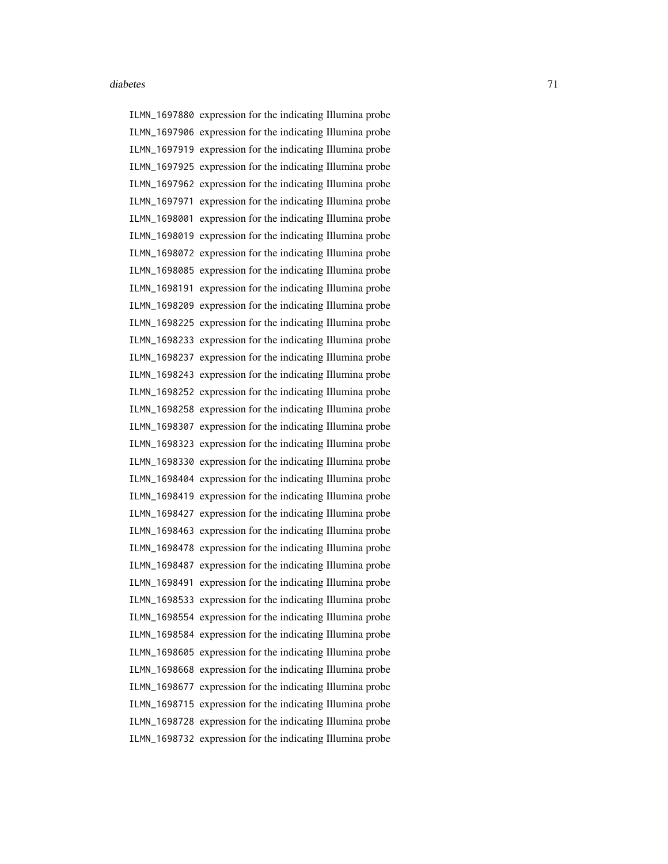ILMN\_1697880 expression for the indicating Illumina probe ILMN\_1697906 expression for the indicating Illumina probe ILMN\_1697919 expression for the indicating Illumina probe ILMN\_1697925 expression for the indicating Illumina probe ILMN\_1697962 expression for the indicating Illumina probe ILMN\_1697971 expression for the indicating Illumina probe ILMN\_1698001 expression for the indicating Illumina probe ILMN\_1698019 expression for the indicating Illumina probe ILMN\_1698072 expression for the indicating Illumina probe ILMN\_1698085 expression for the indicating Illumina probe ILMN\_1698191 expression for the indicating Illumina probe ILMN\_1698209 expression for the indicating Illumina probe ILMN\_1698225 expression for the indicating Illumina probe ILMN\_1698233 expression for the indicating Illumina probe ILMN\_1698237 expression for the indicating Illumina probe ILMN\_1698243 expression for the indicating Illumina probe ILMN\_1698252 expression for the indicating Illumina probe ILMN\_1698258 expression for the indicating Illumina probe ILMN\_1698307 expression for the indicating Illumina probe ILMN\_1698323 expression for the indicating Illumina probe ILMN\_1698330 expression for the indicating Illumina probe ILMN\_1698404 expression for the indicating Illumina probe ILMN\_1698419 expression for the indicating Illumina probe ILMN\_1698427 expression for the indicating Illumina probe ILMN\_1698463 expression for the indicating Illumina probe ILMN\_1698478 expression for the indicating Illumina probe ILMN\_1698487 expression for the indicating Illumina probe ILMN\_1698491 expression for the indicating Illumina probe ILMN\_1698533 expression for the indicating Illumina probe ILMN\_1698554 expression for the indicating Illumina probe ILMN\_1698584 expression for the indicating Illumina probe ILMN\_1698605 expression for the indicating Illumina probe ILMN\_1698668 expression for the indicating Illumina probe ILMN\_1698677 expression for the indicating Illumina probe ILMN\_1698715 expression for the indicating Illumina probe ILMN\_1698728 expression for the indicating Illumina probe ILMN\_1698732 expression for the indicating Illumina probe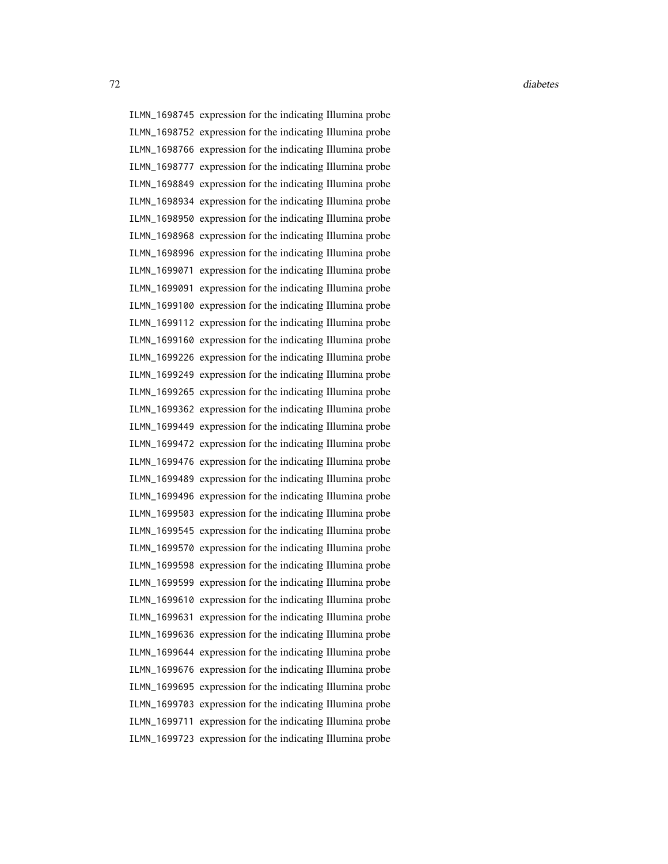ILMN\_1698745 expression for the indicating Illumina probe ILMN\_1698752 expression for the indicating Illumina probe ILMN\_1698766 expression for the indicating Illumina probe ILMN\_1698777 expression for the indicating Illumina probe ILMN\_1698849 expression for the indicating Illumina probe ILMN\_1698934 expression for the indicating Illumina probe ILMN\_1698950 expression for the indicating Illumina probe ILMN\_1698968 expression for the indicating Illumina probe ILMN\_1698996 expression for the indicating Illumina probe ILMN\_1699071 expression for the indicating Illumina probe ILMN\_1699091 expression for the indicating Illumina probe ILMN\_1699100 expression for the indicating Illumina probe ILMN\_1699112 expression for the indicating Illumina probe ILMN\_1699160 expression for the indicating Illumina probe ILMN\_1699226 expression for the indicating Illumina probe ILMN\_1699249 expression for the indicating Illumina probe ILMN\_1699265 expression for the indicating Illumina probe ILMN\_1699362 expression for the indicating Illumina probe ILMN\_1699449 expression for the indicating Illumina probe ILMN\_1699472 expression for the indicating Illumina probe ILMN\_1699476 expression for the indicating Illumina probe ILMN\_1699489 expression for the indicating Illumina probe ILMN\_1699496 expression for the indicating Illumina probe ILMN\_1699503 expression for the indicating Illumina probe ILMN\_1699545 expression for the indicating Illumina probe ILMN\_1699570 expression for the indicating Illumina probe ILMN\_1699598 expression for the indicating Illumina probe ILMN\_1699599 expression for the indicating Illumina probe ILMN\_1699610 expression for the indicating Illumina probe ILMN\_1699631 expression for the indicating Illumina probe ILMN\_1699636 expression for the indicating Illumina probe ILMN\_1699644 expression for the indicating Illumina probe ILMN\_1699676 expression for the indicating Illumina probe ILMN\_1699695 expression for the indicating Illumina probe ILMN\_1699703 expression for the indicating Illumina probe ILMN\_1699711 expression for the indicating Illumina probe ILMN\_1699723 expression for the indicating Illumina probe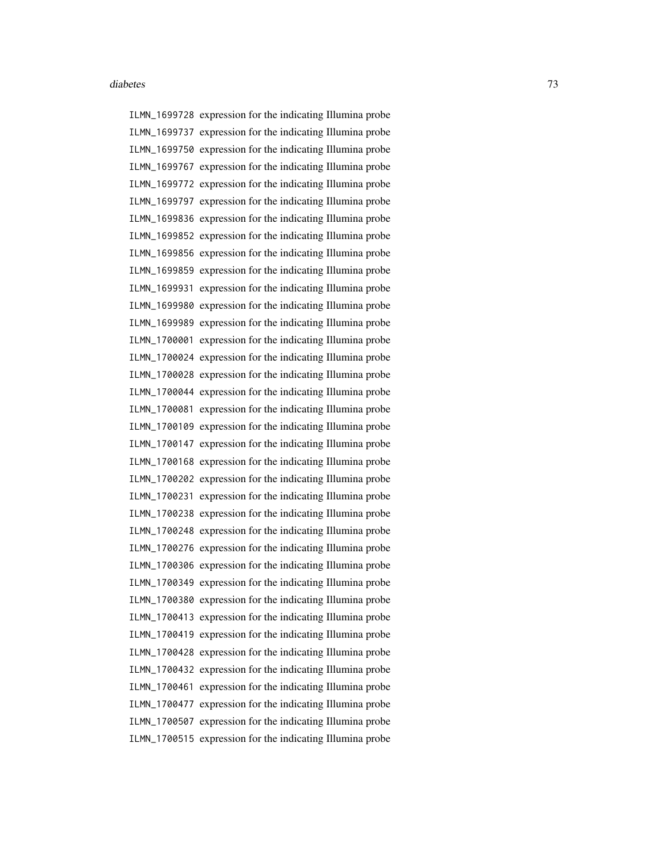ILMN\_1699728 expression for the indicating Illumina probe ILMN\_1699737 expression for the indicating Illumina probe ILMN\_1699750 expression for the indicating Illumina probe ILMN\_1699767 expression for the indicating Illumina probe ILMN\_1699772 expression for the indicating Illumina probe ILMN\_1699797 expression for the indicating Illumina probe ILMN\_1699836 expression for the indicating Illumina probe ILMN\_1699852 expression for the indicating Illumina probe ILMN\_1699856 expression for the indicating Illumina probe ILMN\_1699859 expression for the indicating Illumina probe ILMN\_1699931 expression for the indicating Illumina probe ILMN\_1699980 expression for the indicating Illumina probe ILMN\_1699989 expression for the indicating Illumina probe ILMN\_1700001 expression for the indicating Illumina probe ILMN\_1700024 expression for the indicating Illumina probe ILMN\_1700028 expression for the indicating Illumina probe ILMN\_1700044 expression for the indicating Illumina probe ILMN\_1700081 expression for the indicating Illumina probe ILMN\_1700109 expression for the indicating Illumina probe ILMN\_1700147 expression for the indicating Illumina probe ILMN\_1700168 expression for the indicating Illumina probe ILMN\_1700202 expression for the indicating Illumina probe ILMN\_1700231 expression for the indicating Illumina probe ILMN\_1700238 expression for the indicating Illumina probe ILMN\_1700248 expression for the indicating Illumina probe ILMN\_1700276 expression for the indicating Illumina probe ILMN\_1700306 expression for the indicating Illumina probe ILMN\_1700349 expression for the indicating Illumina probe ILMN\_1700380 expression for the indicating Illumina probe ILMN\_1700413 expression for the indicating Illumina probe ILMN\_1700419 expression for the indicating Illumina probe ILMN\_1700428 expression for the indicating Illumina probe ILMN\_1700432 expression for the indicating Illumina probe ILMN\_1700461 expression for the indicating Illumina probe ILMN\_1700477 expression for the indicating Illumina probe ILMN\_1700507 expression for the indicating Illumina probe ILMN\_1700515 expression for the indicating Illumina probe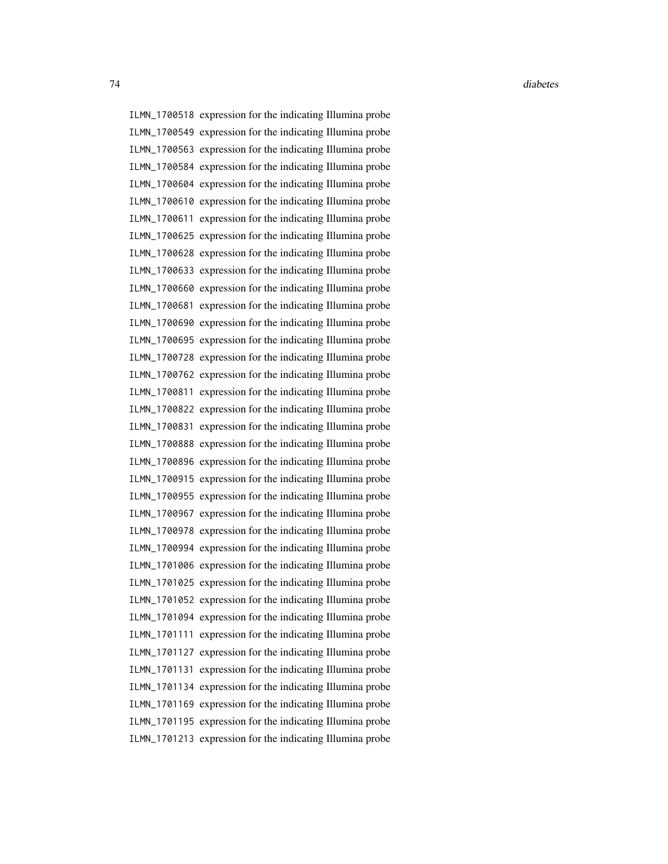ILMN\_1700518 expression for the indicating Illumina probe ILMN\_1700549 expression for the indicating Illumina probe ILMN\_1700563 expression for the indicating Illumina probe ILMN\_1700584 expression for the indicating Illumina probe ILMN\_1700604 expression for the indicating Illumina probe ILMN\_1700610 expression for the indicating Illumina probe ILMN\_1700611 expression for the indicating Illumina probe ILMN\_1700625 expression for the indicating Illumina probe ILMN\_1700628 expression for the indicating Illumina probe ILMN\_1700633 expression for the indicating Illumina probe ILMN\_1700660 expression for the indicating Illumina probe ILMN\_1700681 expression for the indicating Illumina probe ILMN\_1700690 expression for the indicating Illumina probe ILMN\_1700695 expression for the indicating Illumina probe ILMN\_1700728 expression for the indicating Illumina probe ILMN\_1700762 expression for the indicating Illumina probe ILMN\_1700811 expression for the indicating Illumina probe ILMN\_1700822 expression for the indicating Illumina probe ILMN\_1700831 expression for the indicating Illumina probe ILMN\_1700888 expression for the indicating Illumina probe ILMN\_1700896 expression for the indicating Illumina probe ILMN\_1700915 expression for the indicating Illumina probe ILMN\_1700955 expression for the indicating Illumina probe ILMN\_1700967 expression for the indicating Illumina probe ILMN\_1700978 expression for the indicating Illumina probe ILMN\_1700994 expression for the indicating Illumina probe ILMN\_1701006 expression for the indicating Illumina probe ILMN\_1701025 expression for the indicating Illumina probe ILMN\_1701052 expression for the indicating Illumina probe ILMN\_1701094 expression for the indicating Illumina probe ILMN\_1701111 expression for the indicating Illumina probe ILMN\_1701127 expression for the indicating Illumina probe ILMN\_1701131 expression for the indicating Illumina probe ILMN\_1701134 expression for the indicating Illumina probe ILMN\_1701169 expression for the indicating Illumina probe ILMN\_1701195 expression for the indicating Illumina probe ILMN\_1701213 expression for the indicating Illumina probe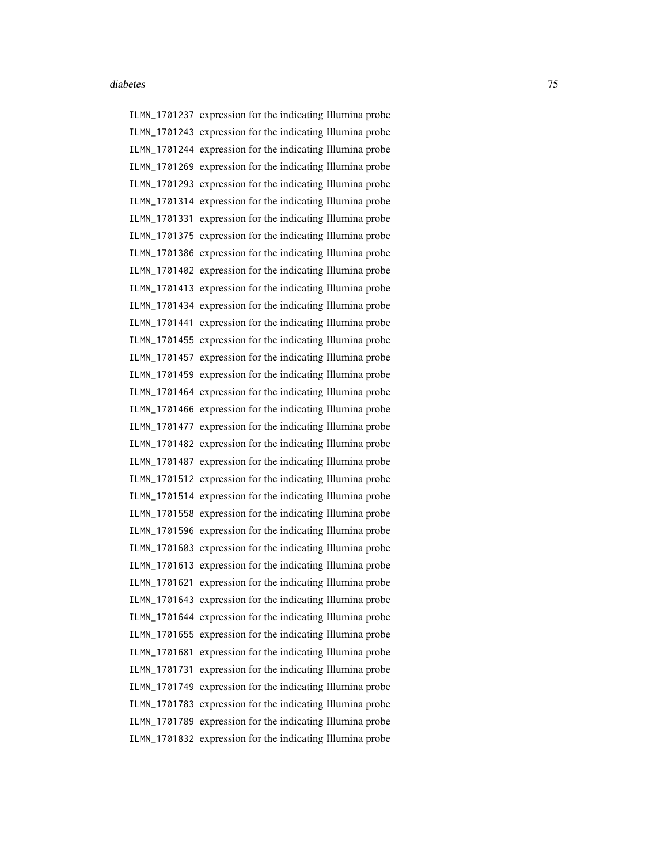ILMN\_1701237 expression for the indicating Illumina probe ILMN\_1701243 expression for the indicating Illumina probe ILMN\_1701244 expression for the indicating Illumina probe ILMN\_1701269 expression for the indicating Illumina probe ILMN\_1701293 expression for the indicating Illumina probe ILMN\_1701314 expression for the indicating Illumina probe ILMN\_1701331 expression for the indicating Illumina probe ILMN\_1701375 expression for the indicating Illumina probe ILMN\_1701386 expression for the indicating Illumina probe ILMN\_1701402 expression for the indicating Illumina probe ILMN\_1701413 expression for the indicating Illumina probe ILMN\_1701434 expression for the indicating Illumina probe ILMN\_1701441 expression for the indicating Illumina probe ILMN\_1701455 expression for the indicating Illumina probe ILMN\_1701457 expression for the indicating Illumina probe ILMN\_1701459 expression for the indicating Illumina probe ILMN\_1701464 expression for the indicating Illumina probe ILMN\_1701466 expression for the indicating Illumina probe ILMN\_1701477 expression for the indicating Illumina probe ILMN\_1701482 expression for the indicating Illumina probe ILMN\_1701487 expression for the indicating Illumina probe ILMN\_1701512 expression for the indicating Illumina probe ILMN\_1701514 expression for the indicating Illumina probe ILMN\_1701558 expression for the indicating Illumina probe ILMN\_1701596 expression for the indicating Illumina probe ILMN\_1701603 expression for the indicating Illumina probe ILMN\_1701613 expression for the indicating Illumina probe ILMN\_1701621 expression for the indicating Illumina probe ILMN\_1701643 expression for the indicating Illumina probe ILMN\_1701644 expression for the indicating Illumina probe ILMN\_1701655 expression for the indicating Illumina probe ILMN\_1701681 expression for the indicating Illumina probe ILMN\_1701731 expression for the indicating Illumina probe ILMN\_1701749 expression for the indicating Illumina probe ILMN\_1701783 expression for the indicating Illumina probe ILMN\_1701789 expression for the indicating Illumina probe ILMN\_1701832 expression for the indicating Illumina probe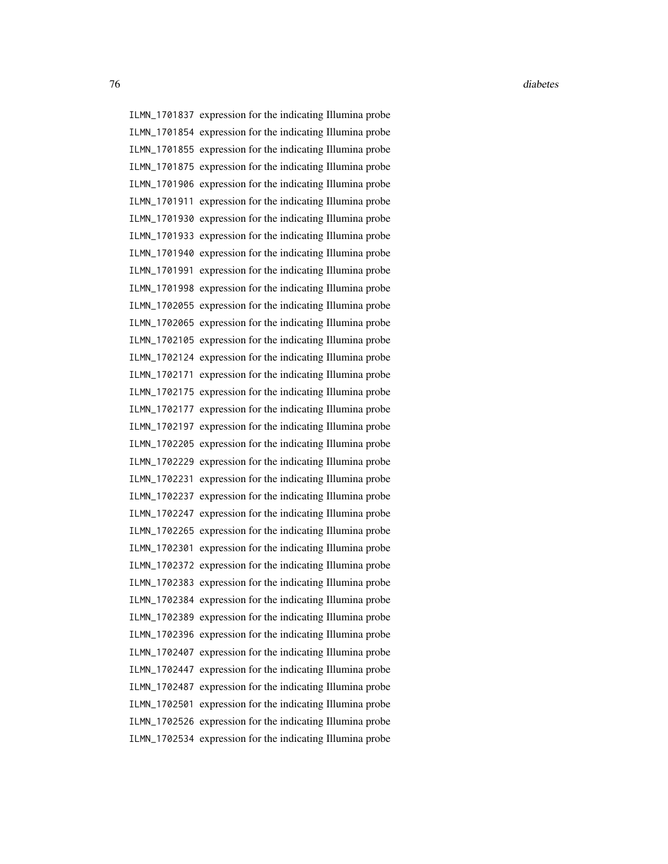ILMN\_1701837 expression for the indicating Illumina probe ILMN\_1701854 expression for the indicating Illumina probe ILMN\_1701855 expression for the indicating Illumina probe ILMN\_1701875 expression for the indicating Illumina probe ILMN\_1701906 expression for the indicating Illumina probe ILMN\_1701911 expression for the indicating Illumina probe ILMN\_1701930 expression for the indicating Illumina probe ILMN\_1701933 expression for the indicating Illumina probe ILMN\_1701940 expression for the indicating Illumina probe ILMN\_1701991 expression for the indicating Illumina probe ILMN\_1701998 expression for the indicating Illumina probe ILMN\_1702055 expression for the indicating Illumina probe ILMN\_1702065 expression for the indicating Illumina probe ILMN\_1702105 expression for the indicating Illumina probe ILMN\_1702124 expression for the indicating Illumina probe ILMN\_1702171 expression for the indicating Illumina probe ILMN\_1702175 expression for the indicating Illumina probe ILMN\_1702177 expression for the indicating Illumina probe ILMN\_1702197 expression for the indicating Illumina probe ILMN\_1702205 expression for the indicating Illumina probe ILMN\_1702229 expression for the indicating Illumina probe ILMN\_1702231 expression for the indicating Illumina probe ILMN\_1702237 expression for the indicating Illumina probe ILMN\_1702247 expression for the indicating Illumina probe ILMN\_1702265 expression for the indicating Illumina probe ILMN\_1702301 expression for the indicating Illumina probe ILMN\_1702372 expression for the indicating Illumina probe ILMN\_1702383 expression for the indicating Illumina probe ILMN\_1702384 expression for the indicating Illumina probe ILMN\_1702389 expression for the indicating Illumina probe ILMN\_1702396 expression for the indicating Illumina probe ILMN\_1702407 expression for the indicating Illumina probe ILMN\_1702447 expression for the indicating Illumina probe ILMN\_1702487 expression for the indicating Illumina probe ILMN\_1702501 expression for the indicating Illumina probe ILMN\_1702526 expression for the indicating Illumina probe ILMN\_1702534 expression for the indicating Illumina probe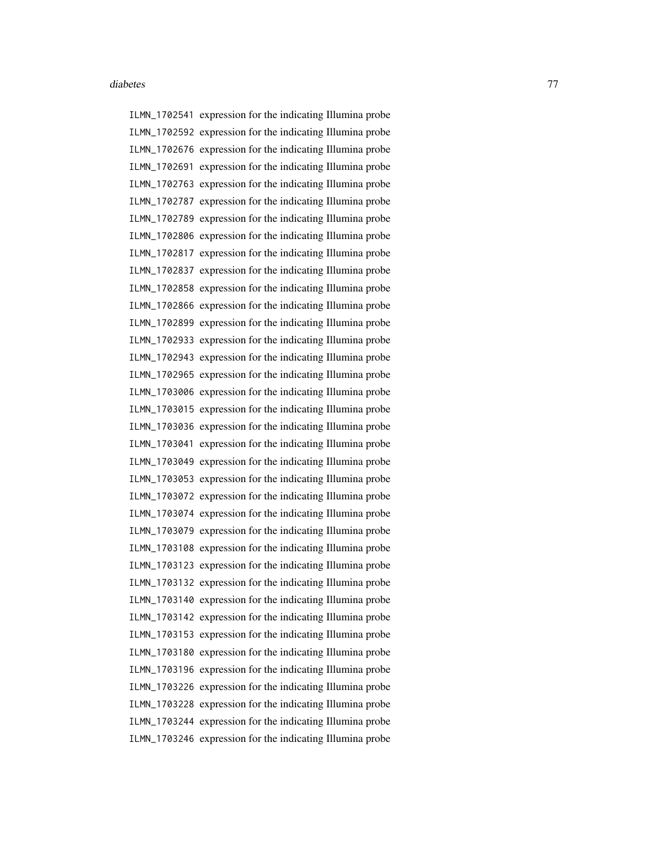ILMN\_1702541 expression for the indicating Illumina probe ILMN\_1702592 expression for the indicating Illumina probe ILMN\_1702676 expression for the indicating Illumina probe ILMN\_1702691 expression for the indicating Illumina probe ILMN\_1702763 expression for the indicating Illumina probe ILMN\_1702787 expression for the indicating Illumina probe ILMN\_1702789 expression for the indicating Illumina probe ILMN\_1702806 expression for the indicating Illumina probe ILMN\_1702817 expression for the indicating Illumina probe ILMN\_1702837 expression for the indicating Illumina probe ILMN\_1702858 expression for the indicating Illumina probe ILMN\_1702866 expression for the indicating Illumina probe ILMN\_1702899 expression for the indicating Illumina probe ILMN\_1702933 expression for the indicating Illumina probe ILMN\_1702943 expression for the indicating Illumina probe ILMN\_1702965 expression for the indicating Illumina probe ILMN\_1703006 expression for the indicating Illumina probe ILMN\_1703015 expression for the indicating Illumina probe ILMN\_1703036 expression for the indicating Illumina probe ILMN\_1703041 expression for the indicating Illumina probe ILMN\_1703049 expression for the indicating Illumina probe ILMN\_1703053 expression for the indicating Illumina probe ILMN\_1703072 expression for the indicating Illumina probe ILMN\_1703074 expression for the indicating Illumina probe ILMN\_1703079 expression for the indicating Illumina probe ILMN\_1703108 expression for the indicating Illumina probe ILMN\_1703123 expression for the indicating Illumina probe ILMN\_1703132 expression for the indicating Illumina probe ILMN\_1703140 expression for the indicating Illumina probe ILMN\_1703142 expression for the indicating Illumina probe ILMN\_1703153 expression for the indicating Illumina probe ILMN\_1703180 expression for the indicating Illumina probe ILMN\_1703196 expression for the indicating Illumina probe ILMN\_1703226 expression for the indicating Illumina probe ILMN\_1703228 expression for the indicating Illumina probe ILMN\_1703244 expression for the indicating Illumina probe ILMN\_1703246 expression for the indicating Illumina probe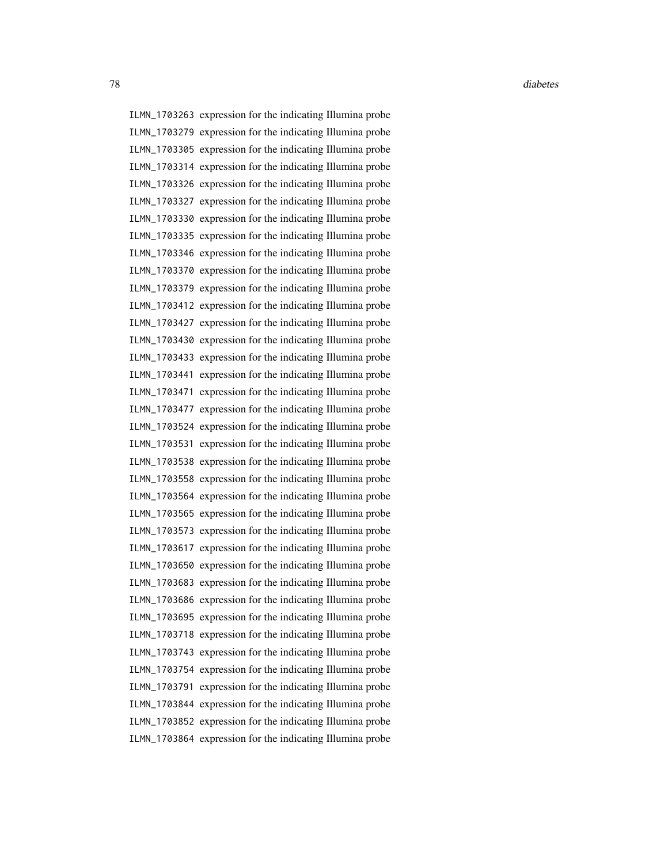ILMN\_1703263 expression for the indicating Illumina probe ILMN\_1703279 expression for the indicating Illumina probe ILMN\_1703305 expression for the indicating Illumina probe ILMN\_1703314 expression for the indicating Illumina probe ILMN\_1703326 expression for the indicating Illumina probe ILMN\_1703327 expression for the indicating Illumina probe ILMN\_1703330 expression for the indicating Illumina probe ILMN\_1703335 expression for the indicating Illumina probe ILMN\_1703346 expression for the indicating Illumina probe ILMN\_1703370 expression for the indicating Illumina probe ILMN\_1703379 expression for the indicating Illumina probe ILMN\_1703412 expression for the indicating Illumina probe ILMN\_1703427 expression for the indicating Illumina probe ILMN\_1703430 expression for the indicating Illumina probe ILMN\_1703433 expression for the indicating Illumina probe ILMN\_1703441 expression for the indicating Illumina probe ILMN\_1703471 expression for the indicating Illumina probe ILMN\_1703477 expression for the indicating Illumina probe ILMN\_1703524 expression for the indicating Illumina probe ILMN\_1703531 expression for the indicating Illumina probe ILMN\_1703538 expression for the indicating Illumina probe ILMN\_1703558 expression for the indicating Illumina probe ILMN\_1703564 expression for the indicating Illumina probe ILMN\_1703565 expression for the indicating Illumina probe ILMN\_1703573 expression for the indicating Illumina probe ILMN\_1703617 expression for the indicating Illumina probe ILMN\_1703650 expression for the indicating Illumina probe ILMN\_1703683 expression for the indicating Illumina probe ILMN\_1703686 expression for the indicating Illumina probe ILMN\_1703695 expression for the indicating Illumina probe ILMN\_1703718 expression for the indicating Illumina probe ILMN\_1703743 expression for the indicating Illumina probe ILMN\_1703754 expression for the indicating Illumina probe ILMN\_1703791 expression for the indicating Illumina probe ILMN\_1703844 expression for the indicating Illumina probe ILMN\_1703852 expression for the indicating Illumina probe ILMN\_1703864 expression for the indicating Illumina probe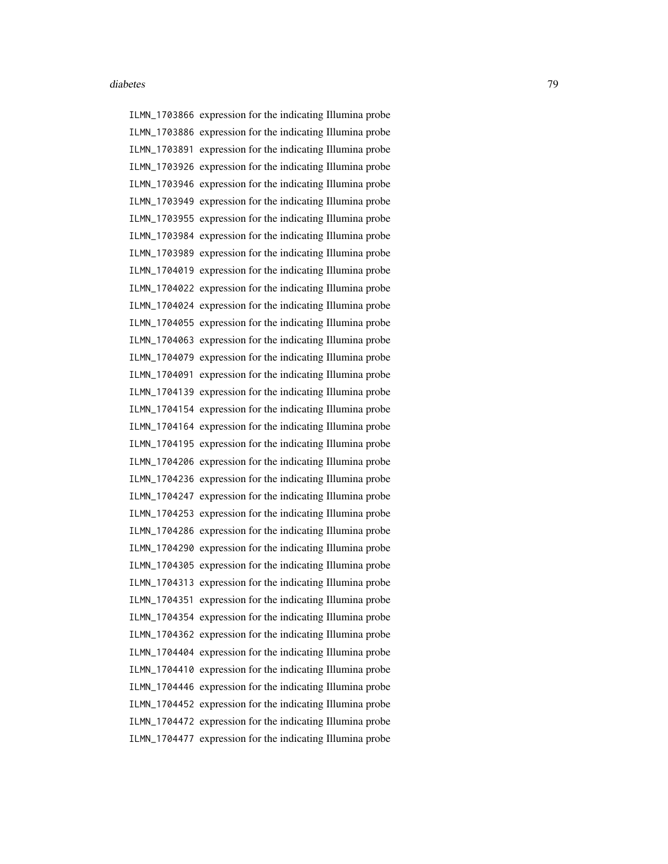ILMN\_1703866 expression for the indicating Illumina probe ILMN\_1703886 expression for the indicating Illumina probe ILMN\_1703891 expression for the indicating Illumina probe ILMN\_1703926 expression for the indicating Illumina probe ILMN\_1703946 expression for the indicating Illumina probe ILMN\_1703949 expression for the indicating Illumina probe ILMN\_1703955 expression for the indicating Illumina probe ILMN\_1703984 expression for the indicating Illumina probe ILMN\_1703989 expression for the indicating Illumina probe ILMN\_1704019 expression for the indicating Illumina probe ILMN\_1704022 expression for the indicating Illumina probe ILMN\_1704024 expression for the indicating Illumina probe ILMN\_1704055 expression for the indicating Illumina probe ILMN\_1704063 expression for the indicating Illumina probe ILMN\_1704079 expression for the indicating Illumina probe ILMN\_1704091 expression for the indicating Illumina probe ILMN\_1704139 expression for the indicating Illumina probe ILMN\_1704154 expression for the indicating Illumina probe ILMN\_1704164 expression for the indicating Illumina probe ILMN\_1704195 expression for the indicating Illumina probe ILMN\_1704206 expression for the indicating Illumina probe ILMN\_1704236 expression for the indicating Illumina probe ILMN\_1704247 expression for the indicating Illumina probe ILMN\_1704253 expression for the indicating Illumina probe ILMN\_1704286 expression for the indicating Illumina probe ILMN\_1704290 expression for the indicating Illumina probe ILMN\_1704305 expression for the indicating Illumina probe ILMN\_1704313 expression for the indicating Illumina probe ILMN\_1704351 expression for the indicating Illumina probe ILMN\_1704354 expression for the indicating Illumina probe ILMN\_1704362 expression for the indicating Illumina probe ILMN\_1704404 expression for the indicating Illumina probe ILMN\_1704410 expression for the indicating Illumina probe ILMN\_1704446 expression for the indicating Illumina probe ILMN\_1704452 expression for the indicating Illumina probe ILMN\_1704472 expression for the indicating Illumina probe ILMN\_1704477 expression for the indicating Illumina probe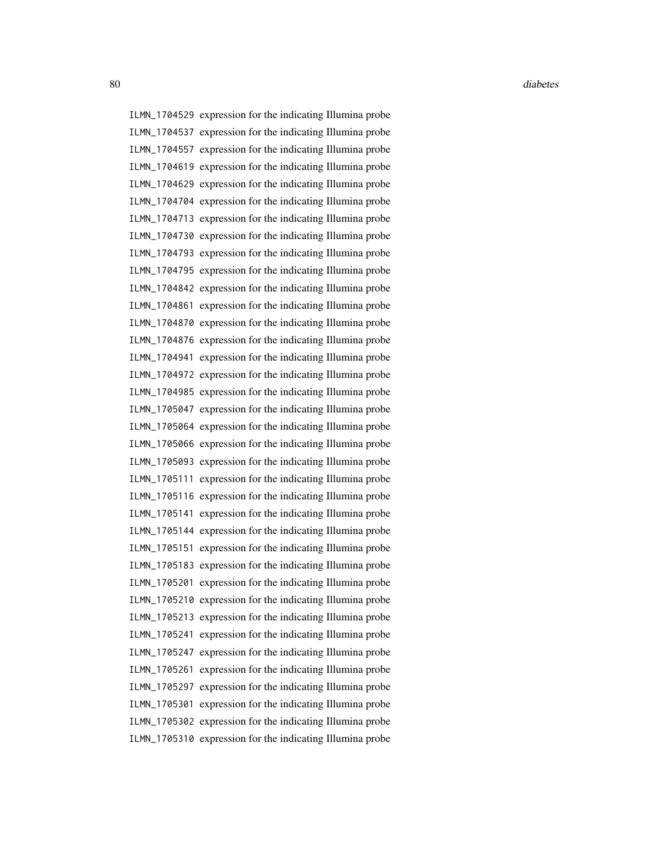ILMN\_1704529 expression for the indicating Illumina probe ILMN\_1704537 expression for the indicating Illumina probe ILMN\_1704557 expression for the indicating Illumina probe ILMN\_1704619 expression for the indicating Illumina probe ILMN\_1704629 expression for the indicating Illumina probe ILMN\_1704704 expression for the indicating Illumina probe ILMN\_1704713 expression for the indicating Illumina probe ILMN\_1704730 expression for the indicating Illumina probe ILMN\_1704793 expression for the indicating Illumina probe ILMN\_1704795 expression for the indicating Illumina probe ILMN\_1704842 expression for the indicating Illumina probe ILMN\_1704861 expression for the indicating Illumina probe ILMN\_1704870 expression for the indicating Illumina probe ILMN\_1704876 expression for the indicating Illumina probe ILMN\_1704941 expression for the indicating Illumina probe ILMN\_1704972 expression for the indicating Illumina probe ILMN\_1704985 expression for the indicating Illumina probe ILMN\_1705047 expression for the indicating Illumina probe ILMN\_1705064 expression for the indicating Illumina probe ILMN\_1705066 expression for the indicating Illumina probe ILMN\_1705093 expression for the indicating Illumina probe ILMN\_1705111 expression for the indicating Illumina probe ILMN\_1705116 expression for the indicating Illumina probe ILMN\_1705141 expression for the indicating Illumina probe ILMN\_1705144 expression for the indicating Illumina probe ILMN\_1705151 expression for the indicating Illumina probe ILMN\_1705183 expression for the indicating Illumina probe ILMN\_1705201 expression for the indicating Illumina probe ILMN\_1705210 expression for the indicating Illumina probe ILMN\_1705213 expression for the indicating Illumina probe ILMN\_1705241 expression for the indicating Illumina probe ILMN\_1705247 expression for the indicating Illumina probe ILMN\_1705261 expression for the indicating Illumina probe ILMN\_1705297 expression for the indicating Illumina probe ILMN\_1705301 expression for the indicating Illumina probe ILMN\_1705302 expression for the indicating Illumina probe ILMN\_1705310 expression for the indicating Illumina probe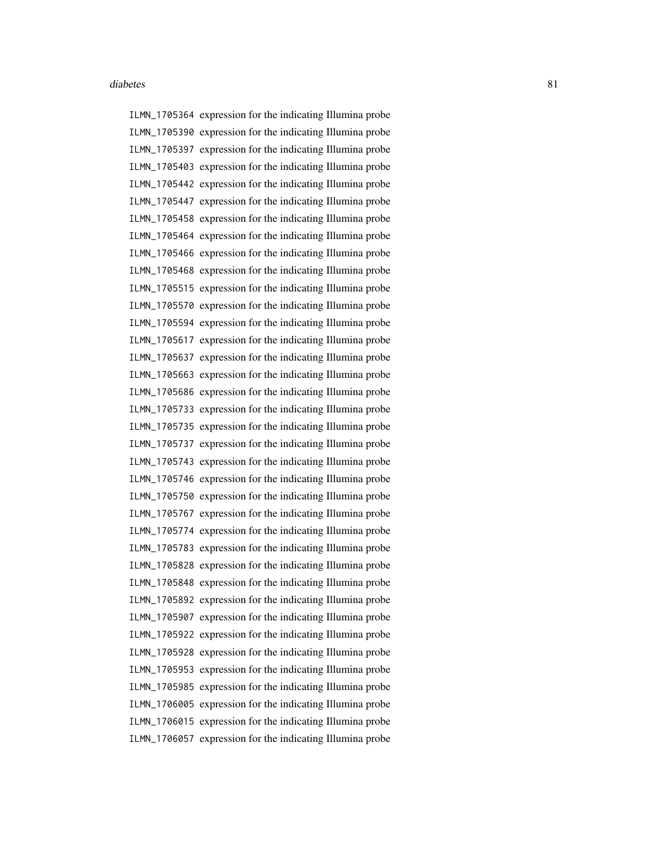ILMN\_1705364 expression for the indicating Illumina probe ILMN\_1705390 expression for the indicating Illumina probe ILMN\_1705397 expression for the indicating Illumina probe ILMN\_1705403 expression for the indicating Illumina probe ILMN\_1705442 expression for the indicating Illumina probe ILMN\_1705447 expression for the indicating Illumina probe ILMN\_1705458 expression for the indicating Illumina probe ILMN\_1705464 expression for the indicating Illumina probe ILMN\_1705466 expression for the indicating Illumina probe ILMN\_1705468 expression for the indicating Illumina probe ILMN\_1705515 expression for the indicating Illumina probe ILMN\_1705570 expression for the indicating Illumina probe ILMN\_1705594 expression for the indicating Illumina probe ILMN\_1705617 expression for the indicating Illumina probe ILMN\_1705637 expression for the indicating Illumina probe ILMN\_1705663 expression for the indicating Illumina probe ILMN\_1705686 expression for the indicating Illumina probe ILMN\_1705733 expression for the indicating Illumina probe ILMN\_1705735 expression for the indicating Illumina probe ILMN\_1705737 expression for the indicating Illumina probe ILMN\_1705743 expression for the indicating Illumina probe ILMN\_1705746 expression for the indicating Illumina probe ILMN\_1705750 expression for the indicating Illumina probe ILMN\_1705767 expression for the indicating Illumina probe ILMN\_1705774 expression for the indicating Illumina probe ILMN\_1705783 expression for the indicating Illumina probe ILMN\_1705828 expression for the indicating Illumina probe ILMN\_1705848 expression for the indicating Illumina probe ILMN\_1705892 expression for the indicating Illumina probe ILMN\_1705907 expression for the indicating Illumina probe ILMN\_1705922 expression for the indicating Illumina probe ILMN\_1705928 expression for the indicating Illumina probe ILMN\_1705953 expression for the indicating Illumina probe ILMN\_1705985 expression for the indicating Illumina probe ILMN\_1706005 expression for the indicating Illumina probe ILMN\_1706015 expression for the indicating Illumina probe ILMN\_1706057 expression for the indicating Illumina probe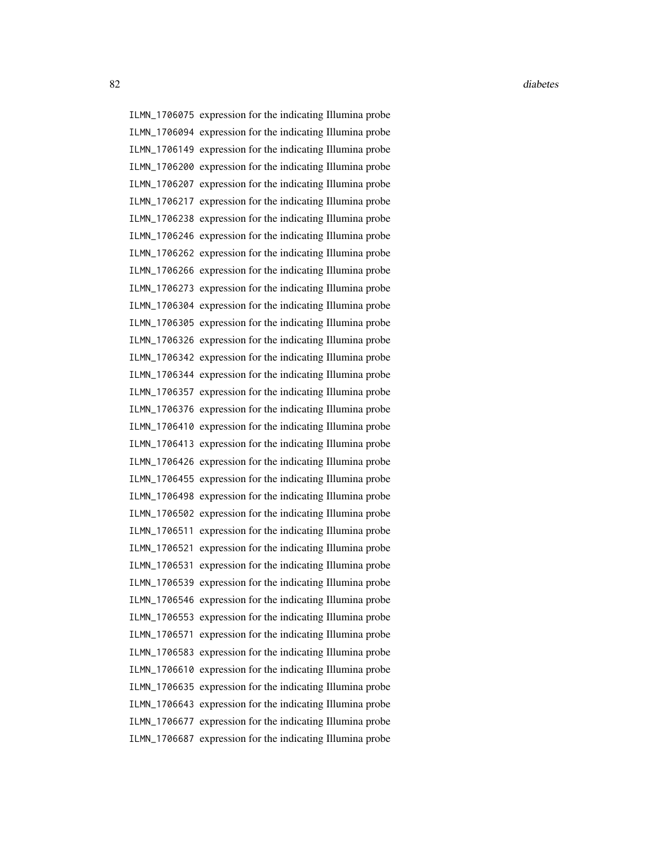ILMN\_1706075 expression for the indicating Illumina probe ILMN\_1706094 expression for the indicating Illumina probe ILMN\_1706149 expression for the indicating Illumina probe ILMN\_1706200 expression for the indicating Illumina probe ILMN\_1706207 expression for the indicating Illumina probe ILMN\_1706217 expression for the indicating Illumina probe ILMN\_1706238 expression for the indicating Illumina probe ILMN\_1706246 expression for the indicating Illumina probe ILMN\_1706262 expression for the indicating Illumina probe ILMN\_1706266 expression for the indicating Illumina probe ILMN\_1706273 expression for the indicating Illumina probe ILMN\_1706304 expression for the indicating Illumina probe ILMN\_1706305 expression for the indicating Illumina probe ILMN\_1706326 expression for the indicating Illumina probe ILMN\_1706342 expression for the indicating Illumina probe ILMN\_1706344 expression for the indicating Illumina probe ILMN\_1706357 expression for the indicating Illumina probe ILMN\_1706376 expression for the indicating Illumina probe ILMN\_1706410 expression for the indicating Illumina probe ILMN\_1706413 expression for the indicating Illumina probe ILMN\_1706426 expression for the indicating Illumina probe ILMN\_1706455 expression for the indicating Illumina probe ILMN\_1706498 expression for the indicating Illumina probe ILMN\_1706502 expression for the indicating Illumina probe ILMN\_1706511 expression for the indicating Illumina probe ILMN\_1706521 expression for the indicating Illumina probe ILMN\_1706531 expression for the indicating Illumina probe ILMN\_1706539 expression for the indicating Illumina probe ILMN\_1706546 expression for the indicating Illumina probe ILMN\_1706553 expression for the indicating Illumina probe ILMN\_1706571 expression for the indicating Illumina probe ILMN\_1706583 expression for the indicating Illumina probe ILMN\_1706610 expression for the indicating Illumina probe ILMN\_1706635 expression for the indicating Illumina probe ILMN\_1706643 expression for the indicating Illumina probe ILMN\_1706677 expression for the indicating Illumina probe ILMN\_1706687 expression for the indicating Illumina probe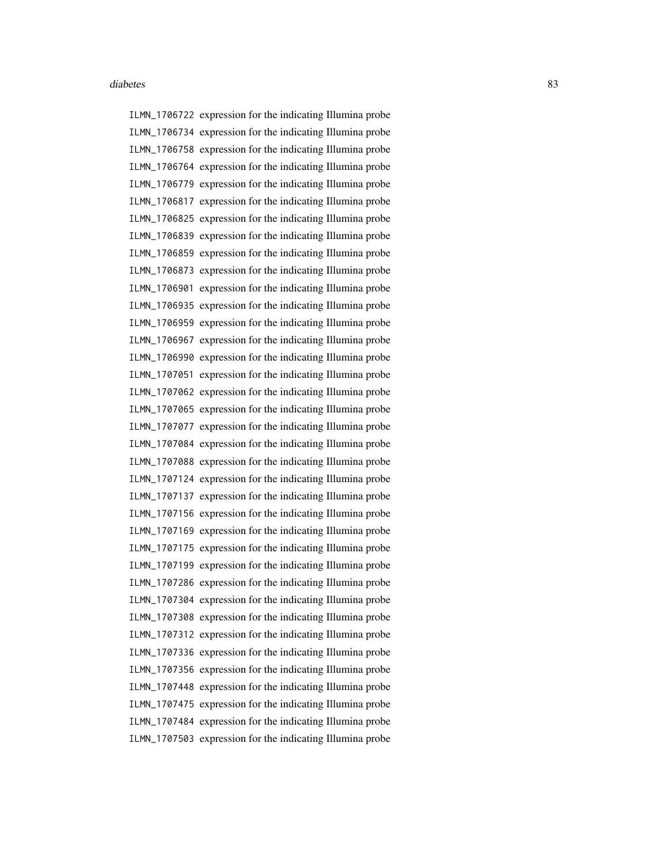ILMN\_1706722 expression for the indicating Illumina probe ILMN\_1706734 expression for the indicating Illumina probe ILMN\_1706758 expression for the indicating Illumina probe ILMN\_1706764 expression for the indicating Illumina probe ILMN\_1706779 expression for the indicating Illumina probe ILMN\_1706817 expression for the indicating Illumina probe ILMN\_1706825 expression for the indicating Illumina probe ILMN\_1706839 expression for the indicating Illumina probe ILMN\_1706859 expression for the indicating Illumina probe ILMN\_1706873 expression for the indicating Illumina probe ILMN\_1706901 expression for the indicating Illumina probe ILMN\_1706935 expression for the indicating Illumina probe ILMN\_1706959 expression for the indicating Illumina probe ILMN\_1706967 expression for the indicating Illumina probe ILMN\_1706990 expression for the indicating Illumina probe ILMN\_1707051 expression for the indicating Illumina probe ILMN\_1707062 expression for the indicating Illumina probe ILMN\_1707065 expression for the indicating Illumina probe ILMN\_1707077 expression for the indicating Illumina probe ILMN\_1707084 expression for the indicating Illumina probe ILMN\_1707088 expression for the indicating Illumina probe ILMN\_1707124 expression for the indicating Illumina probe ILMN\_1707137 expression for the indicating Illumina probe ILMN\_1707156 expression for the indicating Illumina probe ILMN\_1707169 expression for the indicating Illumina probe ILMN\_1707175 expression for the indicating Illumina probe ILMN\_1707199 expression for the indicating Illumina probe ILMN\_1707286 expression for the indicating Illumina probe ILMN\_1707304 expression for the indicating Illumina probe ILMN\_1707308 expression for the indicating Illumina probe ILMN\_1707312 expression for the indicating Illumina probe ILMN\_1707336 expression for the indicating Illumina probe ILMN\_1707356 expression for the indicating Illumina probe ILMN\_1707448 expression for the indicating Illumina probe ILMN\_1707475 expression for the indicating Illumina probe ILMN\_1707484 expression for the indicating Illumina probe ILMN\_1707503 expression for the indicating Illumina probe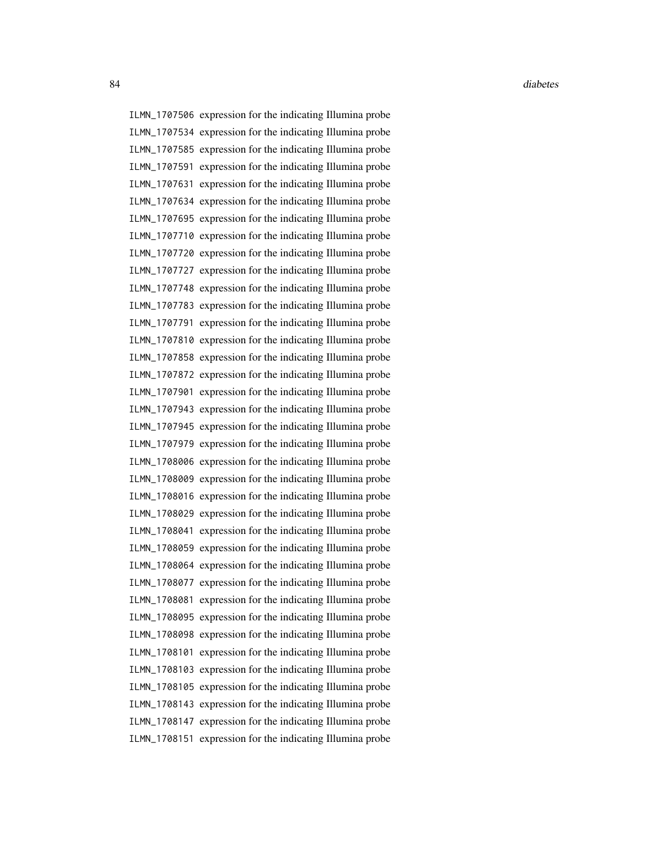ILMN\_1707506 expression for the indicating Illumina probe ILMN\_1707534 expression for the indicating Illumina probe ILMN\_1707585 expression for the indicating Illumina probe ILMN\_1707591 expression for the indicating Illumina probe ILMN\_1707631 expression for the indicating Illumina probe ILMN\_1707634 expression for the indicating Illumina probe ILMN\_1707695 expression for the indicating Illumina probe ILMN\_1707710 expression for the indicating Illumina probe ILMN\_1707720 expression for the indicating Illumina probe ILMN\_1707727 expression for the indicating Illumina probe ILMN\_1707748 expression for the indicating Illumina probe ILMN\_1707783 expression for the indicating Illumina probe ILMN\_1707791 expression for the indicating Illumina probe ILMN\_1707810 expression for the indicating Illumina probe ILMN\_1707858 expression for the indicating Illumina probe ILMN\_1707872 expression for the indicating Illumina probe ILMN\_1707901 expression for the indicating Illumina probe ILMN\_1707943 expression for the indicating Illumina probe ILMN\_1707945 expression for the indicating Illumina probe ILMN\_1707979 expression for the indicating Illumina probe ILMN\_1708006 expression for the indicating Illumina probe ILMN\_1708009 expression for the indicating Illumina probe ILMN\_1708016 expression for the indicating Illumina probe ILMN\_1708029 expression for the indicating Illumina probe ILMN\_1708041 expression for the indicating Illumina probe ILMN\_1708059 expression for the indicating Illumina probe ILMN\_1708064 expression for the indicating Illumina probe ILMN\_1708077 expression for the indicating Illumina probe ILMN\_1708081 expression for the indicating Illumina probe ILMN\_1708095 expression for the indicating Illumina probe ILMN\_1708098 expression for the indicating Illumina probe ILMN\_1708101 expression for the indicating Illumina probe ILMN\_1708103 expression for the indicating Illumina probe ILMN\_1708105 expression for the indicating Illumina probe ILMN\_1708143 expression for the indicating Illumina probe ILMN\_1708147 expression for the indicating Illumina probe ILMN\_1708151 expression for the indicating Illumina probe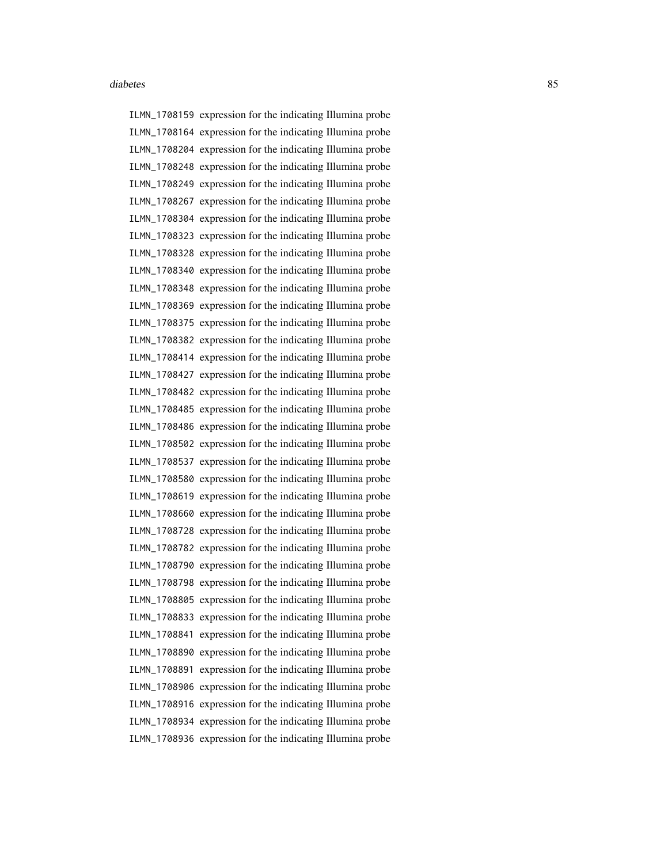ILMN\_1708159 expression for the indicating Illumina probe ILMN\_1708164 expression for the indicating Illumina probe ILMN\_1708204 expression for the indicating Illumina probe ILMN\_1708248 expression for the indicating Illumina probe ILMN\_1708249 expression for the indicating Illumina probe ILMN\_1708267 expression for the indicating Illumina probe ILMN\_1708304 expression for the indicating Illumina probe ILMN\_1708323 expression for the indicating Illumina probe ILMN\_1708328 expression for the indicating Illumina probe ILMN\_1708340 expression for the indicating Illumina probe ILMN\_1708348 expression for the indicating Illumina probe ILMN\_1708369 expression for the indicating Illumina probe ILMN\_1708375 expression for the indicating Illumina probe ILMN\_1708382 expression for the indicating Illumina probe ILMN\_1708414 expression for the indicating Illumina probe ILMN\_1708427 expression for the indicating Illumina probe ILMN\_1708482 expression for the indicating Illumina probe ILMN\_1708485 expression for the indicating Illumina probe ILMN\_1708486 expression for the indicating Illumina probe ILMN\_1708502 expression for the indicating Illumina probe ILMN\_1708537 expression for the indicating Illumina probe ILMN\_1708580 expression for the indicating Illumina probe ILMN\_1708619 expression for the indicating Illumina probe ILMN\_1708660 expression for the indicating Illumina probe ILMN\_1708728 expression for the indicating Illumina probe ILMN\_1708782 expression for the indicating Illumina probe ILMN\_1708790 expression for the indicating Illumina probe ILMN\_1708798 expression for the indicating Illumina probe ILMN\_1708805 expression for the indicating Illumina probe ILMN\_1708833 expression for the indicating Illumina probe ILMN\_1708841 expression for the indicating Illumina probe ILMN\_1708890 expression for the indicating Illumina probe ILMN\_1708891 expression for the indicating Illumina probe ILMN\_1708906 expression for the indicating Illumina probe ILMN\_1708916 expression for the indicating Illumina probe ILMN\_1708934 expression for the indicating Illumina probe ILMN\_1708936 expression for the indicating Illumina probe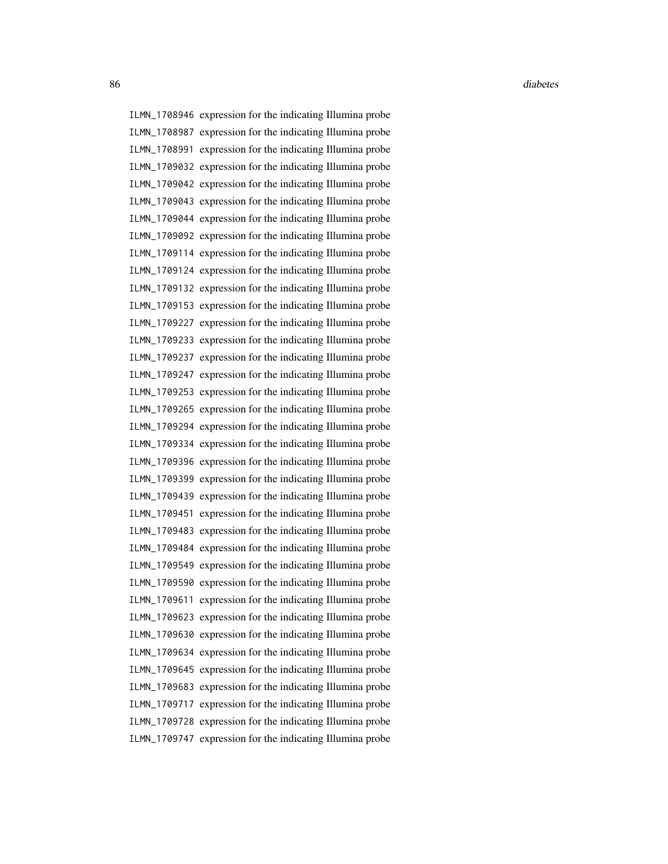86 diabetes and the contract of the contract of the contract of the contract of the contract of the contract of the contract of the contract of the contract of the contract of the contract of the contract of the contract o

ILMN\_1708946 expression for the indicating Illumina probe ILMN\_1708987 expression for the indicating Illumina probe ILMN\_1708991 expression for the indicating Illumina probe ILMN\_1709032 expression for the indicating Illumina probe ILMN\_1709042 expression for the indicating Illumina probe ILMN\_1709043 expression for the indicating Illumina probe ILMN\_1709044 expression for the indicating Illumina probe ILMN\_1709092 expression for the indicating Illumina probe ILMN\_1709114 expression for the indicating Illumina probe ILMN\_1709124 expression for the indicating Illumina probe ILMN\_1709132 expression for the indicating Illumina probe ILMN\_1709153 expression for the indicating Illumina probe ILMN\_1709227 expression for the indicating Illumina probe ILMN\_1709233 expression for the indicating Illumina probe ILMN\_1709237 expression for the indicating Illumina probe ILMN\_1709247 expression for the indicating Illumina probe ILMN\_1709253 expression for the indicating Illumina probe ILMN\_1709265 expression for the indicating Illumina probe ILMN\_1709294 expression for the indicating Illumina probe ILMN\_1709334 expression for the indicating Illumina probe ILMN\_1709396 expression for the indicating Illumina probe ILMN\_1709399 expression for the indicating Illumina probe ILMN\_1709439 expression for the indicating Illumina probe ILMN\_1709451 expression for the indicating Illumina probe ILMN\_1709483 expression for the indicating Illumina probe ILMN\_1709484 expression for the indicating Illumina probe ILMN\_1709549 expression for the indicating Illumina probe ILMN\_1709590 expression for the indicating Illumina probe ILMN\_1709611 expression for the indicating Illumina probe ILMN\_1709623 expression for the indicating Illumina probe ILMN\_1709630 expression for the indicating Illumina probe ILMN\_1709634 expression for the indicating Illumina probe ILMN\_1709645 expression for the indicating Illumina probe ILMN\_1709683 expression for the indicating Illumina probe ILMN\_1709717 expression for the indicating Illumina probe ILMN\_1709728 expression for the indicating Illumina probe ILMN\_1709747 expression for the indicating Illumina probe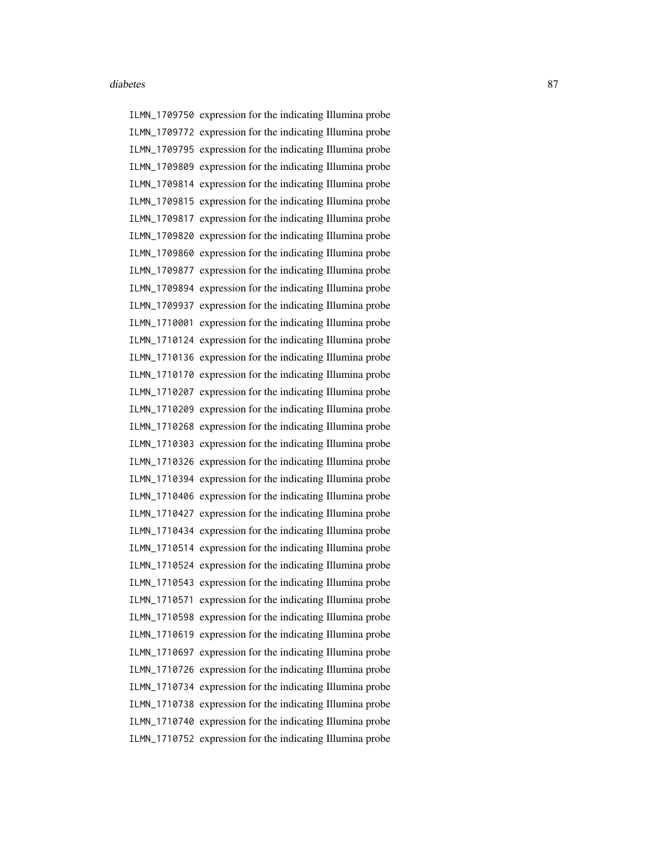ILMN\_1709750 expression for the indicating Illumina probe ILMN\_1709772 expression for the indicating Illumina probe ILMN\_1709795 expression for the indicating Illumina probe ILMN\_1709809 expression for the indicating Illumina probe ILMN\_1709814 expression for the indicating Illumina probe ILMN\_1709815 expression for the indicating Illumina probe ILMN\_1709817 expression for the indicating Illumina probe ILMN\_1709820 expression for the indicating Illumina probe ILMN\_1709860 expression for the indicating Illumina probe ILMN\_1709877 expression for the indicating Illumina probe ILMN\_1709894 expression for the indicating Illumina probe ILMN\_1709937 expression for the indicating Illumina probe ILMN\_1710001 expression for the indicating Illumina probe ILMN\_1710124 expression for the indicating Illumina probe ILMN\_1710136 expression for the indicating Illumina probe ILMN\_1710170 expression for the indicating Illumina probe ILMN\_1710207 expression for the indicating Illumina probe ILMN\_1710209 expression for the indicating Illumina probe ILMN\_1710268 expression for the indicating Illumina probe ILMN\_1710303 expression for the indicating Illumina probe ILMN\_1710326 expression for the indicating Illumina probe ILMN\_1710394 expression for the indicating Illumina probe ILMN\_1710406 expression for the indicating Illumina probe ILMN\_1710427 expression for the indicating Illumina probe ILMN\_1710434 expression for the indicating Illumina probe ILMN\_1710514 expression for the indicating Illumina probe ILMN\_1710524 expression for the indicating Illumina probe ILMN\_1710543 expression for the indicating Illumina probe ILMN\_1710571 expression for the indicating Illumina probe ILMN\_1710598 expression for the indicating Illumina probe ILMN\_1710619 expression for the indicating Illumina probe ILMN\_1710697 expression for the indicating Illumina probe ILMN\_1710726 expression for the indicating Illumina probe ILMN\_1710734 expression for the indicating Illumina probe ILMN\_1710738 expression for the indicating Illumina probe ILMN\_1710740 expression for the indicating Illumina probe ILMN\_1710752 expression for the indicating Illumina probe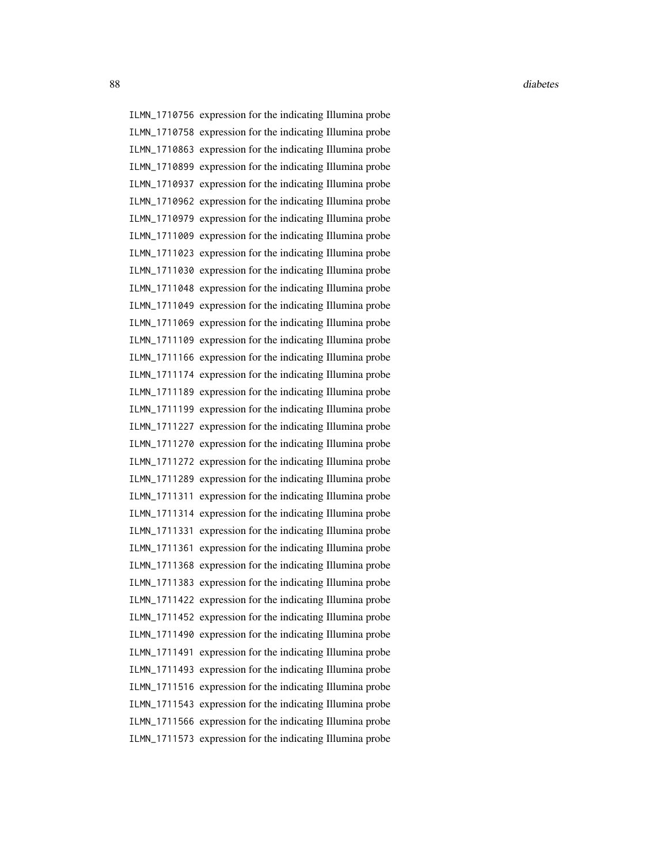88 diabetes and the contract of the contract of the contract of the contract of the contract of the contract of the contract of the contract of the contract of the contract of the contract of the contract of the contract o

ILMN\_1710756 expression for the indicating Illumina probe ILMN\_1710758 expression for the indicating Illumina probe ILMN\_1710863 expression for the indicating Illumina probe ILMN\_1710899 expression for the indicating Illumina probe ILMN\_1710937 expression for the indicating Illumina probe ILMN\_1710962 expression for the indicating Illumina probe ILMN\_1710979 expression for the indicating Illumina probe ILMN\_1711009 expression for the indicating Illumina probe ILMN\_1711023 expression for the indicating Illumina probe ILMN\_1711030 expression for the indicating Illumina probe ILMN\_1711048 expression for the indicating Illumina probe ILMN\_1711049 expression for the indicating Illumina probe ILMN\_1711069 expression for the indicating Illumina probe ILMN\_1711109 expression for the indicating Illumina probe ILMN\_1711166 expression for the indicating Illumina probe ILMN\_1711174 expression for the indicating Illumina probe ILMN\_1711189 expression for the indicating Illumina probe ILMN\_1711199 expression for the indicating Illumina probe ILMN\_1711227 expression for the indicating Illumina probe ILMN\_1711270 expression for the indicating Illumina probe ILMN\_1711272 expression for the indicating Illumina probe ILMN\_1711289 expression for the indicating Illumina probe ILMN\_1711311 expression for the indicating Illumina probe ILMN\_1711314 expression for the indicating Illumina probe ILMN\_1711331 expression for the indicating Illumina probe ILMN\_1711361 expression for the indicating Illumina probe ILMN\_1711368 expression for the indicating Illumina probe ILMN\_1711383 expression for the indicating Illumina probe ILMN\_1711422 expression for the indicating Illumina probe ILMN\_1711452 expression for the indicating Illumina probe ILMN\_1711490 expression for the indicating Illumina probe ILMN\_1711491 expression for the indicating Illumina probe ILMN\_1711493 expression for the indicating Illumina probe ILMN\_1711516 expression for the indicating Illumina probe ILMN\_1711543 expression for the indicating Illumina probe ILMN\_1711566 expression for the indicating Illumina probe ILMN\_1711573 expression for the indicating Illumina probe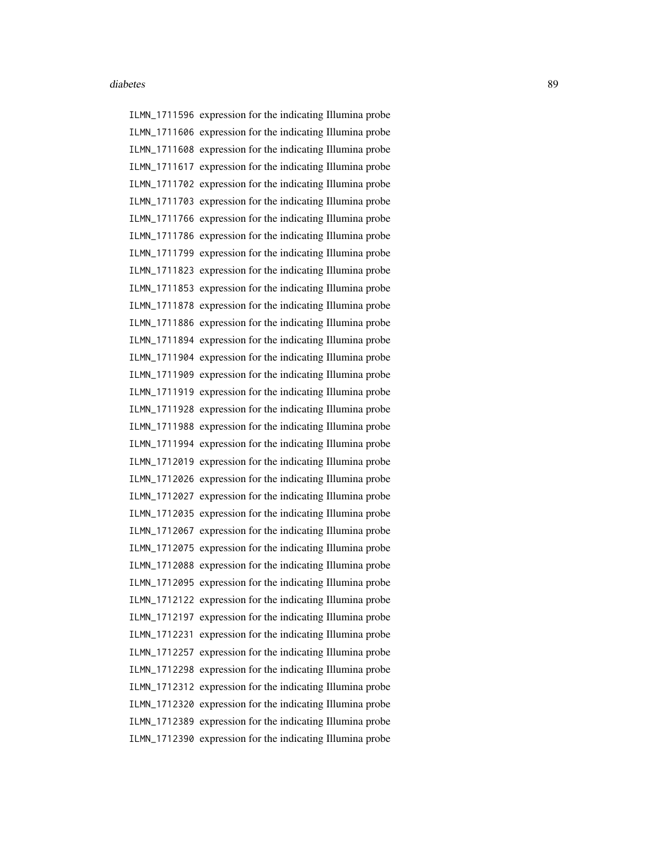ILMN\_1711596 expression for the indicating Illumina probe ILMN\_1711606 expression for the indicating Illumina probe ILMN\_1711608 expression for the indicating Illumina probe ILMN\_1711617 expression for the indicating Illumina probe ILMN\_1711702 expression for the indicating Illumina probe ILMN\_1711703 expression for the indicating Illumina probe ILMN\_1711766 expression for the indicating Illumina probe ILMN\_1711786 expression for the indicating Illumina probe ILMN\_1711799 expression for the indicating Illumina probe ILMN\_1711823 expression for the indicating Illumina probe ILMN\_1711853 expression for the indicating Illumina probe ILMN\_1711878 expression for the indicating Illumina probe ILMN\_1711886 expression for the indicating Illumina probe ILMN\_1711894 expression for the indicating Illumina probe ILMN\_1711904 expression for the indicating Illumina probe ILMN\_1711909 expression for the indicating Illumina probe ILMN\_1711919 expression for the indicating Illumina probe ILMN\_1711928 expression for the indicating Illumina probe ILMN\_1711988 expression for the indicating Illumina probe ILMN\_1711994 expression for the indicating Illumina probe ILMN\_1712019 expression for the indicating Illumina probe ILMN\_1712026 expression for the indicating Illumina probe ILMN\_1712027 expression for the indicating Illumina probe ILMN\_1712035 expression for the indicating Illumina probe ILMN\_1712067 expression for the indicating Illumina probe ILMN\_1712075 expression for the indicating Illumina probe ILMN\_1712088 expression for the indicating Illumina probe ILMN\_1712095 expression for the indicating Illumina probe ILMN\_1712122 expression for the indicating Illumina probe ILMN\_1712197 expression for the indicating Illumina probe ILMN\_1712231 expression for the indicating Illumina probe ILMN\_1712257 expression for the indicating Illumina probe ILMN\_1712298 expression for the indicating Illumina probe ILMN\_1712312 expression for the indicating Illumina probe ILMN\_1712320 expression for the indicating Illumina probe ILMN\_1712389 expression for the indicating Illumina probe ILMN\_1712390 expression for the indicating Illumina probe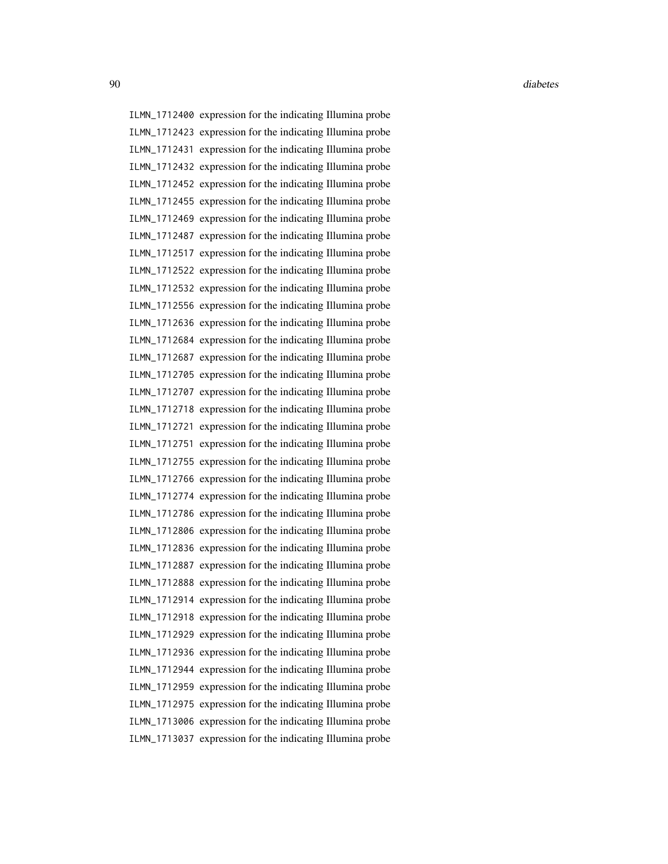ILMN\_1712400 expression for the indicating Illumina probe ILMN\_1712423 expression for the indicating Illumina probe ILMN\_1712431 expression for the indicating Illumina probe ILMN\_1712432 expression for the indicating Illumina probe ILMN\_1712452 expression for the indicating Illumina probe ILMN\_1712455 expression for the indicating Illumina probe ILMN\_1712469 expression for the indicating Illumina probe ILMN\_1712487 expression for the indicating Illumina probe ILMN\_1712517 expression for the indicating Illumina probe ILMN\_1712522 expression for the indicating Illumina probe ILMN\_1712532 expression for the indicating Illumina probe ILMN\_1712556 expression for the indicating Illumina probe ILMN\_1712636 expression for the indicating Illumina probe ILMN\_1712684 expression for the indicating Illumina probe ILMN\_1712687 expression for the indicating Illumina probe ILMN\_1712705 expression for the indicating Illumina probe ILMN\_1712707 expression for the indicating Illumina probe ILMN\_1712718 expression for the indicating Illumina probe ILMN\_1712721 expression for the indicating Illumina probe ILMN\_1712751 expression for the indicating Illumina probe ILMN\_1712755 expression for the indicating Illumina probe ILMN\_1712766 expression for the indicating Illumina probe ILMN\_1712774 expression for the indicating Illumina probe ILMN\_1712786 expression for the indicating Illumina probe ILMN\_1712806 expression for the indicating Illumina probe ILMN\_1712836 expression for the indicating Illumina probe ILMN\_1712887 expression for the indicating Illumina probe ILMN\_1712888 expression for the indicating Illumina probe ILMN\_1712914 expression for the indicating Illumina probe ILMN\_1712918 expression for the indicating Illumina probe ILMN\_1712929 expression for the indicating Illumina probe ILMN\_1712936 expression for the indicating Illumina probe ILMN\_1712944 expression for the indicating Illumina probe ILMN\_1712959 expression for the indicating Illumina probe ILMN\_1712975 expression for the indicating Illumina probe ILMN\_1713006 expression for the indicating Illumina probe ILMN\_1713037 expression for the indicating Illumina probe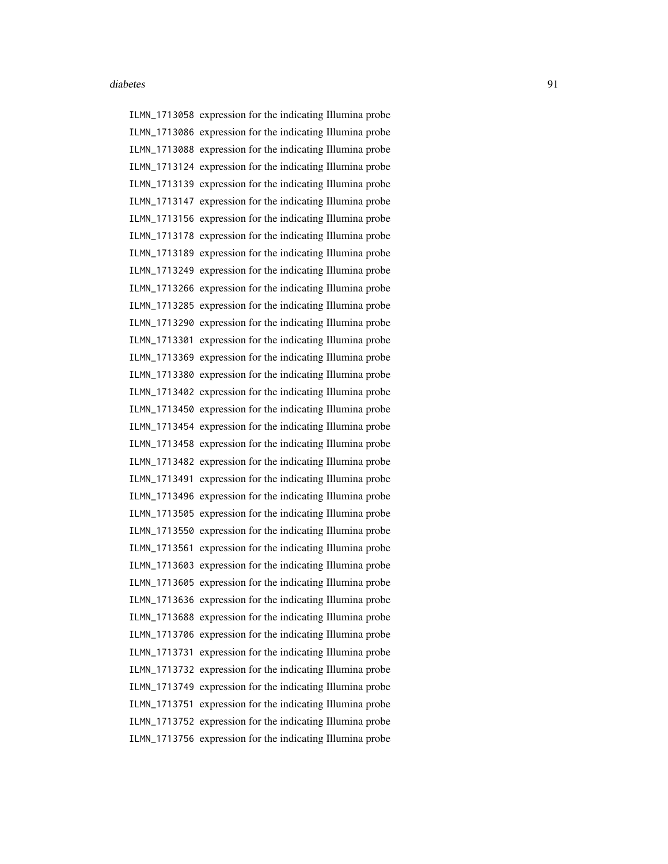ILMN\_1713058 expression for the indicating Illumina probe ILMN\_1713086 expression for the indicating Illumina probe ILMN\_1713088 expression for the indicating Illumina probe ILMN\_1713124 expression for the indicating Illumina probe ILMN\_1713139 expression for the indicating Illumina probe ILMN\_1713147 expression for the indicating Illumina probe ILMN\_1713156 expression for the indicating Illumina probe ILMN\_1713178 expression for the indicating Illumina probe ILMN\_1713189 expression for the indicating Illumina probe ILMN\_1713249 expression for the indicating Illumina probe ILMN\_1713266 expression for the indicating Illumina probe ILMN\_1713285 expression for the indicating Illumina probe ILMN\_1713290 expression for the indicating Illumina probe ILMN\_1713301 expression for the indicating Illumina probe ILMN\_1713369 expression for the indicating Illumina probe ILMN\_1713380 expression for the indicating Illumina probe ILMN\_1713402 expression for the indicating Illumina probe ILMN\_1713450 expression for the indicating Illumina probe ILMN\_1713454 expression for the indicating Illumina probe ILMN\_1713458 expression for the indicating Illumina probe ILMN\_1713482 expression for the indicating Illumina probe ILMN\_1713491 expression for the indicating Illumina probe ILMN\_1713496 expression for the indicating Illumina probe ILMN\_1713505 expression for the indicating Illumina probe ILMN\_1713550 expression for the indicating Illumina probe ILMN\_1713561 expression for the indicating Illumina probe ILMN\_1713603 expression for the indicating Illumina probe ILMN\_1713605 expression for the indicating Illumina probe ILMN\_1713636 expression for the indicating Illumina probe ILMN\_1713688 expression for the indicating Illumina probe ILMN\_1713706 expression for the indicating Illumina probe ILMN\_1713731 expression for the indicating Illumina probe ILMN\_1713732 expression for the indicating Illumina probe ILMN\_1713749 expression for the indicating Illumina probe ILMN\_1713751 expression for the indicating Illumina probe ILMN\_1713752 expression for the indicating Illumina probe ILMN\_1713756 expression for the indicating Illumina probe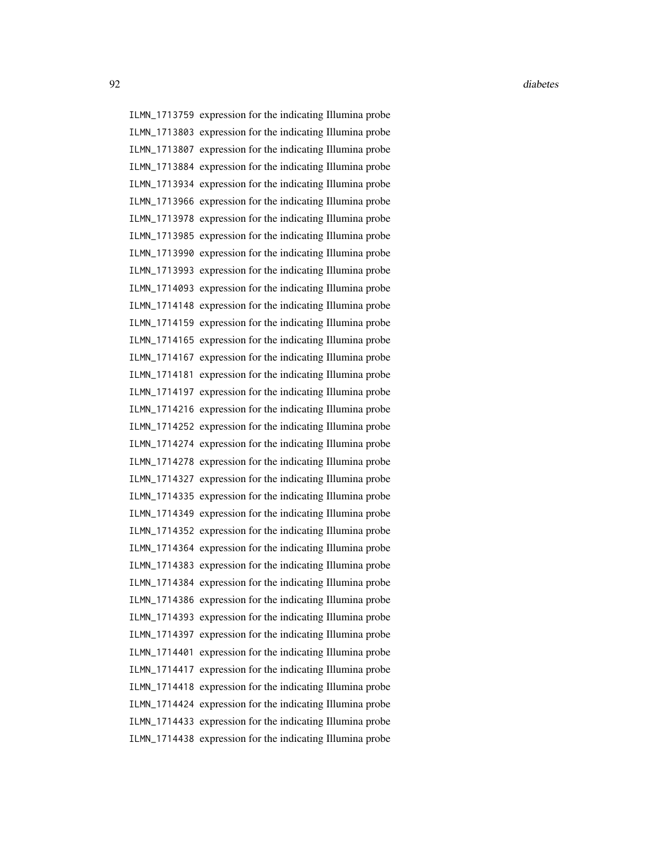ILMN\_1713759 expression for the indicating Illumina probe ILMN\_1713803 expression for the indicating Illumina probe ILMN\_1713807 expression for the indicating Illumina probe ILMN\_1713884 expression for the indicating Illumina probe ILMN\_1713934 expression for the indicating Illumina probe ILMN\_1713966 expression for the indicating Illumina probe ILMN\_1713978 expression for the indicating Illumina probe ILMN\_1713985 expression for the indicating Illumina probe ILMN\_1713990 expression for the indicating Illumina probe ILMN\_1713993 expression for the indicating Illumina probe ILMN\_1714093 expression for the indicating Illumina probe ILMN\_1714148 expression for the indicating Illumina probe ILMN\_1714159 expression for the indicating Illumina probe ILMN\_1714165 expression for the indicating Illumina probe ILMN\_1714167 expression for the indicating Illumina probe ILMN\_1714181 expression for the indicating Illumina probe ILMN\_1714197 expression for the indicating Illumina probe ILMN\_1714216 expression for the indicating Illumina probe ILMN\_1714252 expression for the indicating Illumina probe ILMN\_1714274 expression for the indicating Illumina probe ILMN\_1714278 expression for the indicating Illumina probe ILMN\_1714327 expression for the indicating Illumina probe ILMN\_1714335 expression for the indicating Illumina probe ILMN\_1714349 expression for the indicating Illumina probe ILMN\_1714352 expression for the indicating Illumina probe ILMN\_1714364 expression for the indicating Illumina probe ILMN\_1714383 expression for the indicating Illumina probe ILMN\_1714384 expression for the indicating Illumina probe ILMN\_1714386 expression for the indicating Illumina probe ILMN\_1714393 expression for the indicating Illumina probe ILMN\_1714397 expression for the indicating Illumina probe ILMN\_1714401 expression for the indicating Illumina probe ILMN\_1714417 expression for the indicating Illumina probe ILMN\_1714418 expression for the indicating Illumina probe ILMN\_1714424 expression for the indicating Illumina probe ILMN\_1714433 expression for the indicating Illumina probe ILMN\_1714438 expression for the indicating Illumina probe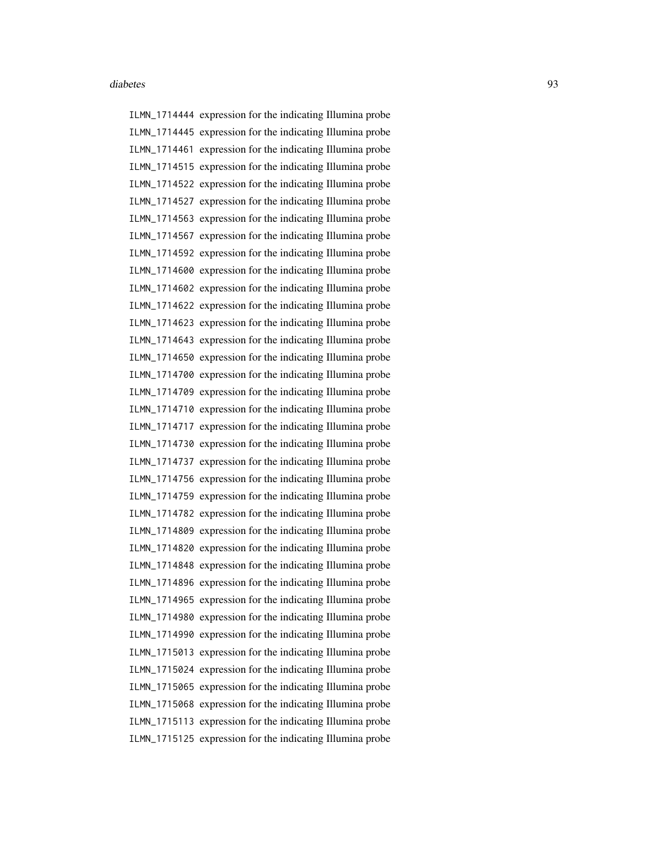ILMN\_1714444 expression for the indicating Illumina probe ILMN\_1714445 expression for the indicating Illumina probe ILMN\_1714461 expression for the indicating Illumina probe ILMN\_1714515 expression for the indicating Illumina probe ILMN\_1714522 expression for the indicating Illumina probe ILMN\_1714527 expression for the indicating Illumina probe ILMN\_1714563 expression for the indicating Illumina probe ILMN\_1714567 expression for the indicating Illumina probe ILMN\_1714592 expression for the indicating Illumina probe ILMN\_1714600 expression for the indicating Illumina probe ILMN\_1714602 expression for the indicating Illumina probe ILMN\_1714622 expression for the indicating Illumina probe ILMN\_1714623 expression for the indicating Illumina probe ILMN\_1714643 expression for the indicating Illumina probe ILMN\_1714650 expression for the indicating Illumina probe ILMN\_1714700 expression for the indicating Illumina probe ILMN\_1714709 expression for the indicating Illumina probe ILMN\_1714710 expression for the indicating Illumina probe ILMN\_1714717 expression for the indicating Illumina probe ILMN\_1714730 expression for the indicating Illumina probe ILMN\_1714737 expression for the indicating Illumina probe ILMN\_1714756 expression for the indicating Illumina probe ILMN\_1714759 expression for the indicating Illumina probe ILMN\_1714782 expression for the indicating Illumina probe ILMN\_1714809 expression for the indicating Illumina probe ILMN\_1714820 expression for the indicating Illumina probe ILMN\_1714848 expression for the indicating Illumina probe ILMN\_1714896 expression for the indicating Illumina probe ILMN\_1714965 expression for the indicating Illumina probe ILMN\_1714980 expression for the indicating Illumina probe ILMN\_1714990 expression for the indicating Illumina probe ILMN\_1715013 expression for the indicating Illumina probe ILMN\_1715024 expression for the indicating Illumina probe ILMN\_1715065 expression for the indicating Illumina probe ILMN\_1715068 expression for the indicating Illumina probe ILMN\_1715113 expression for the indicating Illumina probe ILMN\_1715125 expression for the indicating Illumina probe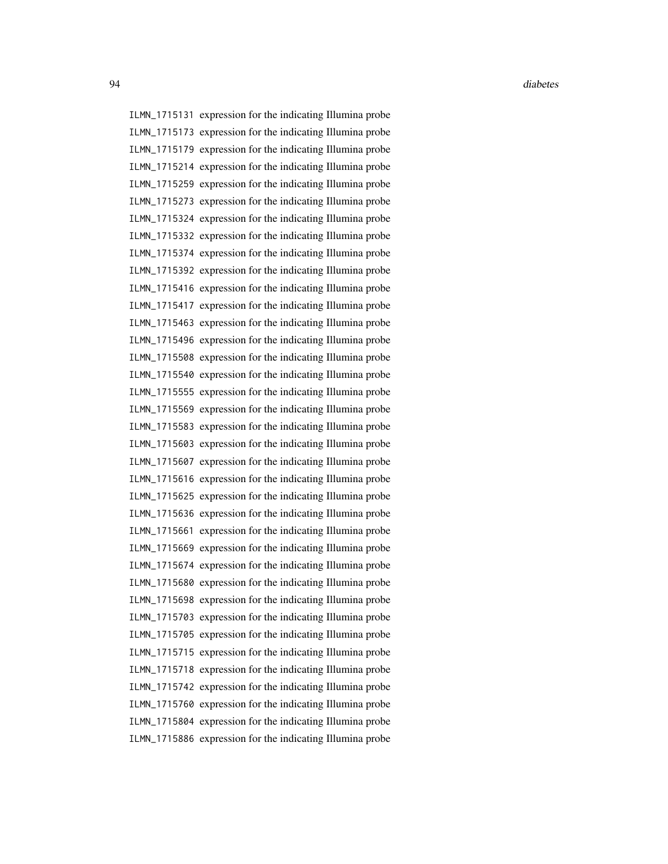ILMN\_1715131 expression for the indicating Illumina probe ILMN\_1715173 expression for the indicating Illumina probe ILMN\_1715179 expression for the indicating Illumina probe ILMN\_1715214 expression for the indicating Illumina probe ILMN\_1715259 expression for the indicating Illumina probe ILMN\_1715273 expression for the indicating Illumina probe ILMN\_1715324 expression for the indicating Illumina probe ILMN\_1715332 expression for the indicating Illumina probe ILMN\_1715374 expression for the indicating Illumina probe ILMN\_1715392 expression for the indicating Illumina probe ILMN\_1715416 expression for the indicating Illumina probe ILMN\_1715417 expression for the indicating Illumina probe ILMN\_1715463 expression for the indicating Illumina probe ILMN\_1715496 expression for the indicating Illumina probe ILMN\_1715508 expression for the indicating Illumina probe ILMN\_1715540 expression for the indicating Illumina probe ILMN\_1715555 expression for the indicating Illumina probe ILMN\_1715569 expression for the indicating Illumina probe ILMN\_1715583 expression for the indicating Illumina probe ILMN\_1715603 expression for the indicating Illumina probe ILMN\_1715607 expression for the indicating Illumina probe ILMN\_1715616 expression for the indicating Illumina probe ILMN\_1715625 expression for the indicating Illumina probe ILMN\_1715636 expression for the indicating Illumina probe ILMN\_1715661 expression for the indicating Illumina probe ILMN\_1715669 expression for the indicating Illumina probe ILMN\_1715674 expression for the indicating Illumina probe ILMN\_1715680 expression for the indicating Illumina probe ILMN\_1715698 expression for the indicating Illumina probe ILMN\_1715703 expression for the indicating Illumina probe ILMN\_1715705 expression for the indicating Illumina probe ILMN\_1715715 expression for the indicating Illumina probe ILMN\_1715718 expression for the indicating Illumina probe ILMN\_1715742 expression for the indicating Illumina probe ILMN\_1715760 expression for the indicating Illumina probe ILMN\_1715804 expression for the indicating Illumina probe ILMN\_1715886 expression for the indicating Illumina probe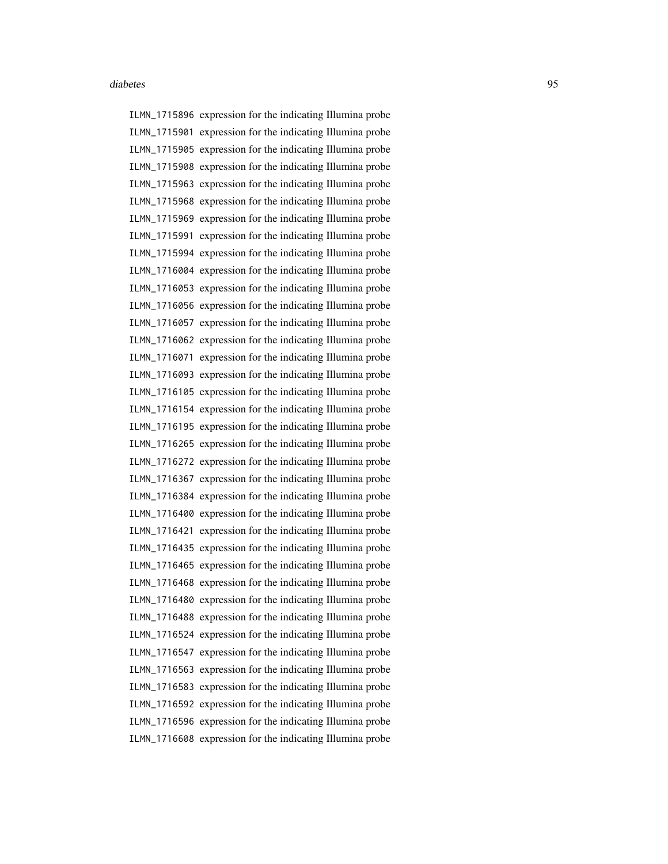ILMN\_1715896 expression for the indicating Illumina probe ILMN\_1715901 expression for the indicating Illumina probe ILMN\_1715905 expression for the indicating Illumina probe ILMN\_1715908 expression for the indicating Illumina probe ILMN\_1715963 expression for the indicating Illumina probe ILMN\_1715968 expression for the indicating Illumina probe ILMN\_1715969 expression for the indicating Illumina probe ILMN\_1715991 expression for the indicating Illumina probe ILMN\_1715994 expression for the indicating Illumina probe ILMN\_1716004 expression for the indicating Illumina probe ILMN\_1716053 expression for the indicating Illumina probe ILMN\_1716056 expression for the indicating Illumina probe ILMN\_1716057 expression for the indicating Illumina probe ILMN\_1716062 expression for the indicating Illumina probe ILMN\_1716071 expression for the indicating Illumina probe ILMN\_1716093 expression for the indicating Illumina probe ILMN\_1716105 expression for the indicating Illumina probe ILMN\_1716154 expression for the indicating Illumina probe ILMN\_1716195 expression for the indicating Illumina probe ILMN\_1716265 expression for the indicating Illumina probe ILMN\_1716272 expression for the indicating Illumina probe ILMN\_1716367 expression for the indicating Illumina probe ILMN\_1716384 expression for the indicating Illumina probe ILMN\_1716400 expression for the indicating Illumina probe ILMN\_1716421 expression for the indicating Illumina probe ILMN\_1716435 expression for the indicating Illumina probe ILMN\_1716465 expression for the indicating Illumina probe ILMN\_1716468 expression for the indicating Illumina probe ILMN\_1716480 expression for the indicating Illumina probe ILMN\_1716488 expression for the indicating Illumina probe ILMN\_1716524 expression for the indicating Illumina probe ILMN\_1716547 expression for the indicating Illumina probe ILMN\_1716563 expression for the indicating Illumina probe ILMN\_1716583 expression for the indicating Illumina probe ILMN\_1716592 expression for the indicating Illumina probe ILMN\_1716596 expression for the indicating Illumina probe ILMN\_1716608 expression for the indicating Illumina probe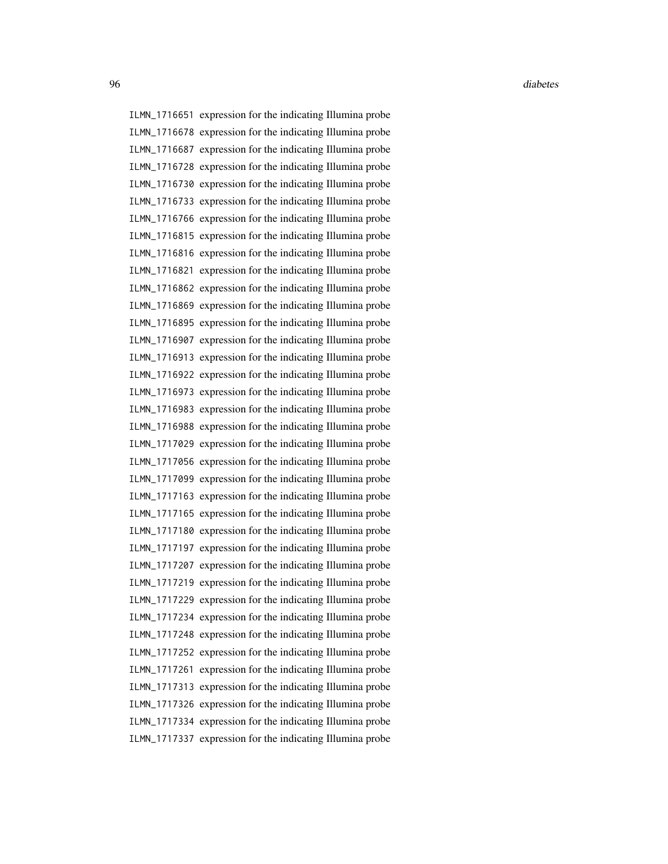ILMN\_1716651 expression for the indicating Illumina probe ILMN\_1716678 expression for the indicating Illumina probe ILMN\_1716687 expression for the indicating Illumina probe ILMN\_1716728 expression for the indicating Illumina probe ILMN\_1716730 expression for the indicating Illumina probe ILMN\_1716733 expression for the indicating Illumina probe ILMN\_1716766 expression for the indicating Illumina probe ILMN\_1716815 expression for the indicating Illumina probe ILMN\_1716816 expression for the indicating Illumina probe ILMN\_1716821 expression for the indicating Illumina probe ILMN\_1716862 expression for the indicating Illumina probe ILMN\_1716869 expression for the indicating Illumina probe ILMN\_1716895 expression for the indicating Illumina probe ILMN\_1716907 expression for the indicating Illumina probe ILMN\_1716913 expression for the indicating Illumina probe ILMN\_1716922 expression for the indicating Illumina probe ILMN\_1716973 expression for the indicating Illumina probe ILMN\_1716983 expression for the indicating Illumina probe ILMN\_1716988 expression for the indicating Illumina probe ILMN\_1717029 expression for the indicating Illumina probe ILMN\_1717056 expression for the indicating Illumina probe ILMN\_1717099 expression for the indicating Illumina probe ILMN\_1717163 expression for the indicating Illumina probe ILMN\_1717165 expression for the indicating Illumina probe ILMN\_1717180 expression for the indicating Illumina probe ILMN\_1717197 expression for the indicating Illumina probe ILMN\_1717207 expression for the indicating Illumina probe ILMN\_1717219 expression for the indicating Illumina probe ILMN\_1717229 expression for the indicating Illumina probe ILMN\_1717234 expression for the indicating Illumina probe ILMN\_1717248 expression for the indicating Illumina probe ILMN\_1717252 expression for the indicating Illumina probe ILMN\_1717261 expression for the indicating Illumina probe ILMN\_1717313 expression for the indicating Illumina probe ILMN\_1717326 expression for the indicating Illumina probe ILMN\_1717334 expression for the indicating Illumina probe ILMN\_1717337 expression for the indicating Illumina probe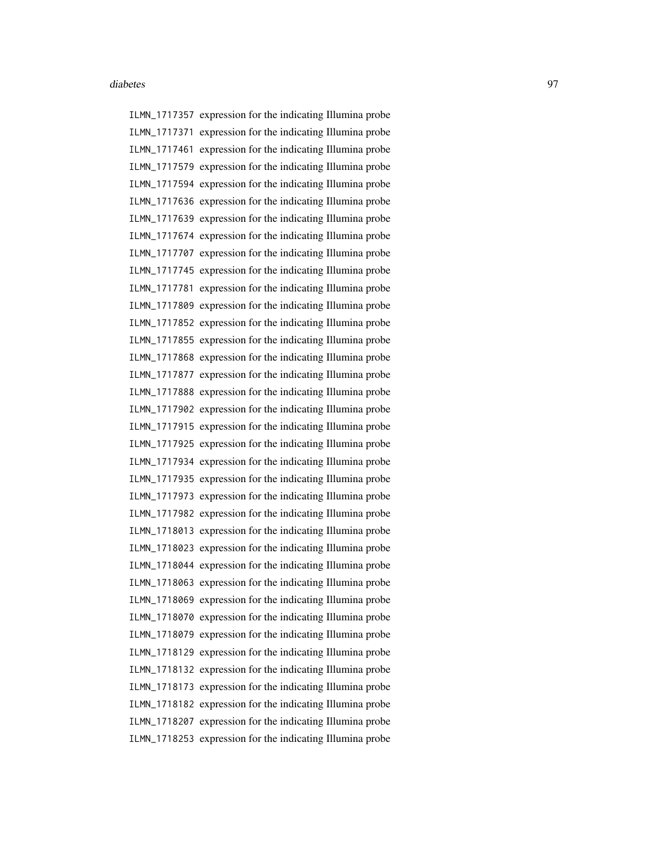ILMN\_1717357 expression for the indicating Illumina probe ILMN\_1717371 expression for the indicating Illumina probe ILMN\_1717461 expression for the indicating Illumina probe ILMN\_1717579 expression for the indicating Illumina probe ILMN\_1717594 expression for the indicating Illumina probe ILMN\_1717636 expression for the indicating Illumina probe ILMN\_1717639 expression for the indicating Illumina probe ILMN\_1717674 expression for the indicating Illumina probe ILMN\_1717707 expression for the indicating Illumina probe ILMN\_1717745 expression for the indicating Illumina probe ILMN\_1717781 expression for the indicating Illumina probe ILMN\_1717809 expression for the indicating Illumina probe ILMN\_1717852 expression for the indicating Illumina probe ILMN\_1717855 expression for the indicating Illumina probe ILMN\_1717868 expression for the indicating Illumina probe ILMN\_1717877 expression for the indicating Illumina probe ILMN\_1717888 expression for the indicating Illumina probe ILMN\_1717902 expression for the indicating Illumina probe ILMN\_1717915 expression for the indicating Illumina probe ILMN\_1717925 expression for the indicating Illumina probe ILMN\_1717934 expression for the indicating Illumina probe ILMN\_1717935 expression for the indicating Illumina probe ILMN\_1717973 expression for the indicating Illumina probe ILMN\_1717982 expression for the indicating Illumina probe ILMN\_1718013 expression for the indicating Illumina probe ILMN\_1718023 expression for the indicating Illumina probe ILMN\_1718044 expression for the indicating Illumina probe ILMN\_1718063 expression for the indicating Illumina probe ILMN\_1718069 expression for the indicating Illumina probe ILMN\_1718070 expression for the indicating Illumina probe ILMN\_1718079 expression for the indicating Illumina probe ILMN\_1718129 expression for the indicating Illumina probe ILMN\_1718132 expression for the indicating Illumina probe ILMN\_1718173 expression for the indicating Illumina probe ILMN\_1718182 expression for the indicating Illumina probe ILMN\_1718207 expression for the indicating Illumina probe ILMN\_1718253 expression for the indicating Illumina probe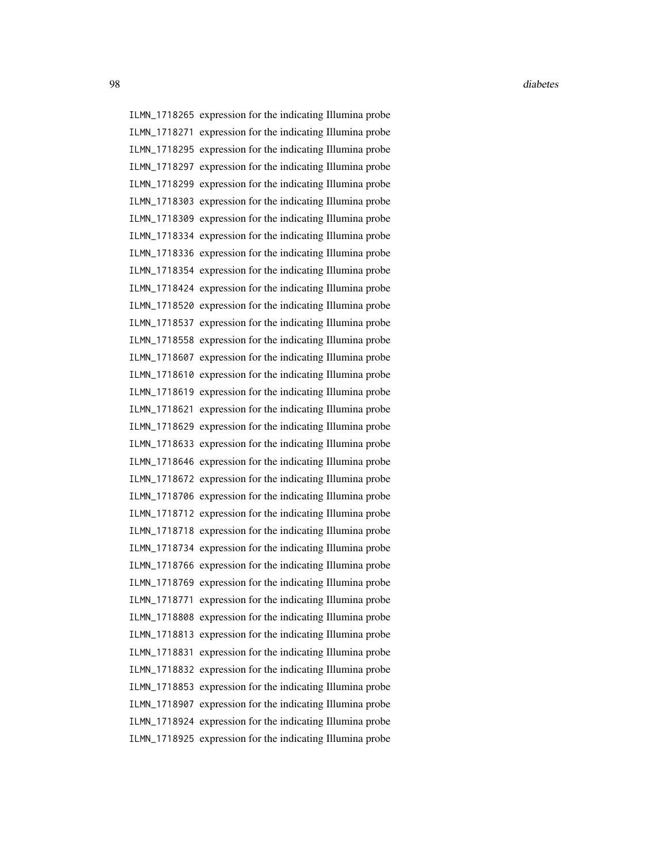ILMN\_1718265 expression for the indicating Illumina probe ILMN\_1718271 expression for the indicating Illumina probe ILMN\_1718295 expression for the indicating Illumina probe ILMN\_1718297 expression for the indicating Illumina probe ILMN\_1718299 expression for the indicating Illumina probe ILMN\_1718303 expression for the indicating Illumina probe ILMN\_1718309 expression for the indicating Illumina probe ILMN\_1718334 expression for the indicating Illumina probe ILMN\_1718336 expression for the indicating Illumina probe ILMN\_1718354 expression for the indicating Illumina probe ILMN\_1718424 expression for the indicating Illumina probe ILMN\_1718520 expression for the indicating Illumina probe ILMN\_1718537 expression for the indicating Illumina probe ILMN\_1718558 expression for the indicating Illumina probe ILMN\_1718607 expression for the indicating Illumina probe ILMN\_1718610 expression for the indicating Illumina probe ILMN\_1718619 expression for the indicating Illumina probe ILMN\_1718621 expression for the indicating Illumina probe ILMN\_1718629 expression for the indicating Illumina probe ILMN\_1718633 expression for the indicating Illumina probe ILMN\_1718646 expression for the indicating Illumina probe ILMN\_1718672 expression for the indicating Illumina probe ILMN\_1718706 expression for the indicating Illumina probe ILMN\_1718712 expression for the indicating Illumina probe ILMN\_1718718 expression for the indicating Illumina probe ILMN\_1718734 expression for the indicating Illumina probe ILMN\_1718766 expression for the indicating Illumina probe ILMN\_1718769 expression for the indicating Illumina probe ILMN\_1718771 expression for the indicating Illumina probe ILMN\_1718808 expression for the indicating Illumina probe ILMN\_1718813 expression for the indicating Illumina probe ILMN\_1718831 expression for the indicating Illumina probe ILMN\_1718832 expression for the indicating Illumina probe ILMN\_1718853 expression for the indicating Illumina probe ILMN\_1718907 expression for the indicating Illumina probe ILMN\_1718924 expression for the indicating Illumina probe ILMN\_1718925 expression for the indicating Illumina probe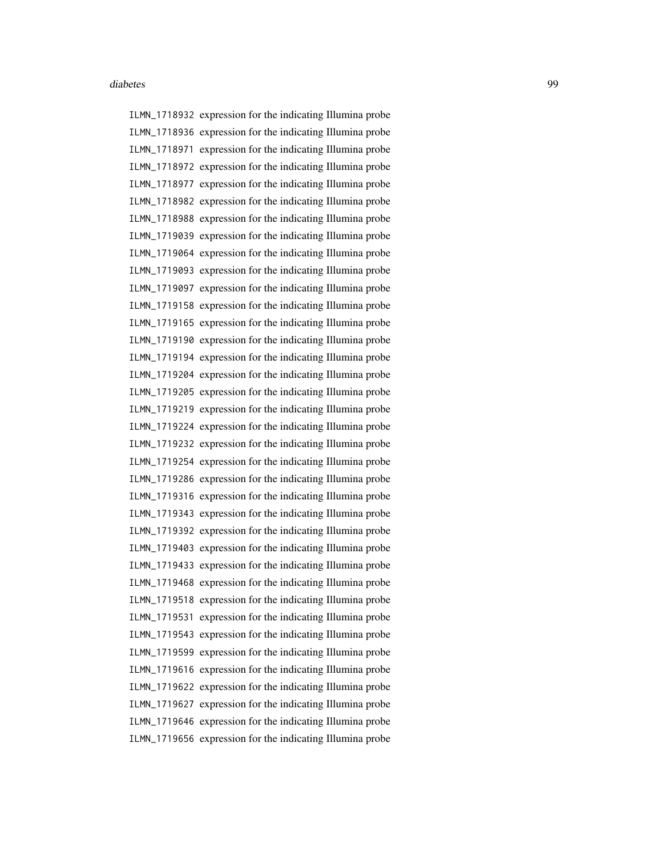ILMN\_1718932 expression for the indicating Illumina probe ILMN\_1718936 expression for the indicating Illumina probe ILMN\_1718971 expression for the indicating Illumina probe ILMN\_1718972 expression for the indicating Illumina probe ILMN\_1718977 expression for the indicating Illumina probe ILMN\_1718982 expression for the indicating Illumina probe ILMN\_1718988 expression for the indicating Illumina probe ILMN\_1719039 expression for the indicating Illumina probe ILMN\_1719064 expression for the indicating Illumina probe ILMN\_1719093 expression for the indicating Illumina probe ILMN\_1719097 expression for the indicating Illumina probe ILMN\_1719158 expression for the indicating Illumina probe ILMN\_1719165 expression for the indicating Illumina probe ILMN\_1719190 expression for the indicating Illumina probe ILMN\_1719194 expression for the indicating Illumina probe ILMN\_1719204 expression for the indicating Illumina probe ILMN\_1719205 expression for the indicating Illumina probe ILMN\_1719219 expression for the indicating Illumina probe ILMN\_1719224 expression for the indicating Illumina probe ILMN\_1719232 expression for the indicating Illumina probe ILMN\_1719254 expression for the indicating Illumina probe ILMN\_1719286 expression for the indicating Illumina probe ILMN\_1719316 expression for the indicating Illumina probe ILMN\_1719343 expression for the indicating Illumina probe ILMN\_1719392 expression for the indicating Illumina probe ILMN\_1719403 expression for the indicating Illumina probe ILMN\_1719433 expression for the indicating Illumina probe ILMN\_1719468 expression for the indicating Illumina probe ILMN\_1719518 expression for the indicating Illumina probe ILMN\_1719531 expression for the indicating Illumina probe ILMN\_1719543 expression for the indicating Illumina probe ILMN\_1719599 expression for the indicating Illumina probe ILMN\_1719616 expression for the indicating Illumina probe ILMN\_1719622 expression for the indicating Illumina probe ILMN\_1719627 expression for the indicating Illumina probe ILMN\_1719646 expression for the indicating Illumina probe ILMN\_1719656 expression for the indicating Illumina probe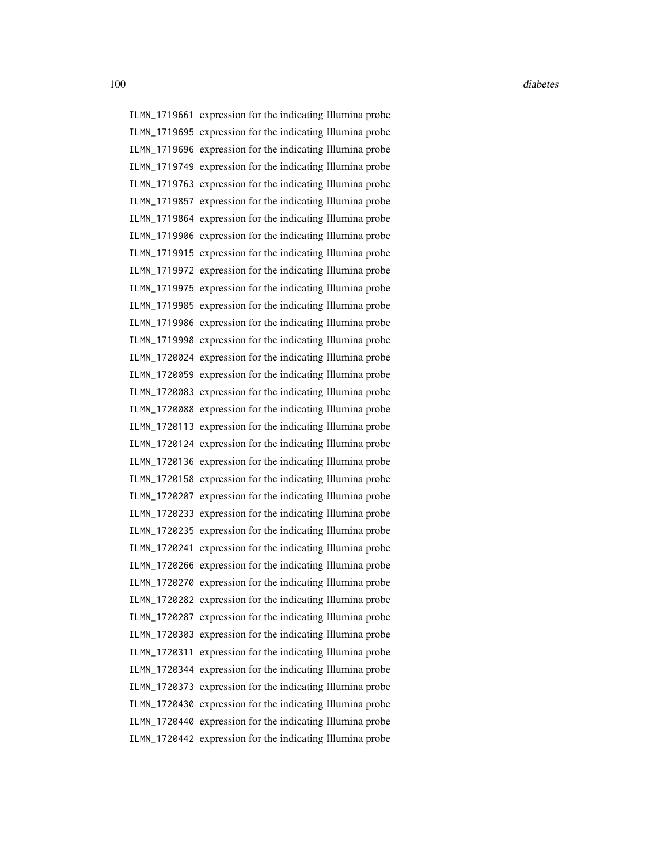ILMN\_1719661 expression for the indicating Illumina probe ILMN\_1719695 expression for the indicating Illumina probe ILMN\_1719696 expression for the indicating Illumina probe ILMN\_1719749 expression for the indicating Illumina probe ILMN\_1719763 expression for the indicating Illumina probe ILMN\_1719857 expression for the indicating Illumina probe ILMN\_1719864 expression for the indicating Illumina probe ILMN\_1719906 expression for the indicating Illumina probe ILMN\_1719915 expression for the indicating Illumina probe ILMN\_1719972 expression for the indicating Illumina probe ILMN\_1719975 expression for the indicating Illumina probe ILMN\_1719985 expression for the indicating Illumina probe ILMN\_1719986 expression for the indicating Illumina probe ILMN\_1719998 expression for the indicating Illumina probe ILMN\_1720024 expression for the indicating Illumina probe ILMN\_1720059 expression for the indicating Illumina probe ILMN\_1720083 expression for the indicating Illumina probe ILMN\_1720088 expression for the indicating Illumina probe ILMN\_1720113 expression for the indicating Illumina probe ILMN\_1720124 expression for the indicating Illumina probe ILMN\_1720136 expression for the indicating Illumina probe ILMN\_1720158 expression for the indicating Illumina probe ILMN\_1720207 expression for the indicating Illumina probe ILMN\_1720233 expression for the indicating Illumina probe ILMN\_1720235 expression for the indicating Illumina probe ILMN\_1720241 expression for the indicating Illumina probe ILMN\_1720266 expression for the indicating Illumina probe ILMN\_1720270 expression for the indicating Illumina probe ILMN\_1720282 expression for the indicating Illumina probe ILMN\_1720287 expression for the indicating Illumina probe ILMN\_1720303 expression for the indicating Illumina probe ILMN\_1720311 expression for the indicating Illumina probe ILMN\_1720344 expression for the indicating Illumina probe ILMN\_1720373 expression for the indicating Illumina probe ILMN\_1720430 expression for the indicating Illumina probe ILMN\_1720440 expression for the indicating Illumina probe ILMN\_1720442 expression for the indicating Illumina probe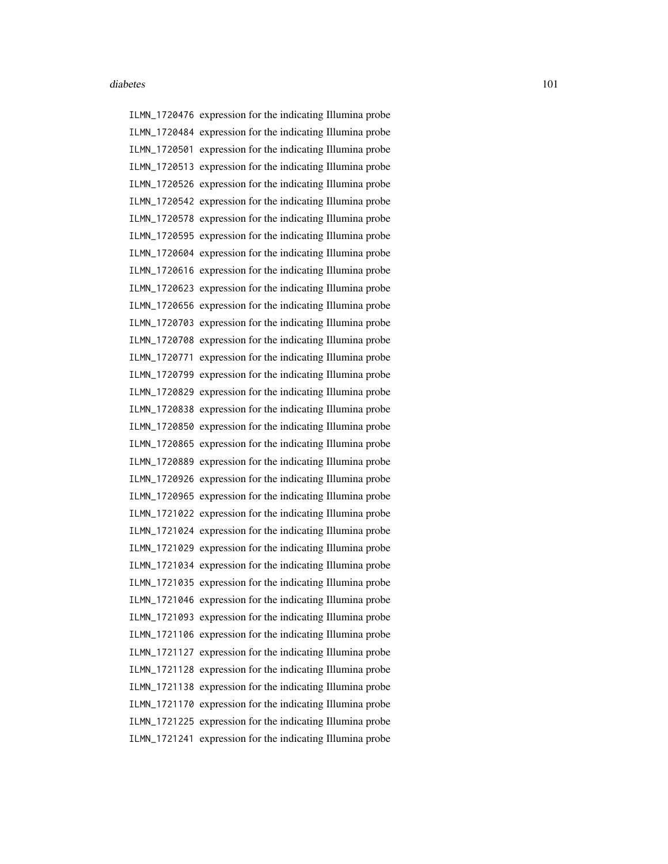ILMN\_1720476 expression for the indicating Illumina probe ILMN\_1720484 expression for the indicating Illumina probe ILMN\_1720501 expression for the indicating Illumina probe ILMN\_1720513 expression for the indicating Illumina probe ILMN\_1720526 expression for the indicating Illumina probe ILMN\_1720542 expression for the indicating Illumina probe ILMN\_1720578 expression for the indicating Illumina probe ILMN\_1720595 expression for the indicating Illumina probe ILMN\_1720604 expression for the indicating Illumina probe ILMN\_1720616 expression for the indicating Illumina probe ILMN\_1720623 expression for the indicating Illumina probe ILMN\_1720656 expression for the indicating Illumina probe ILMN\_1720703 expression for the indicating Illumina probe ILMN\_1720708 expression for the indicating Illumina probe ILMN\_1720771 expression for the indicating Illumina probe ILMN\_1720799 expression for the indicating Illumina probe ILMN\_1720829 expression for the indicating Illumina probe ILMN\_1720838 expression for the indicating Illumina probe ILMN\_1720850 expression for the indicating Illumina probe ILMN\_1720865 expression for the indicating Illumina probe ILMN\_1720889 expression for the indicating Illumina probe ILMN\_1720926 expression for the indicating Illumina probe ILMN\_1720965 expression for the indicating Illumina probe ILMN\_1721022 expression for the indicating Illumina probe ILMN\_1721024 expression for the indicating Illumina probe ILMN\_1721029 expression for the indicating Illumina probe ILMN\_1721034 expression for the indicating Illumina probe ILMN\_1721035 expression for the indicating Illumina probe ILMN\_1721046 expression for the indicating Illumina probe ILMN\_1721093 expression for the indicating Illumina probe ILMN\_1721106 expression for the indicating Illumina probe ILMN\_1721127 expression for the indicating Illumina probe ILMN\_1721128 expression for the indicating Illumina probe ILMN\_1721138 expression for the indicating Illumina probe ILMN\_1721170 expression for the indicating Illumina probe ILMN\_1721225 expression for the indicating Illumina probe ILMN\_1721241 expression for the indicating Illumina probe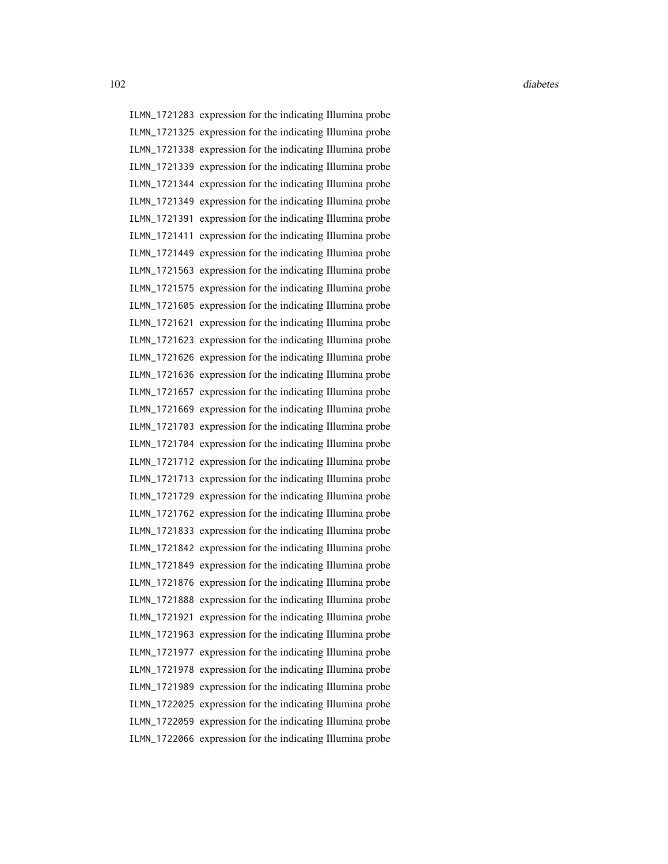ILMN\_1721283 expression for the indicating Illumina probe ILMN\_1721325 expression for the indicating Illumina probe ILMN\_1721338 expression for the indicating Illumina probe ILMN\_1721339 expression for the indicating Illumina probe ILMN\_1721344 expression for the indicating Illumina probe ILMN\_1721349 expression for the indicating Illumina probe ILMN\_1721391 expression for the indicating Illumina probe ILMN\_1721411 expression for the indicating Illumina probe ILMN\_1721449 expression for the indicating Illumina probe ILMN\_1721563 expression for the indicating Illumina probe ILMN\_1721575 expression for the indicating Illumina probe ILMN\_1721605 expression for the indicating Illumina probe ILMN\_1721621 expression for the indicating Illumina probe ILMN\_1721623 expression for the indicating Illumina probe ILMN\_1721626 expression for the indicating Illumina probe ILMN\_1721636 expression for the indicating Illumina probe ILMN\_1721657 expression for the indicating Illumina probe ILMN\_1721669 expression for the indicating Illumina probe ILMN\_1721703 expression for the indicating Illumina probe ILMN\_1721704 expression for the indicating Illumina probe ILMN\_1721712 expression for the indicating Illumina probe ILMN\_1721713 expression for the indicating Illumina probe ILMN\_1721729 expression for the indicating Illumina probe ILMN\_1721762 expression for the indicating Illumina probe ILMN\_1721833 expression for the indicating Illumina probe ILMN\_1721842 expression for the indicating Illumina probe ILMN\_1721849 expression for the indicating Illumina probe ILMN\_1721876 expression for the indicating Illumina probe ILMN\_1721888 expression for the indicating Illumina probe ILMN\_1721921 expression for the indicating Illumina probe ILMN\_1721963 expression for the indicating Illumina probe ILMN\_1721977 expression for the indicating Illumina probe ILMN\_1721978 expression for the indicating Illumina probe ILMN\_1721989 expression for the indicating Illumina probe ILMN\_1722025 expression for the indicating Illumina probe ILMN\_1722059 expression for the indicating Illumina probe ILMN\_1722066 expression for the indicating Illumina probe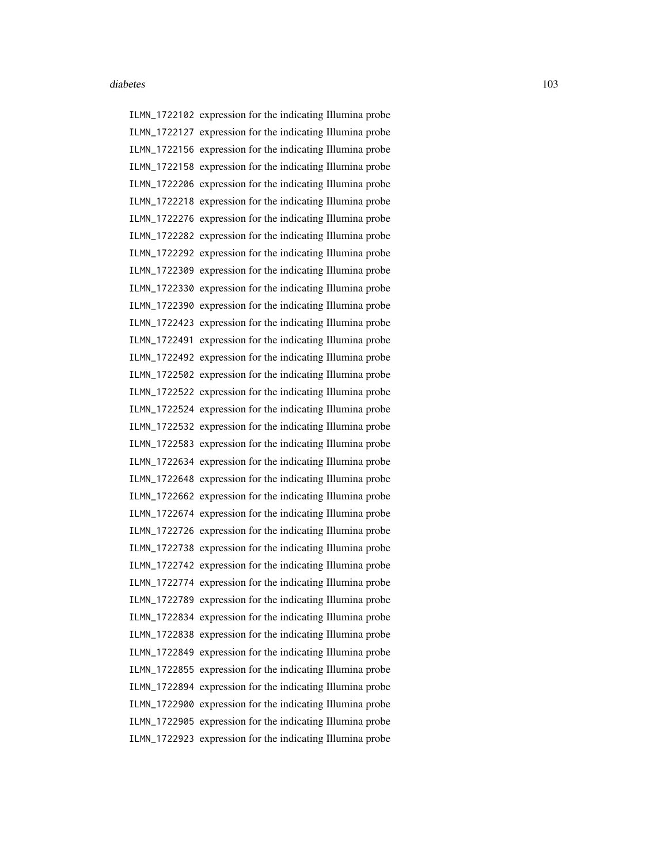ILMN\_1722102 expression for the indicating Illumina probe ILMN\_1722127 expression for the indicating Illumina probe ILMN\_1722156 expression for the indicating Illumina probe ILMN\_1722158 expression for the indicating Illumina probe ILMN\_1722206 expression for the indicating Illumina probe ILMN\_1722218 expression for the indicating Illumina probe ILMN\_1722276 expression for the indicating Illumina probe ILMN\_1722282 expression for the indicating Illumina probe ILMN\_1722292 expression for the indicating Illumina probe ILMN\_1722309 expression for the indicating Illumina probe ILMN\_1722330 expression for the indicating Illumina probe ILMN\_1722390 expression for the indicating Illumina probe ILMN\_1722423 expression for the indicating Illumina probe ILMN\_1722491 expression for the indicating Illumina probe ILMN\_1722492 expression for the indicating Illumina probe ILMN\_1722502 expression for the indicating Illumina probe ILMN\_1722522 expression for the indicating Illumina probe ILMN\_1722524 expression for the indicating Illumina probe ILMN\_1722532 expression for the indicating Illumina probe ILMN\_1722583 expression for the indicating Illumina probe ILMN\_1722634 expression for the indicating Illumina probe ILMN\_1722648 expression for the indicating Illumina probe ILMN\_1722662 expression for the indicating Illumina probe ILMN\_1722674 expression for the indicating Illumina probe ILMN\_1722726 expression for the indicating Illumina probe ILMN\_1722738 expression for the indicating Illumina probe ILMN\_1722742 expression for the indicating Illumina probe ILMN\_1722774 expression for the indicating Illumina probe ILMN\_1722789 expression for the indicating Illumina probe ILMN\_1722834 expression for the indicating Illumina probe ILMN\_1722838 expression for the indicating Illumina probe ILMN\_1722849 expression for the indicating Illumina probe ILMN\_1722855 expression for the indicating Illumina probe ILMN\_1722894 expression for the indicating Illumina probe ILMN\_1722900 expression for the indicating Illumina probe ILMN\_1722905 expression for the indicating Illumina probe ILMN\_1722923 expression for the indicating Illumina probe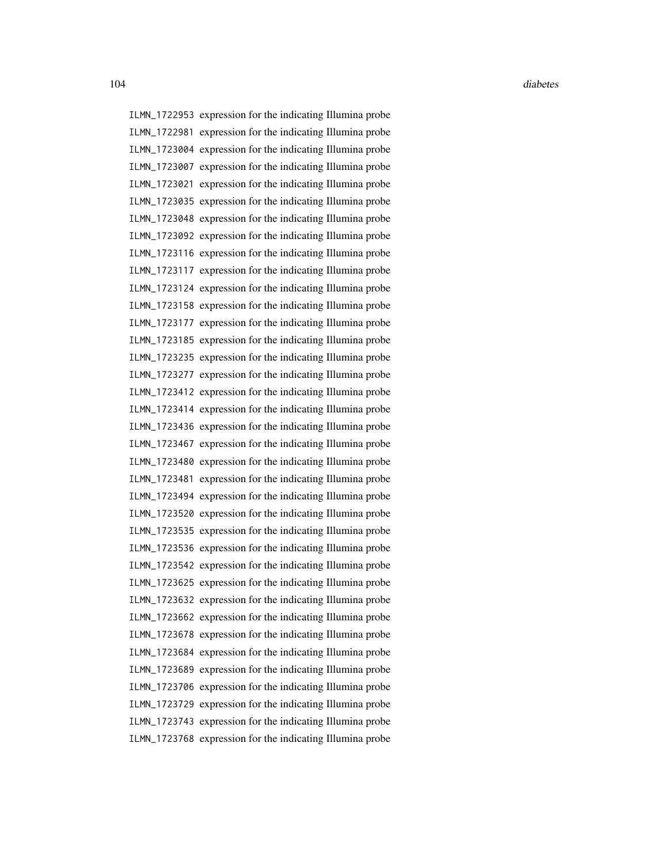ILMN\_1722953 expression for the indicating Illumina probe ILMN\_1722981 expression for the indicating Illumina probe ILMN\_1723004 expression for the indicating Illumina probe ILMN\_1723007 expression for the indicating Illumina probe ILMN\_1723021 expression for the indicating Illumina probe ILMN\_1723035 expression for the indicating Illumina probe ILMN\_1723048 expression for the indicating Illumina probe ILMN\_1723092 expression for the indicating Illumina probe ILMN\_1723116 expression for the indicating Illumina probe ILMN\_1723117 expression for the indicating Illumina probe ILMN\_1723124 expression for the indicating Illumina probe ILMN\_1723158 expression for the indicating Illumina probe ILMN\_1723177 expression for the indicating Illumina probe ILMN\_1723185 expression for the indicating Illumina probe ILMN\_1723235 expression for the indicating Illumina probe ILMN\_1723277 expression for the indicating Illumina probe ILMN\_1723412 expression for the indicating Illumina probe ILMN\_1723414 expression for the indicating Illumina probe ILMN\_1723436 expression for the indicating Illumina probe ILMN\_1723467 expression for the indicating Illumina probe ILMN\_1723480 expression for the indicating Illumina probe ILMN\_1723481 expression for the indicating Illumina probe ILMN\_1723494 expression for the indicating Illumina probe ILMN\_1723520 expression for the indicating Illumina probe ILMN\_1723535 expression for the indicating Illumina probe ILMN\_1723536 expression for the indicating Illumina probe ILMN\_1723542 expression for the indicating Illumina probe ILMN\_1723625 expression for the indicating Illumina probe ILMN\_1723632 expression for the indicating Illumina probe ILMN\_1723662 expression for the indicating Illumina probe ILMN\_1723678 expression for the indicating Illumina probe ILMN\_1723684 expression for the indicating Illumina probe ILMN\_1723689 expression for the indicating Illumina probe ILMN\_1723706 expression for the indicating Illumina probe ILMN\_1723729 expression for the indicating Illumina probe ILMN\_1723743 expression for the indicating Illumina probe ILMN\_1723768 expression for the indicating Illumina probe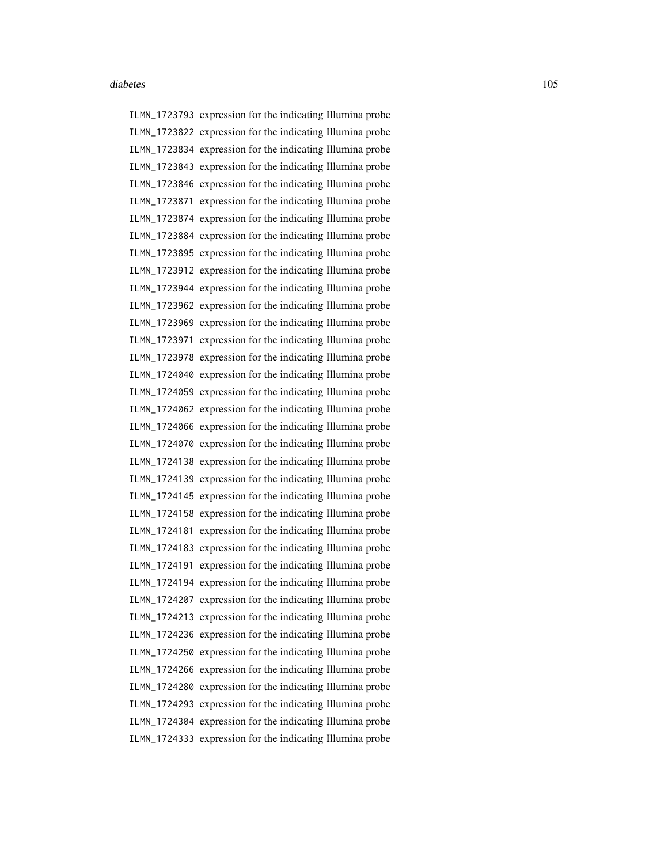ILMN\_1723793 expression for the indicating Illumina probe ILMN\_1723822 expression for the indicating Illumina probe ILMN\_1723834 expression for the indicating Illumina probe ILMN\_1723843 expression for the indicating Illumina probe ILMN\_1723846 expression for the indicating Illumina probe ILMN\_1723871 expression for the indicating Illumina probe ILMN\_1723874 expression for the indicating Illumina probe ILMN\_1723884 expression for the indicating Illumina probe ILMN\_1723895 expression for the indicating Illumina probe ILMN\_1723912 expression for the indicating Illumina probe ILMN\_1723944 expression for the indicating Illumina probe ILMN\_1723962 expression for the indicating Illumina probe ILMN\_1723969 expression for the indicating Illumina probe ILMN\_1723971 expression for the indicating Illumina probe ILMN\_1723978 expression for the indicating Illumina probe ILMN\_1724040 expression for the indicating Illumina probe ILMN\_1724059 expression for the indicating Illumina probe ILMN\_1724062 expression for the indicating Illumina probe ILMN\_1724066 expression for the indicating Illumina probe ILMN\_1724070 expression for the indicating Illumina probe ILMN\_1724138 expression for the indicating Illumina probe ILMN\_1724139 expression for the indicating Illumina probe ILMN\_1724145 expression for the indicating Illumina probe ILMN\_1724158 expression for the indicating Illumina probe ILMN\_1724181 expression for the indicating Illumina probe ILMN\_1724183 expression for the indicating Illumina probe ILMN\_1724191 expression for the indicating Illumina probe ILMN\_1724194 expression for the indicating Illumina probe ILMN\_1724207 expression for the indicating Illumina probe ILMN\_1724213 expression for the indicating Illumina probe ILMN\_1724236 expression for the indicating Illumina probe ILMN\_1724250 expression for the indicating Illumina probe ILMN\_1724266 expression for the indicating Illumina probe ILMN\_1724280 expression for the indicating Illumina probe ILMN\_1724293 expression for the indicating Illumina probe ILMN\_1724304 expression for the indicating Illumina probe ILMN\_1724333 expression for the indicating Illumina probe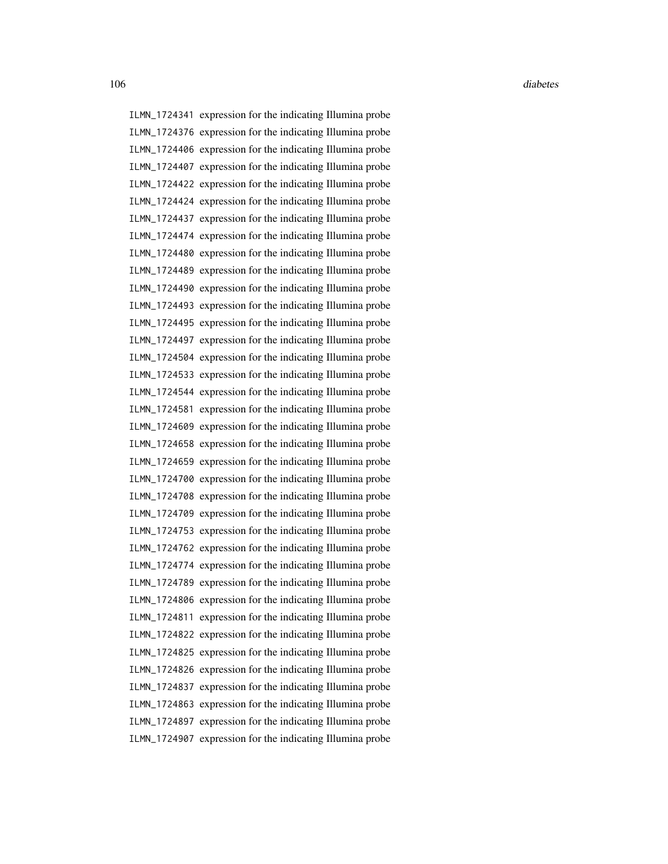ILMN\_1724341 expression for the indicating Illumina probe ILMN\_1724376 expression for the indicating Illumina probe ILMN\_1724406 expression for the indicating Illumina probe ILMN\_1724407 expression for the indicating Illumina probe ILMN\_1724422 expression for the indicating Illumina probe ILMN\_1724424 expression for the indicating Illumina probe ILMN\_1724437 expression for the indicating Illumina probe ILMN\_1724474 expression for the indicating Illumina probe ILMN\_1724480 expression for the indicating Illumina probe ILMN\_1724489 expression for the indicating Illumina probe ILMN\_1724490 expression for the indicating Illumina probe ILMN\_1724493 expression for the indicating Illumina probe ILMN\_1724495 expression for the indicating Illumina probe ILMN\_1724497 expression for the indicating Illumina probe ILMN\_1724504 expression for the indicating Illumina probe ILMN\_1724533 expression for the indicating Illumina probe ILMN\_1724544 expression for the indicating Illumina probe ILMN\_1724581 expression for the indicating Illumina probe ILMN\_1724609 expression for the indicating Illumina probe ILMN\_1724658 expression for the indicating Illumina probe ILMN\_1724659 expression for the indicating Illumina probe ILMN\_1724700 expression for the indicating Illumina probe ILMN\_1724708 expression for the indicating Illumina probe ILMN\_1724709 expression for the indicating Illumina probe ILMN\_1724753 expression for the indicating Illumina probe ILMN\_1724762 expression for the indicating Illumina probe ILMN\_1724774 expression for the indicating Illumina probe ILMN\_1724789 expression for the indicating Illumina probe ILMN\_1724806 expression for the indicating Illumina probe ILMN\_1724811 expression for the indicating Illumina probe ILMN\_1724822 expression for the indicating Illumina probe ILMN\_1724825 expression for the indicating Illumina probe ILMN\_1724826 expression for the indicating Illumina probe ILMN\_1724837 expression for the indicating Illumina probe ILMN\_1724863 expression for the indicating Illumina probe ILMN\_1724897 expression for the indicating Illumina probe ILMN\_1724907 expression for the indicating Illumina probe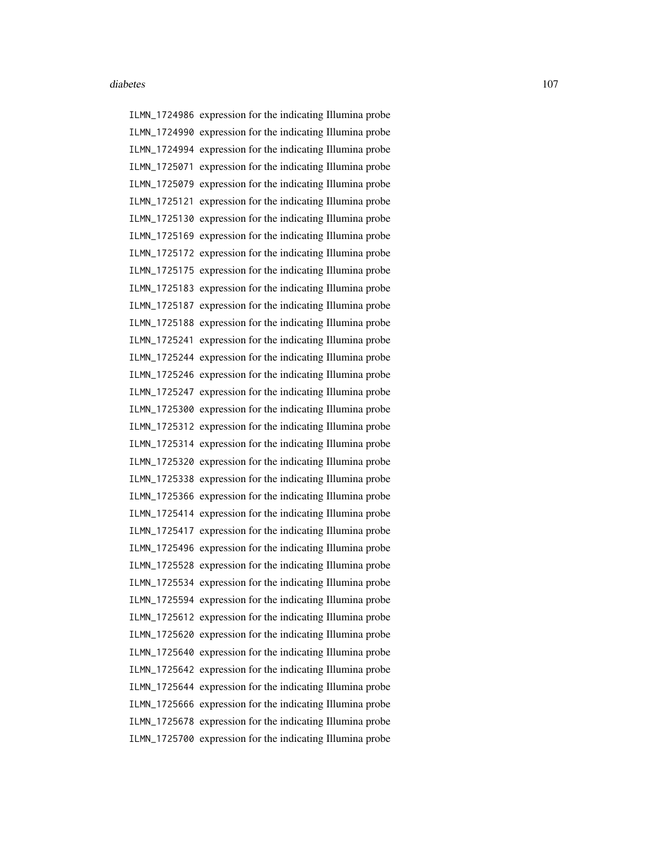ILMN\_1724986 expression for the indicating Illumina probe ILMN\_1724990 expression for the indicating Illumina probe ILMN\_1724994 expression for the indicating Illumina probe ILMN\_1725071 expression for the indicating Illumina probe ILMN\_1725079 expression for the indicating Illumina probe ILMN\_1725121 expression for the indicating Illumina probe ILMN\_1725130 expression for the indicating Illumina probe ILMN\_1725169 expression for the indicating Illumina probe ILMN\_1725172 expression for the indicating Illumina probe ILMN\_1725175 expression for the indicating Illumina probe ILMN\_1725183 expression for the indicating Illumina probe ILMN\_1725187 expression for the indicating Illumina probe ILMN\_1725188 expression for the indicating Illumina probe ILMN\_1725241 expression for the indicating Illumina probe ILMN\_1725244 expression for the indicating Illumina probe ILMN\_1725246 expression for the indicating Illumina probe ILMN\_1725247 expression for the indicating Illumina probe ILMN\_1725300 expression for the indicating Illumina probe ILMN\_1725312 expression for the indicating Illumina probe ILMN\_1725314 expression for the indicating Illumina probe ILMN\_1725320 expression for the indicating Illumina probe ILMN\_1725338 expression for the indicating Illumina probe ILMN\_1725366 expression for the indicating Illumina probe ILMN\_1725414 expression for the indicating Illumina probe ILMN\_1725417 expression for the indicating Illumina probe ILMN\_1725496 expression for the indicating Illumina probe ILMN\_1725528 expression for the indicating Illumina probe ILMN\_1725534 expression for the indicating Illumina probe ILMN\_1725594 expression for the indicating Illumina probe ILMN\_1725612 expression for the indicating Illumina probe ILMN\_1725620 expression for the indicating Illumina probe ILMN\_1725640 expression for the indicating Illumina probe ILMN\_1725642 expression for the indicating Illumina probe ILMN\_1725644 expression for the indicating Illumina probe ILMN\_1725666 expression for the indicating Illumina probe ILMN\_1725678 expression for the indicating Illumina probe ILMN\_1725700 expression for the indicating Illumina probe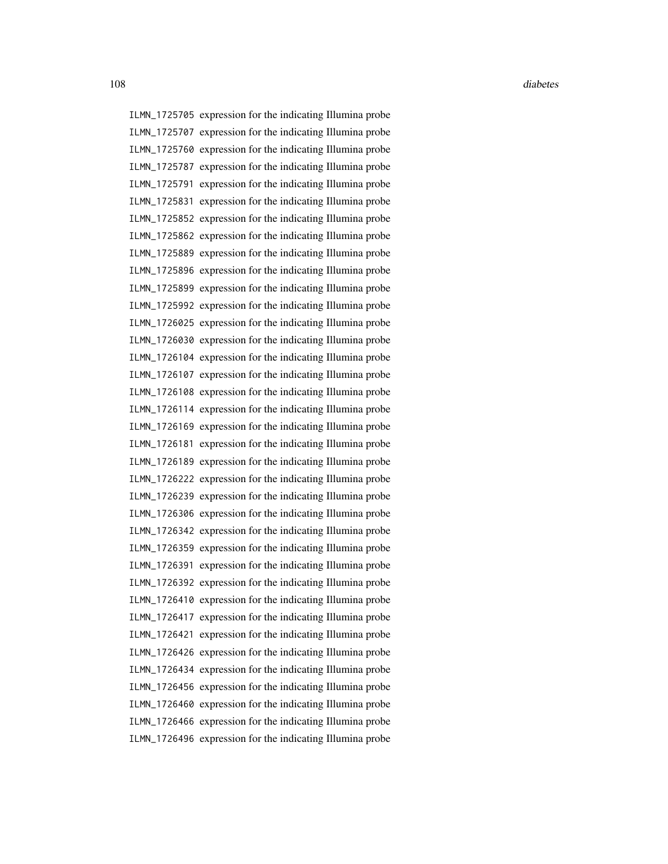ILMN\_1725705 expression for the indicating Illumina probe ILMN\_1725707 expression for the indicating Illumina probe ILMN\_1725760 expression for the indicating Illumina probe ILMN\_1725787 expression for the indicating Illumina probe ILMN\_1725791 expression for the indicating Illumina probe ILMN\_1725831 expression for the indicating Illumina probe ILMN\_1725852 expression for the indicating Illumina probe ILMN\_1725862 expression for the indicating Illumina probe ILMN\_1725889 expression for the indicating Illumina probe ILMN\_1725896 expression for the indicating Illumina probe ILMN\_1725899 expression for the indicating Illumina probe ILMN\_1725992 expression for the indicating Illumina probe ILMN\_1726025 expression for the indicating Illumina probe ILMN\_1726030 expression for the indicating Illumina probe ILMN\_1726104 expression for the indicating Illumina probe ILMN\_1726107 expression for the indicating Illumina probe ILMN\_1726108 expression for the indicating Illumina probe ILMN\_1726114 expression for the indicating Illumina probe ILMN\_1726169 expression for the indicating Illumina probe ILMN\_1726181 expression for the indicating Illumina probe ILMN\_1726189 expression for the indicating Illumina probe ILMN\_1726222 expression for the indicating Illumina probe ILMN\_1726239 expression for the indicating Illumina probe ILMN\_1726306 expression for the indicating Illumina probe ILMN\_1726342 expression for the indicating Illumina probe ILMN\_1726359 expression for the indicating Illumina probe ILMN\_1726391 expression for the indicating Illumina probe ILMN\_1726392 expression for the indicating Illumina probe ILMN\_1726410 expression for the indicating Illumina probe ILMN\_1726417 expression for the indicating Illumina probe ILMN\_1726421 expression for the indicating Illumina probe ILMN\_1726426 expression for the indicating Illumina probe ILMN\_1726434 expression for the indicating Illumina probe ILMN\_1726456 expression for the indicating Illumina probe ILMN\_1726460 expression for the indicating Illumina probe ILMN\_1726466 expression for the indicating Illumina probe ILMN\_1726496 expression for the indicating Illumina probe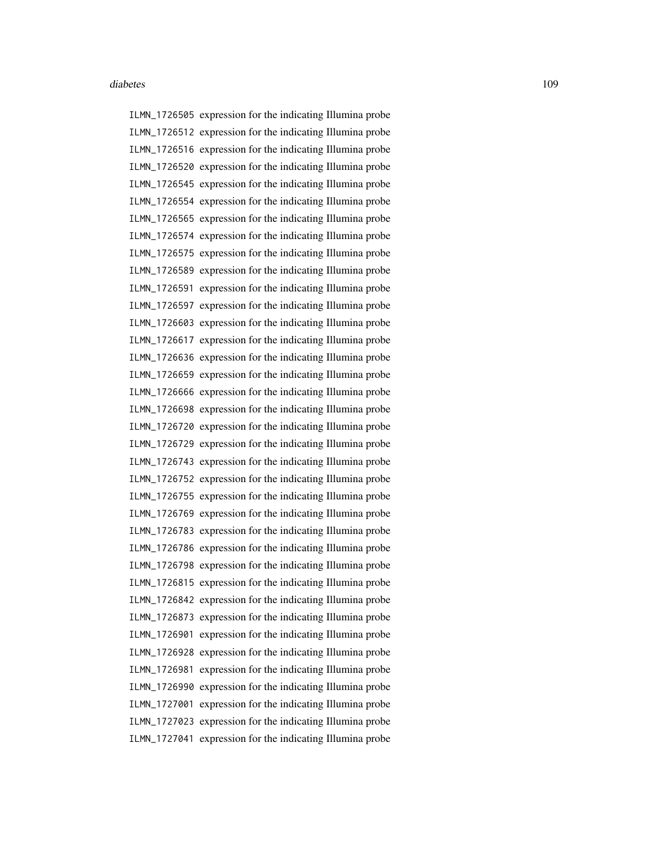ILMN\_1726505 expression for the indicating Illumina probe ILMN\_1726512 expression for the indicating Illumina probe ILMN\_1726516 expression for the indicating Illumina probe ILMN\_1726520 expression for the indicating Illumina probe ILMN\_1726545 expression for the indicating Illumina probe ILMN\_1726554 expression for the indicating Illumina probe ILMN\_1726565 expression for the indicating Illumina probe ILMN\_1726574 expression for the indicating Illumina probe ILMN\_1726575 expression for the indicating Illumina probe ILMN\_1726589 expression for the indicating Illumina probe ILMN\_1726591 expression for the indicating Illumina probe ILMN\_1726597 expression for the indicating Illumina probe ILMN\_1726603 expression for the indicating Illumina probe ILMN\_1726617 expression for the indicating Illumina probe ILMN\_1726636 expression for the indicating Illumina probe ILMN\_1726659 expression for the indicating Illumina probe ILMN\_1726666 expression for the indicating Illumina probe ILMN\_1726698 expression for the indicating Illumina probe ILMN\_1726720 expression for the indicating Illumina probe ILMN\_1726729 expression for the indicating Illumina probe ILMN\_1726743 expression for the indicating Illumina probe ILMN\_1726752 expression for the indicating Illumina probe ILMN\_1726755 expression for the indicating Illumina probe ILMN\_1726769 expression for the indicating Illumina probe ILMN\_1726783 expression for the indicating Illumina probe ILMN\_1726786 expression for the indicating Illumina probe ILMN\_1726798 expression for the indicating Illumina probe ILMN\_1726815 expression for the indicating Illumina probe ILMN\_1726842 expression for the indicating Illumina probe ILMN\_1726873 expression for the indicating Illumina probe ILMN\_1726901 expression for the indicating Illumina probe ILMN\_1726928 expression for the indicating Illumina probe ILMN\_1726981 expression for the indicating Illumina probe ILMN\_1726990 expression for the indicating Illumina probe ILMN\_1727001 expression for the indicating Illumina probe ILMN\_1727023 expression for the indicating Illumina probe ILMN\_1727041 expression for the indicating Illumina probe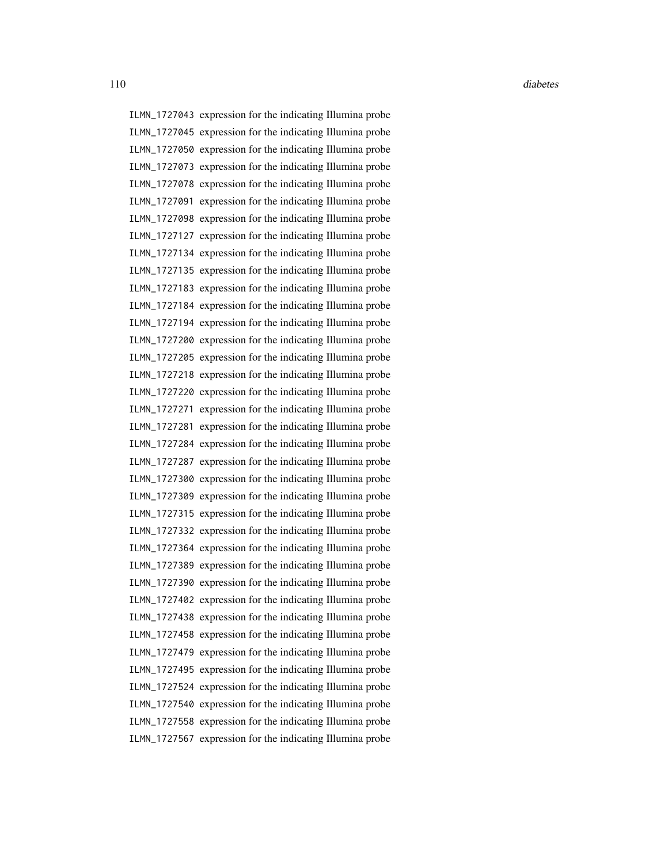110 diabetes diabetes diabetes diabetes diabetes diabetes diabetes diabetes diabetes diabetes diabetes diabetes diabetes diabetes diabetes diabetes diabetes diabetes diabetes diabetes diabetes diabetes diabetes diabetes di

ILMN\_1727043 expression for the indicating Illumina probe ILMN\_1727045 expression for the indicating Illumina probe ILMN\_1727050 expression for the indicating Illumina probe ILMN\_1727073 expression for the indicating Illumina probe ILMN\_1727078 expression for the indicating Illumina probe ILMN\_1727091 expression for the indicating Illumina probe ILMN\_1727098 expression for the indicating Illumina probe ILMN\_1727127 expression for the indicating Illumina probe ILMN\_1727134 expression for the indicating Illumina probe ILMN\_1727135 expression for the indicating Illumina probe ILMN\_1727183 expression for the indicating Illumina probe ILMN\_1727184 expression for the indicating Illumina probe ILMN\_1727194 expression for the indicating Illumina probe ILMN\_1727200 expression for the indicating Illumina probe ILMN\_1727205 expression for the indicating Illumina probe ILMN\_1727218 expression for the indicating Illumina probe ILMN\_1727220 expression for the indicating Illumina probe ILMN\_1727271 expression for the indicating Illumina probe ILMN\_1727281 expression for the indicating Illumina probe ILMN\_1727284 expression for the indicating Illumina probe ILMN\_1727287 expression for the indicating Illumina probe ILMN\_1727300 expression for the indicating Illumina probe ILMN\_1727309 expression for the indicating Illumina probe ILMN\_1727315 expression for the indicating Illumina probe ILMN\_1727332 expression for the indicating Illumina probe ILMN\_1727364 expression for the indicating Illumina probe ILMN\_1727389 expression for the indicating Illumina probe ILMN\_1727390 expression for the indicating Illumina probe ILMN\_1727402 expression for the indicating Illumina probe ILMN\_1727438 expression for the indicating Illumina probe ILMN\_1727458 expression for the indicating Illumina probe ILMN\_1727479 expression for the indicating Illumina probe ILMN\_1727495 expression for the indicating Illumina probe ILMN\_1727524 expression for the indicating Illumina probe ILMN\_1727540 expression for the indicating Illumina probe ILMN\_1727558 expression for the indicating Illumina probe ILMN\_1727567 expression for the indicating Illumina probe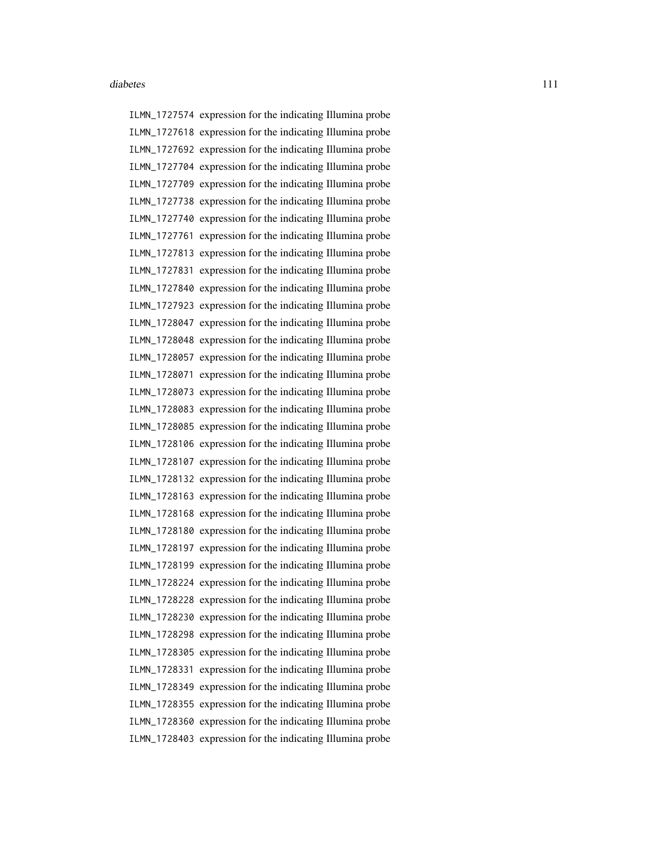ILMN\_1727574 expression for the indicating Illumina probe ILMN\_1727618 expression for the indicating Illumina probe ILMN\_1727692 expression for the indicating Illumina probe ILMN\_1727704 expression for the indicating Illumina probe ILMN\_1727709 expression for the indicating Illumina probe ILMN\_1727738 expression for the indicating Illumina probe ILMN\_1727740 expression for the indicating Illumina probe ILMN\_1727761 expression for the indicating Illumina probe ILMN\_1727813 expression for the indicating Illumina probe ILMN\_1727831 expression for the indicating Illumina probe ILMN\_1727840 expression for the indicating Illumina probe ILMN\_1727923 expression for the indicating Illumina probe ILMN\_1728047 expression for the indicating Illumina probe ILMN\_1728048 expression for the indicating Illumina probe ILMN\_1728057 expression for the indicating Illumina probe ILMN\_1728071 expression for the indicating Illumina probe ILMN\_1728073 expression for the indicating Illumina probe ILMN\_1728083 expression for the indicating Illumina probe ILMN\_1728085 expression for the indicating Illumina probe ILMN\_1728106 expression for the indicating Illumina probe ILMN\_1728107 expression for the indicating Illumina probe ILMN\_1728132 expression for the indicating Illumina probe ILMN\_1728163 expression for the indicating Illumina probe ILMN\_1728168 expression for the indicating Illumina probe ILMN\_1728180 expression for the indicating Illumina probe ILMN\_1728197 expression for the indicating Illumina probe ILMN\_1728199 expression for the indicating Illumina probe ILMN\_1728224 expression for the indicating Illumina probe ILMN\_1728228 expression for the indicating Illumina probe ILMN\_1728230 expression for the indicating Illumina probe ILMN\_1728298 expression for the indicating Illumina probe ILMN\_1728305 expression for the indicating Illumina probe ILMN\_1728331 expression for the indicating Illumina probe ILMN\_1728349 expression for the indicating Illumina probe ILMN\_1728355 expression for the indicating Illumina probe ILMN\_1728360 expression for the indicating Illumina probe ILMN\_1728403 expression for the indicating Illumina probe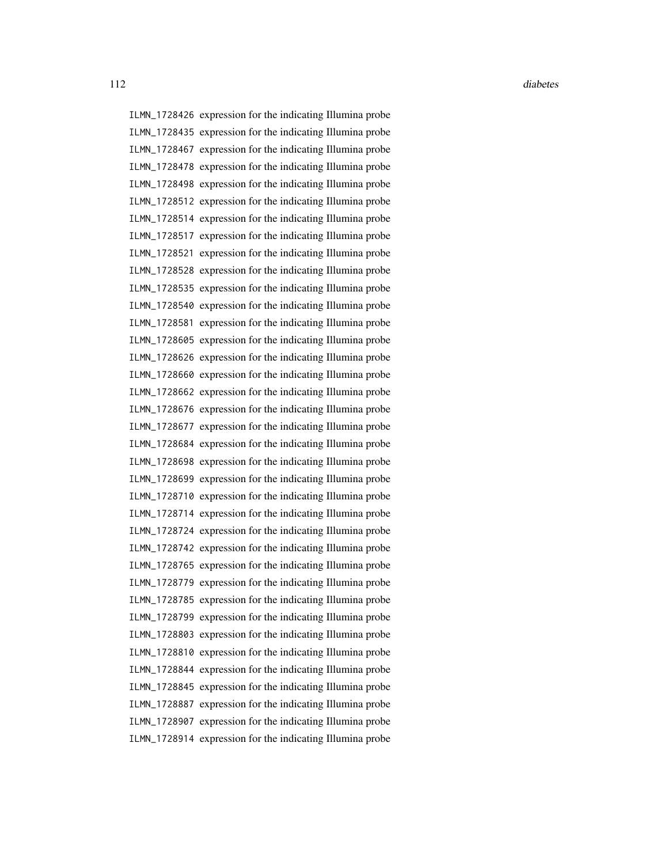ILMN\_1728426 expression for the indicating Illumina probe ILMN\_1728435 expression for the indicating Illumina probe ILMN\_1728467 expression for the indicating Illumina probe ILMN\_1728478 expression for the indicating Illumina probe ILMN\_1728498 expression for the indicating Illumina probe ILMN\_1728512 expression for the indicating Illumina probe ILMN\_1728514 expression for the indicating Illumina probe ILMN\_1728517 expression for the indicating Illumina probe ILMN\_1728521 expression for the indicating Illumina probe ILMN\_1728528 expression for the indicating Illumina probe ILMN\_1728535 expression for the indicating Illumina probe ILMN\_1728540 expression for the indicating Illumina probe ILMN\_1728581 expression for the indicating Illumina probe ILMN\_1728605 expression for the indicating Illumina probe ILMN\_1728626 expression for the indicating Illumina probe ILMN\_1728660 expression for the indicating Illumina probe ILMN\_1728662 expression for the indicating Illumina probe ILMN\_1728676 expression for the indicating Illumina probe ILMN\_1728677 expression for the indicating Illumina probe ILMN\_1728684 expression for the indicating Illumina probe ILMN\_1728698 expression for the indicating Illumina probe ILMN\_1728699 expression for the indicating Illumina probe ILMN\_1728710 expression for the indicating Illumina probe ILMN\_1728714 expression for the indicating Illumina probe ILMN\_1728724 expression for the indicating Illumina probe ILMN\_1728742 expression for the indicating Illumina probe ILMN\_1728765 expression for the indicating Illumina probe ILMN\_1728779 expression for the indicating Illumina probe ILMN\_1728785 expression for the indicating Illumina probe ILMN\_1728799 expression for the indicating Illumina probe ILMN\_1728803 expression for the indicating Illumina probe ILMN\_1728810 expression for the indicating Illumina probe ILMN\_1728844 expression for the indicating Illumina probe ILMN\_1728845 expression for the indicating Illumina probe ILMN\_1728887 expression for the indicating Illumina probe ILMN\_1728907 expression for the indicating Illumina probe ILMN\_1728914 expression for the indicating Illumina probe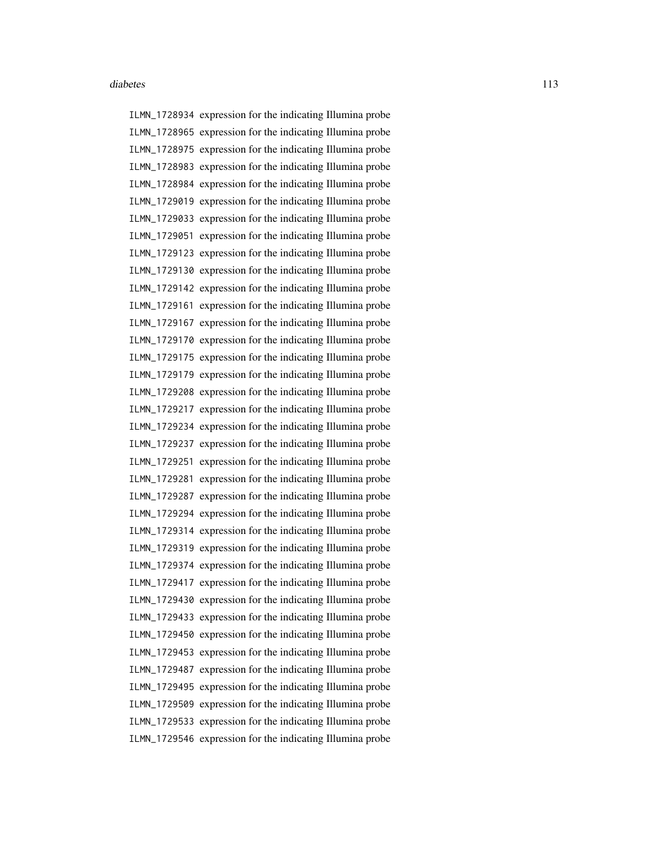ILMN\_1728934 expression for the indicating Illumina probe ILMN\_1728965 expression for the indicating Illumina probe ILMN\_1728975 expression for the indicating Illumina probe ILMN\_1728983 expression for the indicating Illumina probe ILMN\_1728984 expression for the indicating Illumina probe ILMN\_1729019 expression for the indicating Illumina probe ILMN\_1729033 expression for the indicating Illumina probe ILMN\_1729051 expression for the indicating Illumina probe ILMN\_1729123 expression for the indicating Illumina probe ILMN\_1729130 expression for the indicating Illumina probe ILMN\_1729142 expression for the indicating Illumina probe ILMN\_1729161 expression for the indicating Illumina probe ILMN\_1729167 expression for the indicating Illumina probe ILMN\_1729170 expression for the indicating Illumina probe ILMN\_1729175 expression for the indicating Illumina probe ILMN\_1729179 expression for the indicating Illumina probe ILMN\_1729208 expression for the indicating Illumina probe ILMN\_1729217 expression for the indicating Illumina probe ILMN\_1729234 expression for the indicating Illumina probe ILMN\_1729237 expression for the indicating Illumina probe ILMN\_1729251 expression for the indicating Illumina probe ILMN\_1729281 expression for the indicating Illumina probe ILMN\_1729287 expression for the indicating Illumina probe ILMN\_1729294 expression for the indicating Illumina probe ILMN\_1729314 expression for the indicating Illumina probe ILMN\_1729319 expression for the indicating Illumina probe ILMN\_1729374 expression for the indicating Illumina probe ILMN\_1729417 expression for the indicating Illumina probe ILMN\_1729430 expression for the indicating Illumina probe ILMN\_1729433 expression for the indicating Illumina probe ILMN\_1729450 expression for the indicating Illumina probe ILMN\_1729453 expression for the indicating Illumina probe ILMN\_1729487 expression for the indicating Illumina probe ILMN\_1729495 expression for the indicating Illumina probe ILMN\_1729509 expression for the indicating Illumina probe ILMN\_1729533 expression for the indicating Illumina probe ILMN\_1729546 expression for the indicating Illumina probe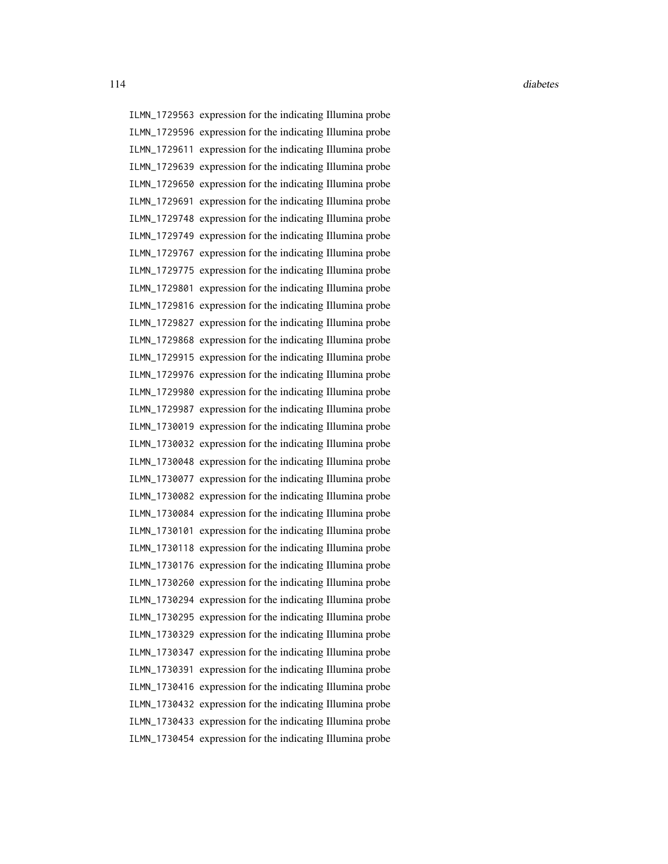ILMN\_1729563 expression for the indicating Illumina probe ILMN\_1729596 expression for the indicating Illumina probe ILMN\_1729611 expression for the indicating Illumina probe ILMN\_1729639 expression for the indicating Illumina probe ILMN\_1729650 expression for the indicating Illumina probe ILMN\_1729691 expression for the indicating Illumina probe ILMN\_1729748 expression for the indicating Illumina probe ILMN\_1729749 expression for the indicating Illumina probe ILMN\_1729767 expression for the indicating Illumina probe ILMN\_1729775 expression for the indicating Illumina probe ILMN\_1729801 expression for the indicating Illumina probe ILMN\_1729816 expression for the indicating Illumina probe ILMN\_1729827 expression for the indicating Illumina probe ILMN\_1729868 expression for the indicating Illumina probe ILMN\_1729915 expression for the indicating Illumina probe ILMN\_1729976 expression for the indicating Illumina probe ILMN\_1729980 expression for the indicating Illumina probe ILMN\_1729987 expression for the indicating Illumina probe ILMN\_1730019 expression for the indicating Illumina probe ILMN\_1730032 expression for the indicating Illumina probe ILMN\_1730048 expression for the indicating Illumina probe ILMN\_1730077 expression for the indicating Illumina probe ILMN\_1730082 expression for the indicating Illumina probe ILMN\_1730084 expression for the indicating Illumina probe ILMN\_1730101 expression for the indicating Illumina probe ILMN\_1730118 expression for the indicating Illumina probe ILMN\_1730176 expression for the indicating Illumina probe ILMN\_1730260 expression for the indicating Illumina probe ILMN\_1730294 expression for the indicating Illumina probe ILMN\_1730295 expression for the indicating Illumina probe ILMN\_1730329 expression for the indicating Illumina probe ILMN\_1730347 expression for the indicating Illumina probe ILMN\_1730391 expression for the indicating Illumina probe ILMN\_1730416 expression for the indicating Illumina probe ILMN\_1730432 expression for the indicating Illumina probe ILMN\_1730433 expression for the indicating Illumina probe ILMN\_1730454 expression for the indicating Illumina probe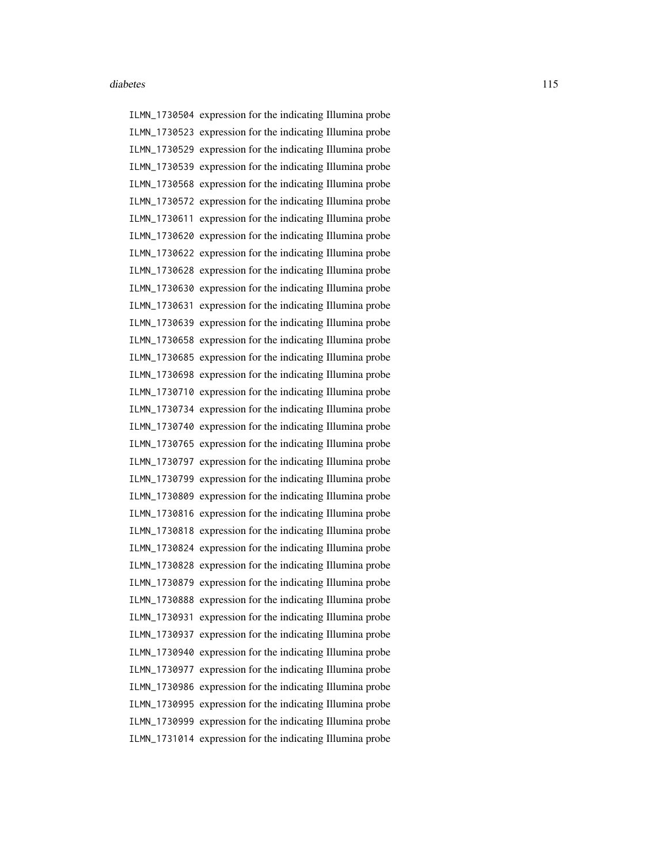ILMN\_1730504 expression for the indicating Illumina probe ILMN\_1730523 expression for the indicating Illumina probe ILMN\_1730529 expression for the indicating Illumina probe ILMN\_1730539 expression for the indicating Illumina probe ILMN\_1730568 expression for the indicating Illumina probe ILMN\_1730572 expression for the indicating Illumina probe ILMN\_1730611 expression for the indicating Illumina probe ILMN\_1730620 expression for the indicating Illumina probe ILMN\_1730622 expression for the indicating Illumina probe ILMN\_1730628 expression for the indicating Illumina probe ILMN\_1730630 expression for the indicating Illumina probe ILMN\_1730631 expression for the indicating Illumina probe ILMN\_1730639 expression for the indicating Illumina probe ILMN\_1730658 expression for the indicating Illumina probe ILMN\_1730685 expression for the indicating Illumina probe ILMN\_1730698 expression for the indicating Illumina probe ILMN\_1730710 expression for the indicating Illumina probe ILMN\_1730734 expression for the indicating Illumina probe ILMN\_1730740 expression for the indicating Illumina probe ILMN\_1730765 expression for the indicating Illumina probe ILMN\_1730797 expression for the indicating Illumina probe ILMN\_1730799 expression for the indicating Illumina probe ILMN\_1730809 expression for the indicating Illumina probe ILMN\_1730816 expression for the indicating Illumina probe ILMN\_1730818 expression for the indicating Illumina probe ILMN\_1730824 expression for the indicating Illumina probe ILMN\_1730828 expression for the indicating Illumina probe ILMN\_1730879 expression for the indicating Illumina probe ILMN\_1730888 expression for the indicating Illumina probe ILMN\_1730931 expression for the indicating Illumina probe ILMN\_1730937 expression for the indicating Illumina probe ILMN\_1730940 expression for the indicating Illumina probe ILMN\_1730977 expression for the indicating Illumina probe ILMN\_1730986 expression for the indicating Illumina probe ILMN\_1730995 expression for the indicating Illumina probe ILMN\_1730999 expression for the indicating Illumina probe ILMN\_1731014 expression for the indicating Illumina probe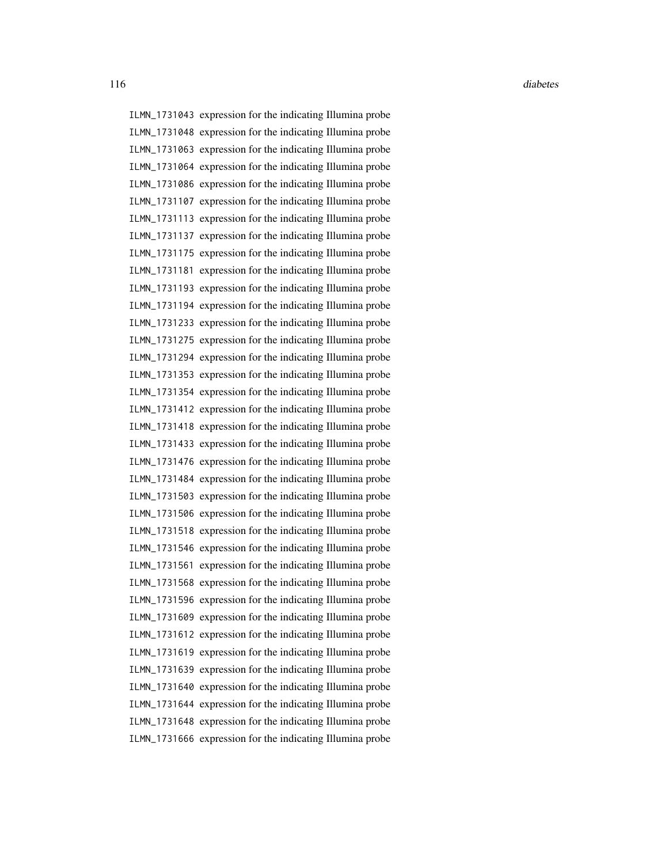116 diabetes diabetes diabetes diabetes diabetes diabetes diabetes diabetes diabetes diabetes diabetes diabetes diabetes diabetes diabetes diabetes diabetes diabetes diabetes diabetes diabetes diabetes diabetes diabetes di

ILMN\_1731043 expression for the indicating Illumina probe ILMN\_1731048 expression for the indicating Illumina probe ILMN\_1731063 expression for the indicating Illumina probe ILMN\_1731064 expression for the indicating Illumina probe ILMN\_1731086 expression for the indicating Illumina probe ILMN\_1731107 expression for the indicating Illumina probe ILMN\_1731113 expression for the indicating Illumina probe ILMN\_1731137 expression for the indicating Illumina probe ILMN\_1731175 expression for the indicating Illumina probe ILMN\_1731181 expression for the indicating Illumina probe ILMN\_1731193 expression for the indicating Illumina probe ILMN\_1731194 expression for the indicating Illumina probe ILMN\_1731233 expression for the indicating Illumina probe ILMN\_1731275 expression for the indicating Illumina probe ILMN\_1731294 expression for the indicating Illumina probe ILMN\_1731353 expression for the indicating Illumina probe ILMN\_1731354 expression for the indicating Illumina probe ILMN\_1731412 expression for the indicating Illumina probe ILMN\_1731418 expression for the indicating Illumina probe ILMN\_1731433 expression for the indicating Illumina probe ILMN\_1731476 expression for the indicating Illumina probe ILMN\_1731484 expression for the indicating Illumina probe ILMN\_1731503 expression for the indicating Illumina probe ILMN\_1731506 expression for the indicating Illumina probe ILMN\_1731518 expression for the indicating Illumina probe ILMN\_1731546 expression for the indicating Illumina probe ILMN\_1731561 expression for the indicating Illumina probe ILMN\_1731568 expression for the indicating Illumina probe ILMN\_1731596 expression for the indicating Illumina probe ILMN\_1731609 expression for the indicating Illumina probe ILMN\_1731612 expression for the indicating Illumina probe ILMN\_1731619 expression for the indicating Illumina probe ILMN\_1731639 expression for the indicating Illumina probe ILMN\_1731640 expression for the indicating Illumina probe ILMN\_1731644 expression for the indicating Illumina probe ILMN\_1731648 expression for the indicating Illumina probe ILMN\_1731666 expression for the indicating Illumina probe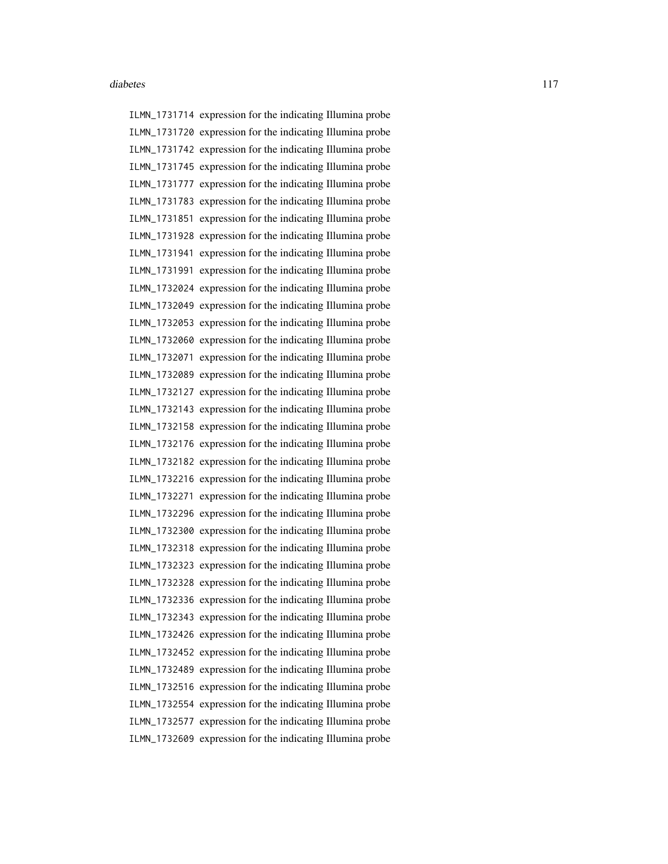ILMN\_1731714 expression for the indicating Illumina probe ILMN\_1731720 expression for the indicating Illumina probe ILMN\_1731742 expression for the indicating Illumina probe ILMN\_1731745 expression for the indicating Illumina probe ILMN\_1731777 expression for the indicating Illumina probe ILMN\_1731783 expression for the indicating Illumina probe ILMN\_1731851 expression for the indicating Illumina probe ILMN\_1731928 expression for the indicating Illumina probe ILMN\_1731941 expression for the indicating Illumina probe ILMN\_1731991 expression for the indicating Illumina probe ILMN\_1732024 expression for the indicating Illumina probe ILMN\_1732049 expression for the indicating Illumina probe ILMN\_1732053 expression for the indicating Illumina probe ILMN\_1732060 expression for the indicating Illumina probe ILMN\_1732071 expression for the indicating Illumina probe ILMN\_1732089 expression for the indicating Illumina probe ILMN\_1732127 expression for the indicating Illumina probe ILMN\_1732143 expression for the indicating Illumina probe ILMN\_1732158 expression for the indicating Illumina probe ILMN\_1732176 expression for the indicating Illumina probe ILMN\_1732182 expression for the indicating Illumina probe ILMN\_1732216 expression for the indicating Illumina probe ILMN\_1732271 expression for the indicating Illumina probe ILMN\_1732296 expression for the indicating Illumina probe ILMN\_1732300 expression for the indicating Illumina probe ILMN\_1732318 expression for the indicating Illumina probe ILMN\_1732323 expression for the indicating Illumina probe ILMN\_1732328 expression for the indicating Illumina probe ILMN\_1732336 expression for the indicating Illumina probe ILMN\_1732343 expression for the indicating Illumina probe ILMN\_1732426 expression for the indicating Illumina probe ILMN\_1732452 expression for the indicating Illumina probe ILMN\_1732489 expression for the indicating Illumina probe ILMN\_1732516 expression for the indicating Illumina probe ILMN\_1732554 expression for the indicating Illumina probe ILMN\_1732577 expression for the indicating Illumina probe ILMN\_1732609 expression for the indicating Illumina probe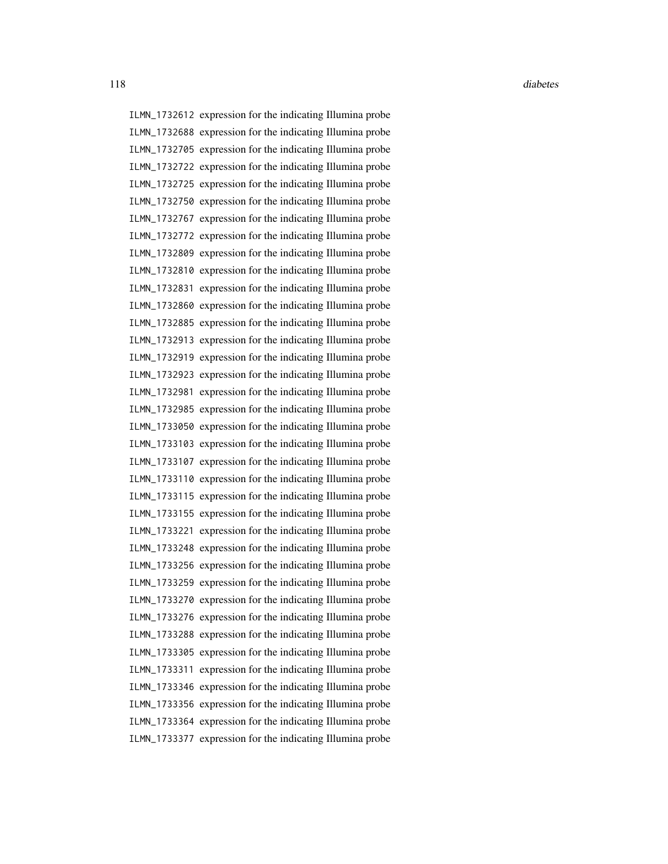ILMN\_1732612 expression for the indicating Illumina probe ILMN\_1732688 expression for the indicating Illumina probe ILMN\_1732705 expression for the indicating Illumina probe ILMN\_1732722 expression for the indicating Illumina probe ILMN\_1732725 expression for the indicating Illumina probe ILMN\_1732750 expression for the indicating Illumina probe ILMN\_1732767 expression for the indicating Illumina probe ILMN\_1732772 expression for the indicating Illumina probe ILMN\_1732809 expression for the indicating Illumina probe ILMN\_1732810 expression for the indicating Illumina probe ILMN\_1732831 expression for the indicating Illumina probe ILMN\_1732860 expression for the indicating Illumina probe ILMN\_1732885 expression for the indicating Illumina probe ILMN\_1732913 expression for the indicating Illumina probe ILMN\_1732919 expression for the indicating Illumina probe ILMN\_1732923 expression for the indicating Illumina probe ILMN\_1732981 expression for the indicating Illumina probe ILMN\_1732985 expression for the indicating Illumina probe ILMN\_1733050 expression for the indicating Illumina probe ILMN\_1733103 expression for the indicating Illumina probe ILMN\_1733107 expression for the indicating Illumina probe ILMN\_1733110 expression for the indicating Illumina probe ILMN\_1733115 expression for the indicating Illumina probe ILMN\_1733155 expression for the indicating Illumina probe ILMN\_1733221 expression for the indicating Illumina probe ILMN\_1733248 expression for the indicating Illumina probe ILMN\_1733256 expression for the indicating Illumina probe ILMN\_1733259 expression for the indicating Illumina probe ILMN\_1733270 expression for the indicating Illumina probe ILMN\_1733276 expression for the indicating Illumina probe ILMN\_1733288 expression for the indicating Illumina probe ILMN\_1733305 expression for the indicating Illumina probe ILMN\_1733311 expression for the indicating Illumina probe ILMN\_1733346 expression for the indicating Illumina probe ILMN\_1733356 expression for the indicating Illumina probe ILMN\_1733364 expression for the indicating Illumina probe ILMN\_1733377 expression for the indicating Illumina probe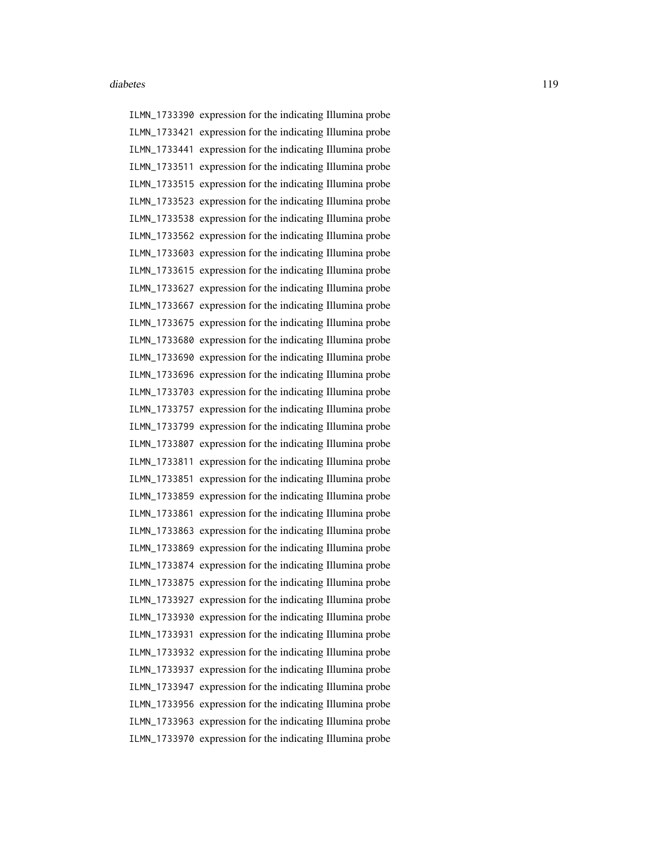ILMN\_1733390 expression for the indicating Illumina probe ILMN\_1733421 expression for the indicating Illumina probe ILMN\_1733441 expression for the indicating Illumina probe ILMN\_1733511 expression for the indicating Illumina probe ILMN\_1733515 expression for the indicating Illumina probe ILMN\_1733523 expression for the indicating Illumina probe ILMN\_1733538 expression for the indicating Illumina probe ILMN\_1733562 expression for the indicating Illumina probe ILMN\_1733603 expression for the indicating Illumina probe ILMN\_1733615 expression for the indicating Illumina probe ILMN\_1733627 expression for the indicating Illumina probe ILMN\_1733667 expression for the indicating Illumina probe ILMN\_1733675 expression for the indicating Illumina probe ILMN\_1733680 expression for the indicating Illumina probe ILMN\_1733690 expression for the indicating Illumina probe ILMN\_1733696 expression for the indicating Illumina probe ILMN\_1733703 expression for the indicating Illumina probe ILMN\_1733757 expression for the indicating Illumina probe ILMN\_1733799 expression for the indicating Illumina probe ILMN\_1733807 expression for the indicating Illumina probe ILMN\_1733811 expression for the indicating Illumina probe ILMN\_1733851 expression for the indicating Illumina probe ILMN\_1733859 expression for the indicating Illumina probe ILMN\_1733861 expression for the indicating Illumina probe ILMN\_1733863 expression for the indicating Illumina probe ILMN\_1733869 expression for the indicating Illumina probe ILMN\_1733874 expression for the indicating Illumina probe ILMN\_1733875 expression for the indicating Illumina probe ILMN\_1733927 expression for the indicating Illumina probe ILMN\_1733930 expression for the indicating Illumina probe ILMN\_1733931 expression for the indicating Illumina probe ILMN\_1733932 expression for the indicating Illumina probe ILMN\_1733937 expression for the indicating Illumina probe ILMN\_1733947 expression for the indicating Illumina probe ILMN\_1733956 expression for the indicating Illumina probe ILMN\_1733963 expression for the indicating Illumina probe ILMN\_1733970 expression for the indicating Illumina probe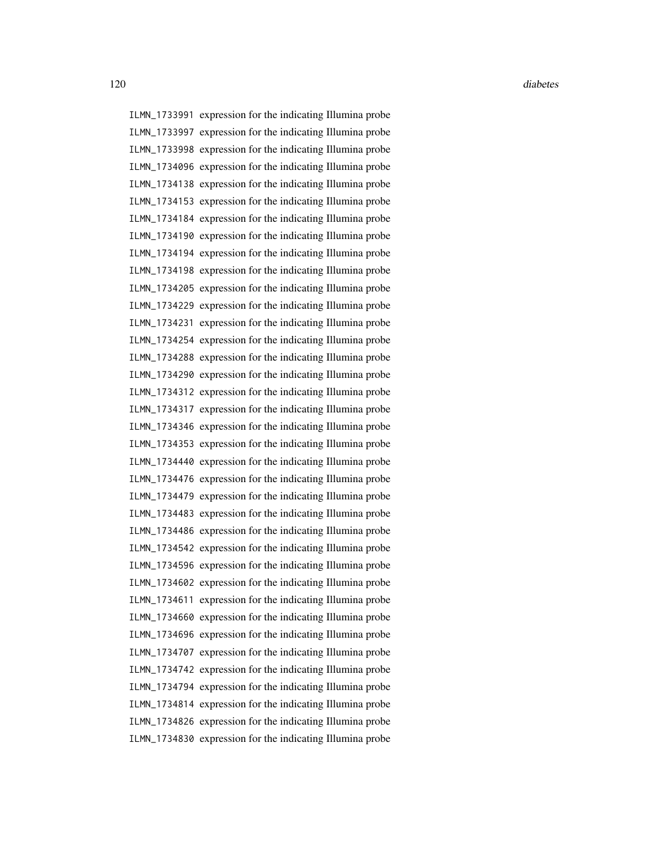ILMN\_1733991 expression for the indicating Illumina probe ILMN\_1733997 expression for the indicating Illumina probe ILMN\_1733998 expression for the indicating Illumina probe ILMN\_1734096 expression for the indicating Illumina probe ILMN\_1734138 expression for the indicating Illumina probe ILMN\_1734153 expression for the indicating Illumina probe ILMN\_1734184 expression for the indicating Illumina probe ILMN\_1734190 expression for the indicating Illumina probe ILMN\_1734194 expression for the indicating Illumina probe ILMN\_1734198 expression for the indicating Illumina probe ILMN\_1734205 expression for the indicating Illumina probe ILMN\_1734229 expression for the indicating Illumina probe ILMN\_1734231 expression for the indicating Illumina probe ILMN\_1734254 expression for the indicating Illumina probe ILMN\_1734288 expression for the indicating Illumina probe ILMN\_1734290 expression for the indicating Illumina probe ILMN\_1734312 expression for the indicating Illumina probe ILMN\_1734317 expression for the indicating Illumina probe ILMN\_1734346 expression for the indicating Illumina probe ILMN\_1734353 expression for the indicating Illumina probe ILMN\_1734440 expression for the indicating Illumina probe ILMN\_1734476 expression for the indicating Illumina probe ILMN\_1734479 expression for the indicating Illumina probe ILMN\_1734483 expression for the indicating Illumina probe ILMN\_1734486 expression for the indicating Illumina probe ILMN\_1734542 expression for the indicating Illumina probe ILMN\_1734596 expression for the indicating Illumina probe ILMN\_1734602 expression for the indicating Illumina probe ILMN\_1734611 expression for the indicating Illumina probe ILMN\_1734660 expression for the indicating Illumina probe ILMN\_1734696 expression for the indicating Illumina probe ILMN\_1734707 expression for the indicating Illumina probe ILMN\_1734742 expression for the indicating Illumina probe ILMN\_1734794 expression for the indicating Illumina probe ILMN\_1734814 expression for the indicating Illumina probe ILMN\_1734826 expression for the indicating Illumina probe ILMN\_1734830 expression for the indicating Illumina probe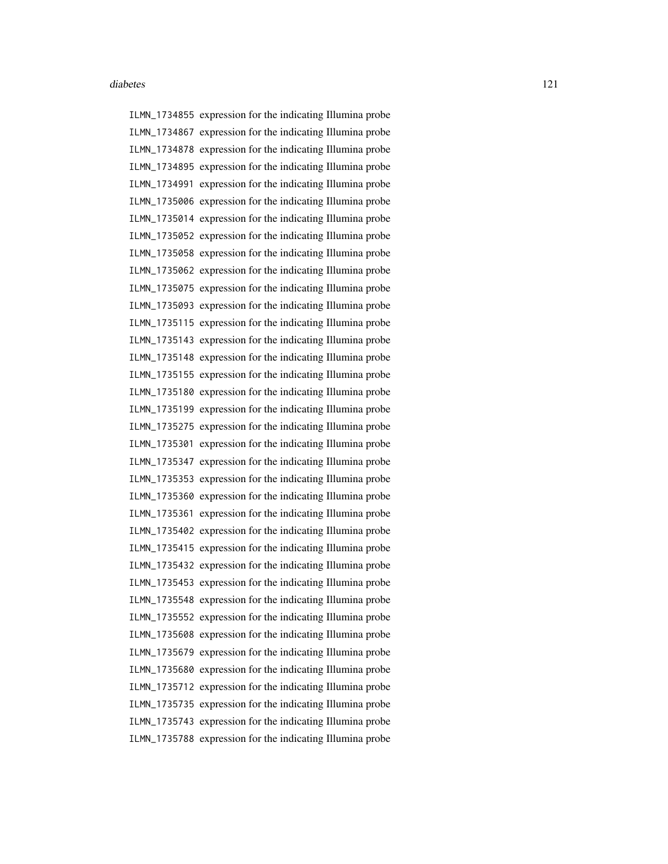ILMN\_1734855 expression for the indicating Illumina probe ILMN\_1734867 expression for the indicating Illumina probe ILMN\_1734878 expression for the indicating Illumina probe ILMN\_1734895 expression for the indicating Illumina probe ILMN\_1734991 expression for the indicating Illumina probe ILMN\_1735006 expression for the indicating Illumina probe ILMN\_1735014 expression for the indicating Illumina probe ILMN\_1735052 expression for the indicating Illumina probe ILMN\_1735058 expression for the indicating Illumina probe ILMN\_1735062 expression for the indicating Illumina probe ILMN\_1735075 expression for the indicating Illumina probe ILMN\_1735093 expression for the indicating Illumina probe ILMN\_1735115 expression for the indicating Illumina probe ILMN\_1735143 expression for the indicating Illumina probe ILMN\_1735148 expression for the indicating Illumina probe ILMN\_1735155 expression for the indicating Illumina probe ILMN\_1735180 expression for the indicating Illumina probe ILMN\_1735199 expression for the indicating Illumina probe ILMN\_1735275 expression for the indicating Illumina probe ILMN\_1735301 expression for the indicating Illumina probe ILMN\_1735347 expression for the indicating Illumina probe ILMN\_1735353 expression for the indicating Illumina probe ILMN\_1735360 expression for the indicating Illumina probe ILMN\_1735361 expression for the indicating Illumina probe ILMN\_1735402 expression for the indicating Illumina probe ILMN\_1735415 expression for the indicating Illumina probe ILMN\_1735432 expression for the indicating Illumina probe ILMN\_1735453 expression for the indicating Illumina probe ILMN\_1735548 expression for the indicating Illumina probe ILMN\_1735552 expression for the indicating Illumina probe ILMN\_1735608 expression for the indicating Illumina probe ILMN\_1735679 expression for the indicating Illumina probe ILMN\_1735680 expression for the indicating Illumina probe ILMN\_1735712 expression for the indicating Illumina probe ILMN\_1735735 expression for the indicating Illumina probe ILMN\_1735743 expression for the indicating Illumina probe ILMN\_1735788 expression for the indicating Illumina probe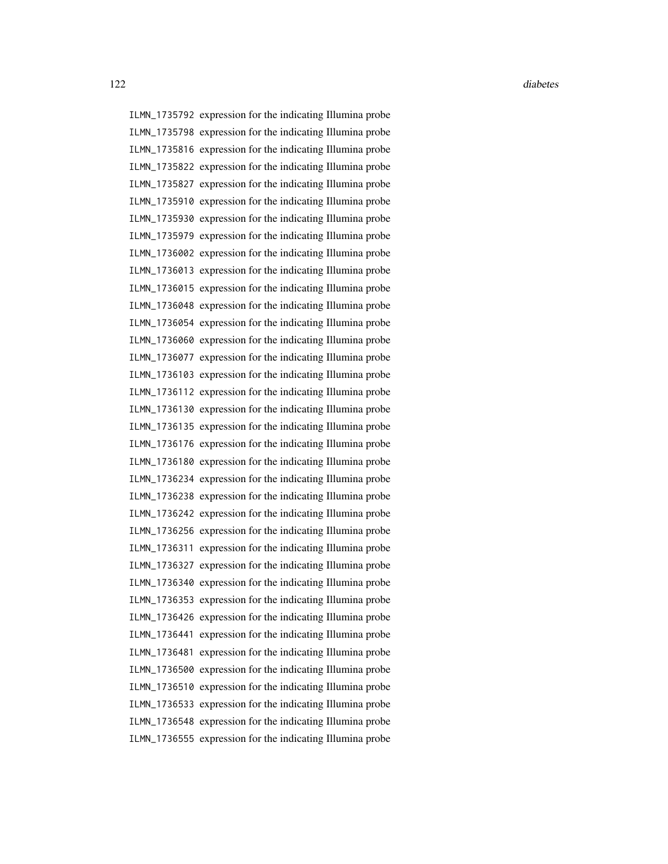ILMN\_1735792 expression for the indicating Illumina probe ILMN\_1735798 expression for the indicating Illumina probe ILMN\_1735816 expression for the indicating Illumina probe ILMN\_1735822 expression for the indicating Illumina probe ILMN\_1735827 expression for the indicating Illumina probe ILMN\_1735910 expression for the indicating Illumina probe ILMN\_1735930 expression for the indicating Illumina probe ILMN\_1735979 expression for the indicating Illumina probe ILMN\_1736002 expression for the indicating Illumina probe ILMN\_1736013 expression for the indicating Illumina probe ILMN\_1736015 expression for the indicating Illumina probe ILMN\_1736048 expression for the indicating Illumina probe ILMN\_1736054 expression for the indicating Illumina probe ILMN\_1736060 expression for the indicating Illumina probe ILMN\_1736077 expression for the indicating Illumina probe ILMN\_1736103 expression for the indicating Illumina probe ILMN\_1736112 expression for the indicating Illumina probe ILMN\_1736130 expression for the indicating Illumina probe ILMN\_1736135 expression for the indicating Illumina probe ILMN\_1736176 expression for the indicating Illumina probe ILMN\_1736180 expression for the indicating Illumina probe ILMN\_1736234 expression for the indicating Illumina probe ILMN\_1736238 expression for the indicating Illumina probe ILMN\_1736242 expression for the indicating Illumina probe ILMN\_1736256 expression for the indicating Illumina probe ILMN\_1736311 expression for the indicating Illumina probe ILMN\_1736327 expression for the indicating Illumina probe ILMN\_1736340 expression for the indicating Illumina probe ILMN\_1736353 expression for the indicating Illumina probe ILMN\_1736426 expression for the indicating Illumina probe ILMN\_1736441 expression for the indicating Illumina probe ILMN\_1736481 expression for the indicating Illumina probe ILMN\_1736500 expression for the indicating Illumina probe ILMN\_1736510 expression for the indicating Illumina probe ILMN\_1736533 expression for the indicating Illumina probe ILMN\_1736548 expression for the indicating Illumina probe ILMN\_1736555 expression for the indicating Illumina probe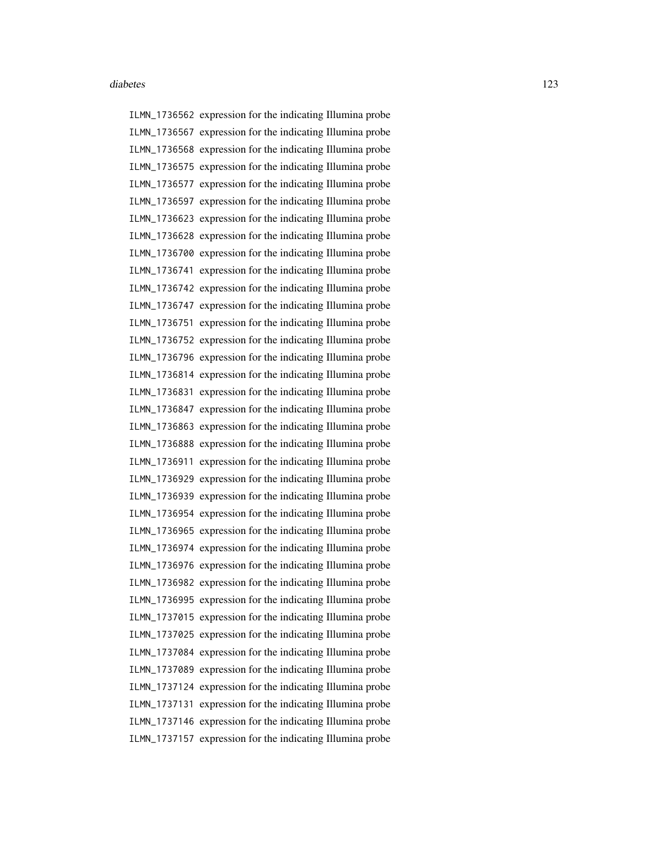ILMN\_1736562 expression for the indicating Illumina probe ILMN\_1736567 expression for the indicating Illumina probe ILMN\_1736568 expression for the indicating Illumina probe ILMN\_1736575 expression for the indicating Illumina probe ILMN\_1736577 expression for the indicating Illumina probe ILMN\_1736597 expression for the indicating Illumina probe ILMN\_1736623 expression for the indicating Illumina probe ILMN\_1736628 expression for the indicating Illumina probe ILMN\_1736700 expression for the indicating Illumina probe ILMN\_1736741 expression for the indicating Illumina probe ILMN\_1736742 expression for the indicating Illumina probe ILMN\_1736747 expression for the indicating Illumina probe ILMN\_1736751 expression for the indicating Illumina probe ILMN\_1736752 expression for the indicating Illumina probe ILMN\_1736796 expression for the indicating Illumina probe ILMN\_1736814 expression for the indicating Illumina probe ILMN\_1736831 expression for the indicating Illumina probe ILMN\_1736847 expression for the indicating Illumina probe ILMN\_1736863 expression for the indicating Illumina probe ILMN\_1736888 expression for the indicating Illumina probe ILMN\_1736911 expression for the indicating Illumina probe ILMN\_1736929 expression for the indicating Illumina probe ILMN\_1736939 expression for the indicating Illumina probe ILMN\_1736954 expression for the indicating Illumina probe ILMN\_1736965 expression for the indicating Illumina probe ILMN\_1736974 expression for the indicating Illumina probe ILMN\_1736976 expression for the indicating Illumina probe ILMN\_1736982 expression for the indicating Illumina probe ILMN\_1736995 expression for the indicating Illumina probe ILMN\_1737015 expression for the indicating Illumina probe ILMN\_1737025 expression for the indicating Illumina probe ILMN\_1737084 expression for the indicating Illumina probe ILMN\_1737089 expression for the indicating Illumina probe ILMN\_1737124 expression for the indicating Illumina probe ILMN\_1737131 expression for the indicating Illumina probe ILMN\_1737146 expression for the indicating Illumina probe ILMN\_1737157 expression for the indicating Illumina probe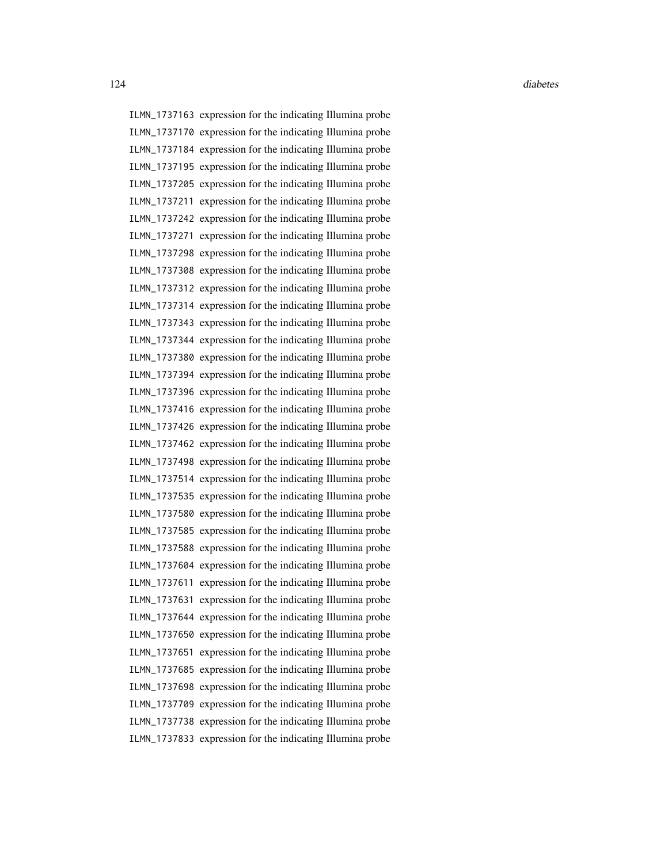ILMN\_1737163 expression for the indicating Illumina probe ILMN\_1737170 expression for the indicating Illumina probe ILMN\_1737184 expression for the indicating Illumina probe ILMN\_1737195 expression for the indicating Illumina probe ILMN\_1737205 expression for the indicating Illumina probe ILMN\_1737211 expression for the indicating Illumina probe ILMN\_1737242 expression for the indicating Illumina probe ILMN\_1737271 expression for the indicating Illumina probe ILMN\_1737298 expression for the indicating Illumina probe ILMN\_1737308 expression for the indicating Illumina probe ILMN\_1737312 expression for the indicating Illumina probe ILMN\_1737314 expression for the indicating Illumina probe ILMN\_1737343 expression for the indicating Illumina probe ILMN\_1737344 expression for the indicating Illumina probe ILMN\_1737380 expression for the indicating Illumina probe ILMN\_1737394 expression for the indicating Illumina probe ILMN\_1737396 expression for the indicating Illumina probe ILMN\_1737416 expression for the indicating Illumina probe ILMN\_1737426 expression for the indicating Illumina probe ILMN\_1737462 expression for the indicating Illumina probe ILMN\_1737498 expression for the indicating Illumina probe ILMN\_1737514 expression for the indicating Illumina probe ILMN\_1737535 expression for the indicating Illumina probe ILMN\_1737580 expression for the indicating Illumina probe ILMN\_1737585 expression for the indicating Illumina probe ILMN\_1737588 expression for the indicating Illumina probe ILMN\_1737604 expression for the indicating Illumina probe ILMN\_1737611 expression for the indicating Illumina probe ILMN\_1737631 expression for the indicating Illumina probe ILMN\_1737644 expression for the indicating Illumina probe ILMN\_1737650 expression for the indicating Illumina probe ILMN\_1737651 expression for the indicating Illumina probe ILMN\_1737685 expression for the indicating Illumina probe ILMN\_1737698 expression for the indicating Illumina probe ILMN\_1737709 expression for the indicating Illumina probe ILMN\_1737738 expression for the indicating Illumina probe ILMN\_1737833 expression for the indicating Illumina probe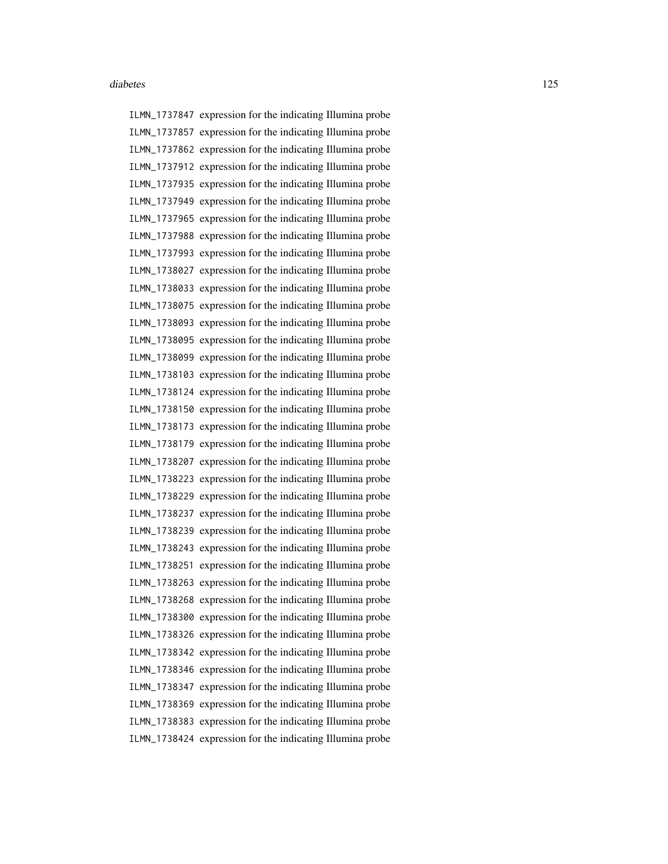ILMN\_1737847 expression for the indicating Illumina probe ILMN\_1737857 expression for the indicating Illumina probe ILMN\_1737862 expression for the indicating Illumina probe ILMN\_1737912 expression for the indicating Illumina probe ILMN\_1737935 expression for the indicating Illumina probe ILMN\_1737949 expression for the indicating Illumina probe ILMN\_1737965 expression for the indicating Illumina probe ILMN\_1737988 expression for the indicating Illumina probe ILMN\_1737993 expression for the indicating Illumina probe ILMN\_1738027 expression for the indicating Illumina probe ILMN\_1738033 expression for the indicating Illumina probe ILMN\_1738075 expression for the indicating Illumina probe ILMN\_1738093 expression for the indicating Illumina probe ILMN\_1738095 expression for the indicating Illumina probe ILMN\_1738099 expression for the indicating Illumina probe ILMN\_1738103 expression for the indicating Illumina probe ILMN\_1738124 expression for the indicating Illumina probe ILMN\_1738150 expression for the indicating Illumina probe ILMN\_1738173 expression for the indicating Illumina probe ILMN\_1738179 expression for the indicating Illumina probe ILMN\_1738207 expression for the indicating Illumina probe ILMN\_1738223 expression for the indicating Illumina probe ILMN\_1738229 expression for the indicating Illumina probe ILMN\_1738237 expression for the indicating Illumina probe ILMN\_1738239 expression for the indicating Illumina probe ILMN\_1738243 expression for the indicating Illumina probe ILMN\_1738251 expression for the indicating Illumina probe ILMN\_1738263 expression for the indicating Illumina probe ILMN\_1738268 expression for the indicating Illumina probe ILMN\_1738300 expression for the indicating Illumina probe ILMN\_1738326 expression for the indicating Illumina probe ILMN\_1738342 expression for the indicating Illumina probe ILMN\_1738346 expression for the indicating Illumina probe ILMN\_1738347 expression for the indicating Illumina probe ILMN\_1738369 expression for the indicating Illumina probe ILMN\_1738383 expression for the indicating Illumina probe ILMN\_1738424 expression for the indicating Illumina probe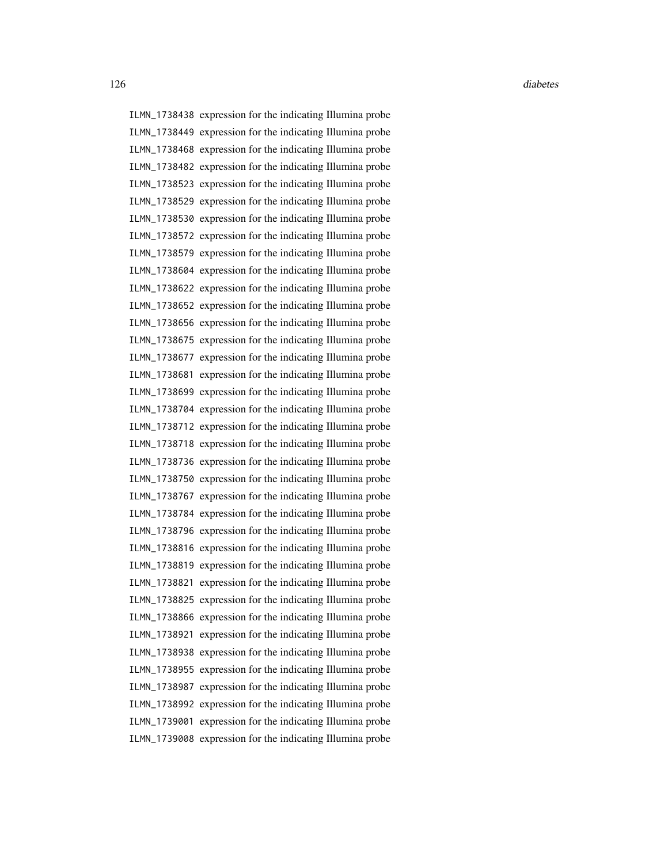ILMN\_1738438 expression for the indicating Illumina probe ILMN\_1738449 expression for the indicating Illumina probe ILMN\_1738468 expression for the indicating Illumina probe ILMN\_1738482 expression for the indicating Illumina probe ILMN\_1738523 expression for the indicating Illumina probe ILMN\_1738529 expression for the indicating Illumina probe ILMN\_1738530 expression for the indicating Illumina probe ILMN\_1738572 expression for the indicating Illumina probe ILMN\_1738579 expression for the indicating Illumina probe ILMN\_1738604 expression for the indicating Illumina probe ILMN\_1738622 expression for the indicating Illumina probe ILMN\_1738652 expression for the indicating Illumina probe ILMN\_1738656 expression for the indicating Illumina probe ILMN\_1738675 expression for the indicating Illumina probe ILMN\_1738677 expression for the indicating Illumina probe ILMN\_1738681 expression for the indicating Illumina probe ILMN\_1738699 expression for the indicating Illumina probe ILMN\_1738704 expression for the indicating Illumina probe ILMN\_1738712 expression for the indicating Illumina probe ILMN\_1738718 expression for the indicating Illumina probe ILMN\_1738736 expression for the indicating Illumina probe ILMN\_1738750 expression for the indicating Illumina probe ILMN\_1738767 expression for the indicating Illumina probe ILMN\_1738784 expression for the indicating Illumina probe ILMN\_1738796 expression for the indicating Illumina probe ILMN\_1738816 expression for the indicating Illumina probe ILMN\_1738819 expression for the indicating Illumina probe ILMN\_1738821 expression for the indicating Illumina probe ILMN\_1738825 expression for the indicating Illumina probe ILMN\_1738866 expression for the indicating Illumina probe ILMN\_1738921 expression for the indicating Illumina probe ILMN\_1738938 expression for the indicating Illumina probe ILMN\_1738955 expression for the indicating Illumina probe ILMN\_1738987 expression for the indicating Illumina probe ILMN\_1738992 expression for the indicating Illumina probe ILMN\_1739001 expression for the indicating Illumina probe ILMN\_1739008 expression for the indicating Illumina probe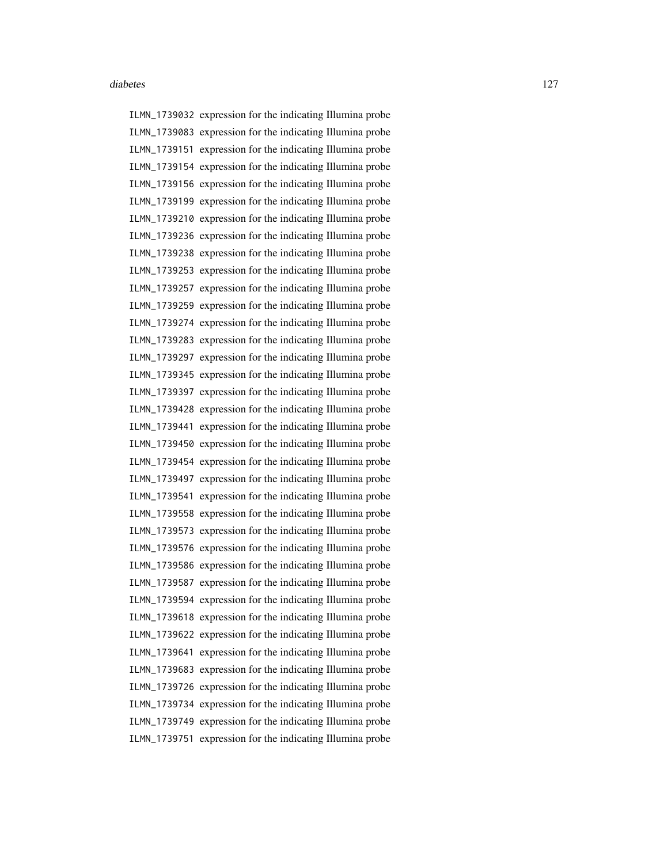ILMN\_1739032 expression for the indicating Illumina probe ILMN\_1739083 expression for the indicating Illumina probe ILMN\_1739151 expression for the indicating Illumina probe ILMN\_1739154 expression for the indicating Illumina probe ILMN\_1739156 expression for the indicating Illumina probe ILMN\_1739199 expression for the indicating Illumina probe ILMN\_1739210 expression for the indicating Illumina probe ILMN\_1739236 expression for the indicating Illumina probe ILMN\_1739238 expression for the indicating Illumina probe ILMN\_1739253 expression for the indicating Illumina probe ILMN\_1739257 expression for the indicating Illumina probe ILMN\_1739259 expression for the indicating Illumina probe ILMN\_1739274 expression for the indicating Illumina probe ILMN\_1739283 expression for the indicating Illumina probe ILMN\_1739297 expression for the indicating Illumina probe ILMN\_1739345 expression for the indicating Illumina probe ILMN\_1739397 expression for the indicating Illumina probe ILMN\_1739428 expression for the indicating Illumina probe ILMN\_1739441 expression for the indicating Illumina probe ILMN\_1739450 expression for the indicating Illumina probe ILMN\_1739454 expression for the indicating Illumina probe ILMN\_1739497 expression for the indicating Illumina probe ILMN\_1739541 expression for the indicating Illumina probe ILMN\_1739558 expression for the indicating Illumina probe ILMN\_1739573 expression for the indicating Illumina probe ILMN\_1739576 expression for the indicating Illumina probe ILMN\_1739586 expression for the indicating Illumina probe ILMN\_1739587 expression for the indicating Illumina probe ILMN\_1739594 expression for the indicating Illumina probe ILMN\_1739618 expression for the indicating Illumina probe ILMN\_1739622 expression for the indicating Illumina probe ILMN\_1739641 expression for the indicating Illumina probe ILMN\_1739683 expression for the indicating Illumina probe ILMN\_1739726 expression for the indicating Illumina probe ILMN\_1739734 expression for the indicating Illumina probe ILMN\_1739749 expression for the indicating Illumina probe ILMN\_1739751 expression for the indicating Illumina probe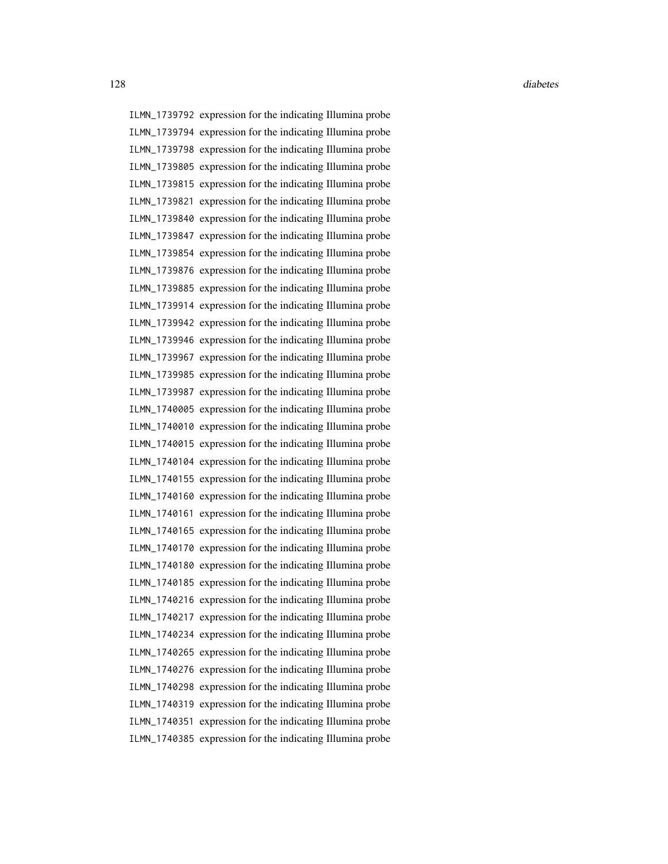ILMN\_1739792 expression for the indicating Illumina probe ILMN\_1739794 expression for the indicating Illumina probe ILMN\_1739798 expression for the indicating Illumina probe ILMN\_1739805 expression for the indicating Illumina probe ILMN\_1739815 expression for the indicating Illumina probe ILMN\_1739821 expression for the indicating Illumina probe ILMN\_1739840 expression for the indicating Illumina probe ILMN\_1739847 expression for the indicating Illumina probe ILMN\_1739854 expression for the indicating Illumina probe ILMN\_1739876 expression for the indicating Illumina probe ILMN\_1739885 expression for the indicating Illumina probe ILMN\_1739914 expression for the indicating Illumina probe ILMN\_1739942 expression for the indicating Illumina probe ILMN\_1739946 expression for the indicating Illumina probe ILMN\_1739967 expression for the indicating Illumina probe ILMN\_1739985 expression for the indicating Illumina probe ILMN\_1739987 expression for the indicating Illumina probe ILMN\_1740005 expression for the indicating Illumina probe ILMN\_1740010 expression for the indicating Illumina probe ILMN\_1740015 expression for the indicating Illumina probe ILMN\_1740104 expression for the indicating Illumina probe ILMN\_1740155 expression for the indicating Illumina probe ILMN\_1740160 expression for the indicating Illumina probe ILMN\_1740161 expression for the indicating Illumina probe ILMN\_1740165 expression for the indicating Illumina probe ILMN\_1740170 expression for the indicating Illumina probe ILMN\_1740180 expression for the indicating Illumina probe ILMN\_1740185 expression for the indicating Illumina probe ILMN\_1740216 expression for the indicating Illumina probe ILMN\_1740217 expression for the indicating Illumina probe ILMN\_1740234 expression for the indicating Illumina probe ILMN\_1740265 expression for the indicating Illumina probe ILMN\_1740276 expression for the indicating Illumina probe ILMN\_1740298 expression for the indicating Illumina probe ILMN\_1740319 expression for the indicating Illumina probe ILMN\_1740351 expression for the indicating Illumina probe ILMN\_1740385 expression for the indicating Illumina probe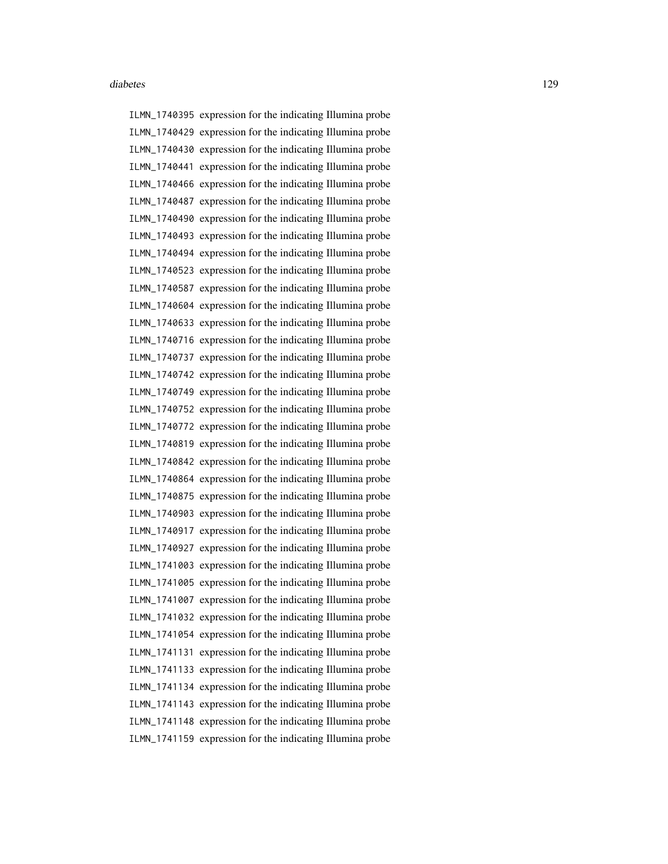ILMN\_1740395 expression for the indicating Illumina probe ILMN\_1740429 expression for the indicating Illumina probe ILMN\_1740430 expression for the indicating Illumina probe ILMN\_1740441 expression for the indicating Illumina probe ILMN\_1740466 expression for the indicating Illumina probe ILMN\_1740487 expression for the indicating Illumina probe ILMN\_1740490 expression for the indicating Illumina probe ILMN\_1740493 expression for the indicating Illumina probe ILMN\_1740494 expression for the indicating Illumina probe ILMN\_1740523 expression for the indicating Illumina probe ILMN\_1740587 expression for the indicating Illumina probe ILMN\_1740604 expression for the indicating Illumina probe ILMN\_1740633 expression for the indicating Illumina probe ILMN\_1740716 expression for the indicating Illumina probe ILMN\_1740737 expression for the indicating Illumina probe ILMN\_1740742 expression for the indicating Illumina probe ILMN\_1740749 expression for the indicating Illumina probe ILMN\_1740752 expression for the indicating Illumina probe ILMN\_1740772 expression for the indicating Illumina probe ILMN\_1740819 expression for the indicating Illumina probe ILMN\_1740842 expression for the indicating Illumina probe ILMN\_1740864 expression for the indicating Illumina probe ILMN\_1740875 expression for the indicating Illumina probe ILMN\_1740903 expression for the indicating Illumina probe ILMN\_1740917 expression for the indicating Illumina probe ILMN\_1740927 expression for the indicating Illumina probe ILMN\_1741003 expression for the indicating Illumina probe ILMN\_1741005 expression for the indicating Illumina probe ILMN\_1741007 expression for the indicating Illumina probe ILMN\_1741032 expression for the indicating Illumina probe ILMN\_1741054 expression for the indicating Illumina probe ILMN\_1741131 expression for the indicating Illumina probe ILMN\_1741133 expression for the indicating Illumina probe ILMN\_1741134 expression for the indicating Illumina probe ILMN\_1741143 expression for the indicating Illumina probe ILMN\_1741148 expression for the indicating Illumina probe ILMN\_1741159 expression for the indicating Illumina probe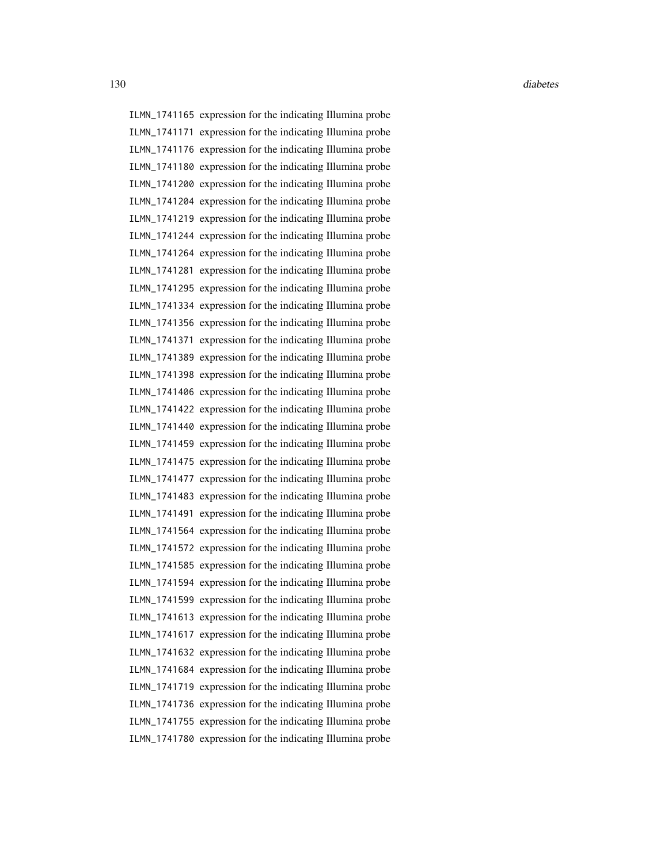ILMN\_1741165 expression for the indicating Illumina probe ILMN\_1741171 expression for the indicating Illumina probe ILMN\_1741176 expression for the indicating Illumina probe ILMN\_1741180 expression for the indicating Illumina probe ILMN\_1741200 expression for the indicating Illumina probe ILMN\_1741204 expression for the indicating Illumina probe ILMN\_1741219 expression for the indicating Illumina probe ILMN\_1741244 expression for the indicating Illumina probe ILMN\_1741264 expression for the indicating Illumina probe ILMN\_1741281 expression for the indicating Illumina probe ILMN\_1741295 expression for the indicating Illumina probe ILMN\_1741334 expression for the indicating Illumina probe ILMN\_1741356 expression for the indicating Illumina probe ILMN\_1741371 expression for the indicating Illumina probe ILMN\_1741389 expression for the indicating Illumina probe ILMN\_1741398 expression for the indicating Illumina probe ILMN\_1741406 expression for the indicating Illumina probe ILMN\_1741422 expression for the indicating Illumina probe ILMN\_1741440 expression for the indicating Illumina probe ILMN\_1741459 expression for the indicating Illumina probe ILMN\_1741475 expression for the indicating Illumina probe ILMN\_1741477 expression for the indicating Illumina probe ILMN\_1741483 expression for the indicating Illumina probe ILMN\_1741491 expression for the indicating Illumina probe ILMN\_1741564 expression for the indicating Illumina probe ILMN\_1741572 expression for the indicating Illumina probe ILMN\_1741585 expression for the indicating Illumina probe ILMN\_1741594 expression for the indicating Illumina probe ILMN\_1741599 expression for the indicating Illumina probe ILMN\_1741613 expression for the indicating Illumina probe ILMN\_1741617 expression for the indicating Illumina probe ILMN\_1741632 expression for the indicating Illumina probe ILMN\_1741684 expression for the indicating Illumina probe ILMN\_1741719 expression for the indicating Illumina probe ILMN\_1741736 expression for the indicating Illumina probe ILMN\_1741755 expression for the indicating Illumina probe ILMN\_1741780 expression for the indicating Illumina probe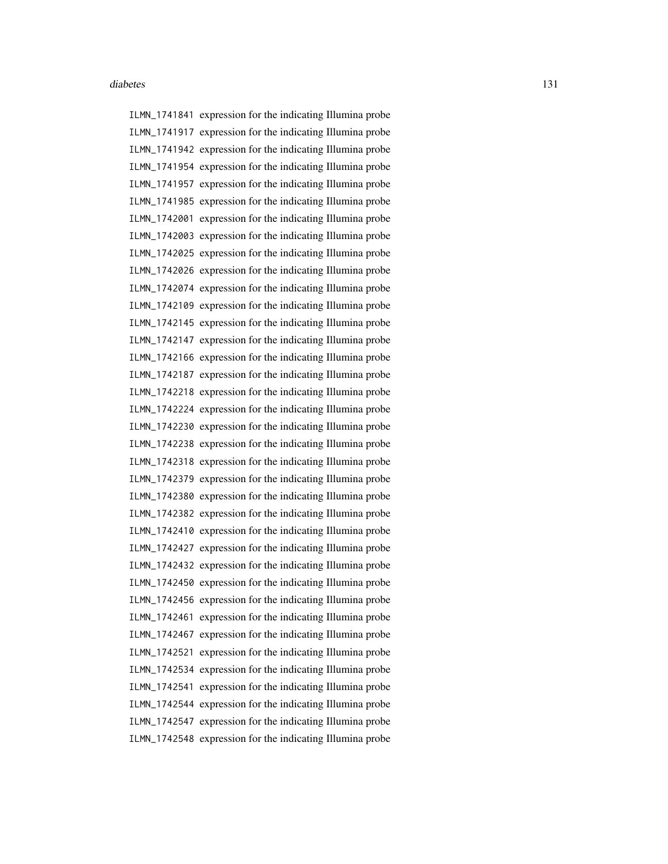ILMN\_1741841 expression for the indicating Illumina probe ILMN\_1741917 expression for the indicating Illumina probe ILMN\_1741942 expression for the indicating Illumina probe ILMN\_1741954 expression for the indicating Illumina probe ILMN\_1741957 expression for the indicating Illumina probe ILMN\_1741985 expression for the indicating Illumina probe ILMN\_1742001 expression for the indicating Illumina probe ILMN\_1742003 expression for the indicating Illumina probe ILMN\_1742025 expression for the indicating Illumina probe ILMN\_1742026 expression for the indicating Illumina probe ILMN\_1742074 expression for the indicating Illumina probe ILMN\_1742109 expression for the indicating Illumina probe ILMN\_1742145 expression for the indicating Illumina probe ILMN\_1742147 expression for the indicating Illumina probe ILMN\_1742166 expression for the indicating Illumina probe ILMN\_1742187 expression for the indicating Illumina probe ILMN\_1742218 expression for the indicating Illumina probe ILMN\_1742224 expression for the indicating Illumina probe ILMN\_1742230 expression for the indicating Illumina probe ILMN\_1742238 expression for the indicating Illumina probe ILMN\_1742318 expression for the indicating Illumina probe ILMN\_1742379 expression for the indicating Illumina probe ILMN\_1742380 expression for the indicating Illumina probe ILMN\_1742382 expression for the indicating Illumina probe ILMN\_1742410 expression for the indicating Illumina probe ILMN\_1742427 expression for the indicating Illumina probe ILMN\_1742432 expression for the indicating Illumina probe ILMN\_1742450 expression for the indicating Illumina probe ILMN\_1742456 expression for the indicating Illumina probe ILMN\_1742461 expression for the indicating Illumina probe ILMN\_1742467 expression for the indicating Illumina probe ILMN\_1742521 expression for the indicating Illumina probe ILMN\_1742534 expression for the indicating Illumina probe ILMN\_1742541 expression for the indicating Illumina probe ILMN\_1742544 expression for the indicating Illumina probe ILMN\_1742547 expression for the indicating Illumina probe ILMN\_1742548 expression for the indicating Illumina probe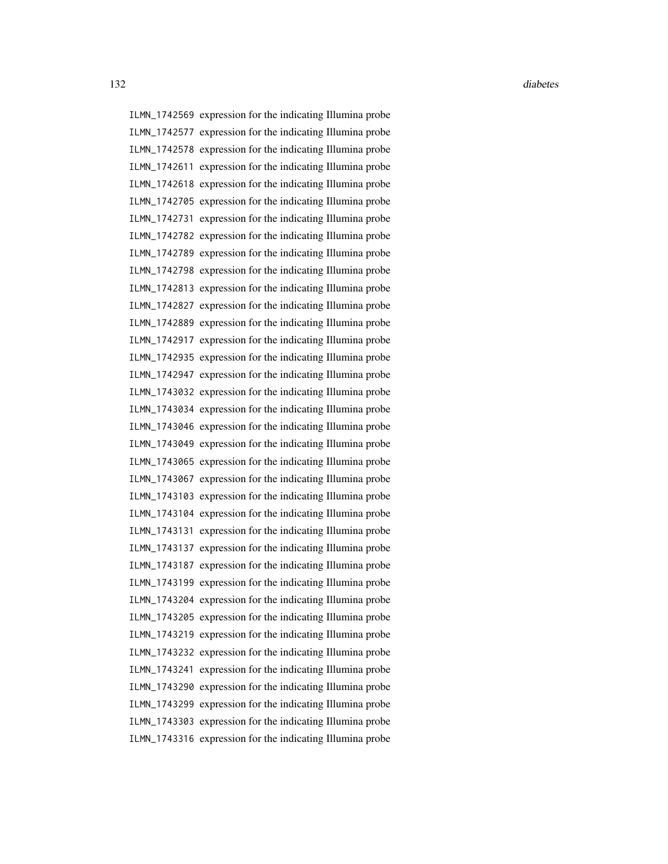ILMN\_1742569 expression for the indicating Illumina probe ILMN\_1742577 expression for the indicating Illumina probe ILMN\_1742578 expression for the indicating Illumina probe ILMN\_1742611 expression for the indicating Illumina probe ILMN\_1742618 expression for the indicating Illumina probe ILMN\_1742705 expression for the indicating Illumina probe ILMN\_1742731 expression for the indicating Illumina probe ILMN\_1742782 expression for the indicating Illumina probe ILMN\_1742789 expression for the indicating Illumina probe ILMN\_1742798 expression for the indicating Illumina probe ILMN\_1742813 expression for the indicating Illumina probe ILMN\_1742827 expression for the indicating Illumina probe ILMN\_1742889 expression for the indicating Illumina probe ILMN\_1742917 expression for the indicating Illumina probe ILMN\_1742935 expression for the indicating Illumina probe ILMN\_1742947 expression for the indicating Illumina probe ILMN\_1743032 expression for the indicating Illumina probe ILMN\_1743034 expression for the indicating Illumina probe ILMN\_1743046 expression for the indicating Illumina probe ILMN\_1743049 expression for the indicating Illumina probe ILMN\_1743065 expression for the indicating Illumina probe ILMN\_1743067 expression for the indicating Illumina probe ILMN\_1743103 expression for the indicating Illumina probe ILMN\_1743104 expression for the indicating Illumina probe ILMN\_1743131 expression for the indicating Illumina probe ILMN\_1743137 expression for the indicating Illumina probe ILMN\_1743187 expression for the indicating Illumina probe ILMN\_1743199 expression for the indicating Illumina probe ILMN\_1743204 expression for the indicating Illumina probe ILMN\_1743205 expression for the indicating Illumina probe ILMN\_1743219 expression for the indicating Illumina probe ILMN\_1743232 expression for the indicating Illumina probe ILMN\_1743241 expression for the indicating Illumina probe ILMN\_1743290 expression for the indicating Illumina probe ILMN\_1743299 expression for the indicating Illumina probe ILMN\_1743303 expression for the indicating Illumina probe ILMN\_1743316 expression for the indicating Illumina probe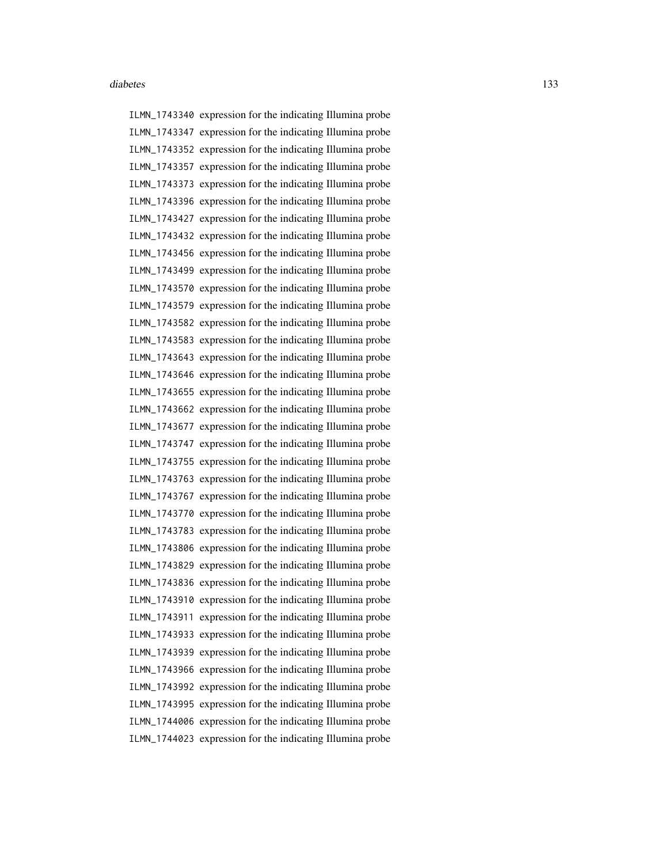ILMN\_1743340 expression for the indicating Illumina probe ILMN\_1743347 expression for the indicating Illumina probe ILMN\_1743352 expression for the indicating Illumina probe ILMN\_1743357 expression for the indicating Illumina probe ILMN\_1743373 expression for the indicating Illumina probe ILMN\_1743396 expression for the indicating Illumina probe ILMN\_1743427 expression for the indicating Illumina probe ILMN\_1743432 expression for the indicating Illumina probe ILMN\_1743456 expression for the indicating Illumina probe ILMN\_1743499 expression for the indicating Illumina probe ILMN\_1743570 expression for the indicating Illumina probe ILMN\_1743579 expression for the indicating Illumina probe ILMN\_1743582 expression for the indicating Illumina probe ILMN\_1743583 expression for the indicating Illumina probe ILMN\_1743643 expression for the indicating Illumina probe ILMN\_1743646 expression for the indicating Illumina probe ILMN\_1743655 expression for the indicating Illumina probe ILMN\_1743662 expression for the indicating Illumina probe ILMN\_1743677 expression for the indicating Illumina probe ILMN\_1743747 expression for the indicating Illumina probe ILMN\_1743755 expression for the indicating Illumina probe ILMN\_1743763 expression for the indicating Illumina probe ILMN\_1743767 expression for the indicating Illumina probe ILMN\_1743770 expression for the indicating Illumina probe ILMN\_1743783 expression for the indicating Illumina probe ILMN\_1743806 expression for the indicating Illumina probe ILMN\_1743829 expression for the indicating Illumina probe ILMN\_1743836 expression for the indicating Illumina probe ILMN\_1743910 expression for the indicating Illumina probe ILMN\_1743911 expression for the indicating Illumina probe ILMN\_1743933 expression for the indicating Illumina probe ILMN\_1743939 expression for the indicating Illumina probe ILMN\_1743966 expression for the indicating Illumina probe ILMN\_1743992 expression for the indicating Illumina probe ILMN\_1743995 expression for the indicating Illumina probe ILMN\_1744006 expression for the indicating Illumina probe ILMN\_1744023 expression for the indicating Illumina probe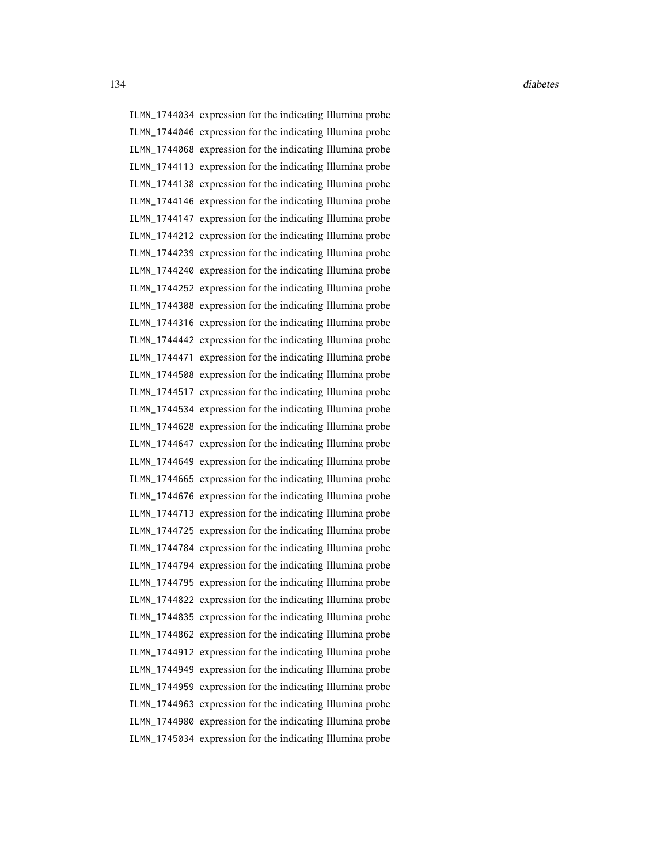ILMN\_1744034 expression for the indicating Illumina probe ILMN\_1744046 expression for the indicating Illumina probe ILMN\_1744068 expression for the indicating Illumina probe ILMN\_1744113 expression for the indicating Illumina probe ILMN\_1744138 expression for the indicating Illumina probe ILMN\_1744146 expression for the indicating Illumina probe ILMN\_1744147 expression for the indicating Illumina probe ILMN\_1744212 expression for the indicating Illumina probe ILMN\_1744239 expression for the indicating Illumina probe ILMN\_1744240 expression for the indicating Illumina probe ILMN\_1744252 expression for the indicating Illumina probe ILMN\_1744308 expression for the indicating Illumina probe ILMN\_1744316 expression for the indicating Illumina probe ILMN\_1744442 expression for the indicating Illumina probe ILMN\_1744471 expression for the indicating Illumina probe ILMN\_1744508 expression for the indicating Illumina probe ILMN\_1744517 expression for the indicating Illumina probe ILMN\_1744534 expression for the indicating Illumina probe ILMN\_1744628 expression for the indicating Illumina probe ILMN\_1744647 expression for the indicating Illumina probe ILMN\_1744649 expression for the indicating Illumina probe ILMN\_1744665 expression for the indicating Illumina probe ILMN\_1744676 expression for the indicating Illumina probe ILMN\_1744713 expression for the indicating Illumina probe ILMN\_1744725 expression for the indicating Illumina probe ILMN\_1744784 expression for the indicating Illumina probe ILMN\_1744794 expression for the indicating Illumina probe ILMN\_1744795 expression for the indicating Illumina probe ILMN\_1744822 expression for the indicating Illumina probe ILMN\_1744835 expression for the indicating Illumina probe ILMN\_1744862 expression for the indicating Illumina probe ILMN\_1744912 expression for the indicating Illumina probe ILMN\_1744949 expression for the indicating Illumina probe ILMN\_1744959 expression for the indicating Illumina probe ILMN\_1744963 expression for the indicating Illumina probe ILMN\_1744980 expression for the indicating Illumina probe ILMN\_1745034 expression for the indicating Illumina probe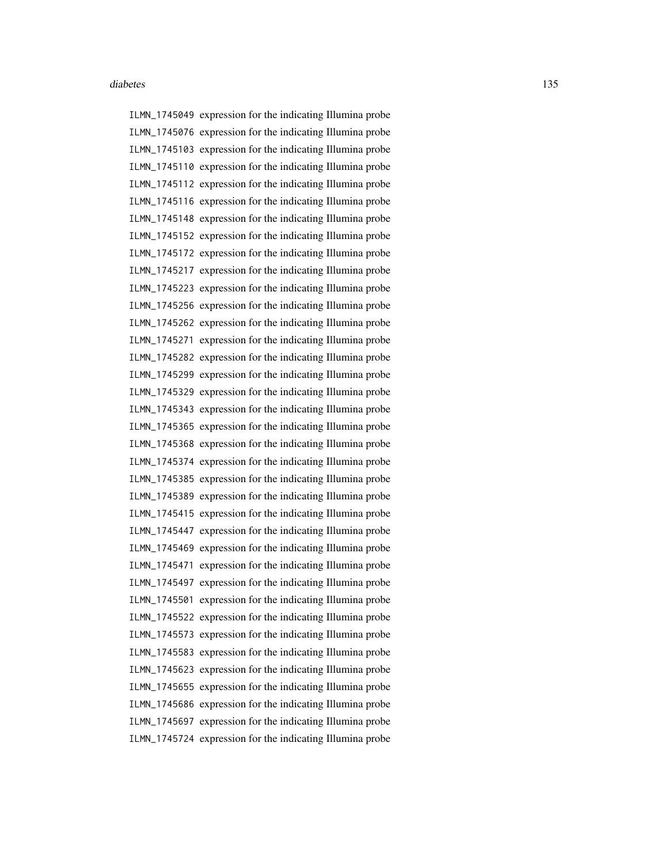ILMN\_1745049 expression for the indicating Illumina probe ILMN\_1745076 expression for the indicating Illumina probe ILMN\_1745103 expression for the indicating Illumina probe ILMN\_1745110 expression for the indicating Illumina probe ILMN\_1745112 expression for the indicating Illumina probe ILMN\_1745116 expression for the indicating Illumina probe ILMN\_1745148 expression for the indicating Illumina probe ILMN\_1745152 expression for the indicating Illumina probe ILMN\_1745172 expression for the indicating Illumina probe ILMN\_1745217 expression for the indicating Illumina probe ILMN\_1745223 expression for the indicating Illumina probe ILMN\_1745256 expression for the indicating Illumina probe ILMN\_1745262 expression for the indicating Illumina probe ILMN\_1745271 expression for the indicating Illumina probe ILMN\_1745282 expression for the indicating Illumina probe ILMN\_1745299 expression for the indicating Illumina probe ILMN\_1745329 expression for the indicating Illumina probe ILMN\_1745343 expression for the indicating Illumina probe ILMN\_1745365 expression for the indicating Illumina probe ILMN\_1745368 expression for the indicating Illumina probe ILMN\_1745374 expression for the indicating Illumina probe ILMN\_1745385 expression for the indicating Illumina probe ILMN\_1745389 expression for the indicating Illumina probe ILMN\_1745415 expression for the indicating Illumina probe ILMN\_1745447 expression for the indicating Illumina probe ILMN\_1745469 expression for the indicating Illumina probe ILMN\_1745471 expression for the indicating Illumina probe ILMN\_1745497 expression for the indicating Illumina probe ILMN\_1745501 expression for the indicating Illumina probe ILMN\_1745522 expression for the indicating Illumina probe ILMN\_1745573 expression for the indicating Illumina probe ILMN\_1745583 expression for the indicating Illumina probe ILMN\_1745623 expression for the indicating Illumina probe ILMN\_1745655 expression for the indicating Illumina probe ILMN\_1745686 expression for the indicating Illumina probe ILMN\_1745697 expression for the indicating Illumina probe ILMN\_1745724 expression for the indicating Illumina probe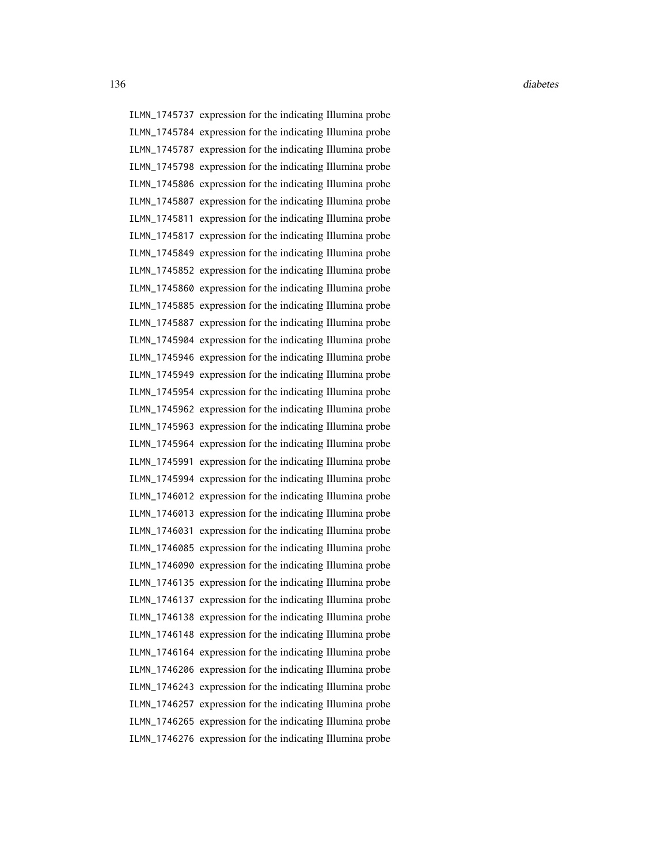ILMN\_1745737 expression for the indicating Illumina probe ILMN\_1745784 expression for the indicating Illumina probe ILMN\_1745787 expression for the indicating Illumina probe ILMN\_1745798 expression for the indicating Illumina probe ILMN\_1745806 expression for the indicating Illumina probe ILMN\_1745807 expression for the indicating Illumina probe ILMN\_1745811 expression for the indicating Illumina probe ILMN\_1745817 expression for the indicating Illumina probe ILMN\_1745849 expression for the indicating Illumina probe ILMN\_1745852 expression for the indicating Illumina probe ILMN\_1745860 expression for the indicating Illumina probe ILMN\_1745885 expression for the indicating Illumina probe ILMN\_1745887 expression for the indicating Illumina probe ILMN\_1745904 expression for the indicating Illumina probe ILMN\_1745946 expression for the indicating Illumina probe ILMN\_1745949 expression for the indicating Illumina probe ILMN\_1745954 expression for the indicating Illumina probe ILMN\_1745962 expression for the indicating Illumina probe ILMN\_1745963 expression for the indicating Illumina probe ILMN\_1745964 expression for the indicating Illumina probe ILMN\_1745991 expression for the indicating Illumina probe ILMN\_1745994 expression for the indicating Illumina probe ILMN\_1746012 expression for the indicating Illumina probe ILMN\_1746013 expression for the indicating Illumina probe ILMN\_1746031 expression for the indicating Illumina probe ILMN\_1746085 expression for the indicating Illumina probe ILMN\_1746090 expression for the indicating Illumina probe ILMN\_1746135 expression for the indicating Illumina probe ILMN\_1746137 expression for the indicating Illumina probe ILMN\_1746138 expression for the indicating Illumina probe ILMN\_1746148 expression for the indicating Illumina probe ILMN\_1746164 expression for the indicating Illumina probe ILMN\_1746206 expression for the indicating Illumina probe ILMN\_1746243 expression for the indicating Illumina probe ILMN\_1746257 expression for the indicating Illumina probe ILMN\_1746265 expression for the indicating Illumina probe ILMN\_1746276 expression for the indicating Illumina probe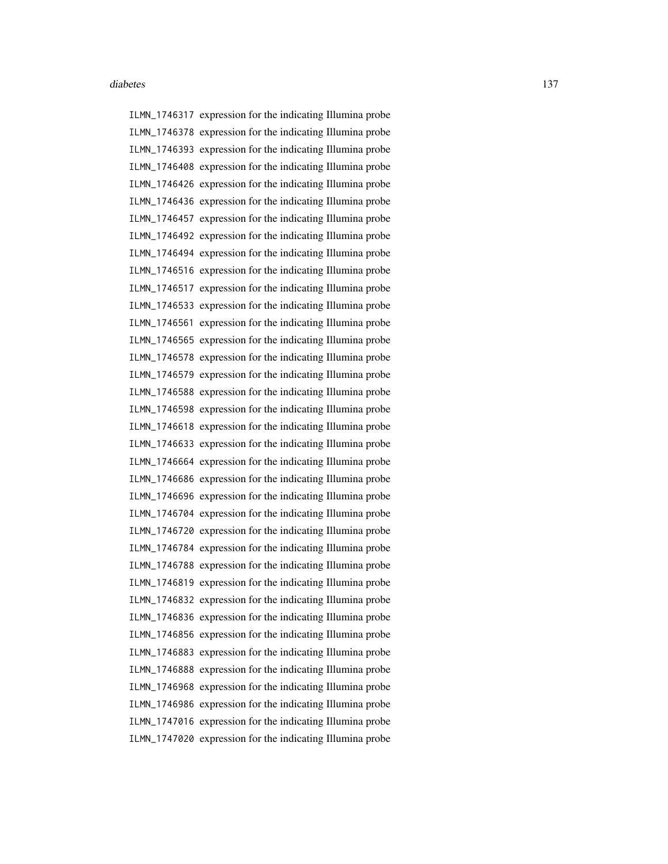ILMN\_1746317 expression for the indicating Illumina probe ILMN\_1746378 expression for the indicating Illumina probe ILMN\_1746393 expression for the indicating Illumina probe ILMN\_1746408 expression for the indicating Illumina probe ILMN\_1746426 expression for the indicating Illumina probe ILMN\_1746436 expression for the indicating Illumina probe ILMN\_1746457 expression for the indicating Illumina probe ILMN\_1746492 expression for the indicating Illumina probe ILMN\_1746494 expression for the indicating Illumina probe ILMN\_1746516 expression for the indicating Illumina probe ILMN\_1746517 expression for the indicating Illumina probe ILMN\_1746533 expression for the indicating Illumina probe ILMN\_1746561 expression for the indicating Illumina probe ILMN\_1746565 expression for the indicating Illumina probe ILMN\_1746578 expression for the indicating Illumina probe ILMN\_1746579 expression for the indicating Illumina probe ILMN\_1746588 expression for the indicating Illumina probe ILMN\_1746598 expression for the indicating Illumina probe ILMN\_1746618 expression for the indicating Illumina probe ILMN\_1746633 expression for the indicating Illumina probe ILMN\_1746664 expression for the indicating Illumina probe ILMN\_1746686 expression for the indicating Illumina probe ILMN\_1746696 expression for the indicating Illumina probe ILMN\_1746704 expression for the indicating Illumina probe ILMN\_1746720 expression for the indicating Illumina probe ILMN\_1746784 expression for the indicating Illumina probe ILMN\_1746788 expression for the indicating Illumina probe ILMN\_1746819 expression for the indicating Illumina probe ILMN\_1746832 expression for the indicating Illumina probe ILMN\_1746836 expression for the indicating Illumina probe ILMN\_1746856 expression for the indicating Illumina probe ILMN\_1746883 expression for the indicating Illumina probe ILMN\_1746888 expression for the indicating Illumina probe ILMN\_1746968 expression for the indicating Illumina probe ILMN\_1746986 expression for the indicating Illumina probe ILMN\_1747016 expression for the indicating Illumina probe ILMN\_1747020 expression for the indicating Illumina probe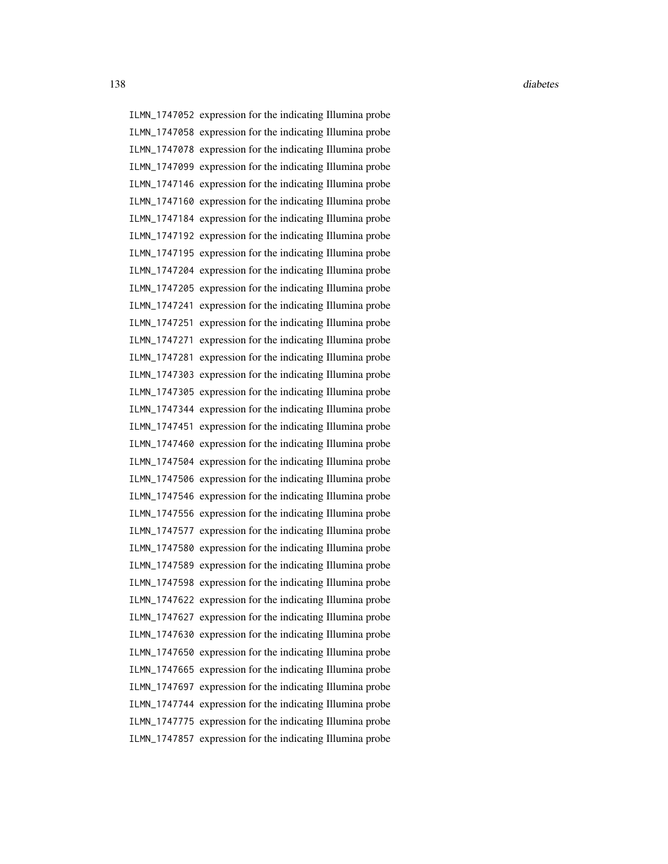ILMN\_1747052 expression for the indicating Illumina probe ILMN\_1747058 expression for the indicating Illumina probe ILMN\_1747078 expression for the indicating Illumina probe ILMN\_1747099 expression for the indicating Illumina probe ILMN\_1747146 expression for the indicating Illumina probe ILMN\_1747160 expression for the indicating Illumina probe ILMN\_1747184 expression for the indicating Illumina probe ILMN\_1747192 expression for the indicating Illumina probe ILMN\_1747195 expression for the indicating Illumina probe ILMN\_1747204 expression for the indicating Illumina probe ILMN\_1747205 expression for the indicating Illumina probe ILMN\_1747241 expression for the indicating Illumina probe ILMN\_1747251 expression for the indicating Illumina probe ILMN\_1747271 expression for the indicating Illumina probe ILMN\_1747281 expression for the indicating Illumina probe ILMN\_1747303 expression for the indicating Illumina probe ILMN\_1747305 expression for the indicating Illumina probe ILMN\_1747344 expression for the indicating Illumina probe ILMN\_1747451 expression for the indicating Illumina probe ILMN\_1747460 expression for the indicating Illumina probe ILMN\_1747504 expression for the indicating Illumina probe ILMN\_1747506 expression for the indicating Illumina probe ILMN\_1747546 expression for the indicating Illumina probe ILMN\_1747556 expression for the indicating Illumina probe ILMN\_1747577 expression for the indicating Illumina probe ILMN\_1747580 expression for the indicating Illumina probe ILMN\_1747589 expression for the indicating Illumina probe ILMN\_1747598 expression for the indicating Illumina probe ILMN\_1747622 expression for the indicating Illumina probe ILMN\_1747627 expression for the indicating Illumina probe ILMN\_1747630 expression for the indicating Illumina probe ILMN\_1747650 expression for the indicating Illumina probe ILMN\_1747665 expression for the indicating Illumina probe ILMN\_1747697 expression for the indicating Illumina probe ILMN\_1747744 expression for the indicating Illumina probe ILMN\_1747775 expression for the indicating Illumina probe ILMN\_1747857 expression for the indicating Illumina probe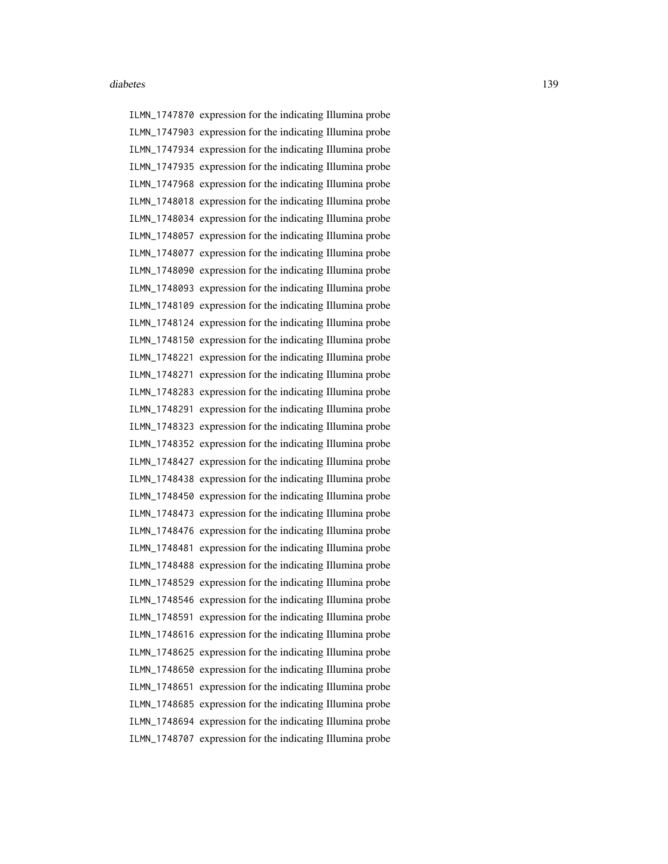ILMN\_1747870 expression for the indicating Illumina probe ILMN\_1747903 expression for the indicating Illumina probe ILMN\_1747934 expression for the indicating Illumina probe ILMN\_1747935 expression for the indicating Illumina probe ILMN\_1747968 expression for the indicating Illumina probe ILMN\_1748018 expression for the indicating Illumina probe ILMN\_1748034 expression for the indicating Illumina probe ILMN\_1748057 expression for the indicating Illumina probe ILMN\_1748077 expression for the indicating Illumina probe ILMN\_1748090 expression for the indicating Illumina probe ILMN\_1748093 expression for the indicating Illumina probe ILMN\_1748109 expression for the indicating Illumina probe ILMN\_1748124 expression for the indicating Illumina probe ILMN\_1748150 expression for the indicating Illumina probe ILMN\_1748221 expression for the indicating Illumina probe ILMN\_1748271 expression for the indicating Illumina probe ILMN\_1748283 expression for the indicating Illumina probe ILMN\_1748291 expression for the indicating Illumina probe ILMN\_1748323 expression for the indicating Illumina probe ILMN\_1748352 expression for the indicating Illumina probe ILMN\_1748427 expression for the indicating Illumina probe ILMN\_1748438 expression for the indicating Illumina probe ILMN\_1748450 expression for the indicating Illumina probe ILMN\_1748473 expression for the indicating Illumina probe ILMN\_1748476 expression for the indicating Illumina probe ILMN\_1748481 expression for the indicating Illumina probe ILMN\_1748488 expression for the indicating Illumina probe ILMN\_1748529 expression for the indicating Illumina probe ILMN\_1748546 expression for the indicating Illumina probe ILMN\_1748591 expression for the indicating Illumina probe ILMN\_1748616 expression for the indicating Illumina probe ILMN\_1748625 expression for the indicating Illumina probe ILMN\_1748650 expression for the indicating Illumina probe ILMN\_1748651 expression for the indicating Illumina probe ILMN\_1748685 expression for the indicating Illumina probe ILMN\_1748694 expression for the indicating Illumina probe ILMN\_1748707 expression for the indicating Illumina probe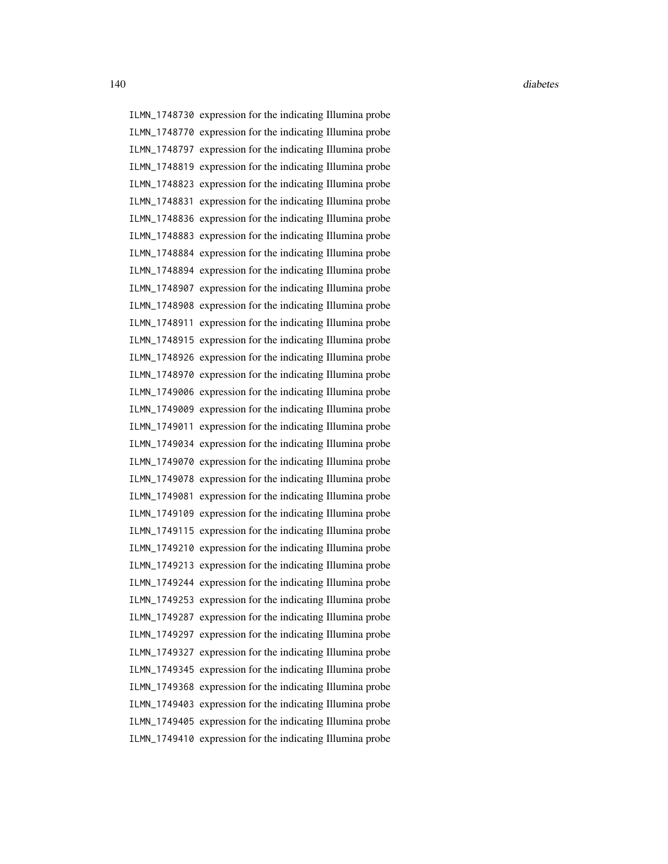ILMN\_1748730 expression for the indicating Illumina probe ILMN\_1748770 expression for the indicating Illumina probe ILMN\_1748797 expression for the indicating Illumina probe ILMN\_1748819 expression for the indicating Illumina probe ILMN\_1748823 expression for the indicating Illumina probe ILMN\_1748831 expression for the indicating Illumina probe ILMN\_1748836 expression for the indicating Illumina probe ILMN\_1748883 expression for the indicating Illumina probe ILMN\_1748884 expression for the indicating Illumina probe ILMN\_1748894 expression for the indicating Illumina probe ILMN\_1748907 expression for the indicating Illumina probe ILMN\_1748908 expression for the indicating Illumina probe ILMN\_1748911 expression for the indicating Illumina probe ILMN\_1748915 expression for the indicating Illumina probe ILMN\_1748926 expression for the indicating Illumina probe ILMN\_1748970 expression for the indicating Illumina probe ILMN\_1749006 expression for the indicating Illumina probe ILMN\_1749009 expression for the indicating Illumina probe ILMN\_1749011 expression for the indicating Illumina probe ILMN\_1749034 expression for the indicating Illumina probe ILMN\_1749070 expression for the indicating Illumina probe ILMN\_1749078 expression for the indicating Illumina probe ILMN\_1749081 expression for the indicating Illumina probe ILMN\_1749109 expression for the indicating Illumina probe ILMN\_1749115 expression for the indicating Illumina probe ILMN\_1749210 expression for the indicating Illumina probe ILMN\_1749213 expression for the indicating Illumina probe ILMN\_1749244 expression for the indicating Illumina probe ILMN\_1749253 expression for the indicating Illumina probe ILMN\_1749287 expression for the indicating Illumina probe ILMN\_1749297 expression for the indicating Illumina probe ILMN\_1749327 expression for the indicating Illumina probe ILMN\_1749345 expression for the indicating Illumina probe ILMN\_1749368 expression for the indicating Illumina probe ILMN\_1749403 expression for the indicating Illumina probe ILMN\_1749405 expression for the indicating Illumina probe ILMN\_1749410 expression for the indicating Illumina probe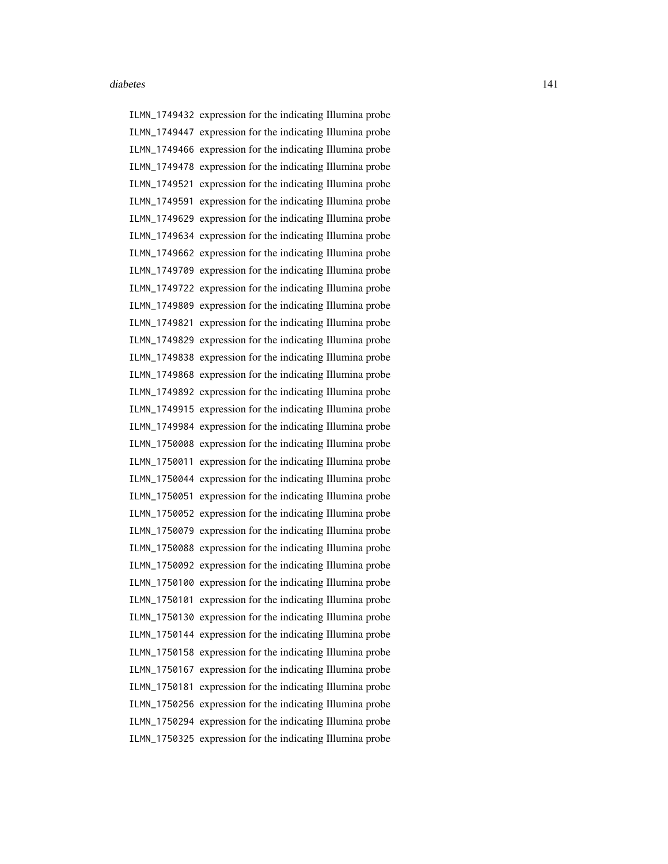ILMN\_1749432 expression for the indicating Illumina probe ILMN\_1749447 expression for the indicating Illumina probe ILMN\_1749466 expression for the indicating Illumina probe ILMN\_1749478 expression for the indicating Illumina probe ILMN\_1749521 expression for the indicating Illumina probe ILMN\_1749591 expression for the indicating Illumina probe ILMN\_1749629 expression for the indicating Illumina probe ILMN\_1749634 expression for the indicating Illumina probe ILMN\_1749662 expression for the indicating Illumina probe ILMN\_1749709 expression for the indicating Illumina probe ILMN\_1749722 expression for the indicating Illumina probe ILMN\_1749809 expression for the indicating Illumina probe ILMN\_1749821 expression for the indicating Illumina probe ILMN\_1749829 expression for the indicating Illumina probe ILMN\_1749838 expression for the indicating Illumina probe ILMN\_1749868 expression for the indicating Illumina probe ILMN\_1749892 expression for the indicating Illumina probe ILMN\_1749915 expression for the indicating Illumina probe ILMN\_1749984 expression for the indicating Illumina probe ILMN\_1750008 expression for the indicating Illumina probe ILMN\_1750011 expression for the indicating Illumina probe ILMN\_1750044 expression for the indicating Illumina probe ILMN\_1750051 expression for the indicating Illumina probe ILMN\_1750052 expression for the indicating Illumina probe ILMN\_1750079 expression for the indicating Illumina probe ILMN\_1750088 expression for the indicating Illumina probe ILMN\_1750092 expression for the indicating Illumina probe ILMN\_1750100 expression for the indicating Illumina probe ILMN\_1750101 expression for the indicating Illumina probe ILMN\_1750130 expression for the indicating Illumina probe ILMN\_1750144 expression for the indicating Illumina probe ILMN\_1750158 expression for the indicating Illumina probe ILMN\_1750167 expression for the indicating Illumina probe ILMN\_1750181 expression for the indicating Illumina probe ILMN\_1750256 expression for the indicating Illumina probe ILMN\_1750294 expression for the indicating Illumina probe ILMN\_1750325 expression for the indicating Illumina probe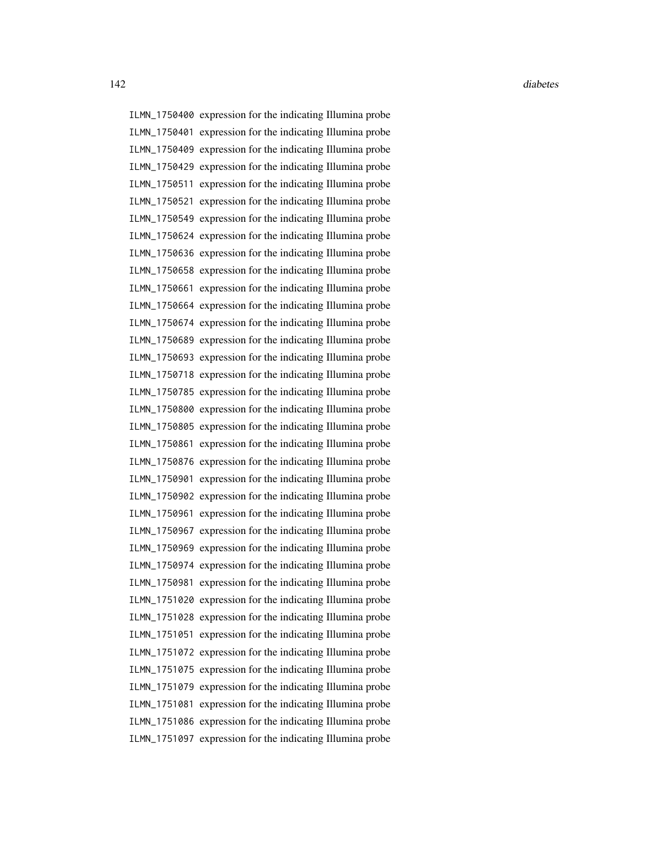ILMN\_1750400 expression for the indicating Illumina probe ILMN\_1750401 expression for the indicating Illumina probe ILMN\_1750409 expression for the indicating Illumina probe ILMN\_1750429 expression for the indicating Illumina probe ILMN\_1750511 expression for the indicating Illumina probe ILMN\_1750521 expression for the indicating Illumina probe ILMN\_1750549 expression for the indicating Illumina probe ILMN\_1750624 expression for the indicating Illumina probe ILMN\_1750636 expression for the indicating Illumina probe ILMN\_1750658 expression for the indicating Illumina probe ILMN\_1750661 expression for the indicating Illumina probe ILMN\_1750664 expression for the indicating Illumina probe ILMN\_1750674 expression for the indicating Illumina probe ILMN\_1750689 expression for the indicating Illumina probe ILMN\_1750693 expression for the indicating Illumina probe ILMN\_1750718 expression for the indicating Illumina probe ILMN\_1750785 expression for the indicating Illumina probe ILMN\_1750800 expression for the indicating Illumina probe ILMN\_1750805 expression for the indicating Illumina probe ILMN\_1750861 expression for the indicating Illumina probe ILMN\_1750876 expression for the indicating Illumina probe ILMN\_1750901 expression for the indicating Illumina probe ILMN\_1750902 expression for the indicating Illumina probe ILMN\_1750961 expression for the indicating Illumina probe ILMN\_1750967 expression for the indicating Illumina probe ILMN\_1750969 expression for the indicating Illumina probe ILMN\_1750974 expression for the indicating Illumina probe ILMN\_1750981 expression for the indicating Illumina probe ILMN\_1751020 expression for the indicating Illumina probe ILMN\_1751028 expression for the indicating Illumina probe ILMN\_1751051 expression for the indicating Illumina probe ILMN\_1751072 expression for the indicating Illumina probe ILMN\_1751075 expression for the indicating Illumina probe ILMN\_1751079 expression for the indicating Illumina probe ILMN\_1751081 expression for the indicating Illumina probe ILMN\_1751086 expression for the indicating Illumina probe ILMN\_1751097 expression for the indicating Illumina probe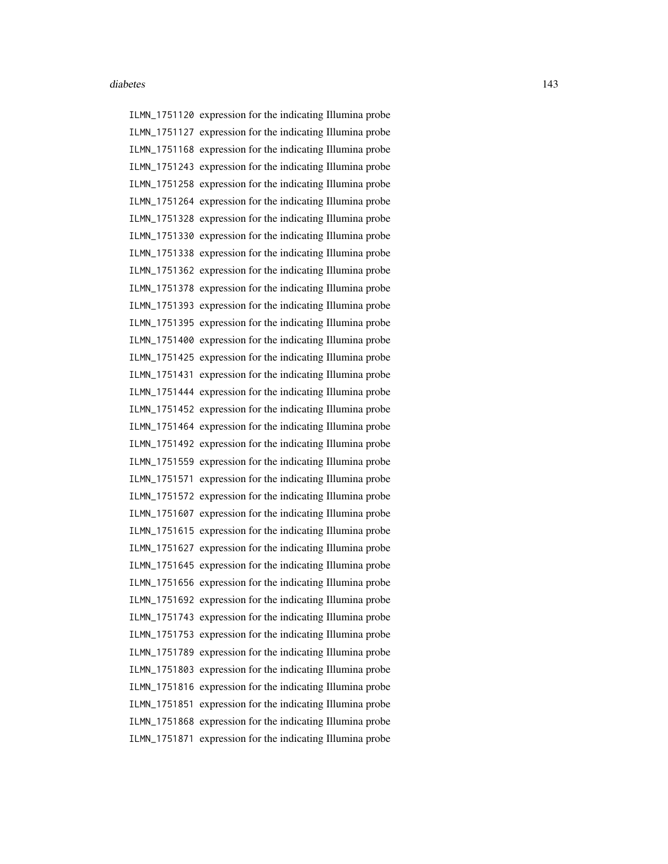ILMN\_1751120 expression for the indicating Illumina probe ILMN\_1751127 expression for the indicating Illumina probe ILMN\_1751168 expression for the indicating Illumina probe ILMN\_1751243 expression for the indicating Illumina probe ILMN\_1751258 expression for the indicating Illumina probe ILMN\_1751264 expression for the indicating Illumina probe ILMN\_1751328 expression for the indicating Illumina probe ILMN\_1751330 expression for the indicating Illumina probe ILMN\_1751338 expression for the indicating Illumina probe ILMN\_1751362 expression for the indicating Illumina probe ILMN\_1751378 expression for the indicating Illumina probe ILMN\_1751393 expression for the indicating Illumina probe ILMN\_1751395 expression for the indicating Illumina probe ILMN\_1751400 expression for the indicating Illumina probe ILMN\_1751425 expression for the indicating Illumina probe ILMN\_1751431 expression for the indicating Illumina probe ILMN\_1751444 expression for the indicating Illumina probe ILMN\_1751452 expression for the indicating Illumina probe ILMN\_1751464 expression for the indicating Illumina probe ILMN\_1751492 expression for the indicating Illumina probe ILMN\_1751559 expression for the indicating Illumina probe ILMN\_1751571 expression for the indicating Illumina probe ILMN\_1751572 expression for the indicating Illumina probe ILMN\_1751607 expression for the indicating Illumina probe ILMN\_1751615 expression for the indicating Illumina probe ILMN\_1751627 expression for the indicating Illumina probe ILMN\_1751645 expression for the indicating Illumina probe ILMN\_1751656 expression for the indicating Illumina probe ILMN\_1751692 expression for the indicating Illumina probe ILMN\_1751743 expression for the indicating Illumina probe ILMN\_1751753 expression for the indicating Illumina probe ILMN\_1751789 expression for the indicating Illumina probe ILMN\_1751803 expression for the indicating Illumina probe ILMN\_1751816 expression for the indicating Illumina probe ILMN\_1751851 expression for the indicating Illumina probe ILMN\_1751868 expression for the indicating Illumina probe ILMN\_1751871 expression for the indicating Illumina probe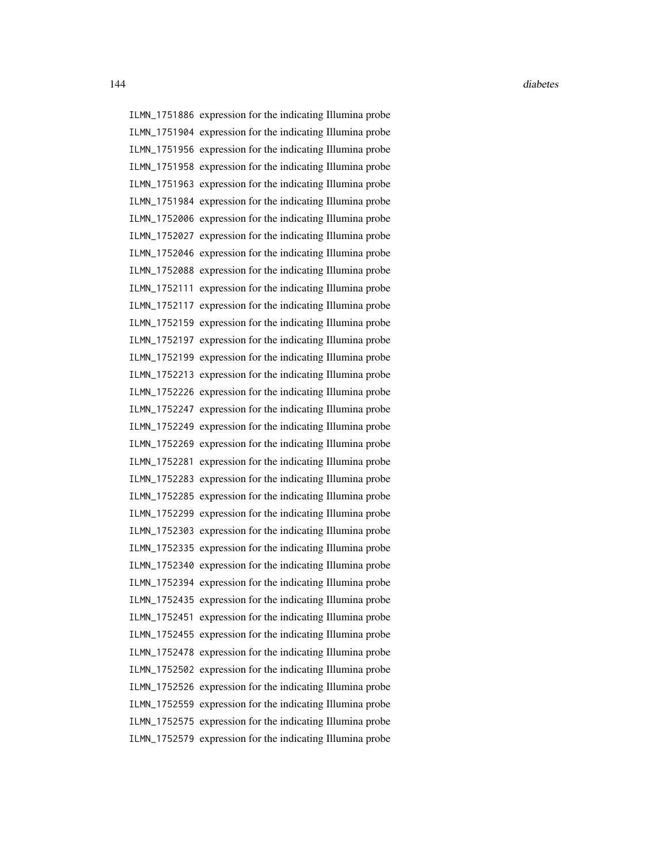ILMN\_1751886 expression for the indicating Illumina probe ILMN\_1751904 expression for the indicating Illumina probe ILMN\_1751956 expression for the indicating Illumina probe ILMN\_1751958 expression for the indicating Illumina probe ILMN\_1751963 expression for the indicating Illumina probe ILMN\_1751984 expression for the indicating Illumina probe ILMN\_1752006 expression for the indicating Illumina probe ILMN\_1752027 expression for the indicating Illumina probe ILMN\_1752046 expression for the indicating Illumina probe ILMN\_1752088 expression for the indicating Illumina probe ILMN\_1752111 expression for the indicating Illumina probe ILMN\_1752117 expression for the indicating Illumina probe ILMN\_1752159 expression for the indicating Illumina probe ILMN\_1752197 expression for the indicating Illumina probe ILMN\_1752199 expression for the indicating Illumina probe ILMN\_1752213 expression for the indicating Illumina probe ILMN\_1752226 expression for the indicating Illumina probe ILMN\_1752247 expression for the indicating Illumina probe ILMN\_1752249 expression for the indicating Illumina probe ILMN\_1752269 expression for the indicating Illumina probe ILMN\_1752281 expression for the indicating Illumina probe ILMN\_1752283 expression for the indicating Illumina probe ILMN\_1752285 expression for the indicating Illumina probe ILMN\_1752299 expression for the indicating Illumina probe ILMN\_1752303 expression for the indicating Illumina probe ILMN\_1752335 expression for the indicating Illumina probe ILMN\_1752340 expression for the indicating Illumina probe ILMN\_1752394 expression for the indicating Illumina probe ILMN\_1752435 expression for the indicating Illumina probe ILMN\_1752451 expression for the indicating Illumina probe ILMN\_1752455 expression for the indicating Illumina probe ILMN\_1752478 expression for the indicating Illumina probe ILMN\_1752502 expression for the indicating Illumina probe ILMN\_1752526 expression for the indicating Illumina probe ILMN\_1752559 expression for the indicating Illumina probe ILMN\_1752575 expression for the indicating Illumina probe ILMN\_1752579 expression for the indicating Illumina probe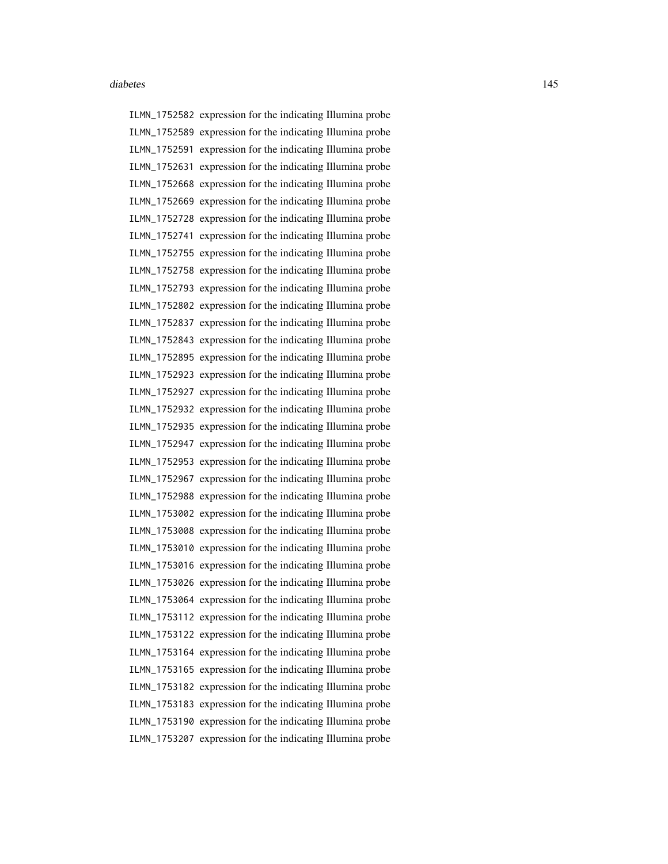ILMN\_1752582 expression for the indicating Illumina probe ILMN\_1752589 expression for the indicating Illumina probe ILMN\_1752591 expression for the indicating Illumina probe ILMN\_1752631 expression for the indicating Illumina probe ILMN\_1752668 expression for the indicating Illumina probe ILMN\_1752669 expression for the indicating Illumina probe ILMN\_1752728 expression for the indicating Illumina probe ILMN\_1752741 expression for the indicating Illumina probe ILMN\_1752755 expression for the indicating Illumina probe ILMN\_1752758 expression for the indicating Illumina probe ILMN\_1752793 expression for the indicating Illumina probe ILMN\_1752802 expression for the indicating Illumina probe ILMN\_1752837 expression for the indicating Illumina probe ILMN\_1752843 expression for the indicating Illumina probe ILMN\_1752895 expression for the indicating Illumina probe ILMN\_1752923 expression for the indicating Illumina probe ILMN\_1752927 expression for the indicating Illumina probe ILMN\_1752932 expression for the indicating Illumina probe ILMN\_1752935 expression for the indicating Illumina probe ILMN\_1752947 expression for the indicating Illumina probe ILMN\_1752953 expression for the indicating Illumina probe ILMN\_1752967 expression for the indicating Illumina probe ILMN\_1752988 expression for the indicating Illumina probe ILMN\_1753002 expression for the indicating Illumina probe ILMN\_1753008 expression for the indicating Illumina probe ILMN\_1753010 expression for the indicating Illumina probe ILMN\_1753016 expression for the indicating Illumina probe ILMN\_1753026 expression for the indicating Illumina probe ILMN\_1753064 expression for the indicating Illumina probe ILMN\_1753112 expression for the indicating Illumina probe ILMN\_1753122 expression for the indicating Illumina probe ILMN\_1753164 expression for the indicating Illumina probe ILMN\_1753165 expression for the indicating Illumina probe ILMN\_1753182 expression for the indicating Illumina probe ILMN\_1753183 expression for the indicating Illumina probe ILMN\_1753190 expression for the indicating Illumina probe ILMN\_1753207 expression for the indicating Illumina probe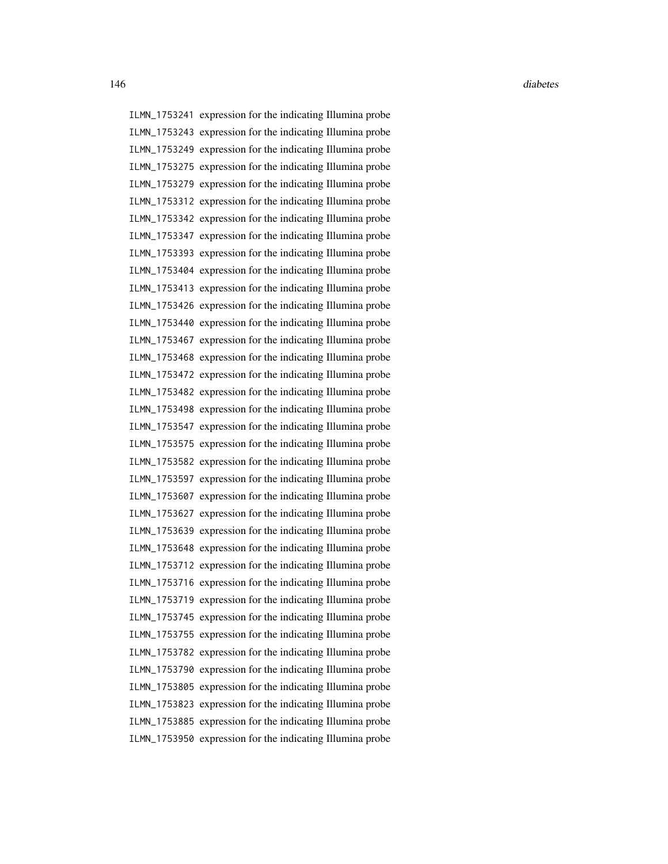ILMN\_1753241 expression for the indicating Illumina probe ILMN\_1753243 expression for the indicating Illumina probe ILMN\_1753249 expression for the indicating Illumina probe ILMN\_1753275 expression for the indicating Illumina probe ILMN\_1753279 expression for the indicating Illumina probe ILMN\_1753312 expression for the indicating Illumina probe ILMN\_1753342 expression for the indicating Illumina probe ILMN\_1753347 expression for the indicating Illumina probe ILMN\_1753393 expression for the indicating Illumina probe ILMN\_1753404 expression for the indicating Illumina probe ILMN\_1753413 expression for the indicating Illumina probe ILMN\_1753426 expression for the indicating Illumina probe ILMN\_1753440 expression for the indicating Illumina probe ILMN\_1753467 expression for the indicating Illumina probe ILMN\_1753468 expression for the indicating Illumina probe ILMN\_1753472 expression for the indicating Illumina probe ILMN\_1753482 expression for the indicating Illumina probe ILMN\_1753498 expression for the indicating Illumina probe ILMN\_1753547 expression for the indicating Illumina probe ILMN\_1753575 expression for the indicating Illumina probe ILMN\_1753582 expression for the indicating Illumina probe ILMN\_1753597 expression for the indicating Illumina probe ILMN\_1753607 expression for the indicating Illumina probe ILMN\_1753627 expression for the indicating Illumina probe ILMN\_1753639 expression for the indicating Illumina probe ILMN\_1753648 expression for the indicating Illumina probe ILMN\_1753712 expression for the indicating Illumina probe ILMN\_1753716 expression for the indicating Illumina probe ILMN\_1753719 expression for the indicating Illumina probe ILMN\_1753745 expression for the indicating Illumina probe ILMN\_1753755 expression for the indicating Illumina probe ILMN\_1753782 expression for the indicating Illumina probe ILMN\_1753790 expression for the indicating Illumina probe ILMN\_1753805 expression for the indicating Illumina probe ILMN\_1753823 expression for the indicating Illumina probe ILMN\_1753885 expression for the indicating Illumina probe ILMN\_1753950 expression for the indicating Illumina probe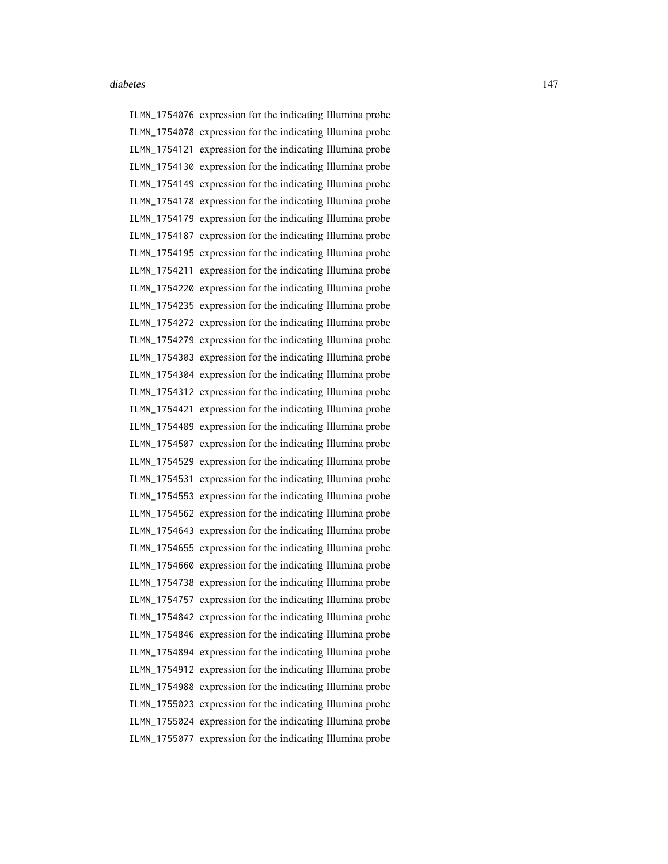ILMN\_1754076 expression for the indicating Illumina probe ILMN\_1754078 expression for the indicating Illumina probe ILMN\_1754121 expression for the indicating Illumina probe ILMN\_1754130 expression for the indicating Illumina probe ILMN\_1754149 expression for the indicating Illumina probe ILMN\_1754178 expression for the indicating Illumina probe ILMN\_1754179 expression for the indicating Illumina probe ILMN\_1754187 expression for the indicating Illumina probe ILMN\_1754195 expression for the indicating Illumina probe ILMN\_1754211 expression for the indicating Illumina probe ILMN\_1754220 expression for the indicating Illumina probe ILMN\_1754235 expression for the indicating Illumina probe ILMN\_1754272 expression for the indicating Illumina probe ILMN\_1754279 expression for the indicating Illumina probe ILMN\_1754303 expression for the indicating Illumina probe ILMN\_1754304 expression for the indicating Illumina probe ILMN\_1754312 expression for the indicating Illumina probe ILMN\_1754421 expression for the indicating Illumina probe ILMN\_1754489 expression for the indicating Illumina probe ILMN\_1754507 expression for the indicating Illumina probe ILMN\_1754529 expression for the indicating Illumina probe ILMN\_1754531 expression for the indicating Illumina probe ILMN\_1754553 expression for the indicating Illumina probe ILMN\_1754562 expression for the indicating Illumina probe ILMN\_1754643 expression for the indicating Illumina probe ILMN\_1754655 expression for the indicating Illumina probe ILMN\_1754660 expression for the indicating Illumina probe ILMN\_1754738 expression for the indicating Illumina probe ILMN\_1754757 expression for the indicating Illumina probe ILMN\_1754842 expression for the indicating Illumina probe ILMN\_1754846 expression for the indicating Illumina probe ILMN\_1754894 expression for the indicating Illumina probe ILMN\_1754912 expression for the indicating Illumina probe ILMN\_1754988 expression for the indicating Illumina probe ILMN\_1755023 expression for the indicating Illumina probe ILMN\_1755024 expression for the indicating Illumina probe ILMN\_1755077 expression for the indicating Illumina probe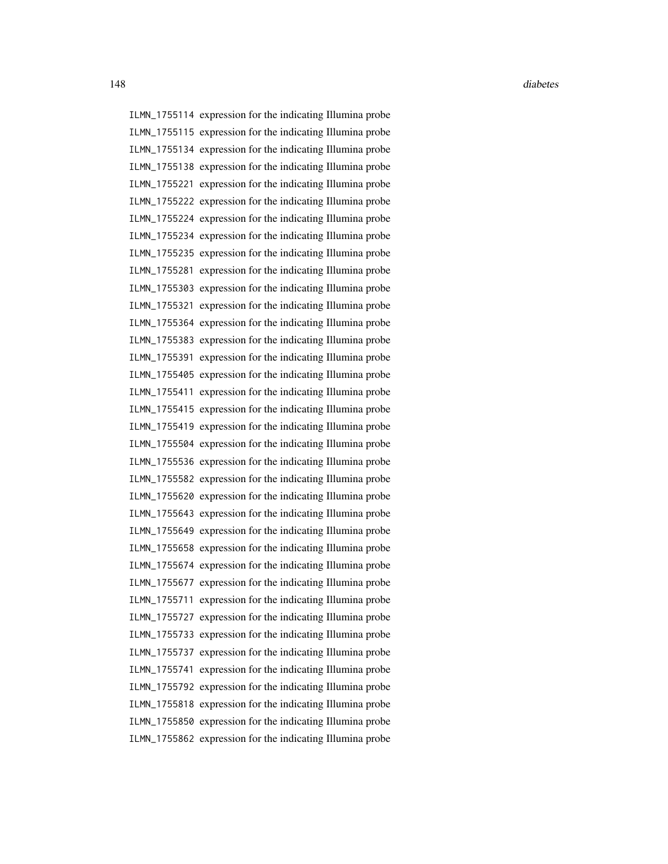ILMN\_1755114 expression for the indicating Illumina probe ILMN\_1755115 expression for the indicating Illumina probe ILMN\_1755134 expression for the indicating Illumina probe ILMN\_1755138 expression for the indicating Illumina probe ILMN\_1755221 expression for the indicating Illumina probe ILMN\_1755222 expression for the indicating Illumina probe ILMN\_1755224 expression for the indicating Illumina probe ILMN\_1755234 expression for the indicating Illumina probe ILMN\_1755235 expression for the indicating Illumina probe ILMN\_1755281 expression for the indicating Illumina probe ILMN\_1755303 expression for the indicating Illumina probe ILMN\_1755321 expression for the indicating Illumina probe ILMN\_1755364 expression for the indicating Illumina probe ILMN\_1755383 expression for the indicating Illumina probe ILMN\_1755391 expression for the indicating Illumina probe ILMN\_1755405 expression for the indicating Illumina probe ILMN\_1755411 expression for the indicating Illumina probe ILMN\_1755415 expression for the indicating Illumina probe ILMN\_1755419 expression for the indicating Illumina probe ILMN\_1755504 expression for the indicating Illumina probe ILMN\_1755536 expression for the indicating Illumina probe ILMN\_1755582 expression for the indicating Illumina probe ILMN\_1755620 expression for the indicating Illumina probe ILMN\_1755643 expression for the indicating Illumina probe ILMN\_1755649 expression for the indicating Illumina probe ILMN\_1755658 expression for the indicating Illumina probe ILMN\_1755674 expression for the indicating Illumina probe ILMN\_1755677 expression for the indicating Illumina probe ILMN\_1755711 expression for the indicating Illumina probe ILMN\_1755727 expression for the indicating Illumina probe ILMN\_1755733 expression for the indicating Illumina probe ILMN\_1755737 expression for the indicating Illumina probe ILMN\_1755741 expression for the indicating Illumina probe ILMN\_1755792 expression for the indicating Illumina probe ILMN\_1755818 expression for the indicating Illumina probe ILMN\_1755850 expression for the indicating Illumina probe ILMN\_1755862 expression for the indicating Illumina probe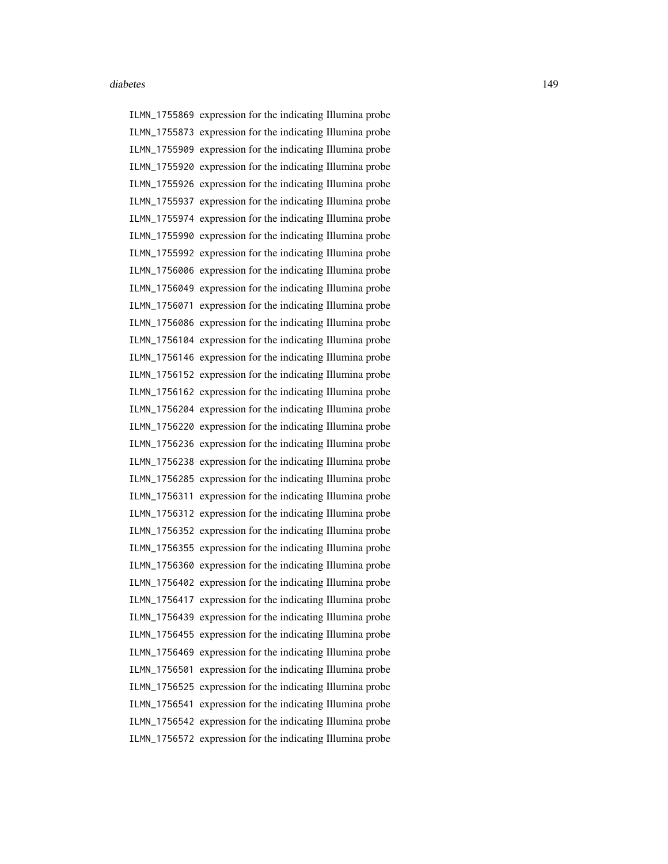ILMN\_1755869 expression for the indicating Illumina probe ILMN\_1755873 expression for the indicating Illumina probe ILMN\_1755909 expression for the indicating Illumina probe ILMN\_1755920 expression for the indicating Illumina probe ILMN\_1755926 expression for the indicating Illumina probe ILMN\_1755937 expression for the indicating Illumina probe ILMN\_1755974 expression for the indicating Illumina probe ILMN\_1755990 expression for the indicating Illumina probe ILMN\_1755992 expression for the indicating Illumina probe ILMN\_1756006 expression for the indicating Illumina probe ILMN\_1756049 expression for the indicating Illumina probe ILMN\_1756071 expression for the indicating Illumina probe ILMN\_1756086 expression for the indicating Illumina probe ILMN\_1756104 expression for the indicating Illumina probe ILMN\_1756146 expression for the indicating Illumina probe ILMN\_1756152 expression for the indicating Illumina probe ILMN\_1756162 expression for the indicating Illumina probe ILMN\_1756204 expression for the indicating Illumina probe ILMN\_1756220 expression for the indicating Illumina probe ILMN\_1756236 expression for the indicating Illumina probe ILMN\_1756238 expression for the indicating Illumina probe ILMN\_1756285 expression for the indicating Illumina probe ILMN\_1756311 expression for the indicating Illumina probe ILMN\_1756312 expression for the indicating Illumina probe ILMN\_1756352 expression for the indicating Illumina probe ILMN\_1756355 expression for the indicating Illumina probe ILMN\_1756360 expression for the indicating Illumina probe ILMN\_1756402 expression for the indicating Illumina probe ILMN\_1756417 expression for the indicating Illumina probe ILMN\_1756439 expression for the indicating Illumina probe ILMN\_1756455 expression for the indicating Illumina probe ILMN\_1756469 expression for the indicating Illumina probe ILMN\_1756501 expression for the indicating Illumina probe ILMN\_1756525 expression for the indicating Illumina probe ILMN\_1756541 expression for the indicating Illumina probe ILMN\_1756542 expression for the indicating Illumina probe ILMN\_1756572 expression for the indicating Illumina probe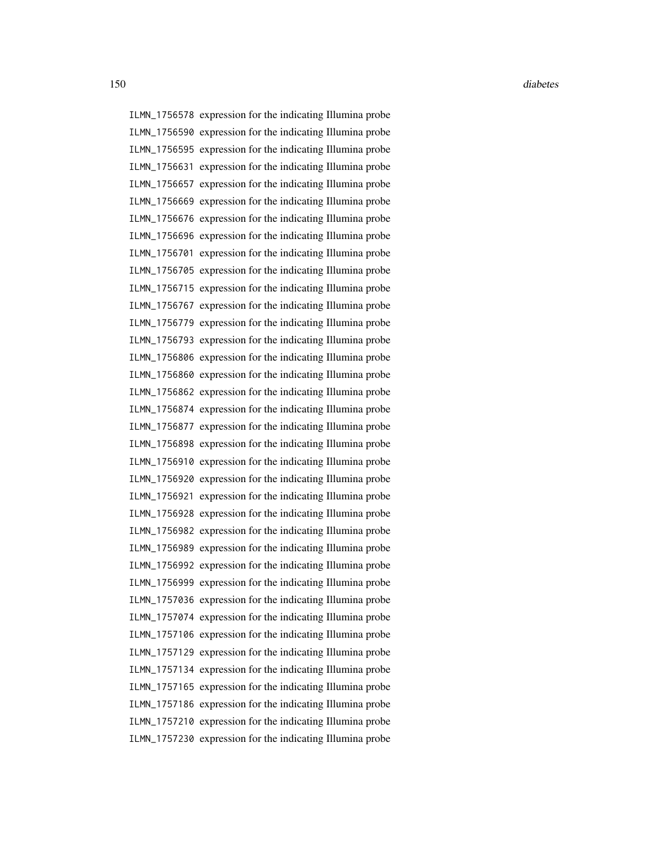ILMN\_1756578 expression for the indicating Illumina probe ILMN\_1756590 expression for the indicating Illumina probe ILMN\_1756595 expression for the indicating Illumina probe ILMN\_1756631 expression for the indicating Illumina probe ILMN\_1756657 expression for the indicating Illumina probe ILMN\_1756669 expression for the indicating Illumina probe ILMN\_1756676 expression for the indicating Illumina probe ILMN\_1756696 expression for the indicating Illumina probe ILMN\_1756701 expression for the indicating Illumina probe ILMN\_1756705 expression for the indicating Illumina probe ILMN\_1756715 expression for the indicating Illumina probe ILMN\_1756767 expression for the indicating Illumina probe ILMN\_1756779 expression for the indicating Illumina probe ILMN\_1756793 expression for the indicating Illumina probe ILMN\_1756806 expression for the indicating Illumina probe ILMN\_1756860 expression for the indicating Illumina probe ILMN\_1756862 expression for the indicating Illumina probe ILMN\_1756874 expression for the indicating Illumina probe ILMN\_1756877 expression for the indicating Illumina probe ILMN\_1756898 expression for the indicating Illumina probe ILMN\_1756910 expression for the indicating Illumina probe ILMN\_1756920 expression for the indicating Illumina probe ILMN\_1756921 expression for the indicating Illumina probe ILMN\_1756928 expression for the indicating Illumina probe ILMN\_1756982 expression for the indicating Illumina probe ILMN\_1756989 expression for the indicating Illumina probe ILMN\_1756992 expression for the indicating Illumina probe ILMN\_1756999 expression for the indicating Illumina probe ILMN\_1757036 expression for the indicating Illumina probe ILMN\_1757074 expression for the indicating Illumina probe ILMN\_1757106 expression for the indicating Illumina probe ILMN\_1757129 expression for the indicating Illumina probe ILMN\_1757134 expression for the indicating Illumina probe ILMN\_1757165 expression for the indicating Illumina probe ILMN\_1757186 expression for the indicating Illumina probe ILMN\_1757210 expression for the indicating Illumina probe ILMN\_1757230 expression for the indicating Illumina probe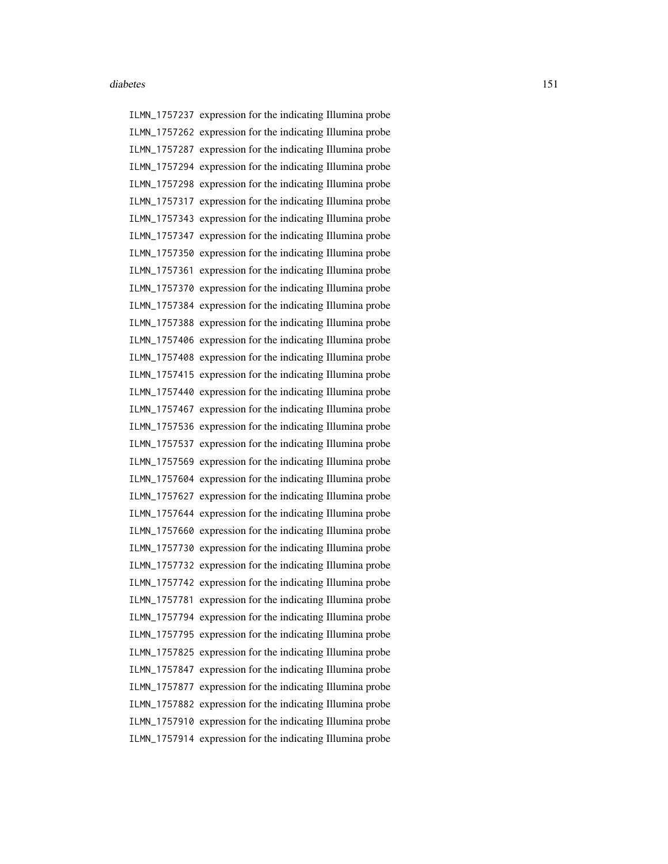ILMN\_1757237 expression for the indicating Illumina probe ILMN\_1757262 expression for the indicating Illumina probe ILMN\_1757287 expression for the indicating Illumina probe ILMN\_1757294 expression for the indicating Illumina probe ILMN\_1757298 expression for the indicating Illumina probe ILMN\_1757317 expression for the indicating Illumina probe ILMN\_1757343 expression for the indicating Illumina probe ILMN\_1757347 expression for the indicating Illumina probe ILMN\_1757350 expression for the indicating Illumina probe ILMN\_1757361 expression for the indicating Illumina probe ILMN\_1757370 expression for the indicating Illumina probe ILMN\_1757384 expression for the indicating Illumina probe ILMN\_1757388 expression for the indicating Illumina probe ILMN\_1757406 expression for the indicating Illumina probe ILMN\_1757408 expression for the indicating Illumina probe ILMN\_1757415 expression for the indicating Illumina probe ILMN\_1757440 expression for the indicating Illumina probe ILMN\_1757467 expression for the indicating Illumina probe ILMN\_1757536 expression for the indicating Illumina probe ILMN\_1757537 expression for the indicating Illumina probe ILMN\_1757569 expression for the indicating Illumina probe ILMN\_1757604 expression for the indicating Illumina probe ILMN\_1757627 expression for the indicating Illumina probe ILMN\_1757644 expression for the indicating Illumina probe ILMN\_1757660 expression for the indicating Illumina probe ILMN\_1757730 expression for the indicating Illumina probe ILMN\_1757732 expression for the indicating Illumina probe ILMN\_1757742 expression for the indicating Illumina probe ILMN\_1757781 expression for the indicating Illumina probe ILMN\_1757794 expression for the indicating Illumina probe ILMN\_1757795 expression for the indicating Illumina probe ILMN\_1757825 expression for the indicating Illumina probe ILMN\_1757847 expression for the indicating Illumina probe ILMN\_1757877 expression for the indicating Illumina probe ILMN\_1757882 expression for the indicating Illumina probe ILMN\_1757910 expression for the indicating Illumina probe ILMN\_1757914 expression for the indicating Illumina probe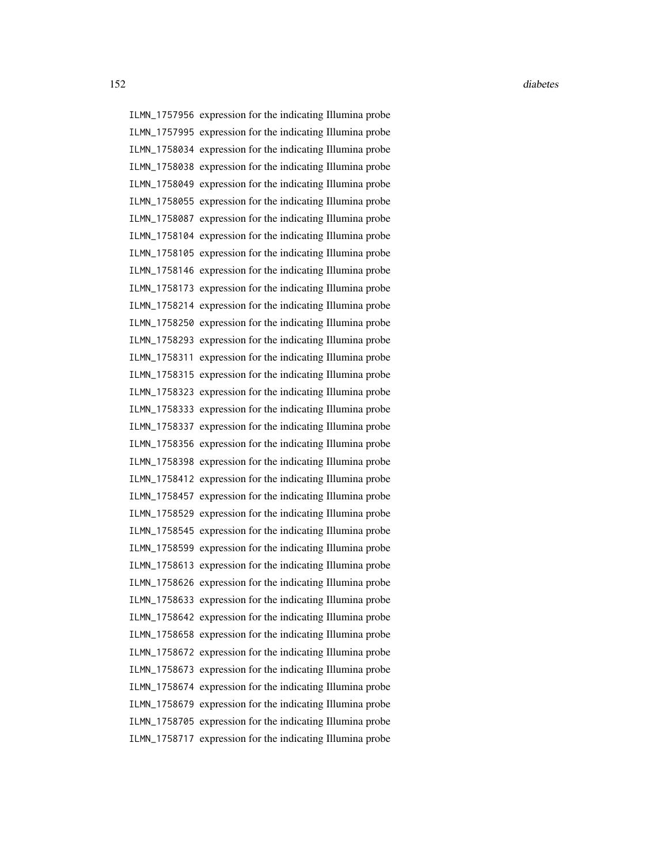ILMN\_1757956 expression for the indicating Illumina probe ILMN\_1757995 expression for the indicating Illumina probe ILMN\_1758034 expression for the indicating Illumina probe ILMN\_1758038 expression for the indicating Illumina probe ILMN\_1758049 expression for the indicating Illumina probe ILMN\_1758055 expression for the indicating Illumina probe ILMN\_1758087 expression for the indicating Illumina probe ILMN\_1758104 expression for the indicating Illumina probe ILMN\_1758105 expression for the indicating Illumina probe ILMN\_1758146 expression for the indicating Illumina probe ILMN\_1758173 expression for the indicating Illumina probe ILMN\_1758214 expression for the indicating Illumina probe ILMN\_1758250 expression for the indicating Illumina probe ILMN\_1758293 expression for the indicating Illumina probe ILMN\_1758311 expression for the indicating Illumina probe ILMN\_1758315 expression for the indicating Illumina probe ILMN\_1758323 expression for the indicating Illumina probe ILMN\_1758333 expression for the indicating Illumina probe ILMN\_1758337 expression for the indicating Illumina probe ILMN\_1758356 expression for the indicating Illumina probe ILMN\_1758398 expression for the indicating Illumina probe ILMN\_1758412 expression for the indicating Illumina probe ILMN\_1758457 expression for the indicating Illumina probe ILMN\_1758529 expression for the indicating Illumina probe ILMN\_1758545 expression for the indicating Illumina probe ILMN\_1758599 expression for the indicating Illumina probe ILMN\_1758613 expression for the indicating Illumina probe ILMN\_1758626 expression for the indicating Illumina probe ILMN\_1758633 expression for the indicating Illumina probe ILMN\_1758642 expression for the indicating Illumina probe ILMN\_1758658 expression for the indicating Illumina probe ILMN\_1758672 expression for the indicating Illumina probe ILMN\_1758673 expression for the indicating Illumina probe ILMN\_1758674 expression for the indicating Illumina probe ILMN\_1758679 expression for the indicating Illumina probe ILMN\_1758705 expression for the indicating Illumina probe ILMN\_1758717 expression for the indicating Illumina probe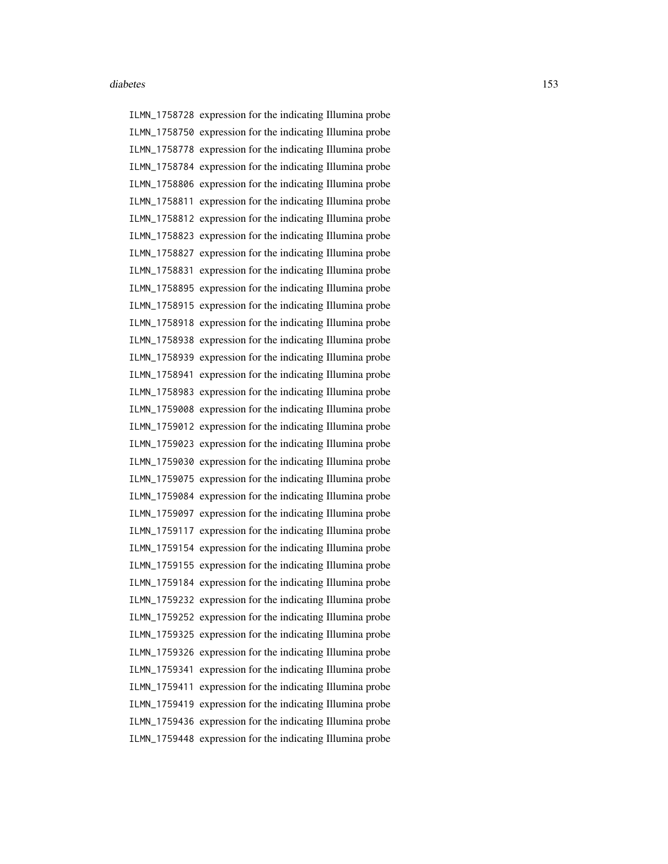ILMN\_1758728 expression for the indicating Illumina probe ILMN\_1758750 expression for the indicating Illumina probe ILMN\_1758778 expression for the indicating Illumina probe ILMN\_1758784 expression for the indicating Illumina probe ILMN\_1758806 expression for the indicating Illumina probe ILMN\_1758811 expression for the indicating Illumina probe ILMN\_1758812 expression for the indicating Illumina probe ILMN\_1758823 expression for the indicating Illumina probe ILMN\_1758827 expression for the indicating Illumina probe ILMN\_1758831 expression for the indicating Illumina probe ILMN\_1758895 expression for the indicating Illumina probe ILMN\_1758915 expression for the indicating Illumina probe ILMN\_1758918 expression for the indicating Illumina probe ILMN\_1758938 expression for the indicating Illumina probe ILMN\_1758939 expression for the indicating Illumina probe ILMN\_1758941 expression for the indicating Illumina probe ILMN\_1758983 expression for the indicating Illumina probe ILMN\_1759008 expression for the indicating Illumina probe ILMN\_1759012 expression for the indicating Illumina probe ILMN\_1759023 expression for the indicating Illumina probe ILMN\_1759030 expression for the indicating Illumina probe ILMN\_1759075 expression for the indicating Illumina probe ILMN\_1759084 expression for the indicating Illumina probe ILMN\_1759097 expression for the indicating Illumina probe ILMN\_1759117 expression for the indicating Illumina probe ILMN\_1759154 expression for the indicating Illumina probe ILMN\_1759155 expression for the indicating Illumina probe ILMN\_1759184 expression for the indicating Illumina probe ILMN\_1759232 expression for the indicating Illumina probe ILMN\_1759252 expression for the indicating Illumina probe ILMN\_1759325 expression for the indicating Illumina probe ILMN\_1759326 expression for the indicating Illumina probe ILMN\_1759341 expression for the indicating Illumina probe ILMN\_1759411 expression for the indicating Illumina probe ILMN\_1759419 expression for the indicating Illumina probe ILMN\_1759436 expression for the indicating Illumina probe ILMN\_1759448 expression for the indicating Illumina probe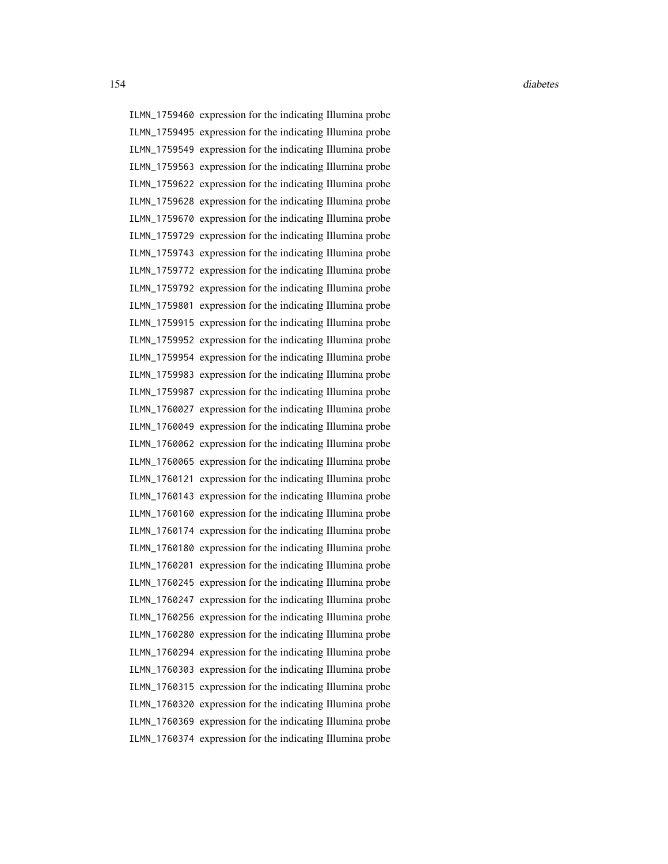ILMN\_1759460 expression for the indicating Illumina probe ILMN\_1759495 expression for the indicating Illumina probe ILMN\_1759549 expression for the indicating Illumina probe ILMN\_1759563 expression for the indicating Illumina probe ILMN\_1759622 expression for the indicating Illumina probe ILMN\_1759628 expression for the indicating Illumina probe ILMN\_1759670 expression for the indicating Illumina probe ILMN\_1759729 expression for the indicating Illumina probe ILMN\_1759743 expression for the indicating Illumina probe ILMN\_1759772 expression for the indicating Illumina probe ILMN\_1759792 expression for the indicating Illumina probe ILMN\_1759801 expression for the indicating Illumina probe ILMN\_1759915 expression for the indicating Illumina probe ILMN\_1759952 expression for the indicating Illumina probe ILMN\_1759954 expression for the indicating Illumina probe ILMN\_1759983 expression for the indicating Illumina probe ILMN\_1759987 expression for the indicating Illumina probe ILMN\_1760027 expression for the indicating Illumina probe ILMN\_1760049 expression for the indicating Illumina probe ILMN\_1760062 expression for the indicating Illumina probe ILMN\_1760065 expression for the indicating Illumina probe ILMN\_1760121 expression for the indicating Illumina probe ILMN\_1760143 expression for the indicating Illumina probe ILMN\_1760160 expression for the indicating Illumina probe ILMN\_1760174 expression for the indicating Illumina probe ILMN\_1760180 expression for the indicating Illumina probe ILMN\_1760201 expression for the indicating Illumina probe ILMN\_1760245 expression for the indicating Illumina probe ILMN\_1760247 expression for the indicating Illumina probe ILMN\_1760256 expression for the indicating Illumina probe ILMN\_1760280 expression for the indicating Illumina probe ILMN\_1760294 expression for the indicating Illumina probe ILMN\_1760303 expression for the indicating Illumina probe ILMN\_1760315 expression for the indicating Illumina probe ILMN\_1760320 expression for the indicating Illumina probe ILMN\_1760369 expression for the indicating Illumina probe ILMN\_1760374 expression for the indicating Illumina probe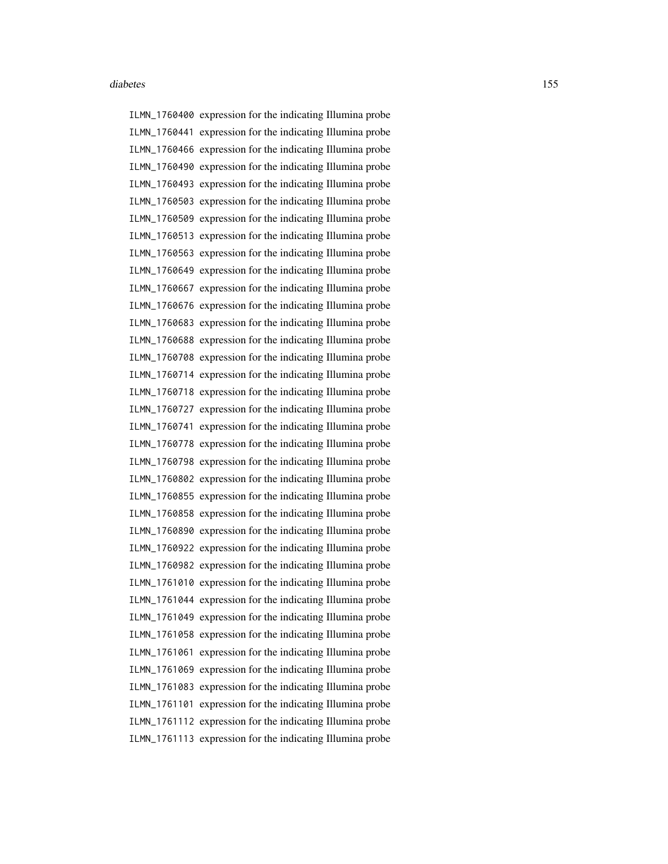ILMN\_1760400 expression for the indicating Illumina probe ILMN\_1760441 expression for the indicating Illumina probe ILMN\_1760466 expression for the indicating Illumina probe ILMN\_1760490 expression for the indicating Illumina probe ILMN\_1760493 expression for the indicating Illumina probe ILMN\_1760503 expression for the indicating Illumina probe ILMN\_1760509 expression for the indicating Illumina probe ILMN\_1760513 expression for the indicating Illumina probe ILMN\_1760563 expression for the indicating Illumina probe ILMN\_1760649 expression for the indicating Illumina probe ILMN\_1760667 expression for the indicating Illumina probe ILMN\_1760676 expression for the indicating Illumina probe ILMN\_1760683 expression for the indicating Illumina probe ILMN\_1760688 expression for the indicating Illumina probe ILMN\_1760708 expression for the indicating Illumina probe ILMN\_1760714 expression for the indicating Illumina probe ILMN\_1760718 expression for the indicating Illumina probe ILMN\_1760727 expression for the indicating Illumina probe ILMN\_1760741 expression for the indicating Illumina probe ILMN\_1760778 expression for the indicating Illumina probe ILMN\_1760798 expression for the indicating Illumina probe ILMN\_1760802 expression for the indicating Illumina probe ILMN\_1760855 expression for the indicating Illumina probe ILMN\_1760858 expression for the indicating Illumina probe ILMN\_1760890 expression for the indicating Illumina probe ILMN\_1760922 expression for the indicating Illumina probe ILMN\_1760982 expression for the indicating Illumina probe ILMN\_1761010 expression for the indicating Illumina probe ILMN\_1761044 expression for the indicating Illumina probe ILMN\_1761049 expression for the indicating Illumina probe ILMN\_1761058 expression for the indicating Illumina probe ILMN\_1761061 expression for the indicating Illumina probe ILMN\_1761069 expression for the indicating Illumina probe ILMN\_1761083 expression for the indicating Illumina probe ILMN\_1761101 expression for the indicating Illumina probe ILMN\_1761112 expression for the indicating Illumina probe ILMN\_1761113 expression for the indicating Illumina probe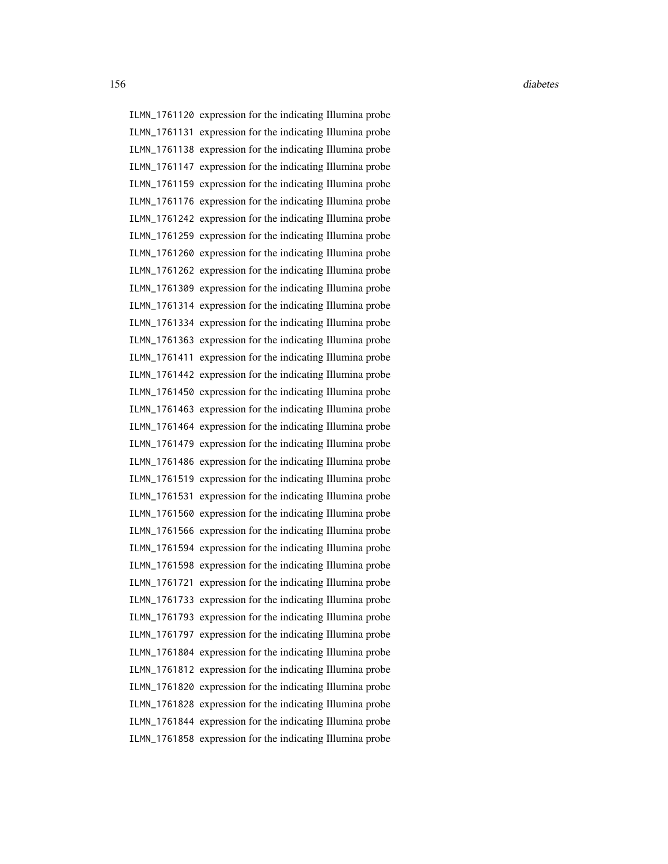ILMN\_1761120 expression for the indicating Illumina probe ILMN\_1761131 expression for the indicating Illumina probe ILMN\_1761138 expression for the indicating Illumina probe ILMN\_1761147 expression for the indicating Illumina probe ILMN\_1761159 expression for the indicating Illumina probe ILMN\_1761176 expression for the indicating Illumina probe ILMN\_1761242 expression for the indicating Illumina probe ILMN\_1761259 expression for the indicating Illumina probe ILMN\_1761260 expression for the indicating Illumina probe ILMN\_1761262 expression for the indicating Illumina probe ILMN\_1761309 expression for the indicating Illumina probe ILMN\_1761314 expression for the indicating Illumina probe ILMN\_1761334 expression for the indicating Illumina probe ILMN\_1761363 expression for the indicating Illumina probe ILMN\_1761411 expression for the indicating Illumina probe ILMN\_1761442 expression for the indicating Illumina probe ILMN\_1761450 expression for the indicating Illumina probe ILMN\_1761463 expression for the indicating Illumina probe ILMN\_1761464 expression for the indicating Illumina probe ILMN\_1761479 expression for the indicating Illumina probe ILMN\_1761486 expression for the indicating Illumina probe ILMN\_1761519 expression for the indicating Illumina probe ILMN\_1761531 expression for the indicating Illumina probe ILMN\_1761560 expression for the indicating Illumina probe ILMN\_1761566 expression for the indicating Illumina probe ILMN\_1761594 expression for the indicating Illumina probe ILMN\_1761598 expression for the indicating Illumina probe ILMN\_1761721 expression for the indicating Illumina probe ILMN\_1761733 expression for the indicating Illumina probe ILMN\_1761793 expression for the indicating Illumina probe ILMN\_1761797 expression for the indicating Illumina probe ILMN\_1761804 expression for the indicating Illumina probe ILMN\_1761812 expression for the indicating Illumina probe ILMN\_1761820 expression for the indicating Illumina probe ILMN\_1761828 expression for the indicating Illumina probe ILMN\_1761844 expression for the indicating Illumina probe ILMN\_1761858 expression for the indicating Illumina probe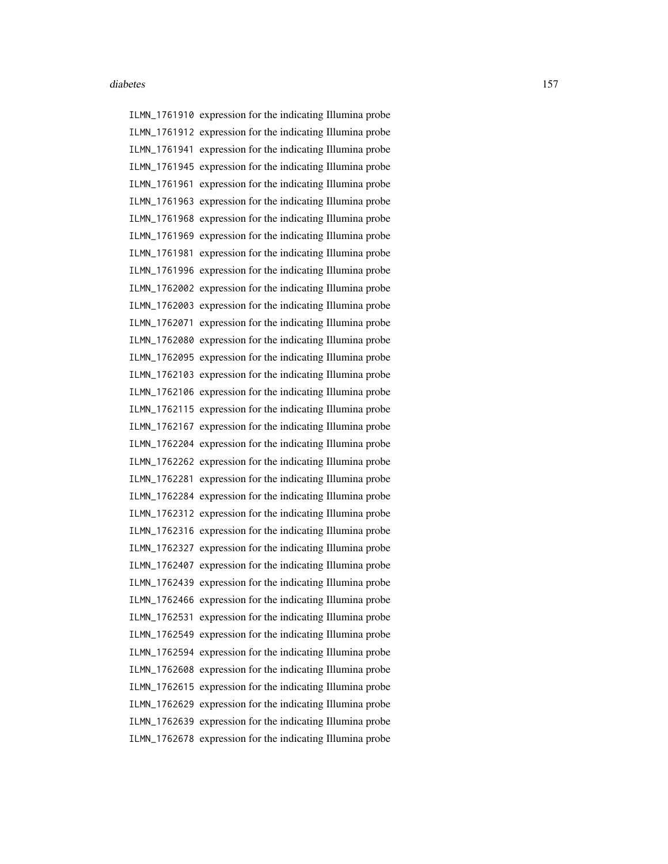ILMN\_1761910 expression for the indicating Illumina probe ILMN\_1761912 expression for the indicating Illumina probe ILMN\_1761941 expression for the indicating Illumina probe ILMN\_1761945 expression for the indicating Illumina probe ILMN\_1761961 expression for the indicating Illumina probe ILMN\_1761963 expression for the indicating Illumina probe ILMN\_1761968 expression for the indicating Illumina probe ILMN\_1761969 expression for the indicating Illumina probe ILMN\_1761981 expression for the indicating Illumina probe ILMN\_1761996 expression for the indicating Illumina probe ILMN\_1762002 expression for the indicating Illumina probe ILMN\_1762003 expression for the indicating Illumina probe ILMN\_1762071 expression for the indicating Illumina probe ILMN\_1762080 expression for the indicating Illumina probe ILMN\_1762095 expression for the indicating Illumina probe ILMN\_1762103 expression for the indicating Illumina probe ILMN\_1762106 expression for the indicating Illumina probe ILMN\_1762115 expression for the indicating Illumina probe ILMN\_1762167 expression for the indicating Illumina probe ILMN\_1762204 expression for the indicating Illumina probe ILMN\_1762262 expression for the indicating Illumina probe ILMN\_1762281 expression for the indicating Illumina probe ILMN\_1762284 expression for the indicating Illumina probe ILMN\_1762312 expression for the indicating Illumina probe ILMN\_1762316 expression for the indicating Illumina probe ILMN\_1762327 expression for the indicating Illumina probe ILMN\_1762407 expression for the indicating Illumina probe ILMN\_1762439 expression for the indicating Illumina probe ILMN\_1762466 expression for the indicating Illumina probe ILMN\_1762531 expression for the indicating Illumina probe ILMN\_1762549 expression for the indicating Illumina probe ILMN\_1762594 expression for the indicating Illumina probe ILMN\_1762608 expression for the indicating Illumina probe ILMN\_1762615 expression for the indicating Illumina probe ILMN\_1762629 expression for the indicating Illumina probe ILMN\_1762639 expression for the indicating Illumina probe ILMN\_1762678 expression for the indicating Illumina probe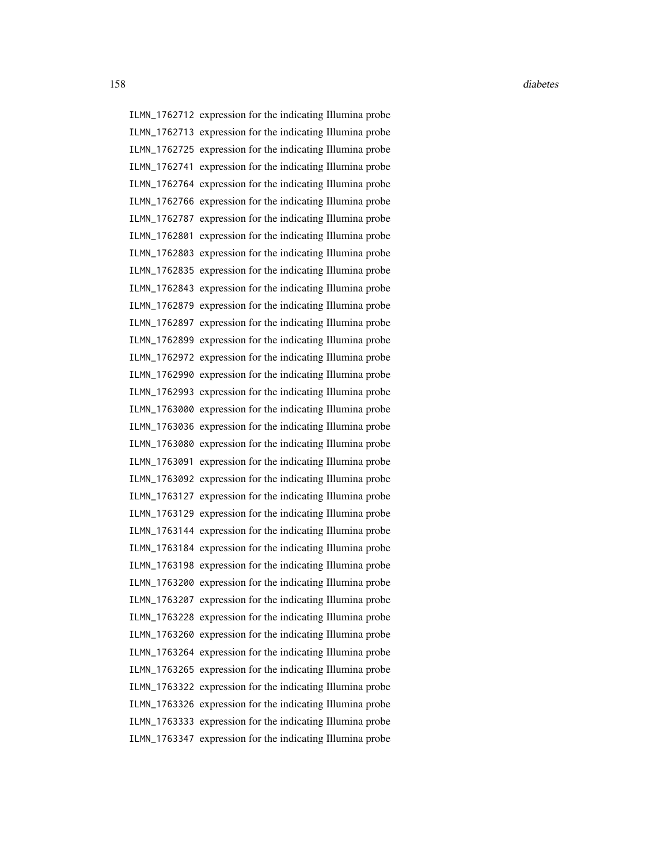ILMN\_1762712 expression for the indicating Illumina probe ILMN\_1762713 expression for the indicating Illumina probe ILMN\_1762725 expression for the indicating Illumina probe ILMN\_1762741 expression for the indicating Illumina probe ILMN\_1762764 expression for the indicating Illumina probe ILMN\_1762766 expression for the indicating Illumina probe ILMN\_1762787 expression for the indicating Illumina probe ILMN\_1762801 expression for the indicating Illumina probe ILMN\_1762803 expression for the indicating Illumina probe ILMN\_1762835 expression for the indicating Illumina probe ILMN\_1762843 expression for the indicating Illumina probe ILMN\_1762879 expression for the indicating Illumina probe ILMN\_1762897 expression for the indicating Illumina probe ILMN\_1762899 expression for the indicating Illumina probe ILMN\_1762972 expression for the indicating Illumina probe ILMN\_1762990 expression for the indicating Illumina probe ILMN\_1762993 expression for the indicating Illumina probe ILMN\_1763000 expression for the indicating Illumina probe ILMN\_1763036 expression for the indicating Illumina probe ILMN\_1763080 expression for the indicating Illumina probe ILMN\_1763091 expression for the indicating Illumina probe ILMN\_1763092 expression for the indicating Illumina probe ILMN\_1763127 expression for the indicating Illumina probe ILMN\_1763129 expression for the indicating Illumina probe ILMN\_1763144 expression for the indicating Illumina probe ILMN\_1763184 expression for the indicating Illumina probe ILMN\_1763198 expression for the indicating Illumina probe ILMN\_1763200 expression for the indicating Illumina probe ILMN\_1763207 expression for the indicating Illumina probe ILMN\_1763228 expression for the indicating Illumina probe ILMN\_1763260 expression for the indicating Illumina probe ILMN\_1763264 expression for the indicating Illumina probe ILMN\_1763265 expression for the indicating Illumina probe ILMN\_1763322 expression for the indicating Illumina probe ILMN\_1763326 expression for the indicating Illumina probe ILMN\_1763333 expression for the indicating Illumina probe ILMN\_1763347 expression for the indicating Illumina probe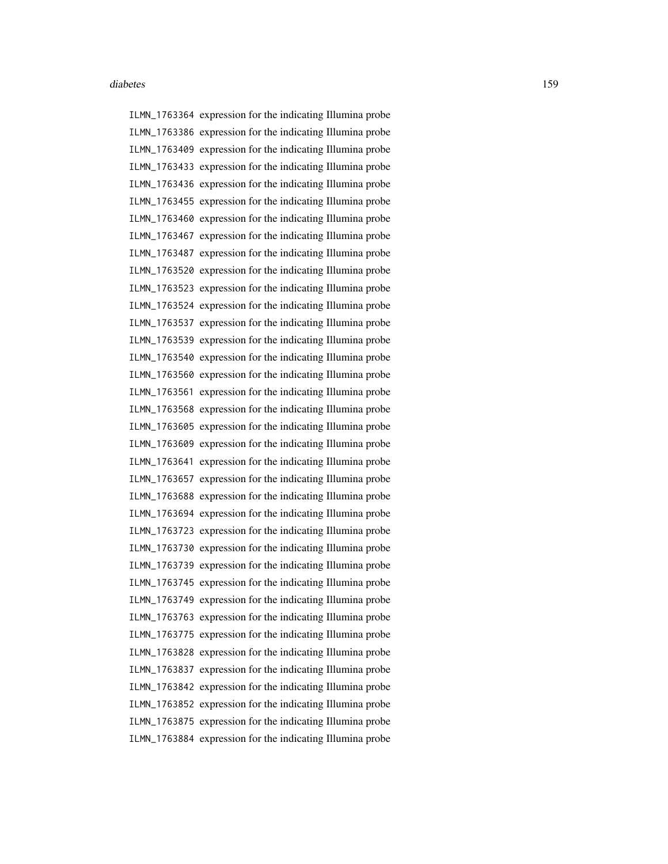ILMN\_1763364 expression for the indicating Illumina probe ILMN\_1763386 expression for the indicating Illumina probe ILMN\_1763409 expression for the indicating Illumina probe ILMN\_1763433 expression for the indicating Illumina probe ILMN\_1763436 expression for the indicating Illumina probe ILMN\_1763455 expression for the indicating Illumina probe ILMN\_1763460 expression for the indicating Illumina probe ILMN\_1763467 expression for the indicating Illumina probe ILMN\_1763487 expression for the indicating Illumina probe ILMN\_1763520 expression for the indicating Illumina probe ILMN\_1763523 expression for the indicating Illumina probe ILMN\_1763524 expression for the indicating Illumina probe ILMN\_1763537 expression for the indicating Illumina probe ILMN\_1763539 expression for the indicating Illumina probe ILMN\_1763540 expression for the indicating Illumina probe ILMN\_1763560 expression for the indicating Illumina probe ILMN\_1763561 expression for the indicating Illumina probe ILMN\_1763568 expression for the indicating Illumina probe ILMN\_1763605 expression for the indicating Illumina probe ILMN\_1763609 expression for the indicating Illumina probe ILMN\_1763641 expression for the indicating Illumina probe ILMN\_1763657 expression for the indicating Illumina probe ILMN\_1763688 expression for the indicating Illumina probe ILMN\_1763694 expression for the indicating Illumina probe ILMN\_1763723 expression for the indicating Illumina probe ILMN\_1763730 expression for the indicating Illumina probe ILMN\_1763739 expression for the indicating Illumina probe ILMN\_1763745 expression for the indicating Illumina probe ILMN\_1763749 expression for the indicating Illumina probe ILMN\_1763763 expression for the indicating Illumina probe ILMN\_1763775 expression for the indicating Illumina probe ILMN\_1763828 expression for the indicating Illumina probe ILMN\_1763837 expression for the indicating Illumina probe ILMN\_1763842 expression for the indicating Illumina probe ILMN\_1763852 expression for the indicating Illumina probe ILMN\_1763875 expression for the indicating Illumina probe ILMN\_1763884 expression for the indicating Illumina probe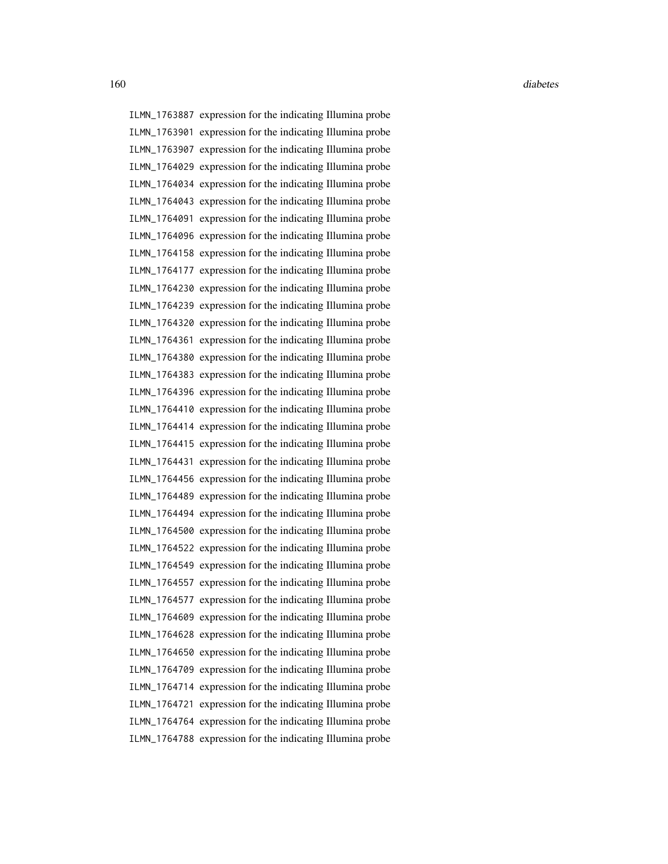ILMN\_1763887 expression for the indicating Illumina probe ILMN\_1763901 expression for the indicating Illumina probe ILMN\_1763907 expression for the indicating Illumina probe ILMN\_1764029 expression for the indicating Illumina probe ILMN\_1764034 expression for the indicating Illumina probe ILMN\_1764043 expression for the indicating Illumina probe ILMN\_1764091 expression for the indicating Illumina probe ILMN\_1764096 expression for the indicating Illumina probe ILMN\_1764158 expression for the indicating Illumina probe ILMN\_1764177 expression for the indicating Illumina probe ILMN\_1764230 expression for the indicating Illumina probe ILMN\_1764239 expression for the indicating Illumina probe ILMN\_1764320 expression for the indicating Illumina probe ILMN\_1764361 expression for the indicating Illumina probe ILMN\_1764380 expression for the indicating Illumina probe ILMN\_1764383 expression for the indicating Illumina probe ILMN\_1764396 expression for the indicating Illumina probe ILMN\_1764410 expression for the indicating Illumina probe ILMN\_1764414 expression for the indicating Illumina probe ILMN\_1764415 expression for the indicating Illumina probe ILMN\_1764431 expression for the indicating Illumina probe ILMN\_1764456 expression for the indicating Illumina probe ILMN\_1764489 expression for the indicating Illumina probe ILMN\_1764494 expression for the indicating Illumina probe ILMN\_1764500 expression for the indicating Illumina probe ILMN\_1764522 expression for the indicating Illumina probe ILMN\_1764549 expression for the indicating Illumina probe ILMN\_1764557 expression for the indicating Illumina probe ILMN\_1764577 expression for the indicating Illumina probe ILMN\_1764609 expression for the indicating Illumina probe ILMN\_1764628 expression for the indicating Illumina probe ILMN\_1764650 expression for the indicating Illumina probe ILMN\_1764709 expression for the indicating Illumina probe ILMN\_1764714 expression for the indicating Illumina probe ILMN\_1764721 expression for the indicating Illumina probe ILMN\_1764764 expression for the indicating Illumina probe ILMN\_1764788 expression for the indicating Illumina probe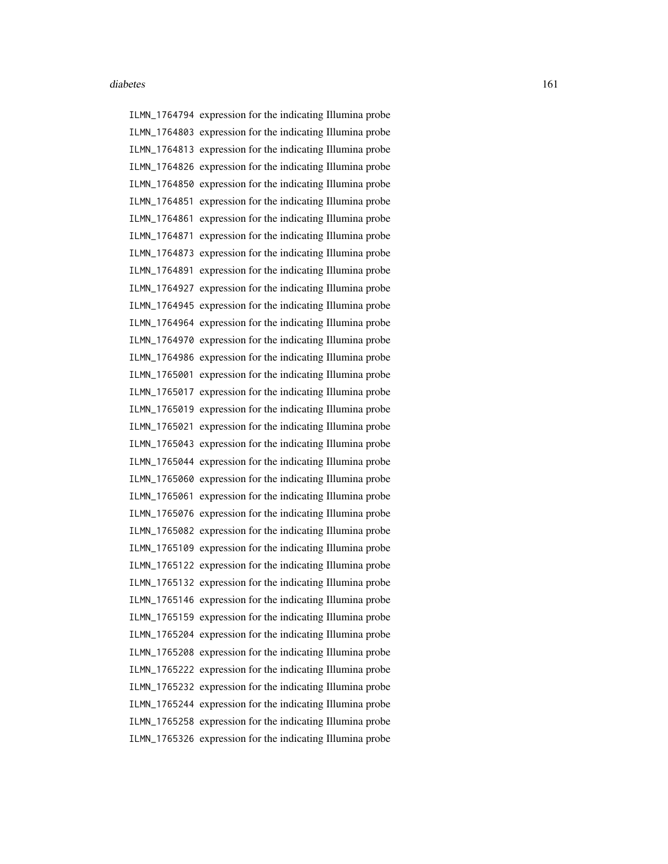ILMN\_1764794 expression for the indicating Illumina probe ILMN\_1764803 expression for the indicating Illumina probe ILMN\_1764813 expression for the indicating Illumina probe ILMN\_1764826 expression for the indicating Illumina probe ILMN\_1764850 expression for the indicating Illumina probe ILMN\_1764851 expression for the indicating Illumina probe ILMN\_1764861 expression for the indicating Illumina probe ILMN\_1764871 expression for the indicating Illumina probe ILMN\_1764873 expression for the indicating Illumina probe ILMN\_1764891 expression for the indicating Illumina probe ILMN\_1764927 expression for the indicating Illumina probe ILMN\_1764945 expression for the indicating Illumina probe ILMN\_1764964 expression for the indicating Illumina probe ILMN\_1764970 expression for the indicating Illumina probe ILMN\_1764986 expression for the indicating Illumina probe ILMN\_1765001 expression for the indicating Illumina probe ILMN\_1765017 expression for the indicating Illumina probe ILMN\_1765019 expression for the indicating Illumina probe ILMN\_1765021 expression for the indicating Illumina probe ILMN\_1765043 expression for the indicating Illumina probe ILMN\_1765044 expression for the indicating Illumina probe ILMN\_1765060 expression for the indicating Illumina probe ILMN\_1765061 expression for the indicating Illumina probe ILMN\_1765076 expression for the indicating Illumina probe ILMN\_1765082 expression for the indicating Illumina probe ILMN\_1765109 expression for the indicating Illumina probe ILMN\_1765122 expression for the indicating Illumina probe ILMN\_1765132 expression for the indicating Illumina probe ILMN\_1765146 expression for the indicating Illumina probe ILMN\_1765159 expression for the indicating Illumina probe ILMN\_1765204 expression for the indicating Illumina probe ILMN\_1765208 expression for the indicating Illumina probe ILMN\_1765222 expression for the indicating Illumina probe ILMN\_1765232 expression for the indicating Illumina probe ILMN\_1765244 expression for the indicating Illumina probe ILMN\_1765258 expression for the indicating Illumina probe ILMN\_1765326 expression for the indicating Illumina probe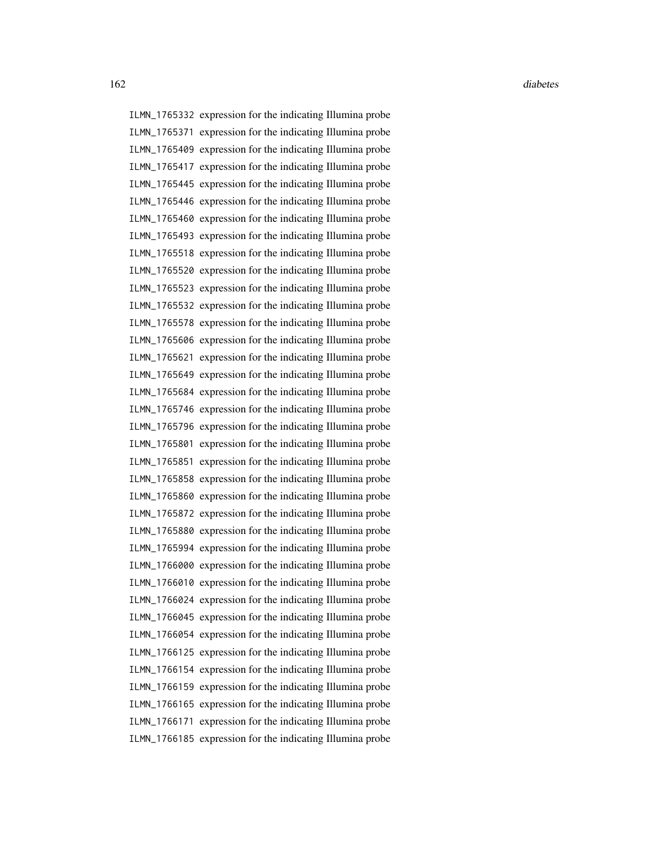ILMN\_1765332 expression for the indicating Illumina probe ILMN\_1765371 expression for the indicating Illumina probe ILMN\_1765409 expression for the indicating Illumina probe ILMN\_1765417 expression for the indicating Illumina probe ILMN\_1765445 expression for the indicating Illumina probe ILMN\_1765446 expression for the indicating Illumina probe ILMN\_1765460 expression for the indicating Illumina probe ILMN\_1765493 expression for the indicating Illumina probe ILMN\_1765518 expression for the indicating Illumina probe ILMN\_1765520 expression for the indicating Illumina probe ILMN\_1765523 expression for the indicating Illumina probe ILMN\_1765532 expression for the indicating Illumina probe ILMN\_1765578 expression for the indicating Illumina probe ILMN\_1765606 expression for the indicating Illumina probe ILMN\_1765621 expression for the indicating Illumina probe ILMN\_1765649 expression for the indicating Illumina probe ILMN\_1765684 expression for the indicating Illumina probe ILMN\_1765746 expression for the indicating Illumina probe ILMN\_1765796 expression for the indicating Illumina probe ILMN\_1765801 expression for the indicating Illumina probe ILMN\_1765851 expression for the indicating Illumina probe ILMN\_1765858 expression for the indicating Illumina probe ILMN\_1765860 expression for the indicating Illumina probe ILMN\_1765872 expression for the indicating Illumina probe ILMN\_1765880 expression for the indicating Illumina probe ILMN\_1765994 expression for the indicating Illumina probe ILMN\_1766000 expression for the indicating Illumina probe ILMN\_1766010 expression for the indicating Illumina probe ILMN\_1766024 expression for the indicating Illumina probe ILMN\_1766045 expression for the indicating Illumina probe ILMN\_1766054 expression for the indicating Illumina probe ILMN\_1766125 expression for the indicating Illumina probe ILMN\_1766154 expression for the indicating Illumina probe ILMN\_1766159 expression for the indicating Illumina probe ILMN\_1766165 expression for the indicating Illumina probe ILMN\_1766171 expression for the indicating Illumina probe ILMN\_1766185 expression for the indicating Illumina probe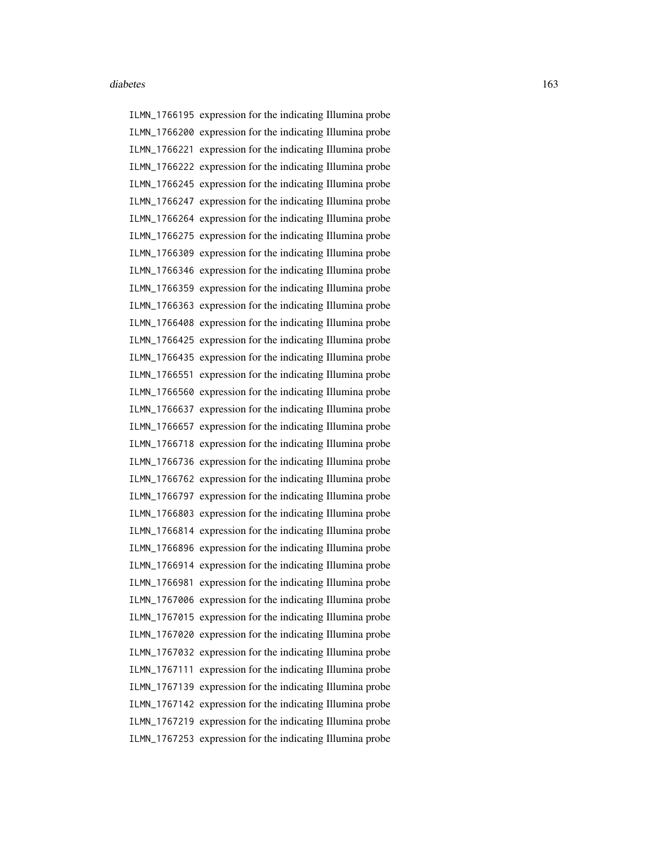ILMN\_1766195 expression for the indicating Illumina probe ILMN\_1766200 expression for the indicating Illumina probe ILMN\_1766221 expression for the indicating Illumina probe ILMN\_1766222 expression for the indicating Illumina probe ILMN\_1766245 expression for the indicating Illumina probe ILMN\_1766247 expression for the indicating Illumina probe ILMN\_1766264 expression for the indicating Illumina probe ILMN\_1766275 expression for the indicating Illumina probe ILMN\_1766309 expression for the indicating Illumina probe ILMN\_1766346 expression for the indicating Illumina probe ILMN\_1766359 expression for the indicating Illumina probe ILMN\_1766363 expression for the indicating Illumina probe ILMN\_1766408 expression for the indicating Illumina probe ILMN\_1766425 expression for the indicating Illumina probe ILMN\_1766435 expression for the indicating Illumina probe ILMN\_1766551 expression for the indicating Illumina probe ILMN\_1766560 expression for the indicating Illumina probe ILMN\_1766637 expression for the indicating Illumina probe ILMN\_1766657 expression for the indicating Illumina probe ILMN\_1766718 expression for the indicating Illumina probe ILMN\_1766736 expression for the indicating Illumina probe ILMN\_1766762 expression for the indicating Illumina probe ILMN\_1766797 expression for the indicating Illumina probe ILMN\_1766803 expression for the indicating Illumina probe ILMN\_1766814 expression for the indicating Illumina probe ILMN\_1766896 expression for the indicating Illumina probe ILMN\_1766914 expression for the indicating Illumina probe ILMN\_1766981 expression for the indicating Illumina probe ILMN\_1767006 expression for the indicating Illumina probe ILMN\_1767015 expression for the indicating Illumina probe ILMN\_1767020 expression for the indicating Illumina probe ILMN\_1767032 expression for the indicating Illumina probe ILMN\_1767111 expression for the indicating Illumina probe ILMN\_1767139 expression for the indicating Illumina probe ILMN\_1767142 expression for the indicating Illumina probe ILMN\_1767219 expression for the indicating Illumina probe ILMN\_1767253 expression for the indicating Illumina probe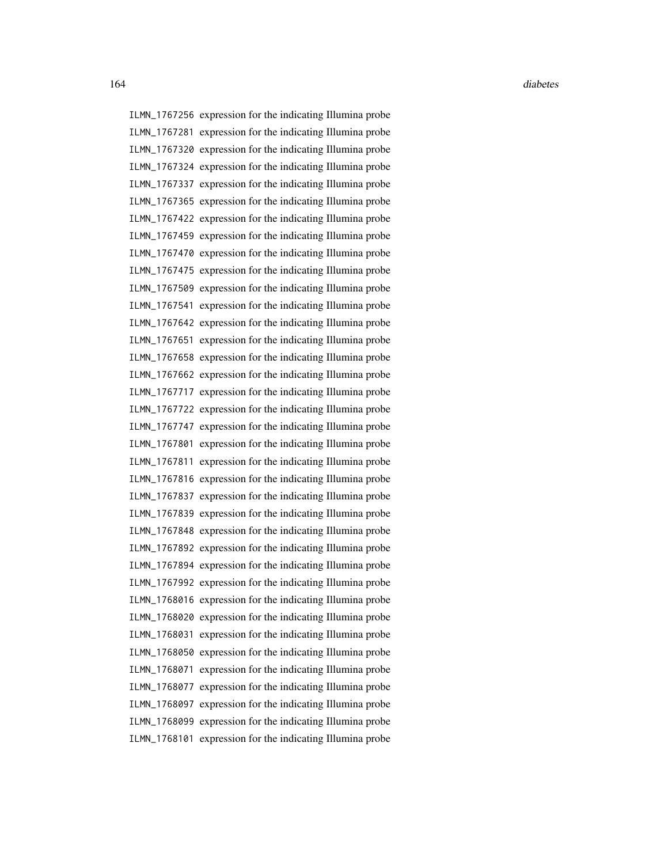ILMN\_1767256 expression for the indicating Illumina probe ILMN\_1767281 expression for the indicating Illumina probe ILMN\_1767320 expression for the indicating Illumina probe ILMN\_1767324 expression for the indicating Illumina probe ILMN\_1767337 expression for the indicating Illumina probe ILMN\_1767365 expression for the indicating Illumina probe ILMN\_1767422 expression for the indicating Illumina probe ILMN\_1767459 expression for the indicating Illumina probe ILMN\_1767470 expression for the indicating Illumina probe ILMN\_1767475 expression for the indicating Illumina probe ILMN\_1767509 expression for the indicating Illumina probe ILMN\_1767541 expression for the indicating Illumina probe ILMN\_1767642 expression for the indicating Illumina probe ILMN\_1767651 expression for the indicating Illumina probe ILMN\_1767658 expression for the indicating Illumina probe ILMN\_1767662 expression for the indicating Illumina probe ILMN\_1767717 expression for the indicating Illumina probe ILMN\_1767722 expression for the indicating Illumina probe ILMN\_1767747 expression for the indicating Illumina probe ILMN\_1767801 expression for the indicating Illumina probe ILMN\_1767811 expression for the indicating Illumina probe ILMN\_1767816 expression for the indicating Illumina probe ILMN\_1767837 expression for the indicating Illumina probe ILMN\_1767839 expression for the indicating Illumina probe ILMN\_1767848 expression for the indicating Illumina probe ILMN\_1767892 expression for the indicating Illumina probe ILMN\_1767894 expression for the indicating Illumina probe ILMN\_1767992 expression for the indicating Illumina probe ILMN\_1768016 expression for the indicating Illumina probe ILMN\_1768020 expression for the indicating Illumina probe ILMN\_1768031 expression for the indicating Illumina probe ILMN\_1768050 expression for the indicating Illumina probe ILMN\_1768071 expression for the indicating Illumina probe ILMN\_1768077 expression for the indicating Illumina probe ILMN\_1768097 expression for the indicating Illumina probe ILMN\_1768099 expression for the indicating Illumina probe ILMN\_1768101 expression for the indicating Illumina probe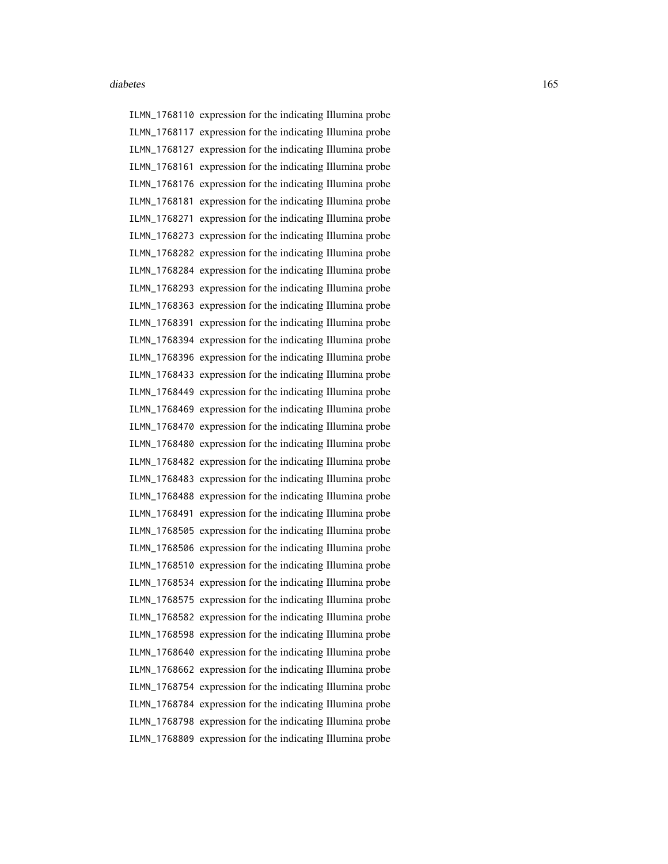ILMN\_1768110 expression for the indicating Illumina probe ILMN\_1768117 expression for the indicating Illumina probe ILMN\_1768127 expression for the indicating Illumina probe ILMN\_1768161 expression for the indicating Illumina probe ILMN\_1768176 expression for the indicating Illumina probe ILMN\_1768181 expression for the indicating Illumina probe ILMN\_1768271 expression for the indicating Illumina probe ILMN\_1768273 expression for the indicating Illumina probe ILMN\_1768282 expression for the indicating Illumina probe ILMN\_1768284 expression for the indicating Illumina probe ILMN\_1768293 expression for the indicating Illumina probe ILMN\_1768363 expression for the indicating Illumina probe ILMN\_1768391 expression for the indicating Illumina probe ILMN\_1768394 expression for the indicating Illumina probe ILMN\_1768396 expression for the indicating Illumina probe ILMN\_1768433 expression for the indicating Illumina probe ILMN\_1768449 expression for the indicating Illumina probe ILMN\_1768469 expression for the indicating Illumina probe ILMN\_1768470 expression for the indicating Illumina probe ILMN\_1768480 expression for the indicating Illumina probe ILMN\_1768482 expression for the indicating Illumina probe ILMN\_1768483 expression for the indicating Illumina probe ILMN\_1768488 expression for the indicating Illumina probe ILMN\_1768491 expression for the indicating Illumina probe ILMN\_1768505 expression for the indicating Illumina probe ILMN\_1768506 expression for the indicating Illumina probe ILMN\_1768510 expression for the indicating Illumina probe ILMN\_1768534 expression for the indicating Illumina probe ILMN\_1768575 expression for the indicating Illumina probe ILMN\_1768582 expression for the indicating Illumina probe ILMN\_1768598 expression for the indicating Illumina probe ILMN\_1768640 expression for the indicating Illumina probe ILMN\_1768662 expression for the indicating Illumina probe ILMN\_1768754 expression for the indicating Illumina probe ILMN\_1768784 expression for the indicating Illumina probe ILMN\_1768798 expression for the indicating Illumina probe ILMN\_1768809 expression for the indicating Illumina probe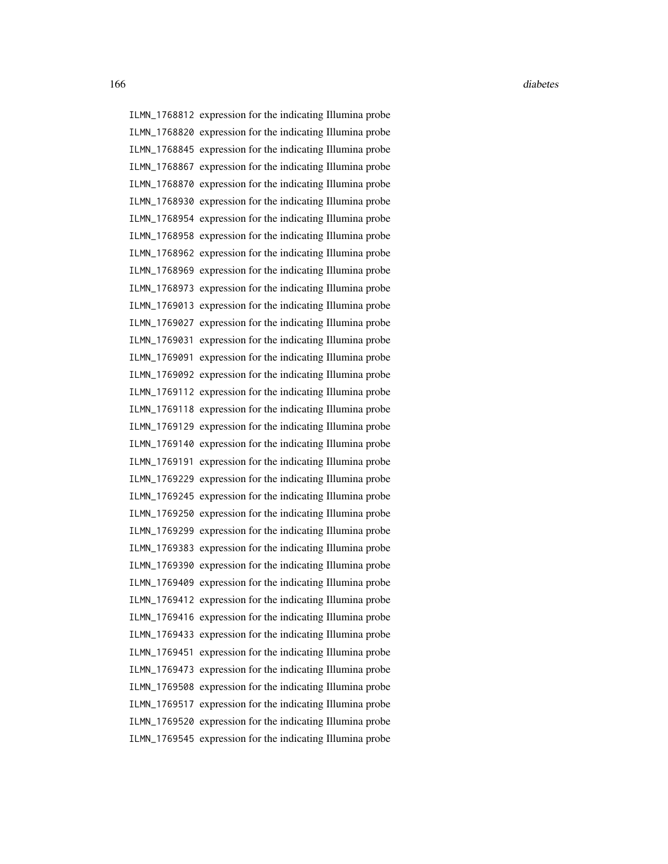ILMN\_1768812 expression for the indicating Illumina probe ILMN\_1768820 expression for the indicating Illumina probe ILMN\_1768845 expression for the indicating Illumina probe ILMN\_1768867 expression for the indicating Illumina probe ILMN\_1768870 expression for the indicating Illumina probe ILMN\_1768930 expression for the indicating Illumina probe ILMN\_1768954 expression for the indicating Illumina probe ILMN\_1768958 expression for the indicating Illumina probe ILMN\_1768962 expression for the indicating Illumina probe ILMN\_1768969 expression for the indicating Illumina probe ILMN\_1768973 expression for the indicating Illumina probe ILMN\_1769013 expression for the indicating Illumina probe ILMN\_1769027 expression for the indicating Illumina probe ILMN\_1769031 expression for the indicating Illumina probe ILMN\_1769091 expression for the indicating Illumina probe ILMN\_1769092 expression for the indicating Illumina probe ILMN\_1769112 expression for the indicating Illumina probe ILMN\_1769118 expression for the indicating Illumina probe ILMN\_1769129 expression for the indicating Illumina probe ILMN\_1769140 expression for the indicating Illumina probe ILMN\_1769191 expression for the indicating Illumina probe ILMN\_1769229 expression for the indicating Illumina probe ILMN\_1769245 expression for the indicating Illumina probe ILMN\_1769250 expression for the indicating Illumina probe ILMN\_1769299 expression for the indicating Illumina probe ILMN\_1769383 expression for the indicating Illumina probe ILMN\_1769390 expression for the indicating Illumina probe ILMN\_1769409 expression for the indicating Illumina probe ILMN\_1769412 expression for the indicating Illumina probe ILMN\_1769416 expression for the indicating Illumina probe ILMN\_1769433 expression for the indicating Illumina probe ILMN\_1769451 expression for the indicating Illumina probe ILMN\_1769473 expression for the indicating Illumina probe ILMN\_1769508 expression for the indicating Illumina probe ILMN\_1769517 expression for the indicating Illumina probe ILMN\_1769520 expression for the indicating Illumina probe ILMN\_1769545 expression for the indicating Illumina probe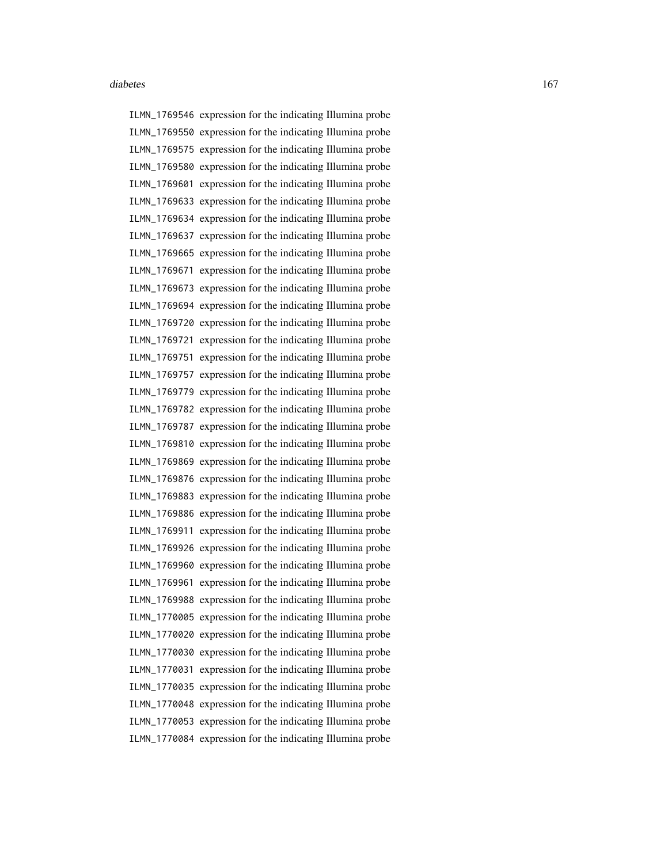ILMN\_1769546 expression for the indicating Illumina probe ILMN\_1769550 expression for the indicating Illumina probe ILMN\_1769575 expression for the indicating Illumina probe ILMN\_1769580 expression for the indicating Illumina probe ILMN\_1769601 expression for the indicating Illumina probe ILMN\_1769633 expression for the indicating Illumina probe ILMN\_1769634 expression for the indicating Illumina probe ILMN\_1769637 expression for the indicating Illumina probe ILMN\_1769665 expression for the indicating Illumina probe ILMN\_1769671 expression for the indicating Illumina probe ILMN\_1769673 expression for the indicating Illumina probe ILMN\_1769694 expression for the indicating Illumina probe ILMN\_1769720 expression for the indicating Illumina probe ILMN\_1769721 expression for the indicating Illumina probe ILMN\_1769751 expression for the indicating Illumina probe ILMN\_1769757 expression for the indicating Illumina probe ILMN\_1769779 expression for the indicating Illumina probe ILMN\_1769782 expression for the indicating Illumina probe ILMN\_1769787 expression for the indicating Illumina probe ILMN\_1769810 expression for the indicating Illumina probe ILMN\_1769869 expression for the indicating Illumina probe ILMN\_1769876 expression for the indicating Illumina probe ILMN\_1769883 expression for the indicating Illumina probe ILMN\_1769886 expression for the indicating Illumina probe ILMN\_1769911 expression for the indicating Illumina probe ILMN\_1769926 expression for the indicating Illumina probe ILMN\_1769960 expression for the indicating Illumina probe ILMN\_1769961 expression for the indicating Illumina probe ILMN\_1769988 expression for the indicating Illumina probe ILMN\_1770005 expression for the indicating Illumina probe ILMN\_1770020 expression for the indicating Illumina probe ILMN\_1770030 expression for the indicating Illumina probe ILMN\_1770031 expression for the indicating Illumina probe ILMN\_1770035 expression for the indicating Illumina probe ILMN\_1770048 expression for the indicating Illumina probe ILMN\_1770053 expression for the indicating Illumina probe ILMN\_1770084 expression for the indicating Illumina probe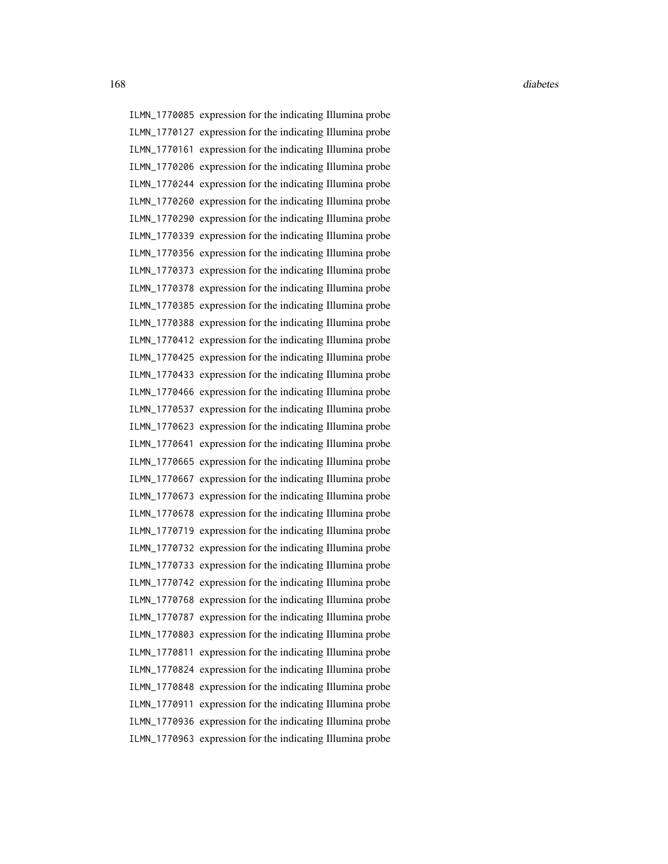ILMN\_1770085 expression for the indicating Illumina probe ILMN\_1770127 expression for the indicating Illumina probe ILMN\_1770161 expression for the indicating Illumina probe ILMN\_1770206 expression for the indicating Illumina probe ILMN\_1770244 expression for the indicating Illumina probe ILMN\_1770260 expression for the indicating Illumina probe ILMN\_1770290 expression for the indicating Illumina probe ILMN\_1770339 expression for the indicating Illumina probe ILMN\_1770356 expression for the indicating Illumina probe ILMN\_1770373 expression for the indicating Illumina probe ILMN\_1770378 expression for the indicating Illumina probe ILMN\_1770385 expression for the indicating Illumina probe ILMN\_1770388 expression for the indicating Illumina probe ILMN\_1770412 expression for the indicating Illumina probe ILMN\_1770425 expression for the indicating Illumina probe ILMN\_1770433 expression for the indicating Illumina probe ILMN\_1770466 expression for the indicating Illumina probe ILMN\_1770537 expression for the indicating Illumina probe ILMN\_1770623 expression for the indicating Illumina probe ILMN\_1770641 expression for the indicating Illumina probe ILMN\_1770665 expression for the indicating Illumina probe ILMN\_1770667 expression for the indicating Illumina probe ILMN\_1770673 expression for the indicating Illumina probe ILMN\_1770678 expression for the indicating Illumina probe ILMN\_1770719 expression for the indicating Illumina probe ILMN\_1770732 expression for the indicating Illumina probe ILMN\_1770733 expression for the indicating Illumina probe ILMN\_1770742 expression for the indicating Illumina probe ILMN\_1770768 expression for the indicating Illumina probe ILMN\_1770787 expression for the indicating Illumina probe ILMN\_1770803 expression for the indicating Illumina probe ILMN\_1770811 expression for the indicating Illumina probe ILMN\_1770824 expression for the indicating Illumina probe ILMN\_1770848 expression for the indicating Illumina probe ILMN\_1770911 expression for the indicating Illumina probe ILMN\_1770936 expression for the indicating Illumina probe ILMN\_1770963 expression for the indicating Illumina probe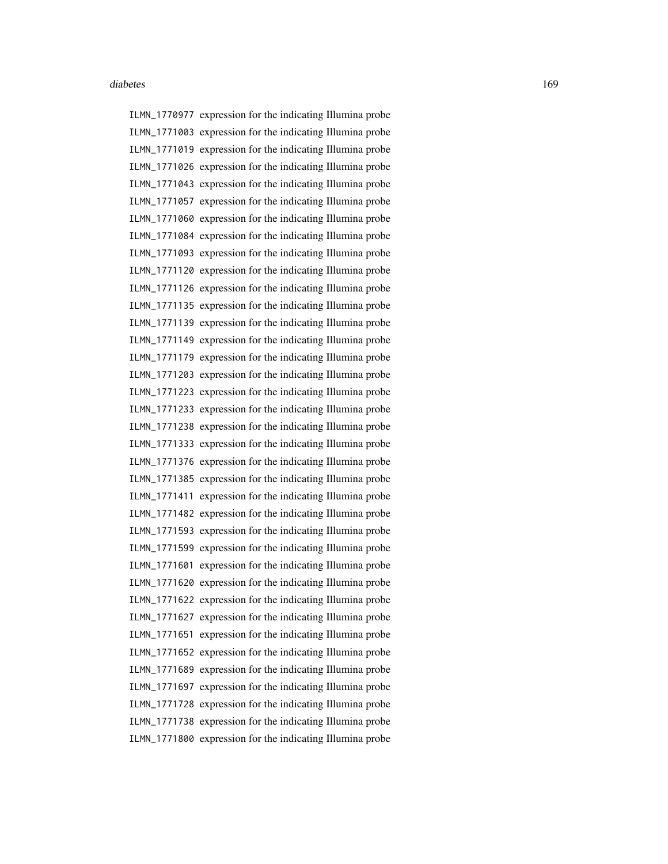ILMN\_1770977 expression for the indicating Illumina probe ILMN\_1771003 expression for the indicating Illumina probe ILMN\_1771019 expression for the indicating Illumina probe ILMN\_1771026 expression for the indicating Illumina probe ILMN\_1771043 expression for the indicating Illumina probe ILMN\_1771057 expression for the indicating Illumina probe ILMN\_1771060 expression for the indicating Illumina probe ILMN\_1771084 expression for the indicating Illumina probe ILMN\_1771093 expression for the indicating Illumina probe ILMN\_1771120 expression for the indicating Illumina probe ILMN\_1771126 expression for the indicating Illumina probe ILMN\_1771135 expression for the indicating Illumina probe ILMN\_1771139 expression for the indicating Illumina probe ILMN\_1771149 expression for the indicating Illumina probe ILMN\_1771179 expression for the indicating Illumina probe ILMN\_1771203 expression for the indicating Illumina probe ILMN\_1771223 expression for the indicating Illumina probe ILMN\_1771233 expression for the indicating Illumina probe ILMN\_1771238 expression for the indicating Illumina probe ILMN\_1771333 expression for the indicating Illumina probe ILMN\_1771376 expression for the indicating Illumina probe ILMN\_1771385 expression for the indicating Illumina probe ILMN\_1771411 expression for the indicating Illumina probe ILMN\_1771482 expression for the indicating Illumina probe ILMN\_1771593 expression for the indicating Illumina probe ILMN\_1771599 expression for the indicating Illumina probe ILMN\_1771601 expression for the indicating Illumina probe ILMN\_1771620 expression for the indicating Illumina probe ILMN\_1771622 expression for the indicating Illumina probe ILMN\_1771627 expression for the indicating Illumina probe ILMN\_1771651 expression for the indicating Illumina probe ILMN\_1771652 expression for the indicating Illumina probe ILMN\_1771689 expression for the indicating Illumina probe ILMN\_1771697 expression for the indicating Illumina probe ILMN\_1771728 expression for the indicating Illumina probe ILMN\_1771738 expression for the indicating Illumina probe ILMN\_1771800 expression for the indicating Illumina probe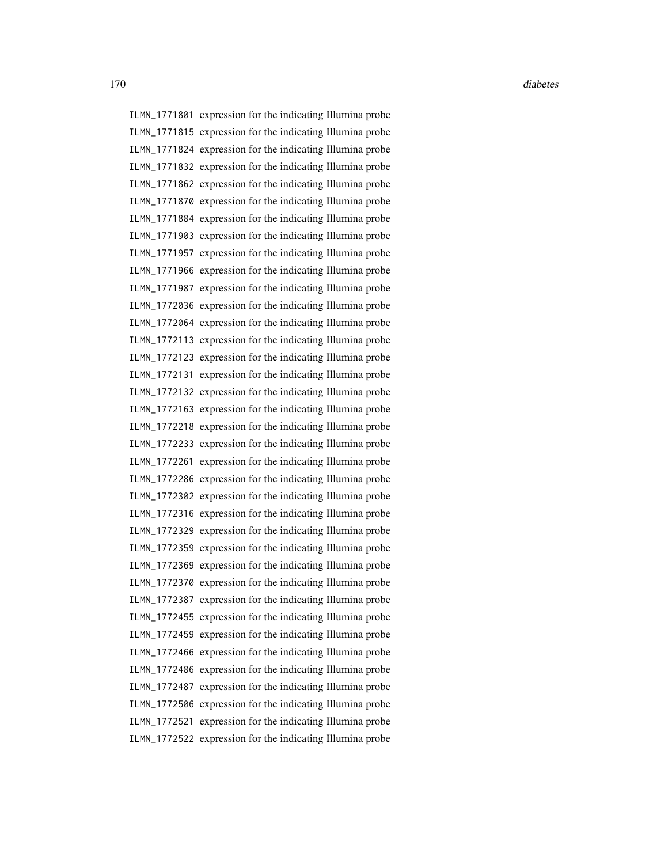ILMN\_1771801 expression for the indicating Illumina probe ILMN\_1771815 expression for the indicating Illumina probe ILMN\_1771824 expression for the indicating Illumina probe ILMN\_1771832 expression for the indicating Illumina probe ILMN\_1771862 expression for the indicating Illumina probe ILMN\_1771870 expression for the indicating Illumina probe ILMN\_1771884 expression for the indicating Illumina probe ILMN\_1771903 expression for the indicating Illumina probe ILMN\_1771957 expression for the indicating Illumina probe ILMN\_1771966 expression for the indicating Illumina probe ILMN\_1771987 expression for the indicating Illumina probe ILMN\_1772036 expression for the indicating Illumina probe ILMN\_1772064 expression for the indicating Illumina probe ILMN\_1772113 expression for the indicating Illumina probe ILMN\_1772123 expression for the indicating Illumina probe ILMN\_1772131 expression for the indicating Illumina probe ILMN\_1772132 expression for the indicating Illumina probe ILMN\_1772163 expression for the indicating Illumina probe ILMN\_1772218 expression for the indicating Illumina probe ILMN\_1772233 expression for the indicating Illumina probe ILMN\_1772261 expression for the indicating Illumina probe ILMN\_1772286 expression for the indicating Illumina probe ILMN\_1772302 expression for the indicating Illumina probe ILMN\_1772316 expression for the indicating Illumina probe ILMN\_1772329 expression for the indicating Illumina probe ILMN\_1772359 expression for the indicating Illumina probe ILMN\_1772369 expression for the indicating Illumina probe ILMN\_1772370 expression for the indicating Illumina probe ILMN\_1772387 expression for the indicating Illumina probe ILMN\_1772455 expression for the indicating Illumina probe ILMN\_1772459 expression for the indicating Illumina probe ILMN\_1772466 expression for the indicating Illumina probe ILMN\_1772486 expression for the indicating Illumina probe ILMN\_1772487 expression for the indicating Illumina probe ILMN\_1772506 expression for the indicating Illumina probe ILMN\_1772521 expression for the indicating Illumina probe ILMN\_1772522 expression for the indicating Illumina probe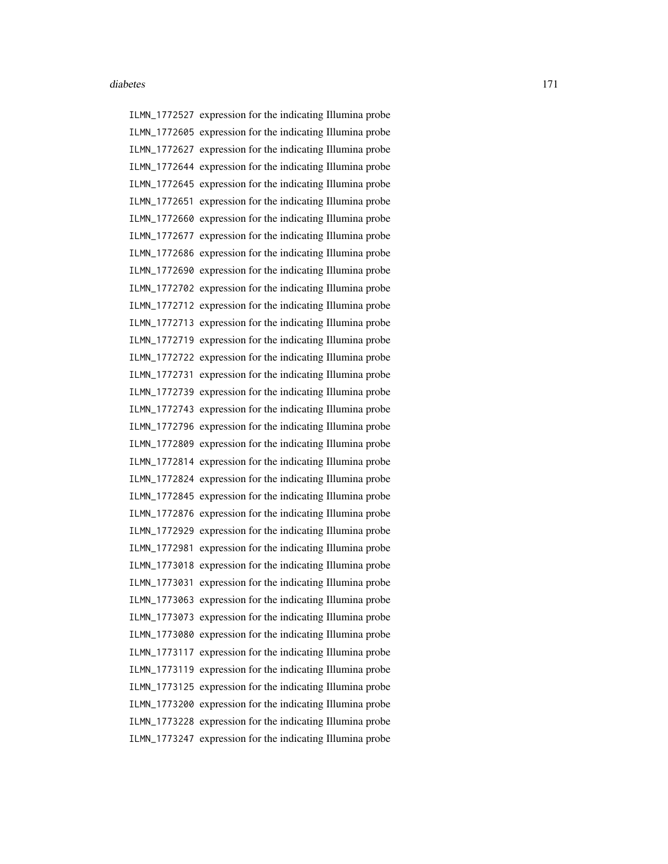ILMN\_1772527 expression for the indicating Illumina probe ILMN\_1772605 expression for the indicating Illumina probe ILMN\_1772627 expression for the indicating Illumina probe ILMN\_1772644 expression for the indicating Illumina probe ILMN\_1772645 expression for the indicating Illumina probe ILMN\_1772651 expression for the indicating Illumina probe ILMN\_1772660 expression for the indicating Illumina probe ILMN\_1772677 expression for the indicating Illumina probe ILMN\_1772686 expression for the indicating Illumina probe ILMN\_1772690 expression for the indicating Illumina probe ILMN\_1772702 expression for the indicating Illumina probe ILMN\_1772712 expression for the indicating Illumina probe ILMN\_1772713 expression for the indicating Illumina probe ILMN\_1772719 expression for the indicating Illumina probe ILMN\_1772722 expression for the indicating Illumina probe ILMN\_1772731 expression for the indicating Illumina probe ILMN\_1772739 expression for the indicating Illumina probe ILMN\_1772743 expression for the indicating Illumina probe ILMN\_1772796 expression for the indicating Illumina probe ILMN\_1772809 expression for the indicating Illumina probe ILMN\_1772814 expression for the indicating Illumina probe ILMN\_1772824 expression for the indicating Illumina probe ILMN\_1772845 expression for the indicating Illumina probe ILMN\_1772876 expression for the indicating Illumina probe ILMN\_1772929 expression for the indicating Illumina probe ILMN\_1772981 expression for the indicating Illumina probe ILMN\_1773018 expression for the indicating Illumina probe ILMN\_1773031 expression for the indicating Illumina probe ILMN\_1773063 expression for the indicating Illumina probe ILMN\_1773073 expression for the indicating Illumina probe ILMN\_1773080 expression for the indicating Illumina probe ILMN\_1773117 expression for the indicating Illumina probe ILMN\_1773119 expression for the indicating Illumina probe ILMN\_1773125 expression for the indicating Illumina probe ILMN\_1773200 expression for the indicating Illumina probe ILMN\_1773228 expression for the indicating Illumina probe ILMN\_1773247 expression for the indicating Illumina probe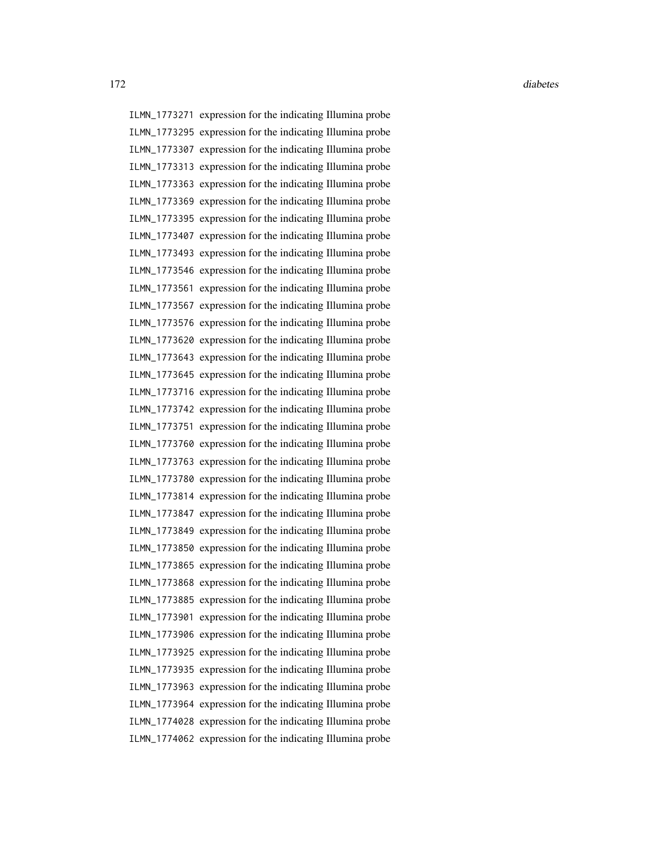ILMN\_1773271 expression for the indicating Illumina probe ILMN\_1773295 expression for the indicating Illumina probe ILMN\_1773307 expression for the indicating Illumina probe ILMN\_1773313 expression for the indicating Illumina probe ILMN\_1773363 expression for the indicating Illumina probe ILMN\_1773369 expression for the indicating Illumina probe ILMN\_1773395 expression for the indicating Illumina probe ILMN\_1773407 expression for the indicating Illumina probe ILMN\_1773493 expression for the indicating Illumina probe ILMN\_1773546 expression for the indicating Illumina probe ILMN\_1773561 expression for the indicating Illumina probe ILMN\_1773567 expression for the indicating Illumina probe ILMN\_1773576 expression for the indicating Illumina probe ILMN\_1773620 expression for the indicating Illumina probe ILMN\_1773643 expression for the indicating Illumina probe ILMN\_1773645 expression for the indicating Illumina probe ILMN\_1773716 expression for the indicating Illumina probe ILMN\_1773742 expression for the indicating Illumina probe ILMN\_1773751 expression for the indicating Illumina probe ILMN\_1773760 expression for the indicating Illumina probe ILMN\_1773763 expression for the indicating Illumina probe ILMN\_1773780 expression for the indicating Illumina probe ILMN\_1773814 expression for the indicating Illumina probe ILMN\_1773847 expression for the indicating Illumina probe ILMN\_1773849 expression for the indicating Illumina probe ILMN\_1773850 expression for the indicating Illumina probe ILMN\_1773865 expression for the indicating Illumina probe ILMN\_1773868 expression for the indicating Illumina probe ILMN\_1773885 expression for the indicating Illumina probe ILMN\_1773901 expression for the indicating Illumina probe ILMN\_1773906 expression for the indicating Illumina probe ILMN\_1773925 expression for the indicating Illumina probe ILMN\_1773935 expression for the indicating Illumina probe ILMN\_1773963 expression for the indicating Illumina probe ILMN\_1773964 expression for the indicating Illumina probe ILMN\_1774028 expression for the indicating Illumina probe ILMN\_1774062 expression for the indicating Illumina probe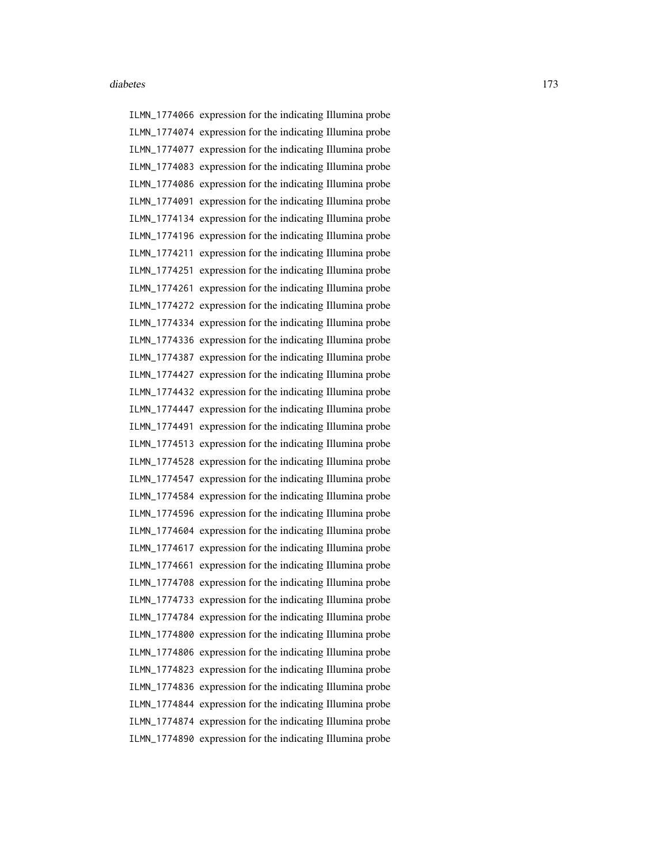ILMN\_1774066 expression for the indicating Illumina probe ILMN\_1774074 expression for the indicating Illumina probe ILMN\_1774077 expression for the indicating Illumina probe ILMN\_1774083 expression for the indicating Illumina probe ILMN\_1774086 expression for the indicating Illumina probe ILMN\_1774091 expression for the indicating Illumina probe ILMN\_1774134 expression for the indicating Illumina probe ILMN\_1774196 expression for the indicating Illumina probe ILMN\_1774211 expression for the indicating Illumina probe ILMN\_1774251 expression for the indicating Illumina probe ILMN\_1774261 expression for the indicating Illumina probe ILMN\_1774272 expression for the indicating Illumina probe ILMN\_1774334 expression for the indicating Illumina probe ILMN\_1774336 expression for the indicating Illumina probe ILMN\_1774387 expression for the indicating Illumina probe ILMN\_1774427 expression for the indicating Illumina probe ILMN\_1774432 expression for the indicating Illumina probe ILMN\_1774447 expression for the indicating Illumina probe ILMN\_1774491 expression for the indicating Illumina probe ILMN\_1774513 expression for the indicating Illumina probe ILMN\_1774528 expression for the indicating Illumina probe ILMN\_1774547 expression for the indicating Illumina probe ILMN\_1774584 expression for the indicating Illumina probe ILMN\_1774596 expression for the indicating Illumina probe ILMN\_1774604 expression for the indicating Illumina probe ILMN\_1774617 expression for the indicating Illumina probe ILMN\_1774661 expression for the indicating Illumina probe ILMN\_1774708 expression for the indicating Illumina probe ILMN\_1774733 expression for the indicating Illumina probe ILMN\_1774784 expression for the indicating Illumina probe ILMN\_1774800 expression for the indicating Illumina probe ILMN\_1774806 expression for the indicating Illumina probe ILMN\_1774823 expression for the indicating Illumina probe ILMN\_1774836 expression for the indicating Illumina probe ILMN\_1774844 expression for the indicating Illumina probe ILMN\_1774874 expression for the indicating Illumina probe ILMN\_1774890 expression for the indicating Illumina probe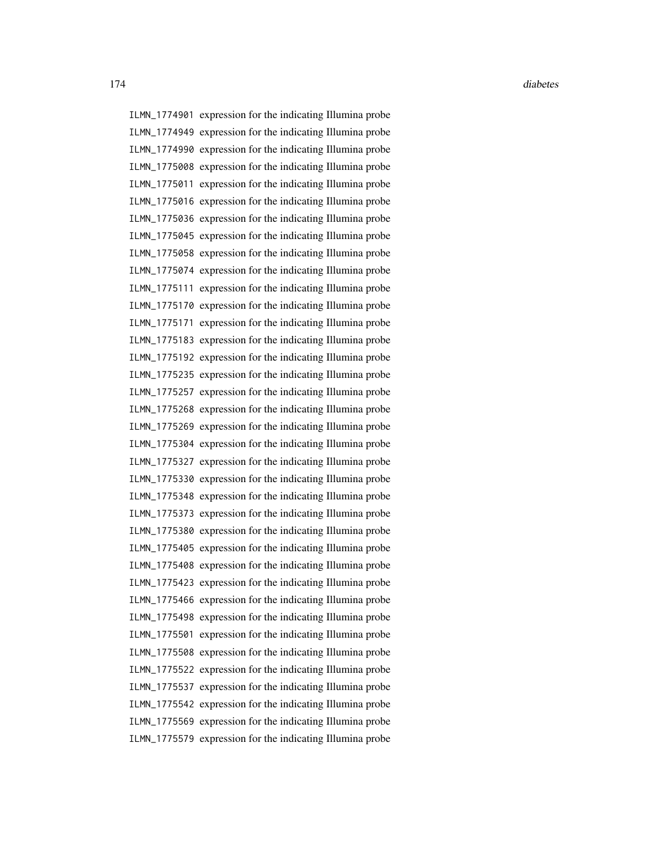ILMN\_1774901 expression for the indicating Illumina probe ILMN\_1774949 expression for the indicating Illumina probe ILMN\_1774990 expression for the indicating Illumina probe ILMN\_1775008 expression for the indicating Illumina probe ILMN\_1775011 expression for the indicating Illumina probe ILMN\_1775016 expression for the indicating Illumina probe ILMN\_1775036 expression for the indicating Illumina probe ILMN\_1775045 expression for the indicating Illumina probe ILMN\_1775058 expression for the indicating Illumina probe ILMN\_1775074 expression for the indicating Illumina probe ILMN\_1775111 expression for the indicating Illumina probe ILMN\_1775170 expression for the indicating Illumina probe ILMN\_1775171 expression for the indicating Illumina probe ILMN\_1775183 expression for the indicating Illumina probe ILMN\_1775192 expression for the indicating Illumina probe ILMN\_1775235 expression for the indicating Illumina probe ILMN\_1775257 expression for the indicating Illumina probe ILMN\_1775268 expression for the indicating Illumina probe ILMN\_1775269 expression for the indicating Illumina probe ILMN\_1775304 expression for the indicating Illumina probe ILMN\_1775327 expression for the indicating Illumina probe ILMN\_1775330 expression for the indicating Illumina probe ILMN\_1775348 expression for the indicating Illumina probe ILMN\_1775373 expression for the indicating Illumina probe ILMN\_1775380 expression for the indicating Illumina probe ILMN\_1775405 expression for the indicating Illumina probe ILMN\_1775408 expression for the indicating Illumina probe ILMN\_1775423 expression for the indicating Illumina probe ILMN\_1775466 expression for the indicating Illumina probe ILMN\_1775498 expression for the indicating Illumina probe ILMN\_1775501 expression for the indicating Illumina probe ILMN\_1775508 expression for the indicating Illumina probe ILMN\_1775522 expression for the indicating Illumina probe ILMN\_1775537 expression for the indicating Illumina probe ILMN\_1775542 expression for the indicating Illumina probe ILMN\_1775569 expression for the indicating Illumina probe ILMN\_1775579 expression for the indicating Illumina probe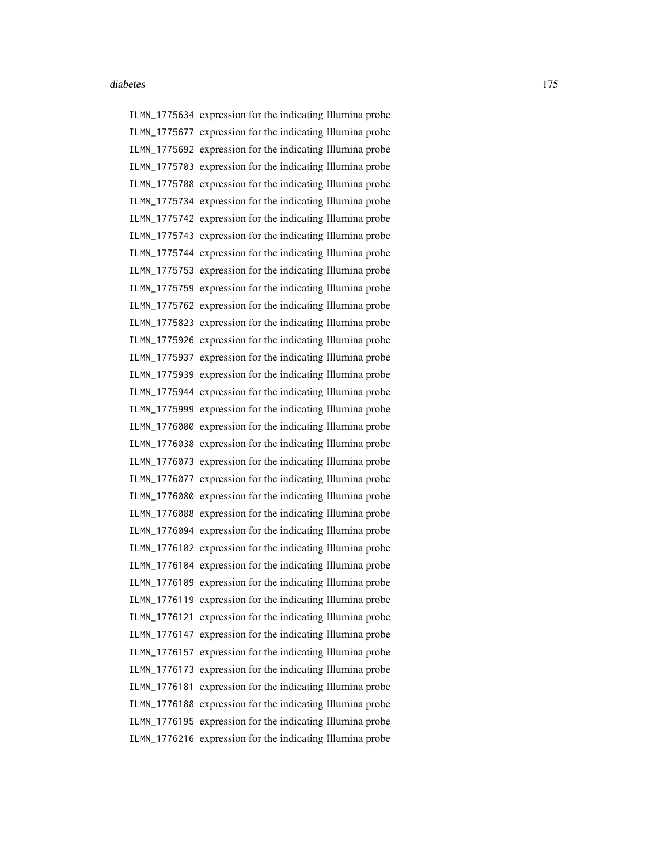ILMN\_1775634 expression for the indicating Illumina probe ILMN\_1775677 expression for the indicating Illumina probe ILMN\_1775692 expression for the indicating Illumina probe ILMN\_1775703 expression for the indicating Illumina probe ILMN\_1775708 expression for the indicating Illumina probe ILMN\_1775734 expression for the indicating Illumina probe ILMN\_1775742 expression for the indicating Illumina probe ILMN\_1775743 expression for the indicating Illumina probe ILMN\_1775744 expression for the indicating Illumina probe ILMN\_1775753 expression for the indicating Illumina probe ILMN\_1775759 expression for the indicating Illumina probe ILMN\_1775762 expression for the indicating Illumina probe ILMN\_1775823 expression for the indicating Illumina probe ILMN\_1775926 expression for the indicating Illumina probe ILMN\_1775937 expression for the indicating Illumina probe ILMN\_1775939 expression for the indicating Illumina probe ILMN\_1775944 expression for the indicating Illumina probe ILMN\_1775999 expression for the indicating Illumina probe ILMN\_1776000 expression for the indicating Illumina probe ILMN\_1776038 expression for the indicating Illumina probe ILMN\_1776073 expression for the indicating Illumina probe ILMN\_1776077 expression for the indicating Illumina probe ILMN\_1776080 expression for the indicating Illumina probe ILMN\_1776088 expression for the indicating Illumina probe ILMN\_1776094 expression for the indicating Illumina probe ILMN\_1776102 expression for the indicating Illumina probe ILMN\_1776104 expression for the indicating Illumina probe ILMN\_1776109 expression for the indicating Illumina probe ILMN\_1776119 expression for the indicating Illumina probe ILMN\_1776121 expression for the indicating Illumina probe ILMN\_1776147 expression for the indicating Illumina probe ILMN\_1776157 expression for the indicating Illumina probe ILMN\_1776173 expression for the indicating Illumina probe ILMN\_1776181 expression for the indicating Illumina probe ILMN\_1776188 expression for the indicating Illumina probe ILMN\_1776195 expression for the indicating Illumina probe ILMN\_1776216 expression for the indicating Illumina probe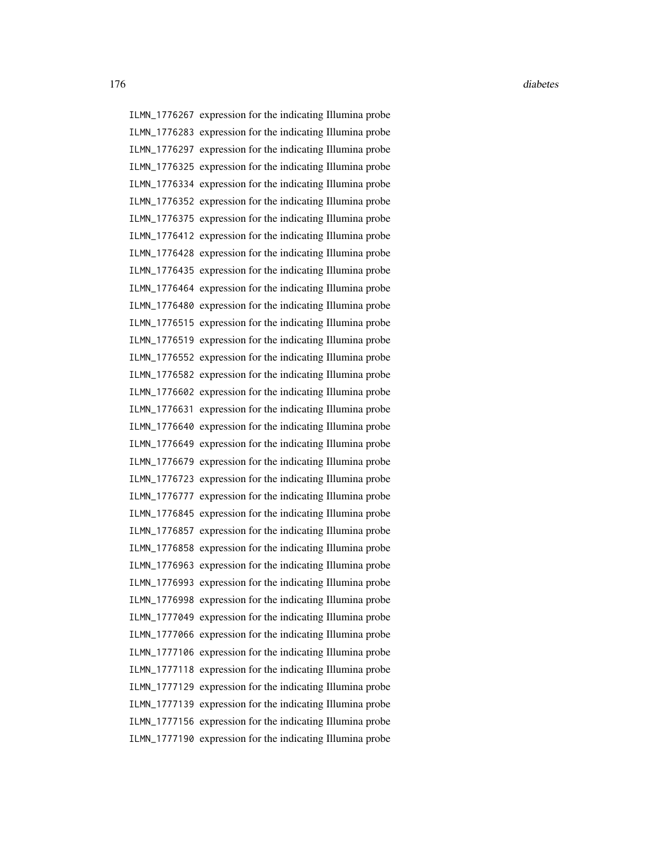176 diabetes diabetes diabetes diabetes diabetes diabetes diabetes diabetes diabetes diabetes diabetes diabetes diabetes diabetes diabetes diabetes diabetes diabetes diabetes diabetes diabetes diabetes diabetes diabetes di

ILMN\_1776267 expression for the indicating Illumina probe ILMN\_1776283 expression for the indicating Illumina probe ILMN\_1776297 expression for the indicating Illumina probe ILMN\_1776325 expression for the indicating Illumina probe ILMN\_1776334 expression for the indicating Illumina probe ILMN\_1776352 expression for the indicating Illumina probe ILMN\_1776375 expression for the indicating Illumina probe ILMN\_1776412 expression for the indicating Illumina probe ILMN\_1776428 expression for the indicating Illumina probe ILMN\_1776435 expression for the indicating Illumina probe ILMN\_1776464 expression for the indicating Illumina probe ILMN\_1776480 expression for the indicating Illumina probe ILMN\_1776515 expression for the indicating Illumina probe ILMN\_1776519 expression for the indicating Illumina probe ILMN\_1776552 expression for the indicating Illumina probe ILMN\_1776582 expression for the indicating Illumina probe ILMN\_1776602 expression for the indicating Illumina probe ILMN\_1776631 expression for the indicating Illumina probe ILMN\_1776640 expression for the indicating Illumina probe ILMN\_1776649 expression for the indicating Illumina probe ILMN\_1776679 expression for the indicating Illumina probe ILMN\_1776723 expression for the indicating Illumina probe ILMN\_1776777 expression for the indicating Illumina probe ILMN\_1776845 expression for the indicating Illumina probe ILMN\_1776857 expression for the indicating Illumina probe ILMN\_1776858 expression for the indicating Illumina probe ILMN\_1776963 expression for the indicating Illumina probe ILMN\_1776993 expression for the indicating Illumina probe ILMN\_1776998 expression for the indicating Illumina probe ILMN\_1777049 expression for the indicating Illumina probe ILMN\_1777066 expression for the indicating Illumina probe ILMN\_1777106 expression for the indicating Illumina probe ILMN\_1777118 expression for the indicating Illumina probe ILMN\_1777129 expression for the indicating Illumina probe ILMN\_1777139 expression for the indicating Illumina probe ILMN\_1777156 expression for the indicating Illumina probe ILMN\_1777190 expression for the indicating Illumina probe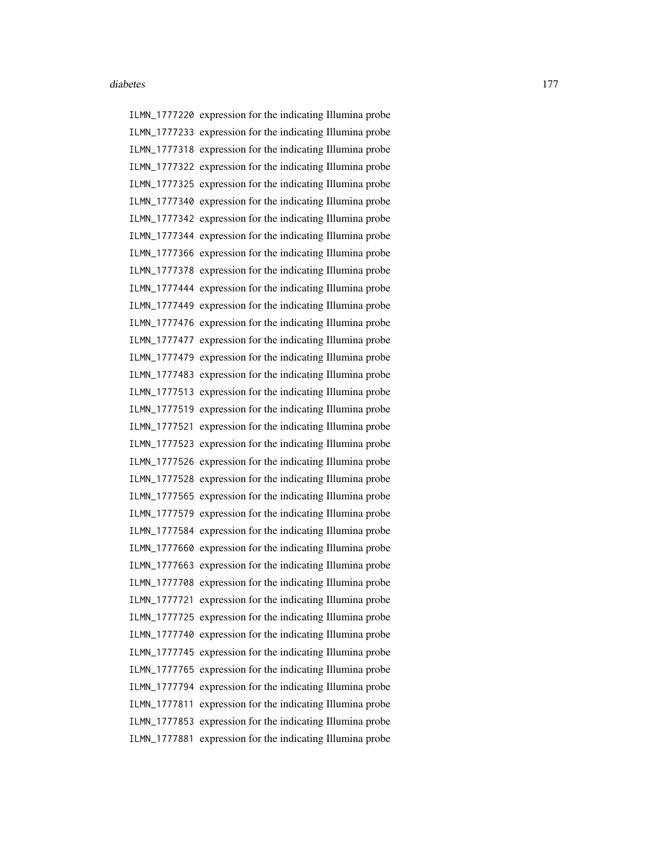ILMN\_1777220 expression for the indicating Illumina probe ILMN\_1777233 expression for the indicating Illumina probe ILMN\_1777318 expression for the indicating Illumina probe ILMN\_1777322 expression for the indicating Illumina probe ILMN\_1777325 expression for the indicating Illumina probe ILMN\_1777340 expression for the indicating Illumina probe ILMN\_1777342 expression for the indicating Illumina probe ILMN\_1777344 expression for the indicating Illumina probe ILMN\_1777366 expression for the indicating Illumina probe ILMN\_1777378 expression for the indicating Illumina probe ILMN\_1777444 expression for the indicating Illumina probe ILMN\_1777449 expression for the indicating Illumina probe ILMN\_1777476 expression for the indicating Illumina probe ILMN\_1777477 expression for the indicating Illumina probe ILMN\_1777479 expression for the indicating Illumina probe ILMN\_1777483 expression for the indicating Illumina probe ILMN\_1777513 expression for the indicating Illumina probe ILMN\_1777519 expression for the indicating Illumina probe ILMN\_1777521 expression for the indicating Illumina probe ILMN\_1777523 expression for the indicating Illumina probe ILMN\_1777526 expression for the indicating Illumina probe ILMN\_1777528 expression for the indicating Illumina probe ILMN\_1777565 expression for the indicating Illumina probe ILMN\_1777579 expression for the indicating Illumina probe ILMN\_1777584 expression for the indicating Illumina probe ILMN\_1777660 expression for the indicating Illumina probe ILMN\_1777663 expression for the indicating Illumina probe ILMN\_1777708 expression for the indicating Illumina probe ILMN\_1777721 expression for the indicating Illumina probe ILMN\_1777725 expression for the indicating Illumina probe ILMN\_1777740 expression for the indicating Illumina probe ILMN\_1777745 expression for the indicating Illumina probe ILMN\_1777765 expression for the indicating Illumina probe ILMN\_1777794 expression for the indicating Illumina probe ILMN\_1777811 expression for the indicating Illumina probe ILMN\_1777853 expression for the indicating Illumina probe ILMN\_1777881 expression for the indicating Illumina probe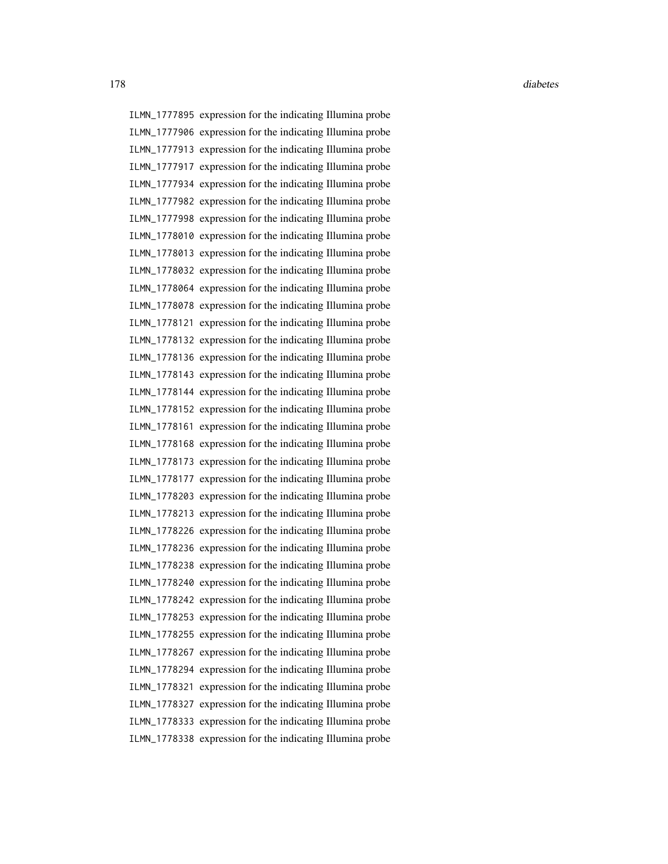ILMN\_1777895 expression for the indicating Illumina probe ILMN\_1777906 expression for the indicating Illumina probe ILMN\_1777913 expression for the indicating Illumina probe ILMN\_1777917 expression for the indicating Illumina probe ILMN\_1777934 expression for the indicating Illumina probe ILMN\_1777982 expression for the indicating Illumina probe ILMN\_1777998 expression for the indicating Illumina probe ILMN\_1778010 expression for the indicating Illumina probe ILMN\_1778013 expression for the indicating Illumina probe ILMN\_1778032 expression for the indicating Illumina probe ILMN\_1778064 expression for the indicating Illumina probe ILMN\_1778078 expression for the indicating Illumina probe ILMN\_1778121 expression for the indicating Illumina probe ILMN\_1778132 expression for the indicating Illumina probe ILMN\_1778136 expression for the indicating Illumina probe ILMN\_1778143 expression for the indicating Illumina probe ILMN\_1778144 expression for the indicating Illumina probe ILMN\_1778152 expression for the indicating Illumina probe ILMN\_1778161 expression for the indicating Illumina probe ILMN\_1778168 expression for the indicating Illumina probe ILMN\_1778173 expression for the indicating Illumina probe ILMN\_1778177 expression for the indicating Illumina probe ILMN\_1778203 expression for the indicating Illumina probe ILMN\_1778213 expression for the indicating Illumina probe ILMN\_1778226 expression for the indicating Illumina probe ILMN\_1778236 expression for the indicating Illumina probe ILMN\_1778238 expression for the indicating Illumina probe ILMN\_1778240 expression for the indicating Illumina probe ILMN\_1778242 expression for the indicating Illumina probe ILMN\_1778253 expression for the indicating Illumina probe ILMN\_1778255 expression for the indicating Illumina probe ILMN\_1778267 expression for the indicating Illumina probe ILMN\_1778294 expression for the indicating Illumina probe ILMN\_1778321 expression for the indicating Illumina probe ILMN\_1778327 expression for the indicating Illumina probe ILMN\_1778333 expression for the indicating Illumina probe ILMN\_1778338 expression for the indicating Illumina probe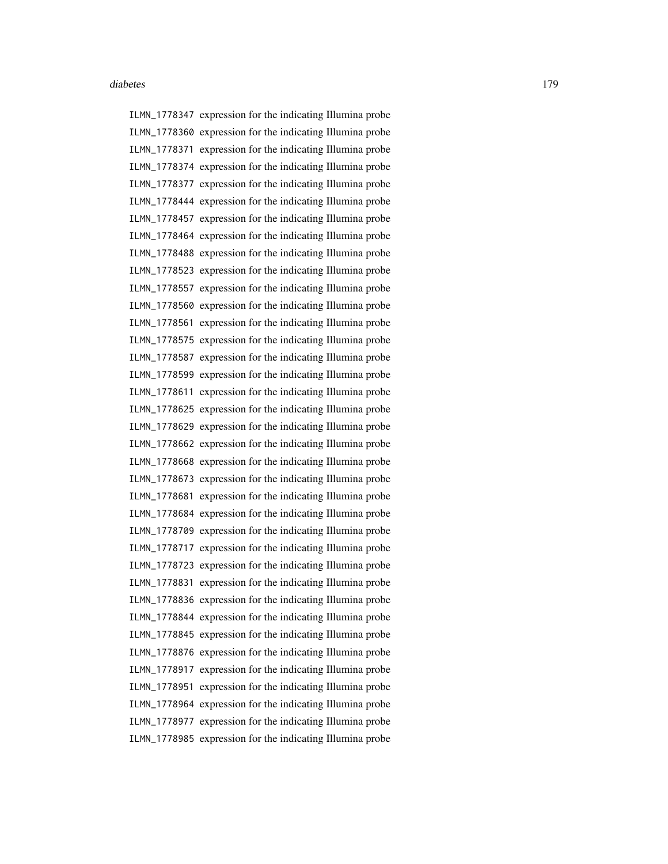ILMN\_1778347 expression for the indicating Illumina probe ILMN\_1778360 expression for the indicating Illumina probe ILMN\_1778371 expression for the indicating Illumina probe ILMN\_1778374 expression for the indicating Illumina probe ILMN\_1778377 expression for the indicating Illumina probe ILMN\_1778444 expression for the indicating Illumina probe ILMN\_1778457 expression for the indicating Illumina probe ILMN\_1778464 expression for the indicating Illumina probe ILMN\_1778488 expression for the indicating Illumina probe ILMN\_1778523 expression for the indicating Illumina probe ILMN\_1778557 expression for the indicating Illumina probe ILMN\_1778560 expression for the indicating Illumina probe ILMN\_1778561 expression for the indicating Illumina probe ILMN\_1778575 expression for the indicating Illumina probe ILMN\_1778587 expression for the indicating Illumina probe ILMN\_1778599 expression for the indicating Illumina probe ILMN\_1778611 expression for the indicating Illumina probe ILMN\_1778625 expression for the indicating Illumina probe ILMN\_1778629 expression for the indicating Illumina probe ILMN\_1778662 expression for the indicating Illumina probe ILMN\_1778668 expression for the indicating Illumina probe ILMN\_1778673 expression for the indicating Illumina probe ILMN\_1778681 expression for the indicating Illumina probe ILMN\_1778684 expression for the indicating Illumina probe ILMN\_1778709 expression for the indicating Illumina probe ILMN\_1778717 expression for the indicating Illumina probe ILMN\_1778723 expression for the indicating Illumina probe ILMN\_1778831 expression for the indicating Illumina probe ILMN\_1778836 expression for the indicating Illumina probe ILMN\_1778844 expression for the indicating Illumina probe ILMN\_1778845 expression for the indicating Illumina probe ILMN\_1778876 expression for the indicating Illumina probe ILMN\_1778917 expression for the indicating Illumina probe ILMN\_1778951 expression for the indicating Illumina probe ILMN\_1778964 expression for the indicating Illumina probe ILMN\_1778977 expression for the indicating Illumina probe ILMN\_1778985 expression for the indicating Illumina probe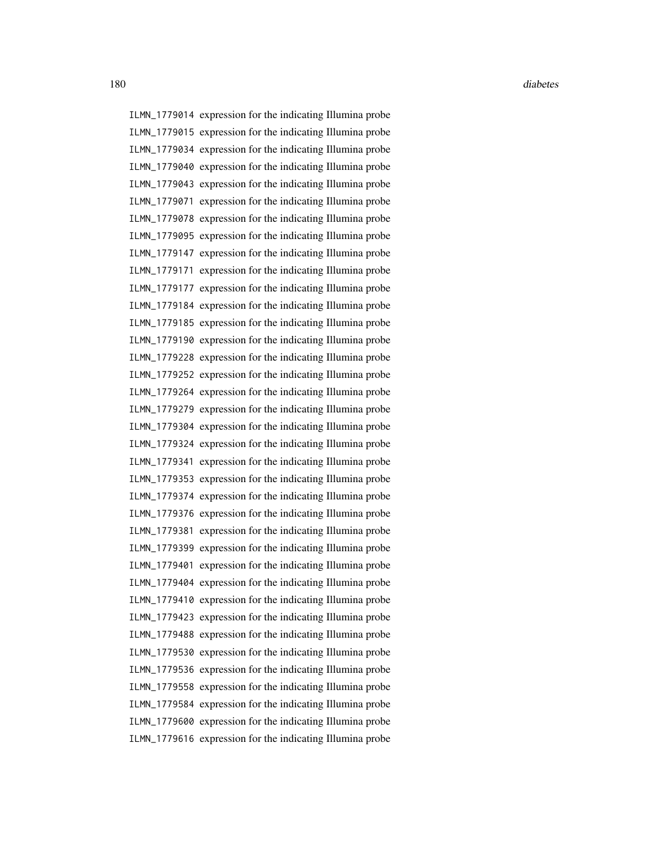ILMN\_1779014 expression for the indicating Illumina probe ILMN\_1779015 expression for the indicating Illumina probe ILMN\_1779034 expression for the indicating Illumina probe ILMN\_1779040 expression for the indicating Illumina probe ILMN\_1779043 expression for the indicating Illumina probe ILMN\_1779071 expression for the indicating Illumina probe ILMN\_1779078 expression for the indicating Illumina probe ILMN\_1779095 expression for the indicating Illumina probe ILMN\_1779147 expression for the indicating Illumina probe ILMN\_1779171 expression for the indicating Illumina probe ILMN\_1779177 expression for the indicating Illumina probe ILMN\_1779184 expression for the indicating Illumina probe ILMN\_1779185 expression for the indicating Illumina probe ILMN\_1779190 expression for the indicating Illumina probe ILMN\_1779228 expression for the indicating Illumina probe ILMN\_1779252 expression for the indicating Illumina probe ILMN\_1779264 expression for the indicating Illumina probe ILMN\_1779279 expression for the indicating Illumina probe ILMN\_1779304 expression for the indicating Illumina probe ILMN\_1779324 expression for the indicating Illumina probe ILMN\_1779341 expression for the indicating Illumina probe ILMN\_1779353 expression for the indicating Illumina probe ILMN\_1779374 expression for the indicating Illumina probe ILMN\_1779376 expression for the indicating Illumina probe ILMN\_1779381 expression for the indicating Illumina probe ILMN\_1779399 expression for the indicating Illumina probe ILMN\_1779401 expression for the indicating Illumina probe ILMN\_1779404 expression for the indicating Illumina probe ILMN\_1779410 expression for the indicating Illumina probe ILMN\_1779423 expression for the indicating Illumina probe ILMN\_1779488 expression for the indicating Illumina probe ILMN\_1779530 expression for the indicating Illumina probe ILMN\_1779536 expression for the indicating Illumina probe ILMN\_1779558 expression for the indicating Illumina probe ILMN\_1779584 expression for the indicating Illumina probe ILMN\_1779600 expression for the indicating Illumina probe ILMN\_1779616 expression for the indicating Illumina probe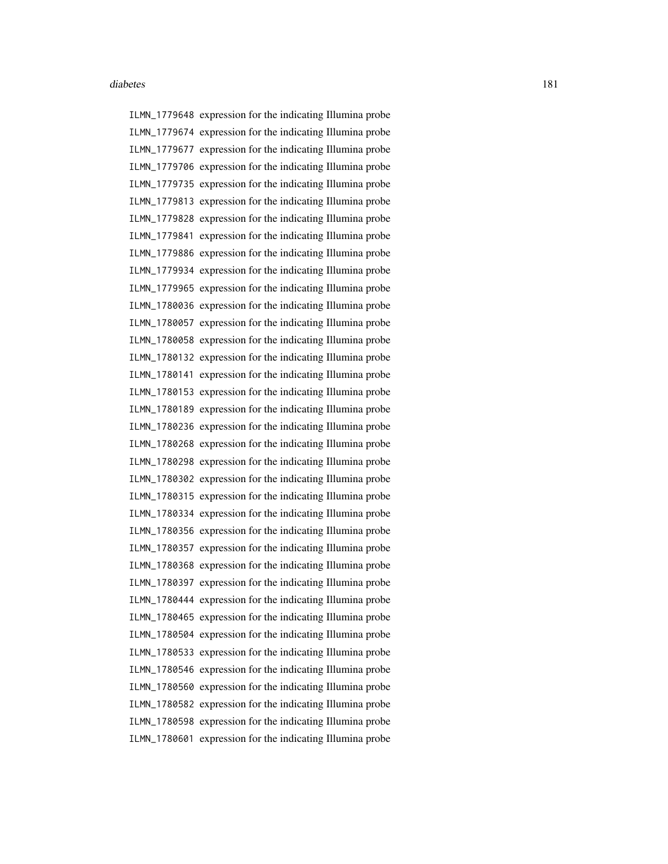ILMN\_1779648 expression for the indicating Illumina probe ILMN\_1779674 expression for the indicating Illumina probe ILMN\_1779677 expression for the indicating Illumina probe ILMN\_1779706 expression for the indicating Illumina probe ILMN\_1779735 expression for the indicating Illumina probe ILMN\_1779813 expression for the indicating Illumina probe ILMN\_1779828 expression for the indicating Illumina probe ILMN\_1779841 expression for the indicating Illumina probe ILMN\_1779886 expression for the indicating Illumina probe ILMN\_1779934 expression for the indicating Illumina probe ILMN\_1779965 expression for the indicating Illumina probe ILMN\_1780036 expression for the indicating Illumina probe ILMN\_1780057 expression for the indicating Illumina probe ILMN\_1780058 expression for the indicating Illumina probe ILMN\_1780132 expression for the indicating Illumina probe ILMN\_1780141 expression for the indicating Illumina probe ILMN\_1780153 expression for the indicating Illumina probe ILMN\_1780189 expression for the indicating Illumina probe ILMN\_1780236 expression for the indicating Illumina probe ILMN\_1780268 expression for the indicating Illumina probe ILMN\_1780298 expression for the indicating Illumina probe ILMN\_1780302 expression for the indicating Illumina probe ILMN\_1780315 expression for the indicating Illumina probe ILMN\_1780334 expression for the indicating Illumina probe ILMN\_1780356 expression for the indicating Illumina probe ILMN\_1780357 expression for the indicating Illumina probe ILMN\_1780368 expression for the indicating Illumina probe ILMN\_1780397 expression for the indicating Illumina probe ILMN\_1780444 expression for the indicating Illumina probe ILMN\_1780465 expression for the indicating Illumina probe ILMN\_1780504 expression for the indicating Illumina probe ILMN\_1780533 expression for the indicating Illumina probe ILMN\_1780546 expression for the indicating Illumina probe ILMN\_1780560 expression for the indicating Illumina probe ILMN\_1780582 expression for the indicating Illumina probe ILMN\_1780598 expression for the indicating Illumina probe ILMN\_1780601 expression for the indicating Illumina probe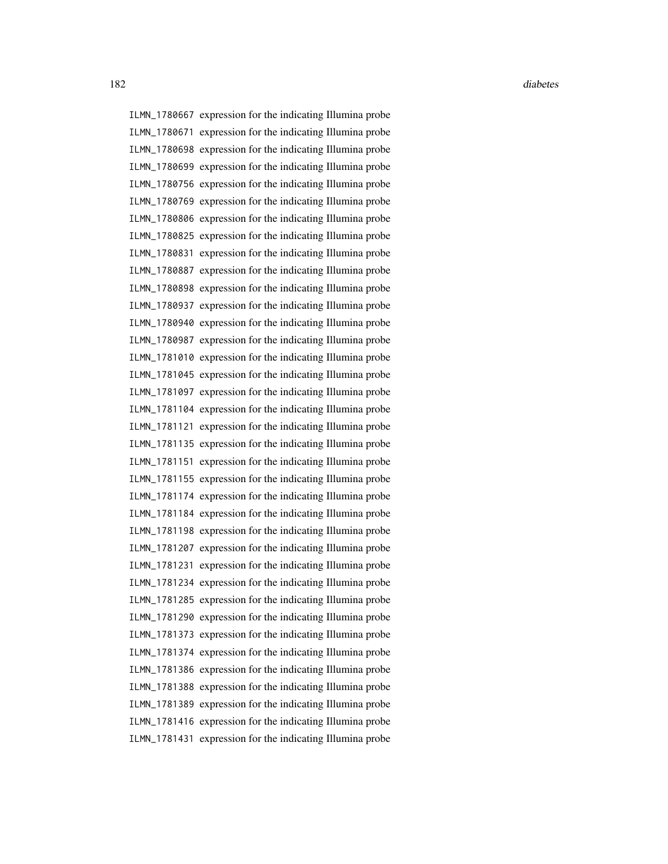ILMN\_1780667 expression for the indicating Illumina probe ILMN\_1780671 expression for the indicating Illumina probe ILMN\_1780698 expression for the indicating Illumina probe ILMN\_1780699 expression for the indicating Illumina probe ILMN\_1780756 expression for the indicating Illumina probe ILMN\_1780769 expression for the indicating Illumina probe ILMN\_1780806 expression for the indicating Illumina probe ILMN\_1780825 expression for the indicating Illumina probe ILMN\_1780831 expression for the indicating Illumina probe ILMN\_1780887 expression for the indicating Illumina probe ILMN\_1780898 expression for the indicating Illumina probe ILMN\_1780937 expression for the indicating Illumina probe ILMN\_1780940 expression for the indicating Illumina probe ILMN\_1780987 expression for the indicating Illumina probe ILMN\_1781010 expression for the indicating Illumina probe ILMN\_1781045 expression for the indicating Illumina probe ILMN\_1781097 expression for the indicating Illumina probe ILMN\_1781104 expression for the indicating Illumina probe ILMN\_1781121 expression for the indicating Illumina probe ILMN\_1781135 expression for the indicating Illumina probe ILMN\_1781151 expression for the indicating Illumina probe ILMN\_1781155 expression for the indicating Illumina probe ILMN\_1781174 expression for the indicating Illumina probe ILMN\_1781184 expression for the indicating Illumina probe ILMN\_1781198 expression for the indicating Illumina probe ILMN\_1781207 expression for the indicating Illumina probe ILMN\_1781231 expression for the indicating Illumina probe ILMN\_1781234 expression for the indicating Illumina probe ILMN\_1781285 expression for the indicating Illumina probe ILMN\_1781290 expression for the indicating Illumina probe ILMN\_1781373 expression for the indicating Illumina probe ILMN\_1781374 expression for the indicating Illumina probe ILMN\_1781386 expression for the indicating Illumina probe ILMN\_1781388 expression for the indicating Illumina probe ILMN\_1781389 expression for the indicating Illumina probe ILMN\_1781416 expression for the indicating Illumina probe ILMN\_1781431 expression for the indicating Illumina probe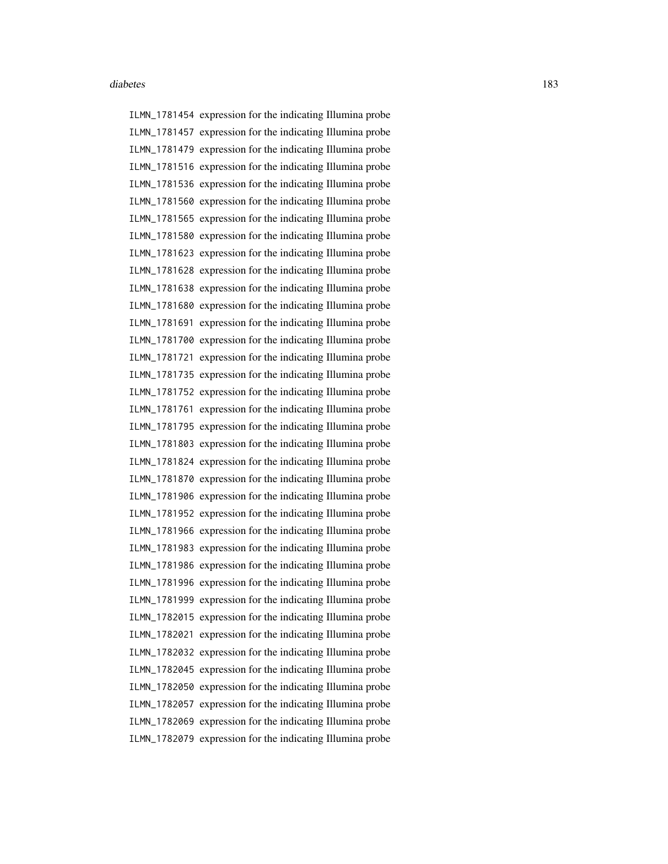ILMN\_1781454 expression for the indicating Illumina probe ILMN\_1781457 expression for the indicating Illumina probe ILMN\_1781479 expression for the indicating Illumina probe ILMN\_1781516 expression for the indicating Illumina probe ILMN\_1781536 expression for the indicating Illumina probe ILMN\_1781560 expression for the indicating Illumina probe ILMN\_1781565 expression for the indicating Illumina probe ILMN\_1781580 expression for the indicating Illumina probe ILMN\_1781623 expression for the indicating Illumina probe ILMN\_1781628 expression for the indicating Illumina probe ILMN\_1781638 expression for the indicating Illumina probe ILMN\_1781680 expression for the indicating Illumina probe ILMN\_1781691 expression for the indicating Illumina probe ILMN\_1781700 expression for the indicating Illumina probe ILMN\_1781721 expression for the indicating Illumina probe ILMN\_1781735 expression for the indicating Illumina probe ILMN\_1781752 expression for the indicating Illumina probe ILMN\_1781761 expression for the indicating Illumina probe ILMN\_1781795 expression for the indicating Illumina probe ILMN\_1781803 expression for the indicating Illumina probe ILMN\_1781824 expression for the indicating Illumina probe ILMN\_1781870 expression for the indicating Illumina probe ILMN\_1781906 expression for the indicating Illumina probe ILMN\_1781952 expression for the indicating Illumina probe ILMN\_1781966 expression for the indicating Illumina probe ILMN\_1781983 expression for the indicating Illumina probe ILMN\_1781986 expression for the indicating Illumina probe ILMN\_1781996 expression for the indicating Illumina probe ILMN\_1781999 expression for the indicating Illumina probe ILMN\_1782015 expression for the indicating Illumina probe ILMN\_1782021 expression for the indicating Illumina probe ILMN\_1782032 expression for the indicating Illumina probe ILMN\_1782045 expression for the indicating Illumina probe ILMN\_1782050 expression for the indicating Illumina probe ILMN\_1782057 expression for the indicating Illumina probe ILMN\_1782069 expression for the indicating Illumina probe ILMN\_1782079 expression for the indicating Illumina probe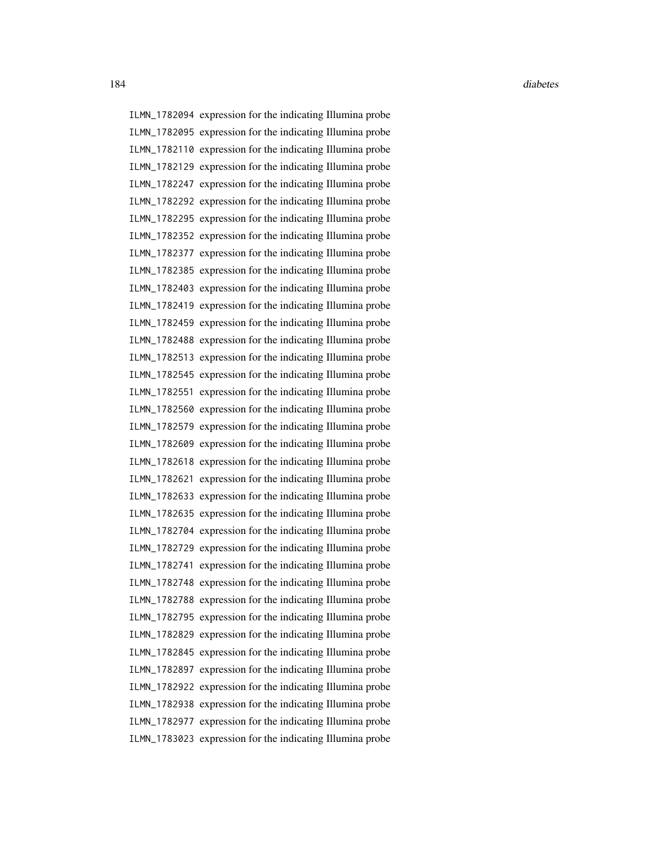ILMN\_1782094 expression for the indicating Illumina probe ILMN\_1782095 expression for the indicating Illumina probe ILMN\_1782110 expression for the indicating Illumina probe ILMN\_1782129 expression for the indicating Illumina probe ILMN\_1782247 expression for the indicating Illumina probe ILMN\_1782292 expression for the indicating Illumina probe ILMN\_1782295 expression for the indicating Illumina probe ILMN\_1782352 expression for the indicating Illumina probe ILMN\_1782377 expression for the indicating Illumina probe ILMN\_1782385 expression for the indicating Illumina probe ILMN\_1782403 expression for the indicating Illumina probe ILMN\_1782419 expression for the indicating Illumina probe ILMN\_1782459 expression for the indicating Illumina probe ILMN\_1782488 expression for the indicating Illumina probe ILMN\_1782513 expression for the indicating Illumina probe ILMN\_1782545 expression for the indicating Illumina probe ILMN\_1782551 expression for the indicating Illumina probe ILMN\_1782560 expression for the indicating Illumina probe ILMN\_1782579 expression for the indicating Illumina probe ILMN\_1782609 expression for the indicating Illumina probe ILMN\_1782618 expression for the indicating Illumina probe ILMN\_1782621 expression for the indicating Illumina probe ILMN\_1782633 expression for the indicating Illumina probe ILMN\_1782635 expression for the indicating Illumina probe ILMN\_1782704 expression for the indicating Illumina probe ILMN\_1782729 expression for the indicating Illumina probe ILMN\_1782741 expression for the indicating Illumina probe ILMN\_1782748 expression for the indicating Illumina probe ILMN\_1782788 expression for the indicating Illumina probe ILMN\_1782795 expression for the indicating Illumina probe ILMN\_1782829 expression for the indicating Illumina probe ILMN\_1782845 expression for the indicating Illumina probe ILMN\_1782897 expression for the indicating Illumina probe ILMN\_1782922 expression for the indicating Illumina probe ILMN\_1782938 expression for the indicating Illumina probe ILMN\_1782977 expression for the indicating Illumina probe ILMN\_1783023 expression for the indicating Illumina probe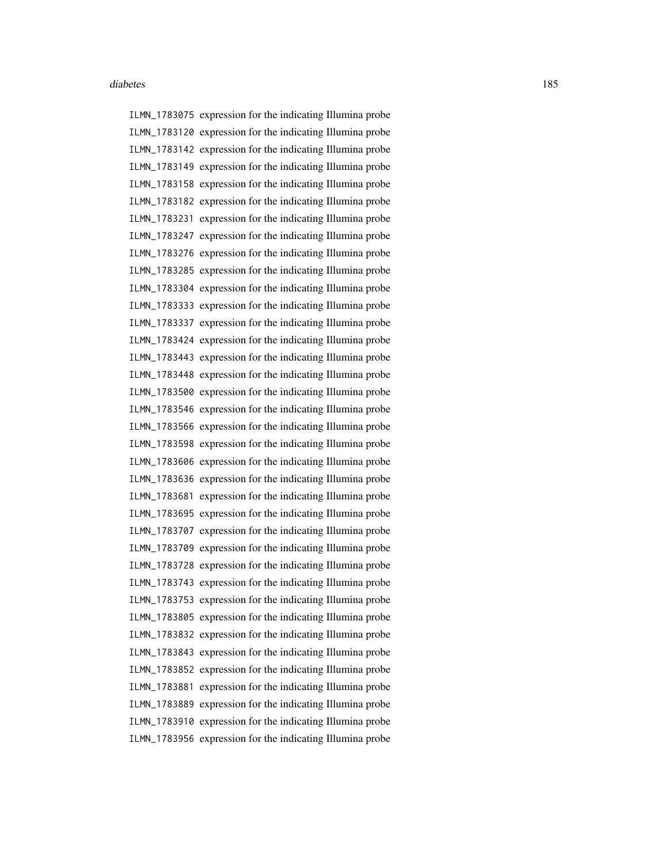ILMN\_1783075 expression for the indicating Illumina probe ILMN\_1783120 expression for the indicating Illumina probe ILMN\_1783142 expression for the indicating Illumina probe ILMN\_1783149 expression for the indicating Illumina probe ILMN\_1783158 expression for the indicating Illumina probe ILMN\_1783182 expression for the indicating Illumina probe ILMN\_1783231 expression for the indicating Illumina probe ILMN\_1783247 expression for the indicating Illumina probe ILMN\_1783276 expression for the indicating Illumina probe ILMN\_1783285 expression for the indicating Illumina probe ILMN\_1783304 expression for the indicating Illumina probe ILMN\_1783333 expression for the indicating Illumina probe ILMN\_1783337 expression for the indicating Illumina probe ILMN\_1783424 expression for the indicating Illumina probe ILMN\_1783443 expression for the indicating Illumina probe ILMN\_1783448 expression for the indicating Illumina probe ILMN\_1783500 expression for the indicating Illumina probe ILMN\_1783546 expression for the indicating Illumina probe ILMN\_1783566 expression for the indicating Illumina probe ILMN\_1783598 expression for the indicating Illumina probe ILMN\_1783606 expression for the indicating Illumina probe ILMN\_1783636 expression for the indicating Illumina probe ILMN\_1783681 expression for the indicating Illumina probe ILMN\_1783695 expression for the indicating Illumina probe ILMN\_1783707 expression for the indicating Illumina probe ILMN\_1783709 expression for the indicating Illumina probe ILMN\_1783728 expression for the indicating Illumina probe ILMN\_1783743 expression for the indicating Illumina probe ILMN\_1783753 expression for the indicating Illumina probe ILMN\_1783805 expression for the indicating Illumina probe ILMN\_1783832 expression for the indicating Illumina probe ILMN\_1783843 expression for the indicating Illumina probe ILMN\_1783852 expression for the indicating Illumina probe ILMN\_1783881 expression for the indicating Illumina probe ILMN\_1783889 expression for the indicating Illumina probe ILMN\_1783910 expression for the indicating Illumina probe ILMN\_1783956 expression for the indicating Illumina probe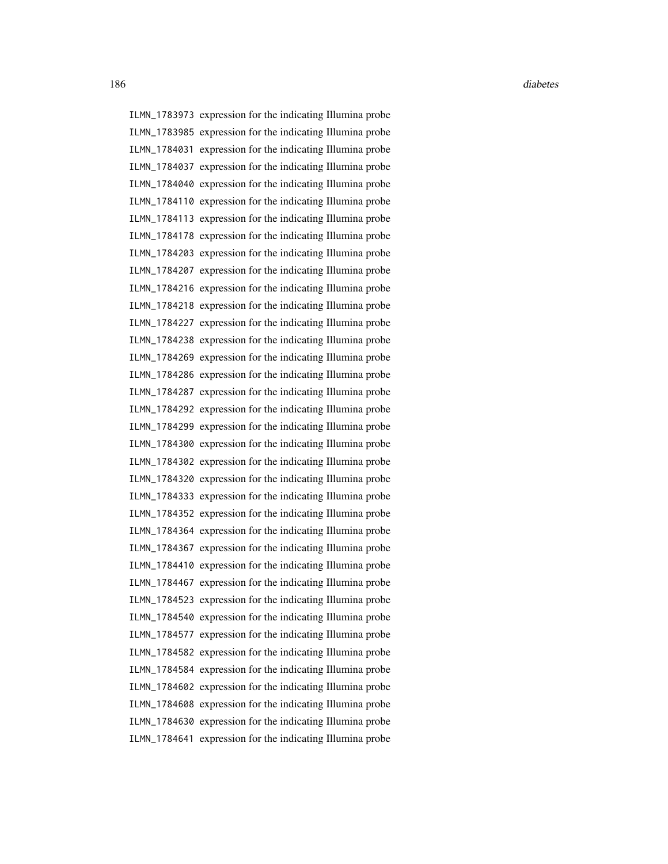ILMN\_1783973 expression for the indicating Illumina probe ILMN\_1783985 expression for the indicating Illumina probe ILMN\_1784031 expression for the indicating Illumina probe ILMN\_1784037 expression for the indicating Illumina probe ILMN\_1784040 expression for the indicating Illumina probe ILMN\_1784110 expression for the indicating Illumina probe ILMN\_1784113 expression for the indicating Illumina probe ILMN\_1784178 expression for the indicating Illumina probe ILMN\_1784203 expression for the indicating Illumina probe ILMN\_1784207 expression for the indicating Illumina probe ILMN\_1784216 expression for the indicating Illumina probe ILMN\_1784218 expression for the indicating Illumina probe ILMN\_1784227 expression for the indicating Illumina probe ILMN\_1784238 expression for the indicating Illumina probe ILMN\_1784269 expression for the indicating Illumina probe ILMN\_1784286 expression for the indicating Illumina probe ILMN\_1784287 expression for the indicating Illumina probe ILMN\_1784292 expression for the indicating Illumina probe ILMN\_1784299 expression for the indicating Illumina probe ILMN\_1784300 expression for the indicating Illumina probe ILMN\_1784302 expression for the indicating Illumina probe ILMN\_1784320 expression for the indicating Illumina probe ILMN\_1784333 expression for the indicating Illumina probe ILMN\_1784352 expression for the indicating Illumina probe ILMN\_1784364 expression for the indicating Illumina probe ILMN\_1784367 expression for the indicating Illumina probe ILMN\_1784410 expression for the indicating Illumina probe ILMN\_1784467 expression for the indicating Illumina probe ILMN\_1784523 expression for the indicating Illumina probe ILMN\_1784540 expression for the indicating Illumina probe ILMN\_1784577 expression for the indicating Illumina probe ILMN\_1784582 expression for the indicating Illumina probe ILMN\_1784584 expression for the indicating Illumina probe ILMN\_1784602 expression for the indicating Illumina probe ILMN\_1784608 expression for the indicating Illumina probe ILMN\_1784630 expression for the indicating Illumina probe ILMN\_1784641 expression for the indicating Illumina probe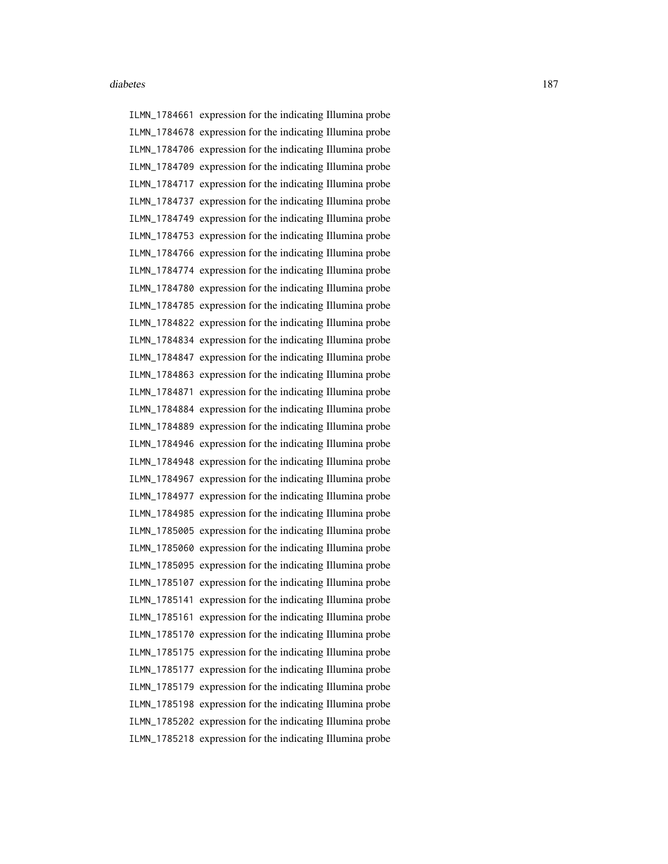ILMN\_1784661 expression for the indicating Illumina probe ILMN\_1784678 expression for the indicating Illumina probe ILMN\_1784706 expression for the indicating Illumina probe ILMN\_1784709 expression for the indicating Illumina probe ILMN\_1784717 expression for the indicating Illumina probe ILMN\_1784737 expression for the indicating Illumina probe ILMN\_1784749 expression for the indicating Illumina probe ILMN\_1784753 expression for the indicating Illumina probe ILMN\_1784766 expression for the indicating Illumina probe ILMN\_1784774 expression for the indicating Illumina probe ILMN\_1784780 expression for the indicating Illumina probe ILMN\_1784785 expression for the indicating Illumina probe ILMN\_1784822 expression for the indicating Illumina probe ILMN\_1784834 expression for the indicating Illumina probe ILMN\_1784847 expression for the indicating Illumina probe ILMN\_1784863 expression for the indicating Illumina probe ILMN\_1784871 expression for the indicating Illumina probe ILMN\_1784884 expression for the indicating Illumina probe ILMN\_1784889 expression for the indicating Illumina probe ILMN\_1784946 expression for the indicating Illumina probe ILMN\_1784948 expression for the indicating Illumina probe ILMN\_1784967 expression for the indicating Illumina probe ILMN\_1784977 expression for the indicating Illumina probe ILMN\_1784985 expression for the indicating Illumina probe ILMN\_1785005 expression for the indicating Illumina probe ILMN\_1785060 expression for the indicating Illumina probe ILMN\_1785095 expression for the indicating Illumina probe ILMN\_1785107 expression for the indicating Illumina probe ILMN\_1785141 expression for the indicating Illumina probe ILMN\_1785161 expression for the indicating Illumina probe ILMN\_1785170 expression for the indicating Illumina probe ILMN\_1785175 expression for the indicating Illumina probe ILMN\_1785177 expression for the indicating Illumina probe ILMN\_1785179 expression for the indicating Illumina probe ILMN\_1785198 expression for the indicating Illumina probe ILMN\_1785202 expression for the indicating Illumina probe ILMN\_1785218 expression for the indicating Illumina probe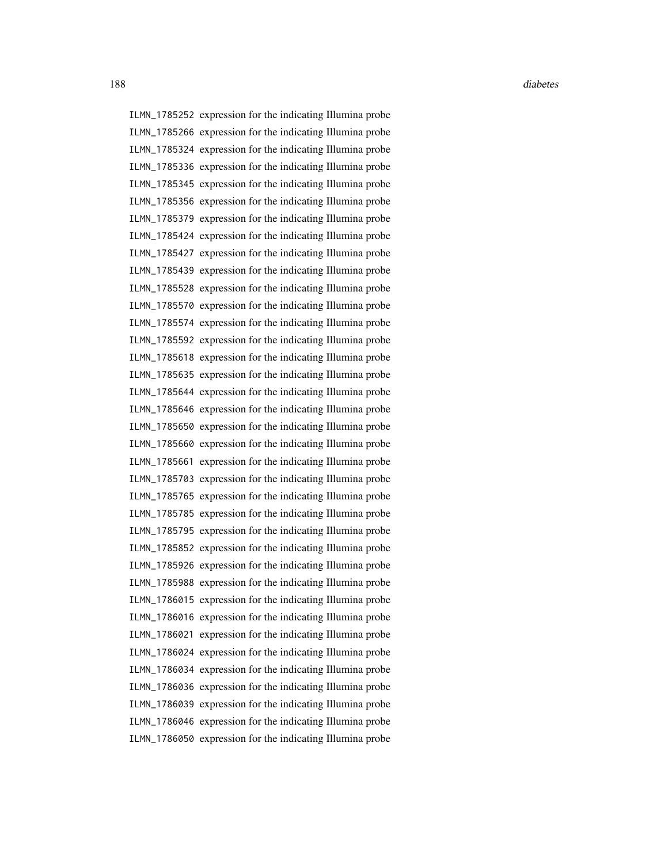ILMN\_1785252 expression for the indicating Illumina probe ILMN\_1785266 expression for the indicating Illumina probe ILMN\_1785324 expression for the indicating Illumina probe ILMN\_1785336 expression for the indicating Illumina probe ILMN\_1785345 expression for the indicating Illumina probe ILMN\_1785356 expression for the indicating Illumina probe ILMN\_1785379 expression for the indicating Illumina probe ILMN\_1785424 expression for the indicating Illumina probe ILMN\_1785427 expression for the indicating Illumina probe ILMN\_1785439 expression for the indicating Illumina probe ILMN\_1785528 expression for the indicating Illumina probe ILMN\_1785570 expression for the indicating Illumina probe ILMN\_1785574 expression for the indicating Illumina probe ILMN\_1785592 expression for the indicating Illumina probe ILMN\_1785618 expression for the indicating Illumina probe ILMN\_1785635 expression for the indicating Illumina probe ILMN\_1785644 expression for the indicating Illumina probe ILMN\_1785646 expression for the indicating Illumina probe ILMN\_1785650 expression for the indicating Illumina probe ILMN\_1785660 expression for the indicating Illumina probe ILMN\_1785661 expression for the indicating Illumina probe ILMN\_1785703 expression for the indicating Illumina probe ILMN\_1785765 expression for the indicating Illumina probe ILMN\_1785785 expression for the indicating Illumina probe ILMN\_1785795 expression for the indicating Illumina probe ILMN\_1785852 expression for the indicating Illumina probe ILMN\_1785926 expression for the indicating Illumina probe ILMN\_1785988 expression for the indicating Illumina probe ILMN\_1786015 expression for the indicating Illumina probe ILMN\_1786016 expression for the indicating Illumina probe ILMN\_1786021 expression for the indicating Illumina probe ILMN\_1786024 expression for the indicating Illumina probe ILMN\_1786034 expression for the indicating Illumina probe ILMN\_1786036 expression for the indicating Illumina probe ILMN\_1786039 expression for the indicating Illumina probe ILMN\_1786046 expression for the indicating Illumina probe ILMN\_1786050 expression for the indicating Illumina probe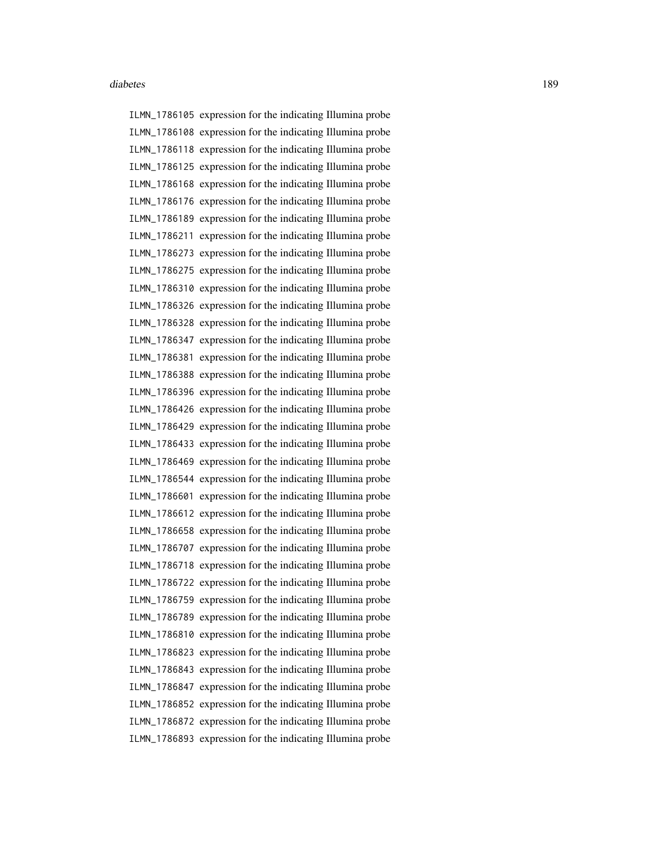ILMN\_1786105 expression for the indicating Illumina probe ILMN\_1786108 expression for the indicating Illumina probe ILMN\_1786118 expression for the indicating Illumina probe ILMN\_1786125 expression for the indicating Illumina probe ILMN\_1786168 expression for the indicating Illumina probe ILMN\_1786176 expression for the indicating Illumina probe ILMN\_1786189 expression for the indicating Illumina probe ILMN\_1786211 expression for the indicating Illumina probe ILMN\_1786273 expression for the indicating Illumina probe ILMN\_1786275 expression for the indicating Illumina probe ILMN\_1786310 expression for the indicating Illumina probe ILMN\_1786326 expression for the indicating Illumina probe ILMN\_1786328 expression for the indicating Illumina probe ILMN\_1786347 expression for the indicating Illumina probe ILMN\_1786381 expression for the indicating Illumina probe ILMN\_1786388 expression for the indicating Illumina probe ILMN\_1786396 expression for the indicating Illumina probe ILMN\_1786426 expression for the indicating Illumina probe ILMN\_1786429 expression for the indicating Illumina probe ILMN\_1786433 expression for the indicating Illumina probe ILMN\_1786469 expression for the indicating Illumina probe ILMN\_1786544 expression for the indicating Illumina probe ILMN\_1786601 expression for the indicating Illumina probe ILMN\_1786612 expression for the indicating Illumina probe ILMN\_1786658 expression for the indicating Illumina probe ILMN\_1786707 expression for the indicating Illumina probe ILMN\_1786718 expression for the indicating Illumina probe ILMN\_1786722 expression for the indicating Illumina probe ILMN\_1786759 expression for the indicating Illumina probe ILMN\_1786789 expression for the indicating Illumina probe ILMN\_1786810 expression for the indicating Illumina probe ILMN\_1786823 expression for the indicating Illumina probe ILMN\_1786843 expression for the indicating Illumina probe ILMN\_1786847 expression for the indicating Illumina probe ILMN\_1786852 expression for the indicating Illumina probe ILMN\_1786872 expression for the indicating Illumina probe ILMN\_1786893 expression for the indicating Illumina probe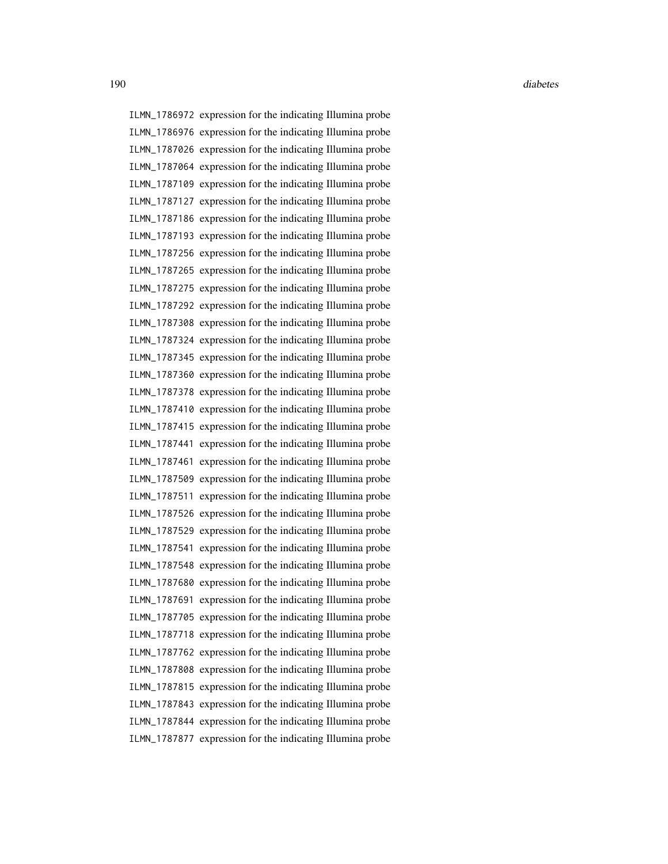ILMN\_1786972 expression for the indicating Illumina probe ILMN\_1786976 expression for the indicating Illumina probe ILMN\_1787026 expression for the indicating Illumina probe ILMN\_1787064 expression for the indicating Illumina probe ILMN\_1787109 expression for the indicating Illumina probe ILMN\_1787127 expression for the indicating Illumina probe ILMN\_1787186 expression for the indicating Illumina probe ILMN\_1787193 expression for the indicating Illumina probe ILMN\_1787256 expression for the indicating Illumina probe ILMN\_1787265 expression for the indicating Illumina probe ILMN\_1787275 expression for the indicating Illumina probe ILMN\_1787292 expression for the indicating Illumina probe ILMN\_1787308 expression for the indicating Illumina probe ILMN\_1787324 expression for the indicating Illumina probe ILMN\_1787345 expression for the indicating Illumina probe ILMN\_1787360 expression for the indicating Illumina probe ILMN\_1787378 expression for the indicating Illumina probe ILMN\_1787410 expression for the indicating Illumina probe ILMN\_1787415 expression for the indicating Illumina probe ILMN\_1787441 expression for the indicating Illumina probe ILMN\_1787461 expression for the indicating Illumina probe ILMN\_1787509 expression for the indicating Illumina probe ILMN\_1787511 expression for the indicating Illumina probe ILMN\_1787526 expression for the indicating Illumina probe ILMN\_1787529 expression for the indicating Illumina probe ILMN\_1787541 expression for the indicating Illumina probe ILMN\_1787548 expression for the indicating Illumina probe ILMN\_1787680 expression for the indicating Illumina probe ILMN\_1787691 expression for the indicating Illumina probe ILMN\_1787705 expression for the indicating Illumina probe ILMN\_1787718 expression for the indicating Illumina probe ILMN\_1787762 expression for the indicating Illumina probe ILMN\_1787808 expression for the indicating Illumina probe ILMN\_1787815 expression for the indicating Illumina probe ILMN\_1787843 expression for the indicating Illumina probe ILMN\_1787844 expression for the indicating Illumina probe ILMN\_1787877 expression for the indicating Illumina probe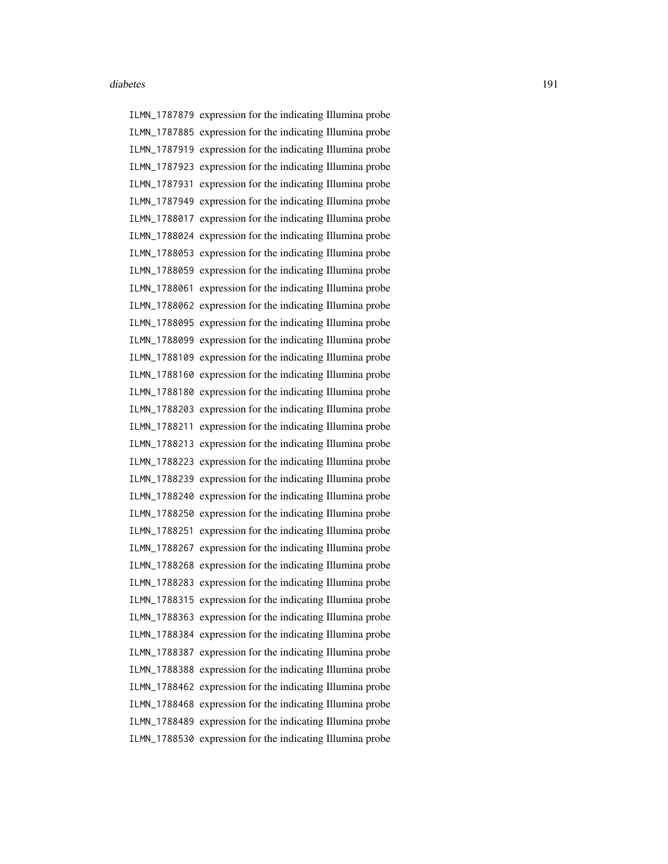ILMN\_1787879 expression for the indicating Illumina probe ILMN\_1787885 expression for the indicating Illumina probe ILMN\_1787919 expression for the indicating Illumina probe ILMN\_1787923 expression for the indicating Illumina probe ILMN\_1787931 expression for the indicating Illumina probe ILMN\_1787949 expression for the indicating Illumina probe ILMN\_1788017 expression for the indicating Illumina probe ILMN\_1788024 expression for the indicating Illumina probe ILMN\_1788053 expression for the indicating Illumina probe ILMN\_1788059 expression for the indicating Illumina probe ILMN\_1788061 expression for the indicating Illumina probe ILMN\_1788062 expression for the indicating Illumina probe ILMN\_1788095 expression for the indicating Illumina probe ILMN\_1788099 expression for the indicating Illumina probe ILMN\_1788109 expression for the indicating Illumina probe ILMN\_1788160 expression for the indicating Illumina probe ILMN\_1788180 expression for the indicating Illumina probe ILMN\_1788203 expression for the indicating Illumina probe ILMN\_1788211 expression for the indicating Illumina probe ILMN\_1788213 expression for the indicating Illumina probe ILMN\_1788223 expression for the indicating Illumina probe ILMN\_1788239 expression for the indicating Illumina probe ILMN\_1788240 expression for the indicating Illumina probe ILMN\_1788250 expression for the indicating Illumina probe ILMN\_1788251 expression for the indicating Illumina probe ILMN\_1788267 expression for the indicating Illumina probe ILMN\_1788268 expression for the indicating Illumina probe ILMN\_1788283 expression for the indicating Illumina probe ILMN\_1788315 expression for the indicating Illumina probe ILMN\_1788363 expression for the indicating Illumina probe ILMN\_1788384 expression for the indicating Illumina probe ILMN\_1788387 expression for the indicating Illumina probe ILMN\_1788388 expression for the indicating Illumina probe ILMN\_1788462 expression for the indicating Illumina probe ILMN\_1788468 expression for the indicating Illumina probe ILMN\_1788489 expression for the indicating Illumina probe ILMN\_1788530 expression for the indicating Illumina probe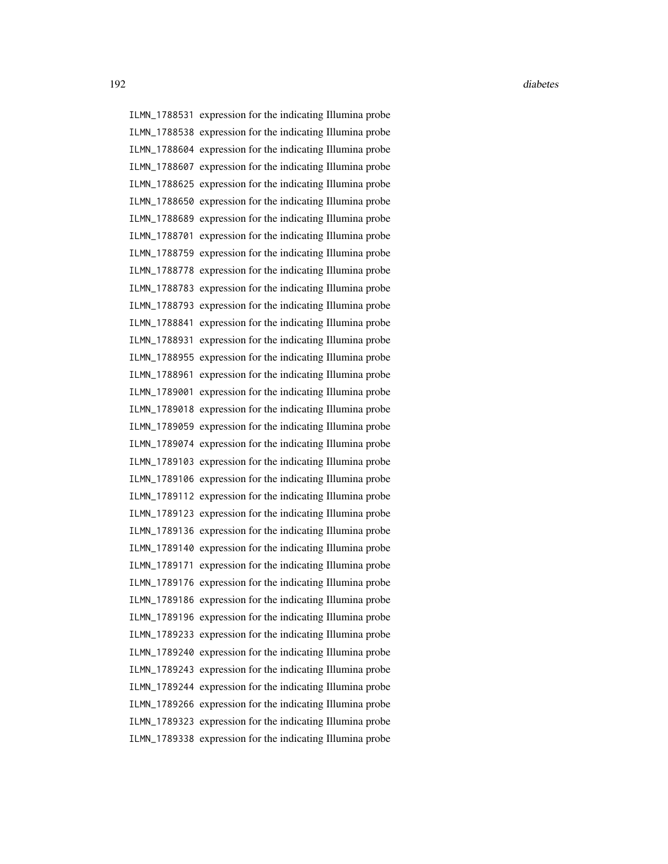ILMN\_1788531 expression for the indicating Illumina probe ILMN\_1788538 expression for the indicating Illumina probe ILMN\_1788604 expression for the indicating Illumina probe ILMN\_1788607 expression for the indicating Illumina probe ILMN\_1788625 expression for the indicating Illumina probe ILMN\_1788650 expression for the indicating Illumina probe ILMN\_1788689 expression for the indicating Illumina probe ILMN\_1788701 expression for the indicating Illumina probe ILMN\_1788759 expression for the indicating Illumina probe ILMN\_1788778 expression for the indicating Illumina probe ILMN\_1788783 expression for the indicating Illumina probe ILMN\_1788793 expression for the indicating Illumina probe ILMN\_1788841 expression for the indicating Illumina probe ILMN\_1788931 expression for the indicating Illumina probe ILMN\_1788955 expression for the indicating Illumina probe ILMN\_1788961 expression for the indicating Illumina probe ILMN\_1789001 expression for the indicating Illumina probe ILMN\_1789018 expression for the indicating Illumina probe ILMN\_1789059 expression for the indicating Illumina probe ILMN\_1789074 expression for the indicating Illumina probe ILMN\_1789103 expression for the indicating Illumina probe ILMN\_1789106 expression for the indicating Illumina probe ILMN\_1789112 expression for the indicating Illumina probe ILMN\_1789123 expression for the indicating Illumina probe ILMN\_1789136 expression for the indicating Illumina probe ILMN\_1789140 expression for the indicating Illumina probe ILMN\_1789171 expression for the indicating Illumina probe ILMN\_1789176 expression for the indicating Illumina probe ILMN\_1789186 expression for the indicating Illumina probe ILMN\_1789196 expression for the indicating Illumina probe ILMN\_1789233 expression for the indicating Illumina probe ILMN\_1789240 expression for the indicating Illumina probe ILMN\_1789243 expression for the indicating Illumina probe ILMN\_1789244 expression for the indicating Illumina probe ILMN\_1789266 expression for the indicating Illumina probe ILMN\_1789323 expression for the indicating Illumina probe ILMN\_1789338 expression for the indicating Illumina probe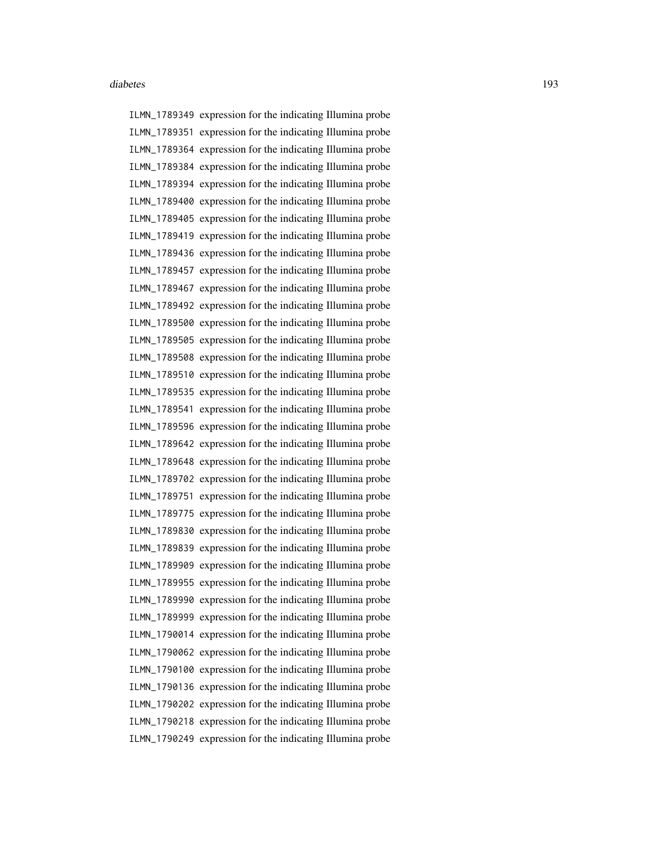ILMN\_1789349 expression for the indicating Illumina probe ILMN\_1789351 expression for the indicating Illumina probe ILMN\_1789364 expression for the indicating Illumina probe ILMN\_1789384 expression for the indicating Illumina probe ILMN\_1789394 expression for the indicating Illumina probe ILMN\_1789400 expression for the indicating Illumina probe ILMN\_1789405 expression for the indicating Illumina probe ILMN\_1789419 expression for the indicating Illumina probe ILMN\_1789436 expression for the indicating Illumina probe ILMN\_1789457 expression for the indicating Illumina probe ILMN\_1789467 expression for the indicating Illumina probe ILMN\_1789492 expression for the indicating Illumina probe ILMN\_1789500 expression for the indicating Illumina probe ILMN\_1789505 expression for the indicating Illumina probe ILMN\_1789508 expression for the indicating Illumina probe ILMN\_1789510 expression for the indicating Illumina probe ILMN\_1789535 expression for the indicating Illumina probe ILMN\_1789541 expression for the indicating Illumina probe ILMN\_1789596 expression for the indicating Illumina probe ILMN\_1789642 expression for the indicating Illumina probe ILMN\_1789648 expression for the indicating Illumina probe ILMN\_1789702 expression for the indicating Illumina probe ILMN\_1789751 expression for the indicating Illumina probe ILMN\_1789775 expression for the indicating Illumina probe ILMN\_1789830 expression for the indicating Illumina probe ILMN\_1789839 expression for the indicating Illumina probe ILMN\_1789909 expression for the indicating Illumina probe ILMN\_1789955 expression for the indicating Illumina probe ILMN\_1789990 expression for the indicating Illumina probe ILMN\_1789999 expression for the indicating Illumina probe ILMN\_1790014 expression for the indicating Illumina probe ILMN\_1790062 expression for the indicating Illumina probe ILMN\_1790100 expression for the indicating Illumina probe ILMN\_1790136 expression for the indicating Illumina probe ILMN\_1790202 expression for the indicating Illumina probe ILMN\_1790218 expression for the indicating Illumina probe ILMN\_1790249 expression for the indicating Illumina probe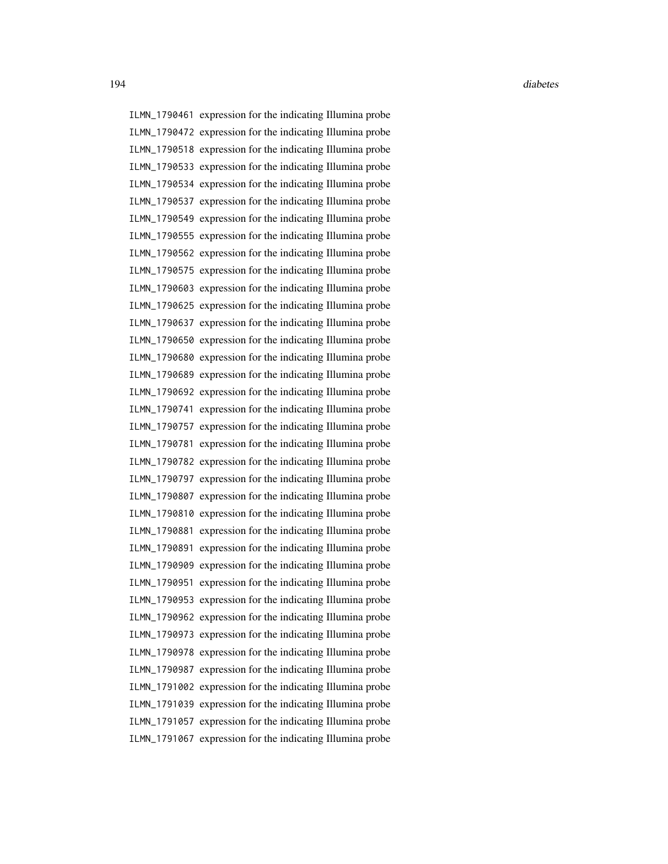ILMN\_1790461 expression for the indicating Illumina probe ILMN\_1790472 expression for the indicating Illumina probe ILMN\_1790518 expression for the indicating Illumina probe ILMN\_1790533 expression for the indicating Illumina probe ILMN\_1790534 expression for the indicating Illumina probe ILMN\_1790537 expression for the indicating Illumina probe ILMN\_1790549 expression for the indicating Illumina probe ILMN\_1790555 expression for the indicating Illumina probe ILMN\_1790562 expression for the indicating Illumina probe ILMN\_1790575 expression for the indicating Illumina probe ILMN\_1790603 expression for the indicating Illumina probe ILMN\_1790625 expression for the indicating Illumina probe ILMN\_1790637 expression for the indicating Illumina probe ILMN\_1790650 expression for the indicating Illumina probe ILMN\_1790680 expression for the indicating Illumina probe ILMN\_1790689 expression for the indicating Illumina probe ILMN\_1790692 expression for the indicating Illumina probe ILMN\_1790741 expression for the indicating Illumina probe ILMN\_1790757 expression for the indicating Illumina probe ILMN\_1790781 expression for the indicating Illumina probe ILMN\_1790782 expression for the indicating Illumina probe ILMN\_1790797 expression for the indicating Illumina probe ILMN\_1790807 expression for the indicating Illumina probe ILMN\_1790810 expression for the indicating Illumina probe ILMN\_1790881 expression for the indicating Illumina probe ILMN\_1790891 expression for the indicating Illumina probe ILMN\_1790909 expression for the indicating Illumina probe ILMN\_1790951 expression for the indicating Illumina probe ILMN\_1790953 expression for the indicating Illumina probe ILMN\_1790962 expression for the indicating Illumina probe ILMN\_1790973 expression for the indicating Illumina probe ILMN\_1790978 expression for the indicating Illumina probe ILMN\_1790987 expression for the indicating Illumina probe ILMN\_1791002 expression for the indicating Illumina probe ILMN\_1791039 expression for the indicating Illumina probe ILMN\_1791057 expression for the indicating Illumina probe ILMN\_1791067 expression for the indicating Illumina probe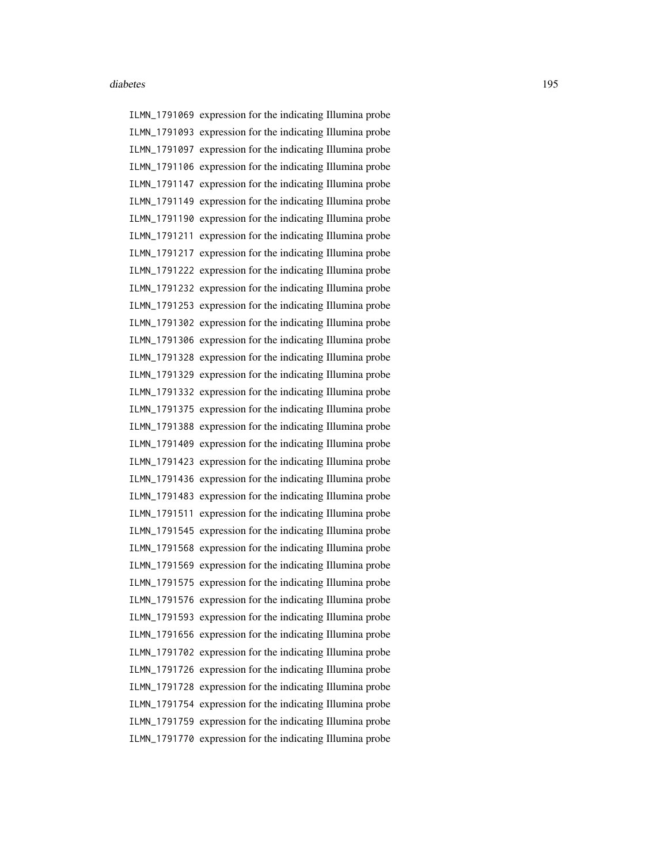ILMN\_1791069 expression for the indicating Illumina probe ILMN\_1791093 expression for the indicating Illumina probe ILMN\_1791097 expression for the indicating Illumina probe ILMN\_1791106 expression for the indicating Illumina probe ILMN\_1791147 expression for the indicating Illumina probe ILMN\_1791149 expression for the indicating Illumina probe ILMN\_1791190 expression for the indicating Illumina probe ILMN\_1791211 expression for the indicating Illumina probe ILMN\_1791217 expression for the indicating Illumina probe ILMN\_1791222 expression for the indicating Illumina probe ILMN\_1791232 expression for the indicating Illumina probe ILMN\_1791253 expression for the indicating Illumina probe ILMN\_1791302 expression for the indicating Illumina probe ILMN\_1791306 expression for the indicating Illumina probe ILMN\_1791328 expression for the indicating Illumina probe ILMN\_1791329 expression for the indicating Illumina probe ILMN\_1791332 expression for the indicating Illumina probe ILMN\_1791375 expression for the indicating Illumina probe ILMN\_1791388 expression for the indicating Illumina probe ILMN\_1791409 expression for the indicating Illumina probe ILMN\_1791423 expression for the indicating Illumina probe ILMN\_1791436 expression for the indicating Illumina probe ILMN\_1791483 expression for the indicating Illumina probe ILMN\_1791511 expression for the indicating Illumina probe ILMN\_1791545 expression for the indicating Illumina probe ILMN\_1791568 expression for the indicating Illumina probe ILMN\_1791569 expression for the indicating Illumina probe ILMN\_1791575 expression for the indicating Illumina probe ILMN\_1791576 expression for the indicating Illumina probe ILMN\_1791593 expression for the indicating Illumina probe ILMN\_1791656 expression for the indicating Illumina probe ILMN\_1791702 expression for the indicating Illumina probe ILMN\_1791726 expression for the indicating Illumina probe ILMN\_1791728 expression for the indicating Illumina probe ILMN\_1791754 expression for the indicating Illumina probe ILMN\_1791759 expression for the indicating Illumina probe ILMN\_1791770 expression for the indicating Illumina probe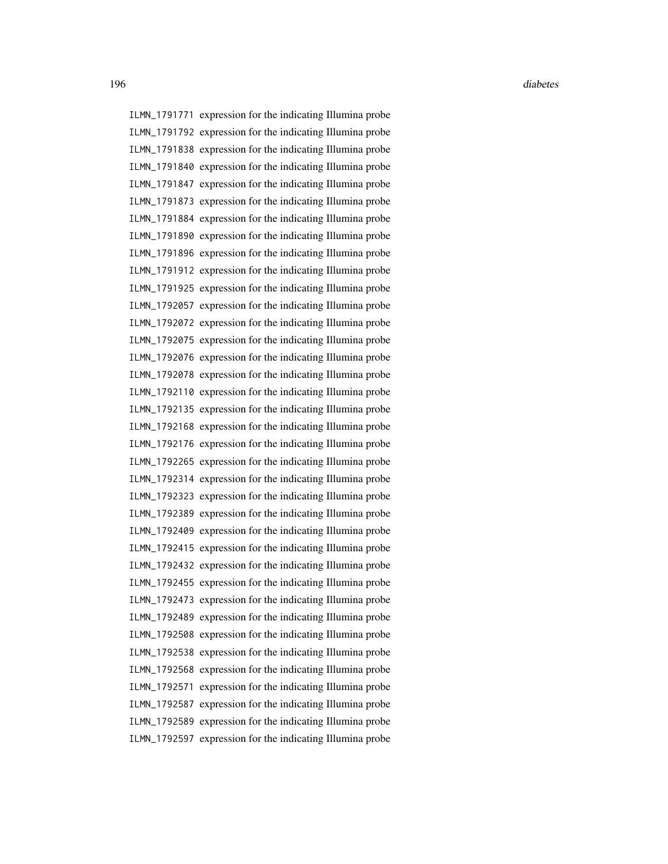ILMN\_1791771 expression for the indicating Illumina probe ILMN\_1791792 expression for the indicating Illumina probe ILMN\_1791838 expression for the indicating Illumina probe ILMN\_1791840 expression for the indicating Illumina probe ILMN\_1791847 expression for the indicating Illumina probe ILMN\_1791873 expression for the indicating Illumina probe ILMN\_1791884 expression for the indicating Illumina probe ILMN\_1791890 expression for the indicating Illumina probe ILMN\_1791896 expression for the indicating Illumina probe ILMN\_1791912 expression for the indicating Illumina probe ILMN\_1791925 expression for the indicating Illumina probe ILMN\_1792057 expression for the indicating Illumina probe ILMN\_1792072 expression for the indicating Illumina probe ILMN\_1792075 expression for the indicating Illumina probe ILMN\_1792076 expression for the indicating Illumina probe ILMN\_1792078 expression for the indicating Illumina probe ILMN\_1792110 expression for the indicating Illumina probe ILMN\_1792135 expression for the indicating Illumina probe ILMN\_1792168 expression for the indicating Illumina probe ILMN\_1792176 expression for the indicating Illumina probe ILMN\_1792265 expression for the indicating Illumina probe ILMN\_1792314 expression for the indicating Illumina probe ILMN\_1792323 expression for the indicating Illumina probe ILMN\_1792389 expression for the indicating Illumina probe ILMN\_1792409 expression for the indicating Illumina probe ILMN\_1792415 expression for the indicating Illumina probe ILMN\_1792432 expression for the indicating Illumina probe ILMN\_1792455 expression for the indicating Illumina probe ILMN\_1792473 expression for the indicating Illumina probe ILMN\_1792489 expression for the indicating Illumina probe ILMN\_1792508 expression for the indicating Illumina probe ILMN\_1792538 expression for the indicating Illumina probe ILMN\_1792568 expression for the indicating Illumina probe ILMN\_1792571 expression for the indicating Illumina probe ILMN\_1792587 expression for the indicating Illumina probe ILMN\_1792589 expression for the indicating Illumina probe ILMN\_1792597 expression for the indicating Illumina probe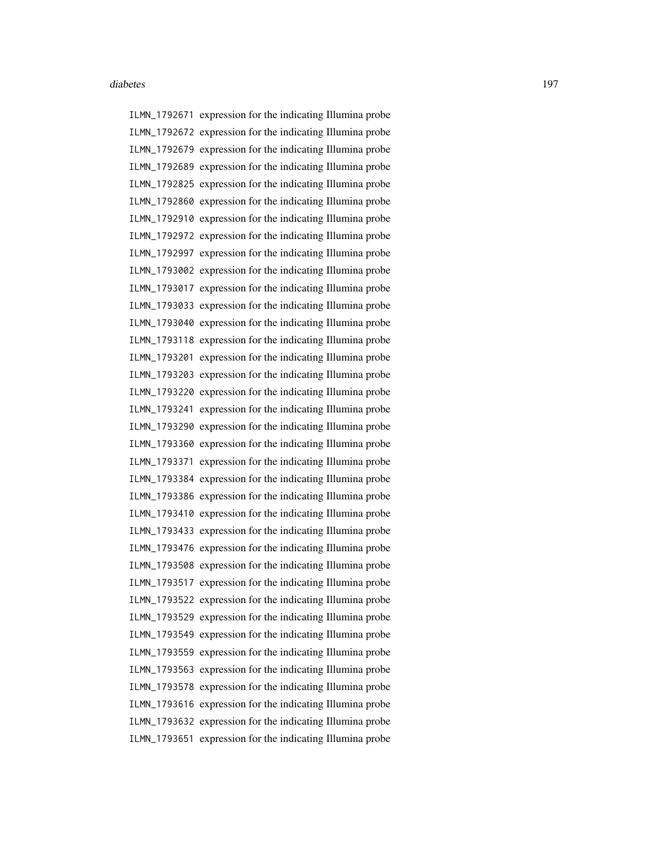ILMN\_1792671 expression for the indicating Illumina probe ILMN\_1792672 expression for the indicating Illumina probe ILMN\_1792679 expression for the indicating Illumina probe ILMN\_1792689 expression for the indicating Illumina probe ILMN\_1792825 expression for the indicating Illumina probe ILMN\_1792860 expression for the indicating Illumina probe ILMN\_1792910 expression for the indicating Illumina probe ILMN\_1792972 expression for the indicating Illumina probe ILMN\_1792997 expression for the indicating Illumina probe ILMN\_1793002 expression for the indicating Illumina probe ILMN\_1793017 expression for the indicating Illumina probe ILMN\_1793033 expression for the indicating Illumina probe ILMN\_1793040 expression for the indicating Illumina probe ILMN\_1793118 expression for the indicating Illumina probe ILMN\_1793201 expression for the indicating Illumina probe ILMN\_1793203 expression for the indicating Illumina probe ILMN\_1793220 expression for the indicating Illumina probe ILMN\_1793241 expression for the indicating Illumina probe ILMN\_1793290 expression for the indicating Illumina probe ILMN\_1793360 expression for the indicating Illumina probe ILMN\_1793371 expression for the indicating Illumina probe ILMN\_1793384 expression for the indicating Illumina probe ILMN\_1793386 expression for the indicating Illumina probe ILMN\_1793410 expression for the indicating Illumina probe ILMN\_1793433 expression for the indicating Illumina probe ILMN\_1793476 expression for the indicating Illumina probe ILMN\_1793508 expression for the indicating Illumina probe ILMN\_1793517 expression for the indicating Illumina probe ILMN\_1793522 expression for the indicating Illumina probe ILMN\_1793529 expression for the indicating Illumina probe ILMN\_1793549 expression for the indicating Illumina probe ILMN\_1793559 expression for the indicating Illumina probe ILMN\_1793563 expression for the indicating Illumina probe ILMN\_1793578 expression for the indicating Illumina probe ILMN\_1793616 expression for the indicating Illumina probe ILMN\_1793632 expression for the indicating Illumina probe ILMN\_1793651 expression for the indicating Illumina probe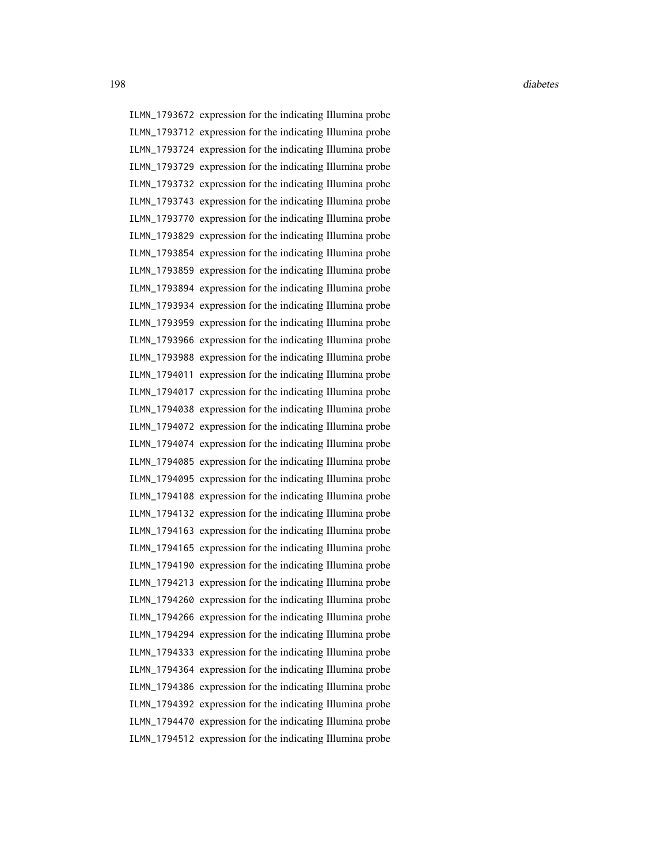ILMN\_1793672 expression for the indicating Illumina probe ILMN\_1793712 expression for the indicating Illumina probe ILMN\_1793724 expression for the indicating Illumina probe ILMN\_1793729 expression for the indicating Illumina probe ILMN\_1793732 expression for the indicating Illumina probe ILMN\_1793743 expression for the indicating Illumina probe ILMN\_1793770 expression for the indicating Illumina probe ILMN\_1793829 expression for the indicating Illumina probe ILMN\_1793854 expression for the indicating Illumina probe ILMN\_1793859 expression for the indicating Illumina probe ILMN\_1793894 expression for the indicating Illumina probe ILMN\_1793934 expression for the indicating Illumina probe ILMN\_1793959 expression for the indicating Illumina probe ILMN\_1793966 expression for the indicating Illumina probe ILMN\_1793988 expression for the indicating Illumina probe ILMN\_1794011 expression for the indicating Illumina probe ILMN\_1794017 expression for the indicating Illumina probe ILMN\_1794038 expression for the indicating Illumina probe ILMN\_1794072 expression for the indicating Illumina probe ILMN\_1794074 expression for the indicating Illumina probe ILMN\_1794085 expression for the indicating Illumina probe ILMN\_1794095 expression for the indicating Illumina probe ILMN\_1794108 expression for the indicating Illumina probe ILMN\_1794132 expression for the indicating Illumina probe ILMN\_1794163 expression for the indicating Illumina probe ILMN\_1794165 expression for the indicating Illumina probe ILMN\_1794190 expression for the indicating Illumina probe ILMN\_1794213 expression for the indicating Illumina probe ILMN\_1794260 expression for the indicating Illumina probe ILMN\_1794266 expression for the indicating Illumina probe ILMN\_1794294 expression for the indicating Illumina probe ILMN\_1794333 expression for the indicating Illumina probe ILMN\_1794364 expression for the indicating Illumina probe ILMN\_1794386 expression for the indicating Illumina probe ILMN\_1794392 expression for the indicating Illumina probe ILMN\_1794470 expression for the indicating Illumina probe ILMN\_1794512 expression for the indicating Illumina probe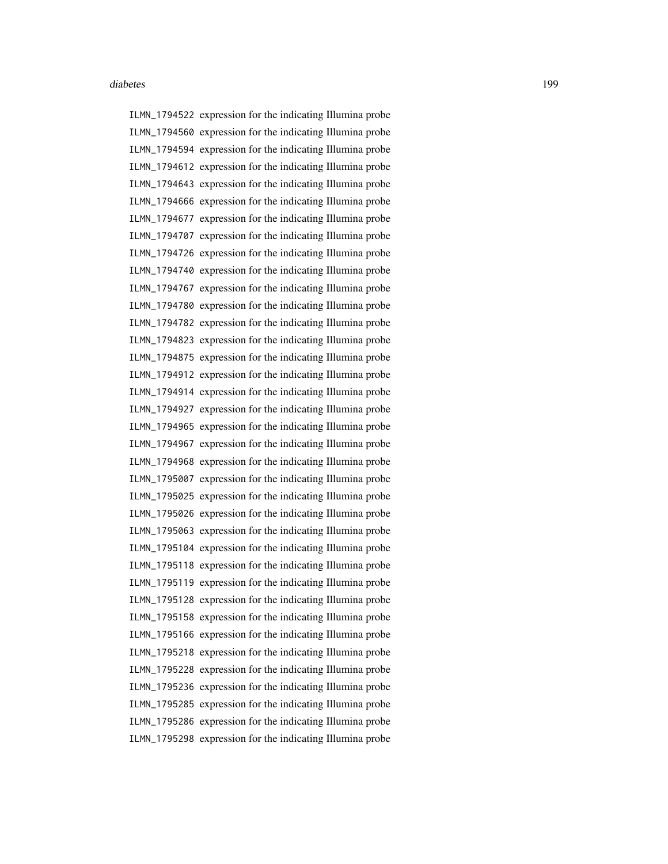ILMN\_1794522 expression for the indicating Illumina probe ILMN\_1794560 expression for the indicating Illumina probe ILMN\_1794594 expression for the indicating Illumina probe ILMN\_1794612 expression for the indicating Illumina probe ILMN\_1794643 expression for the indicating Illumina probe ILMN\_1794666 expression for the indicating Illumina probe ILMN\_1794677 expression for the indicating Illumina probe ILMN\_1794707 expression for the indicating Illumina probe ILMN\_1794726 expression for the indicating Illumina probe ILMN\_1794740 expression for the indicating Illumina probe ILMN\_1794767 expression for the indicating Illumina probe ILMN\_1794780 expression for the indicating Illumina probe ILMN\_1794782 expression for the indicating Illumina probe ILMN\_1794823 expression for the indicating Illumina probe ILMN\_1794875 expression for the indicating Illumina probe ILMN\_1794912 expression for the indicating Illumina probe ILMN\_1794914 expression for the indicating Illumina probe ILMN\_1794927 expression for the indicating Illumina probe ILMN\_1794965 expression for the indicating Illumina probe ILMN\_1794967 expression for the indicating Illumina probe ILMN\_1794968 expression for the indicating Illumina probe ILMN\_1795007 expression for the indicating Illumina probe ILMN\_1795025 expression for the indicating Illumina probe ILMN\_1795026 expression for the indicating Illumina probe ILMN\_1795063 expression for the indicating Illumina probe ILMN\_1795104 expression for the indicating Illumina probe ILMN\_1795118 expression for the indicating Illumina probe ILMN\_1795119 expression for the indicating Illumina probe ILMN\_1795128 expression for the indicating Illumina probe ILMN\_1795158 expression for the indicating Illumina probe ILMN\_1795166 expression for the indicating Illumina probe ILMN\_1795218 expression for the indicating Illumina probe ILMN\_1795228 expression for the indicating Illumina probe ILMN\_1795236 expression for the indicating Illumina probe ILMN\_1795285 expression for the indicating Illumina probe ILMN\_1795286 expression for the indicating Illumina probe ILMN\_1795298 expression for the indicating Illumina probe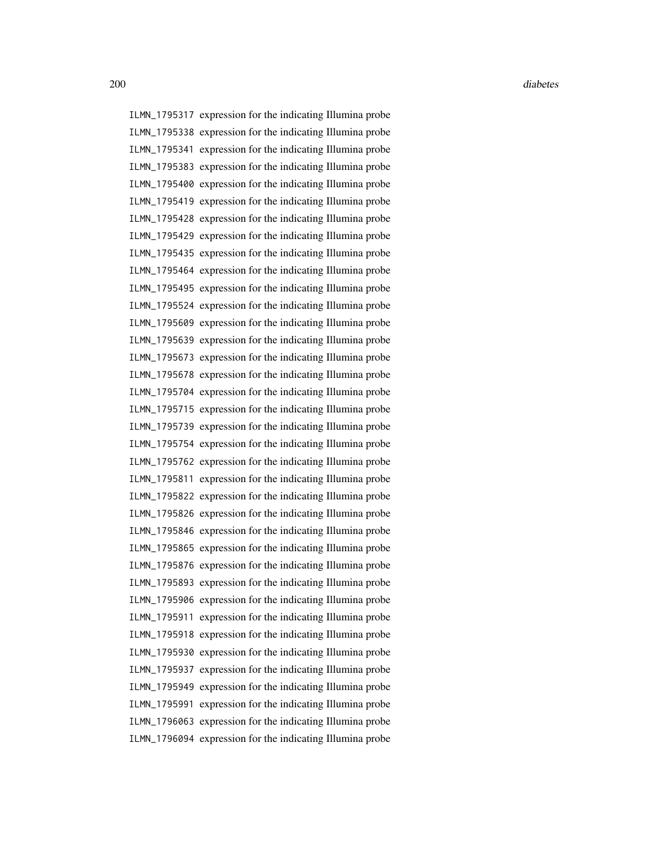ILMN\_1795317 expression for the indicating Illumina probe ILMN\_1795338 expression for the indicating Illumina probe ILMN\_1795341 expression for the indicating Illumina probe ILMN\_1795383 expression for the indicating Illumina probe ILMN\_1795400 expression for the indicating Illumina probe ILMN\_1795419 expression for the indicating Illumina probe ILMN\_1795428 expression for the indicating Illumina probe ILMN\_1795429 expression for the indicating Illumina probe ILMN\_1795435 expression for the indicating Illumina probe ILMN\_1795464 expression for the indicating Illumina probe ILMN\_1795495 expression for the indicating Illumina probe ILMN\_1795524 expression for the indicating Illumina probe ILMN\_1795609 expression for the indicating Illumina probe ILMN\_1795639 expression for the indicating Illumina probe ILMN\_1795673 expression for the indicating Illumina probe ILMN\_1795678 expression for the indicating Illumina probe ILMN\_1795704 expression for the indicating Illumina probe ILMN\_1795715 expression for the indicating Illumina probe ILMN\_1795739 expression for the indicating Illumina probe ILMN\_1795754 expression for the indicating Illumina probe ILMN\_1795762 expression for the indicating Illumina probe ILMN\_1795811 expression for the indicating Illumina probe ILMN\_1795822 expression for the indicating Illumina probe ILMN\_1795826 expression for the indicating Illumina probe ILMN\_1795846 expression for the indicating Illumina probe ILMN\_1795865 expression for the indicating Illumina probe ILMN\_1795876 expression for the indicating Illumina probe ILMN\_1795893 expression for the indicating Illumina probe ILMN\_1795906 expression for the indicating Illumina probe ILMN\_1795911 expression for the indicating Illumina probe ILMN\_1795918 expression for the indicating Illumina probe ILMN\_1795930 expression for the indicating Illumina probe ILMN\_1795937 expression for the indicating Illumina probe ILMN\_1795949 expression for the indicating Illumina probe ILMN\_1795991 expression for the indicating Illumina probe ILMN\_1796063 expression for the indicating Illumina probe ILMN\_1796094 expression for the indicating Illumina probe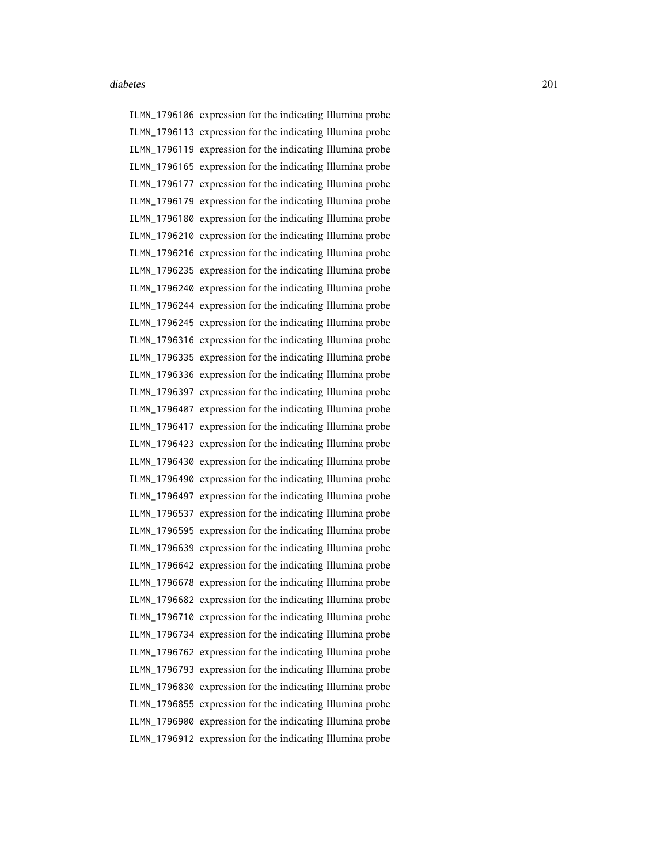ILMN\_1796106 expression for the indicating Illumina probe ILMN\_1796113 expression for the indicating Illumina probe ILMN\_1796119 expression for the indicating Illumina probe ILMN\_1796165 expression for the indicating Illumina probe ILMN\_1796177 expression for the indicating Illumina probe ILMN\_1796179 expression for the indicating Illumina probe ILMN\_1796180 expression for the indicating Illumina probe ILMN\_1796210 expression for the indicating Illumina probe ILMN\_1796216 expression for the indicating Illumina probe ILMN\_1796235 expression for the indicating Illumina probe ILMN\_1796240 expression for the indicating Illumina probe ILMN\_1796244 expression for the indicating Illumina probe ILMN\_1796245 expression for the indicating Illumina probe ILMN\_1796316 expression for the indicating Illumina probe ILMN\_1796335 expression for the indicating Illumina probe ILMN\_1796336 expression for the indicating Illumina probe ILMN\_1796397 expression for the indicating Illumina probe ILMN\_1796407 expression for the indicating Illumina probe ILMN\_1796417 expression for the indicating Illumina probe ILMN\_1796423 expression for the indicating Illumina probe ILMN\_1796430 expression for the indicating Illumina probe ILMN\_1796490 expression for the indicating Illumina probe ILMN\_1796497 expression for the indicating Illumina probe ILMN\_1796537 expression for the indicating Illumina probe ILMN\_1796595 expression for the indicating Illumina probe ILMN\_1796639 expression for the indicating Illumina probe ILMN\_1796642 expression for the indicating Illumina probe ILMN\_1796678 expression for the indicating Illumina probe ILMN\_1796682 expression for the indicating Illumina probe ILMN\_1796710 expression for the indicating Illumina probe ILMN\_1796734 expression for the indicating Illumina probe ILMN\_1796762 expression for the indicating Illumina probe ILMN\_1796793 expression for the indicating Illumina probe ILMN\_1796830 expression for the indicating Illumina probe ILMN\_1796855 expression for the indicating Illumina probe ILMN\_1796900 expression for the indicating Illumina probe ILMN\_1796912 expression for the indicating Illumina probe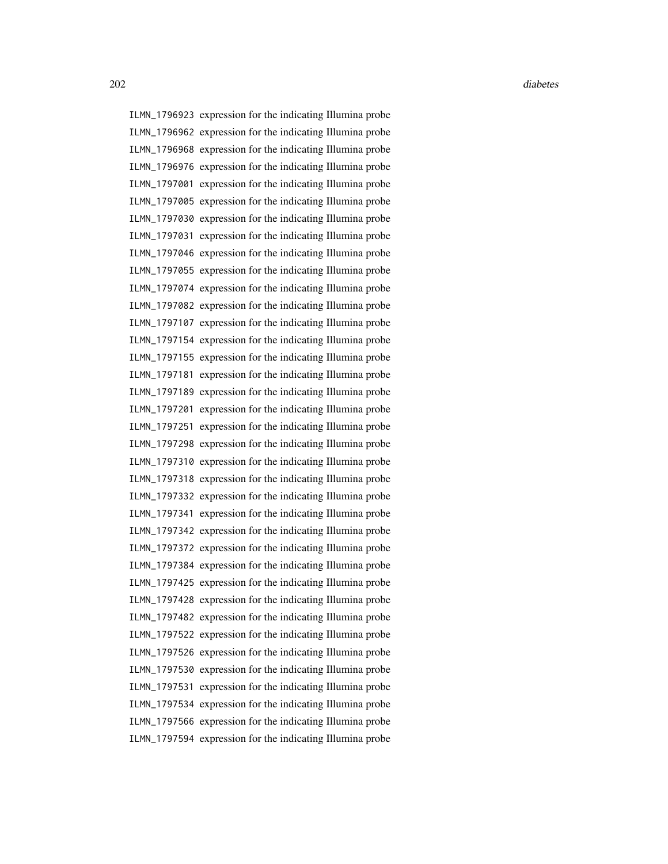ILMN\_1796923 expression for the indicating Illumina probe ILMN\_1796962 expression for the indicating Illumina probe ILMN\_1796968 expression for the indicating Illumina probe ILMN\_1796976 expression for the indicating Illumina probe ILMN\_1797001 expression for the indicating Illumina probe ILMN\_1797005 expression for the indicating Illumina probe ILMN\_1797030 expression for the indicating Illumina probe ILMN\_1797031 expression for the indicating Illumina probe ILMN\_1797046 expression for the indicating Illumina probe ILMN\_1797055 expression for the indicating Illumina probe ILMN\_1797074 expression for the indicating Illumina probe ILMN\_1797082 expression for the indicating Illumina probe ILMN\_1797107 expression for the indicating Illumina probe ILMN\_1797154 expression for the indicating Illumina probe ILMN\_1797155 expression for the indicating Illumina probe ILMN\_1797181 expression for the indicating Illumina probe ILMN\_1797189 expression for the indicating Illumina probe ILMN\_1797201 expression for the indicating Illumina probe ILMN\_1797251 expression for the indicating Illumina probe ILMN\_1797298 expression for the indicating Illumina probe ILMN\_1797310 expression for the indicating Illumina probe ILMN\_1797318 expression for the indicating Illumina probe ILMN\_1797332 expression for the indicating Illumina probe ILMN\_1797341 expression for the indicating Illumina probe ILMN\_1797342 expression for the indicating Illumina probe ILMN\_1797372 expression for the indicating Illumina probe ILMN\_1797384 expression for the indicating Illumina probe ILMN\_1797425 expression for the indicating Illumina probe ILMN\_1797428 expression for the indicating Illumina probe ILMN\_1797482 expression for the indicating Illumina probe ILMN\_1797522 expression for the indicating Illumina probe ILMN\_1797526 expression for the indicating Illumina probe ILMN\_1797530 expression for the indicating Illumina probe ILMN\_1797531 expression for the indicating Illumina probe ILMN\_1797534 expression for the indicating Illumina probe ILMN\_1797566 expression for the indicating Illumina probe ILMN\_1797594 expression for the indicating Illumina probe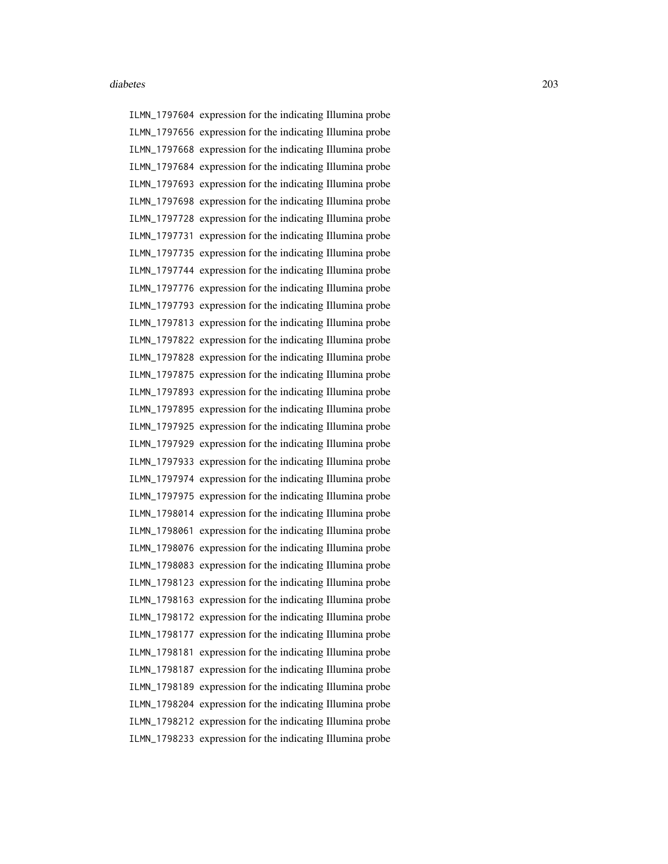ILMN\_1797604 expression for the indicating Illumina probe ILMN\_1797656 expression for the indicating Illumina probe ILMN\_1797668 expression for the indicating Illumina probe ILMN\_1797684 expression for the indicating Illumina probe ILMN\_1797693 expression for the indicating Illumina probe ILMN\_1797698 expression for the indicating Illumina probe ILMN\_1797728 expression for the indicating Illumina probe ILMN\_1797731 expression for the indicating Illumina probe ILMN\_1797735 expression for the indicating Illumina probe ILMN\_1797744 expression for the indicating Illumina probe ILMN\_1797776 expression for the indicating Illumina probe ILMN\_1797793 expression for the indicating Illumina probe ILMN\_1797813 expression for the indicating Illumina probe ILMN\_1797822 expression for the indicating Illumina probe ILMN\_1797828 expression for the indicating Illumina probe ILMN\_1797875 expression for the indicating Illumina probe ILMN\_1797893 expression for the indicating Illumina probe ILMN\_1797895 expression for the indicating Illumina probe ILMN\_1797925 expression for the indicating Illumina probe ILMN\_1797929 expression for the indicating Illumina probe ILMN\_1797933 expression for the indicating Illumina probe ILMN\_1797974 expression for the indicating Illumina probe ILMN\_1797975 expression for the indicating Illumina probe ILMN\_1798014 expression for the indicating Illumina probe ILMN\_1798061 expression for the indicating Illumina probe ILMN\_1798076 expression for the indicating Illumina probe ILMN\_1798083 expression for the indicating Illumina probe ILMN\_1798123 expression for the indicating Illumina probe ILMN\_1798163 expression for the indicating Illumina probe ILMN\_1798172 expression for the indicating Illumina probe ILMN\_1798177 expression for the indicating Illumina probe ILMN\_1798181 expression for the indicating Illumina probe ILMN\_1798187 expression for the indicating Illumina probe ILMN\_1798189 expression for the indicating Illumina probe ILMN\_1798204 expression for the indicating Illumina probe ILMN\_1798212 expression for the indicating Illumina probe ILMN\_1798233 expression for the indicating Illumina probe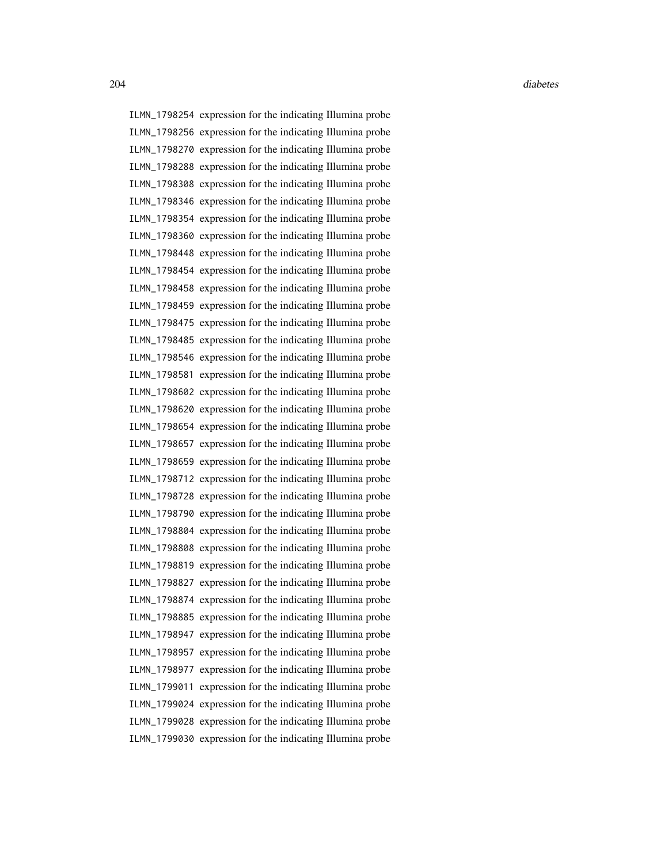ILMN\_1798254 expression for the indicating Illumina probe ILMN\_1798256 expression for the indicating Illumina probe ILMN\_1798270 expression for the indicating Illumina probe ILMN\_1798288 expression for the indicating Illumina probe ILMN\_1798308 expression for the indicating Illumina probe ILMN\_1798346 expression for the indicating Illumina probe ILMN\_1798354 expression for the indicating Illumina probe ILMN\_1798360 expression for the indicating Illumina probe ILMN\_1798448 expression for the indicating Illumina probe ILMN\_1798454 expression for the indicating Illumina probe ILMN\_1798458 expression for the indicating Illumina probe ILMN\_1798459 expression for the indicating Illumina probe ILMN\_1798475 expression for the indicating Illumina probe ILMN\_1798485 expression for the indicating Illumina probe ILMN\_1798546 expression for the indicating Illumina probe ILMN\_1798581 expression for the indicating Illumina probe ILMN\_1798602 expression for the indicating Illumina probe ILMN\_1798620 expression for the indicating Illumina probe ILMN\_1798654 expression for the indicating Illumina probe ILMN\_1798657 expression for the indicating Illumina probe ILMN\_1798659 expression for the indicating Illumina probe ILMN\_1798712 expression for the indicating Illumina probe ILMN\_1798728 expression for the indicating Illumina probe ILMN\_1798790 expression for the indicating Illumina probe ILMN\_1798804 expression for the indicating Illumina probe ILMN\_1798808 expression for the indicating Illumina probe ILMN\_1798819 expression for the indicating Illumina probe ILMN\_1798827 expression for the indicating Illumina probe ILMN\_1798874 expression for the indicating Illumina probe ILMN\_1798885 expression for the indicating Illumina probe ILMN\_1798947 expression for the indicating Illumina probe ILMN\_1798957 expression for the indicating Illumina probe ILMN\_1798977 expression for the indicating Illumina probe ILMN\_1799011 expression for the indicating Illumina probe ILMN\_1799024 expression for the indicating Illumina probe ILMN\_1799028 expression for the indicating Illumina probe ILMN\_1799030 expression for the indicating Illumina probe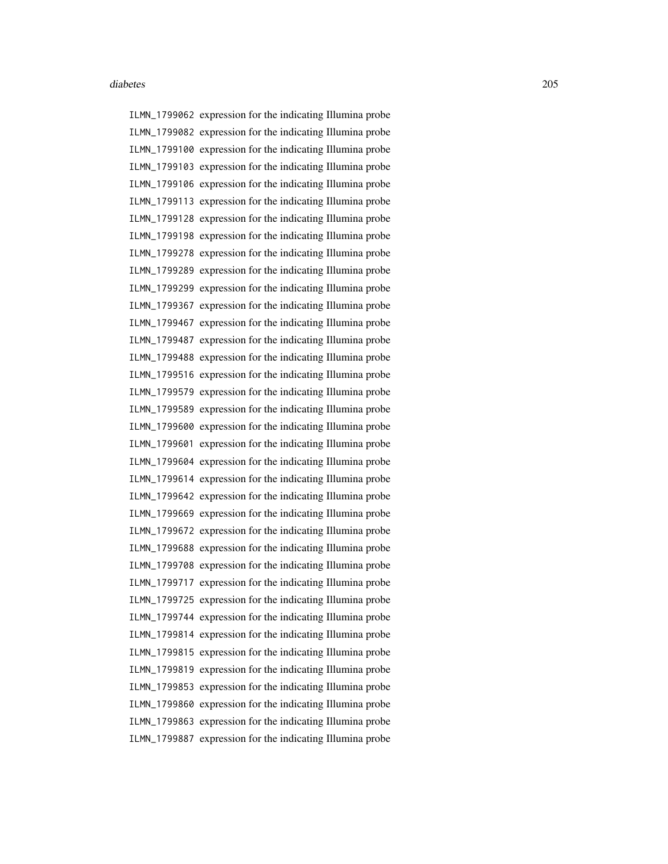ILMN\_1799062 expression for the indicating Illumina probe ILMN\_1799082 expression for the indicating Illumina probe ILMN\_1799100 expression for the indicating Illumina probe ILMN\_1799103 expression for the indicating Illumina probe ILMN\_1799106 expression for the indicating Illumina probe ILMN\_1799113 expression for the indicating Illumina probe ILMN\_1799128 expression for the indicating Illumina probe ILMN\_1799198 expression for the indicating Illumina probe ILMN\_1799278 expression for the indicating Illumina probe ILMN\_1799289 expression for the indicating Illumina probe ILMN\_1799299 expression for the indicating Illumina probe ILMN\_1799367 expression for the indicating Illumina probe ILMN\_1799467 expression for the indicating Illumina probe ILMN\_1799487 expression for the indicating Illumina probe ILMN\_1799488 expression for the indicating Illumina probe ILMN\_1799516 expression for the indicating Illumina probe ILMN\_1799579 expression for the indicating Illumina probe ILMN\_1799589 expression for the indicating Illumina probe ILMN\_1799600 expression for the indicating Illumina probe ILMN\_1799601 expression for the indicating Illumina probe ILMN\_1799604 expression for the indicating Illumina probe ILMN\_1799614 expression for the indicating Illumina probe ILMN\_1799642 expression for the indicating Illumina probe ILMN\_1799669 expression for the indicating Illumina probe ILMN\_1799672 expression for the indicating Illumina probe ILMN\_1799688 expression for the indicating Illumina probe ILMN\_1799708 expression for the indicating Illumina probe ILMN\_1799717 expression for the indicating Illumina probe ILMN\_1799725 expression for the indicating Illumina probe ILMN\_1799744 expression for the indicating Illumina probe ILMN\_1799814 expression for the indicating Illumina probe ILMN\_1799815 expression for the indicating Illumina probe ILMN\_1799819 expression for the indicating Illumina probe ILMN\_1799853 expression for the indicating Illumina probe ILMN\_1799860 expression for the indicating Illumina probe ILMN\_1799863 expression for the indicating Illumina probe ILMN\_1799887 expression for the indicating Illumina probe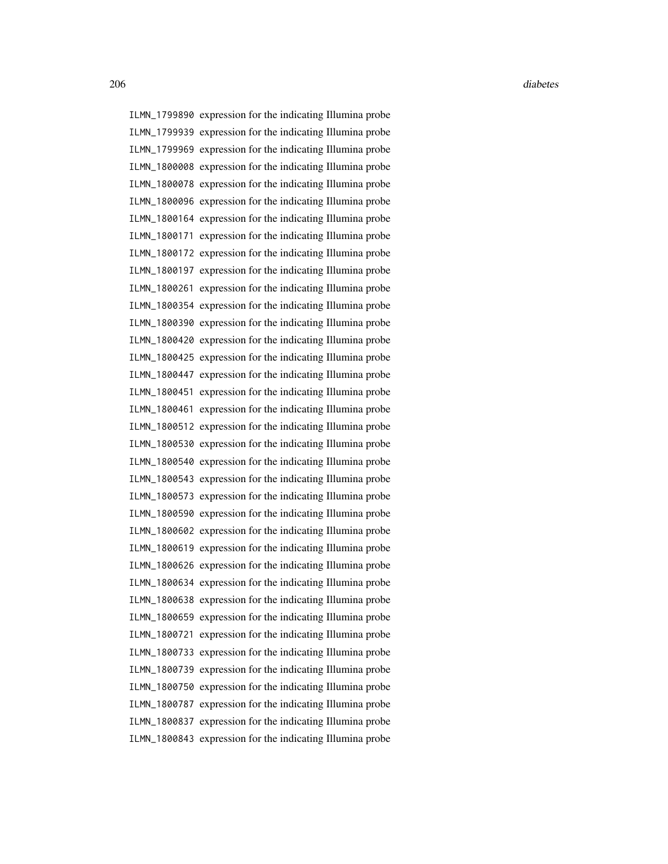ILMN\_1799890 expression for the indicating Illumina probe ILMN\_1799939 expression for the indicating Illumina probe ILMN\_1799969 expression for the indicating Illumina probe ILMN\_1800008 expression for the indicating Illumina probe ILMN\_1800078 expression for the indicating Illumina probe ILMN\_1800096 expression for the indicating Illumina probe ILMN\_1800164 expression for the indicating Illumina probe ILMN\_1800171 expression for the indicating Illumina probe ILMN\_1800172 expression for the indicating Illumina probe ILMN\_1800197 expression for the indicating Illumina probe ILMN\_1800261 expression for the indicating Illumina probe ILMN\_1800354 expression for the indicating Illumina probe ILMN\_1800390 expression for the indicating Illumina probe ILMN\_1800420 expression for the indicating Illumina probe ILMN\_1800425 expression for the indicating Illumina probe ILMN\_1800447 expression for the indicating Illumina probe ILMN\_1800451 expression for the indicating Illumina probe ILMN\_1800461 expression for the indicating Illumina probe ILMN\_1800512 expression for the indicating Illumina probe ILMN\_1800530 expression for the indicating Illumina probe ILMN\_1800540 expression for the indicating Illumina probe ILMN\_1800543 expression for the indicating Illumina probe ILMN\_1800573 expression for the indicating Illumina probe ILMN\_1800590 expression for the indicating Illumina probe ILMN\_1800602 expression for the indicating Illumina probe ILMN\_1800619 expression for the indicating Illumina probe ILMN\_1800626 expression for the indicating Illumina probe ILMN\_1800634 expression for the indicating Illumina probe ILMN\_1800638 expression for the indicating Illumina probe ILMN\_1800659 expression for the indicating Illumina probe ILMN\_1800721 expression for the indicating Illumina probe ILMN\_1800733 expression for the indicating Illumina probe ILMN\_1800739 expression for the indicating Illumina probe ILMN\_1800750 expression for the indicating Illumina probe ILMN\_1800787 expression for the indicating Illumina probe ILMN\_1800837 expression for the indicating Illumina probe ILMN\_1800843 expression for the indicating Illumina probe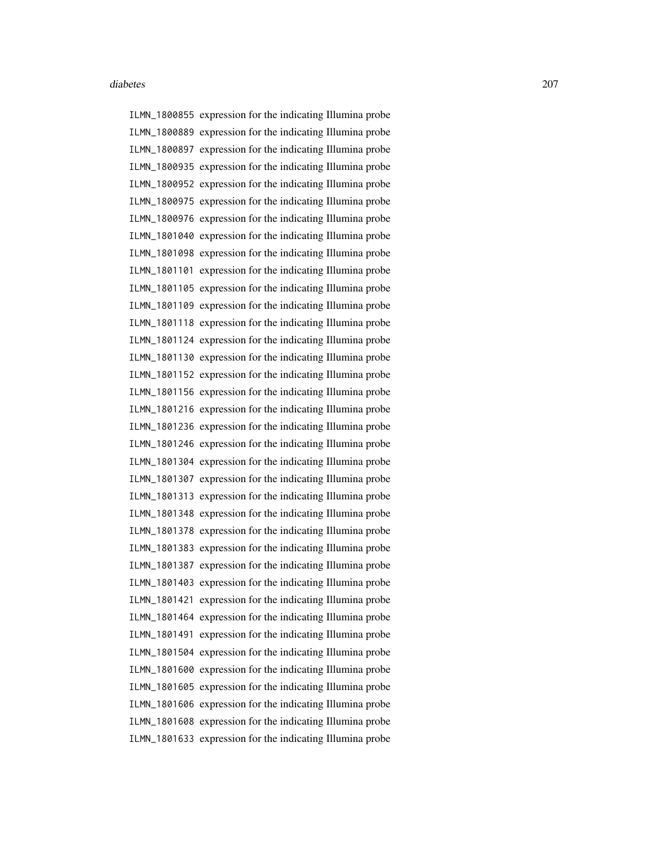ILMN\_1800855 expression for the indicating Illumina probe ILMN\_1800889 expression for the indicating Illumina probe ILMN\_1800897 expression for the indicating Illumina probe ILMN\_1800935 expression for the indicating Illumina probe ILMN\_1800952 expression for the indicating Illumina probe ILMN\_1800975 expression for the indicating Illumina probe ILMN\_1800976 expression for the indicating Illumina probe ILMN\_1801040 expression for the indicating Illumina probe ILMN\_1801098 expression for the indicating Illumina probe ILMN\_1801101 expression for the indicating Illumina probe ILMN\_1801105 expression for the indicating Illumina probe ILMN\_1801109 expression for the indicating Illumina probe ILMN\_1801118 expression for the indicating Illumina probe ILMN\_1801124 expression for the indicating Illumina probe ILMN\_1801130 expression for the indicating Illumina probe ILMN\_1801152 expression for the indicating Illumina probe ILMN\_1801156 expression for the indicating Illumina probe ILMN\_1801216 expression for the indicating Illumina probe ILMN\_1801236 expression for the indicating Illumina probe ILMN\_1801246 expression for the indicating Illumina probe ILMN\_1801304 expression for the indicating Illumina probe ILMN\_1801307 expression for the indicating Illumina probe ILMN\_1801313 expression for the indicating Illumina probe ILMN\_1801348 expression for the indicating Illumina probe ILMN\_1801378 expression for the indicating Illumina probe ILMN\_1801383 expression for the indicating Illumina probe ILMN\_1801387 expression for the indicating Illumina probe ILMN\_1801403 expression for the indicating Illumina probe ILMN\_1801421 expression for the indicating Illumina probe ILMN\_1801464 expression for the indicating Illumina probe ILMN\_1801491 expression for the indicating Illumina probe ILMN\_1801504 expression for the indicating Illumina probe ILMN\_1801600 expression for the indicating Illumina probe ILMN\_1801605 expression for the indicating Illumina probe ILMN\_1801606 expression for the indicating Illumina probe ILMN\_1801608 expression for the indicating Illumina probe ILMN\_1801633 expression for the indicating Illumina probe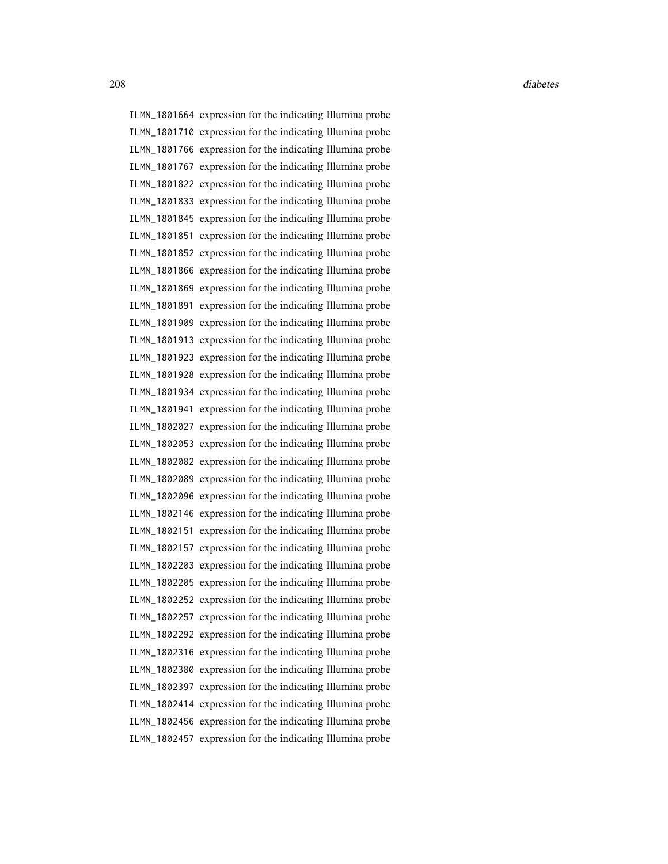ILMN\_1801664 expression for the indicating Illumina probe ILMN\_1801710 expression for the indicating Illumina probe ILMN\_1801766 expression for the indicating Illumina probe ILMN\_1801767 expression for the indicating Illumina probe ILMN\_1801822 expression for the indicating Illumina probe ILMN\_1801833 expression for the indicating Illumina probe ILMN\_1801845 expression for the indicating Illumina probe ILMN\_1801851 expression for the indicating Illumina probe ILMN\_1801852 expression for the indicating Illumina probe ILMN\_1801866 expression for the indicating Illumina probe ILMN\_1801869 expression for the indicating Illumina probe ILMN\_1801891 expression for the indicating Illumina probe ILMN\_1801909 expression for the indicating Illumina probe ILMN\_1801913 expression for the indicating Illumina probe ILMN\_1801923 expression for the indicating Illumina probe ILMN\_1801928 expression for the indicating Illumina probe ILMN\_1801934 expression for the indicating Illumina probe ILMN\_1801941 expression for the indicating Illumina probe ILMN\_1802027 expression for the indicating Illumina probe ILMN\_1802053 expression for the indicating Illumina probe ILMN\_1802082 expression for the indicating Illumina probe ILMN\_1802089 expression for the indicating Illumina probe ILMN\_1802096 expression for the indicating Illumina probe ILMN\_1802146 expression for the indicating Illumina probe ILMN\_1802151 expression for the indicating Illumina probe ILMN\_1802157 expression for the indicating Illumina probe ILMN\_1802203 expression for the indicating Illumina probe ILMN\_1802205 expression for the indicating Illumina probe ILMN\_1802252 expression for the indicating Illumina probe ILMN\_1802257 expression for the indicating Illumina probe ILMN\_1802292 expression for the indicating Illumina probe ILMN\_1802316 expression for the indicating Illumina probe ILMN\_1802380 expression for the indicating Illumina probe ILMN\_1802397 expression for the indicating Illumina probe ILMN\_1802414 expression for the indicating Illumina probe ILMN\_1802456 expression for the indicating Illumina probe ILMN\_1802457 expression for the indicating Illumina probe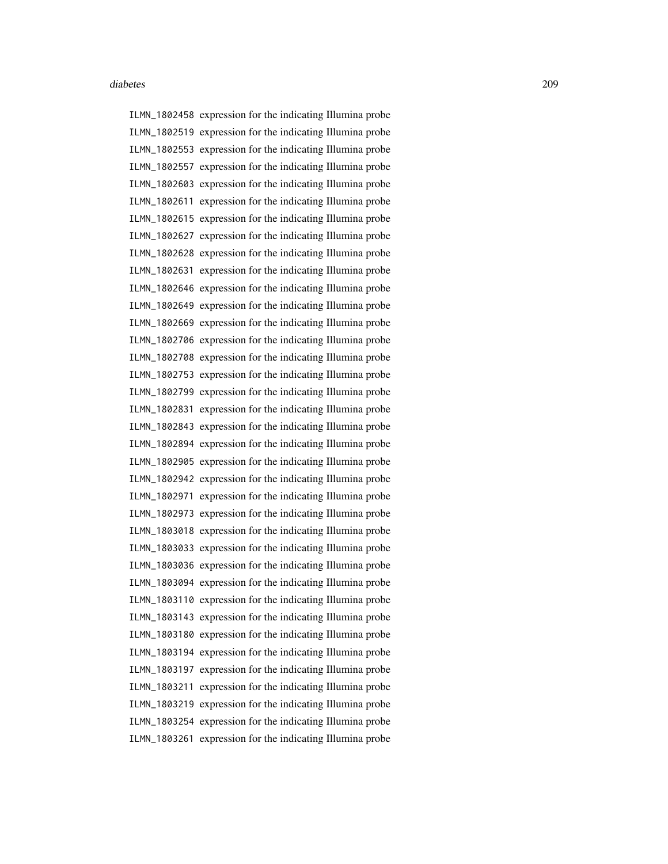ILMN\_1802458 expression for the indicating Illumina probe ILMN\_1802519 expression for the indicating Illumina probe ILMN\_1802553 expression for the indicating Illumina probe ILMN\_1802557 expression for the indicating Illumina probe ILMN\_1802603 expression for the indicating Illumina probe ILMN\_1802611 expression for the indicating Illumina probe ILMN\_1802615 expression for the indicating Illumina probe ILMN\_1802627 expression for the indicating Illumina probe ILMN\_1802628 expression for the indicating Illumina probe ILMN\_1802631 expression for the indicating Illumina probe ILMN\_1802646 expression for the indicating Illumina probe ILMN\_1802649 expression for the indicating Illumina probe ILMN\_1802669 expression for the indicating Illumina probe ILMN\_1802706 expression for the indicating Illumina probe ILMN\_1802708 expression for the indicating Illumina probe ILMN\_1802753 expression for the indicating Illumina probe ILMN\_1802799 expression for the indicating Illumina probe ILMN\_1802831 expression for the indicating Illumina probe ILMN\_1802843 expression for the indicating Illumina probe ILMN\_1802894 expression for the indicating Illumina probe ILMN\_1802905 expression for the indicating Illumina probe ILMN\_1802942 expression for the indicating Illumina probe ILMN\_1802971 expression for the indicating Illumina probe ILMN\_1802973 expression for the indicating Illumina probe ILMN\_1803018 expression for the indicating Illumina probe ILMN\_1803033 expression for the indicating Illumina probe ILMN\_1803036 expression for the indicating Illumina probe ILMN\_1803094 expression for the indicating Illumina probe ILMN\_1803110 expression for the indicating Illumina probe ILMN\_1803143 expression for the indicating Illumina probe ILMN\_1803180 expression for the indicating Illumina probe ILMN\_1803194 expression for the indicating Illumina probe ILMN\_1803197 expression for the indicating Illumina probe ILMN\_1803211 expression for the indicating Illumina probe ILMN\_1803219 expression for the indicating Illumina probe ILMN\_1803254 expression for the indicating Illumina probe ILMN\_1803261 expression for the indicating Illumina probe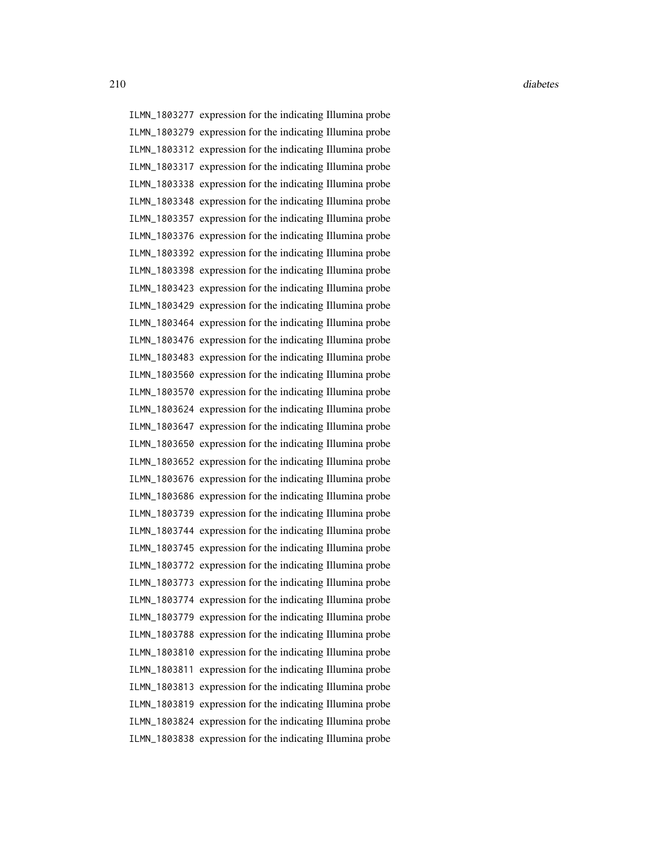ILMN\_1803277 expression for the indicating Illumina probe ILMN\_1803279 expression for the indicating Illumina probe ILMN\_1803312 expression for the indicating Illumina probe ILMN\_1803317 expression for the indicating Illumina probe ILMN\_1803338 expression for the indicating Illumina probe ILMN\_1803348 expression for the indicating Illumina probe ILMN\_1803357 expression for the indicating Illumina probe ILMN\_1803376 expression for the indicating Illumina probe ILMN\_1803392 expression for the indicating Illumina probe ILMN\_1803398 expression for the indicating Illumina probe ILMN\_1803423 expression for the indicating Illumina probe ILMN\_1803429 expression for the indicating Illumina probe ILMN\_1803464 expression for the indicating Illumina probe ILMN\_1803476 expression for the indicating Illumina probe ILMN\_1803483 expression for the indicating Illumina probe ILMN\_1803560 expression for the indicating Illumina probe ILMN\_1803570 expression for the indicating Illumina probe ILMN\_1803624 expression for the indicating Illumina probe ILMN\_1803647 expression for the indicating Illumina probe ILMN\_1803650 expression for the indicating Illumina probe ILMN\_1803652 expression for the indicating Illumina probe ILMN\_1803676 expression for the indicating Illumina probe ILMN\_1803686 expression for the indicating Illumina probe ILMN\_1803739 expression for the indicating Illumina probe ILMN\_1803744 expression for the indicating Illumina probe ILMN\_1803745 expression for the indicating Illumina probe ILMN\_1803772 expression for the indicating Illumina probe ILMN\_1803773 expression for the indicating Illumina probe ILMN\_1803774 expression for the indicating Illumina probe ILMN\_1803779 expression for the indicating Illumina probe ILMN\_1803788 expression for the indicating Illumina probe ILMN\_1803810 expression for the indicating Illumina probe ILMN\_1803811 expression for the indicating Illumina probe ILMN\_1803813 expression for the indicating Illumina probe ILMN\_1803819 expression for the indicating Illumina probe ILMN\_1803824 expression for the indicating Illumina probe ILMN\_1803838 expression for the indicating Illumina probe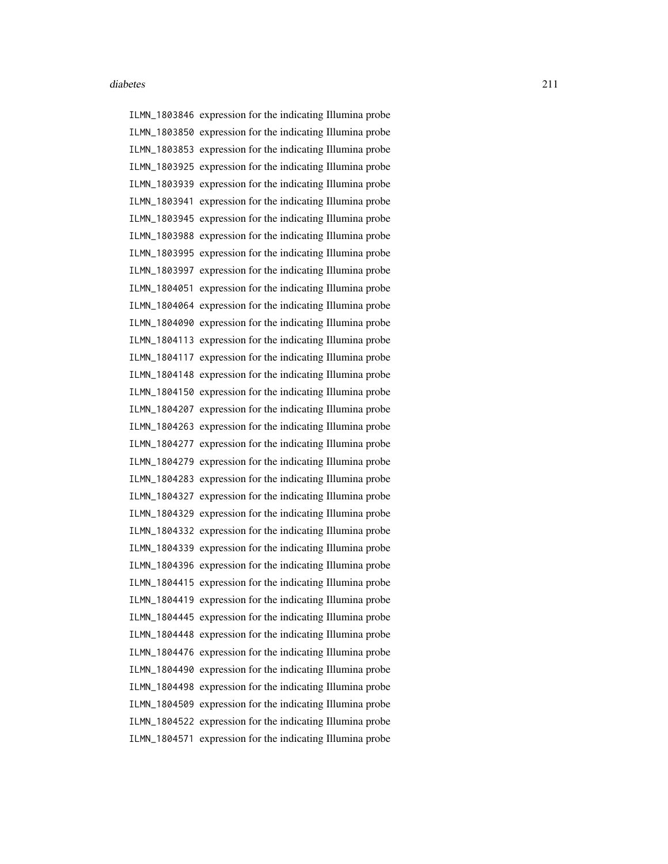ILMN\_1803846 expression for the indicating Illumina probe ILMN\_1803850 expression for the indicating Illumina probe ILMN\_1803853 expression for the indicating Illumina probe ILMN\_1803925 expression for the indicating Illumina probe ILMN\_1803939 expression for the indicating Illumina probe ILMN\_1803941 expression for the indicating Illumina probe ILMN\_1803945 expression for the indicating Illumina probe ILMN\_1803988 expression for the indicating Illumina probe ILMN\_1803995 expression for the indicating Illumina probe ILMN\_1803997 expression for the indicating Illumina probe ILMN\_1804051 expression for the indicating Illumina probe ILMN\_1804064 expression for the indicating Illumina probe ILMN\_1804090 expression for the indicating Illumina probe ILMN\_1804113 expression for the indicating Illumina probe ILMN\_1804117 expression for the indicating Illumina probe ILMN\_1804148 expression for the indicating Illumina probe ILMN\_1804150 expression for the indicating Illumina probe ILMN\_1804207 expression for the indicating Illumina probe ILMN\_1804263 expression for the indicating Illumina probe ILMN\_1804277 expression for the indicating Illumina probe ILMN\_1804279 expression for the indicating Illumina probe ILMN\_1804283 expression for the indicating Illumina probe ILMN\_1804327 expression for the indicating Illumina probe ILMN\_1804329 expression for the indicating Illumina probe ILMN\_1804332 expression for the indicating Illumina probe ILMN\_1804339 expression for the indicating Illumina probe ILMN\_1804396 expression for the indicating Illumina probe ILMN\_1804415 expression for the indicating Illumina probe ILMN\_1804419 expression for the indicating Illumina probe ILMN\_1804445 expression for the indicating Illumina probe ILMN\_1804448 expression for the indicating Illumina probe ILMN\_1804476 expression for the indicating Illumina probe ILMN\_1804490 expression for the indicating Illumina probe ILMN\_1804498 expression for the indicating Illumina probe ILMN\_1804509 expression for the indicating Illumina probe ILMN\_1804522 expression for the indicating Illumina probe ILMN\_1804571 expression for the indicating Illumina probe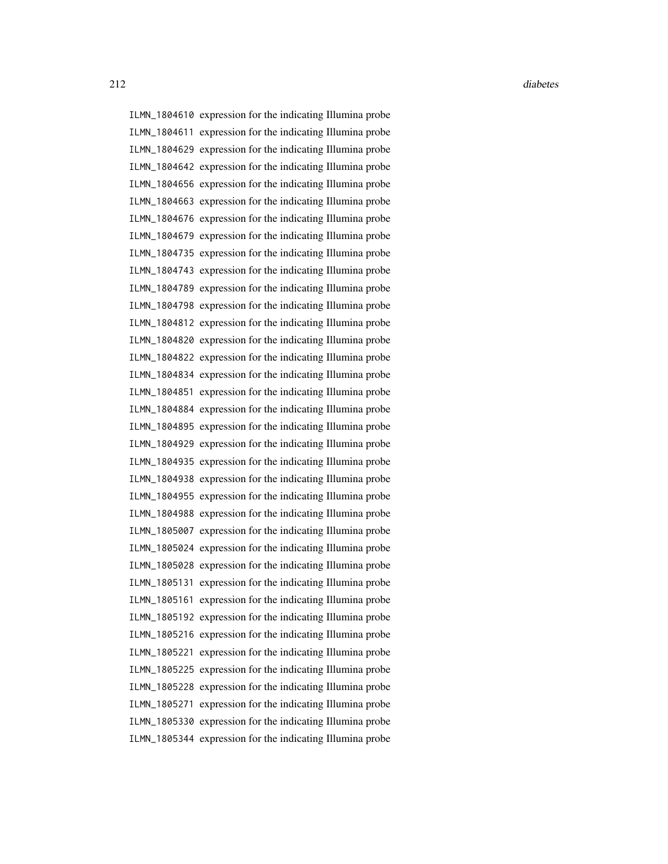ILMN\_1804610 expression for the indicating Illumina probe ILMN\_1804611 expression for the indicating Illumina probe ILMN\_1804629 expression for the indicating Illumina probe ILMN\_1804642 expression for the indicating Illumina probe ILMN\_1804656 expression for the indicating Illumina probe ILMN\_1804663 expression for the indicating Illumina probe ILMN\_1804676 expression for the indicating Illumina probe ILMN\_1804679 expression for the indicating Illumina probe ILMN\_1804735 expression for the indicating Illumina probe ILMN\_1804743 expression for the indicating Illumina probe ILMN\_1804789 expression for the indicating Illumina probe ILMN\_1804798 expression for the indicating Illumina probe ILMN\_1804812 expression for the indicating Illumina probe ILMN\_1804820 expression for the indicating Illumina probe ILMN\_1804822 expression for the indicating Illumina probe ILMN\_1804834 expression for the indicating Illumina probe ILMN\_1804851 expression for the indicating Illumina probe ILMN\_1804884 expression for the indicating Illumina probe ILMN\_1804895 expression for the indicating Illumina probe ILMN\_1804929 expression for the indicating Illumina probe ILMN\_1804935 expression for the indicating Illumina probe ILMN\_1804938 expression for the indicating Illumina probe ILMN\_1804955 expression for the indicating Illumina probe ILMN\_1804988 expression for the indicating Illumina probe ILMN\_1805007 expression for the indicating Illumina probe ILMN\_1805024 expression for the indicating Illumina probe ILMN\_1805028 expression for the indicating Illumina probe ILMN\_1805131 expression for the indicating Illumina probe ILMN\_1805161 expression for the indicating Illumina probe ILMN\_1805192 expression for the indicating Illumina probe ILMN\_1805216 expression for the indicating Illumina probe ILMN\_1805221 expression for the indicating Illumina probe ILMN\_1805225 expression for the indicating Illumina probe ILMN\_1805228 expression for the indicating Illumina probe ILMN\_1805271 expression for the indicating Illumina probe ILMN\_1805330 expression for the indicating Illumina probe ILMN\_1805344 expression for the indicating Illumina probe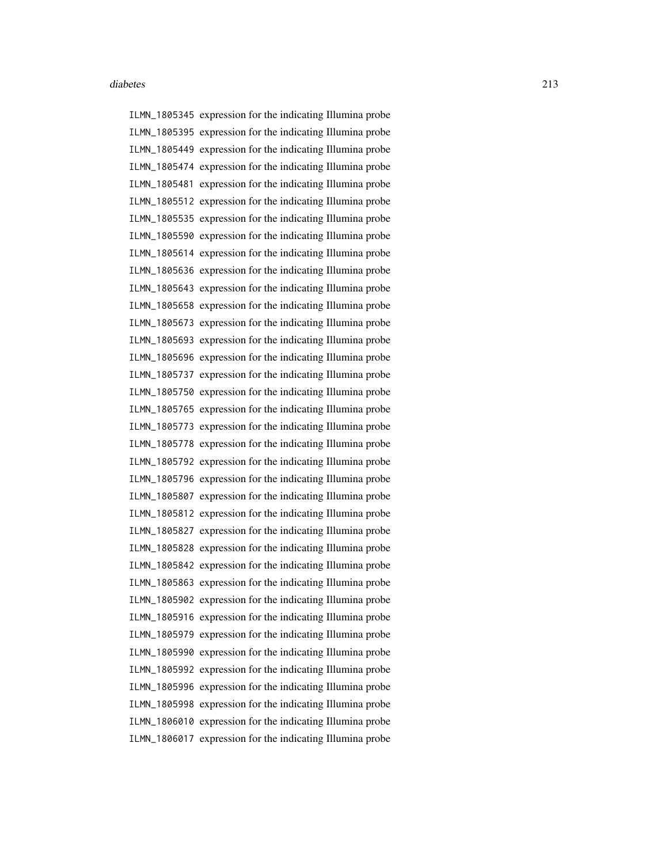ILMN\_1805345 expression for the indicating Illumina probe ILMN\_1805395 expression for the indicating Illumina probe ILMN\_1805449 expression for the indicating Illumina probe ILMN\_1805474 expression for the indicating Illumina probe ILMN\_1805481 expression for the indicating Illumina probe ILMN\_1805512 expression for the indicating Illumina probe ILMN\_1805535 expression for the indicating Illumina probe ILMN\_1805590 expression for the indicating Illumina probe ILMN\_1805614 expression for the indicating Illumina probe ILMN\_1805636 expression for the indicating Illumina probe ILMN\_1805643 expression for the indicating Illumina probe ILMN\_1805658 expression for the indicating Illumina probe ILMN\_1805673 expression for the indicating Illumina probe ILMN\_1805693 expression for the indicating Illumina probe ILMN\_1805696 expression for the indicating Illumina probe ILMN\_1805737 expression for the indicating Illumina probe ILMN\_1805750 expression for the indicating Illumina probe ILMN\_1805765 expression for the indicating Illumina probe ILMN\_1805773 expression for the indicating Illumina probe ILMN\_1805778 expression for the indicating Illumina probe ILMN\_1805792 expression for the indicating Illumina probe ILMN\_1805796 expression for the indicating Illumina probe ILMN\_1805807 expression for the indicating Illumina probe ILMN\_1805812 expression for the indicating Illumina probe ILMN\_1805827 expression for the indicating Illumina probe ILMN\_1805828 expression for the indicating Illumina probe ILMN\_1805842 expression for the indicating Illumina probe ILMN\_1805863 expression for the indicating Illumina probe ILMN\_1805902 expression for the indicating Illumina probe ILMN\_1805916 expression for the indicating Illumina probe ILMN\_1805979 expression for the indicating Illumina probe ILMN\_1805990 expression for the indicating Illumina probe ILMN\_1805992 expression for the indicating Illumina probe ILMN\_1805996 expression for the indicating Illumina probe ILMN\_1805998 expression for the indicating Illumina probe ILMN\_1806010 expression for the indicating Illumina probe ILMN\_1806017 expression for the indicating Illumina probe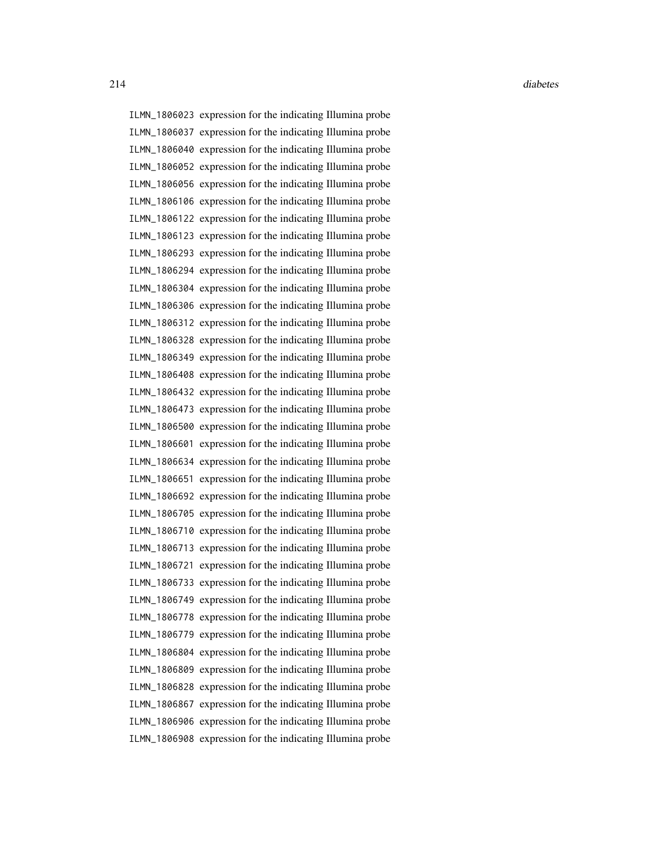ILMN\_1806023 expression for the indicating Illumina probe ILMN\_1806037 expression for the indicating Illumina probe ILMN\_1806040 expression for the indicating Illumina probe ILMN\_1806052 expression for the indicating Illumina probe ILMN\_1806056 expression for the indicating Illumina probe ILMN\_1806106 expression for the indicating Illumina probe ILMN\_1806122 expression for the indicating Illumina probe ILMN\_1806123 expression for the indicating Illumina probe ILMN\_1806293 expression for the indicating Illumina probe ILMN\_1806294 expression for the indicating Illumina probe ILMN\_1806304 expression for the indicating Illumina probe ILMN\_1806306 expression for the indicating Illumina probe ILMN\_1806312 expression for the indicating Illumina probe ILMN\_1806328 expression for the indicating Illumina probe ILMN\_1806349 expression for the indicating Illumina probe ILMN\_1806408 expression for the indicating Illumina probe ILMN\_1806432 expression for the indicating Illumina probe ILMN\_1806473 expression for the indicating Illumina probe ILMN\_1806500 expression for the indicating Illumina probe ILMN\_1806601 expression for the indicating Illumina probe ILMN\_1806634 expression for the indicating Illumina probe ILMN\_1806651 expression for the indicating Illumina probe ILMN\_1806692 expression for the indicating Illumina probe ILMN\_1806705 expression for the indicating Illumina probe ILMN\_1806710 expression for the indicating Illumina probe ILMN\_1806713 expression for the indicating Illumina probe ILMN\_1806721 expression for the indicating Illumina probe ILMN\_1806733 expression for the indicating Illumina probe ILMN\_1806749 expression for the indicating Illumina probe ILMN\_1806778 expression for the indicating Illumina probe ILMN\_1806779 expression for the indicating Illumina probe ILMN\_1806804 expression for the indicating Illumina probe ILMN\_1806809 expression for the indicating Illumina probe ILMN\_1806828 expression for the indicating Illumina probe ILMN\_1806867 expression for the indicating Illumina probe ILMN\_1806906 expression for the indicating Illumina probe ILMN\_1806908 expression for the indicating Illumina probe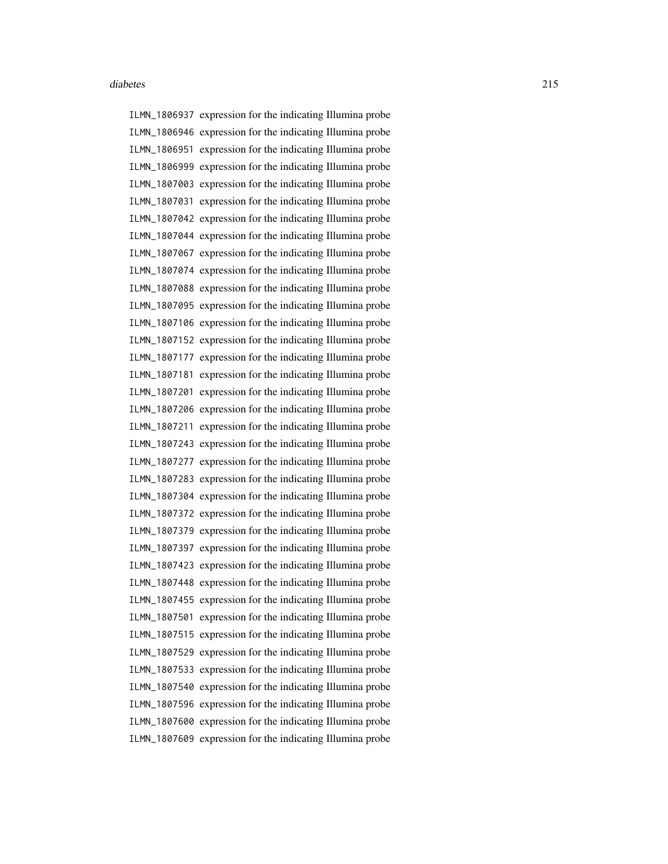ILMN\_1806937 expression for the indicating Illumina probe ILMN\_1806946 expression for the indicating Illumina probe ILMN\_1806951 expression for the indicating Illumina probe ILMN\_1806999 expression for the indicating Illumina probe ILMN\_1807003 expression for the indicating Illumina probe ILMN\_1807031 expression for the indicating Illumina probe ILMN\_1807042 expression for the indicating Illumina probe ILMN\_1807044 expression for the indicating Illumina probe ILMN\_1807067 expression for the indicating Illumina probe ILMN\_1807074 expression for the indicating Illumina probe ILMN\_1807088 expression for the indicating Illumina probe ILMN\_1807095 expression for the indicating Illumina probe ILMN\_1807106 expression for the indicating Illumina probe ILMN\_1807152 expression for the indicating Illumina probe ILMN\_1807177 expression for the indicating Illumina probe ILMN\_1807181 expression for the indicating Illumina probe ILMN\_1807201 expression for the indicating Illumina probe ILMN\_1807206 expression for the indicating Illumina probe ILMN\_1807211 expression for the indicating Illumina probe ILMN\_1807243 expression for the indicating Illumina probe ILMN\_1807277 expression for the indicating Illumina probe ILMN\_1807283 expression for the indicating Illumina probe ILMN\_1807304 expression for the indicating Illumina probe ILMN\_1807372 expression for the indicating Illumina probe ILMN\_1807379 expression for the indicating Illumina probe ILMN\_1807397 expression for the indicating Illumina probe ILMN\_1807423 expression for the indicating Illumina probe ILMN\_1807448 expression for the indicating Illumina probe ILMN\_1807455 expression for the indicating Illumina probe ILMN\_1807501 expression for the indicating Illumina probe ILMN\_1807515 expression for the indicating Illumina probe ILMN\_1807529 expression for the indicating Illumina probe ILMN\_1807533 expression for the indicating Illumina probe ILMN\_1807540 expression for the indicating Illumina probe ILMN\_1807596 expression for the indicating Illumina probe ILMN\_1807600 expression for the indicating Illumina probe ILMN\_1807609 expression for the indicating Illumina probe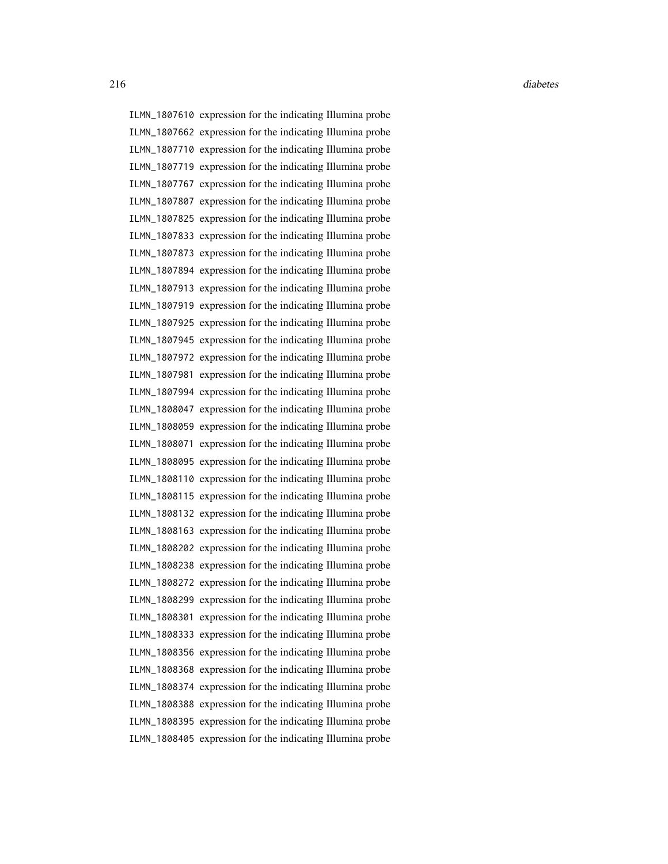ILMN\_1807610 expression for the indicating Illumina probe ILMN\_1807662 expression for the indicating Illumina probe ILMN\_1807710 expression for the indicating Illumina probe ILMN\_1807719 expression for the indicating Illumina probe ILMN\_1807767 expression for the indicating Illumina probe ILMN\_1807807 expression for the indicating Illumina probe ILMN\_1807825 expression for the indicating Illumina probe ILMN\_1807833 expression for the indicating Illumina probe ILMN\_1807873 expression for the indicating Illumina probe ILMN\_1807894 expression for the indicating Illumina probe ILMN\_1807913 expression for the indicating Illumina probe ILMN\_1807919 expression for the indicating Illumina probe ILMN\_1807925 expression for the indicating Illumina probe ILMN\_1807945 expression for the indicating Illumina probe ILMN\_1807972 expression for the indicating Illumina probe ILMN\_1807981 expression for the indicating Illumina probe ILMN\_1807994 expression for the indicating Illumina probe ILMN\_1808047 expression for the indicating Illumina probe ILMN\_1808059 expression for the indicating Illumina probe ILMN\_1808071 expression for the indicating Illumina probe ILMN\_1808095 expression for the indicating Illumina probe ILMN\_1808110 expression for the indicating Illumina probe ILMN\_1808115 expression for the indicating Illumina probe ILMN\_1808132 expression for the indicating Illumina probe ILMN\_1808163 expression for the indicating Illumina probe ILMN\_1808202 expression for the indicating Illumina probe ILMN\_1808238 expression for the indicating Illumina probe ILMN\_1808272 expression for the indicating Illumina probe ILMN\_1808299 expression for the indicating Illumina probe ILMN\_1808301 expression for the indicating Illumina probe ILMN\_1808333 expression for the indicating Illumina probe ILMN\_1808356 expression for the indicating Illumina probe ILMN\_1808368 expression for the indicating Illumina probe ILMN\_1808374 expression for the indicating Illumina probe ILMN\_1808388 expression for the indicating Illumina probe ILMN\_1808395 expression for the indicating Illumina probe ILMN\_1808405 expression for the indicating Illumina probe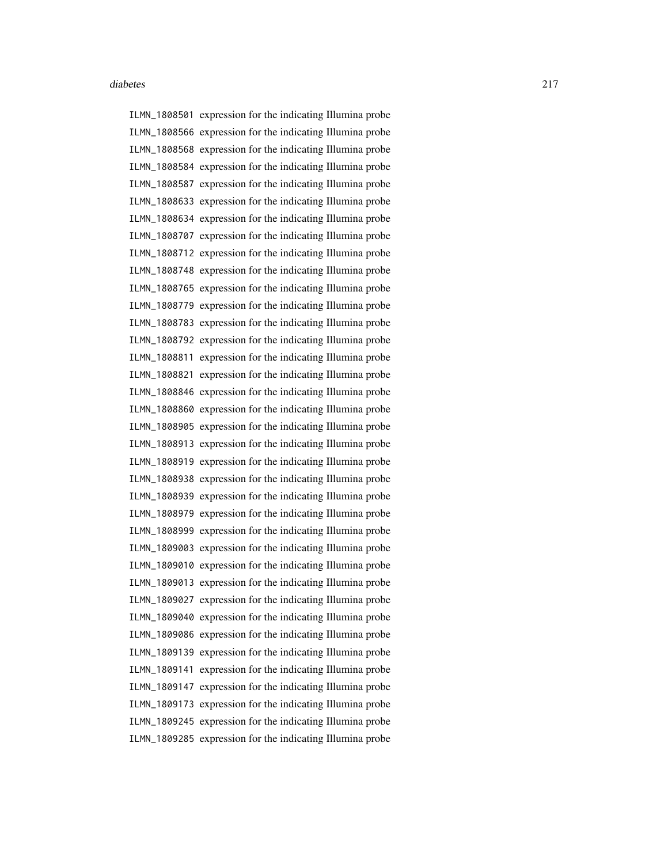ILMN\_1808501 expression for the indicating Illumina probe ILMN\_1808566 expression for the indicating Illumina probe ILMN\_1808568 expression for the indicating Illumina probe ILMN\_1808584 expression for the indicating Illumina probe ILMN\_1808587 expression for the indicating Illumina probe ILMN\_1808633 expression for the indicating Illumina probe ILMN\_1808634 expression for the indicating Illumina probe ILMN\_1808707 expression for the indicating Illumina probe ILMN\_1808712 expression for the indicating Illumina probe ILMN\_1808748 expression for the indicating Illumina probe ILMN\_1808765 expression for the indicating Illumina probe ILMN\_1808779 expression for the indicating Illumina probe ILMN\_1808783 expression for the indicating Illumina probe ILMN\_1808792 expression for the indicating Illumina probe ILMN\_1808811 expression for the indicating Illumina probe ILMN\_1808821 expression for the indicating Illumina probe ILMN\_1808846 expression for the indicating Illumina probe ILMN\_1808860 expression for the indicating Illumina probe ILMN\_1808905 expression for the indicating Illumina probe ILMN\_1808913 expression for the indicating Illumina probe ILMN\_1808919 expression for the indicating Illumina probe ILMN\_1808938 expression for the indicating Illumina probe ILMN\_1808939 expression for the indicating Illumina probe ILMN\_1808979 expression for the indicating Illumina probe ILMN\_1808999 expression for the indicating Illumina probe ILMN\_1809003 expression for the indicating Illumina probe ILMN\_1809010 expression for the indicating Illumina probe ILMN\_1809013 expression for the indicating Illumina probe ILMN\_1809027 expression for the indicating Illumina probe ILMN\_1809040 expression for the indicating Illumina probe ILMN\_1809086 expression for the indicating Illumina probe ILMN\_1809139 expression for the indicating Illumina probe ILMN\_1809141 expression for the indicating Illumina probe ILMN\_1809147 expression for the indicating Illumina probe ILMN\_1809173 expression for the indicating Illumina probe ILMN\_1809245 expression for the indicating Illumina probe ILMN\_1809285 expression for the indicating Illumina probe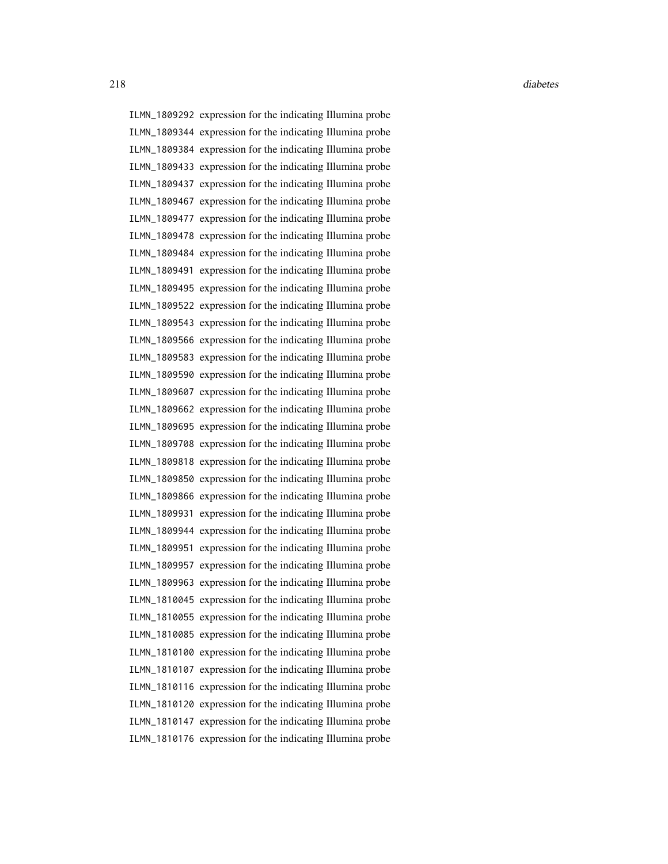ILMN\_1809292 expression for the indicating Illumina probe ILMN\_1809344 expression for the indicating Illumina probe ILMN\_1809384 expression for the indicating Illumina probe ILMN\_1809433 expression for the indicating Illumina probe ILMN\_1809437 expression for the indicating Illumina probe ILMN\_1809467 expression for the indicating Illumina probe ILMN\_1809477 expression for the indicating Illumina probe ILMN\_1809478 expression for the indicating Illumina probe ILMN\_1809484 expression for the indicating Illumina probe ILMN\_1809491 expression for the indicating Illumina probe ILMN\_1809495 expression for the indicating Illumina probe ILMN\_1809522 expression for the indicating Illumina probe ILMN\_1809543 expression for the indicating Illumina probe ILMN\_1809566 expression for the indicating Illumina probe ILMN\_1809583 expression for the indicating Illumina probe ILMN\_1809590 expression for the indicating Illumina probe ILMN\_1809607 expression for the indicating Illumina probe ILMN\_1809662 expression for the indicating Illumina probe ILMN\_1809695 expression for the indicating Illumina probe ILMN\_1809708 expression for the indicating Illumina probe ILMN\_1809818 expression for the indicating Illumina probe ILMN\_1809850 expression for the indicating Illumina probe ILMN\_1809866 expression for the indicating Illumina probe ILMN\_1809931 expression for the indicating Illumina probe ILMN\_1809944 expression for the indicating Illumina probe ILMN\_1809951 expression for the indicating Illumina probe ILMN\_1809957 expression for the indicating Illumina probe ILMN\_1809963 expression for the indicating Illumina probe ILMN\_1810045 expression for the indicating Illumina probe ILMN\_1810055 expression for the indicating Illumina probe ILMN\_1810085 expression for the indicating Illumina probe ILMN\_1810100 expression for the indicating Illumina probe ILMN\_1810107 expression for the indicating Illumina probe ILMN\_1810116 expression for the indicating Illumina probe ILMN\_1810120 expression for the indicating Illumina probe ILMN\_1810147 expression for the indicating Illumina probe ILMN\_1810176 expression for the indicating Illumina probe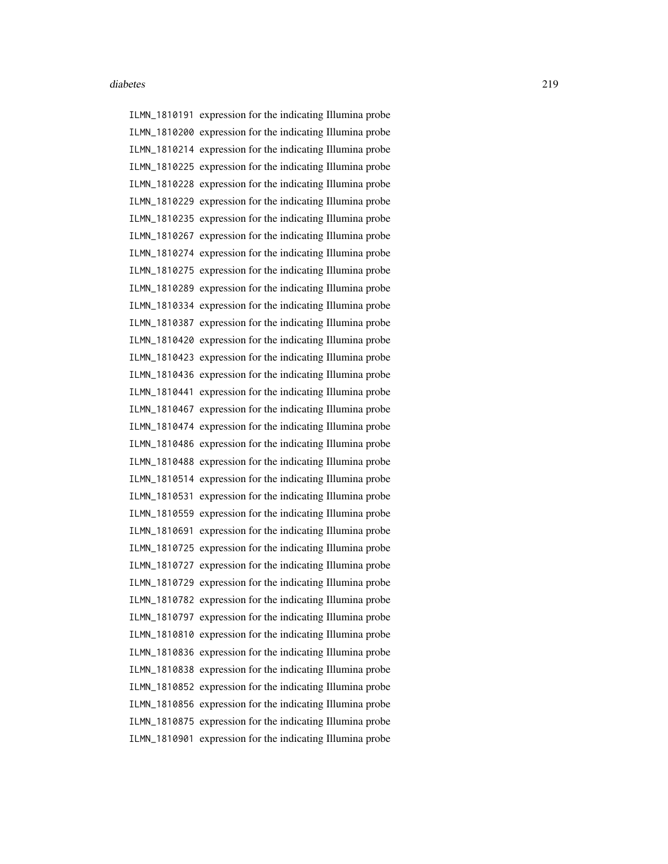ILMN\_1810191 expression for the indicating Illumina probe ILMN\_1810200 expression for the indicating Illumina probe ILMN\_1810214 expression for the indicating Illumina probe ILMN\_1810225 expression for the indicating Illumina probe ILMN\_1810228 expression for the indicating Illumina probe ILMN\_1810229 expression for the indicating Illumina probe ILMN\_1810235 expression for the indicating Illumina probe ILMN\_1810267 expression for the indicating Illumina probe ILMN\_1810274 expression for the indicating Illumina probe ILMN\_1810275 expression for the indicating Illumina probe ILMN\_1810289 expression for the indicating Illumina probe ILMN\_1810334 expression for the indicating Illumina probe ILMN\_1810387 expression for the indicating Illumina probe ILMN\_1810420 expression for the indicating Illumina probe ILMN\_1810423 expression for the indicating Illumina probe ILMN\_1810436 expression for the indicating Illumina probe ILMN\_1810441 expression for the indicating Illumina probe ILMN\_1810467 expression for the indicating Illumina probe ILMN\_1810474 expression for the indicating Illumina probe ILMN\_1810486 expression for the indicating Illumina probe ILMN\_1810488 expression for the indicating Illumina probe ILMN\_1810514 expression for the indicating Illumina probe ILMN\_1810531 expression for the indicating Illumina probe ILMN\_1810559 expression for the indicating Illumina probe ILMN\_1810691 expression for the indicating Illumina probe ILMN\_1810725 expression for the indicating Illumina probe ILMN\_1810727 expression for the indicating Illumina probe ILMN\_1810729 expression for the indicating Illumina probe ILMN\_1810782 expression for the indicating Illumina probe ILMN\_1810797 expression for the indicating Illumina probe ILMN\_1810810 expression for the indicating Illumina probe ILMN\_1810836 expression for the indicating Illumina probe ILMN\_1810838 expression for the indicating Illumina probe ILMN\_1810852 expression for the indicating Illumina probe ILMN\_1810856 expression for the indicating Illumina probe ILMN\_1810875 expression for the indicating Illumina probe ILMN\_1810901 expression for the indicating Illumina probe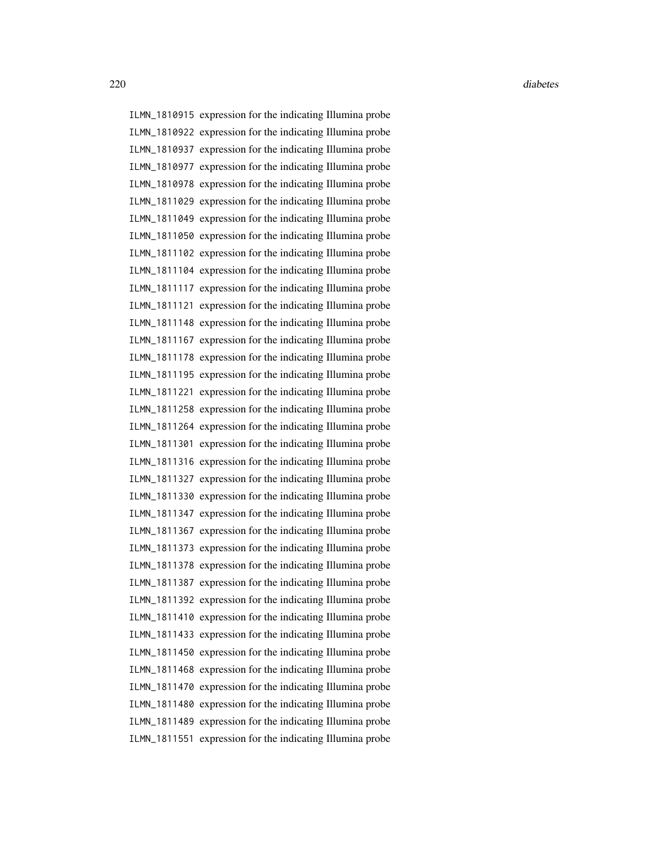ILMN\_1810915 expression for the indicating Illumina probe ILMN\_1810922 expression for the indicating Illumina probe ILMN\_1810937 expression for the indicating Illumina probe ILMN\_1810977 expression for the indicating Illumina probe ILMN\_1810978 expression for the indicating Illumina probe ILMN\_1811029 expression for the indicating Illumina probe ILMN\_1811049 expression for the indicating Illumina probe ILMN\_1811050 expression for the indicating Illumina probe ILMN\_1811102 expression for the indicating Illumina probe ILMN\_1811104 expression for the indicating Illumina probe ILMN\_1811117 expression for the indicating Illumina probe ILMN\_1811121 expression for the indicating Illumina probe ILMN\_1811148 expression for the indicating Illumina probe ILMN\_1811167 expression for the indicating Illumina probe ILMN\_1811178 expression for the indicating Illumina probe ILMN\_1811195 expression for the indicating Illumina probe ILMN\_1811221 expression for the indicating Illumina probe ILMN\_1811258 expression for the indicating Illumina probe ILMN\_1811264 expression for the indicating Illumina probe ILMN\_1811301 expression for the indicating Illumina probe ILMN\_1811316 expression for the indicating Illumina probe ILMN\_1811327 expression for the indicating Illumina probe ILMN\_1811330 expression for the indicating Illumina probe ILMN\_1811347 expression for the indicating Illumina probe ILMN\_1811367 expression for the indicating Illumina probe ILMN\_1811373 expression for the indicating Illumina probe ILMN\_1811378 expression for the indicating Illumina probe ILMN\_1811387 expression for the indicating Illumina probe ILMN\_1811392 expression for the indicating Illumina probe ILMN\_1811410 expression for the indicating Illumina probe ILMN\_1811433 expression for the indicating Illumina probe ILMN\_1811450 expression for the indicating Illumina probe ILMN\_1811468 expression for the indicating Illumina probe ILMN\_1811470 expression for the indicating Illumina probe ILMN\_1811480 expression for the indicating Illumina probe ILMN\_1811489 expression for the indicating Illumina probe ILMN\_1811551 expression for the indicating Illumina probe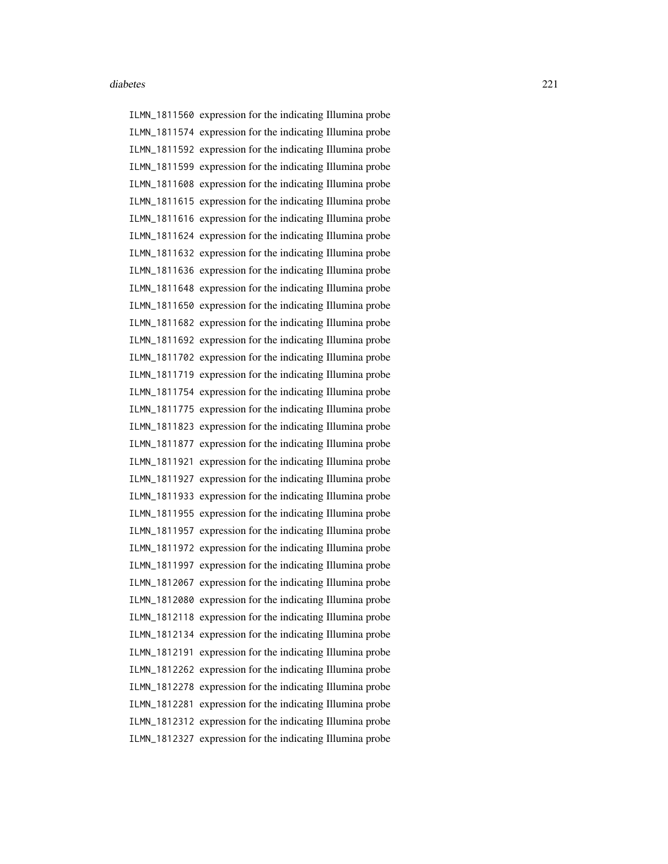ILMN\_1811560 expression for the indicating Illumina probe ILMN\_1811574 expression for the indicating Illumina probe ILMN\_1811592 expression for the indicating Illumina probe ILMN\_1811599 expression for the indicating Illumina probe ILMN\_1811608 expression for the indicating Illumina probe ILMN\_1811615 expression for the indicating Illumina probe ILMN\_1811616 expression for the indicating Illumina probe ILMN\_1811624 expression for the indicating Illumina probe ILMN\_1811632 expression for the indicating Illumina probe ILMN\_1811636 expression for the indicating Illumina probe ILMN\_1811648 expression for the indicating Illumina probe ILMN\_1811650 expression for the indicating Illumina probe ILMN\_1811682 expression for the indicating Illumina probe ILMN\_1811692 expression for the indicating Illumina probe ILMN\_1811702 expression for the indicating Illumina probe ILMN\_1811719 expression for the indicating Illumina probe ILMN\_1811754 expression for the indicating Illumina probe ILMN\_1811775 expression for the indicating Illumina probe ILMN\_1811823 expression for the indicating Illumina probe ILMN\_1811877 expression for the indicating Illumina probe ILMN\_1811921 expression for the indicating Illumina probe ILMN\_1811927 expression for the indicating Illumina probe ILMN\_1811933 expression for the indicating Illumina probe ILMN\_1811955 expression for the indicating Illumina probe ILMN\_1811957 expression for the indicating Illumina probe ILMN\_1811972 expression for the indicating Illumina probe ILMN\_1811997 expression for the indicating Illumina probe ILMN\_1812067 expression for the indicating Illumina probe ILMN\_1812080 expression for the indicating Illumina probe ILMN\_1812118 expression for the indicating Illumina probe ILMN\_1812134 expression for the indicating Illumina probe ILMN\_1812191 expression for the indicating Illumina probe ILMN\_1812262 expression for the indicating Illumina probe ILMN\_1812278 expression for the indicating Illumina probe ILMN\_1812281 expression for the indicating Illumina probe ILMN\_1812312 expression for the indicating Illumina probe ILMN\_1812327 expression for the indicating Illumina probe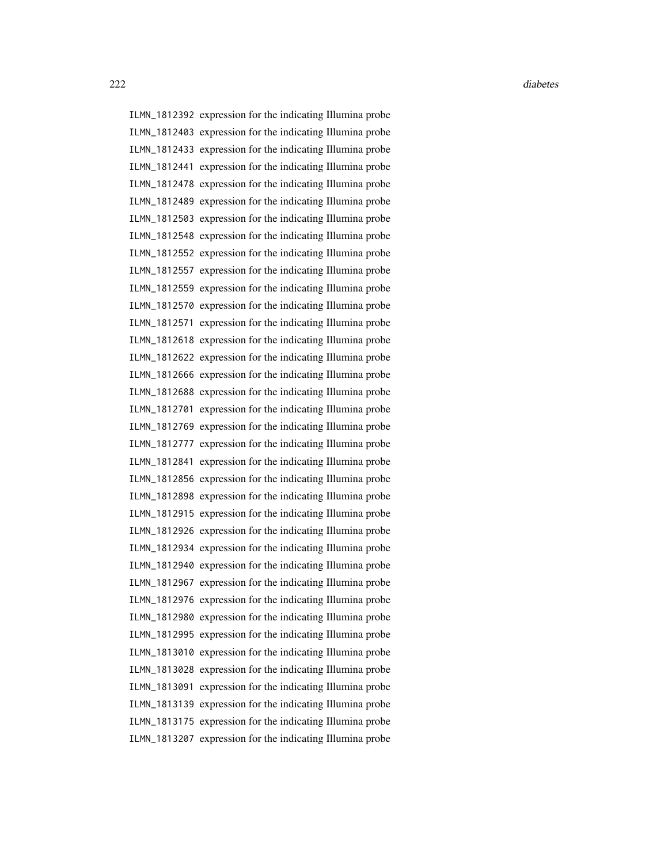222 diabetes and the contract of the contract of the contract of the contract of the contract of the contract of the contract of the contract of the contract of the contract of the contract of the contract of the contract

ILMN\_1812392 expression for the indicating Illumina probe ILMN\_1812403 expression for the indicating Illumina probe ILMN\_1812433 expression for the indicating Illumina probe ILMN\_1812441 expression for the indicating Illumina probe ILMN\_1812478 expression for the indicating Illumina probe ILMN\_1812489 expression for the indicating Illumina probe ILMN\_1812503 expression for the indicating Illumina probe ILMN\_1812548 expression for the indicating Illumina probe ILMN\_1812552 expression for the indicating Illumina probe ILMN\_1812557 expression for the indicating Illumina probe ILMN\_1812559 expression for the indicating Illumina probe ILMN\_1812570 expression for the indicating Illumina probe ILMN\_1812571 expression for the indicating Illumina probe ILMN\_1812618 expression for the indicating Illumina probe ILMN\_1812622 expression for the indicating Illumina probe ILMN\_1812666 expression for the indicating Illumina probe ILMN\_1812688 expression for the indicating Illumina probe ILMN\_1812701 expression for the indicating Illumina probe ILMN\_1812769 expression for the indicating Illumina probe ILMN\_1812777 expression for the indicating Illumina probe ILMN\_1812841 expression for the indicating Illumina probe ILMN\_1812856 expression for the indicating Illumina probe ILMN\_1812898 expression for the indicating Illumina probe ILMN\_1812915 expression for the indicating Illumina probe ILMN\_1812926 expression for the indicating Illumina probe ILMN\_1812934 expression for the indicating Illumina probe ILMN\_1812940 expression for the indicating Illumina probe ILMN\_1812967 expression for the indicating Illumina probe ILMN\_1812976 expression for the indicating Illumina probe ILMN\_1812980 expression for the indicating Illumina probe ILMN\_1812995 expression for the indicating Illumina probe ILMN\_1813010 expression for the indicating Illumina probe ILMN\_1813028 expression for the indicating Illumina probe ILMN\_1813091 expression for the indicating Illumina probe ILMN\_1813139 expression for the indicating Illumina probe ILMN\_1813175 expression for the indicating Illumina probe ILMN\_1813207 expression for the indicating Illumina probe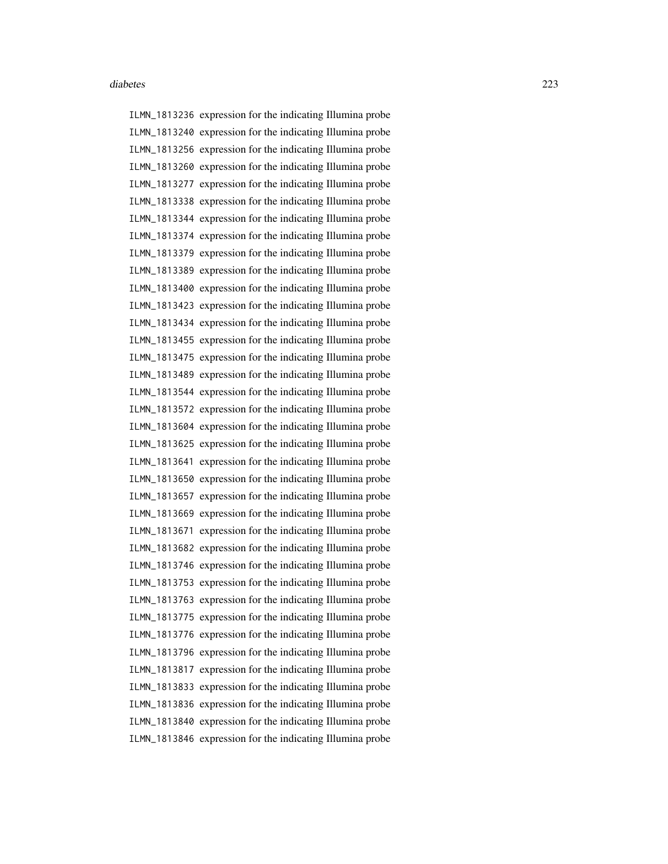ILMN\_1813236 expression for the indicating Illumina probe ILMN\_1813240 expression for the indicating Illumina probe ILMN\_1813256 expression for the indicating Illumina probe ILMN\_1813260 expression for the indicating Illumina probe ILMN\_1813277 expression for the indicating Illumina probe ILMN\_1813338 expression for the indicating Illumina probe ILMN\_1813344 expression for the indicating Illumina probe ILMN\_1813374 expression for the indicating Illumina probe ILMN\_1813379 expression for the indicating Illumina probe ILMN\_1813389 expression for the indicating Illumina probe ILMN\_1813400 expression for the indicating Illumina probe ILMN\_1813423 expression for the indicating Illumina probe ILMN\_1813434 expression for the indicating Illumina probe ILMN\_1813455 expression for the indicating Illumina probe ILMN\_1813475 expression for the indicating Illumina probe ILMN\_1813489 expression for the indicating Illumina probe ILMN\_1813544 expression for the indicating Illumina probe ILMN\_1813572 expression for the indicating Illumina probe ILMN\_1813604 expression for the indicating Illumina probe ILMN\_1813625 expression for the indicating Illumina probe ILMN\_1813641 expression for the indicating Illumina probe ILMN\_1813650 expression for the indicating Illumina probe ILMN\_1813657 expression for the indicating Illumina probe ILMN\_1813669 expression for the indicating Illumina probe ILMN\_1813671 expression for the indicating Illumina probe ILMN\_1813682 expression for the indicating Illumina probe ILMN\_1813746 expression for the indicating Illumina probe ILMN\_1813753 expression for the indicating Illumina probe ILMN\_1813763 expression for the indicating Illumina probe ILMN\_1813775 expression for the indicating Illumina probe ILMN\_1813776 expression for the indicating Illumina probe ILMN\_1813796 expression for the indicating Illumina probe ILMN\_1813817 expression for the indicating Illumina probe ILMN\_1813833 expression for the indicating Illumina probe ILMN\_1813836 expression for the indicating Illumina probe ILMN\_1813840 expression for the indicating Illumina probe ILMN\_1813846 expression for the indicating Illumina probe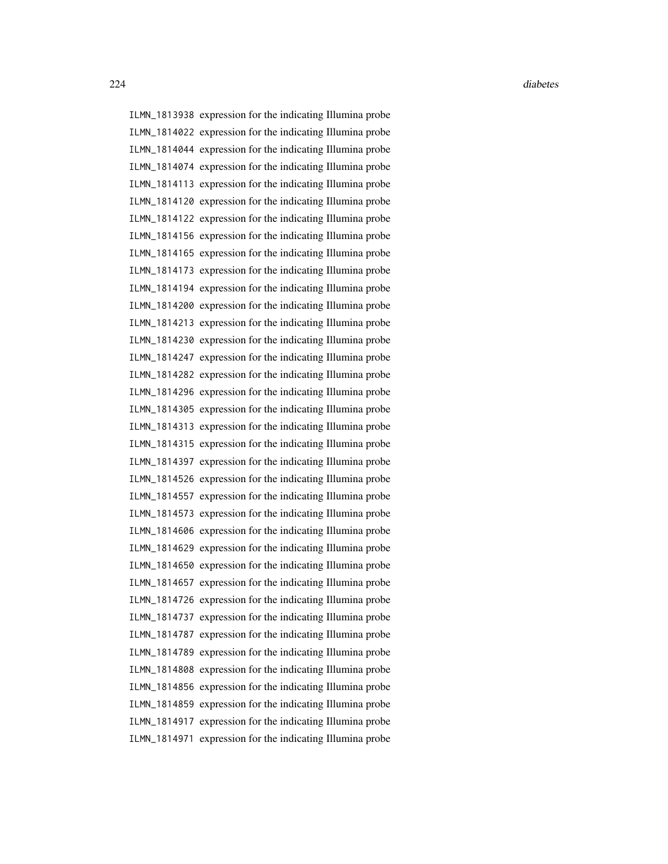ILMN\_1813938 expression for the indicating Illumina probe ILMN\_1814022 expression for the indicating Illumina probe ILMN\_1814044 expression for the indicating Illumina probe ILMN\_1814074 expression for the indicating Illumina probe ILMN\_1814113 expression for the indicating Illumina probe ILMN\_1814120 expression for the indicating Illumina probe ILMN\_1814122 expression for the indicating Illumina probe ILMN\_1814156 expression for the indicating Illumina probe ILMN\_1814165 expression for the indicating Illumina probe ILMN\_1814173 expression for the indicating Illumina probe ILMN\_1814194 expression for the indicating Illumina probe ILMN\_1814200 expression for the indicating Illumina probe ILMN\_1814213 expression for the indicating Illumina probe ILMN\_1814230 expression for the indicating Illumina probe ILMN\_1814247 expression for the indicating Illumina probe ILMN\_1814282 expression for the indicating Illumina probe ILMN\_1814296 expression for the indicating Illumina probe ILMN\_1814305 expression for the indicating Illumina probe ILMN\_1814313 expression for the indicating Illumina probe ILMN\_1814315 expression for the indicating Illumina probe ILMN\_1814397 expression for the indicating Illumina probe ILMN\_1814526 expression for the indicating Illumina probe ILMN\_1814557 expression for the indicating Illumina probe ILMN\_1814573 expression for the indicating Illumina probe ILMN\_1814606 expression for the indicating Illumina probe ILMN\_1814629 expression for the indicating Illumina probe ILMN\_1814650 expression for the indicating Illumina probe ILMN\_1814657 expression for the indicating Illumina probe ILMN\_1814726 expression for the indicating Illumina probe ILMN\_1814737 expression for the indicating Illumina probe ILMN\_1814787 expression for the indicating Illumina probe ILMN\_1814789 expression for the indicating Illumina probe ILMN\_1814808 expression for the indicating Illumina probe ILMN\_1814856 expression for the indicating Illumina probe ILMN\_1814859 expression for the indicating Illumina probe ILMN\_1814917 expression for the indicating Illumina probe ILMN\_1814971 expression for the indicating Illumina probe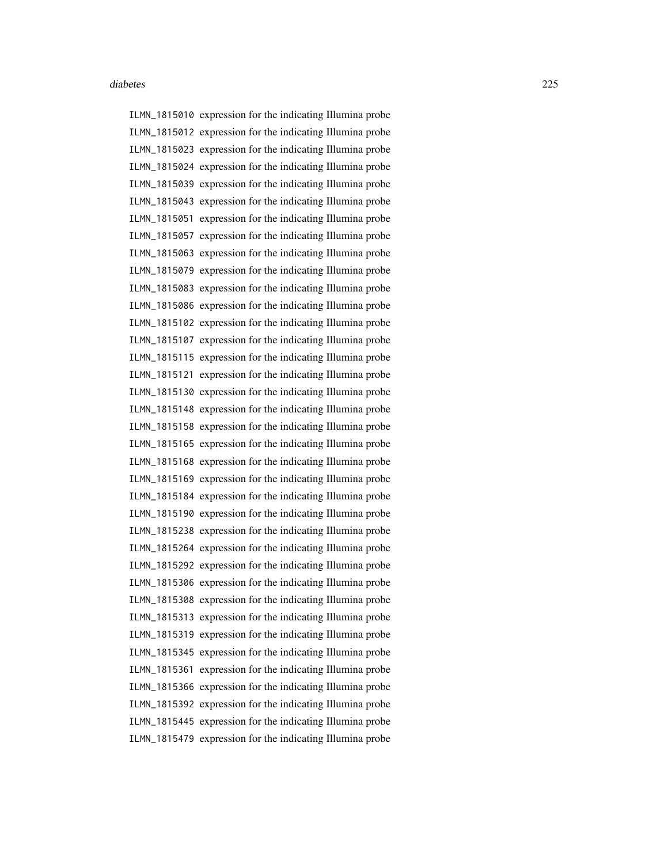ILMN\_1815010 expression for the indicating Illumina probe ILMN\_1815012 expression for the indicating Illumina probe ILMN\_1815023 expression for the indicating Illumina probe ILMN\_1815024 expression for the indicating Illumina probe ILMN\_1815039 expression for the indicating Illumina probe ILMN\_1815043 expression for the indicating Illumina probe ILMN\_1815051 expression for the indicating Illumina probe ILMN\_1815057 expression for the indicating Illumina probe ILMN\_1815063 expression for the indicating Illumina probe ILMN\_1815079 expression for the indicating Illumina probe ILMN\_1815083 expression for the indicating Illumina probe ILMN\_1815086 expression for the indicating Illumina probe ILMN\_1815102 expression for the indicating Illumina probe ILMN\_1815107 expression for the indicating Illumina probe ILMN\_1815115 expression for the indicating Illumina probe ILMN\_1815121 expression for the indicating Illumina probe ILMN\_1815130 expression for the indicating Illumina probe ILMN\_1815148 expression for the indicating Illumina probe ILMN\_1815158 expression for the indicating Illumina probe ILMN\_1815165 expression for the indicating Illumina probe ILMN\_1815168 expression for the indicating Illumina probe ILMN\_1815169 expression for the indicating Illumina probe ILMN\_1815184 expression for the indicating Illumina probe ILMN\_1815190 expression for the indicating Illumina probe ILMN\_1815238 expression for the indicating Illumina probe ILMN\_1815264 expression for the indicating Illumina probe ILMN\_1815292 expression for the indicating Illumina probe ILMN\_1815306 expression for the indicating Illumina probe ILMN\_1815308 expression for the indicating Illumina probe ILMN\_1815313 expression for the indicating Illumina probe ILMN\_1815319 expression for the indicating Illumina probe ILMN\_1815345 expression for the indicating Illumina probe ILMN\_1815361 expression for the indicating Illumina probe ILMN\_1815366 expression for the indicating Illumina probe ILMN\_1815392 expression for the indicating Illumina probe ILMN\_1815445 expression for the indicating Illumina probe ILMN\_1815479 expression for the indicating Illumina probe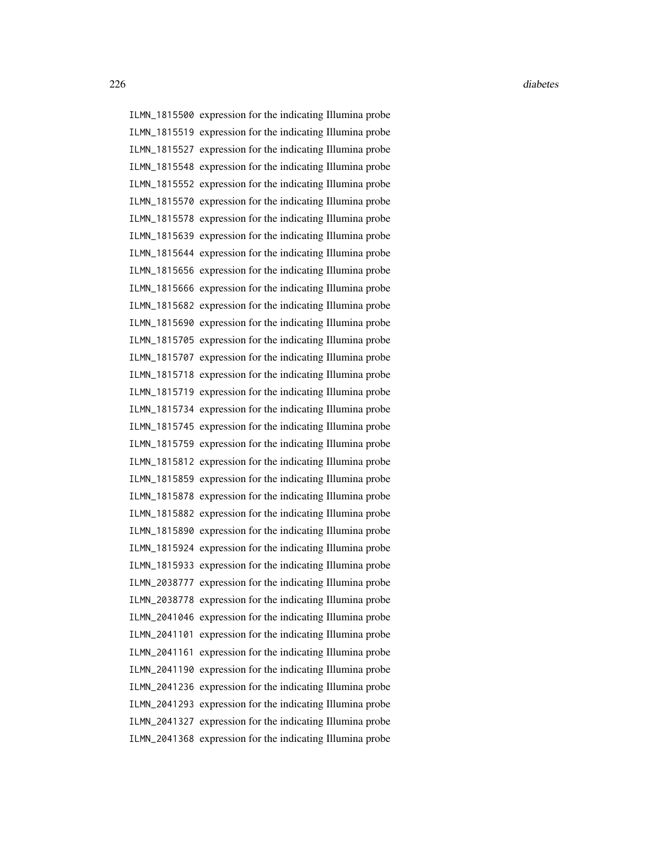ILMN\_1815500 expression for the indicating Illumina probe ILMN\_1815519 expression for the indicating Illumina probe ILMN\_1815527 expression for the indicating Illumina probe ILMN\_1815548 expression for the indicating Illumina probe ILMN\_1815552 expression for the indicating Illumina probe ILMN\_1815570 expression for the indicating Illumina probe ILMN\_1815578 expression for the indicating Illumina probe ILMN\_1815639 expression for the indicating Illumina probe ILMN\_1815644 expression for the indicating Illumina probe ILMN\_1815656 expression for the indicating Illumina probe ILMN\_1815666 expression for the indicating Illumina probe ILMN\_1815682 expression for the indicating Illumina probe ILMN\_1815690 expression for the indicating Illumina probe ILMN\_1815705 expression for the indicating Illumina probe ILMN\_1815707 expression for the indicating Illumina probe ILMN\_1815718 expression for the indicating Illumina probe ILMN\_1815719 expression for the indicating Illumina probe ILMN\_1815734 expression for the indicating Illumina probe ILMN\_1815745 expression for the indicating Illumina probe ILMN\_1815759 expression for the indicating Illumina probe ILMN\_1815812 expression for the indicating Illumina probe ILMN\_1815859 expression for the indicating Illumina probe ILMN\_1815878 expression for the indicating Illumina probe ILMN\_1815882 expression for the indicating Illumina probe ILMN\_1815890 expression for the indicating Illumina probe ILMN\_1815924 expression for the indicating Illumina probe ILMN\_1815933 expression for the indicating Illumina probe ILMN\_2038777 expression for the indicating Illumina probe ILMN\_2038778 expression for the indicating Illumina probe ILMN\_2041046 expression for the indicating Illumina probe ILMN\_2041101 expression for the indicating Illumina probe ILMN\_2041161 expression for the indicating Illumina probe ILMN\_2041190 expression for the indicating Illumina probe ILMN\_2041236 expression for the indicating Illumina probe ILMN\_2041293 expression for the indicating Illumina probe ILMN\_2041327 expression for the indicating Illumina probe ILMN\_2041368 expression for the indicating Illumina probe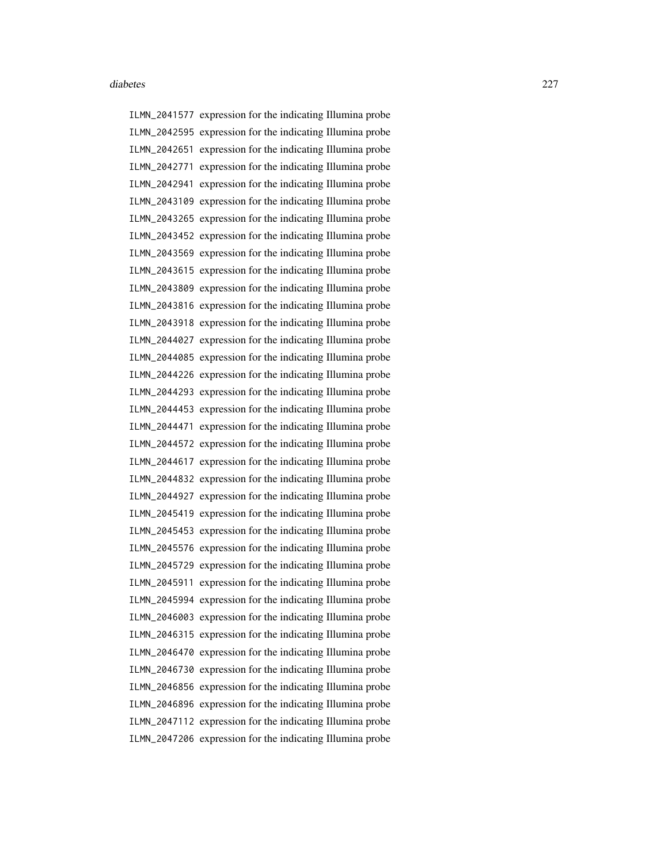ILMN\_2041577 expression for the indicating Illumina probe ILMN\_2042595 expression for the indicating Illumina probe ILMN\_2042651 expression for the indicating Illumina probe ILMN\_2042771 expression for the indicating Illumina probe ILMN\_2042941 expression for the indicating Illumina probe ILMN\_2043109 expression for the indicating Illumina probe ILMN\_2043265 expression for the indicating Illumina probe ILMN\_2043452 expression for the indicating Illumina probe ILMN\_2043569 expression for the indicating Illumina probe ILMN\_2043615 expression for the indicating Illumina probe ILMN\_2043809 expression for the indicating Illumina probe ILMN\_2043816 expression for the indicating Illumina probe ILMN\_2043918 expression for the indicating Illumina probe ILMN\_2044027 expression for the indicating Illumina probe ILMN\_2044085 expression for the indicating Illumina probe ILMN\_2044226 expression for the indicating Illumina probe ILMN\_2044293 expression for the indicating Illumina probe ILMN\_2044453 expression for the indicating Illumina probe ILMN\_2044471 expression for the indicating Illumina probe ILMN\_2044572 expression for the indicating Illumina probe ILMN\_2044617 expression for the indicating Illumina probe ILMN\_2044832 expression for the indicating Illumina probe ILMN\_2044927 expression for the indicating Illumina probe ILMN\_2045419 expression for the indicating Illumina probe ILMN\_2045453 expression for the indicating Illumina probe ILMN\_2045576 expression for the indicating Illumina probe ILMN\_2045729 expression for the indicating Illumina probe ILMN\_2045911 expression for the indicating Illumina probe ILMN\_2045994 expression for the indicating Illumina probe ILMN\_2046003 expression for the indicating Illumina probe ILMN\_2046315 expression for the indicating Illumina probe ILMN\_2046470 expression for the indicating Illumina probe ILMN\_2046730 expression for the indicating Illumina probe ILMN\_2046856 expression for the indicating Illumina probe ILMN\_2046896 expression for the indicating Illumina probe ILMN\_2047112 expression for the indicating Illumina probe ILMN\_2047206 expression for the indicating Illumina probe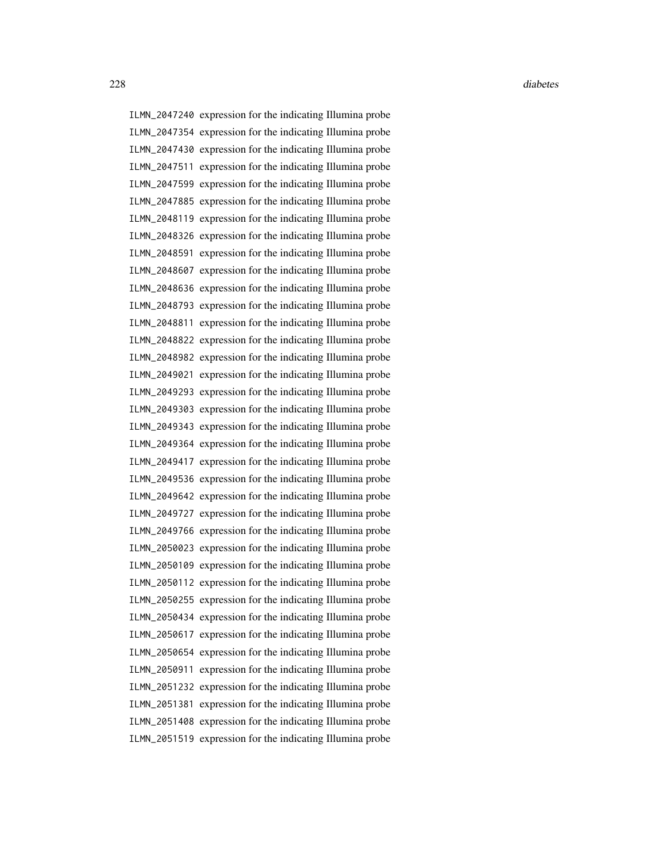ILMN\_2047240 expression for the indicating Illumina probe ILMN\_2047354 expression for the indicating Illumina probe ILMN\_2047430 expression for the indicating Illumina probe ILMN\_2047511 expression for the indicating Illumina probe ILMN\_2047599 expression for the indicating Illumina probe ILMN\_2047885 expression for the indicating Illumina probe ILMN\_2048119 expression for the indicating Illumina probe ILMN\_2048326 expression for the indicating Illumina probe ILMN\_2048591 expression for the indicating Illumina probe ILMN\_2048607 expression for the indicating Illumina probe ILMN\_2048636 expression for the indicating Illumina probe ILMN\_2048793 expression for the indicating Illumina probe ILMN\_2048811 expression for the indicating Illumina probe ILMN\_2048822 expression for the indicating Illumina probe ILMN\_2048982 expression for the indicating Illumina probe ILMN\_2049021 expression for the indicating Illumina probe ILMN\_2049293 expression for the indicating Illumina probe ILMN\_2049303 expression for the indicating Illumina probe ILMN\_2049343 expression for the indicating Illumina probe ILMN\_2049364 expression for the indicating Illumina probe ILMN\_2049417 expression for the indicating Illumina probe ILMN\_2049536 expression for the indicating Illumina probe ILMN\_2049642 expression for the indicating Illumina probe ILMN\_2049727 expression for the indicating Illumina probe ILMN\_2049766 expression for the indicating Illumina probe ILMN\_2050023 expression for the indicating Illumina probe ILMN\_2050109 expression for the indicating Illumina probe ILMN\_2050112 expression for the indicating Illumina probe ILMN\_2050255 expression for the indicating Illumina probe ILMN\_2050434 expression for the indicating Illumina probe ILMN\_2050617 expression for the indicating Illumina probe ILMN\_2050654 expression for the indicating Illumina probe ILMN\_2050911 expression for the indicating Illumina probe ILMN\_2051232 expression for the indicating Illumina probe ILMN\_2051381 expression for the indicating Illumina probe ILMN\_2051408 expression for the indicating Illumina probe ILMN\_2051519 expression for the indicating Illumina probe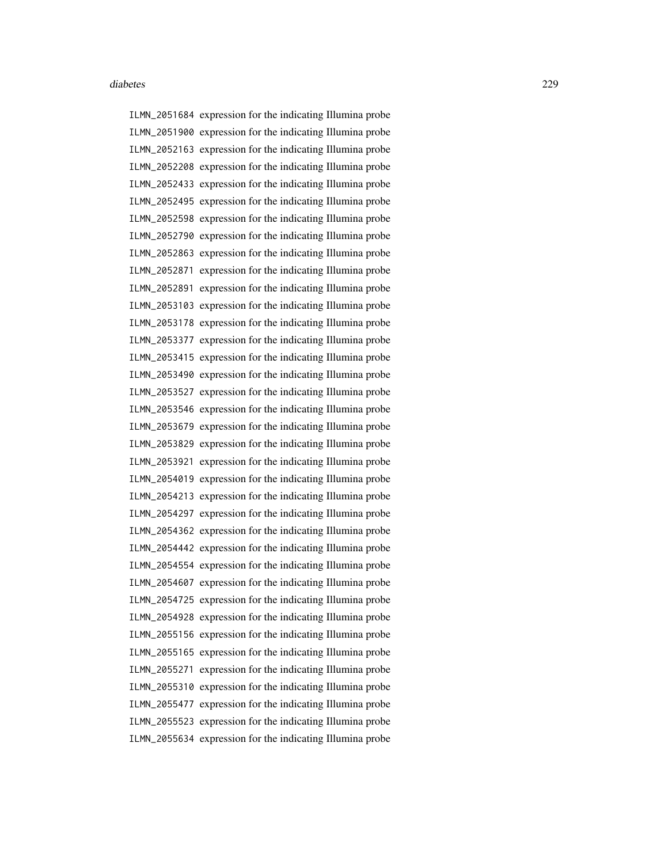ILMN\_2051684 expression for the indicating Illumina probe ILMN\_2051900 expression for the indicating Illumina probe ILMN\_2052163 expression for the indicating Illumina probe ILMN\_2052208 expression for the indicating Illumina probe ILMN\_2052433 expression for the indicating Illumina probe ILMN\_2052495 expression for the indicating Illumina probe ILMN\_2052598 expression for the indicating Illumina probe ILMN\_2052790 expression for the indicating Illumina probe ILMN\_2052863 expression for the indicating Illumina probe ILMN\_2052871 expression for the indicating Illumina probe ILMN\_2052891 expression for the indicating Illumina probe ILMN\_2053103 expression for the indicating Illumina probe ILMN\_2053178 expression for the indicating Illumina probe ILMN\_2053377 expression for the indicating Illumina probe ILMN\_2053415 expression for the indicating Illumina probe ILMN\_2053490 expression for the indicating Illumina probe ILMN\_2053527 expression for the indicating Illumina probe ILMN\_2053546 expression for the indicating Illumina probe ILMN\_2053679 expression for the indicating Illumina probe ILMN\_2053829 expression for the indicating Illumina probe ILMN\_2053921 expression for the indicating Illumina probe ILMN\_2054019 expression for the indicating Illumina probe ILMN\_2054213 expression for the indicating Illumina probe ILMN\_2054297 expression for the indicating Illumina probe ILMN\_2054362 expression for the indicating Illumina probe ILMN\_2054442 expression for the indicating Illumina probe ILMN\_2054554 expression for the indicating Illumina probe ILMN\_2054607 expression for the indicating Illumina probe ILMN\_2054725 expression for the indicating Illumina probe ILMN\_2054928 expression for the indicating Illumina probe ILMN\_2055156 expression for the indicating Illumina probe ILMN\_2055165 expression for the indicating Illumina probe ILMN\_2055271 expression for the indicating Illumina probe ILMN\_2055310 expression for the indicating Illumina probe ILMN\_2055477 expression for the indicating Illumina probe ILMN\_2055523 expression for the indicating Illumina probe ILMN\_2055634 expression for the indicating Illumina probe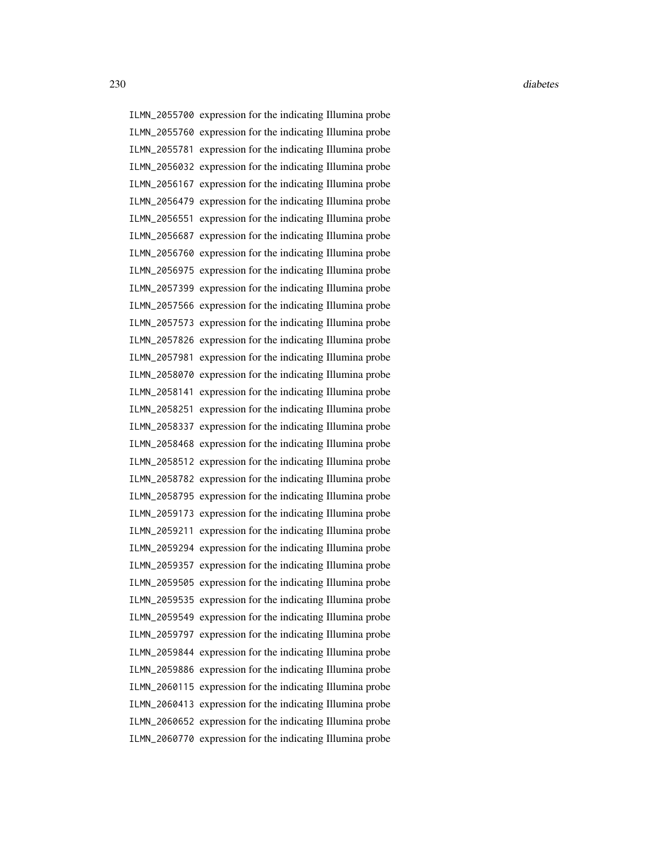ILMN\_2055700 expression for the indicating Illumina probe ILMN\_2055760 expression for the indicating Illumina probe ILMN\_2055781 expression for the indicating Illumina probe ILMN\_2056032 expression for the indicating Illumina probe ILMN\_2056167 expression for the indicating Illumina probe ILMN\_2056479 expression for the indicating Illumina probe ILMN\_2056551 expression for the indicating Illumina probe ILMN\_2056687 expression for the indicating Illumina probe ILMN\_2056760 expression for the indicating Illumina probe ILMN\_2056975 expression for the indicating Illumina probe ILMN\_2057399 expression for the indicating Illumina probe ILMN\_2057566 expression for the indicating Illumina probe ILMN\_2057573 expression for the indicating Illumina probe ILMN\_2057826 expression for the indicating Illumina probe ILMN\_2057981 expression for the indicating Illumina probe ILMN\_2058070 expression for the indicating Illumina probe ILMN\_2058141 expression for the indicating Illumina probe ILMN\_2058251 expression for the indicating Illumina probe ILMN\_2058337 expression for the indicating Illumina probe ILMN\_2058468 expression for the indicating Illumina probe ILMN\_2058512 expression for the indicating Illumina probe ILMN\_2058782 expression for the indicating Illumina probe ILMN\_2058795 expression for the indicating Illumina probe ILMN\_2059173 expression for the indicating Illumina probe ILMN\_2059211 expression for the indicating Illumina probe ILMN\_2059294 expression for the indicating Illumina probe ILMN\_2059357 expression for the indicating Illumina probe ILMN\_2059505 expression for the indicating Illumina probe ILMN\_2059535 expression for the indicating Illumina probe ILMN\_2059549 expression for the indicating Illumina probe ILMN\_2059797 expression for the indicating Illumina probe ILMN\_2059844 expression for the indicating Illumina probe ILMN\_2059886 expression for the indicating Illumina probe ILMN\_2060115 expression for the indicating Illumina probe ILMN\_2060413 expression for the indicating Illumina probe ILMN\_2060652 expression for the indicating Illumina probe ILMN\_2060770 expression for the indicating Illumina probe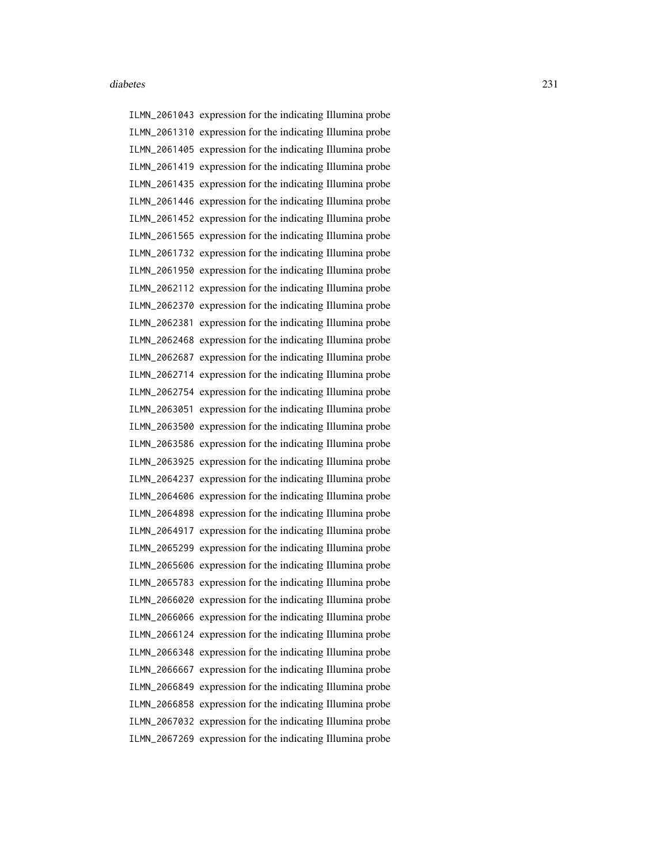ILMN\_2061043 expression for the indicating Illumina probe ILMN\_2061310 expression for the indicating Illumina probe ILMN\_2061405 expression for the indicating Illumina probe ILMN\_2061419 expression for the indicating Illumina probe ILMN\_2061435 expression for the indicating Illumina probe ILMN\_2061446 expression for the indicating Illumina probe ILMN\_2061452 expression for the indicating Illumina probe ILMN\_2061565 expression for the indicating Illumina probe ILMN\_2061732 expression for the indicating Illumina probe ILMN\_2061950 expression for the indicating Illumina probe ILMN\_2062112 expression for the indicating Illumina probe ILMN\_2062370 expression for the indicating Illumina probe ILMN\_2062381 expression for the indicating Illumina probe ILMN\_2062468 expression for the indicating Illumina probe ILMN\_2062687 expression for the indicating Illumina probe ILMN\_2062714 expression for the indicating Illumina probe ILMN\_2062754 expression for the indicating Illumina probe ILMN\_2063051 expression for the indicating Illumina probe ILMN\_2063500 expression for the indicating Illumina probe ILMN\_2063586 expression for the indicating Illumina probe ILMN\_2063925 expression for the indicating Illumina probe ILMN\_2064237 expression for the indicating Illumina probe ILMN\_2064606 expression for the indicating Illumina probe ILMN\_2064898 expression for the indicating Illumina probe ILMN\_2064917 expression for the indicating Illumina probe ILMN\_2065299 expression for the indicating Illumina probe ILMN\_2065606 expression for the indicating Illumina probe ILMN\_2065783 expression for the indicating Illumina probe ILMN\_2066020 expression for the indicating Illumina probe ILMN\_2066066 expression for the indicating Illumina probe ILMN\_2066124 expression for the indicating Illumina probe ILMN\_2066348 expression for the indicating Illumina probe ILMN\_2066667 expression for the indicating Illumina probe ILMN\_2066849 expression for the indicating Illumina probe ILMN\_2066858 expression for the indicating Illumina probe ILMN\_2067032 expression for the indicating Illumina probe ILMN\_2067269 expression for the indicating Illumina probe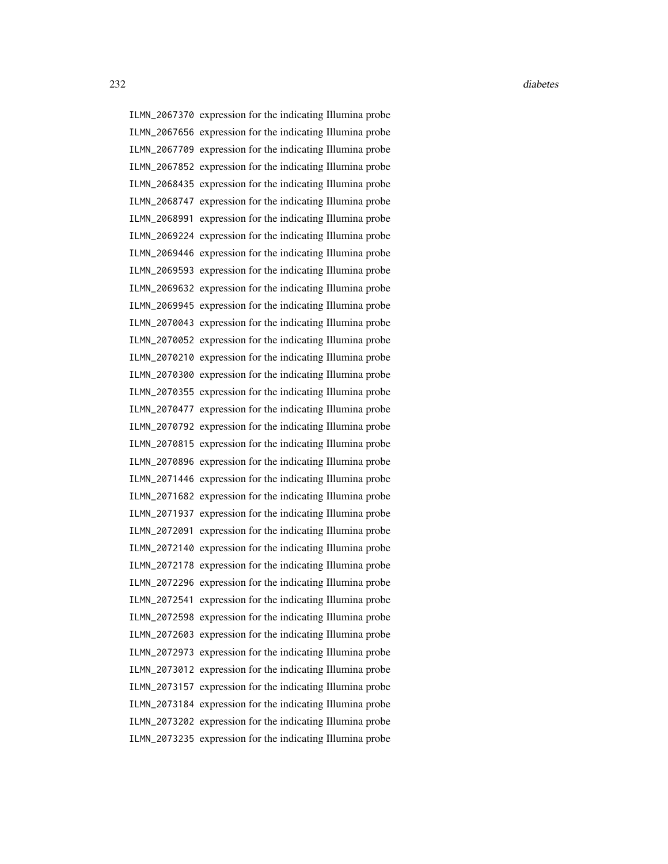ILMN\_2067370 expression for the indicating Illumina probe ILMN\_2067656 expression for the indicating Illumina probe ILMN\_2067709 expression for the indicating Illumina probe ILMN\_2067852 expression for the indicating Illumina probe ILMN\_2068435 expression for the indicating Illumina probe ILMN\_2068747 expression for the indicating Illumina probe ILMN\_2068991 expression for the indicating Illumina probe ILMN\_2069224 expression for the indicating Illumina probe ILMN\_2069446 expression for the indicating Illumina probe ILMN\_2069593 expression for the indicating Illumina probe ILMN\_2069632 expression for the indicating Illumina probe ILMN\_2069945 expression for the indicating Illumina probe ILMN\_2070043 expression for the indicating Illumina probe ILMN\_2070052 expression for the indicating Illumina probe ILMN\_2070210 expression for the indicating Illumina probe ILMN\_2070300 expression for the indicating Illumina probe ILMN\_2070355 expression for the indicating Illumina probe ILMN\_2070477 expression for the indicating Illumina probe ILMN\_2070792 expression for the indicating Illumina probe ILMN\_2070815 expression for the indicating Illumina probe ILMN\_2070896 expression for the indicating Illumina probe ILMN\_2071446 expression for the indicating Illumina probe ILMN\_2071682 expression for the indicating Illumina probe ILMN\_2071937 expression for the indicating Illumina probe ILMN\_2072091 expression for the indicating Illumina probe ILMN\_2072140 expression for the indicating Illumina probe ILMN\_2072178 expression for the indicating Illumina probe ILMN\_2072296 expression for the indicating Illumina probe ILMN\_2072541 expression for the indicating Illumina probe ILMN\_2072598 expression for the indicating Illumina probe ILMN\_2072603 expression for the indicating Illumina probe ILMN\_2072973 expression for the indicating Illumina probe ILMN\_2073012 expression for the indicating Illumina probe ILMN\_2073157 expression for the indicating Illumina probe ILMN\_2073184 expression for the indicating Illumina probe ILMN\_2073202 expression for the indicating Illumina probe ILMN\_2073235 expression for the indicating Illumina probe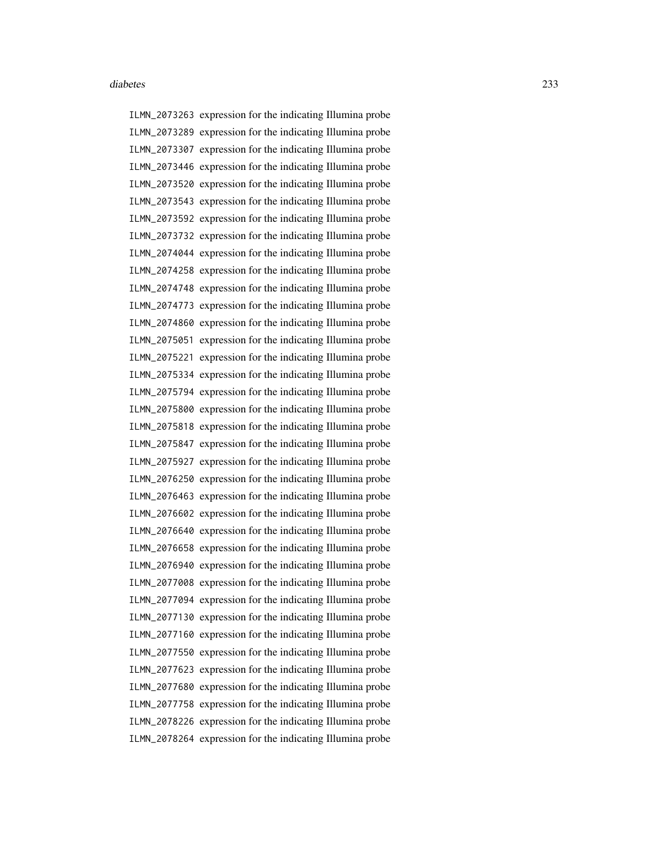ILMN\_2073263 expression for the indicating Illumina probe ILMN\_2073289 expression for the indicating Illumina probe ILMN\_2073307 expression for the indicating Illumina probe ILMN\_2073446 expression for the indicating Illumina probe ILMN\_2073520 expression for the indicating Illumina probe ILMN\_2073543 expression for the indicating Illumina probe ILMN\_2073592 expression for the indicating Illumina probe ILMN\_2073732 expression for the indicating Illumina probe ILMN\_2074044 expression for the indicating Illumina probe ILMN\_2074258 expression for the indicating Illumina probe ILMN\_2074748 expression for the indicating Illumina probe ILMN\_2074773 expression for the indicating Illumina probe ILMN\_2074860 expression for the indicating Illumina probe ILMN\_2075051 expression for the indicating Illumina probe ILMN\_2075221 expression for the indicating Illumina probe ILMN\_2075334 expression for the indicating Illumina probe ILMN\_2075794 expression for the indicating Illumina probe ILMN\_2075800 expression for the indicating Illumina probe ILMN\_2075818 expression for the indicating Illumina probe ILMN\_2075847 expression for the indicating Illumina probe ILMN\_2075927 expression for the indicating Illumina probe ILMN\_2076250 expression for the indicating Illumina probe ILMN\_2076463 expression for the indicating Illumina probe ILMN\_2076602 expression for the indicating Illumina probe ILMN\_2076640 expression for the indicating Illumina probe ILMN\_2076658 expression for the indicating Illumina probe ILMN\_2076940 expression for the indicating Illumina probe ILMN\_2077008 expression for the indicating Illumina probe ILMN\_2077094 expression for the indicating Illumina probe ILMN\_2077130 expression for the indicating Illumina probe ILMN\_2077160 expression for the indicating Illumina probe ILMN\_2077550 expression for the indicating Illumina probe ILMN\_2077623 expression for the indicating Illumina probe ILMN\_2077680 expression for the indicating Illumina probe ILMN\_2077758 expression for the indicating Illumina probe ILMN\_2078226 expression for the indicating Illumina probe ILMN\_2078264 expression for the indicating Illumina probe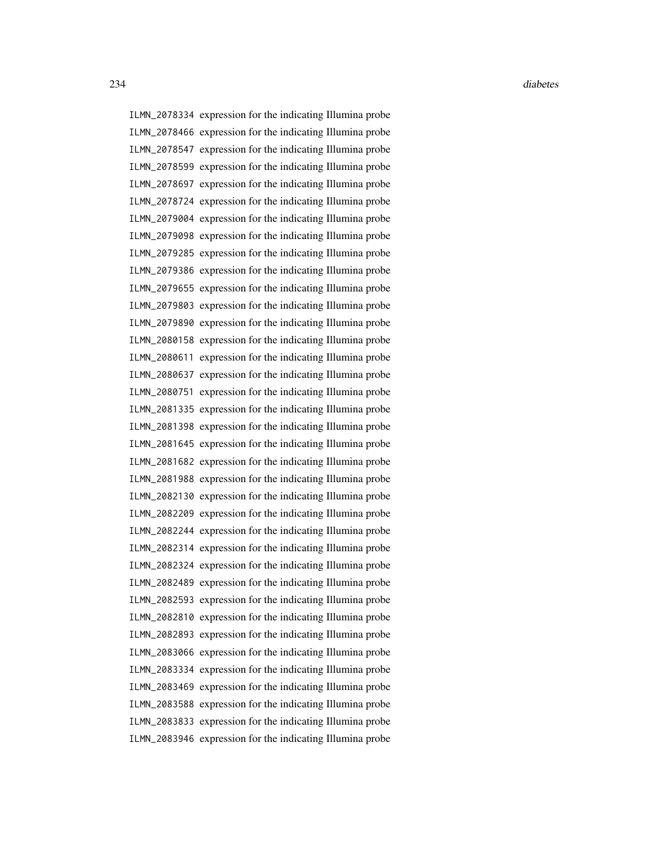ILMN\_2078334 expression for the indicating Illumina probe ILMN\_2078466 expression for the indicating Illumina probe ILMN\_2078547 expression for the indicating Illumina probe ILMN\_2078599 expression for the indicating Illumina probe ILMN\_2078697 expression for the indicating Illumina probe ILMN\_2078724 expression for the indicating Illumina probe ILMN\_2079004 expression for the indicating Illumina probe ILMN\_2079098 expression for the indicating Illumina probe ILMN\_2079285 expression for the indicating Illumina probe ILMN\_2079386 expression for the indicating Illumina probe ILMN\_2079655 expression for the indicating Illumina probe ILMN\_2079803 expression for the indicating Illumina probe ILMN\_2079890 expression for the indicating Illumina probe ILMN\_2080158 expression for the indicating Illumina probe ILMN\_2080611 expression for the indicating Illumina probe ILMN\_2080637 expression for the indicating Illumina probe ILMN\_2080751 expression for the indicating Illumina probe ILMN\_2081335 expression for the indicating Illumina probe ILMN\_2081398 expression for the indicating Illumina probe ILMN\_2081645 expression for the indicating Illumina probe ILMN\_2081682 expression for the indicating Illumina probe ILMN\_2081988 expression for the indicating Illumina probe ILMN\_2082130 expression for the indicating Illumina probe ILMN\_2082209 expression for the indicating Illumina probe ILMN\_2082244 expression for the indicating Illumina probe ILMN\_2082314 expression for the indicating Illumina probe ILMN\_2082324 expression for the indicating Illumina probe ILMN\_2082489 expression for the indicating Illumina probe ILMN\_2082593 expression for the indicating Illumina probe ILMN\_2082810 expression for the indicating Illumina probe ILMN\_2082893 expression for the indicating Illumina probe ILMN\_2083066 expression for the indicating Illumina probe ILMN\_2083334 expression for the indicating Illumina probe ILMN\_2083469 expression for the indicating Illumina probe ILMN\_2083588 expression for the indicating Illumina probe ILMN\_2083833 expression for the indicating Illumina probe ILMN\_2083946 expression for the indicating Illumina probe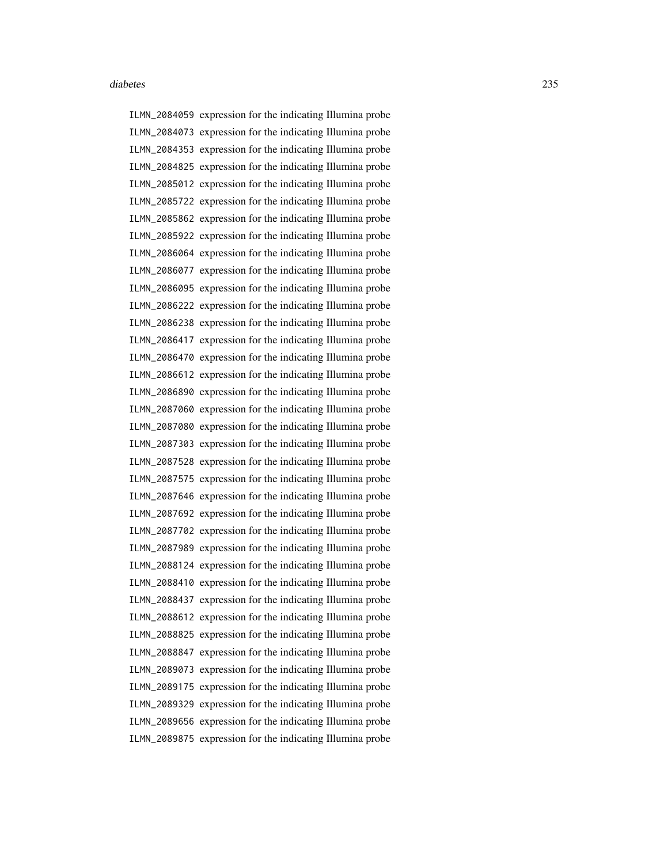ILMN\_2084059 expression for the indicating Illumina probe ILMN\_2084073 expression for the indicating Illumina probe ILMN\_2084353 expression for the indicating Illumina probe ILMN\_2084825 expression for the indicating Illumina probe ILMN\_2085012 expression for the indicating Illumina probe ILMN\_2085722 expression for the indicating Illumina probe ILMN\_2085862 expression for the indicating Illumina probe ILMN\_2085922 expression for the indicating Illumina probe ILMN\_2086064 expression for the indicating Illumina probe ILMN\_2086077 expression for the indicating Illumina probe ILMN\_2086095 expression for the indicating Illumina probe ILMN\_2086222 expression for the indicating Illumina probe ILMN\_2086238 expression for the indicating Illumina probe ILMN\_2086417 expression for the indicating Illumina probe ILMN\_2086470 expression for the indicating Illumina probe ILMN\_2086612 expression for the indicating Illumina probe ILMN\_2086890 expression for the indicating Illumina probe ILMN\_2087060 expression for the indicating Illumina probe ILMN\_2087080 expression for the indicating Illumina probe ILMN\_2087303 expression for the indicating Illumina probe ILMN\_2087528 expression for the indicating Illumina probe ILMN\_2087575 expression for the indicating Illumina probe ILMN\_2087646 expression for the indicating Illumina probe ILMN\_2087692 expression for the indicating Illumina probe ILMN\_2087702 expression for the indicating Illumina probe ILMN\_2087989 expression for the indicating Illumina probe ILMN\_2088124 expression for the indicating Illumina probe ILMN\_2088410 expression for the indicating Illumina probe ILMN\_2088437 expression for the indicating Illumina probe ILMN\_2088612 expression for the indicating Illumina probe ILMN\_2088825 expression for the indicating Illumina probe ILMN\_2088847 expression for the indicating Illumina probe ILMN\_2089073 expression for the indicating Illumina probe ILMN\_2089175 expression for the indicating Illumina probe ILMN\_2089329 expression for the indicating Illumina probe ILMN\_2089656 expression for the indicating Illumina probe ILMN\_2089875 expression for the indicating Illumina probe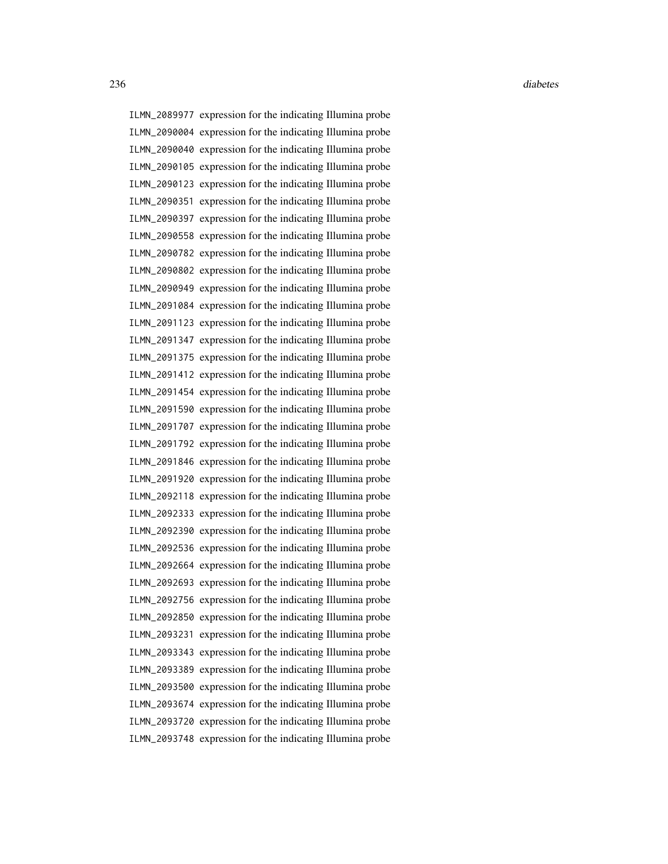ILMN\_2089977 expression for the indicating Illumina probe ILMN\_2090004 expression for the indicating Illumina probe ILMN\_2090040 expression for the indicating Illumina probe ILMN\_2090105 expression for the indicating Illumina probe ILMN\_2090123 expression for the indicating Illumina probe ILMN\_2090351 expression for the indicating Illumina probe ILMN\_2090397 expression for the indicating Illumina probe ILMN\_2090558 expression for the indicating Illumina probe ILMN\_2090782 expression for the indicating Illumina probe ILMN\_2090802 expression for the indicating Illumina probe ILMN\_2090949 expression for the indicating Illumina probe ILMN\_2091084 expression for the indicating Illumina probe ILMN\_2091123 expression for the indicating Illumina probe ILMN\_2091347 expression for the indicating Illumina probe ILMN\_2091375 expression for the indicating Illumina probe ILMN\_2091412 expression for the indicating Illumina probe ILMN\_2091454 expression for the indicating Illumina probe ILMN\_2091590 expression for the indicating Illumina probe ILMN\_2091707 expression for the indicating Illumina probe ILMN\_2091792 expression for the indicating Illumina probe ILMN\_2091846 expression for the indicating Illumina probe ILMN\_2091920 expression for the indicating Illumina probe ILMN\_2092118 expression for the indicating Illumina probe ILMN\_2092333 expression for the indicating Illumina probe ILMN\_2092390 expression for the indicating Illumina probe ILMN\_2092536 expression for the indicating Illumina probe ILMN\_2092664 expression for the indicating Illumina probe ILMN\_2092693 expression for the indicating Illumina probe ILMN\_2092756 expression for the indicating Illumina probe ILMN\_2092850 expression for the indicating Illumina probe ILMN\_2093231 expression for the indicating Illumina probe ILMN\_2093343 expression for the indicating Illumina probe ILMN\_2093389 expression for the indicating Illumina probe ILMN\_2093500 expression for the indicating Illumina probe ILMN\_2093674 expression for the indicating Illumina probe ILMN\_2093720 expression for the indicating Illumina probe ILMN\_2093748 expression for the indicating Illumina probe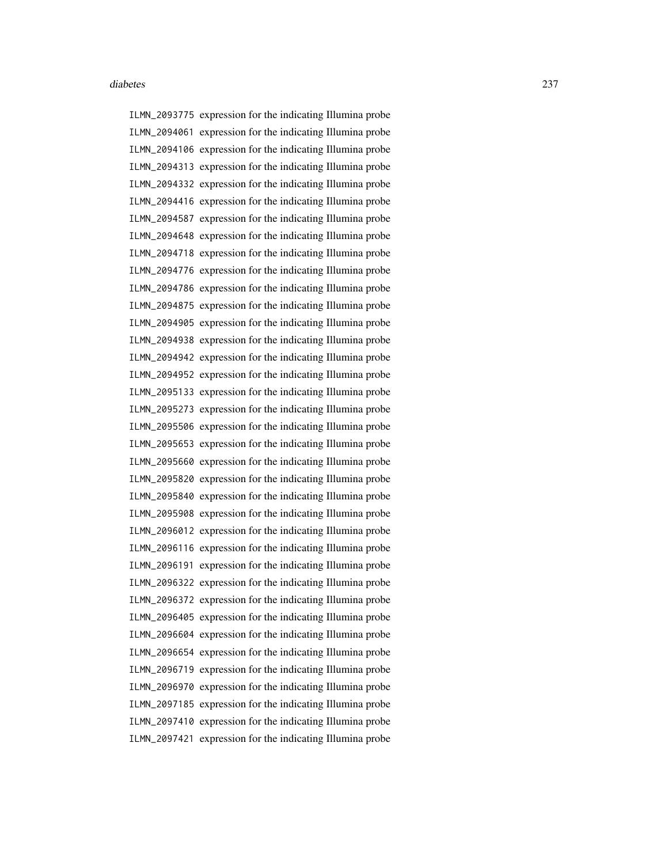ILMN\_2093775 expression for the indicating Illumina probe ILMN\_2094061 expression for the indicating Illumina probe ILMN\_2094106 expression for the indicating Illumina probe ILMN\_2094313 expression for the indicating Illumina probe ILMN\_2094332 expression for the indicating Illumina probe ILMN\_2094416 expression for the indicating Illumina probe ILMN\_2094587 expression for the indicating Illumina probe ILMN\_2094648 expression for the indicating Illumina probe ILMN\_2094718 expression for the indicating Illumina probe ILMN\_2094776 expression for the indicating Illumina probe ILMN\_2094786 expression for the indicating Illumina probe ILMN\_2094875 expression for the indicating Illumina probe ILMN\_2094905 expression for the indicating Illumina probe ILMN\_2094938 expression for the indicating Illumina probe ILMN\_2094942 expression for the indicating Illumina probe ILMN\_2094952 expression for the indicating Illumina probe ILMN\_2095133 expression for the indicating Illumina probe ILMN\_2095273 expression for the indicating Illumina probe ILMN\_2095506 expression for the indicating Illumina probe ILMN\_2095653 expression for the indicating Illumina probe ILMN\_2095660 expression for the indicating Illumina probe ILMN\_2095820 expression for the indicating Illumina probe ILMN\_2095840 expression for the indicating Illumina probe ILMN\_2095908 expression for the indicating Illumina probe ILMN\_2096012 expression for the indicating Illumina probe ILMN\_2096116 expression for the indicating Illumina probe ILMN\_2096191 expression for the indicating Illumina probe ILMN\_2096322 expression for the indicating Illumina probe ILMN\_2096372 expression for the indicating Illumina probe ILMN\_2096405 expression for the indicating Illumina probe ILMN\_2096604 expression for the indicating Illumina probe ILMN\_2096654 expression for the indicating Illumina probe ILMN\_2096719 expression for the indicating Illumina probe ILMN\_2096970 expression for the indicating Illumina probe ILMN\_2097185 expression for the indicating Illumina probe ILMN\_2097410 expression for the indicating Illumina probe ILMN\_2097421 expression for the indicating Illumina probe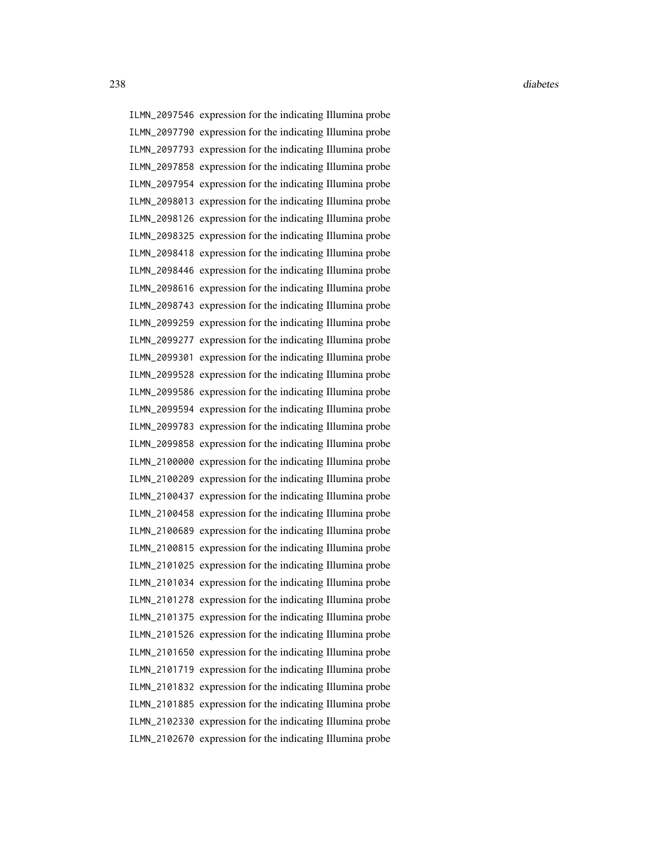ILMN\_2097546 expression for the indicating Illumina probe ILMN\_2097790 expression for the indicating Illumina probe ILMN\_2097793 expression for the indicating Illumina probe ILMN\_2097858 expression for the indicating Illumina probe ILMN\_2097954 expression for the indicating Illumina probe ILMN\_2098013 expression for the indicating Illumina probe ILMN\_2098126 expression for the indicating Illumina probe ILMN\_2098325 expression for the indicating Illumina probe ILMN\_2098418 expression for the indicating Illumina probe ILMN\_2098446 expression for the indicating Illumina probe ILMN\_2098616 expression for the indicating Illumina probe ILMN\_2098743 expression for the indicating Illumina probe ILMN\_2099259 expression for the indicating Illumina probe ILMN\_2099277 expression for the indicating Illumina probe ILMN\_2099301 expression for the indicating Illumina probe ILMN\_2099528 expression for the indicating Illumina probe ILMN\_2099586 expression for the indicating Illumina probe ILMN\_2099594 expression for the indicating Illumina probe ILMN\_2099783 expression for the indicating Illumina probe ILMN\_2099858 expression for the indicating Illumina probe ILMN\_2100000 expression for the indicating Illumina probe ILMN\_2100209 expression for the indicating Illumina probe ILMN\_2100437 expression for the indicating Illumina probe ILMN\_2100458 expression for the indicating Illumina probe ILMN\_2100689 expression for the indicating Illumina probe ILMN\_2100815 expression for the indicating Illumina probe ILMN\_2101025 expression for the indicating Illumina probe ILMN\_2101034 expression for the indicating Illumina probe ILMN\_2101278 expression for the indicating Illumina probe ILMN\_2101375 expression for the indicating Illumina probe ILMN\_2101526 expression for the indicating Illumina probe ILMN\_2101650 expression for the indicating Illumina probe ILMN\_2101719 expression for the indicating Illumina probe ILMN\_2101832 expression for the indicating Illumina probe ILMN\_2101885 expression for the indicating Illumina probe ILMN\_2102330 expression for the indicating Illumina probe ILMN\_2102670 expression for the indicating Illumina probe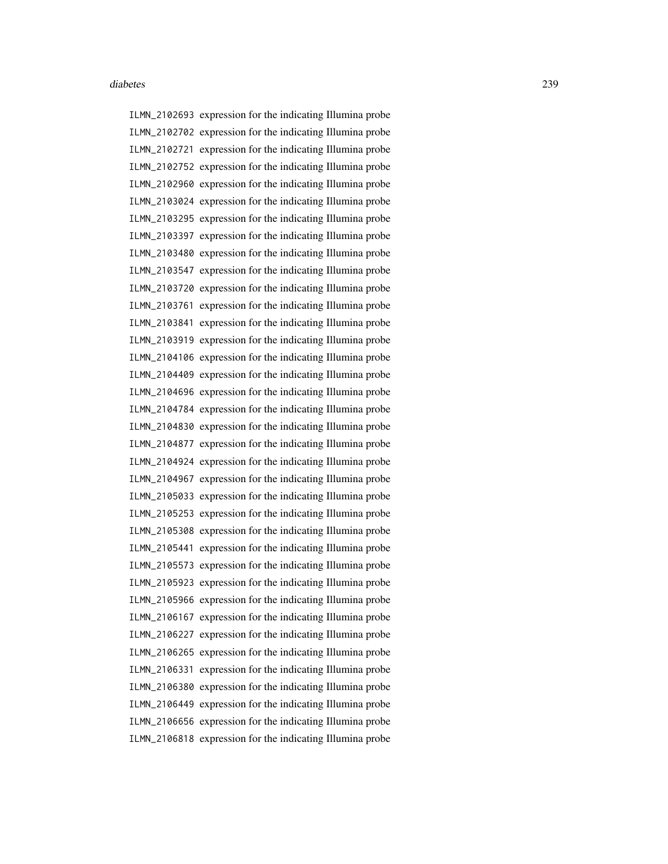ILMN\_2102693 expression for the indicating Illumina probe ILMN\_2102702 expression for the indicating Illumina probe ILMN\_2102721 expression for the indicating Illumina probe ILMN\_2102752 expression for the indicating Illumina probe ILMN\_2102960 expression for the indicating Illumina probe ILMN\_2103024 expression for the indicating Illumina probe ILMN\_2103295 expression for the indicating Illumina probe ILMN\_2103397 expression for the indicating Illumina probe ILMN\_2103480 expression for the indicating Illumina probe ILMN\_2103547 expression for the indicating Illumina probe ILMN\_2103720 expression for the indicating Illumina probe ILMN\_2103761 expression for the indicating Illumina probe ILMN\_2103841 expression for the indicating Illumina probe ILMN\_2103919 expression for the indicating Illumina probe ILMN\_2104106 expression for the indicating Illumina probe ILMN\_2104409 expression for the indicating Illumina probe ILMN\_2104696 expression for the indicating Illumina probe ILMN\_2104784 expression for the indicating Illumina probe ILMN\_2104830 expression for the indicating Illumina probe ILMN\_2104877 expression for the indicating Illumina probe ILMN\_2104924 expression for the indicating Illumina probe ILMN\_2104967 expression for the indicating Illumina probe ILMN\_2105033 expression for the indicating Illumina probe ILMN\_2105253 expression for the indicating Illumina probe ILMN\_2105308 expression for the indicating Illumina probe ILMN\_2105441 expression for the indicating Illumina probe ILMN\_2105573 expression for the indicating Illumina probe ILMN\_2105923 expression for the indicating Illumina probe ILMN\_2105966 expression for the indicating Illumina probe ILMN\_2106167 expression for the indicating Illumina probe ILMN\_2106227 expression for the indicating Illumina probe ILMN\_2106265 expression for the indicating Illumina probe ILMN\_2106331 expression for the indicating Illumina probe ILMN\_2106380 expression for the indicating Illumina probe ILMN\_2106449 expression for the indicating Illumina probe ILMN\_2106656 expression for the indicating Illumina probe ILMN\_2106818 expression for the indicating Illumina probe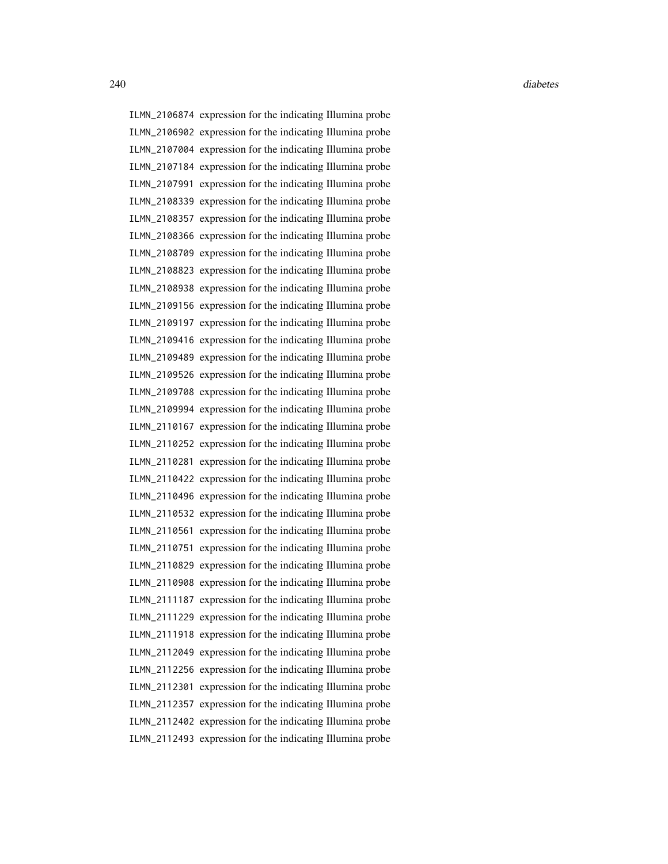ILMN\_2106874 expression for the indicating Illumina probe ILMN\_2106902 expression for the indicating Illumina probe ILMN\_2107004 expression for the indicating Illumina probe ILMN\_2107184 expression for the indicating Illumina probe ILMN\_2107991 expression for the indicating Illumina probe ILMN\_2108339 expression for the indicating Illumina probe ILMN\_2108357 expression for the indicating Illumina probe ILMN\_2108366 expression for the indicating Illumina probe ILMN\_2108709 expression for the indicating Illumina probe ILMN\_2108823 expression for the indicating Illumina probe ILMN\_2108938 expression for the indicating Illumina probe ILMN\_2109156 expression for the indicating Illumina probe ILMN\_2109197 expression for the indicating Illumina probe ILMN\_2109416 expression for the indicating Illumina probe ILMN\_2109489 expression for the indicating Illumina probe ILMN\_2109526 expression for the indicating Illumina probe ILMN\_2109708 expression for the indicating Illumina probe ILMN\_2109994 expression for the indicating Illumina probe ILMN\_2110167 expression for the indicating Illumina probe ILMN\_2110252 expression for the indicating Illumina probe ILMN\_2110281 expression for the indicating Illumina probe ILMN\_2110422 expression for the indicating Illumina probe ILMN\_2110496 expression for the indicating Illumina probe ILMN\_2110532 expression for the indicating Illumina probe ILMN\_2110561 expression for the indicating Illumina probe ILMN\_2110751 expression for the indicating Illumina probe ILMN\_2110829 expression for the indicating Illumina probe ILMN\_2110908 expression for the indicating Illumina probe ILMN\_2111187 expression for the indicating Illumina probe ILMN\_2111229 expression for the indicating Illumina probe ILMN\_2111918 expression for the indicating Illumina probe ILMN\_2112049 expression for the indicating Illumina probe ILMN\_2112256 expression for the indicating Illumina probe ILMN\_2112301 expression for the indicating Illumina probe ILMN\_2112357 expression for the indicating Illumina probe ILMN\_2112402 expression for the indicating Illumina probe ILMN\_2112493 expression for the indicating Illumina probe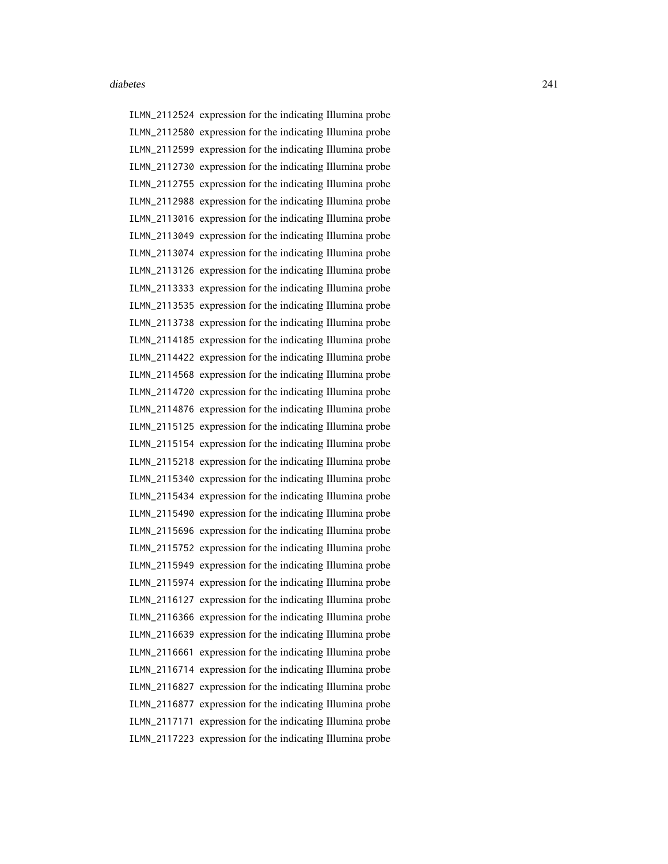ILMN\_2112524 expression for the indicating Illumina probe ILMN\_2112580 expression for the indicating Illumina probe ILMN\_2112599 expression for the indicating Illumina probe ILMN\_2112730 expression for the indicating Illumina probe ILMN\_2112755 expression for the indicating Illumina probe ILMN\_2112988 expression for the indicating Illumina probe ILMN\_2113016 expression for the indicating Illumina probe ILMN\_2113049 expression for the indicating Illumina probe ILMN\_2113074 expression for the indicating Illumina probe ILMN\_2113126 expression for the indicating Illumina probe ILMN\_2113333 expression for the indicating Illumina probe ILMN\_2113535 expression for the indicating Illumina probe ILMN\_2113738 expression for the indicating Illumina probe ILMN\_2114185 expression for the indicating Illumina probe ILMN\_2114422 expression for the indicating Illumina probe ILMN\_2114568 expression for the indicating Illumina probe ILMN\_2114720 expression for the indicating Illumina probe ILMN\_2114876 expression for the indicating Illumina probe ILMN\_2115125 expression for the indicating Illumina probe ILMN\_2115154 expression for the indicating Illumina probe ILMN\_2115218 expression for the indicating Illumina probe ILMN\_2115340 expression for the indicating Illumina probe ILMN\_2115434 expression for the indicating Illumina probe ILMN\_2115490 expression for the indicating Illumina probe ILMN\_2115696 expression for the indicating Illumina probe ILMN\_2115752 expression for the indicating Illumina probe ILMN\_2115949 expression for the indicating Illumina probe ILMN\_2115974 expression for the indicating Illumina probe ILMN\_2116127 expression for the indicating Illumina probe ILMN\_2116366 expression for the indicating Illumina probe ILMN\_2116639 expression for the indicating Illumina probe ILMN\_2116661 expression for the indicating Illumina probe ILMN\_2116714 expression for the indicating Illumina probe ILMN\_2116827 expression for the indicating Illumina probe ILMN\_2116877 expression for the indicating Illumina probe ILMN\_2117171 expression for the indicating Illumina probe ILMN\_2117223 expression for the indicating Illumina probe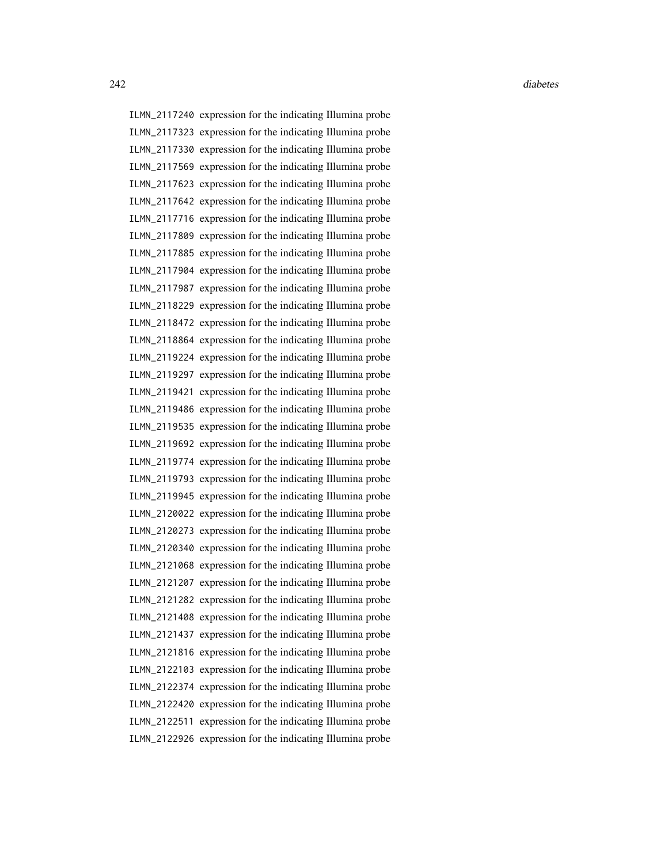ILMN\_2117240 expression for the indicating Illumina probe ILMN\_2117323 expression for the indicating Illumina probe ILMN\_2117330 expression for the indicating Illumina probe ILMN\_2117569 expression for the indicating Illumina probe ILMN\_2117623 expression for the indicating Illumina probe ILMN\_2117642 expression for the indicating Illumina probe ILMN\_2117716 expression for the indicating Illumina probe ILMN\_2117809 expression for the indicating Illumina probe ILMN\_2117885 expression for the indicating Illumina probe ILMN\_2117904 expression for the indicating Illumina probe ILMN\_2117987 expression for the indicating Illumina probe ILMN\_2118229 expression for the indicating Illumina probe ILMN\_2118472 expression for the indicating Illumina probe ILMN\_2118864 expression for the indicating Illumina probe ILMN\_2119224 expression for the indicating Illumina probe ILMN\_2119297 expression for the indicating Illumina probe ILMN\_2119421 expression for the indicating Illumina probe ILMN\_2119486 expression for the indicating Illumina probe ILMN\_2119535 expression for the indicating Illumina probe ILMN\_2119692 expression for the indicating Illumina probe ILMN\_2119774 expression for the indicating Illumina probe ILMN\_2119793 expression for the indicating Illumina probe ILMN\_2119945 expression for the indicating Illumina probe ILMN\_2120022 expression for the indicating Illumina probe ILMN\_2120273 expression for the indicating Illumina probe ILMN\_2120340 expression for the indicating Illumina probe ILMN\_2121068 expression for the indicating Illumina probe ILMN\_2121207 expression for the indicating Illumina probe ILMN\_2121282 expression for the indicating Illumina probe ILMN\_2121408 expression for the indicating Illumina probe ILMN\_2121437 expression for the indicating Illumina probe ILMN\_2121816 expression for the indicating Illumina probe ILMN\_2122103 expression for the indicating Illumina probe ILMN\_2122374 expression for the indicating Illumina probe ILMN\_2122420 expression for the indicating Illumina probe ILMN\_2122511 expression for the indicating Illumina probe ILMN\_2122926 expression for the indicating Illumina probe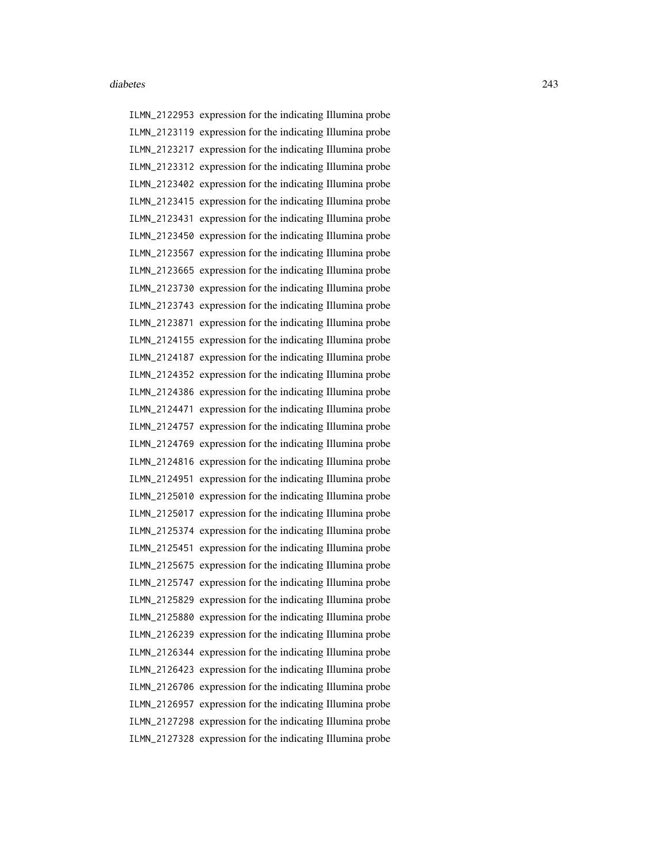ILMN\_2122953 expression for the indicating Illumina probe ILMN\_2123119 expression for the indicating Illumina probe ILMN\_2123217 expression for the indicating Illumina probe ILMN\_2123312 expression for the indicating Illumina probe ILMN\_2123402 expression for the indicating Illumina probe ILMN\_2123415 expression for the indicating Illumina probe ILMN\_2123431 expression for the indicating Illumina probe ILMN\_2123450 expression for the indicating Illumina probe ILMN\_2123567 expression for the indicating Illumina probe ILMN\_2123665 expression for the indicating Illumina probe ILMN\_2123730 expression for the indicating Illumina probe ILMN\_2123743 expression for the indicating Illumina probe ILMN\_2123871 expression for the indicating Illumina probe ILMN\_2124155 expression for the indicating Illumina probe ILMN\_2124187 expression for the indicating Illumina probe ILMN\_2124352 expression for the indicating Illumina probe ILMN\_2124386 expression for the indicating Illumina probe ILMN\_2124471 expression for the indicating Illumina probe ILMN\_2124757 expression for the indicating Illumina probe ILMN\_2124769 expression for the indicating Illumina probe ILMN\_2124816 expression for the indicating Illumina probe ILMN\_2124951 expression for the indicating Illumina probe ILMN\_2125010 expression for the indicating Illumina probe ILMN\_2125017 expression for the indicating Illumina probe ILMN\_2125374 expression for the indicating Illumina probe ILMN\_2125451 expression for the indicating Illumina probe ILMN\_2125675 expression for the indicating Illumina probe ILMN\_2125747 expression for the indicating Illumina probe ILMN\_2125829 expression for the indicating Illumina probe ILMN\_2125880 expression for the indicating Illumina probe ILMN\_2126239 expression for the indicating Illumina probe ILMN\_2126344 expression for the indicating Illumina probe ILMN\_2126423 expression for the indicating Illumina probe ILMN\_2126706 expression for the indicating Illumina probe ILMN\_2126957 expression for the indicating Illumina probe ILMN\_2127298 expression for the indicating Illumina probe ILMN\_2127328 expression for the indicating Illumina probe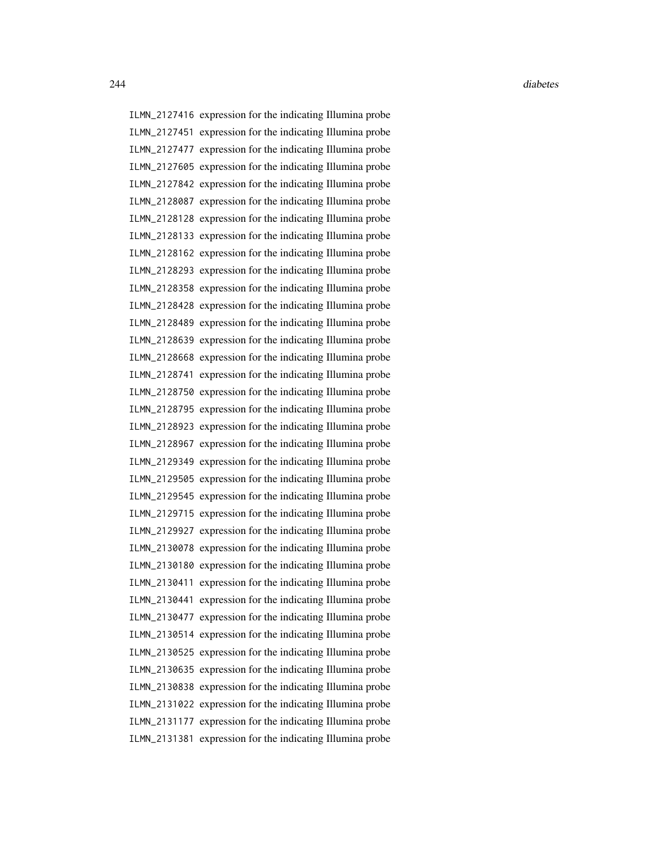ILMN\_2127416 expression for the indicating Illumina probe ILMN\_2127451 expression for the indicating Illumina probe ILMN\_2127477 expression for the indicating Illumina probe ILMN\_2127605 expression for the indicating Illumina probe ILMN\_2127842 expression for the indicating Illumina probe ILMN\_2128087 expression for the indicating Illumina probe ILMN\_2128128 expression for the indicating Illumina probe ILMN\_2128133 expression for the indicating Illumina probe ILMN\_2128162 expression for the indicating Illumina probe ILMN\_2128293 expression for the indicating Illumina probe ILMN\_2128358 expression for the indicating Illumina probe ILMN\_2128428 expression for the indicating Illumina probe ILMN\_2128489 expression for the indicating Illumina probe ILMN\_2128639 expression for the indicating Illumina probe ILMN\_2128668 expression for the indicating Illumina probe ILMN\_2128741 expression for the indicating Illumina probe ILMN\_2128750 expression for the indicating Illumina probe ILMN\_2128795 expression for the indicating Illumina probe ILMN\_2128923 expression for the indicating Illumina probe ILMN\_2128967 expression for the indicating Illumina probe ILMN\_2129349 expression for the indicating Illumina probe ILMN\_2129505 expression for the indicating Illumina probe ILMN\_2129545 expression for the indicating Illumina probe ILMN\_2129715 expression for the indicating Illumina probe ILMN\_2129927 expression for the indicating Illumina probe ILMN\_2130078 expression for the indicating Illumina probe ILMN\_2130180 expression for the indicating Illumina probe ILMN\_2130411 expression for the indicating Illumina probe ILMN\_2130441 expression for the indicating Illumina probe ILMN\_2130477 expression for the indicating Illumina probe ILMN\_2130514 expression for the indicating Illumina probe ILMN\_2130525 expression for the indicating Illumina probe ILMN\_2130635 expression for the indicating Illumina probe ILMN\_2130838 expression for the indicating Illumina probe ILMN\_2131022 expression for the indicating Illumina probe ILMN\_2131177 expression for the indicating Illumina probe ILMN\_2131381 expression for the indicating Illumina probe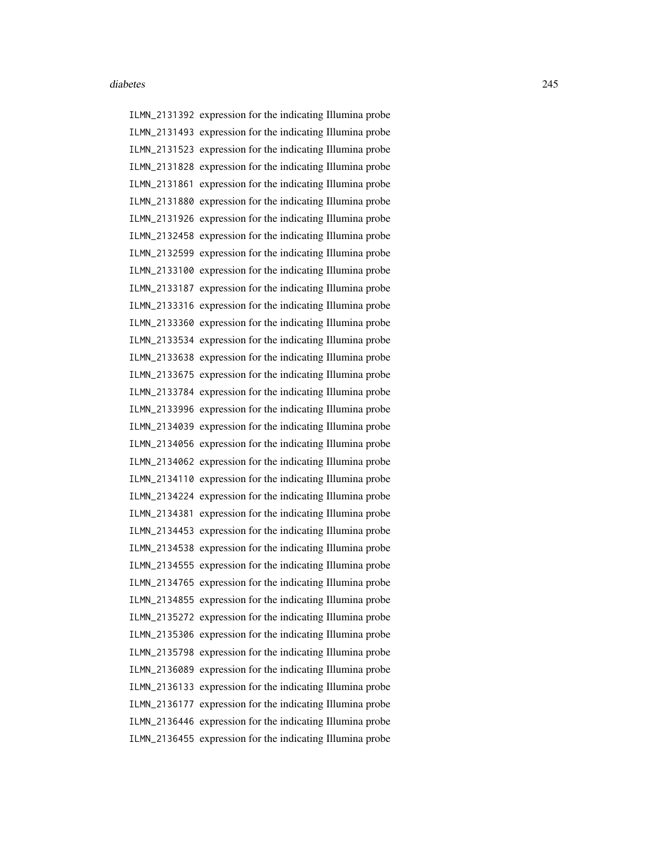ILMN\_2131392 expression for the indicating Illumina probe ILMN\_2131493 expression for the indicating Illumina probe ILMN\_2131523 expression for the indicating Illumina probe ILMN\_2131828 expression for the indicating Illumina probe ILMN\_2131861 expression for the indicating Illumina probe ILMN\_2131880 expression for the indicating Illumina probe ILMN\_2131926 expression for the indicating Illumina probe ILMN\_2132458 expression for the indicating Illumina probe ILMN\_2132599 expression for the indicating Illumina probe ILMN\_2133100 expression for the indicating Illumina probe ILMN\_2133187 expression for the indicating Illumina probe ILMN\_2133316 expression for the indicating Illumina probe ILMN\_2133360 expression for the indicating Illumina probe ILMN\_2133534 expression for the indicating Illumina probe ILMN\_2133638 expression for the indicating Illumina probe ILMN\_2133675 expression for the indicating Illumina probe ILMN\_2133784 expression for the indicating Illumina probe ILMN\_2133996 expression for the indicating Illumina probe ILMN\_2134039 expression for the indicating Illumina probe ILMN\_2134056 expression for the indicating Illumina probe ILMN\_2134062 expression for the indicating Illumina probe ILMN\_2134110 expression for the indicating Illumina probe ILMN\_2134224 expression for the indicating Illumina probe ILMN\_2134381 expression for the indicating Illumina probe ILMN\_2134453 expression for the indicating Illumina probe ILMN\_2134538 expression for the indicating Illumina probe ILMN\_2134555 expression for the indicating Illumina probe ILMN\_2134765 expression for the indicating Illumina probe ILMN\_2134855 expression for the indicating Illumina probe ILMN\_2135272 expression for the indicating Illumina probe ILMN\_2135306 expression for the indicating Illumina probe ILMN\_2135798 expression for the indicating Illumina probe ILMN\_2136089 expression for the indicating Illumina probe ILMN\_2136133 expression for the indicating Illumina probe ILMN\_2136177 expression for the indicating Illumina probe ILMN\_2136446 expression for the indicating Illumina probe ILMN\_2136455 expression for the indicating Illumina probe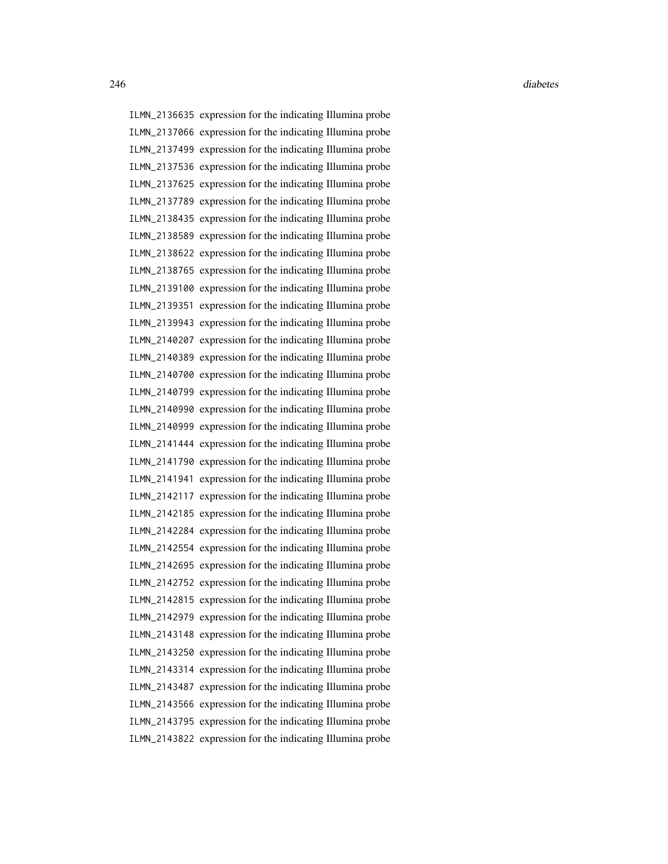ILMN\_2136635 expression for the indicating Illumina probe ILMN\_2137066 expression for the indicating Illumina probe ILMN\_2137499 expression for the indicating Illumina probe ILMN\_2137536 expression for the indicating Illumina probe ILMN\_2137625 expression for the indicating Illumina probe ILMN\_2137789 expression for the indicating Illumina probe ILMN\_2138435 expression for the indicating Illumina probe ILMN\_2138589 expression for the indicating Illumina probe ILMN\_2138622 expression for the indicating Illumina probe ILMN\_2138765 expression for the indicating Illumina probe ILMN\_2139100 expression for the indicating Illumina probe ILMN\_2139351 expression for the indicating Illumina probe ILMN\_2139943 expression for the indicating Illumina probe ILMN\_2140207 expression for the indicating Illumina probe ILMN\_2140389 expression for the indicating Illumina probe ILMN\_2140700 expression for the indicating Illumina probe ILMN\_2140799 expression for the indicating Illumina probe ILMN\_2140990 expression for the indicating Illumina probe ILMN\_2140999 expression for the indicating Illumina probe ILMN\_2141444 expression for the indicating Illumina probe ILMN\_2141790 expression for the indicating Illumina probe ILMN\_2141941 expression for the indicating Illumina probe ILMN\_2142117 expression for the indicating Illumina probe ILMN\_2142185 expression for the indicating Illumina probe ILMN\_2142284 expression for the indicating Illumina probe ILMN\_2142554 expression for the indicating Illumina probe ILMN\_2142695 expression for the indicating Illumina probe ILMN\_2142752 expression for the indicating Illumina probe ILMN\_2142815 expression for the indicating Illumina probe ILMN\_2142979 expression for the indicating Illumina probe ILMN\_2143148 expression for the indicating Illumina probe ILMN\_2143250 expression for the indicating Illumina probe ILMN\_2143314 expression for the indicating Illumina probe ILMN\_2143487 expression for the indicating Illumina probe ILMN\_2143566 expression for the indicating Illumina probe ILMN\_2143795 expression for the indicating Illumina probe ILMN\_2143822 expression for the indicating Illumina probe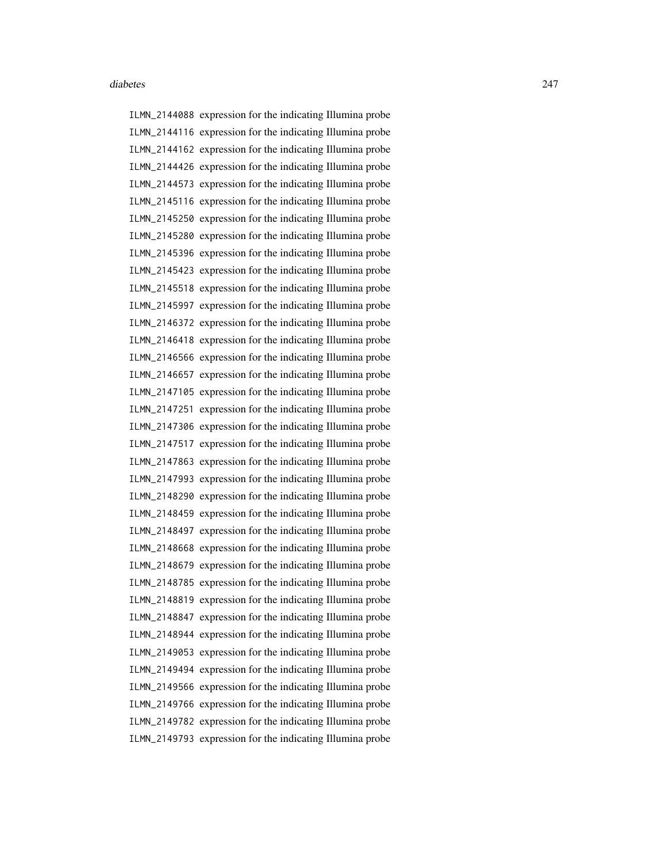ILMN\_2144088 expression for the indicating Illumina probe ILMN\_2144116 expression for the indicating Illumina probe ILMN\_2144162 expression for the indicating Illumina probe ILMN\_2144426 expression for the indicating Illumina probe ILMN\_2144573 expression for the indicating Illumina probe ILMN\_2145116 expression for the indicating Illumina probe ILMN\_2145250 expression for the indicating Illumina probe ILMN\_2145280 expression for the indicating Illumina probe ILMN\_2145396 expression for the indicating Illumina probe ILMN\_2145423 expression for the indicating Illumina probe ILMN\_2145518 expression for the indicating Illumina probe ILMN\_2145997 expression for the indicating Illumina probe ILMN\_2146372 expression for the indicating Illumina probe ILMN\_2146418 expression for the indicating Illumina probe ILMN\_2146566 expression for the indicating Illumina probe ILMN\_2146657 expression for the indicating Illumina probe ILMN\_2147105 expression for the indicating Illumina probe ILMN\_2147251 expression for the indicating Illumina probe ILMN\_2147306 expression for the indicating Illumina probe ILMN\_2147517 expression for the indicating Illumina probe ILMN\_2147863 expression for the indicating Illumina probe ILMN\_2147993 expression for the indicating Illumina probe ILMN\_2148290 expression for the indicating Illumina probe ILMN\_2148459 expression for the indicating Illumina probe ILMN\_2148497 expression for the indicating Illumina probe ILMN\_2148668 expression for the indicating Illumina probe ILMN\_2148679 expression for the indicating Illumina probe ILMN\_2148785 expression for the indicating Illumina probe ILMN\_2148819 expression for the indicating Illumina probe ILMN\_2148847 expression for the indicating Illumina probe ILMN\_2148944 expression for the indicating Illumina probe ILMN\_2149053 expression for the indicating Illumina probe ILMN\_2149494 expression for the indicating Illumina probe ILMN\_2149566 expression for the indicating Illumina probe ILMN\_2149766 expression for the indicating Illumina probe ILMN\_2149782 expression for the indicating Illumina probe ILMN\_2149793 expression for the indicating Illumina probe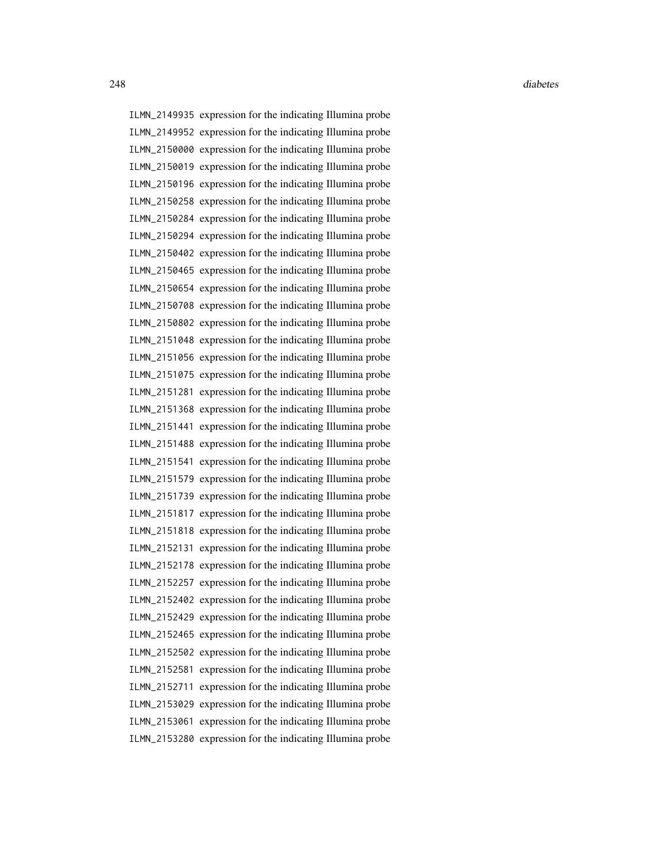ILMN\_2149935 expression for the indicating Illumina probe ILMN\_2149952 expression for the indicating Illumina probe ILMN\_2150000 expression for the indicating Illumina probe ILMN\_2150019 expression for the indicating Illumina probe ILMN\_2150196 expression for the indicating Illumina probe ILMN\_2150258 expression for the indicating Illumina probe ILMN\_2150284 expression for the indicating Illumina probe ILMN\_2150294 expression for the indicating Illumina probe ILMN\_2150402 expression for the indicating Illumina probe ILMN\_2150465 expression for the indicating Illumina probe ILMN\_2150654 expression for the indicating Illumina probe ILMN\_2150708 expression for the indicating Illumina probe ILMN\_2150802 expression for the indicating Illumina probe ILMN\_2151048 expression for the indicating Illumina probe ILMN\_2151056 expression for the indicating Illumina probe ILMN\_2151075 expression for the indicating Illumina probe ILMN\_2151281 expression for the indicating Illumina probe ILMN\_2151368 expression for the indicating Illumina probe ILMN\_2151441 expression for the indicating Illumina probe ILMN\_2151488 expression for the indicating Illumina probe ILMN\_2151541 expression for the indicating Illumina probe ILMN\_2151579 expression for the indicating Illumina probe ILMN\_2151739 expression for the indicating Illumina probe ILMN\_2151817 expression for the indicating Illumina probe ILMN\_2151818 expression for the indicating Illumina probe ILMN\_2152131 expression for the indicating Illumina probe ILMN\_2152178 expression for the indicating Illumina probe ILMN\_2152257 expression for the indicating Illumina probe ILMN\_2152402 expression for the indicating Illumina probe ILMN\_2152429 expression for the indicating Illumina probe ILMN\_2152465 expression for the indicating Illumina probe ILMN\_2152502 expression for the indicating Illumina probe ILMN\_2152581 expression for the indicating Illumina probe ILMN\_2152711 expression for the indicating Illumina probe ILMN\_2153029 expression for the indicating Illumina probe ILMN\_2153061 expression for the indicating Illumina probe ILMN\_2153280 expression for the indicating Illumina probe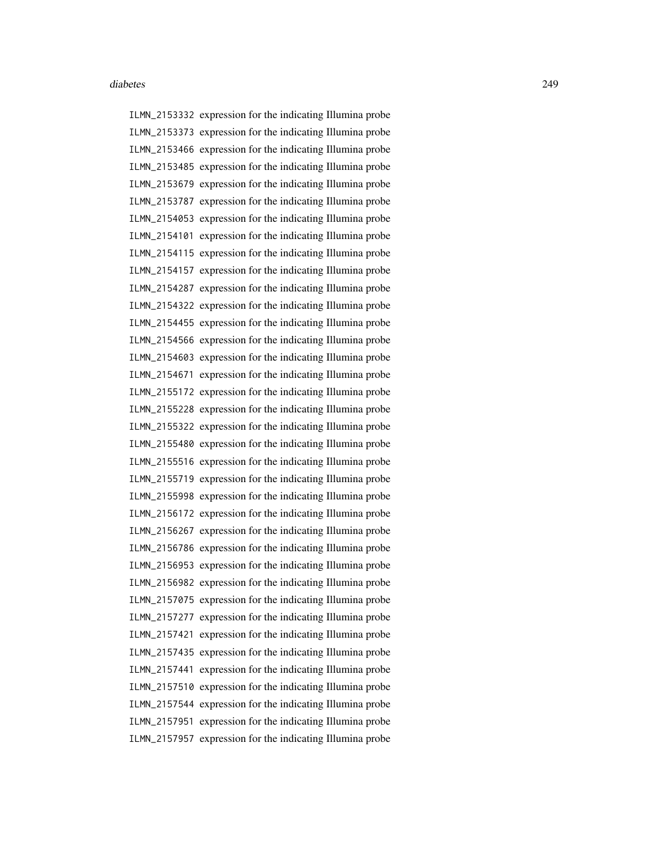ILMN\_2153332 expression for the indicating Illumina probe ILMN\_2153373 expression for the indicating Illumina probe ILMN\_2153466 expression for the indicating Illumina probe ILMN\_2153485 expression for the indicating Illumina probe ILMN\_2153679 expression for the indicating Illumina probe ILMN\_2153787 expression for the indicating Illumina probe ILMN\_2154053 expression for the indicating Illumina probe ILMN\_2154101 expression for the indicating Illumina probe ILMN\_2154115 expression for the indicating Illumina probe ILMN\_2154157 expression for the indicating Illumina probe ILMN\_2154287 expression for the indicating Illumina probe ILMN\_2154322 expression for the indicating Illumina probe ILMN\_2154455 expression for the indicating Illumina probe ILMN\_2154566 expression for the indicating Illumina probe ILMN\_2154603 expression for the indicating Illumina probe ILMN\_2154671 expression for the indicating Illumina probe ILMN\_2155172 expression for the indicating Illumina probe ILMN\_2155228 expression for the indicating Illumina probe ILMN\_2155322 expression for the indicating Illumina probe ILMN\_2155480 expression for the indicating Illumina probe ILMN\_2155516 expression for the indicating Illumina probe ILMN\_2155719 expression for the indicating Illumina probe ILMN\_2155998 expression for the indicating Illumina probe ILMN\_2156172 expression for the indicating Illumina probe ILMN\_2156267 expression for the indicating Illumina probe ILMN\_2156786 expression for the indicating Illumina probe ILMN\_2156953 expression for the indicating Illumina probe ILMN\_2156982 expression for the indicating Illumina probe ILMN\_2157075 expression for the indicating Illumina probe ILMN\_2157277 expression for the indicating Illumina probe ILMN\_2157421 expression for the indicating Illumina probe ILMN\_2157435 expression for the indicating Illumina probe ILMN\_2157441 expression for the indicating Illumina probe ILMN\_2157510 expression for the indicating Illumina probe ILMN\_2157544 expression for the indicating Illumina probe ILMN\_2157951 expression for the indicating Illumina probe ILMN\_2157957 expression for the indicating Illumina probe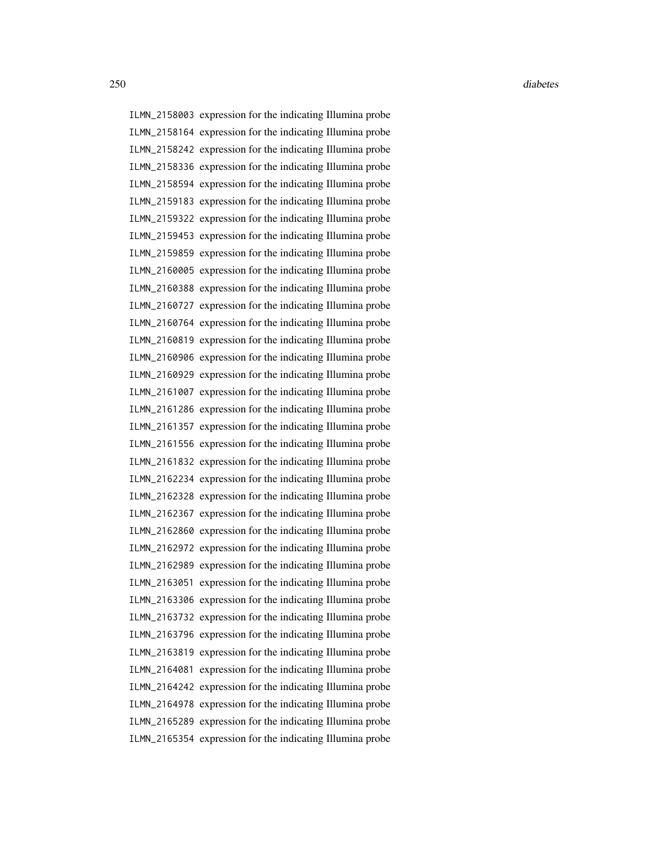ILMN\_2158003 expression for the indicating Illumina probe ILMN\_2158164 expression for the indicating Illumina probe ILMN\_2158242 expression for the indicating Illumina probe ILMN\_2158336 expression for the indicating Illumina probe ILMN\_2158594 expression for the indicating Illumina probe ILMN\_2159183 expression for the indicating Illumina probe ILMN\_2159322 expression for the indicating Illumina probe ILMN\_2159453 expression for the indicating Illumina probe ILMN\_2159859 expression for the indicating Illumina probe ILMN\_2160005 expression for the indicating Illumina probe ILMN\_2160388 expression for the indicating Illumina probe ILMN\_2160727 expression for the indicating Illumina probe ILMN\_2160764 expression for the indicating Illumina probe ILMN\_2160819 expression for the indicating Illumina probe ILMN\_2160906 expression for the indicating Illumina probe ILMN\_2160929 expression for the indicating Illumina probe ILMN\_2161007 expression for the indicating Illumina probe ILMN\_2161286 expression for the indicating Illumina probe ILMN\_2161357 expression for the indicating Illumina probe ILMN\_2161556 expression for the indicating Illumina probe ILMN\_2161832 expression for the indicating Illumina probe ILMN\_2162234 expression for the indicating Illumina probe ILMN\_2162328 expression for the indicating Illumina probe ILMN\_2162367 expression for the indicating Illumina probe ILMN\_2162860 expression for the indicating Illumina probe ILMN\_2162972 expression for the indicating Illumina probe ILMN\_2162989 expression for the indicating Illumina probe ILMN\_2163051 expression for the indicating Illumina probe ILMN\_2163306 expression for the indicating Illumina probe ILMN\_2163732 expression for the indicating Illumina probe ILMN\_2163796 expression for the indicating Illumina probe ILMN\_2163819 expression for the indicating Illumina probe ILMN\_2164081 expression for the indicating Illumina probe ILMN\_2164242 expression for the indicating Illumina probe ILMN\_2164978 expression for the indicating Illumina probe ILMN\_2165289 expression for the indicating Illumina probe ILMN\_2165354 expression for the indicating Illumina probe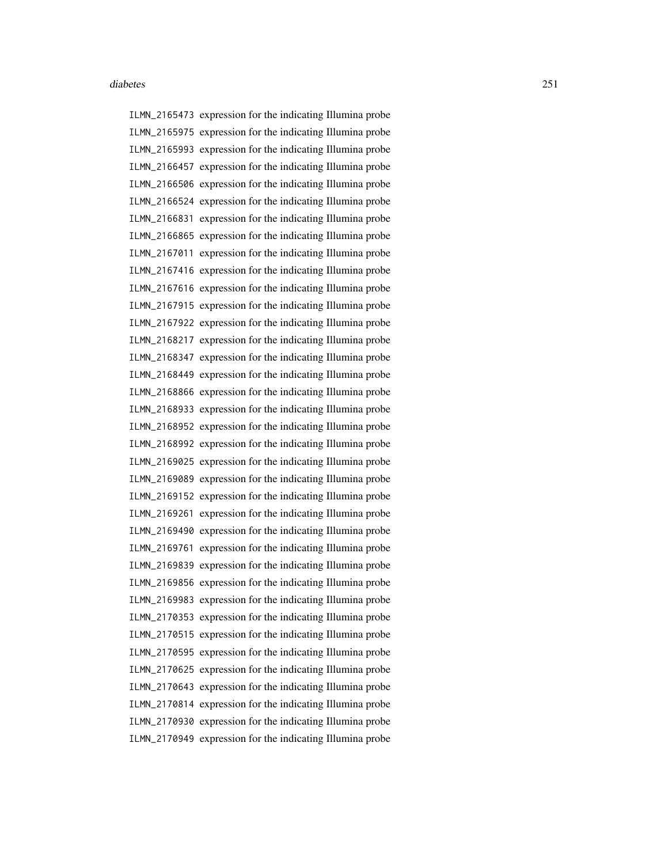ILMN\_2165473 expression for the indicating Illumina probe ILMN\_2165975 expression for the indicating Illumina probe ILMN\_2165993 expression for the indicating Illumina probe ILMN\_2166457 expression for the indicating Illumina probe ILMN\_2166506 expression for the indicating Illumina probe ILMN\_2166524 expression for the indicating Illumina probe ILMN\_2166831 expression for the indicating Illumina probe ILMN\_2166865 expression for the indicating Illumina probe ILMN\_2167011 expression for the indicating Illumina probe ILMN\_2167416 expression for the indicating Illumina probe ILMN\_2167616 expression for the indicating Illumina probe ILMN\_2167915 expression for the indicating Illumina probe ILMN\_2167922 expression for the indicating Illumina probe ILMN\_2168217 expression for the indicating Illumina probe ILMN\_2168347 expression for the indicating Illumina probe ILMN\_2168449 expression for the indicating Illumina probe ILMN\_2168866 expression for the indicating Illumina probe ILMN\_2168933 expression for the indicating Illumina probe ILMN\_2168952 expression for the indicating Illumina probe ILMN\_2168992 expression for the indicating Illumina probe ILMN\_2169025 expression for the indicating Illumina probe ILMN\_2169089 expression for the indicating Illumina probe ILMN\_2169152 expression for the indicating Illumina probe ILMN\_2169261 expression for the indicating Illumina probe ILMN\_2169490 expression for the indicating Illumina probe ILMN\_2169761 expression for the indicating Illumina probe ILMN\_2169839 expression for the indicating Illumina probe ILMN\_2169856 expression for the indicating Illumina probe ILMN\_2169983 expression for the indicating Illumina probe ILMN\_2170353 expression for the indicating Illumina probe ILMN\_2170515 expression for the indicating Illumina probe ILMN\_2170595 expression for the indicating Illumina probe ILMN\_2170625 expression for the indicating Illumina probe ILMN\_2170643 expression for the indicating Illumina probe ILMN\_2170814 expression for the indicating Illumina probe ILMN\_2170930 expression for the indicating Illumina probe ILMN\_2170949 expression for the indicating Illumina probe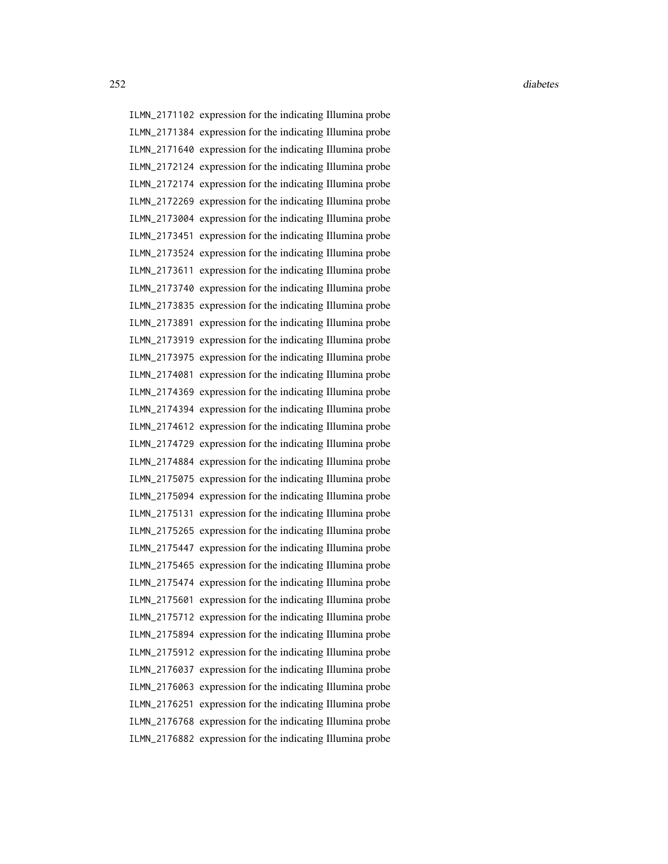ILMN\_2171102 expression for the indicating Illumina probe ILMN\_2171384 expression for the indicating Illumina probe ILMN\_2171640 expression for the indicating Illumina probe ILMN\_2172124 expression for the indicating Illumina probe ILMN\_2172174 expression for the indicating Illumina probe ILMN\_2172269 expression for the indicating Illumina probe ILMN\_2173004 expression for the indicating Illumina probe ILMN\_2173451 expression for the indicating Illumina probe ILMN\_2173524 expression for the indicating Illumina probe ILMN\_2173611 expression for the indicating Illumina probe ILMN\_2173740 expression for the indicating Illumina probe ILMN\_2173835 expression for the indicating Illumina probe ILMN\_2173891 expression for the indicating Illumina probe ILMN\_2173919 expression for the indicating Illumina probe ILMN\_2173975 expression for the indicating Illumina probe ILMN\_2174081 expression for the indicating Illumina probe ILMN\_2174369 expression for the indicating Illumina probe ILMN\_2174394 expression for the indicating Illumina probe ILMN\_2174612 expression for the indicating Illumina probe ILMN\_2174729 expression for the indicating Illumina probe ILMN\_2174884 expression for the indicating Illumina probe ILMN\_2175075 expression for the indicating Illumina probe ILMN\_2175094 expression for the indicating Illumina probe ILMN\_2175131 expression for the indicating Illumina probe ILMN\_2175265 expression for the indicating Illumina probe ILMN\_2175447 expression for the indicating Illumina probe ILMN\_2175465 expression for the indicating Illumina probe ILMN\_2175474 expression for the indicating Illumina probe ILMN\_2175601 expression for the indicating Illumina probe ILMN\_2175712 expression for the indicating Illumina probe ILMN\_2175894 expression for the indicating Illumina probe ILMN\_2175912 expression for the indicating Illumina probe ILMN\_2176037 expression for the indicating Illumina probe ILMN\_2176063 expression for the indicating Illumina probe ILMN\_2176251 expression for the indicating Illumina probe ILMN\_2176768 expression for the indicating Illumina probe ILMN\_2176882 expression for the indicating Illumina probe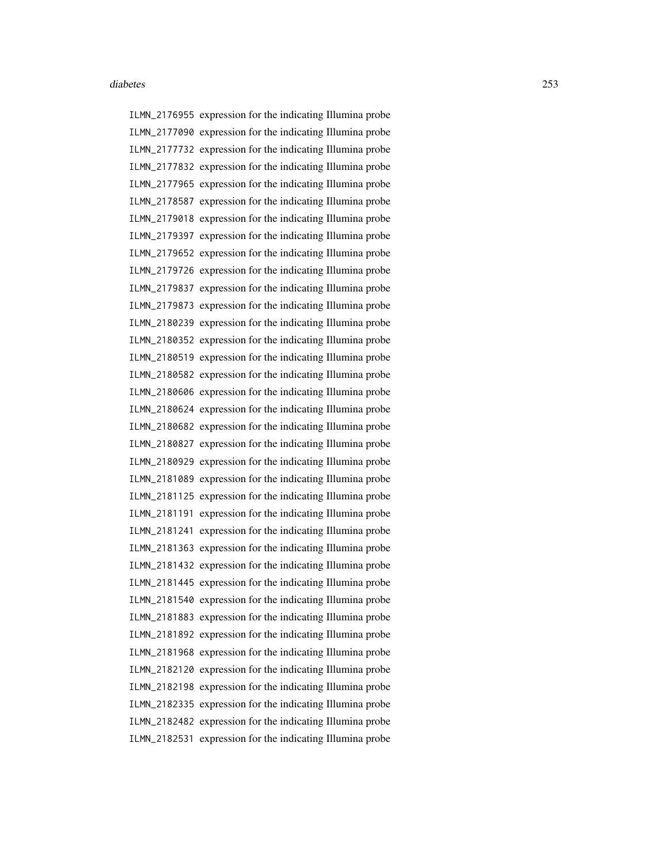ILMN\_2176955 expression for the indicating Illumina probe ILMN\_2177090 expression for the indicating Illumina probe ILMN\_2177732 expression for the indicating Illumina probe ILMN\_2177832 expression for the indicating Illumina probe ILMN\_2177965 expression for the indicating Illumina probe ILMN\_2178587 expression for the indicating Illumina probe ILMN\_2179018 expression for the indicating Illumina probe ILMN\_2179397 expression for the indicating Illumina probe ILMN\_2179652 expression for the indicating Illumina probe ILMN\_2179726 expression for the indicating Illumina probe ILMN\_2179837 expression for the indicating Illumina probe ILMN\_2179873 expression for the indicating Illumina probe ILMN\_2180239 expression for the indicating Illumina probe ILMN\_2180352 expression for the indicating Illumina probe ILMN\_2180519 expression for the indicating Illumina probe ILMN\_2180582 expression for the indicating Illumina probe ILMN\_2180606 expression for the indicating Illumina probe ILMN\_2180624 expression for the indicating Illumina probe ILMN\_2180682 expression for the indicating Illumina probe ILMN\_2180827 expression for the indicating Illumina probe ILMN\_2180929 expression for the indicating Illumina probe ILMN\_2181089 expression for the indicating Illumina probe ILMN\_2181125 expression for the indicating Illumina probe ILMN\_2181191 expression for the indicating Illumina probe ILMN\_2181241 expression for the indicating Illumina probe ILMN\_2181363 expression for the indicating Illumina probe ILMN\_2181432 expression for the indicating Illumina probe ILMN\_2181445 expression for the indicating Illumina probe ILMN\_2181540 expression for the indicating Illumina probe ILMN\_2181883 expression for the indicating Illumina probe ILMN\_2181892 expression for the indicating Illumina probe ILMN\_2181968 expression for the indicating Illumina probe ILMN\_2182120 expression for the indicating Illumina probe ILMN\_2182198 expression for the indicating Illumina probe ILMN\_2182335 expression for the indicating Illumina probe ILMN\_2182482 expression for the indicating Illumina probe ILMN\_2182531 expression for the indicating Illumina probe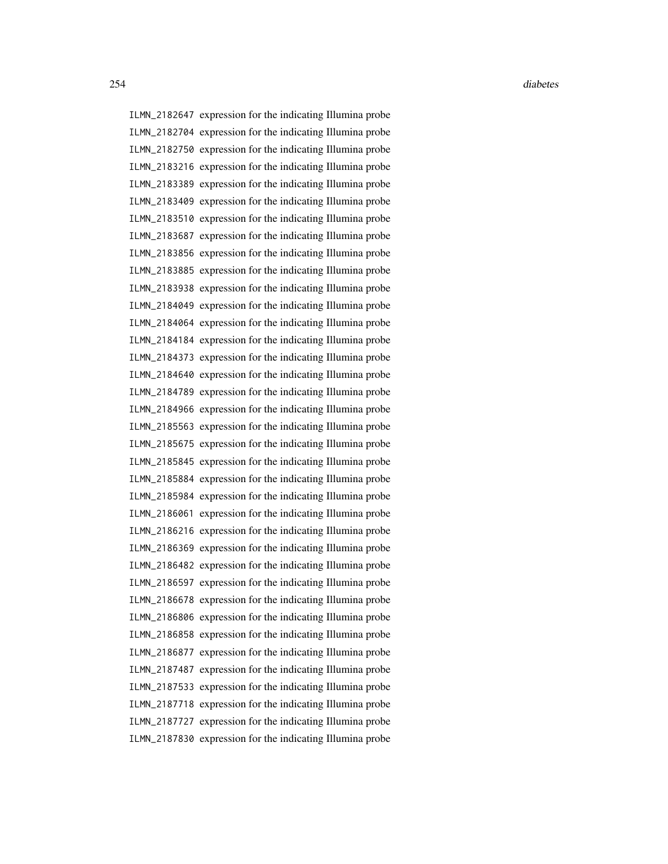ILMN\_2182647 expression for the indicating Illumina probe ILMN\_2182704 expression for the indicating Illumina probe ILMN\_2182750 expression for the indicating Illumina probe ILMN\_2183216 expression for the indicating Illumina probe ILMN\_2183389 expression for the indicating Illumina probe ILMN\_2183409 expression for the indicating Illumina probe ILMN\_2183510 expression for the indicating Illumina probe ILMN\_2183687 expression for the indicating Illumina probe ILMN\_2183856 expression for the indicating Illumina probe ILMN\_2183885 expression for the indicating Illumina probe ILMN\_2183938 expression for the indicating Illumina probe ILMN\_2184049 expression for the indicating Illumina probe ILMN\_2184064 expression for the indicating Illumina probe ILMN\_2184184 expression for the indicating Illumina probe ILMN\_2184373 expression for the indicating Illumina probe ILMN\_2184640 expression for the indicating Illumina probe ILMN\_2184789 expression for the indicating Illumina probe ILMN\_2184966 expression for the indicating Illumina probe ILMN\_2185563 expression for the indicating Illumina probe ILMN\_2185675 expression for the indicating Illumina probe ILMN\_2185845 expression for the indicating Illumina probe ILMN\_2185884 expression for the indicating Illumina probe ILMN\_2185984 expression for the indicating Illumina probe ILMN\_2186061 expression for the indicating Illumina probe ILMN\_2186216 expression for the indicating Illumina probe ILMN\_2186369 expression for the indicating Illumina probe ILMN\_2186482 expression for the indicating Illumina probe ILMN\_2186597 expression for the indicating Illumina probe ILMN\_2186678 expression for the indicating Illumina probe ILMN\_2186806 expression for the indicating Illumina probe ILMN\_2186858 expression for the indicating Illumina probe ILMN\_2186877 expression for the indicating Illumina probe ILMN\_2187487 expression for the indicating Illumina probe ILMN\_2187533 expression for the indicating Illumina probe ILMN\_2187718 expression for the indicating Illumina probe ILMN\_2187727 expression for the indicating Illumina probe ILMN\_2187830 expression for the indicating Illumina probe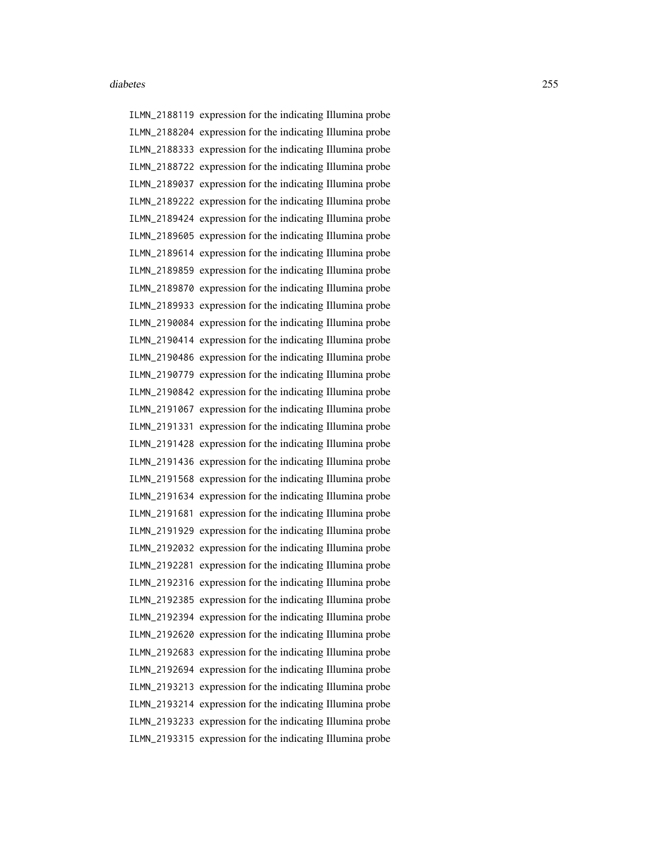ILMN\_2188119 expression for the indicating Illumina probe ILMN\_2188204 expression for the indicating Illumina probe ILMN\_2188333 expression for the indicating Illumina probe ILMN\_2188722 expression for the indicating Illumina probe ILMN\_2189037 expression for the indicating Illumina probe ILMN\_2189222 expression for the indicating Illumina probe ILMN\_2189424 expression for the indicating Illumina probe ILMN\_2189605 expression for the indicating Illumina probe ILMN\_2189614 expression for the indicating Illumina probe ILMN\_2189859 expression for the indicating Illumina probe ILMN\_2189870 expression for the indicating Illumina probe ILMN\_2189933 expression for the indicating Illumina probe ILMN\_2190084 expression for the indicating Illumina probe ILMN\_2190414 expression for the indicating Illumina probe ILMN\_2190486 expression for the indicating Illumina probe ILMN\_2190779 expression for the indicating Illumina probe ILMN\_2190842 expression for the indicating Illumina probe ILMN\_2191067 expression for the indicating Illumina probe ILMN\_2191331 expression for the indicating Illumina probe ILMN\_2191428 expression for the indicating Illumina probe ILMN\_2191436 expression for the indicating Illumina probe ILMN\_2191568 expression for the indicating Illumina probe ILMN\_2191634 expression for the indicating Illumina probe ILMN\_2191681 expression for the indicating Illumina probe ILMN\_2191929 expression for the indicating Illumina probe ILMN\_2192032 expression for the indicating Illumina probe ILMN\_2192281 expression for the indicating Illumina probe ILMN\_2192316 expression for the indicating Illumina probe ILMN\_2192385 expression for the indicating Illumina probe ILMN\_2192394 expression for the indicating Illumina probe ILMN\_2192620 expression for the indicating Illumina probe ILMN\_2192683 expression for the indicating Illumina probe ILMN\_2192694 expression for the indicating Illumina probe ILMN\_2193213 expression for the indicating Illumina probe ILMN\_2193214 expression for the indicating Illumina probe ILMN\_2193233 expression for the indicating Illumina probe ILMN\_2193315 expression for the indicating Illumina probe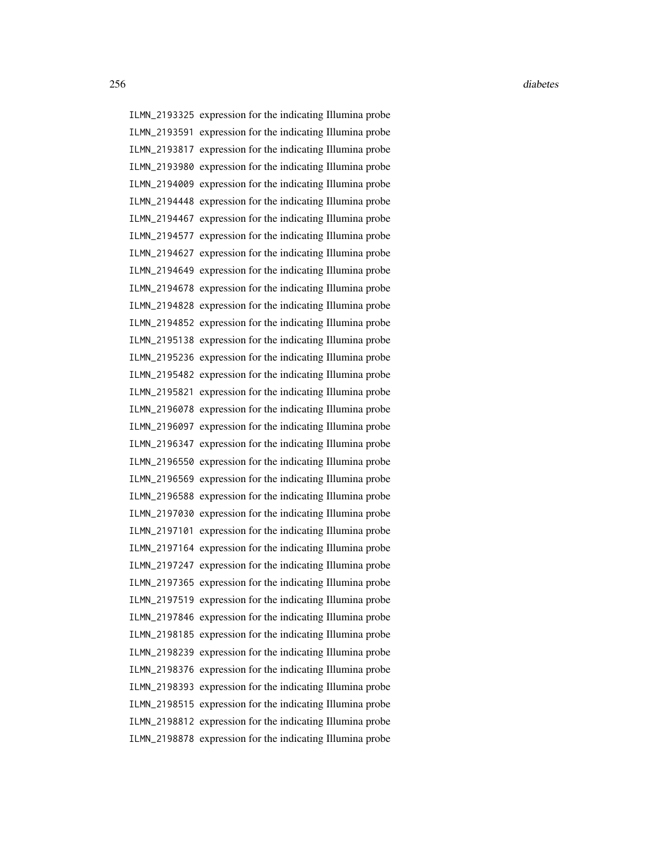ILMN\_2193325 expression for the indicating Illumina probe ILMN\_2193591 expression for the indicating Illumina probe ILMN\_2193817 expression for the indicating Illumina probe ILMN\_2193980 expression for the indicating Illumina probe ILMN\_2194009 expression for the indicating Illumina probe ILMN\_2194448 expression for the indicating Illumina probe ILMN\_2194467 expression for the indicating Illumina probe ILMN\_2194577 expression for the indicating Illumina probe ILMN\_2194627 expression for the indicating Illumina probe ILMN\_2194649 expression for the indicating Illumina probe ILMN\_2194678 expression for the indicating Illumina probe ILMN\_2194828 expression for the indicating Illumina probe ILMN\_2194852 expression for the indicating Illumina probe ILMN\_2195138 expression for the indicating Illumina probe ILMN\_2195236 expression for the indicating Illumina probe ILMN\_2195482 expression for the indicating Illumina probe ILMN\_2195821 expression for the indicating Illumina probe ILMN\_2196078 expression for the indicating Illumina probe ILMN\_2196097 expression for the indicating Illumina probe ILMN\_2196347 expression for the indicating Illumina probe ILMN\_2196550 expression for the indicating Illumina probe ILMN\_2196569 expression for the indicating Illumina probe ILMN\_2196588 expression for the indicating Illumina probe ILMN\_2197030 expression for the indicating Illumina probe ILMN\_2197101 expression for the indicating Illumina probe ILMN\_2197164 expression for the indicating Illumina probe ILMN\_2197247 expression for the indicating Illumina probe ILMN\_2197365 expression for the indicating Illumina probe ILMN\_2197519 expression for the indicating Illumina probe ILMN\_2197846 expression for the indicating Illumina probe ILMN\_2198185 expression for the indicating Illumina probe ILMN\_2198239 expression for the indicating Illumina probe ILMN\_2198376 expression for the indicating Illumina probe ILMN\_2198393 expression for the indicating Illumina probe ILMN\_2198515 expression for the indicating Illumina probe ILMN\_2198812 expression for the indicating Illumina probe ILMN\_2198878 expression for the indicating Illumina probe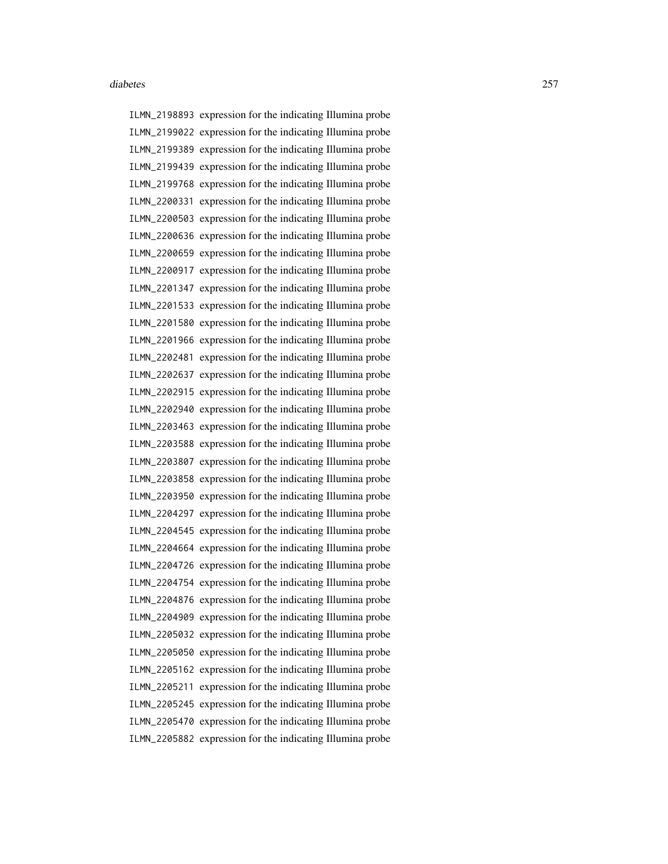ILMN\_2198893 expression for the indicating Illumina probe ILMN\_2199022 expression for the indicating Illumina probe ILMN\_2199389 expression for the indicating Illumina probe ILMN\_2199439 expression for the indicating Illumina probe ILMN\_2199768 expression for the indicating Illumina probe ILMN\_2200331 expression for the indicating Illumina probe ILMN\_2200503 expression for the indicating Illumina probe ILMN\_2200636 expression for the indicating Illumina probe ILMN\_2200659 expression for the indicating Illumina probe ILMN\_2200917 expression for the indicating Illumina probe ILMN\_2201347 expression for the indicating Illumina probe ILMN\_2201533 expression for the indicating Illumina probe ILMN\_2201580 expression for the indicating Illumina probe ILMN\_2201966 expression for the indicating Illumina probe ILMN\_2202481 expression for the indicating Illumina probe ILMN\_2202637 expression for the indicating Illumina probe ILMN\_2202915 expression for the indicating Illumina probe ILMN\_2202940 expression for the indicating Illumina probe ILMN\_2203463 expression for the indicating Illumina probe ILMN\_2203588 expression for the indicating Illumina probe ILMN\_2203807 expression for the indicating Illumina probe ILMN\_2203858 expression for the indicating Illumina probe ILMN\_2203950 expression for the indicating Illumina probe ILMN\_2204297 expression for the indicating Illumina probe ILMN\_2204545 expression for the indicating Illumina probe ILMN\_2204664 expression for the indicating Illumina probe ILMN\_2204726 expression for the indicating Illumina probe ILMN\_2204754 expression for the indicating Illumina probe ILMN\_2204876 expression for the indicating Illumina probe ILMN\_2204909 expression for the indicating Illumina probe ILMN\_2205032 expression for the indicating Illumina probe ILMN\_2205050 expression for the indicating Illumina probe ILMN\_2205162 expression for the indicating Illumina probe ILMN\_2205211 expression for the indicating Illumina probe ILMN\_2205245 expression for the indicating Illumina probe ILMN\_2205470 expression for the indicating Illumina probe ILMN\_2205882 expression for the indicating Illumina probe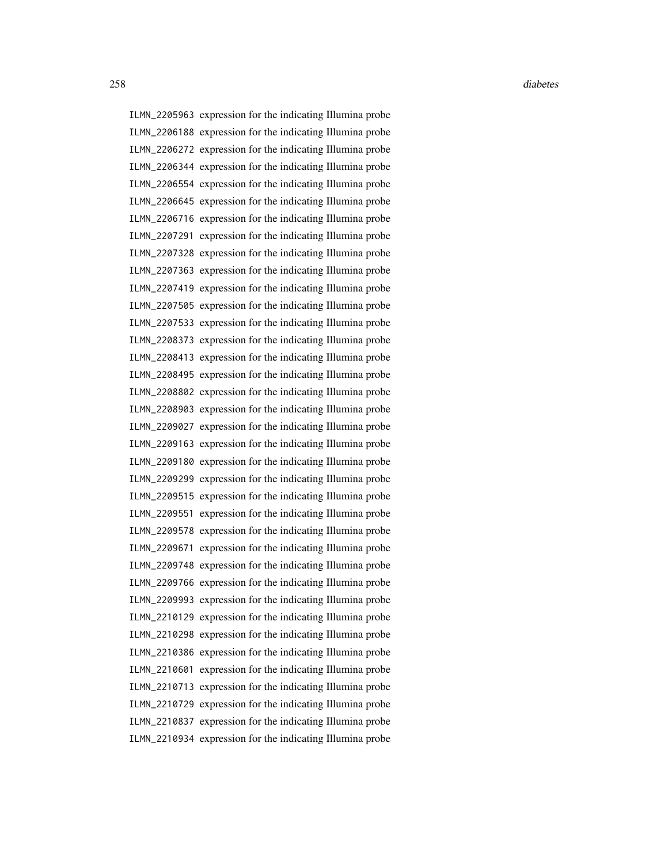ILMN\_2205963 expression for the indicating Illumina probe ILMN\_2206188 expression for the indicating Illumina probe ILMN\_2206272 expression for the indicating Illumina probe ILMN\_2206344 expression for the indicating Illumina probe ILMN\_2206554 expression for the indicating Illumina probe ILMN\_2206645 expression for the indicating Illumina probe ILMN\_2206716 expression for the indicating Illumina probe ILMN\_2207291 expression for the indicating Illumina probe ILMN\_2207328 expression for the indicating Illumina probe ILMN\_2207363 expression for the indicating Illumina probe ILMN\_2207419 expression for the indicating Illumina probe ILMN\_2207505 expression for the indicating Illumina probe ILMN\_2207533 expression for the indicating Illumina probe ILMN\_2208373 expression for the indicating Illumina probe ILMN\_2208413 expression for the indicating Illumina probe ILMN\_2208495 expression for the indicating Illumina probe ILMN\_2208802 expression for the indicating Illumina probe ILMN\_2208903 expression for the indicating Illumina probe ILMN\_2209027 expression for the indicating Illumina probe ILMN\_2209163 expression for the indicating Illumina probe ILMN\_2209180 expression for the indicating Illumina probe ILMN\_2209299 expression for the indicating Illumina probe ILMN\_2209515 expression for the indicating Illumina probe ILMN\_2209551 expression for the indicating Illumina probe ILMN\_2209578 expression for the indicating Illumina probe ILMN\_2209671 expression for the indicating Illumina probe ILMN\_2209748 expression for the indicating Illumina probe ILMN\_2209766 expression for the indicating Illumina probe ILMN\_2209993 expression for the indicating Illumina probe ILMN\_2210129 expression for the indicating Illumina probe ILMN\_2210298 expression for the indicating Illumina probe ILMN\_2210386 expression for the indicating Illumina probe ILMN\_2210601 expression for the indicating Illumina probe ILMN\_2210713 expression for the indicating Illumina probe ILMN\_2210729 expression for the indicating Illumina probe ILMN\_2210837 expression for the indicating Illumina probe ILMN\_2210934 expression for the indicating Illumina probe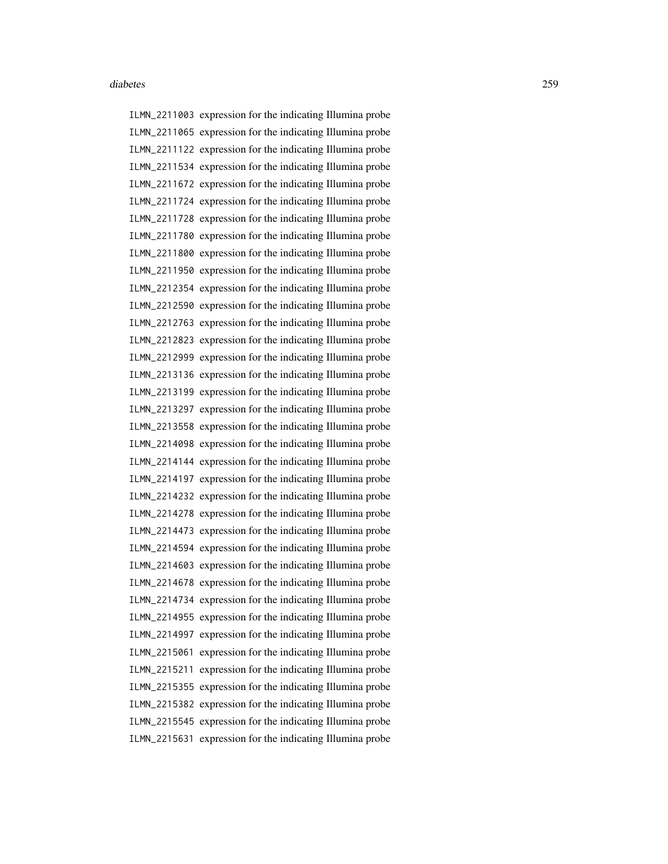ILMN\_2211003 expression for the indicating Illumina probe ILMN\_2211065 expression for the indicating Illumina probe ILMN\_2211122 expression for the indicating Illumina probe ILMN\_2211534 expression for the indicating Illumina probe ILMN\_2211672 expression for the indicating Illumina probe ILMN\_2211724 expression for the indicating Illumina probe ILMN\_2211728 expression for the indicating Illumina probe ILMN\_2211780 expression for the indicating Illumina probe ILMN\_2211800 expression for the indicating Illumina probe ILMN\_2211950 expression for the indicating Illumina probe ILMN\_2212354 expression for the indicating Illumina probe ILMN\_2212590 expression for the indicating Illumina probe ILMN\_2212763 expression for the indicating Illumina probe ILMN\_2212823 expression for the indicating Illumina probe ILMN\_2212999 expression for the indicating Illumina probe ILMN\_2213136 expression for the indicating Illumina probe ILMN\_2213199 expression for the indicating Illumina probe ILMN\_2213297 expression for the indicating Illumina probe ILMN\_2213558 expression for the indicating Illumina probe ILMN\_2214098 expression for the indicating Illumina probe ILMN\_2214144 expression for the indicating Illumina probe ILMN\_2214197 expression for the indicating Illumina probe ILMN\_2214232 expression for the indicating Illumina probe ILMN\_2214278 expression for the indicating Illumina probe ILMN\_2214473 expression for the indicating Illumina probe ILMN\_2214594 expression for the indicating Illumina probe ILMN\_2214603 expression for the indicating Illumina probe ILMN\_2214678 expression for the indicating Illumina probe ILMN\_2214734 expression for the indicating Illumina probe ILMN\_2214955 expression for the indicating Illumina probe ILMN\_2214997 expression for the indicating Illumina probe ILMN\_2215061 expression for the indicating Illumina probe ILMN\_2215211 expression for the indicating Illumina probe ILMN\_2215355 expression for the indicating Illumina probe ILMN\_2215382 expression for the indicating Illumina probe ILMN\_2215545 expression for the indicating Illumina probe ILMN\_2215631 expression for the indicating Illumina probe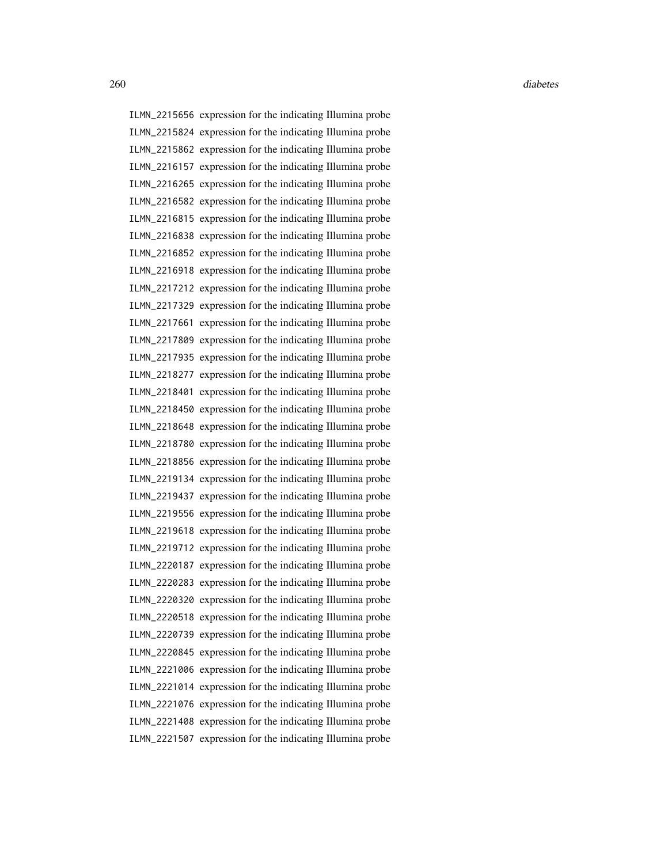ILMN\_2215656 expression for the indicating Illumina probe ILMN\_2215824 expression for the indicating Illumina probe ILMN\_2215862 expression for the indicating Illumina probe ILMN\_2216157 expression for the indicating Illumina probe ILMN\_2216265 expression for the indicating Illumina probe ILMN\_2216582 expression for the indicating Illumina probe ILMN\_2216815 expression for the indicating Illumina probe ILMN\_2216838 expression for the indicating Illumina probe ILMN\_2216852 expression for the indicating Illumina probe ILMN\_2216918 expression for the indicating Illumina probe ILMN\_2217212 expression for the indicating Illumina probe ILMN\_2217329 expression for the indicating Illumina probe ILMN\_2217661 expression for the indicating Illumina probe ILMN\_2217809 expression for the indicating Illumina probe ILMN\_2217935 expression for the indicating Illumina probe ILMN\_2218277 expression for the indicating Illumina probe ILMN\_2218401 expression for the indicating Illumina probe ILMN\_2218450 expression for the indicating Illumina probe ILMN\_2218648 expression for the indicating Illumina probe ILMN\_2218780 expression for the indicating Illumina probe ILMN\_2218856 expression for the indicating Illumina probe ILMN\_2219134 expression for the indicating Illumina probe ILMN\_2219437 expression for the indicating Illumina probe ILMN\_2219556 expression for the indicating Illumina probe ILMN\_2219618 expression for the indicating Illumina probe ILMN\_2219712 expression for the indicating Illumina probe ILMN\_2220187 expression for the indicating Illumina probe ILMN\_2220283 expression for the indicating Illumina probe ILMN\_2220320 expression for the indicating Illumina probe ILMN\_2220518 expression for the indicating Illumina probe ILMN\_2220739 expression for the indicating Illumina probe ILMN\_2220845 expression for the indicating Illumina probe ILMN\_2221006 expression for the indicating Illumina probe ILMN\_2221014 expression for the indicating Illumina probe ILMN\_2221076 expression for the indicating Illumina probe ILMN\_2221408 expression for the indicating Illumina probe ILMN\_2221507 expression for the indicating Illumina probe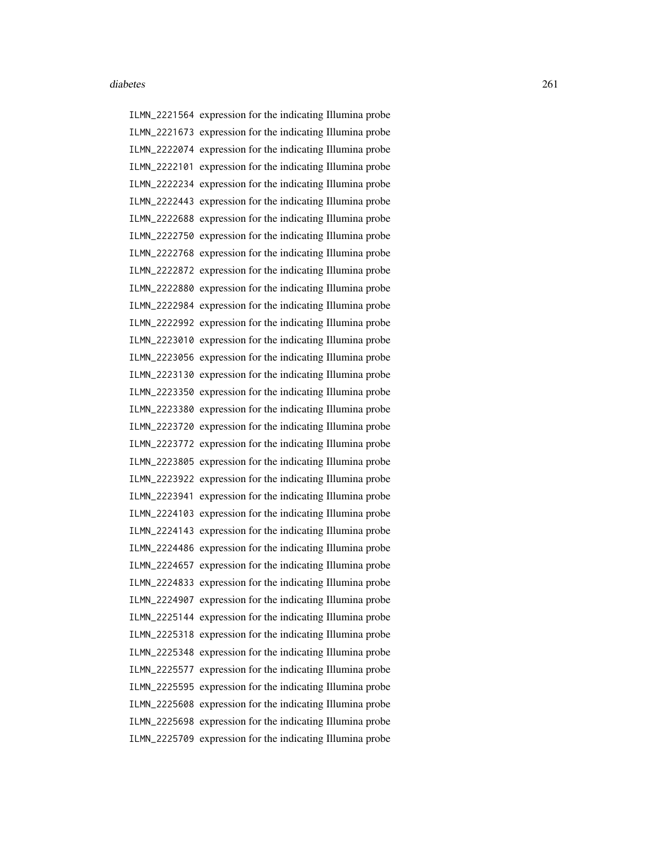ILMN\_2221564 expression for the indicating Illumina probe ILMN\_2221673 expression for the indicating Illumina probe ILMN\_2222074 expression for the indicating Illumina probe ILMN\_2222101 expression for the indicating Illumina probe ILMN\_2222234 expression for the indicating Illumina probe ILMN\_2222443 expression for the indicating Illumina probe ILMN\_2222688 expression for the indicating Illumina probe ILMN\_2222750 expression for the indicating Illumina probe ILMN\_2222768 expression for the indicating Illumina probe ILMN\_2222872 expression for the indicating Illumina probe ILMN\_2222880 expression for the indicating Illumina probe ILMN\_2222984 expression for the indicating Illumina probe ILMN\_2222992 expression for the indicating Illumina probe ILMN\_2223010 expression for the indicating Illumina probe ILMN\_2223056 expression for the indicating Illumina probe ILMN\_2223130 expression for the indicating Illumina probe ILMN\_2223350 expression for the indicating Illumina probe ILMN\_2223380 expression for the indicating Illumina probe ILMN\_2223720 expression for the indicating Illumina probe ILMN\_2223772 expression for the indicating Illumina probe ILMN\_2223805 expression for the indicating Illumina probe ILMN\_2223922 expression for the indicating Illumina probe ILMN\_2223941 expression for the indicating Illumina probe ILMN\_2224103 expression for the indicating Illumina probe ILMN\_2224143 expression for the indicating Illumina probe ILMN\_2224486 expression for the indicating Illumina probe ILMN\_2224657 expression for the indicating Illumina probe ILMN\_2224833 expression for the indicating Illumina probe ILMN\_2224907 expression for the indicating Illumina probe ILMN\_2225144 expression for the indicating Illumina probe ILMN\_2225318 expression for the indicating Illumina probe ILMN\_2225348 expression for the indicating Illumina probe ILMN\_2225577 expression for the indicating Illumina probe ILMN\_2225595 expression for the indicating Illumina probe ILMN\_2225608 expression for the indicating Illumina probe ILMN\_2225698 expression for the indicating Illumina probe ILMN\_2225709 expression for the indicating Illumina probe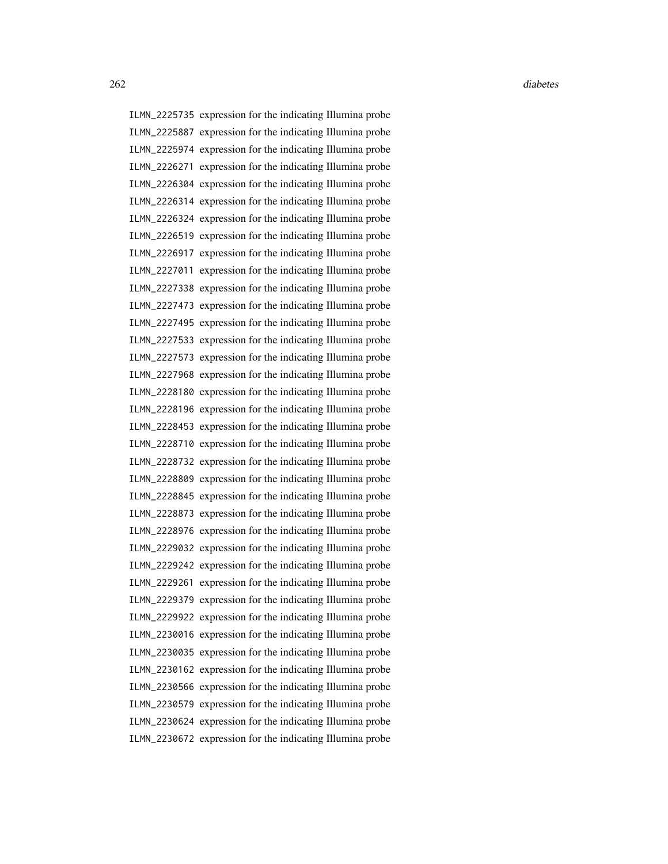ILMN\_2225735 expression for the indicating Illumina probe ILMN\_2225887 expression for the indicating Illumina probe ILMN\_2225974 expression for the indicating Illumina probe ILMN\_2226271 expression for the indicating Illumina probe ILMN\_2226304 expression for the indicating Illumina probe ILMN\_2226314 expression for the indicating Illumina probe ILMN\_2226324 expression for the indicating Illumina probe ILMN\_2226519 expression for the indicating Illumina probe ILMN\_2226917 expression for the indicating Illumina probe ILMN\_2227011 expression for the indicating Illumina probe ILMN\_2227338 expression for the indicating Illumina probe ILMN\_2227473 expression for the indicating Illumina probe ILMN\_2227495 expression for the indicating Illumina probe ILMN\_2227533 expression for the indicating Illumina probe ILMN\_2227573 expression for the indicating Illumina probe ILMN\_2227968 expression for the indicating Illumina probe ILMN\_2228180 expression for the indicating Illumina probe ILMN\_2228196 expression for the indicating Illumina probe ILMN\_2228453 expression for the indicating Illumina probe ILMN\_2228710 expression for the indicating Illumina probe ILMN\_2228732 expression for the indicating Illumina probe ILMN\_2228809 expression for the indicating Illumina probe ILMN\_2228845 expression for the indicating Illumina probe ILMN\_2228873 expression for the indicating Illumina probe ILMN\_2228976 expression for the indicating Illumina probe ILMN\_2229032 expression for the indicating Illumina probe ILMN\_2229242 expression for the indicating Illumina probe ILMN\_2229261 expression for the indicating Illumina probe ILMN\_2229379 expression for the indicating Illumina probe ILMN\_2229922 expression for the indicating Illumina probe ILMN\_2230016 expression for the indicating Illumina probe ILMN\_2230035 expression for the indicating Illumina probe ILMN\_2230162 expression for the indicating Illumina probe ILMN\_2230566 expression for the indicating Illumina probe ILMN\_2230579 expression for the indicating Illumina probe ILMN\_2230624 expression for the indicating Illumina probe ILMN\_2230672 expression for the indicating Illumina probe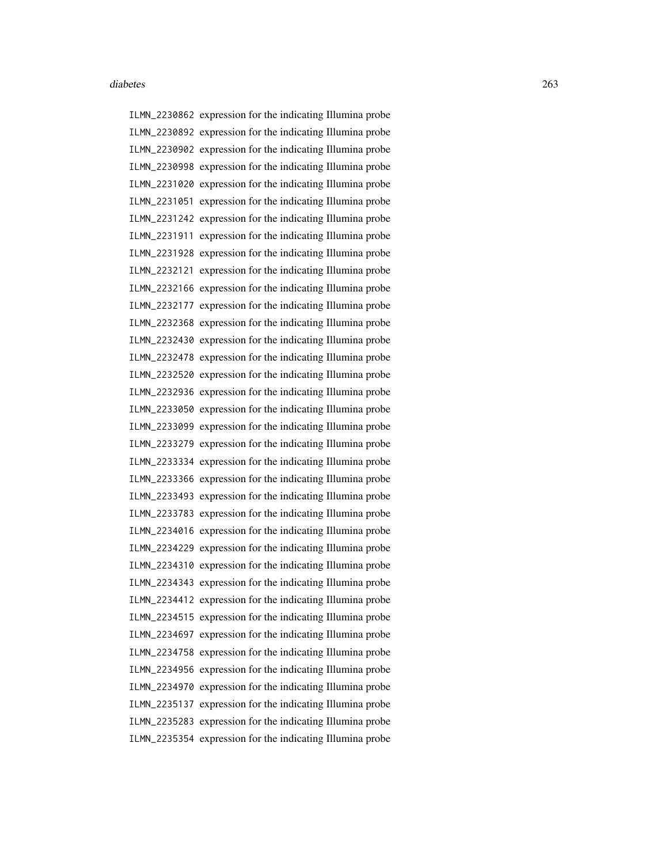ILMN\_2230862 expression for the indicating Illumina probe ILMN\_2230892 expression for the indicating Illumina probe ILMN\_2230902 expression for the indicating Illumina probe ILMN\_2230998 expression for the indicating Illumina probe ILMN\_2231020 expression for the indicating Illumina probe ILMN\_2231051 expression for the indicating Illumina probe ILMN\_2231242 expression for the indicating Illumina probe ILMN\_2231911 expression for the indicating Illumina probe ILMN\_2231928 expression for the indicating Illumina probe ILMN\_2232121 expression for the indicating Illumina probe ILMN\_2232166 expression for the indicating Illumina probe ILMN\_2232177 expression for the indicating Illumina probe ILMN\_2232368 expression for the indicating Illumina probe ILMN\_2232430 expression for the indicating Illumina probe ILMN\_2232478 expression for the indicating Illumina probe ILMN\_2232520 expression for the indicating Illumina probe ILMN\_2232936 expression for the indicating Illumina probe ILMN\_2233050 expression for the indicating Illumina probe ILMN\_2233099 expression for the indicating Illumina probe ILMN\_2233279 expression for the indicating Illumina probe ILMN\_2233334 expression for the indicating Illumina probe ILMN\_2233366 expression for the indicating Illumina probe ILMN\_2233493 expression for the indicating Illumina probe ILMN\_2233783 expression for the indicating Illumina probe ILMN\_2234016 expression for the indicating Illumina probe ILMN\_2234229 expression for the indicating Illumina probe ILMN\_2234310 expression for the indicating Illumina probe ILMN\_2234343 expression for the indicating Illumina probe ILMN\_2234412 expression for the indicating Illumina probe ILMN\_2234515 expression for the indicating Illumina probe ILMN\_2234697 expression for the indicating Illumina probe ILMN\_2234758 expression for the indicating Illumina probe ILMN\_2234956 expression for the indicating Illumina probe ILMN\_2234970 expression for the indicating Illumina probe ILMN\_2235137 expression for the indicating Illumina probe ILMN\_2235283 expression for the indicating Illumina probe ILMN\_2235354 expression for the indicating Illumina probe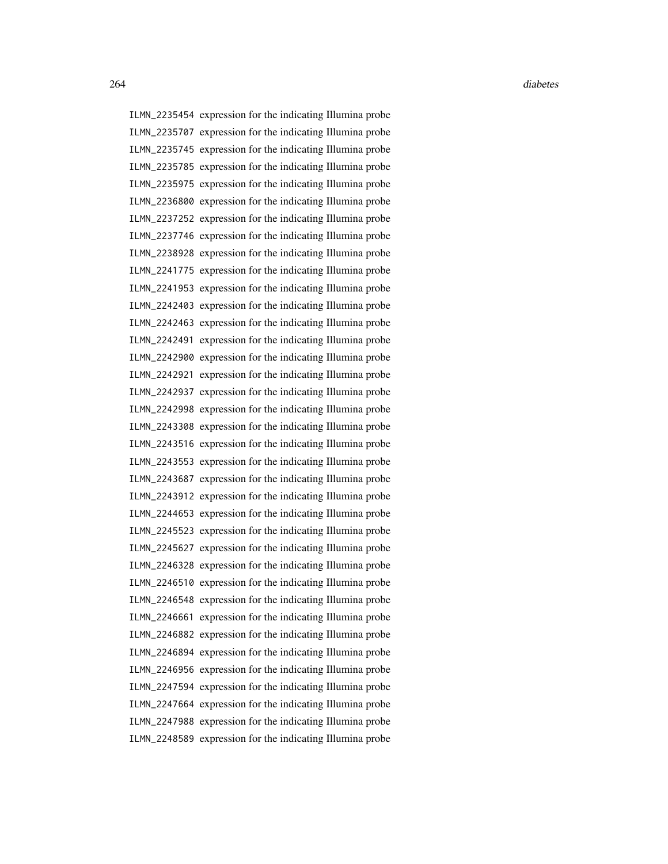ILMN\_2235454 expression for the indicating Illumina probe ILMN\_2235707 expression for the indicating Illumina probe ILMN\_2235745 expression for the indicating Illumina probe ILMN\_2235785 expression for the indicating Illumina probe ILMN\_2235975 expression for the indicating Illumina probe ILMN\_2236800 expression for the indicating Illumina probe ILMN\_2237252 expression for the indicating Illumina probe ILMN\_2237746 expression for the indicating Illumina probe ILMN\_2238928 expression for the indicating Illumina probe ILMN\_2241775 expression for the indicating Illumina probe ILMN\_2241953 expression for the indicating Illumina probe ILMN\_2242403 expression for the indicating Illumina probe ILMN\_2242463 expression for the indicating Illumina probe ILMN\_2242491 expression for the indicating Illumina probe ILMN\_2242900 expression for the indicating Illumina probe ILMN\_2242921 expression for the indicating Illumina probe ILMN\_2242937 expression for the indicating Illumina probe ILMN\_2242998 expression for the indicating Illumina probe ILMN\_2243308 expression for the indicating Illumina probe ILMN\_2243516 expression for the indicating Illumina probe ILMN\_2243553 expression for the indicating Illumina probe ILMN\_2243687 expression for the indicating Illumina probe ILMN\_2243912 expression for the indicating Illumina probe ILMN\_2244653 expression for the indicating Illumina probe ILMN\_2245523 expression for the indicating Illumina probe ILMN\_2245627 expression for the indicating Illumina probe ILMN\_2246328 expression for the indicating Illumina probe ILMN\_2246510 expression for the indicating Illumina probe ILMN\_2246548 expression for the indicating Illumina probe ILMN\_2246661 expression for the indicating Illumina probe ILMN\_2246882 expression for the indicating Illumina probe ILMN\_2246894 expression for the indicating Illumina probe ILMN\_2246956 expression for the indicating Illumina probe ILMN\_2247594 expression for the indicating Illumina probe ILMN\_2247664 expression for the indicating Illumina probe ILMN\_2247988 expression for the indicating Illumina probe ILMN\_2248589 expression for the indicating Illumina probe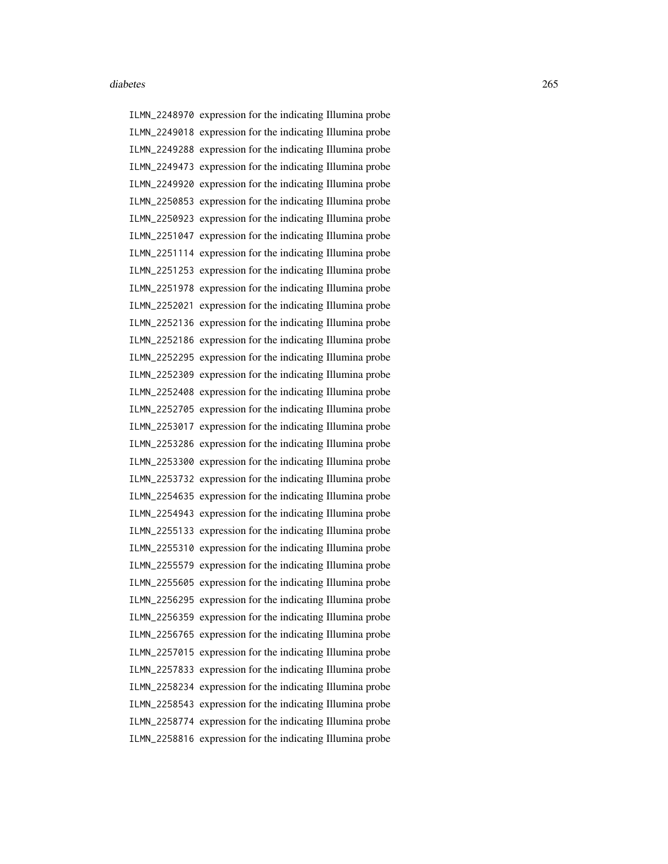ILMN\_2248970 expression for the indicating Illumina probe ILMN\_2249018 expression for the indicating Illumina probe ILMN\_2249288 expression for the indicating Illumina probe ILMN\_2249473 expression for the indicating Illumina probe ILMN\_2249920 expression for the indicating Illumina probe ILMN\_2250853 expression for the indicating Illumina probe ILMN\_2250923 expression for the indicating Illumina probe ILMN\_2251047 expression for the indicating Illumina probe ILMN\_2251114 expression for the indicating Illumina probe ILMN\_2251253 expression for the indicating Illumina probe ILMN\_2251978 expression for the indicating Illumina probe ILMN\_2252021 expression for the indicating Illumina probe ILMN\_2252136 expression for the indicating Illumina probe ILMN\_2252186 expression for the indicating Illumina probe ILMN\_2252295 expression for the indicating Illumina probe ILMN\_2252309 expression for the indicating Illumina probe ILMN\_2252408 expression for the indicating Illumina probe ILMN\_2252705 expression for the indicating Illumina probe ILMN\_2253017 expression for the indicating Illumina probe ILMN\_2253286 expression for the indicating Illumina probe ILMN\_2253300 expression for the indicating Illumina probe ILMN\_2253732 expression for the indicating Illumina probe ILMN\_2254635 expression for the indicating Illumina probe ILMN\_2254943 expression for the indicating Illumina probe ILMN\_2255133 expression for the indicating Illumina probe ILMN\_2255310 expression for the indicating Illumina probe ILMN\_2255579 expression for the indicating Illumina probe ILMN\_2255605 expression for the indicating Illumina probe ILMN\_2256295 expression for the indicating Illumina probe ILMN\_2256359 expression for the indicating Illumina probe ILMN\_2256765 expression for the indicating Illumina probe ILMN\_2257015 expression for the indicating Illumina probe ILMN\_2257833 expression for the indicating Illumina probe ILMN\_2258234 expression for the indicating Illumina probe ILMN\_2258543 expression for the indicating Illumina probe ILMN\_2258774 expression for the indicating Illumina probe ILMN\_2258816 expression for the indicating Illumina probe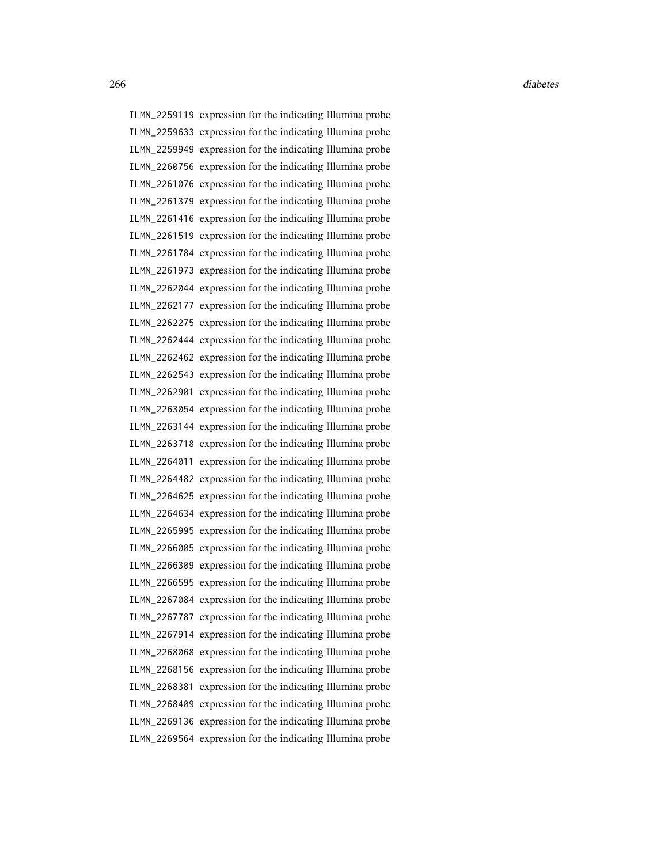ILMN\_2259119 expression for the indicating Illumina probe ILMN\_2259633 expression for the indicating Illumina probe ILMN\_2259949 expression for the indicating Illumina probe ILMN\_2260756 expression for the indicating Illumina probe ILMN\_2261076 expression for the indicating Illumina probe ILMN\_2261379 expression for the indicating Illumina probe ILMN\_2261416 expression for the indicating Illumina probe ILMN\_2261519 expression for the indicating Illumina probe ILMN\_2261784 expression for the indicating Illumina probe ILMN\_2261973 expression for the indicating Illumina probe ILMN\_2262044 expression for the indicating Illumina probe ILMN\_2262177 expression for the indicating Illumina probe ILMN\_2262275 expression for the indicating Illumina probe ILMN\_2262444 expression for the indicating Illumina probe ILMN\_2262462 expression for the indicating Illumina probe ILMN\_2262543 expression for the indicating Illumina probe ILMN\_2262901 expression for the indicating Illumina probe ILMN\_2263054 expression for the indicating Illumina probe ILMN\_2263144 expression for the indicating Illumina probe ILMN\_2263718 expression for the indicating Illumina probe ILMN\_2264011 expression for the indicating Illumina probe ILMN\_2264482 expression for the indicating Illumina probe ILMN\_2264625 expression for the indicating Illumina probe ILMN\_2264634 expression for the indicating Illumina probe ILMN\_2265995 expression for the indicating Illumina probe ILMN\_2266005 expression for the indicating Illumina probe ILMN\_2266309 expression for the indicating Illumina probe ILMN\_2266595 expression for the indicating Illumina probe ILMN\_2267084 expression for the indicating Illumina probe ILMN\_2267787 expression for the indicating Illumina probe ILMN\_2267914 expression for the indicating Illumina probe ILMN\_2268068 expression for the indicating Illumina probe ILMN\_2268156 expression for the indicating Illumina probe ILMN\_2268381 expression for the indicating Illumina probe ILMN\_2268409 expression for the indicating Illumina probe ILMN\_2269136 expression for the indicating Illumina probe ILMN\_2269564 expression for the indicating Illumina probe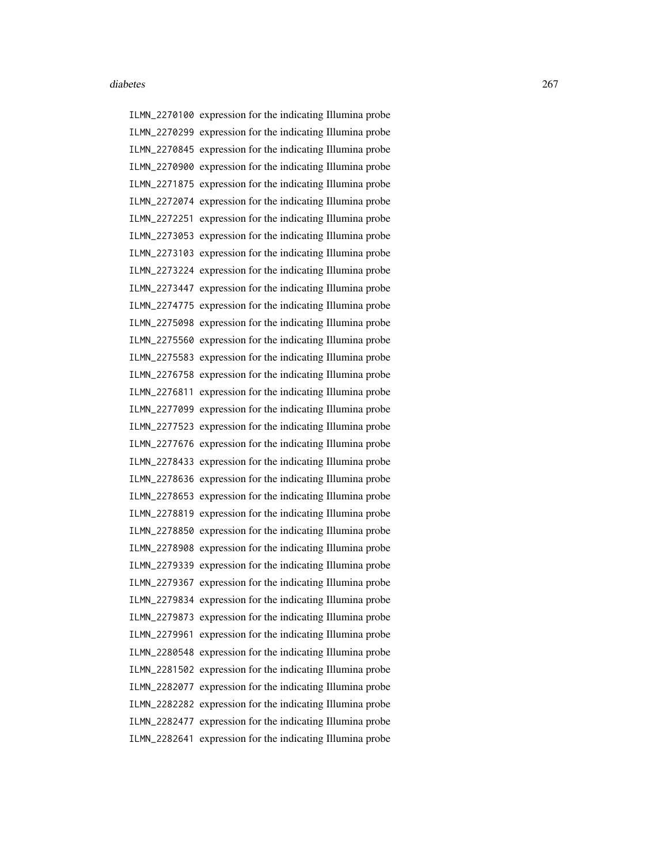ILMN\_2270100 expression for the indicating Illumina probe ILMN\_2270299 expression for the indicating Illumina probe ILMN\_2270845 expression for the indicating Illumina probe ILMN\_2270900 expression for the indicating Illumina probe ILMN\_2271875 expression for the indicating Illumina probe ILMN\_2272074 expression for the indicating Illumina probe ILMN\_2272251 expression for the indicating Illumina probe ILMN\_2273053 expression for the indicating Illumina probe ILMN\_2273103 expression for the indicating Illumina probe ILMN\_2273224 expression for the indicating Illumina probe ILMN\_2273447 expression for the indicating Illumina probe ILMN\_2274775 expression for the indicating Illumina probe ILMN\_2275098 expression for the indicating Illumina probe ILMN\_2275560 expression for the indicating Illumina probe ILMN\_2275583 expression for the indicating Illumina probe ILMN\_2276758 expression for the indicating Illumina probe ILMN\_2276811 expression for the indicating Illumina probe ILMN\_2277099 expression for the indicating Illumina probe ILMN\_2277523 expression for the indicating Illumina probe ILMN\_2277676 expression for the indicating Illumina probe ILMN\_2278433 expression for the indicating Illumina probe ILMN\_2278636 expression for the indicating Illumina probe ILMN\_2278653 expression for the indicating Illumina probe ILMN\_2278819 expression for the indicating Illumina probe ILMN\_2278850 expression for the indicating Illumina probe ILMN\_2278908 expression for the indicating Illumina probe ILMN\_2279339 expression for the indicating Illumina probe ILMN\_2279367 expression for the indicating Illumina probe ILMN\_2279834 expression for the indicating Illumina probe ILMN\_2279873 expression for the indicating Illumina probe ILMN\_2279961 expression for the indicating Illumina probe ILMN\_2280548 expression for the indicating Illumina probe ILMN\_2281502 expression for the indicating Illumina probe ILMN\_2282077 expression for the indicating Illumina probe ILMN\_2282282 expression for the indicating Illumina probe ILMN\_2282477 expression for the indicating Illumina probe ILMN\_2282641 expression for the indicating Illumina probe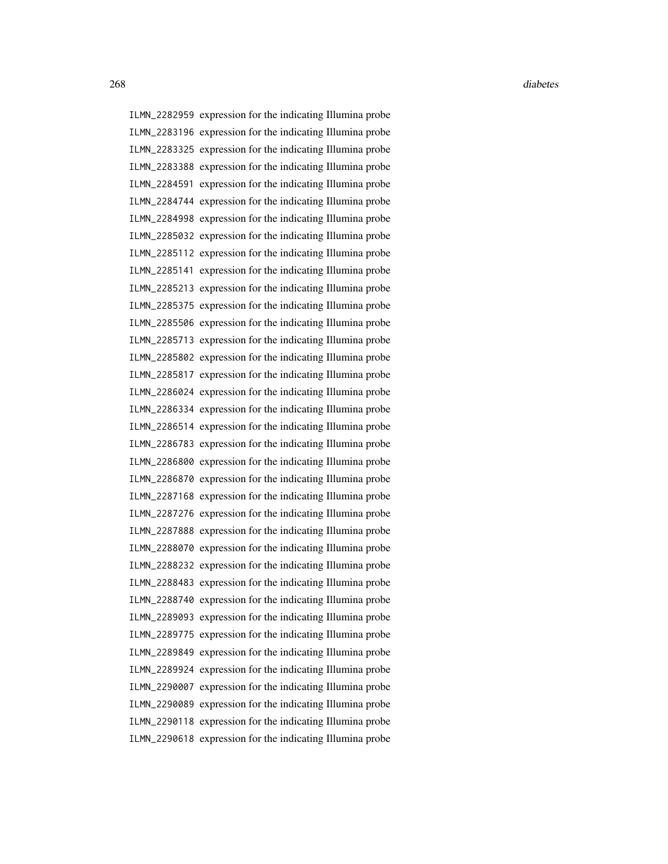ILMN\_2282959 expression for the indicating Illumina probe ILMN\_2283196 expression for the indicating Illumina probe ILMN\_2283325 expression for the indicating Illumina probe ILMN\_2283388 expression for the indicating Illumina probe ILMN\_2284591 expression for the indicating Illumina probe ILMN\_2284744 expression for the indicating Illumina probe ILMN\_2284998 expression for the indicating Illumina probe ILMN\_2285032 expression for the indicating Illumina probe ILMN\_2285112 expression for the indicating Illumina probe ILMN\_2285141 expression for the indicating Illumina probe ILMN\_2285213 expression for the indicating Illumina probe ILMN\_2285375 expression for the indicating Illumina probe ILMN\_2285506 expression for the indicating Illumina probe ILMN\_2285713 expression for the indicating Illumina probe ILMN\_2285802 expression for the indicating Illumina probe ILMN\_2285817 expression for the indicating Illumina probe ILMN\_2286024 expression for the indicating Illumina probe ILMN\_2286334 expression for the indicating Illumina probe ILMN\_2286514 expression for the indicating Illumina probe ILMN\_2286783 expression for the indicating Illumina probe ILMN\_2286800 expression for the indicating Illumina probe ILMN\_2286870 expression for the indicating Illumina probe ILMN\_2287168 expression for the indicating Illumina probe ILMN\_2287276 expression for the indicating Illumina probe ILMN\_2287888 expression for the indicating Illumina probe ILMN\_2288070 expression for the indicating Illumina probe ILMN\_2288232 expression for the indicating Illumina probe ILMN\_2288483 expression for the indicating Illumina probe ILMN\_2288740 expression for the indicating Illumina probe ILMN\_2289093 expression for the indicating Illumina probe ILMN\_2289775 expression for the indicating Illumina probe ILMN\_2289849 expression for the indicating Illumina probe ILMN\_2289924 expression for the indicating Illumina probe ILMN\_2290007 expression for the indicating Illumina probe ILMN\_2290089 expression for the indicating Illumina probe ILMN\_2290118 expression for the indicating Illumina probe ILMN\_2290618 expression for the indicating Illumina probe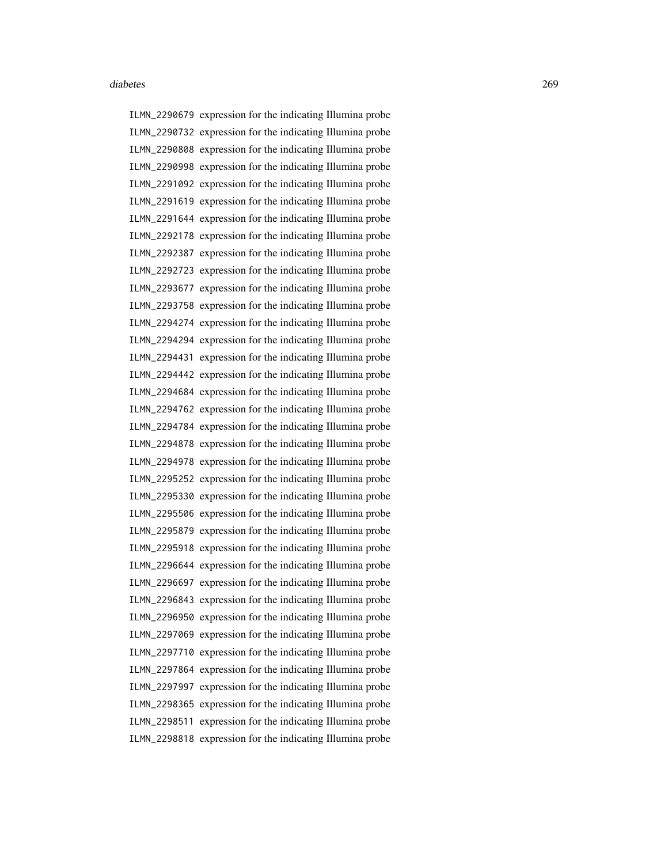ILMN\_2290679 expression for the indicating Illumina probe ILMN\_2290732 expression for the indicating Illumina probe ILMN\_2290808 expression for the indicating Illumina probe ILMN\_2290998 expression for the indicating Illumina probe ILMN\_2291092 expression for the indicating Illumina probe ILMN\_2291619 expression for the indicating Illumina probe ILMN\_2291644 expression for the indicating Illumina probe ILMN\_2292178 expression for the indicating Illumina probe ILMN\_2292387 expression for the indicating Illumina probe ILMN\_2292723 expression for the indicating Illumina probe ILMN\_2293677 expression for the indicating Illumina probe ILMN\_2293758 expression for the indicating Illumina probe ILMN\_2294274 expression for the indicating Illumina probe ILMN\_2294294 expression for the indicating Illumina probe ILMN\_2294431 expression for the indicating Illumina probe ILMN\_2294442 expression for the indicating Illumina probe ILMN\_2294684 expression for the indicating Illumina probe ILMN\_2294762 expression for the indicating Illumina probe ILMN\_2294784 expression for the indicating Illumina probe ILMN\_2294878 expression for the indicating Illumina probe ILMN\_2294978 expression for the indicating Illumina probe ILMN\_2295252 expression for the indicating Illumina probe ILMN\_2295330 expression for the indicating Illumina probe ILMN\_2295506 expression for the indicating Illumina probe ILMN\_2295879 expression for the indicating Illumina probe ILMN\_2295918 expression for the indicating Illumina probe ILMN\_2296644 expression for the indicating Illumina probe ILMN\_2296697 expression for the indicating Illumina probe ILMN\_2296843 expression for the indicating Illumina probe ILMN\_2296950 expression for the indicating Illumina probe ILMN\_2297069 expression for the indicating Illumina probe ILMN\_2297710 expression for the indicating Illumina probe ILMN\_2297864 expression for the indicating Illumina probe ILMN\_2297997 expression for the indicating Illumina probe ILMN\_2298365 expression for the indicating Illumina probe ILMN\_2298511 expression for the indicating Illumina probe ILMN\_2298818 expression for the indicating Illumina probe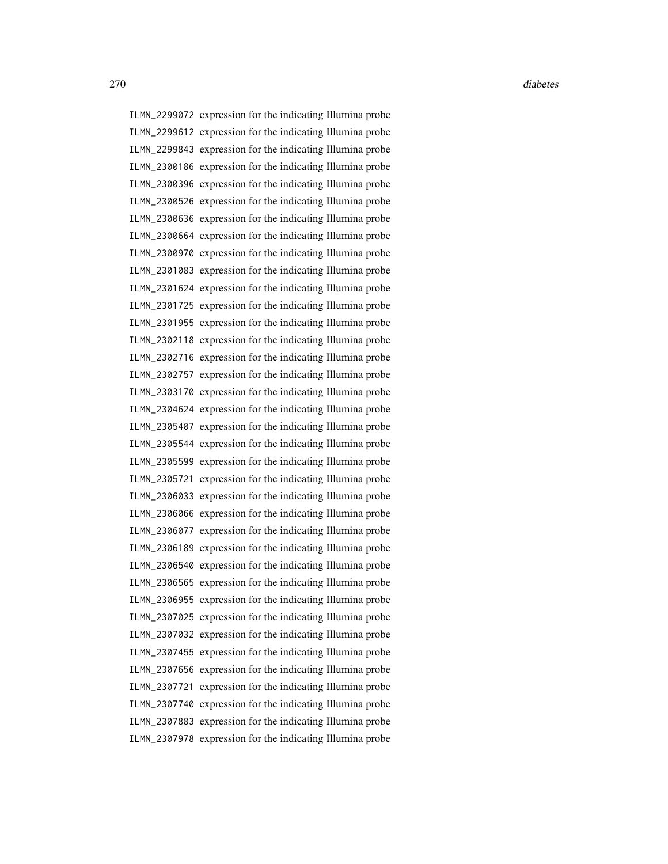ILMN\_2299072 expression for the indicating Illumina probe ILMN\_2299612 expression for the indicating Illumina probe ILMN\_2299843 expression for the indicating Illumina probe ILMN\_2300186 expression for the indicating Illumina probe ILMN\_2300396 expression for the indicating Illumina probe ILMN\_2300526 expression for the indicating Illumina probe ILMN\_2300636 expression for the indicating Illumina probe ILMN\_2300664 expression for the indicating Illumina probe ILMN\_2300970 expression for the indicating Illumina probe ILMN\_2301083 expression for the indicating Illumina probe ILMN\_2301624 expression for the indicating Illumina probe ILMN\_2301725 expression for the indicating Illumina probe ILMN\_2301955 expression for the indicating Illumina probe ILMN\_2302118 expression for the indicating Illumina probe ILMN\_2302716 expression for the indicating Illumina probe ILMN\_2302757 expression for the indicating Illumina probe ILMN\_2303170 expression for the indicating Illumina probe ILMN\_2304624 expression for the indicating Illumina probe ILMN\_2305407 expression for the indicating Illumina probe ILMN\_2305544 expression for the indicating Illumina probe ILMN\_2305599 expression for the indicating Illumina probe ILMN\_2305721 expression for the indicating Illumina probe ILMN\_2306033 expression for the indicating Illumina probe ILMN\_2306066 expression for the indicating Illumina probe ILMN\_2306077 expression for the indicating Illumina probe ILMN\_2306189 expression for the indicating Illumina probe ILMN\_2306540 expression for the indicating Illumina probe ILMN\_2306565 expression for the indicating Illumina probe ILMN\_2306955 expression for the indicating Illumina probe ILMN\_2307025 expression for the indicating Illumina probe ILMN\_2307032 expression for the indicating Illumina probe ILMN\_2307455 expression for the indicating Illumina probe ILMN\_2307656 expression for the indicating Illumina probe ILMN\_2307721 expression for the indicating Illumina probe ILMN\_2307740 expression for the indicating Illumina probe ILMN\_2307883 expression for the indicating Illumina probe ILMN\_2307978 expression for the indicating Illumina probe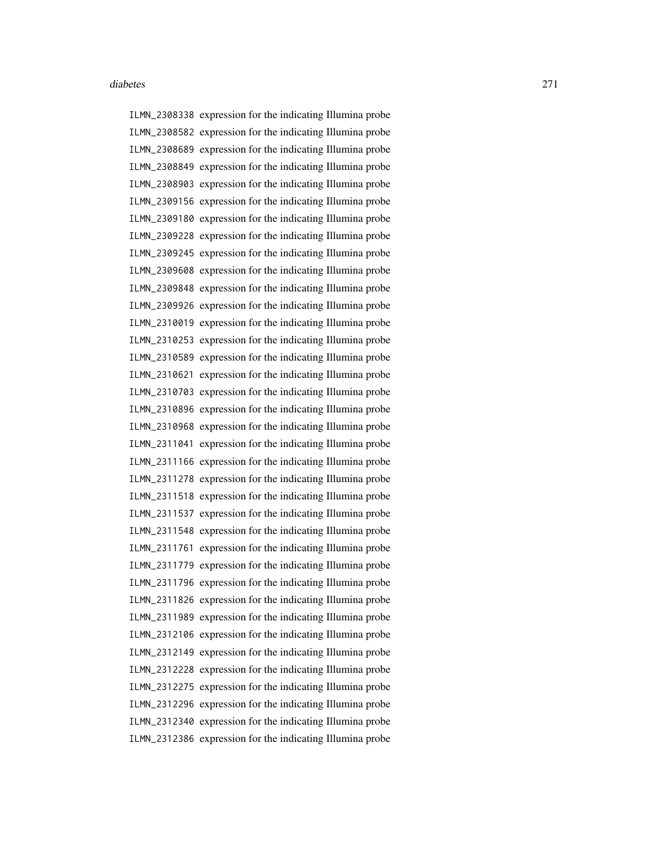ILMN\_2308338 expression for the indicating Illumina probe ILMN\_2308582 expression for the indicating Illumina probe ILMN\_2308689 expression for the indicating Illumina probe ILMN\_2308849 expression for the indicating Illumina probe ILMN\_2308903 expression for the indicating Illumina probe ILMN\_2309156 expression for the indicating Illumina probe ILMN\_2309180 expression for the indicating Illumina probe ILMN\_2309228 expression for the indicating Illumina probe ILMN\_2309245 expression for the indicating Illumina probe ILMN\_2309608 expression for the indicating Illumina probe ILMN\_2309848 expression for the indicating Illumina probe ILMN\_2309926 expression for the indicating Illumina probe ILMN\_2310019 expression for the indicating Illumina probe ILMN\_2310253 expression for the indicating Illumina probe ILMN\_2310589 expression for the indicating Illumina probe ILMN\_2310621 expression for the indicating Illumina probe ILMN\_2310703 expression for the indicating Illumina probe ILMN\_2310896 expression for the indicating Illumina probe ILMN\_2310968 expression for the indicating Illumina probe ILMN\_2311041 expression for the indicating Illumina probe ILMN\_2311166 expression for the indicating Illumina probe ILMN\_2311278 expression for the indicating Illumina probe ILMN\_2311518 expression for the indicating Illumina probe ILMN\_2311537 expression for the indicating Illumina probe ILMN\_2311548 expression for the indicating Illumina probe ILMN\_2311761 expression for the indicating Illumina probe ILMN\_2311779 expression for the indicating Illumina probe ILMN\_2311796 expression for the indicating Illumina probe ILMN\_2311826 expression for the indicating Illumina probe ILMN\_2311989 expression for the indicating Illumina probe ILMN\_2312106 expression for the indicating Illumina probe ILMN\_2312149 expression for the indicating Illumina probe ILMN\_2312228 expression for the indicating Illumina probe ILMN\_2312275 expression for the indicating Illumina probe ILMN\_2312296 expression for the indicating Illumina probe ILMN\_2312340 expression for the indicating Illumina probe ILMN\_2312386 expression for the indicating Illumina probe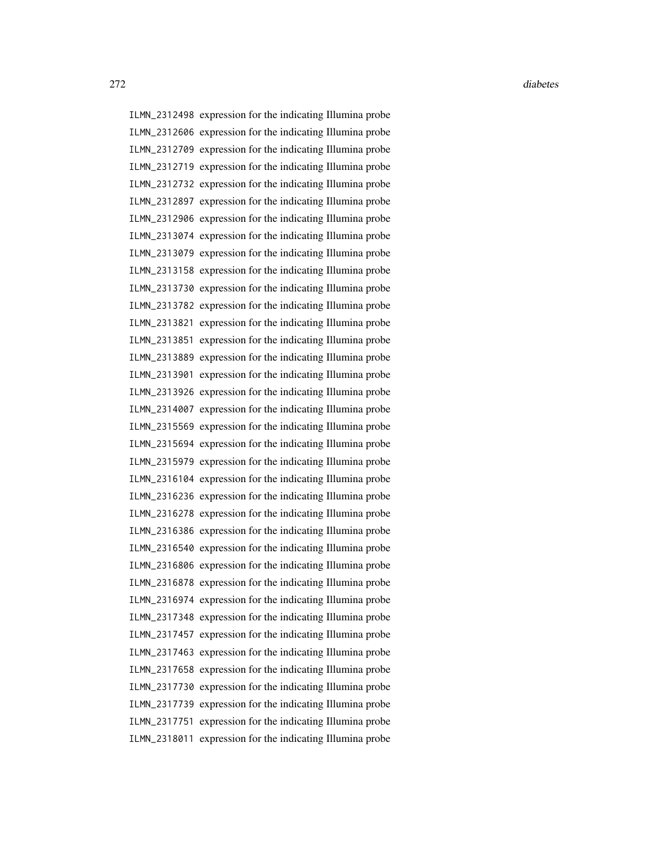ILMN\_2312498 expression for the indicating Illumina probe ILMN\_2312606 expression for the indicating Illumina probe ILMN\_2312709 expression for the indicating Illumina probe ILMN\_2312719 expression for the indicating Illumina probe ILMN\_2312732 expression for the indicating Illumina probe ILMN\_2312897 expression for the indicating Illumina probe ILMN\_2312906 expression for the indicating Illumina probe ILMN\_2313074 expression for the indicating Illumina probe ILMN\_2313079 expression for the indicating Illumina probe ILMN\_2313158 expression for the indicating Illumina probe ILMN\_2313730 expression for the indicating Illumina probe ILMN\_2313782 expression for the indicating Illumina probe ILMN\_2313821 expression for the indicating Illumina probe ILMN\_2313851 expression for the indicating Illumina probe ILMN\_2313889 expression for the indicating Illumina probe ILMN\_2313901 expression for the indicating Illumina probe ILMN\_2313926 expression for the indicating Illumina probe ILMN\_2314007 expression for the indicating Illumina probe ILMN\_2315569 expression for the indicating Illumina probe ILMN\_2315694 expression for the indicating Illumina probe ILMN\_2315979 expression for the indicating Illumina probe ILMN\_2316104 expression for the indicating Illumina probe ILMN\_2316236 expression for the indicating Illumina probe ILMN\_2316278 expression for the indicating Illumina probe ILMN\_2316386 expression for the indicating Illumina probe ILMN\_2316540 expression for the indicating Illumina probe ILMN\_2316806 expression for the indicating Illumina probe ILMN\_2316878 expression for the indicating Illumina probe ILMN\_2316974 expression for the indicating Illumina probe ILMN\_2317348 expression for the indicating Illumina probe ILMN\_2317457 expression for the indicating Illumina probe ILMN\_2317463 expression for the indicating Illumina probe ILMN\_2317658 expression for the indicating Illumina probe ILMN\_2317730 expression for the indicating Illumina probe ILMN\_2317739 expression for the indicating Illumina probe ILMN\_2317751 expression for the indicating Illumina probe ILMN\_2318011 expression for the indicating Illumina probe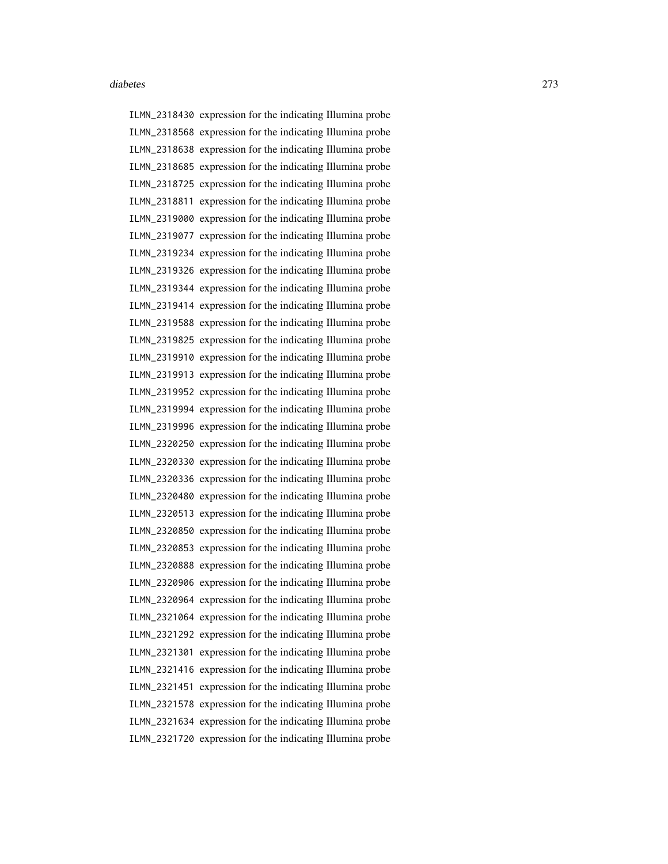ILMN\_2318430 expression for the indicating Illumina probe ILMN\_2318568 expression for the indicating Illumina probe ILMN\_2318638 expression for the indicating Illumina probe ILMN\_2318685 expression for the indicating Illumina probe ILMN\_2318725 expression for the indicating Illumina probe ILMN\_2318811 expression for the indicating Illumina probe ILMN\_2319000 expression for the indicating Illumina probe ILMN\_2319077 expression for the indicating Illumina probe ILMN\_2319234 expression for the indicating Illumina probe ILMN\_2319326 expression for the indicating Illumina probe ILMN\_2319344 expression for the indicating Illumina probe ILMN\_2319414 expression for the indicating Illumina probe ILMN\_2319588 expression for the indicating Illumina probe ILMN\_2319825 expression for the indicating Illumina probe ILMN\_2319910 expression for the indicating Illumina probe ILMN\_2319913 expression for the indicating Illumina probe ILMN\_2319952 expression for the indicating Illumina probe ILMN\_2319994 expression for the indicating Illumina probe ILMN\_2319996 expression for the indicating Illumina probe ILMN\_2320250 expression for the indicating Illumina probe ILMN\_2320330 expression for the indicating Illumina probe ILMN\_2320336 expression for the indicating Illumina probe ILMN\_2320480 expression for the indicating Illumina probe ILMN\_2320513 expression for the indicating Illumina probe ILMN\_2320850 expression for the indicating Illumina probe ILMN\_2320853 expression for the indicating Illumina probe ILMN\_2320888 expression for the indicating Illumina probe ILMN\_2320906 expression for the indicating Illumina probe ILMN\_2320964 expression for the indicating Illumina probe ILMN\_2321064 expression for the indicating Illumina probe ILMN\_2321292 expression for the indicating Illumina probe ILMN\_2321301 expression for the indicating Illumina probe ILMN\_2321416 expression for the indicating Illumina probe ILMN\_2321451 expression for the indicating Illumina probe ILMN\_2321578 expression for the indicating Illumina probe ILMN\_2321634 expression for the indicating Illumina probe ILMN\_2321720 expression for the indicating Illumina probe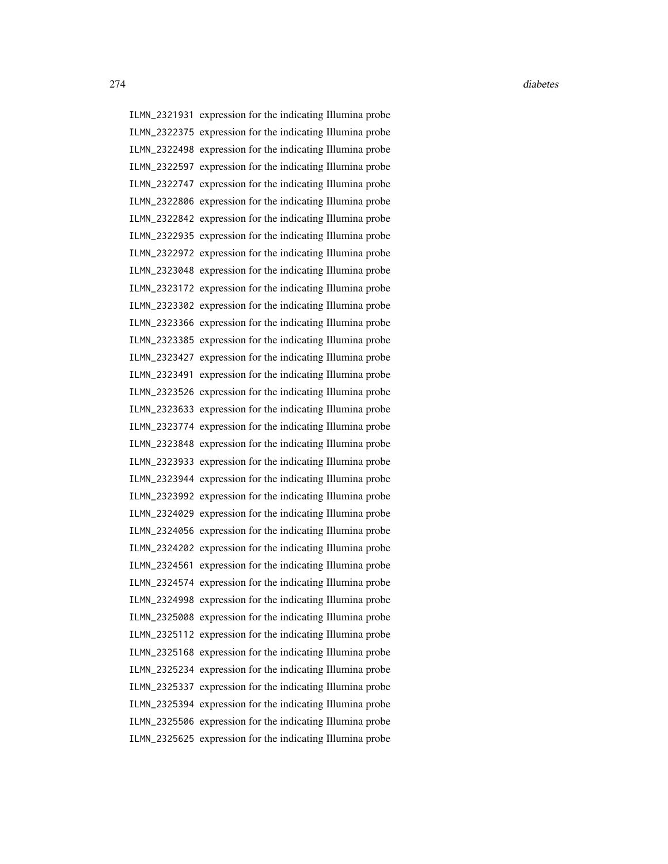ILMN\_2321931 expression for the indicating Illumina probe ILMN\_2322375 expression for the indicating Illumina probe ILMN\_2322498 expression for the indicating Illumina probe ILMN\_2322597 expression for the indicating Illumina probe ILMN\_2322747 expression for the indicating Illumina probe ILMN\_2322806 expression for the indicating Illumina probe ILMN\_2322842 expression for the indicating Illumina probe ILMN\_2322935 expression for the indicating Illumina probe ILMN\_2322972 expression for the indicating Illumina probe ILMN\_2323048 expression for the indicating Illumina probe ILMN\_2323172 expression for the indicating Illumina probe ILMN\_2323302 expression for the indicating Illumina probe ILMN\_2323366 expression for the indicating Illumina probe ILMN\_2323385 expression for the indicating Illumina probe ILMN\_2323427 expression for the indicating Illumina probe ILMN\_2323491 expression for the indicating Illumina probe ILMN\_2323526 expression for the indicating Illumina probe ILMN\_2323633 expression for the indicating Illumina probe ILMN\_2323774 expression for the indicating Illumina probe ILMN\_2323848 expression for the indicating Illumina probe ILMN\_2323933 expression for the indicating Illumina probe ILMN\_2323944 expression for the indicating Illumina probe ILMN\_2323992 expression for the indicating Illumina probe ILMN\_2324029 expression for the indicating Illumina probe ILMN\_2324056 expression for the indicating Illumina probe ILMN\_2324202 expression for the indicating Illumina probe ILMN\_2324561 expression for the indicating Illumina probe ILMN\_2324574 expression for the indicating Illumina probe ILMN\_2324998 expression for the indicating Illumina probe ILMN\_2325008 expression for the indicating Illumina probe ILMN\_2325112 expression for the indicating Illumina probe ILMN\_2325168 expression for the indicating Illumina probe ILMN\_2325234 expression for the indicating Illumina probe ILMN\_2325337 expression for the indicating Illumina probe ILMN\_2325394 expression for the indicating Illumina probe ILMN\_2325506 expression for the indicating Illumina probe ILMN\_2325625 expression for the indicating Illumina probe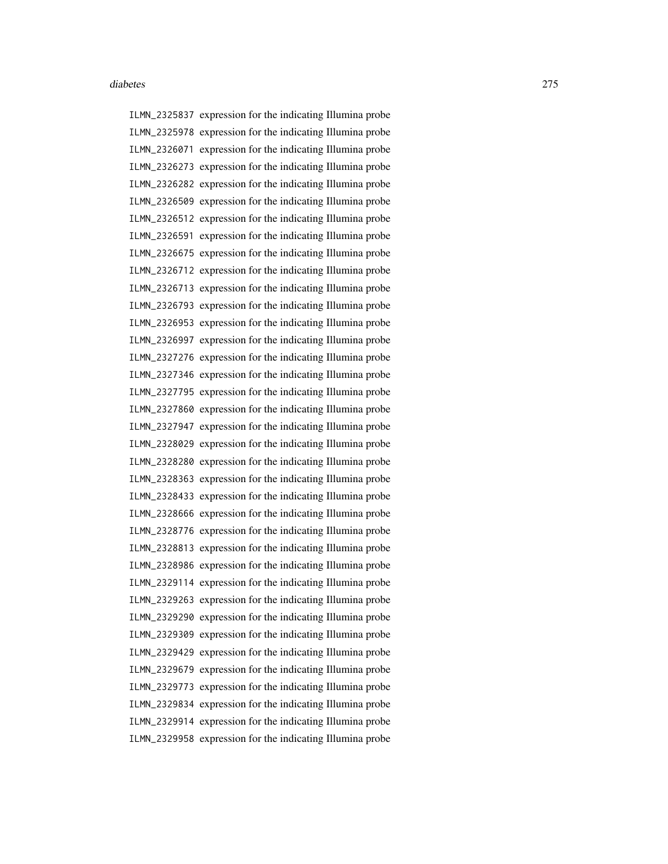ILMN\_2325837 expression for the indicating Illumina probe ILMN\_2325978 expression for the indicating Illumina probe ILMN\_2326071 expression for the indicating Illumina probe ILMN\_2326273 expression for the indicating Illumina probe ILMN\_2326282 expression for the indicating Illumina probe ILMN\_2326509 expression for the indicating Illumina probe ILMN\_2326512 expression for the indicating Illumina probe ILMN\_2326591 expression for the indicating Illumina probe ILMN\_2326675 expression for the indicating Illumina probe ILMN\_2326712 expression for the indicating Illumina probe ILMN\_2326713 expression for the indicating Illumina probe ILMN\_2326793 expression for the indicating Illumina probe ILMN\_2326953 expression for the indicating Illumina probe ILMN\_2326997 expression for the indicating Illumina probe ILMN\_2327276 expression for the indicating Illumina probe ILMN\_2327346 expression for the indicating Illumina probe ILMN\_2327795 expression for the indicating Illumina probe ILMN\_2327860 expression for the indicating Illumina probe ILMN\_2327947 expression for the indicating Illumina probe ILMN\_2328029 expression for the indicating Illumina probe ILMN\_2328280 expression for the indicating Illumina probe ILMN\_2328363 expression for the indicating Illumina probe ILMN\_2328433 expression for the indicating Illumina probe ILMN\_2328666 expression for the indicating Illumina probe ILMN\_2328776 expression for the indicating Illumina probe ILMN\_2328813 expression for the indicating Illumina probe ILMN\_2328986 expression for the indicating Illumina probe ILMN\_2329114 expression for the indicating Illumina probe ILMN\_2329263 expression for the indicating Illumina probe ILMN\_2329290 expression for the indicating Illumina probe ILMN\_2329309 expression for the indicating Illumina probe ILMN\_2329429 expression for the indicating Illumina probe ILMN\_2329679 expression for the indicating Illumina probe ILMN\_2329773 expression for the indicating Illumina probe ILMN\_2329834 expression for the indicating Illumina probe ILMN\_2329914 expression for the indicating Illumina probe ILMN\_2329958 expression for the indicating Illumina probe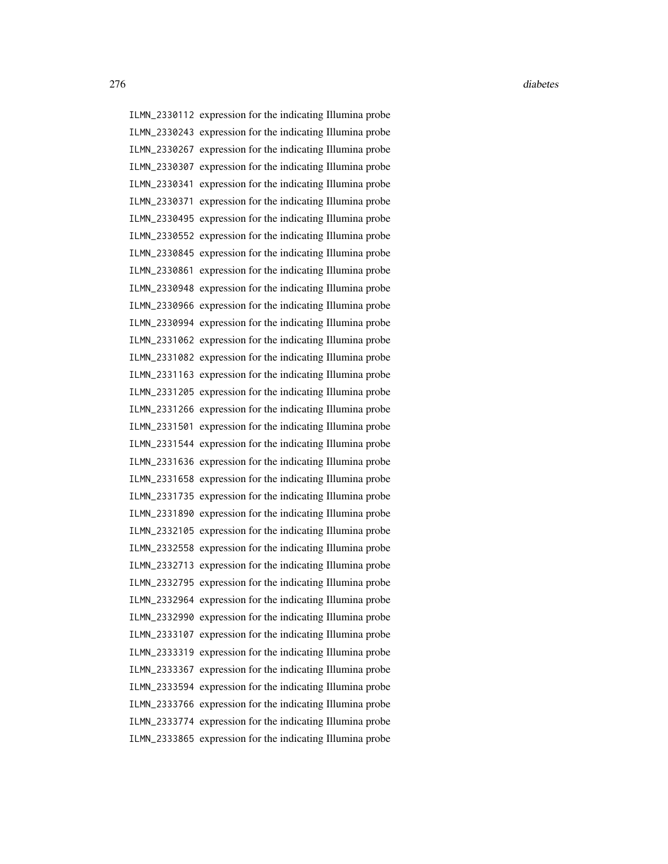ILMN\_2330112 expression for the indicating Illumina probe ILMN\_2330243 expression for the indicating Illumina probe ILMN\_2330267 expression for the indicating Illumina probe ILMN\_2330307 expression for the indicating Illumina probe ILMN\_2330341 expression for the indicating Illumina probe ILMN\_2330371 expression for the indicating Illumina probe ILMN\_2330495 expression for the indicating Illumina probe ILMN\_2330552 expression for the indicating Illumina probe ILMN\_2330845 expression for the indicating Illumina probe ILMN\_2330861 expression for the indicating Illumina probe ILMN\_2330948 expression for the indicating Illumina probe ILMN\_2330966 expression for the indicating Illumina probe ILMN\_2330994 expression for the indicating Illumina probe ILMN\_2331062 expression for the indicating Illumina probe ILMN\_2331082 expression for the indicating Illumina probe ILMN\_2331163 expression for the indicating Illumina probe ILMN\_2331205 expression for the indicating Illumina probe ILMN\_2331266 expression for the indicating Illumina probe ILMN\_2331501 expression for the indicating Illumina probe ILMN\_2331544 expression for the indicating Illumina probe ILMN\_2331636 expression for the indicating Illumina probe ILMN\_2331658 expression for the indicating Illumina probe ILMN\_2331735 expression for the indicating Illumina probe ILMN\_2331890 expression for the indicating Illumina probe ILMN\_2332105 expression for the indicating Illumina probe ILMN\_2332558 expression for the indicating Illumina probe ILMN\_2332713 expression for the indicating Illumina probe ILMN\_2332795 expression for the indicating Illumina probe ILMN\_2332964 expression for the indicating Illumina probe ILMN\_2332990 expression for the indicating Illumina probe ILMN\_2333107 expression for the indicating Illumina probe ILMN\_2333319 expression for the indicating Illumina probe ILMN\_2333367 expression for the indicating Illumina probe ILMN\_2333594 expression for the indicating Illumina probe ILMN\_2333766 expression for the indicating Illumina probe ILMN\_2333774 expression for the indicating Illumina probe ILMN\_2333865 expression for the indicating Illumina probe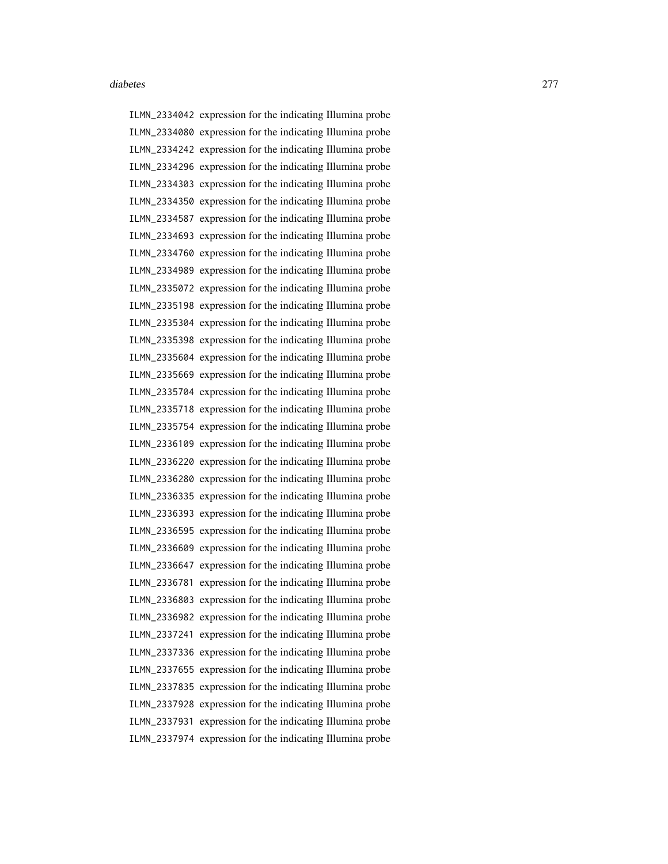ILMN\_2334042 expression for the indicating Illumina probe ILMN\_2334080 expression for the indicating Illumina probe ILMN\_2334242 expression for the indicating Illumina probe ILMN\_2334296 expression for the indicating Illumina probe ILMN\_2334303 expression for the indicating Illumina probe ILMN\_2334350 expression for the indicating Illumina probe ILMN\_2334587 expression for the indicating Illumina probe ILMN\_2334693 expression for the indicating Illumina probe ILMN\_2334760 expression for the indicating Illumina probe ILMN\_2334989 expression for the indicating Illumina probe ILMN\_2335072 expression for the indicating Illumina probe ILMN\_2335198 expression for the indicating Illumina probe ILMN\_2335304 expression for the indicating Illumina probe ILMN\_2335398 expression for the indicating Illumina probe ILMN\_2335604 expression for the indicating Illumina probe ILMN\_2335669 expression for the indicating Illumina probe ILMN\_2335704 expression for the indicating Illumina probe ILMN\_2335718 expression for the indicating Illumina probe ILMN\_2335754 expression for the indicating Illumina probe ILMN\_2336109 expression for the indicating Illumina probe ILMN\_2336220 expression for the indicating Illumina probe ILMN\_2336280 expression for the indicating Illumina probe ILMN\_2336335 expression for the indicating Illumina probe ILMN\_2336393 expression for the indicating Illumina probe ILMN\_2336595 expression for the indicating Illumina probe ILMN\_2336609 expression for the indicating Illumina probe ILMN\_2336647 expression for the indicating Illumina probe ILMN\_2336781 expression for the indicating Illumina probe ILMN\_2336803 expression for the indicating Illumina probe ILMN\_2336982 expression for the indicating Illumina probe ILMN\_2337241 expression for the indicating Illumina probe ILMN\_2337336 expression for the indicating Illumina probe ILMN\_2337655 expression for the indicating Illumina probe ILMN\_2337835 expression for the indicating Illumina probe ILMN\_2337928 expression for the indicating Illumina probe ILMN\_2337931 expression for the indicating Illumina probe ILMN\_2337974 expression for the indicating Illumina probe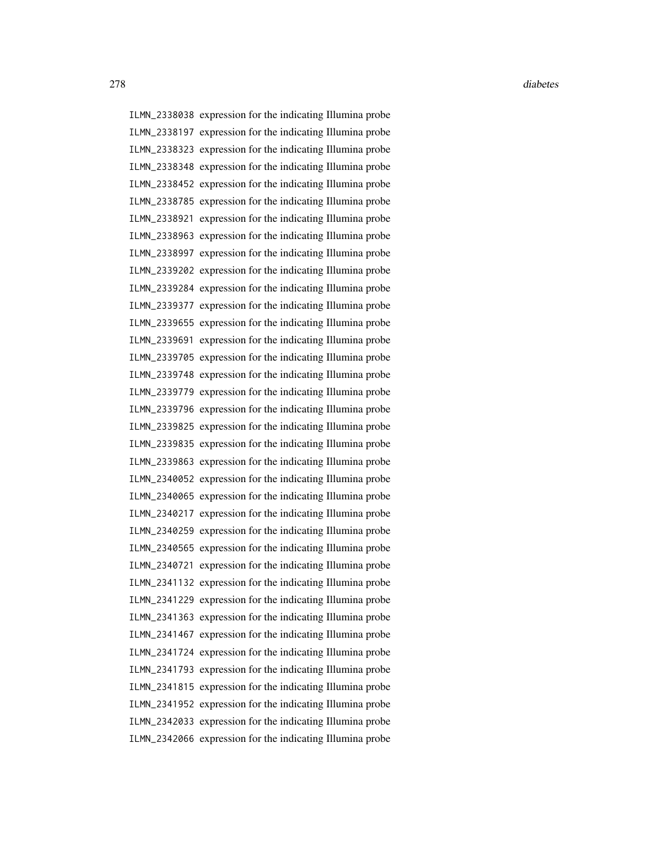ILMN\_2338038 expression for the indicating Illumina probe ILMN\_2338197 expression for the indicating Illumina probe ILMN\_2338323 expression for the indicating Illumina probe ILMN\_2338348 expression for the indicating Illumina probe ILMN\_2338452 expression for the indicating Illumina probe ILMN\_2338785 expression for the indicating Illumina probe ILMN\_2338921 expression for the indicating Illumina probe ILMN\_2338963 expression for the indicating Illumina probe ILMN\_2338997 expression for the indicating Illumina probe ILMN\_2339202 expression for the indicating Illumina probe ILMN\_2339284 expression for the indicating Illumina probe ILMN\_2339377 expression for the indicating Illumina probe ILMN\_2339655 expression for the indicating Illumina probe ILMN\_2339691 expression for the indicating Illumina probe ILMN\_2339705 expression for the indicating Illumina probe ILMN\_2339748 expression for the indicating Illumina probe ILMN\_2339779 expression for the indicating Illumina probe ILMN\_2339796 expression for the indicating Illumina probe ILMN\_2339825 expression for the indicating Illumina probe ILMN\_2339835 expression for the indicating Illumina probe ILMN\_2339863 expression for the indicating Illumina probe ILMN\_2340052 expression for the indicating Illumina probe ILMN\_2340065 expression for the indicating Illumina probe ILMN\_2340217 expression for the indicating Illumina probe ILMN\_2340259 expression for the indicating Illumina probe ILMN\_2340565 expression for the indicating Illumina probe ILMN\_2340721 expression for the indicating Illumina probe ILMN\_2341132 expression for the indicating Illumina probe ILMN\_2341229 expression for the indicating Illumina probe ILMN\_2341363 expression for the indicating Illumina probe ILMN\_2341467 expression for the indicating Illumina probe ILMN\_2341724 expression for the indicating Illumina probe ILMN\_2341793 expression for the indicating Illumina probe ILMN\_2341815 expression for the indicating Illumina probe ILMN\_2341952 expression for the indicating Illumina probe ILMN\_2342033 expression for the indicating Illumina probe ILMN\_2342066 expression for the indicating Illumina probe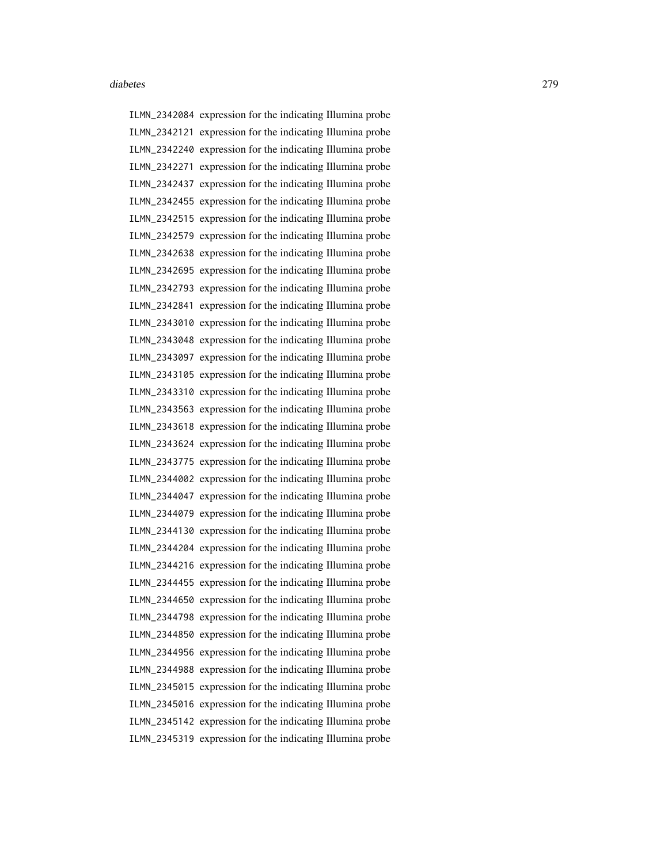ILMN\_2342084 expression for the indicating Illumina probe ILMN\_2342121 expression for the indicating Illumina probe ILMN\_2342240 expression for the indicating Illumina probe ILMN\_2342271 expression for the indicating Illumina probe ILMN\_2342437 expression for the indicating Illumina probe ILMN\_2342455 expression for the indicating Illumina probe ILMN\_2342515 expression for the indicating Illumina probe ILMN\_2342579 expression for the indicating Illumina probe ILMN\_2342638 expression for the indicating Illumina probe ILMN\_2342695 expression for the indicating Illumina probe ILMN\_2342793 expression for the indicating Illumina probe ILMN\_2342841 expression for the indicating Illumina probe ILMN\_2343010 expression for the indicating Illumina probe ILMN\_2343048 expression for the indicating Illumina probe ILMN\_2343097 expression for the indicating Illumina probe ILMN\_2343105 expression for the indicating Illumina probe ILMN\_2343310 expression for the indicating Illumina probe ILMN\_2343563 expression for the indicating Illumina probe ILMN\_2343618 expression for the indicating Illumina probe ILMN\_2343624 expression for the indicating Illumina probe ILMN\_2343775 expression for the indicating Illumina probe ILMN\_2344002 expression for the indicating Illumina probe ILMN\_2344047 expression for the indicating Illumina probe ILMN\_2344079 expression for the indicating Illumina probe ILMN\_2344130 expression for the indicating Illumina probe ILMN\_2344204 expression for the indicating Illumina probe ILMN\_2344216 expression for the indicating Illumina probe ILMN\_2344455 expression for the indicating Illumina probe ILMN\_2344650 expression for the indicating Illumina probe ILMN\_2344798 expression for the indicating Illumina probe ILMN\_2344850 expression for the indicating Illumina probe ILMN\_2344956 expression for the indicating Illumina probe ILMN\_2344988 expression for the indicating Illumina probe ILMN\_2345015 expression for the indicating Illumina probe ILMN\_2345016 expression for the indicating Illumina probe ILMN\_2345142 expression for the indicating Illumina probe ILMN\_2345319 expression for the indicating Illumina probe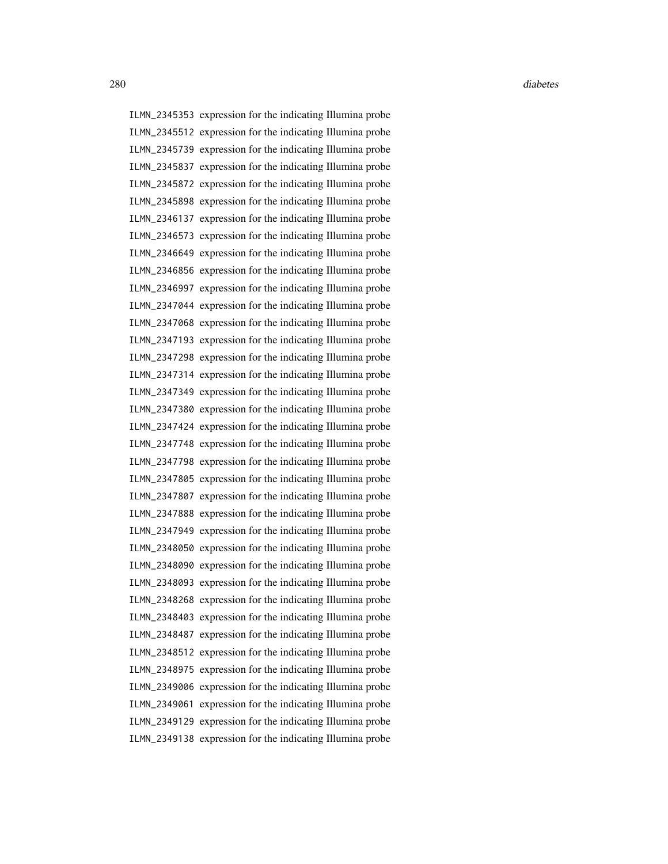ILMN\_2345353 expression for the indicating Illumina probe ILMN\_2345512 expression for the indicating Illumina probe ILMN\_2345739 expression for the indicating Illumina probe ILMN\_2345837 expression for the indicating Illumina probe ILMN\_2345872 expression for the indicating Illumina probe ILMN\_2345898 expression for the indicating Illumina probe ILMN\_2346137 expression for the indicating Illumina probe ILMN\_2346573 expression for the indicating Illumina probe ILMN\_2346649 expression for the indicating Illumina probe ILMN\_2346856 expression for the indicating Illumina probe ILMN\_2346997 expression for the indicating Illumina probe ILMN\_2347044 expression for the indicating Illumina probe ILMN\_2347068 expression for the indicating Illumina probe ILMN\_2347193 expression for the indicating Illumina probe ILMN\_2347298 expression for the indicating Illumina probe ILMN\_2347314 expression for the indicating Illumina probe ILMN\_2347349 expression for the indicating Illumina probe ILMN\_2347380 expression for the indicating Illumina probe ILMN\_2347424 expression for the indicating Illumina probe ILMN\_2347748 expression for the indicating Illumina probe ILMN\_2347798 expression for the indicating Illumina probe ILMN\_2347805 expression for the indicating Illumina probe ILMN\_2347807 expression for the indicating Illumina probe ILMN\_2347888 expression for the indicating Illumina probe ILMN\_2347949 expression for the indicating Illumina probe ILMN\_2348050 expression for the indicating Illumina probe ILMN\_2348090 expression for the indicating Illumina probe ILMN\_2348093 expression for the indicating Illumina probe ILMN\_2348268 expression for the indicating Illumina probe ILMN\_2348403 expression for the indicating Illumina probe ILMN\_2348487 expression for the indicating Illumina probe ILMN\_2348512 expression for the indicating Illumina probe ILMN\_2348975 expression for the indicating Illumina probe ILMN\_2349006 expression for the indicating Illumina probe ILMN\_2349061 expression for the indicating Illumina probe ILMN\_2349129 expression for the indicating Illumina probe ILMN\_2349138 expression for the indicating Illumina probe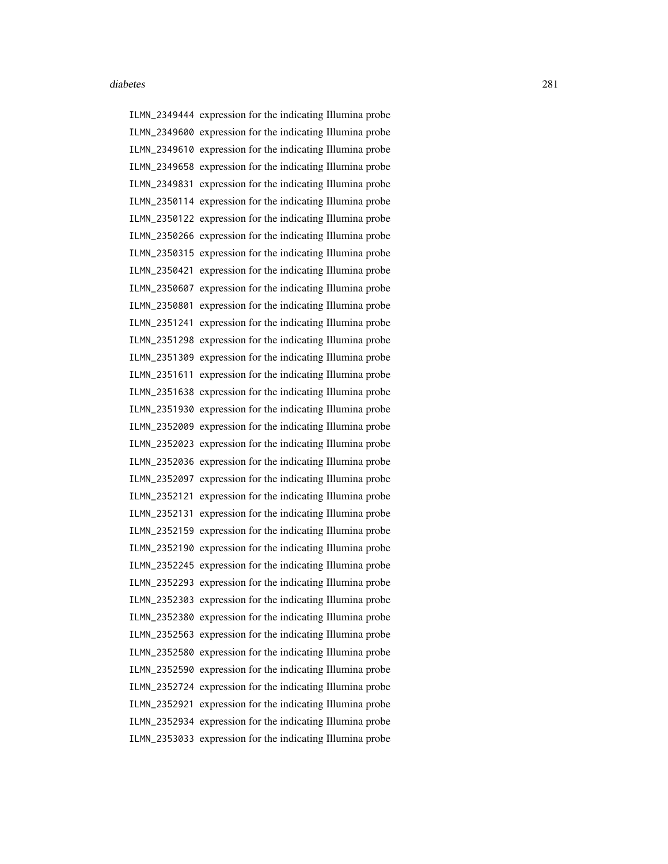ILMN\_2349444 expression for the indicating Illumina probe ILMN\_2349600 expression for the indicating Illumina probe ILMN\_2349610 expression for the indicating Illumina probe ILMN\_2349658 expression for the indicating Illumina probe ILMN\_2349831 expression for the indicating Illumina probe ILMN\_2350114 expression for the indicating Illumina probe ILMN\_2350122 expression for the indicating Illumina probe ILMN\_2350266 expression for the indicating Illumina probe ILMN\_2350315 expression for the indicating Illumina probe ILMN\_2350421 expression for the indicating Illumina probe ILMN\_2350607 expression for the indicating Illumina probe ILMN\_2350801 expression for the indicating Illumina probe ILMN\_2351241 expression for the indicating Illumina probe ILMN\_2351298 expression for the indicating Illumina probe ILMN\_2351309 expression for the indicating Illumina probe ILMN\_2351611 expression for the indicating Illumina probe ILMN\_2351638 expression for the indicating Illumina probe ILMN\_2351930 expression for the indicating Illumina probe ILMN\_2352009 expression for the indicating Illumina probe ILMN\_2352023 expression for the indicating Illumina probe ILMN\_2352036 expression for the indicating Illumina probe ILMN\_2352097 expression for the indicating Illumina probe ILMN\_2352121 expression for the indicating Illumina probe ILMN\_2352131 expression for the indicating Illumina probe ILMN\_2352159 expression for the indicating Illumina probe ILMN\_2352190 expression for the indicating Illumina probe ILMN\_2352245 expression for the indicating Illumina probe ILMN\_2352293 expression for the indicating Illumina probe ILMN\_2352303 expression for the indicating Illumina probe ILMN\_2352380 expression for the indicating Illumina probe ILMN\_2352563 expression for the indicating Illumina probe ILMN\_2352580 expression for the indicating Illumina probe ILMN\_2352590 expression for the indicating Illumina probe ILMN\_2352724 expression for the indicating Illumina probe ILMN\_2352921 expression for the indicating Illumina probe ILMN\_2352934 expression for the indicating Illumina probe ILMN\_2353033 expression for the indicating Illumina probe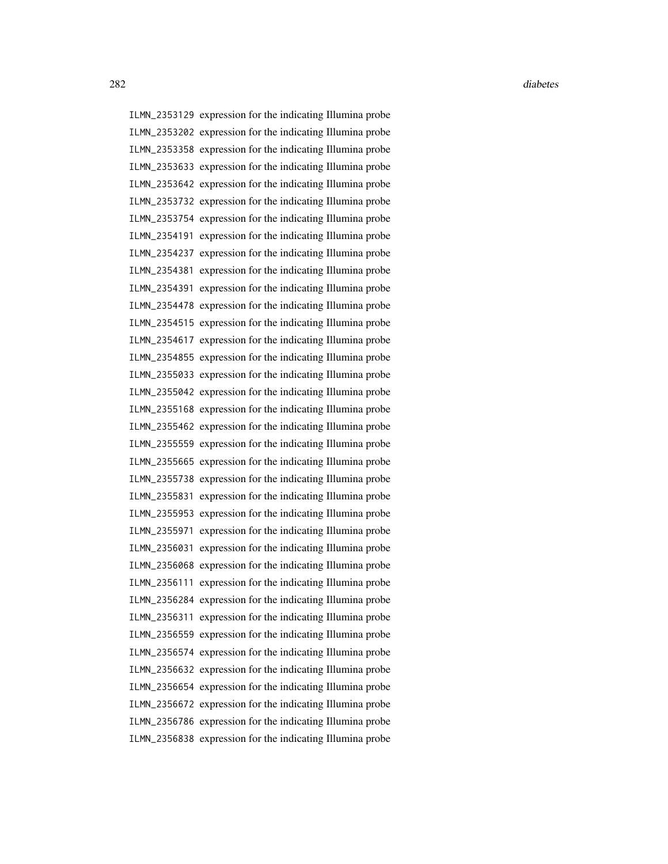ILMN\_2353129 expression for the indicating Illumina probe ILMN\_2353202 expression for the indicating Illumina probe ILMN\_2353358 expression for the indicating Illumina probe ILMN\_2353633 expression for the indicating Illumina probe ILMN\_2353642 expression for the indicating Illumina probe ILMN\_2353732 expression for the indicating Illumina probe ILMN\_2353754 expression for the indicating Illumina probe ILMN\_2354191 expression for the indicating Illumina probe ILMN\_2354237 expression for the indicating Illumina probe ILMN\_2354381 expression for the indicating Illumina probe ILMN\_2354391 expression for the indicating Illumina probe ILMN\_2354478 expression for the indicating Illumina probe ILMN\_2354515 expression for the indicating Illumina probe ILMN\_2354617 expression for the indicating Illumina probe ILMN\_2354855 expression for the indicating Illumina probe ILMN\_2355033 expression for the indicating Illumina probe ILMN\_2355042 expression for the indicating Illumina probe ILMN\_2355168 expression for the indicating Illumina probe ILMN\_2355462 expression for the indicating Illumina probe ILMN\_2355559 expression for the indicating Illumina probe ILMN\_2355665 expression for the indicating Illumina probe ILMN\_2355738 expression for the indicating Illumina probe ILMN\_2355831 expression for the indicating Illumina probe ILMN\_2355953 expression for the indicating Illumina probe ILMN\_2355971 expression for the indicating Illumina probe ILMN\_2356031 expression for the indicating Illumina probe ILMN\_2356068 expression for the indicating Illumina probe ILMN\_2356111 expression for the indicating Illumina probe ILMN\_2356284 expression for the indicating Illumina probe ILMN\_2356311 expression for the indicating Illumina probe ILMN\_2356559 expression for the indicating Illumina probe ILMN\_2356574 expression for the indicating Illumina probe ILMN\_2356632 expression for the indicating Illumina probe ILMN\_2356654 expression for the indicating Illumina probe ILMN\_2356672 expression for the indicating Illumina probe ILMN\_2356786 expression for the indicating Illumina probe ILMN\_2356838 expression for the indicating Illumina probe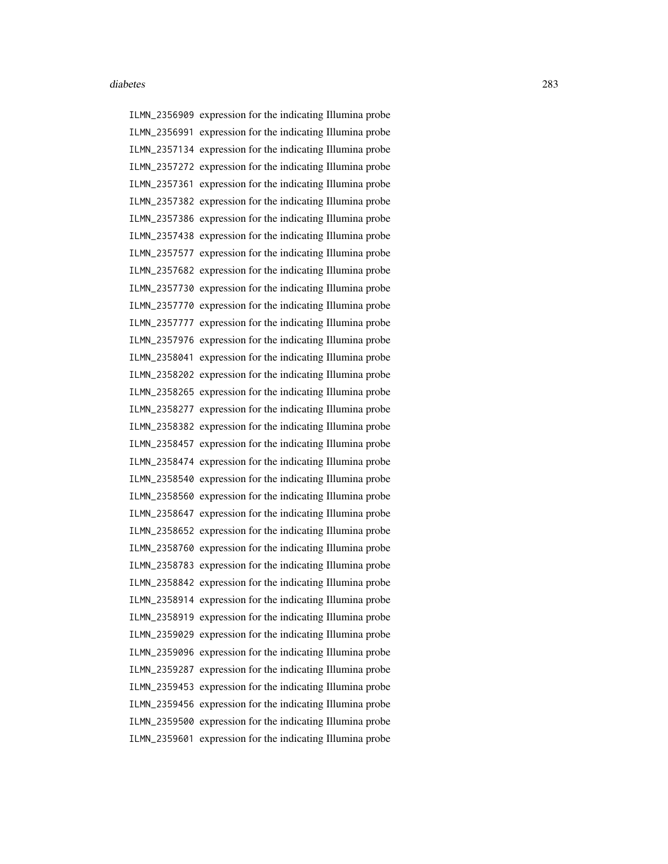ILMN\_2356909 expression for the indicating Illumina probe ILMN\_2356991 expression for the indicating Illumina probe ILMN\_2357134 expression for the indicating Illumina probe ILMN\_2357272 expression for the indicating Illumina probe ILMN\_2357361 expression for the indicating Illumina probe ILMN\_2357382 expression for the indicating Illumina probe ILMN\_2357386 expression for the indicating Illumina probe ILMN\_2357438 expression for the indicating Illumina probe ILMN\_2357577 expression for the indicating Illumina probe ILMN\_2357682 expression for the indicating Illumina probe ILMN\_2357730 expression for the indicating Illumina probe ILMN\_2357770 expression for the indicating Illumina probe ILMN\_2357777 expression for the indicating Illumina probe ILMN\_2357976 expression for the indicating Illumina probe ILMN\_2358041 expression for the indicating Illumina probe ILMN\_2358202 expression for the indicating Illumina probe ILMN\_2358265 expression for the indicating Illumina probe ILMN\_2358277 expression for the indicating Illumina probe ILMN\_2358382 expression for the indicating Illumina probe ILMN\_2358457 expression for the indicating Illumina probe ILMN\_2358474 expression for the indicating Illumina probe ILMN\_2358540 expression for the indicating Illumina probe ILMN\_2358560 expression for the indicating Illumina probe ILMN\_2358647 expression for the indicating Illumina probe ILMN\_2358652 expression for the indicating Illumina probe ILMN\_2358760 expression for the indicating Illumina probe ILMN\_2358783 expression for the indicating Illumina probe ILMN\_2358842 expression for the indicating Illumina probe ILMN\_2358914 expression for the indicating Illumina probe ILMN\_2358919 expression for the indicating Illumina probe ILMN\_2359029 expression for the indicating Illumina probe ILMN\_2359096 expression for the indicating Illumina probe ILMN\_2359287 expression for the indicating Illumina probe ILMN\_2359453 expression for the indicating Illumina probe ILMN\_2359456 expression for the indicating Illumina probe ILMN\_2359500 expression for the indicating Illumina probe ILMN\_2359601 expression for the indicating Illumina probe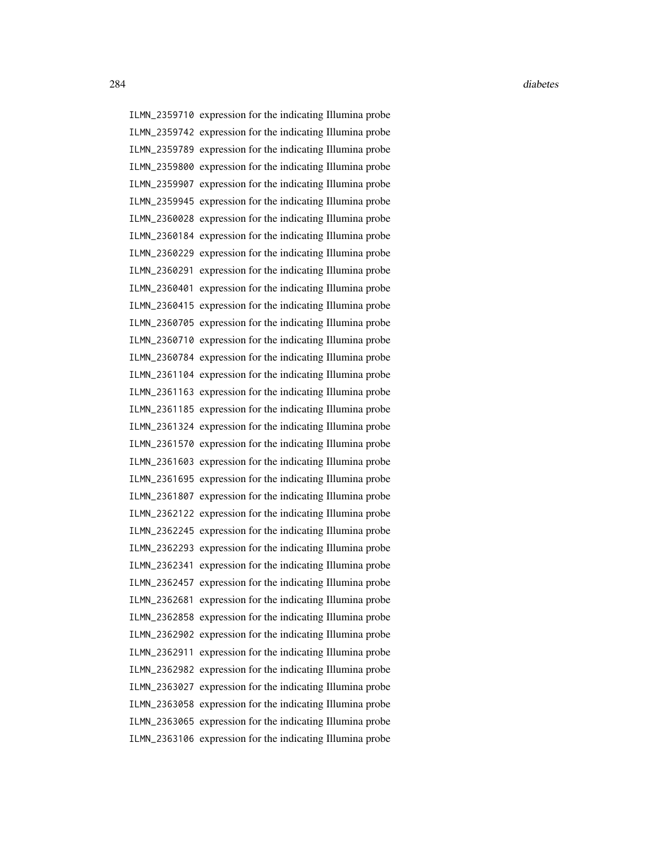ILMN\_2359710 expression for the indicating Illumina probe ILMN\_2359742 expression for the indicating Illumina probe ILMN\_2359789 expression for the indicating Illumina probe ILMN\_2359800 expression for the indicating Illumina probe ILMN\_2359907 expression for the indicating Illumina probe ILMN\_2359945 expression for the indicating Illumina probe ILMN\_2360028 expression for the indicating Illumina probe ILMN\_2360184 expression for the indicating Illumina probe ILMN\_2360229 expression for the indicating Illumina probe ILMN\_2360291 expression for the indicating Illumina probe ILMN\_2360401 expression for the indicating Illumina probe ILMN\_2360415 expression for the indicating Illumina probe ILMN\_2360705 expression for the indicating Illumina probe ILMN\_2360710 expression for the indicating Illumina probe ILMN\_2360784 expression for the indicating Illumina probe ILMN\_2361104 expression for the indicating Illumina probe ILMN\_2361163 expression for the indicating Illumina probe ILMN\_2361185 expression for the indicating Illumina probe ILMN\_2361324 expression for the indicating Illumina probe ILMN\_2361570 expression for the indicating Illumina probe ILMN\_2361603 expression for the indicating Illumina probe ILMN\_2361695 expression for the indicating Illumina probe ILMN\_2361807 expression for the indicating Illumina probe ILMN\_2362122 expression for the indicating Illumina probe ILMN\_2362245 expression for the indicating Illumina probe ILMN\_2362293 expression for the indicating Illumina probe ILMN\_2362341 expression for the indicating Illumina probe ILMN\_2362457 expression for the indicating Illumina probe ILMN\_2362681 expression for the indicating Illumina probe ILMN\_2362858 expression for the indicating Illumina probe ILMN\_2362902 expression for the indicating Illumina probe ILMN\_2362911 expression for the indicating Illumina probe ILMN\_2362982 expression for the indicating Illumina probe ILMN\_2363027 expression for the indicating Illumina probe ILMN\_2363058 expression for the indicating Illumina probe ILMN\_2363065 expression for the indicating Illumina probe ILMN\_2363106 expression for the indicating Illumina probe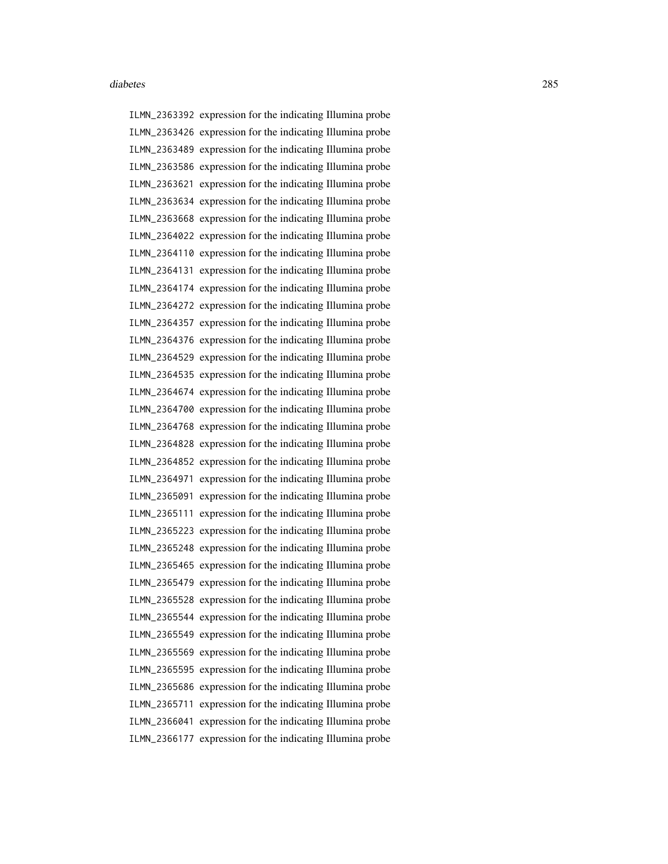ILMN\_2363392 expression for the indicating Illumina probe ILMN\_2363426 expression for the indicating Illumina probe ILMN\_2363489 expression for the indicating Illumina probe ILMN\_2363586 expression for the indicating Illumina probe ILMN\_2363621 expression for the indicating Illumina probe ILMN\_2363634 expression for the indicating Illumina probe ILMN\_2363668 expression for the indicating Illumina probe ILMN\_2364022 expression for the indicating Illumina probe ILMN\_2364110 expression for the indicating Illumina probe ILMN\_2364131 expression for the indicating Illumina probe ILMN\_2364174 expression for the indicating Illumina probe ILMN\_2364272 expression for the indicating Illumina probe ILMN\_2364357 expression for the indicating Illumina probe ILMN\_2364376 expression for the indicating Illumina probe ILMN\_2364529 expression for the indicating Illumina probe ILMN\_2364535 expression for the indicating Illumina probe ILMN\_2364674 expression for the indicating Illumina probe ILMN\_2364700 expression for the indicating Illumina probe ILMN\_2364768 expression for the indicating Illumina probe ILMN\_2364828 expression for the indicating Illumina probe ILMN\_2364852 expression for the indicating Illumina probe ILMN\_2364971 expression for the indicating Illumina probe ILMN\_2365091 expression for the indicating Illumina probe ILMN\_2365111 expression for the indicating Illumina probe ILMN\_2365223 expression for the indicating Illumina probe ILMN\_2365248 expression for the indicating Illumina probe ILMN\_2365465 expression for the indicating Illumina probe ILMN\_2365479 expression for the indicating Illumina probe ILMN\_2365528 expression for the indicating Illumina probe ILMN\_2365544 expression for the indicating Illumina probe ILMN\_2365549 expression for the indicating Illumina probe ILMN\_2365569 expression for the indicating Illumina probe ILMN\_2365595 expression for the indicating Illumina probe ILMN\_2365686 expression for the indicating Illumina probe ILMN\_2365711 expression for the indicating Illumina probe ILMN\_2366041 expression for the indicating Illumina probe ILMN\_2366177 expression for the indicating Illumina probe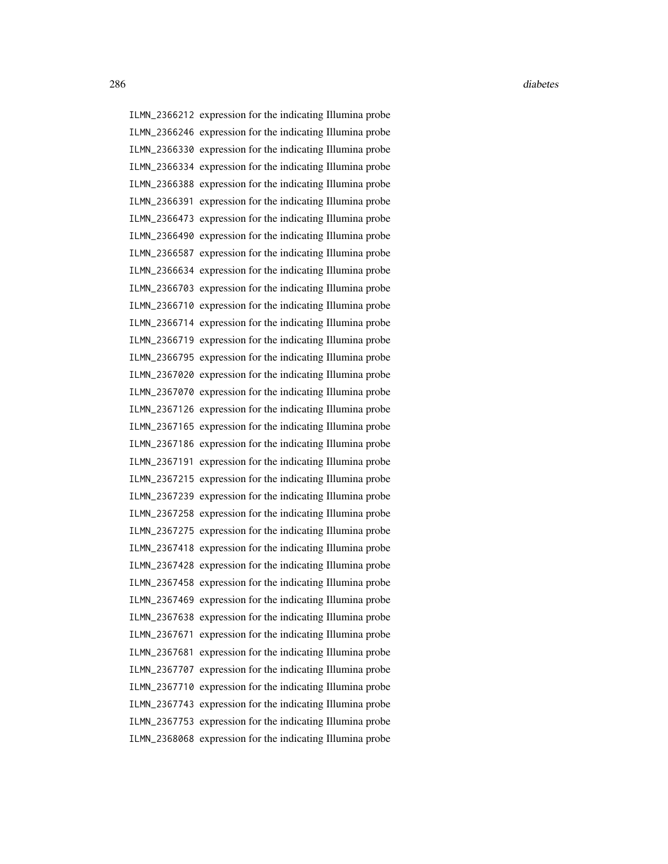ILMN\_2366212 expression for the indicating Illumina probe ILMN\_2366246 expression for the indicating Illumina probe ILMN\_2366330 expression for the indicating Illumina probe ILMN\_2366334 expression for the indicating Illumina probe ILMN\_2366388 expression for the indicating Illumina probe ILMN\_2366391 expression for the indicating Illumina probe ILMN\_2366473 expression for the indicating Illumina probe ILMN\_2366490 expression for the indicating Illumina probe ILMN\_2366587 expression for the indicating Illumina probe ILMN\_2366634 expression for the indicating Illumina probe ILMN\_2366703 expression for the indicating Illumina probe ILMN\_2366710 expression for the indicating Illumina probe ILMN\_2366714 expression for the indicating Illumina probe ILMN\_2366719 expression for the indicating Illumina probe ILMN\_2366795 expression for the indicating Illumina probe ILMN\_2367020 expression for the indicating Illumina probe ILMN\_2367070 expression for the indicating Illumina probe ILMN\_2367126 expression for the indicating Illumina probe ILMN\_2367165 expression for the indicating Illumina probe ILMN\_2367186 expression for the indicating Illumina probe ILMN\_2367191 expression for the indicating Illumina probe ILMN\_2367215 expression for the indicating Illumina probe ILMN\_2367239 expression for the indicating Illumina probe ILMN\_2367258 expression for the indicating Illumina probe ILMN\_2367275 expression for the indicating Illumina probe ILMN\_2367418 expression for the indicating Illumina probe ILMN\_2367428 expression for the indicating Illumina probe ILMN\_2367458 expression for the indicating Illumina probe ILMN\_2367469 expression for the indicating Illumina probe ILMN\_2367638 expression for the indicating Illumina probe ILMN\_2367671 expression for the indicating Illumina probe ILMN\_2367681 expression for the indicating Illumina probe ILMN\_2367707 expression for the indicating Illumina probe ILMN\_2367710 expression for the indicating Illumina probe ILMN\_2367743 expression for the indicating Illumina probe ILMN\_2367753 expression for the indicating Illumina probe ILMN\_2368068 expression for the indicating Illumina probe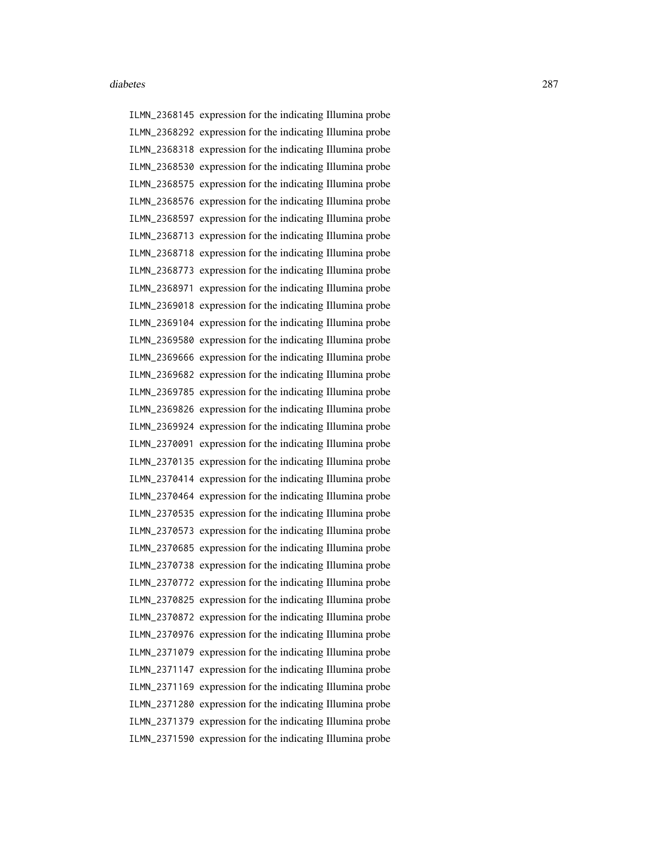ILMN\_2368145 expression for the indicating Illumina probe ILMN\_2368292 expression for the indicating Illumina probe ILMN\_2368318 expression for the indicating Illumina probe ILMN\_2368530 expression for the indicating Illumina probe ILMN\_2368575 expression for the indicating Illumina probe ILMN\_2368576 expression for the indicating Illumina probe ILMN\_2368597 expression for the indicating Illumina probe ILMN\_2368713 expression for the indicating Illumina probe ILMN\_2368718 expression for the indicating Illumina probe ILMN\_2368773 expression for the indicating Illumina probe ILMN\_2368971 expression for the indicating Illumina probe ILMN\_2369018 expression for the indicating Illumina probe ILMN\_2369104 expression for the indicating Illumina probe ILMN\_2369580 expression for the indicating Illumina probe ILMN\_2369666 expression for the indicating Illumina probe ILMN\_2369682 expression for the indicating Illumina probe ILMN\_2369785 expression for the indicating Illumina probe ILMN\_2369826 expression for the indicating Illumina probe ILMN\_2369924 expression for the indicating Illumina probe ILMN\_2370091 expression for the indicating Illumina probe ILMN\_2370135 expression for the indicating Illumina probe ILMN\_2370414 expression for the indicating Illumina probe ILMN\_2370464 expression for the indicating Illumina probe ILMN\_2370535 expression for the indicating Illumina probe ILMN\_2370573 expression for the indicating Illumina probe ILMN\_2370685 expression for the indicating Illumina probe ILMN\_2370738 expression for the indicating Illumina probe ILMN\_2370772 expression for the indicating Illumina probe ILMN\_2370825 expression for the indicating Illumina probe ILMN\_2370872 expression for the indicating Illumina probe ILMN\_2370976 expression for the indicating Illumina probe ILMN\_2371079 expression for the indicating Illumina probe ILMN\_2371147 expression for the indicating Illumina probe ILMN\_2371169 expression for the indicating Illumina probe ILMN\_2371280 expression for the indicating Illumina probe ILMN\_2371379 expression for the indicating Illumina probe ILMN\_2371590 expression for the indicating Illumina probe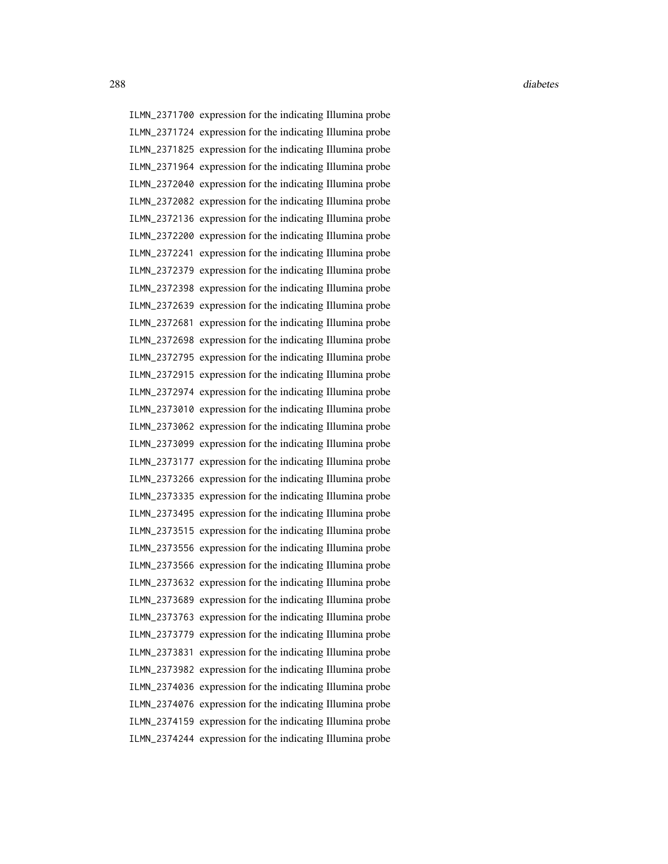ILMN\_2371700 expression for the indicating Illumina probe ILMN\_2371724 expression for the indicating Illumina probe ILMN\_2371825 expression for the indicating Illumina probe ILMN\_2371964 expression for the indicating Illumina probe ILMN\_2372040 expression for the indicating Illumina probe ILMN\_2372082 expression for the indicating Illumina probe ILMN\_2372136 expression for the indicating Illumina probe ILMN\_2372200 expression for the indicating Illumina probe ILMN\_2372241 expression for the indicating Illumina probe ILMN\_2372379 expression for the indicating Illumina probe ILMN\_2372398 expression for the indicating Illumina probe ILMN\_2372639 expression for the indicating Illumina probe ILMN\_2372681 expression for the indicating Illumina probe ILMN\_2372698 expression for the indicating Illumina probe ILMN\_2372795 expression for the indicating Illumina probe ILMN\_2372915 expression for the indicating Illumina probe ILMN\_2372974 expression for the indicating Illumina probe ILMN\_2373010 expression for the indicating Illumina probe ILMN\_2373062 expression for the indicating Illumina probe ILMN\_2373099 expression for the indicating Illumina probe ILMN\_2373177 expression for the indicating Illumina probe ILMN\_2373266 expression for the indicating Illumina probe ILMN\_2373335 expression for the indicating Illumina probe ILMN\_2373495 expression for the indicating Illumina probe ILMN\_2373515 expression for the indicating Illumina probe ILMN\_2373556 expression for the indicating Illumina probe ILMN\_2373566 expression for the indicating Illumina probe ILMN\_2373632 expression for the indicating Illumina probe ILMN\_2373689 expression for the indicating Illumina probe ILMN\_2373763 expression for the indicating Illumina probe ILMN\_2373779 expression for the indicating Illumina probe ILMN\_2373831 expression for the indicating Illumina probe ILMN\_2373982 expression for the indicating Illumina probe ILMN\_2374036 expression for the indicating Illumina probe ILMN\_2374076 expression for the indicating Illumina probe ILMN\_2374159 expression for the indicating Illumina probe ILMN\_2374244 expression for the indicating Illumina probe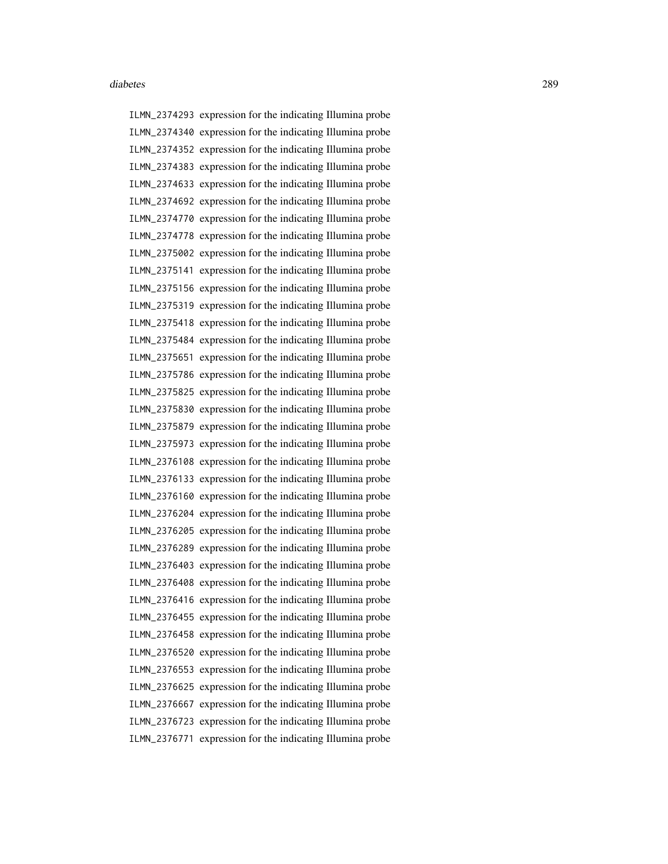ILMN\_2374293 expression for the indicating Illumina probe ILMN\_2374340 expression for the indicating Illumina probe ILMN\_2374352 expression for the indicating Illumina probe ILMN\_2374383 expression for the indicating Illumina probe ILMN\_2374633 expression for the indicating Illumina probe ILMN\_2374692 expression for the indicating Illumina probe ILMN\_2374770 expression for the indicating Illumina probe ILMN\_2374778 expression for the indicating Illumina probe ILMN\_2375002 expression for the indicating Illumina probe ILMN\_2375141 expression for the indicating Illumina probe ILMN\_2375156 expression for the indicating Illumina probe ILMN\_2375319 expression for the indicating Illumina probe ILMN\_2375418 expression for the indicating Illumina probe ILMN\_2375484 expression for the indicating Illumina probe ILMN\_2375651 expression for the indicating Illumina probe ILMN\_2375786 expression for the indicating Illumina probe ILMN\_2375825 expression for the indicating Illumina probe ILMN\_2375830 expression for the indicating Illumina probe ILMN\_2375879 expression for the indicating Illumina probe ILMN\_2375973 expression for the indicating Illumina probe ILMN\_2376108 expression for the indicating Illumina probe ILMN\_2376133 expression for the indicating Illumina probe ILMN\_2376160 expression for the indicating Illumina probe ILMN\_2376204 expression for the indicating Illumina probe ILMN\_2376205 expression for the indicating Illumina probe ILMN\_2376289 expression for the indicating Illumina probe ILMN\_2376403 expression for the indicating Illumina probe ILMN\_2376408 expression for the indicating Illumina probe ILMN\_2376416 expression for the indicating Illumina probe ILMN\_2376455 expression for the indicating Illumina probe ILMN\_2376458 expression for the indicating Illumina probe ILMN\_2376520 expression for the indicating Illumina probe ILMN\_2376553 expression for the indicating Illumina probe ILMN\_2376625 expression for the indicating Illumina probe ILMN\_2376667 expression for the indicating Illumina probe ILMN\_2376723 expression for the indicating Illumina probe ILMN\_2376771 expression for the indicating Illumina probe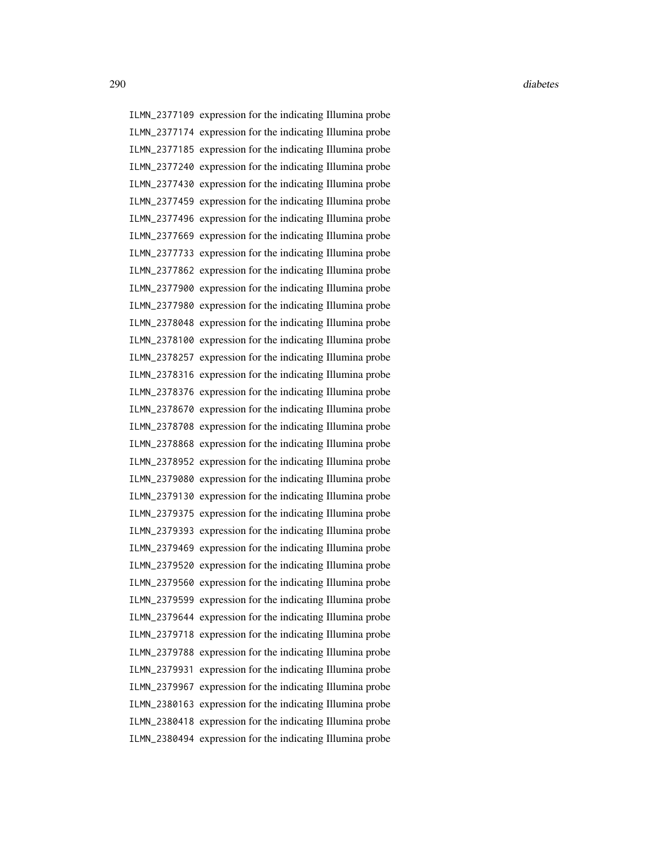ILMN\_2377109 expression for the indicating Illumina probe ILMN\_2377174 expression for the indicating Illumina probe ILMN\_2377185 expression for the indicating Illumina probe ILMN\_2377240 expression for the indicating Illumina probe ILMN\_2377430 expression for the indicating Illumina probe ILMN\_2377459 expression for the indicating Illumina probe ILMN\_2377496 expression for the indicating Illumina probe ILMN\_2377669 expression for the indicating Illumina probe ILMN\_2377733 expression for the indicating Illumina probe ILMN\_2377862 expression for the indicating Illumina probe ILMN\_2377900 expression for the indicating Illumina probe ILMN\_2377980 expression for the indicating Illumina probe ILMN\_2378048 expression for the indicating Illumina probe ILMN\_2378100 expression for the indicating Illumina probe ILMN\_2378257 expression for the indicating Illumina probe ILMN\_2378316 expression for the indicating Illumina probe ILMN\_2378376 expression for the indicating Illumina probe ILMN\_2378670 expression for the indicating Illumina probe ILMN\_2378708 expression for the indicating Illumina probe ILMN\_2378868 expression for the indicating Illumina probe ILMN\_2378952 expression for the indicating Illumina probe ILMN\_2379080 expression for the indicating Illumina probe ILMN\_2379130 expression for the indicating Illumina probe ILMN\_2379375 expression for the indicating Illumina probe ILMN\_2379393 expression for the indicating Illumina probe ILMN\_2379469 expression for the indicating Illumina probe ILMN\_2379520 expression for the indicating Illumina probe ILMN\_2379560 expression for the indicating Illumina probe ILMN\_2379599 expression for the indicating Illumina probe ILMN\_2379644 expression for the indicating Illumina probe ILMN\_2379718 expression for the indicating Illumina probe ILMN\_2379788 expression for the indicating Illumina probe ILMN\_2379931 expression for the indicating Illumina probe ILMN\_2379967 expression for the indicating Illumina probe ILMN\_2380163 expression for the indicating Illumina probe ILMN\_2380418 expression for the indicating Illumina probe ILMN\_2380494 expression for the indicating Illumina probe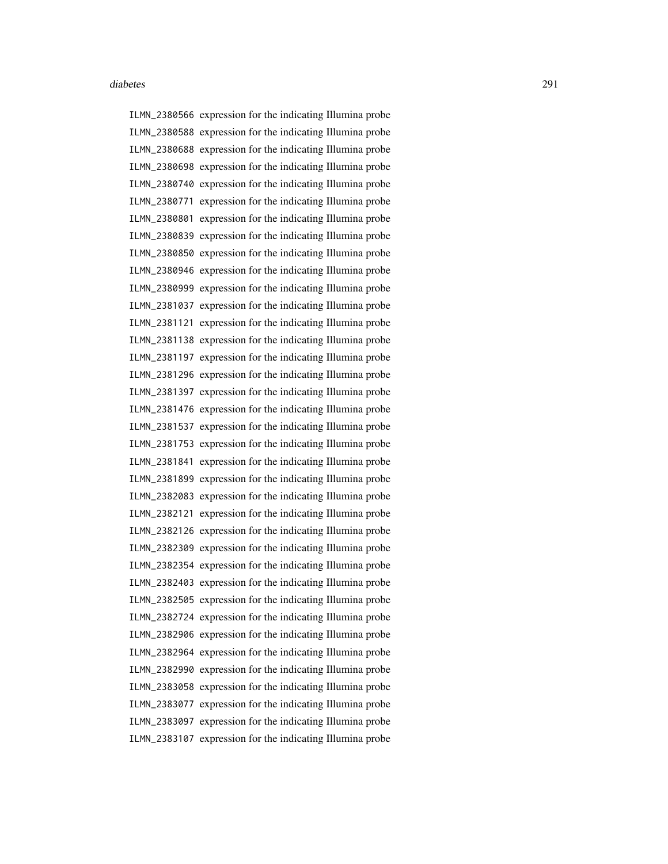ILMN\_2380566 expression for the indicating Illumina probe ILMN\_2380588 expression for the indicating Illumina probe ILMN\_2380688 expression for the indicating Illumina probe ILMN\_2380698 expression for the indicating Illumina probe ILMN\_2380740 expression for the indicating Illumina probe ILMN\_2380771 expression for the indicating Illumina probe ILMN\_2380801 expression for the indicating Illumina probe ILMN\_2380839 expression for the indicating Illumina probe ILMN\_2380850 expression for the indicating Illumina probe ILMN\_2380946 expression for the indicating Illumina probe ILMN\_2380999 expression for the indicating Illumina probe ILMN\_2381037 expression for the indicating Illumina probe ILMN\_2381121 expression for the indicating Illumina probe ILMN\_2381138 expression for the indicating Illumina probe ILMN\_2381197 expression for the indicating Illumina probe ILMN\_2381296 expression for the indicating Illumina probe ILMN\_2381397 expression for the indicating Illumina probe ILMN\_2381476 expression for the indicating Illumina probe ILMN\_2381537 expression for the indicating Illumina probe ILMN\_2381753 expression for the indicating Illumina probe ILMN\_2381841 expression for the indicating Illumina probe ILMN\_2381899 expression for the indicating Illumina probe ILMN\_2382083 expression for the indicating Illumina probe ILMN\_2382121 expression for the indicating Illumina probe ILMN\_2382126 expression for the indicating Illumina probe ILMN\_2382309 expression for the indicating Illumina probe ILMN\_2382354 expression for the indicating Illumina probe ILMN\_2382403 expression for the indicating Illumina probe ILMN\_2382505 expression for the indicating Illumina probe ILMN\_2382724 expression for the indicating Illumina probe ILMN\_2382906 expression for the indicating Illumina probe ILMN\_2382964 expression for the indicating Illumina probe ILMN\_2382990 expression for the indicating Illumina probe ILMN\_2383058 expression for the indicating Illumina probe ILMN\_2383077 expression for the indicating Illumina probe ILMN\_2383097 expression for the indicating Illumina probe ILMN\_2383107 expression for the indicating Illumina probe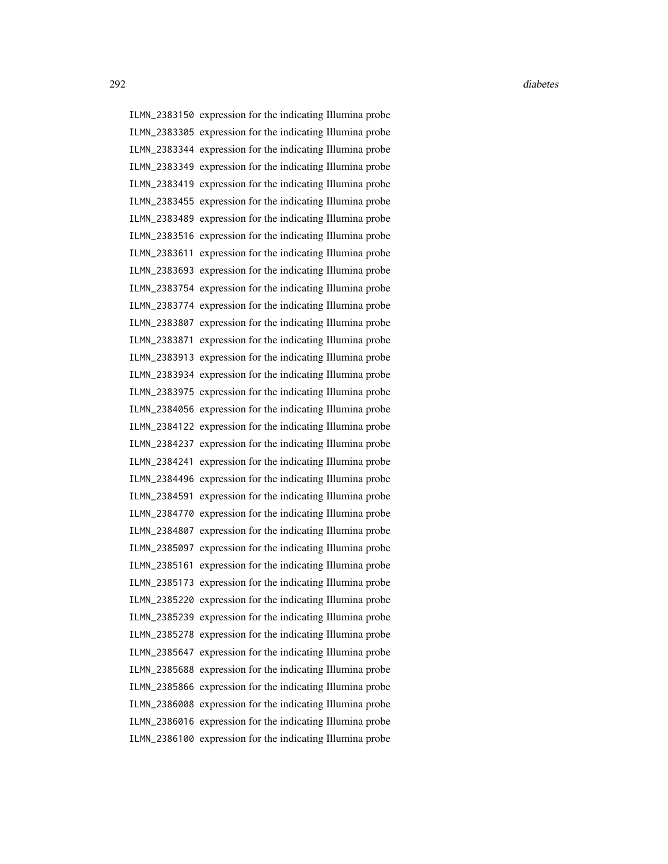ILMN\_2383150 expression for the indicating Illumina probe ILMN\_2383305 expression for the indicating Illumina probe ILMN\_2383344 expression for the indicating Illumina probe ILMN\_2383349 expression for the indicating Illumina probe ILMN\_2383419 expression for the indicating Illumina probe ILMN\_2383455 expression for the indicating Illumina probe ILMN\_2383489 expression for the indicating Illumina probe ILMN\_2383516 expression for the indicating Illumina probe ILMN\_2383611 expression for the indicating Illumina probe ILMN\_2383693 expression for the indicating Illumina probe ILMN\_2383754 expression for the indicating Illumina probe ILMN\_2383774 expression for the indicating Illumina probe ILMN\_2383807 expression for the indicating Illumina probe ILMN\_2383871 expression for the indicating Illumina probe ILMN\_2383913 expression for the indicating Illumina probe ILMN\_2383934 expression for the indicating Illumina probe ILMN\_2383975 expression for the indicating Illumina probe ILMN\_2384056 expression for the indicating Illumina probe ILMN\_2384122 expression for the indicating Illumina probe ILMN\_2384237 expression for the indicating Illumina probe ILMN\_2384241 expression for the indicating Illumina probe ILMN\_2384496 expression for the indicating Illumina probe ILMN\_2384591 expression for the indicating Illumina probe ILMN\_2384770 expression for the indicating Illumina probe ILMN\_2384807 expression for the indicating Illumina probe ILMN\_2385097 expression for the indicating Illumina probe ILMN\_2385161 expression for the indicating Illumina probe ILMN\_2385173 expression for the indicating Illumina probe ILMN\_2385220 expression for the indicating Illumina probe ILMN\_2385239 expression for the indicating Illumina probe ILMN\_2385278 expression for the indicating Illumina probe ILMN\_2385647 expression for the indicating Illumina probe ILMN\_2385688 expression for the indicating Illumina probe ILMN\_2385866 expression for the indicating Illumina probe ILMN\_2386008 expression for the indicating Illumina probe ILMN\_2386016 expression for the indicating Illumina probe ILMN\_2386100 expression for the indicating Illumina probe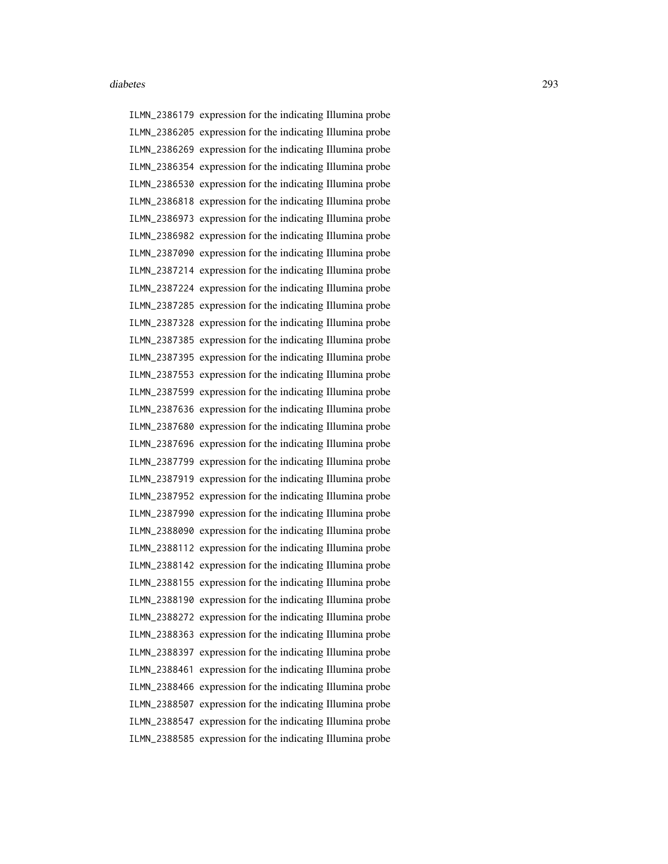ILMN\_2386179 expression for the indicating Illumina probe ILMN\_2386205 expression for the indicating Illumina probe ILMN\_2386269 expression for the indicating Illumina probe ILMN\_2386354 expression for the indicating Illumina probe ILMN\_2386530 expression for the indicating Illumina probe ILMN\_2386818 expression for the indicating Illumina probe ILMN\_2386973 expression for the indicating Illumina probe ILMN\_2386982 expression for the indicating Illumina probe ILMN\_2387090 expression for the indicating Illumina probe ILMN\_2387214 expression for the indicating Illumina probe ILMN\_2387224 expression for the indicating Illumina probe ILMN\_2387285 expression for the indicating Illumina probe ILMN\_2387328 expression for the indicating Illumina probe ILMN\_2387385 expression for the indicating Illumina probe ILMN\_2387395 expression for the indicating Illumina probe ILMN\_2387553 expression for the indicating Illumina probe ILMN\_2387599 expression for the indicating Illumina probe ILMN\_2387636 expression for the indicating Illumina probe ILMN\_2387680 expression for the indicating Illumina probe ILMN\_2387696 expression for the indicating Illumina probe ILMN\_2387799 expression for the indicating Illumina probe ILMN\_2387919 expression for the indicating Illumina probe ILMN\_2387952 expression for the indicating Illumina probe ILMN\_2387990 expression for the indicating Illumina probe ILMN\_2388090 expression for the indicating Illumina probe ILMN\_2388112 expression for the indicating Illumina probe ILMN\_2388142 expression for the indicating Illumina probe ILMN\_2388155 expression for the indicating Illumina probe ILMN\_2388190 expression for the indicating Illumina probe ILMN\_2388272 expression for the indicating Illumina probe ILMN\_2388363 expression for the indicating Illumina probe ILMN\_2388397 expression for the indicating Illumina probe ILMN\_2388461 expression for the indicating Illumina probe ILMN\_2388466 expression for the indicating Illumina probe ILMN\_2388507 expression for the indicating Illumina probe ILMN\_2388547 expression for the indicating Illumina probe ILMN\_2388585 expression for the indicating Illumina probe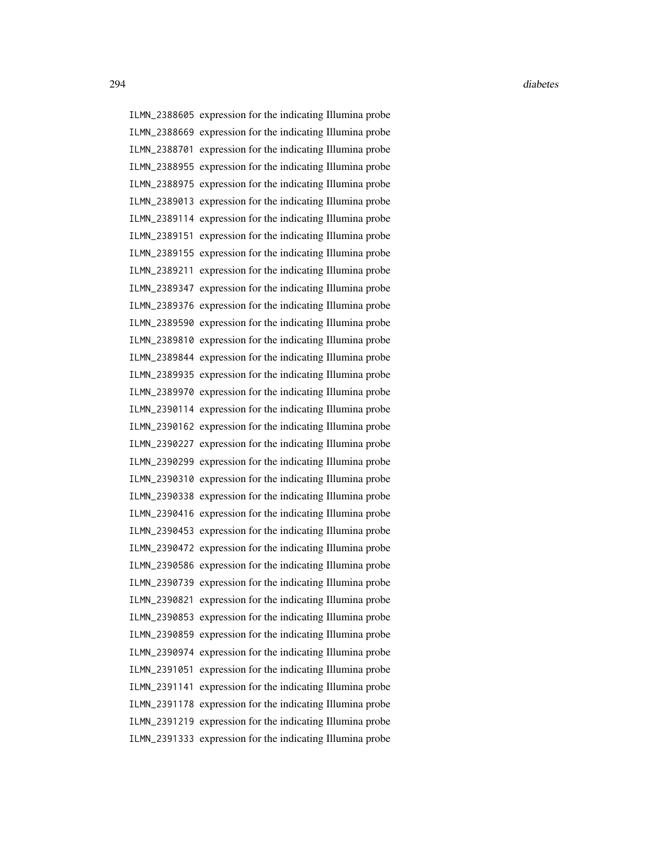ILMN\_2388605 expression for the indicating Illumina probe ILMN\_2388669 expression for the indicating Illumina probe ILMN\_2388701 expression for the indicating Illumina probe ILMN\_2388955 expression for the indicating Illumina probe ILMN\_2388975 expression for the indicating Illumina probe ILMN\_2389013 expression for the indicating Illumina probe ILMN\_2389114 expression for the indicating Illumina probe ILMN\_2389151 expression for the indicating Illumina probe ILMN\_2389155 expression for the indicating Illumina probe ILMN\_2389211 expression for the indicating Illumina probe ILMN\_2389347 expression for the indicating Illumina probe ILMN\_2389376 expression for the indicating Illumina probe ILMN\_2389590 expression for the indicating Illumina probe ILMN\_2389810 expression for the indicating Illumina probe ILMN\_2389844 expression for the indicating Illumina probe ILMN\_2389935 expression for the indicating Illumina probe ILMN\_2389970 expression for the indicating Illumina probe ILMN\_2390114 expression for the indicating Illumina probe ILMN\_2390162 expression for the indicating Illumina probe ILMN\_2390227 expression for the indicating Illumina probe ILMN\_2390299 expression for the indicating Illumina probe ILMN\_2390310 expression for the indicating Illumina probe ILMN\_2390338 expression for the indicating Illumina probe ILMN\_2390416 expression for the indicating Illumina probe ILMN\_2390453 expression for the indicating Illumina probe ILMN\_2390472 expression for the indicating Illumina probe ILMN\_2390586 expression for the indicating Illumina probe ILMN\_2390739 expression for the indicating Illumina probe ILMN\_2390821 expression for the indicating Illumina probe ILMN\_2390853 expression for the indicating Illumina probe ILMN\_2390859 expression for the indicating Illumina probe ILMN\_2390974 expression for the indicating Illumina probe ILMN\_2391051 expression for the indicating Illumina probe ILMN\_2391141 expression for the indicating Illumina probe ILMN\_2391178 expression for the indicating Illumina probe ILMN\_2391219 expression for the indicating Illumina probe ILMN\_2391333 expression for the indicating Illumina probe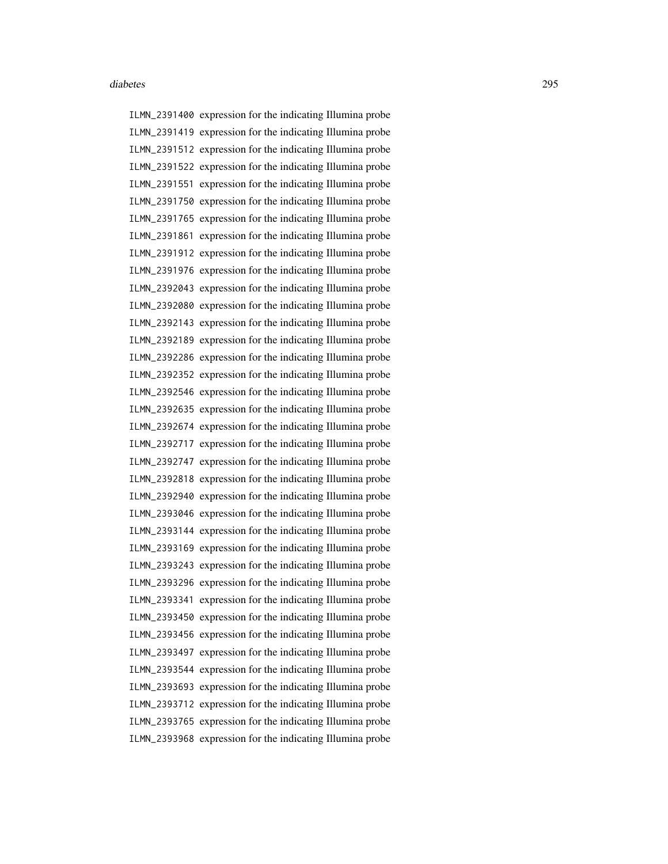ILMN\_2391400 expression for the indicating Illumina probe ILMN\_2391419 expression for the indicating Illumina probe ILMN\_2391512 expression for the indicating Illumina probe ILMN\_2391522 expression for the indicating Illumina probe ILMN\_2391551 expression for the indicating Illumina probe ILMN\_2391750 expression for the indicating Illumina probe ILMN\_2391765 expression for the indicating Illumina probe ILMN\_2391861 expression for the indicating Illumina probe ILMN\_2391912 expression for the indicating Illumina probe ILMN\_2391976 expression for the indicating Illumina probe ILMN\_2392043 expression for the indicating Illumina probe ILMN\_2392080 expression for the indicating Illumina probe ILMN\_2392143 expression for the indicating Illumina probe ILMN\_2392189 expression for the indicating Illumina probe ILMN\_2392286 expression for the indicating Illumina probe ILMN\_2392352 expression for the indicating Illumina probe ILMN\_2392546 expression for the indicating Illumina probe ILMN\_2392635 expression for the indicating Illumina probe ILMN\_2392674 expression for the indicating Illumina probe ILMN\_2392717 expression for the indicating Illumina probe ILMN\_2392747 expression for the indicating Illumina probe ILMN\_2392818 expression for the indicating Illumina probe ILMN\_2392940 expression for the indicating Illumina probe ILMN\_2393046 expression for the indicating Illumina probe ILMN\_2393144 expression for the indicating Illumina probe ILMN\_2393169 expression for the indicating Illumina probe ILMN\_2393243 expression for the indicating Illumina probe ILMN\_2393296 expression for the indicating Illumina probe ILMN\_2393341 expression for the indicating Illumina probe ILMN\_2393450 expression for the indicating Illumina probe ILMN\_2393456 expression for the indicating Illumina probe ILMN\_2393497 expression for the indicating Illumina probe ILMN\_2393544 expression for the indicating Illumina probe ILMN\_2393693 expression for the indicating Illumina probe ILMN\_2393712 expression for the indicating Illumina probe ILMN\_2393765 expression for the indicating Illumina probe ILMN\_2393968 expression for the indicating Illumina probe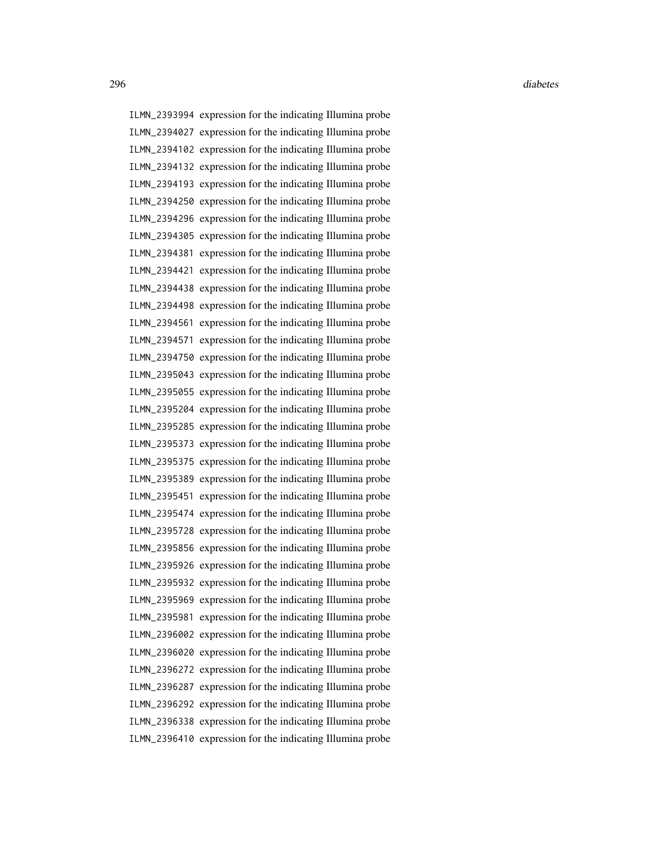ILMN\_2393994 expression for the indicating Illumina probe ILMN\_2394027 expression for the indicating Illumina probe ILMN\_2394102 expression for the indicating Illumina probe ILMN\_2394132 expression for the indicating Illumina probe ILMN\_2394193 expression for the indicating Illumina probe ILMN\_2394250 expression for the indicating Illumina probe ILMN\_2394296 expression for the indicating Illumina probe ILMN\_2394305 expression for the indicating Illumina probe ILMN\_2394381 expression for the indicating Illumina probe ILMN\_2394421 expression for the indicating Illumina probe ILMN\_2394438 expression for the indicating Illumina probe ILMN\_2394498 expression for the indicating Illumina probe ILMN\_2394561 expression for the indicating Illumina probe ILMN\_2394571 expression for the indicating Illumina probe ILMN\_2394750 expression for the indicating Illumina probe ILMN\_2395043 expression for the indicating Illumina probe ILMN\_2395055 expression for the indicating Illumina probe ILMN\_2395204 expression for the indicating Illumina probe ILMN\_2395285 expression for the indicating Illumina probe ILMN\_2395373 expression for the indicating Illumina probe ILMN\_2395375 expression for the indicating Illumina probe ILMN\_2395389 expression for the indicating Illumina probe ILMN\_2395451 expression for the indicating Illumina probe ILMN\_2395474 expression for the indicating Illumina probe ILMN\_2395728 expression for the indicating Illumina probe ILMN\_2395856 expression for the indicating Illumina probe ILMN\_2395926 expression for the indicating Illumina probe ILMN\_2395932 expression for the indicating Illumina probe ILMN\_2395969 expression for the indicating Illumina probe ILMN\_2395981 expression for the indicating Illumina probe ILMN\_2396002 expression for the indicating Illumina probe ILMN\_2396020 expression for the indicating Illumina probe ILMN\_2396272 expression for the indicating Illumina probe ILMN\_2396287 expression for the indicating Illumina probe ILMN\_2396292 expression for the indicating Illumina probe ILMN\_2396338 expression for the indicating Illumina probe ILMN\_2396410 expression for the indicating Illumina probe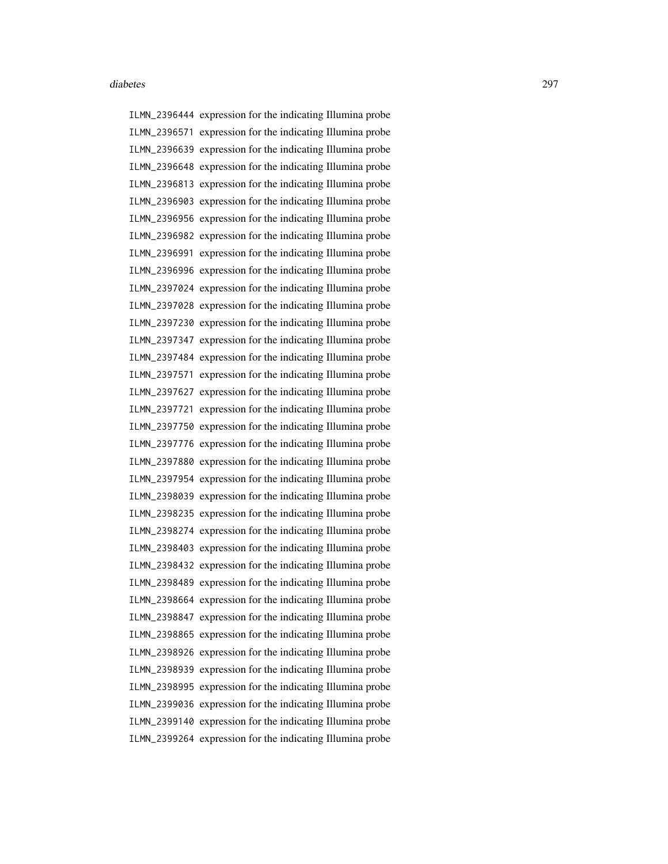ILMN\_2396444 expression for the indicating Illumina probe ILMN\_2396571 expression for the indicating Illumina probe ILMN\_2396639 expression for the indicating Illumina probe ILMN\_2396648 expression for the indicating Illumina probe ILMN\_2396813 expression for the indicating Illumina probe ILMN\_2396903 expression for the indicating Illumina probe ILMN\_2396956 expression for the indicating Illumina probe ILMN\_2396982 expression for the indicating Illumina probe ILMN\_2396991 expression for the indicating Illumina probe ILMN\_2396996 expression for the indicating Illumina probe ILMN\_2397024 expression for the indicating Illumina probe ILMN\_2397028 expression for the indicating Illumina probe ILMN\_2397230 expression for the indicating Illumina probe ILMN\_2397347 expression for the indicating Illumina probe ILMN\_2397484 expression for the indicating Illumina probe ILMN\_2397571 expression for the indicating Illumina probe ILMN\_2397627 expression for the indicating Illumina probe ILMN\_2397721 expression for the indicating Illumina probe ILMN\_2397750 expression for the indicating Illumina probe ILMN\_2397776 expression for the indicating Illumina probe ILMN\_2397880 expression for the indicating Illumina probe ILMN\_2397954 expression for the indicating Illumina probe ILMN\_2398039 expression for the indicating Illumina probe ILMN\_2398235 expression for the indicating Illumina probe ILMN\_2398274 expression for the indicating Illumina probe ILMN\_2398403 expression for the indicating Illumina probe ILMN\_2398432 expression for the indicating Illumina probe ILMN\_2398489 expression for the indicating Illumina probe ILMN\_2398664 expression for the indicating Illumina probe ILMN\_2398847 expression for the indicating Illumina probe ILMN\_2398865 expression for the indicating Illumina probe ILMN\_2398926 expression for the indicating Illumina probe ILMN\_2398939 expression for the indicating Illumina probe ILMN\_2398995 expression for the indicating Illumina probe ILMN\_2399036 expression for the indicating Illumina probe ILMN\_2399140 expression for the indicating Illumina probe ILMN\_2399264 expression for the indicating Illumina probe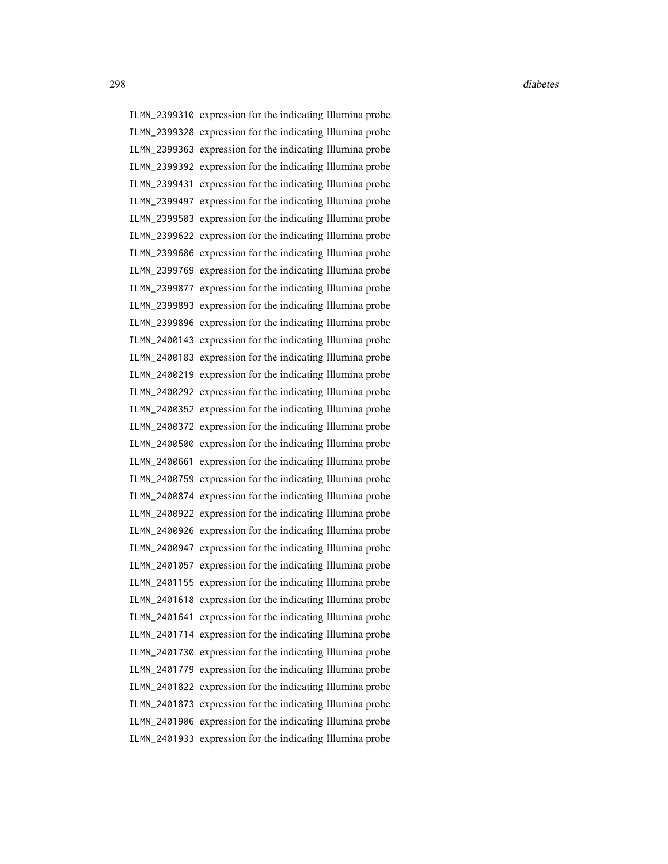ILMN\_2399310 expression for the indicating Illumina probe ILMN\_2399328 expression for the indicating Illumina probe ILMN\_2399363 expression for the indicating Illumina probe ILMN\_2399392 expression for the indicating Illumina probe ILMN\_2399431 expression for the indicating Illumina probe ILMN\_2399497 expression for the indicating Illumina probe ILMN\_2399503 expression for the indicating Illumina probe ILMN\_2399622 expression for the indicating Illumina probe ILMN\_2399686 expression for the indicating Illumina probe ILMN\_2399769 expression for the indicating Illumina probe ILMN\_2399877 expression for the indicating Illumina probe ILMN\_2399893 expression for the indicating Illumina probe ILMN\_2399896 expression for the indicating Illumina probe ILMN\_2400143 expression for the indicating Illumina probe ILMN\_2400183 expression for the indicating Illumina probe ILMN\_2400219 expression for the indicating Illumina probe ILMN\_2400292 expression for the indicating Illumina probe ILMN\_2400352 expression for the indicating Illumina probe ILMN\_2400372 expression for the indicating Illumina probe ILMN\_2400500 expression for the indicating Illumina probe ILMN\_2400661 expression for the indicating Illumina probe ILMN\_2400759 expression for the indicating Illumina probe ILMN\_2400874 expression for the indicating Illumina probe ILMN\_2400922 expression for the indicating Illumina probe ILMN\_2400926 expression for the indicating Illumina probe ILMN\_2400947 expression for the indicating Illumina probe ILMN\_2401057 expression for the indicating Illumina probe ILMN\_2401155 expression for the indicating Illumina probe ILMN\_2401618 expression for the indicating Illumina probe ILMN\_2401641 expression for the indicating Illumina probe ILMN\_2401714 expression for the indicating Illumina probe ILMN\_2401730 expression for the indicating Illumina probe ILMN\_2401779 expression for the indicating Illumina probe ILMN\_2401822 expression for the indicating Illumina probe ILMN\_2401873 expression for the indicating Illumina probe ILMN\_2401906 expression for the indicating Illumina probe ILMN\_2401933 expression for the indicating Illumina probe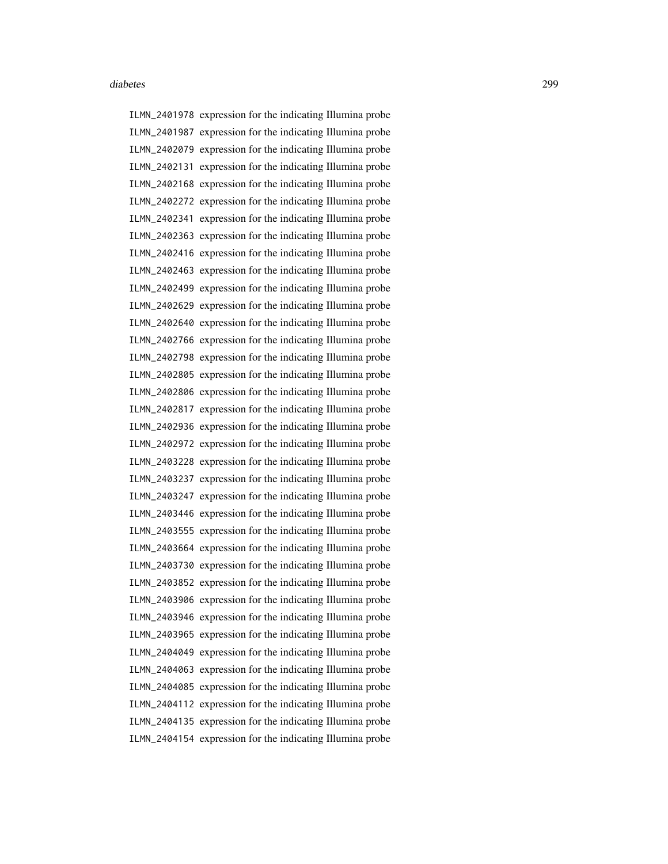ILMN\_2401978 expression for the indicating Illumina probe ILMN\_2401987 expression for the indicating Illumina probe ILMN\_2402079 expression for the indicating Illumina probe ILMN\_2402131 expression for the indicating Illumina probe ILMN\_2402168 expression for the indicating Illumina probe ILMN\_2402272 expression for the indicating Illumina probe ILMN\_2402341 expression for the indicating Illumina probe ILMN\_2402363 expression for the indicating Illumina probe ILMN\_2402416 expression for the indicating Illumina probe ILMN\_2402463 expression for the indicating Illumina probe ILMN\_2402499 expression for the indicating Illumina probe ILMN\_2402629 expression for the indicating Illumina probe ILMN\_2402640 expression for the indicating Illumina probe ILMN\_2402766 expression for the indicating Illumina probe ILMN\_2402798 expression for the indicating Illumina probe ILMN\_2402805 expression for the indicating Illumina probe ILMN\_2402806 expression for the indicating Illumina probe ILMN\_2402817 expression for the indicating Illumina probe ILMN\_2402936 expression for the indicating Illumina probe ILMN\_2402972 expression for the indicating Illumina probe ILMN\_2403228 expression for the indicating Illumina probe ILMN\_2403237 expression for the indicating Illumina probe ILMN\_2403247 expression for the indicating Illumina probe ILMN\_2403446 expression for the indicating Illumina probe ILMN\_2403555 expression for the indicating Illumina probe ILMN\_2403664 expression for the indicating Illumina probe ILMN\_2403730 expression for the indicating Illumina probe ILMN\_2403852 expression for the indicating Illumina probe ILMN\_2403906 expression for the indicating Illumina probe ILMN\_2403946 expression for the indicating Illumina probe ILMN\_2403965 expression for the indicating Illumina probe ILMN\_2404049 expression for the indicating Illumina probe ILMN\_2404063 expression for the indicating Illumina probe ILMN\_2404085 expression for the indicating Illumina probe ILMN\_2404112 expression for the indicating Illumina probe ILMN\_2404135 expression for the indicating Illumina probe ILMN\_2404154 expression for the indicating Illumina probe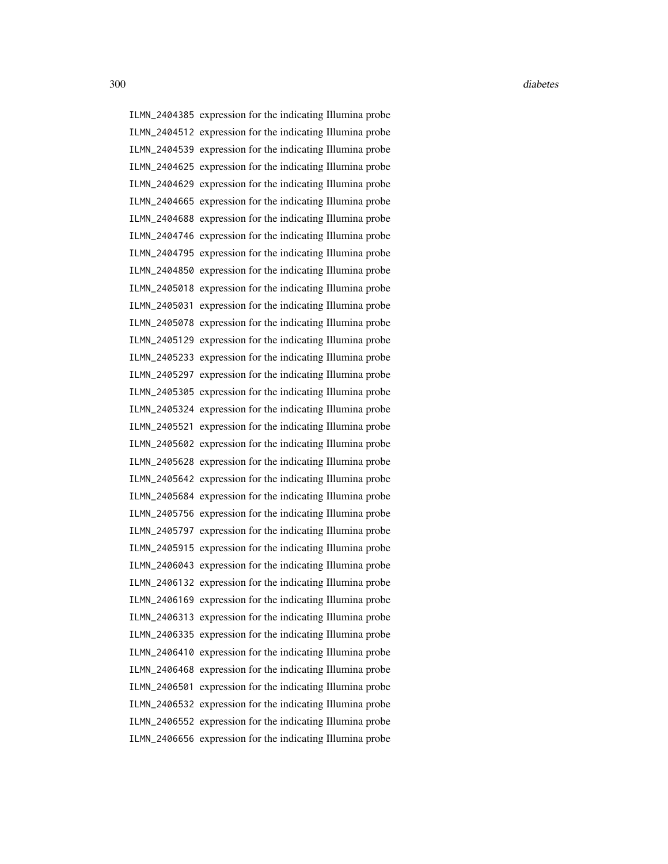ILMN\_2404385 expression for the indicating Illumina probe ILMN\_2404512 expression for the indicating Illumina probe ILMN\_2404539 expression for the indicating Illumina probe ILMN\_2404625 expression for the indicating Illumina probe ILMN\_2404629 expression for the indicating Illumina probe ILMN\_2404665 expression for the indicating Illumina probe ILMN\_2404688 expression for the indicating Illumina probe ILMN\_2404746 expression for the indicating Illumina probe ILMN\_2404795 expression for the indicating Illumina probe ILMN\_2404850 expression for the indicating Illumina probe ILMN\_2405018 expression for the indicating Illumina probe ILMN\_2405031 expression for the indicating Illumina probe ILMN\_2405078 expression for the indicating Illumina probe ILMN\_2405129 expression for the indicating Illumina probe ILMN\_2405233 expression for the indicating Illumina probe ILMN\_2405297 expression for the indicating Illumina probe ILMN\_2405305 expression for the indicating Illumina probe ILMN\_2405324 expression for the indicating Illumina probe ILMN\_2405521 expression for the indicating Illumina probe ILMN\_2405602 expression for the indicating Illumina probe ILMN\_2405628 expression for the indicating Illumina probe ILMN\_2405642 expression for the indicating Illumina probe ILMN\_2405684 expression for the indicating Illumina probe ILMN\_2405756 expression for the indicating Illumina probe ILMN\_2405797 expression for the indicating Illumina probe ILMN\_2405915 expression for the indicating Illumina probe ILMN\_2406043 expression for the indicating Illumina probe ILMN\_2406132 expression for the indicating Illumina probe ILMN\_2406169 expression for the indicating Illumina probe ILMN\_2406313 expression for the indicating Illumina probe ILMN\_2406335 expression for the indicating Illumina probe ILMN\_2406410 expression for the indicating Illumina probe ILMN\_2406468 expression for the indicating Illumina probe ILMN\_2406501 expression for the indicating Illumina probe ILMN\_2406532 expression for the indicating Illumina probe ILMN\_2406552 expression for the indicating Illumina probe ILMN\_2406656 expression for the indicating Illumina probe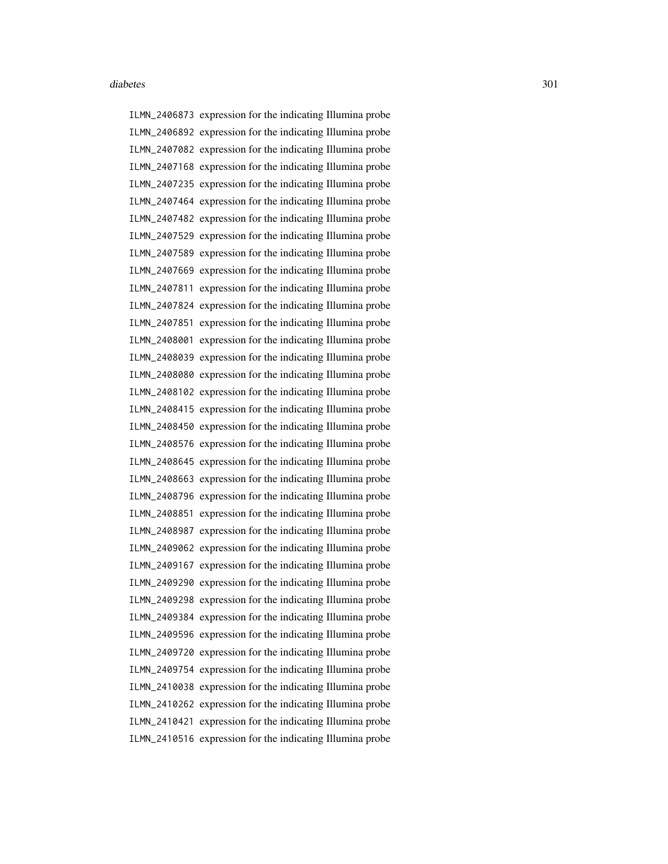ILMN\_2406873 expression for the indicating Illumina probe ILMN\_2406892 expression for the indicating Illumina probe ILMN\_2407082 expression for the indicating Illumina probe ILMN\_2407168 expression for the indicating Illumina probe ILMN\_2407235 expression for the indicating Illumina probe ILMN\_2407464 expression for the indicating Illumina probe ILMN\_2407482 expression for the indicating Illumina probe ILMN\_2407529 expression for the indicating Illumina probe ILMN\_2407589 expression for the indicating Illumina probe ILMN\_2407669 expression for the indicating Illumina probe ILMN\_2407811 expression for the indicating Illumina probe ILMN\_2407824 expression for the indicating Illumina probe ILMN\_2407851 expression for the indicating Illumina probe ILMN\_2408001 expression for the indicating Illumina probe ILMN\_2408039 expression for the indicating Illumina probe ILMN\_2408080 expression for the indicating Illumina probe ILMN\_2408102 expression for the indicating Illumina probe ILMN\_2408415 expression for the indicating Illumina probe ILMN\_2408450 expression for the indicating Illumina probe ILMN\_2408576 expression for the indicating Illumina probe ILMN\_2408645 expression for the indicating Illumina probe ILMN\_2408663 expression for the indicating Illumina probe ILMN\_2408796 expression for the indicating Illumina probe ILMN\_2408851 expression for the indicating Illumina probe ILMN\_2408987 expression for the indicating Illumina probe ILMN\_2409062 expression for the indicating Illumina probe ILMN\_2409167 expression for the indicating Illumina probe ILMN\_2409290 expression for the indicating Illumina probe ILMN\_2409298 expression for the indicating Illumina probe ILMN\_2409384 expression for the indicating Illumina probe ILMN\_2409596 expression for the indicating Illumina probe ILMN\_2409720 expression for the indicating Illumina probe ILMN\_2409754 expression for the indicating Illumina probe ILMN\_2410038 expression for the indicating Illumina probe ILMN\_2410262 expression for the indicating Illumina probe ILMN\_2410421 expression for the indicating Illumina probe ILMN\_2410516 expression for the indicating Illumina probe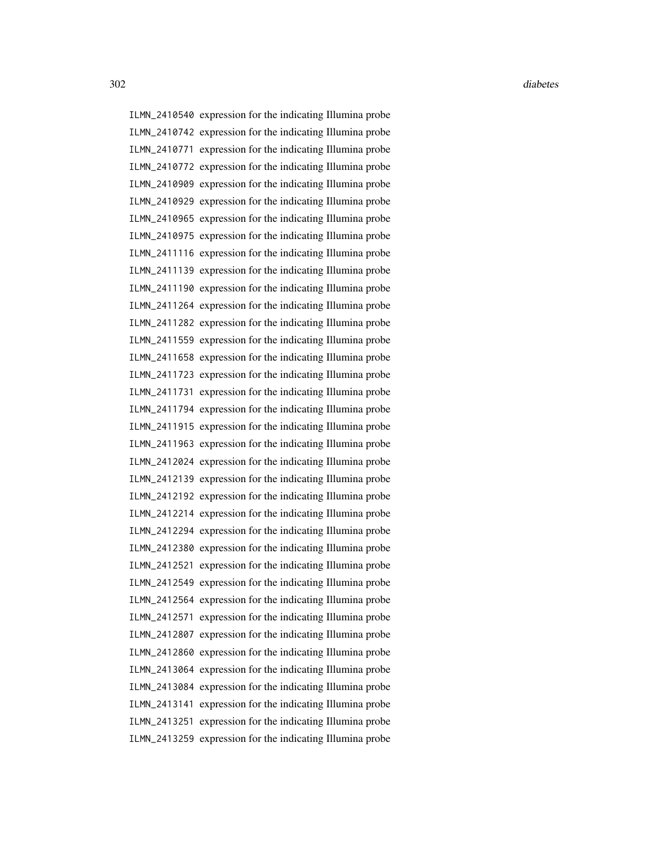ILMN\_2410540 expression for the indicating Illumina probe ILMN\_2410742 expression for the indicating Illumina probe ILMN\_2410771 expression for the indicating Illumina probe ILMN\_2410772 expression for the indicating Illumina probe ILMN\_2410909 expression for the indicating Illumina probe ILMN\_2410929 expression for the indicating Illumina probe ILMN\_2410965 expression for the indicating Illumina probe ILMN\_2410975 expression for the indicating Illumina probe ILMN\_2411116 expression for the indicating Illumina probe ILMN\_2411139 expression for the indicating Illumina probe ILMN\_2411190 expression for the indicating Illumina probe ILMN\_2411264 expression for the indicating Illumina probe ILMN\_2411282 expression for the indicating Illumina probe ILMN\_2411559 expression for the indicating Illumina probe ILMN\_2411658 expression for the indicating Illumina probe ILMN\_2411723 expression for the indicating Illumina probe ILMN\_2411731 expression for the indicating Illumina probe ILMN\_2411794 expression for the indicating Illumina probe ILMN\_2411915 expression for the indicating Illumina probe ILMN\_2411963 expression for the indicating Illumina probe ILMN\_2412024 expression for the indicating Illumina probe ILMN\_2412139 expression for the indicating Illumina probe ILMN\_2412192 expression for the indicating Illumina probe ILMN\_2412214 expression for the indicating Illumina probe ILMN\_2412294 expression for the indicating Illumina probe ILMN\_2412380 expression for the indicating Illumina probe ILMN\_2412521 expression for the indicating Illumina probe ILMN\_2412549 expression for the indicating Illumina probe ILMN\_2412564 expression for the indicating Illumina probe ILMN\_2412571 expression for the indicating Illumina probe ILMN\_2412807 expression for the indicating Illumina probe ILMN\_2412860 expression for the indicating Illumina probe ILMN\_2413064 expression for the indicating Illumina probe ILMN\_2413084 expression for the indicating Illumina probe ILMN\_2413141 expression for the indicating Illumina probe ILMN\_2413251 expression for the indicating Illumina probe ILMN\_2413259 expression for the indicating Illumina probe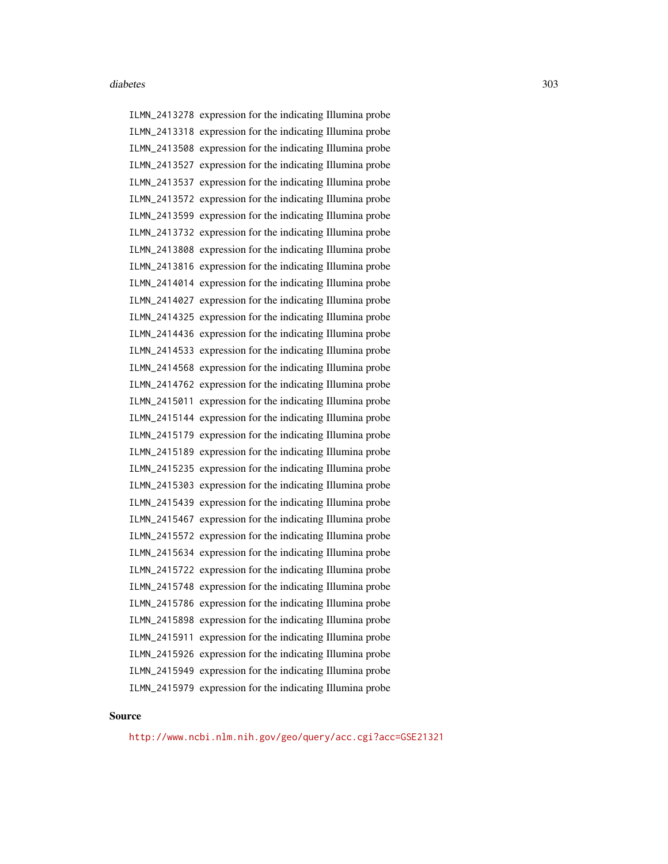ILMN\_2413278 expression for the indicating Illumina probe ILMN\_2413318 expression for the indicating Illumina probe ILMN\_2413508 expression for the indicating Illumina probe ILMN\_2413527 expression for the indicating Illumina probe ILMN\_2413537 expression for the indicating Illumina probe ILMN\_2413572 expression for the indicating Illumina probe ILMN\_2413599 expression for the indicating Illumina probe ILMN\_2413732 expression for the indicating Illumina probe ILMN\_2413808 expression for the indicating Illumina probe ILMN\_2413816 expression for the indicating Illumina probe ILMN\_2414014 expression for the indicating Illumina probe ILMN\_2414027 expression for the indicating Illumina probe ILMN\_2414325 expression for the indicating Illumina probe ILMN\_2414436 expression for the indicating Illumina probe ILMN\_2414533 expression for the indicating Illumina probe ILMN\_2414568 expression for the indicating Illumina probe ILMN\_2414762 expression for the indicating Illumina probe ILMN\_2415011 expression for the indicating Illumina probe ILMN\_2415144 expression for the indicating Illumina probe ILMN\_2415179 expression for the indicating Illumina probe ILMN\_2415189 expression for the indicating Illumina probe ILMN\_2415235 expression for the indicating Illumina probe ILMN\_2415303 expression for the indicating Illumina probe ILMN\_2415439 expression for the indicating Illumina probe ILMN\_2415467 expression for the indicating Illumina probe ILMN\_2415572 expression for the indicating Illumina probe ILMN\_2415634 expression for the indicating Illumina probe ILMN\_2415722 expression for the indicating Illumina probe ILMN\_2415748 expression for the indicating Illumina probe ILMN\_2415786 expression for the indicating Illumina probe ILMN\_2415898 expression for the indicating Illumina probe ILMN\_2415911 expression for the indicating Illumina probe ILMN\_2415926 expression for the indicating Illumina probe ILMN\_2415949 expression for the indicating Illumina probe ILMN\_2415979 expression for the indicating Illumina probe

#### Source

<http://www.ncbi.nlm.nih.gov/geo/query/acc.cgi?acc=GSE21321>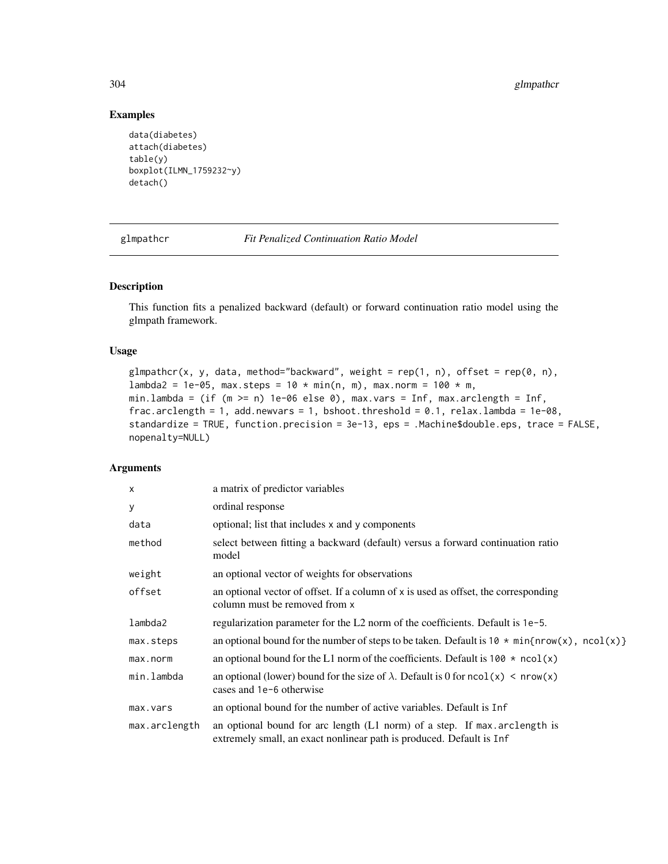# <span id="page-303-1"></span>304 glmpathcr

# Examples

```
data(diabetes)
attach(diabetes)
table(y)
boxplot(ILMN_1759232~y)
detach()
```
<span id="page-303-0"></span>glmpathcr *Fit Penalized Continuation Ratio Model*

# Description

This function fits a penalized backward (default) or forward continuation ratio model using the glmpath framework.

#### Usage

```
glmpathcr(x, y, data, method="backward", weight = rep(1, n), offset = rep(0, n),
lambda2 = 1e-05, max.steps = 10 * min(n, m), max.norm = 100 * m,
min.lambda = (if (m >= n) 1e-06 else 0), max.vars = Inf, max.arclength = Inf,
frac.arclength = 1, add.newvars = 1, bshoot.threshold = 0.1, relax.lambda = 1e-08,
standardize = TRUE, function.precision = 3e-13, eps = .Machine$double.eps, trace = FALSE,
nopenalty=NULL)
```
# Arguments

| $\times$      | a matrix of predictor variables                                                                                                                   |
|---------------|---------------------------------------------------------------------------------------------------------------------------------------------------|
| У             | ordinal response                                                                                                                                  |
| data          | optional; list that includes x and y components                                                                                                   |
| method        | select between fitting a backward (default) versus a forward continuation ratio<br>model                                                          |
| weight        | an optional vector of weights for observations                                                                                                    |
| offset        | an optional vector of offset. If a column of x is used as offset, the corresponding<br>column must be removed from x                              |
| lambda2       | regularization parameter for the L2 norm of the coefficients. Default is 1e-5.                                                                    |
| max.steps     | an optional bound for the number of steps to be taken. Default is $10 \times min\{nrow(x), ncol(x)\}$                                             |
| max.norm      | an optional bound for the L1 norm of the coefficients. Default is $100 \times \text{ncol}(x)$                                                     |
| min.lambda    | an optional (lower) bound for the size of $\lambda$ . Default is 0 for ncol(x) < nrow(x)<br>cases and 1e-6 otherwise                              |
| max.vars      | an optional bound for the number of active variables. Default is Inf                                                                              |
| max.arclength | an optional bound for arc length (L1 norm) of a step. If max arclength is<br>extremely small, an exact nonlinear path is produced. Default is Inf |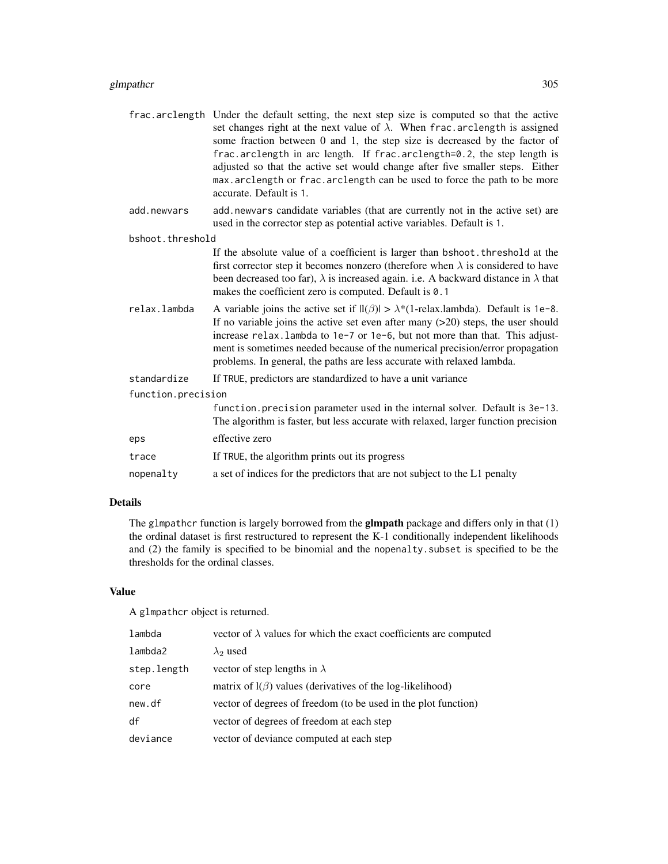|                    | frac.arclength Under the default setting, the next step size is computed so that the active<br>set changes right at the next value of $\lambda$ . When frac.arclength is assigned<br>some fraction between 0 and 1, the step size is decreased by the factor of<br>frac.arclength in arc length. If frac.arclength=0.2, the step length is<br>adjusted so that the active set would change after five smaller steps. Either<br>max. arclength or frac. arclength can be used to force the path to be more<br>accurate. Default is 1. |
|--------------------|--------------------------------------------------------------------------------------------------------------------------------------------------------------------------------------------------------------------------------------------------------------------------------------------------------------------------------------------------------------------------------------------------------------------------------------------------------------------------------------------------------------------------------------|
| add.newvars        | add newvars candidate variables (that are currently not in the active set) are<br>used in the corrector step as potential active variables. Default is 1.                                                                                                                                                                                                                                                                                                                                                                            |
| bshoot.threshold   |                                                                                                                                                                                                                                                                                                                                                                                                                                                                                                                                      |
|                    | If the absolute value of a coefficient is larger than bshoot. threshold at the<br>first corrector step it becomes nonzero (therefore when $\lambda$ is considered to have<br>been decreased too far), $\lambda$ is increased again. i.e. A backward distance in $\lambda$ that<br>makes the coefficient zero is computed. Default is 0.1                                                                                                                                                                                             |
| relax.lambda       | A variable joins the active set if $\text{II}(\beta)$ > $\lambda^*(1\text{-relax.lambda})$ . Default is 1e-8.<br>If no variable joins the active set even after many $(>20)$ steps, the user should<br>increase relax. lambda to 1e-7 or 1e-6, but not more than that. This adjust-<br>ment is sometimes needed because of the numerical precision/error propagation<br>problems. In general, the paths are less accurate with relaxed lambda.                                                                                       |
| standardize        | If TRUE, predictors are standardized to have a unit variance                                                                                                                                                                                                                                                                                                                                                                                                                                                                         |
| function.precision |                                                                                                                                                                                                                                                                                                                                                                                                                                                                                                                                      |
|                    | function. precision parameter used in the internal solver. Default is 3e-13.<br>The algorithm is faster, but less accurate with relaxed, larger function precision                                                                                                                                                                                                                                                                                                                                                                   |
| eps                | effective zero                                                                                                                                                                                                                                                                                                                                                                                                                                                                                                                       |
| trace              | If TRUE, the algorithm prints out its progress                                                                                                                                                                                                                                                                                                                                                                                                                                                                                       |
| nopenalty          | a set of indices for the predictors that are not subject to the L1 penalty                                                                                                                                                                                                                                                                                                                                                                                                                                                           |

# Details

The glmpathcr function is largely borrowed from the **glmpath** package and differs only in that (1) the ordinal dataset is first restructured to represent the K-1 conditionally independent likelihoods and (2) the family is specified to be binomial and the nopenalty.subset is specified to be the thresholds for the ordinal classes.

#### Value

A glmpathcr object is returned.

| lambda      | vector of $\lambda$ values for which the exact coefficients are computed |
|-------------|--------------------------------------------------------------------------|
| lambda2     | $\lambda_2$ used                                                         |
| step.length | vector of step lengths in $\lambda$                                      |
| core        | matrix of $l(\beta)$ values (derivatives of the log-likelihood)          |
| new.df      | vector of degrees of freedom (to be used in the plot function)           |
| df          | vector of degrees of freedom at each step                                |
| deviance    | vector of deviance computed at each step                                 |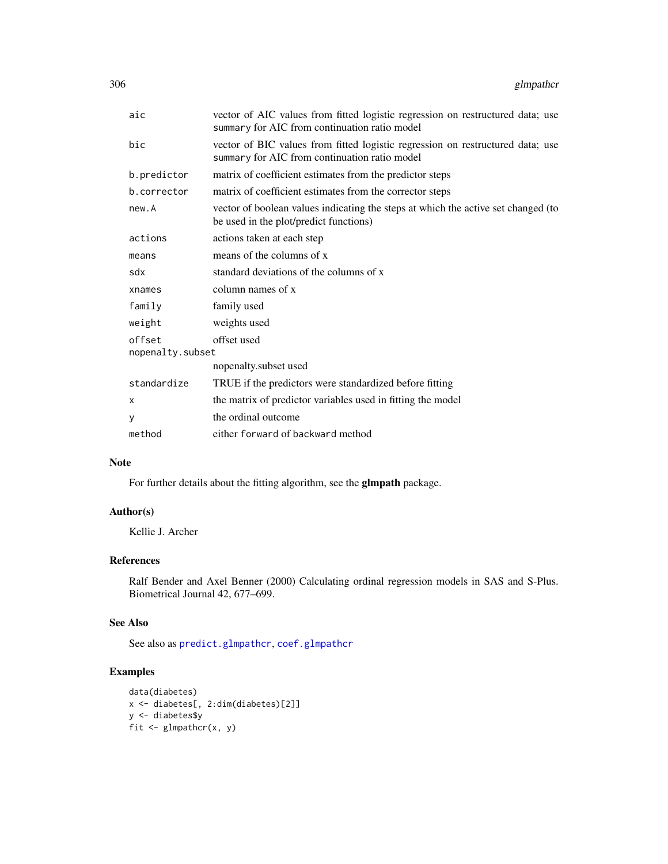<span id="page-305-0"></span>

| aic                        | vector of AIC values from fitted logistic regression on restructured data; use<br>summary for AIC from continuation ratio model |
|----------------------------|---------------------------------------------------------------------------------------------------------------------------------|
| bic                        | vector of BIC values from fitted logistic regression on restructured data; use<br>summary for AIC from continuation ratio model |
| b.predictor                | matrix of coefficient estimates from the predictor steps                                                                        |
| b.corrector                | matrix of coefficient estimates from the corrector steps                                                                        |
| new.A                      | vector of boolean values indicating the steps at which the active set changed (to<br>be used in the plot/predict functions)     |
| actions                    | actions taken at each step                                                                                                      |
| means                      | means of the columns of x                                                                                                       |
| sdx                        | standard deviations of the columns of x                                                                                         |
| xnames                     | column names of x                                                                                                               |
| family                     | family used                                                                                                                     |
| weight                     | weights used                                                                                                                    |
| offset<br>nopenalty.subset | offset used                                                                                                                     |
|                            | nopenalty.subset used                                                                                                           |
| standardize                | TRUE if the predictors were standardized before fitting                                                                         |
| X                          | the matrix of predictor variables used in fitting the model                                                                     |
| У                          | the ordinal outcome                                                                                                             |
| method                     | either forward of backward method                                                                                               |

# Note

For further details about the fitting algorithm, see the glmpath package.

# Author(s)

Kellie J. Archer

# References

Ralf Bender and Axel Benner (2000) Calculating ordinal regression models in SAS and S-Plus. Biometrical Journal 42, 677–699.

# See Also

See also as [predict.glmpathcr](#page-309-0), [coef.glmpathcr](#page-2-0)

```
data(diabetes)
x <- diabetes[, 2:dim(diabetes)[2]]
y <- diabetes$y
fit \leq glmpathcr(x, y)
```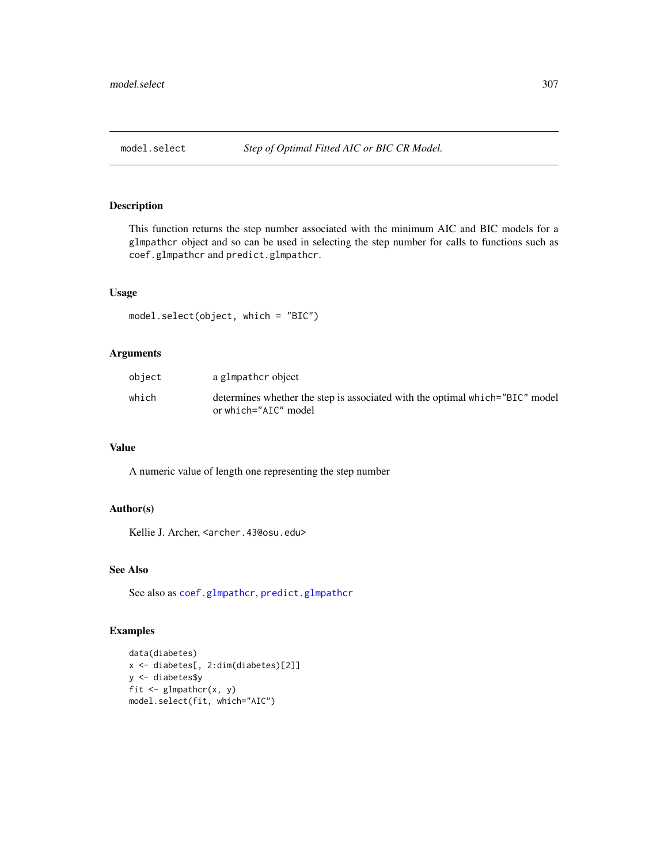<span id="page-306-0"></span>

# Description

This function returns the step number associated with the minimum AIC and BIC models for a glmpathcr object and so can be used in selecting the step number for calls to functions such as coef.glmpathcr and predict.glmpathcr.

#### Usage

```
model.select(object, which = "BIC")
```
# Arguments

| object | a glmpathcr object                                                                                   |
|--------|------------------------------------------------------------------------------------------------------|
| which  | determines whether the step is associated with the optimal which="BIC" model<br>or which="AIC" model |

#### Value

A numeric value of length one representing the step number

#### Author(s)

Kellie J. Archer, <archer.43@osu.edu>

# See Also

See also as [coef.glmpathcr](#page-2-0), [predict.glmpathcr](#page-309-0)

```
data(diabetes)
x <- diabetes[, 2:dim(diabetes)[2]]
y <- diabetes$y
fit \leq glmpathcr(x, y)
model.select(fit, which="AIC")
```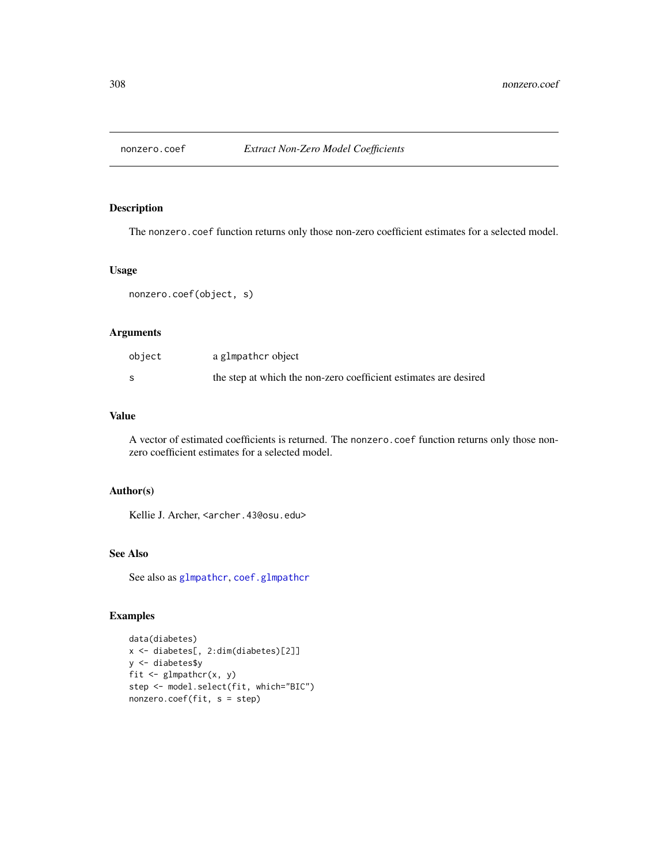<span id="page-307-0"></span>

# Description

The nonzero.coef function returns only those non-zero coefficient estimates for a selected model.

#### Usage

nonzero.coef(object, s)

# Arguments

| object | a glmpathcr object                                               |
|--------|------------------------------------------------------------------|
|        | the step at which the non-zero coefficient estimates are desired |

# Value

A vector of estimated coefficients is returned. The nonzero.coef function returns only those nonzero coefficient estimates for a selected model.

## Author(s)

Kellie J. Archer, <archer.43@osu.edu>

# See Also

See also as [glmpathcr](#page-303-0), [coef.glmpathcr](#page-2-0)

```
data(diabetes)
x <- diabetes[, 2:dim(diabetes)[2]]
y <- diabetes$y
fit \leq glmpathcr(x, y)
step <- model.select(fit, which="BIC")
nonzero.coef(fit, s = step)
```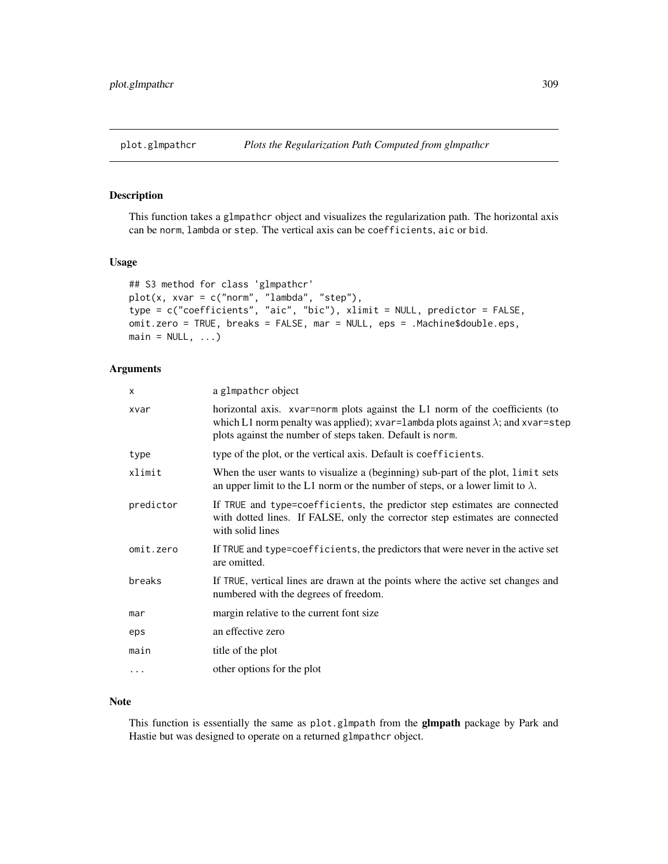# <span id="page-308-0"></span>Description

This function takes a glmpathcr object and visualizes the regularization path. The horizontal axis can be norm, lambda or step. The vertical axis can be coefficients, aic or bid.

#### Usage

```
## S3 method for class 'glmpathcr'
plot(x, xvar = c("norm", "lambda", "step"),
type = c("coefficients", "aic", "bic"), xlimit = NULL, predictor = FALSE,
omit.zero = TRUE, breaks = FALSE, mar = NULL, eps = .Machine$double.eps,
main = NULL, ...)
```
#### Arguments

| X         | a glmpather object                                                                                                                                                                                                                   |
|-----------|--------------------------------------------------------------------------------------------------------------------------------------------------------------------------------------------------------------------------------------|
| xvar      | horizontal axis. xvar=norm plots against the L1 norm of the coefficients (to<br>which L1 norm penalty was applied); xvar=lambda plots against $\lambda$ ; and xvar=step<br>plots against the number of steps taken. Default is norm. |
| type      | type of the plot, or the vertical axis. Default is coefficients.                                                                                                                                                                     |
| xlimit    | When the user wants to visualize a (beginning) sub-part of the plot, limit sets<br>an upper limit to the L1 norm or the number of steps, or a lower limit to $\lambda$ .                                                             |
| predictor | If TRUE and type=coefficients, the predictor step estimates are connected<br>with dotted lines. If FALSE, only the corrector step estimates are connected<br>with solid lines                                                        |
| omit.zero | If TRUE and type=coefficients, the predictors that were never in the active set<br>are omitted.                                                                                                                                      |
| breaks    | If TRUE, vertical lines are drawn at the points where the active set changes and<br>numbered with the degrees of freedom.                                                                                                            |
| mar       | margin relative to the current font size                                                                                                                                                                                             |
| eps       | an effective zero                                                                                                                                                                                                                    |
| main      | title of the plot                                                                                                                                                                                                                    |
| $\ddots$  | other options for the plot                                                                                                                                                                                                           |
|           |                                                                                                                                                                                                                                      |

# Note

This function is essentially the same as plot.glmpath from the **glmpath** package by Park and Hastie but was designed to operate on a returned glmpathcr object.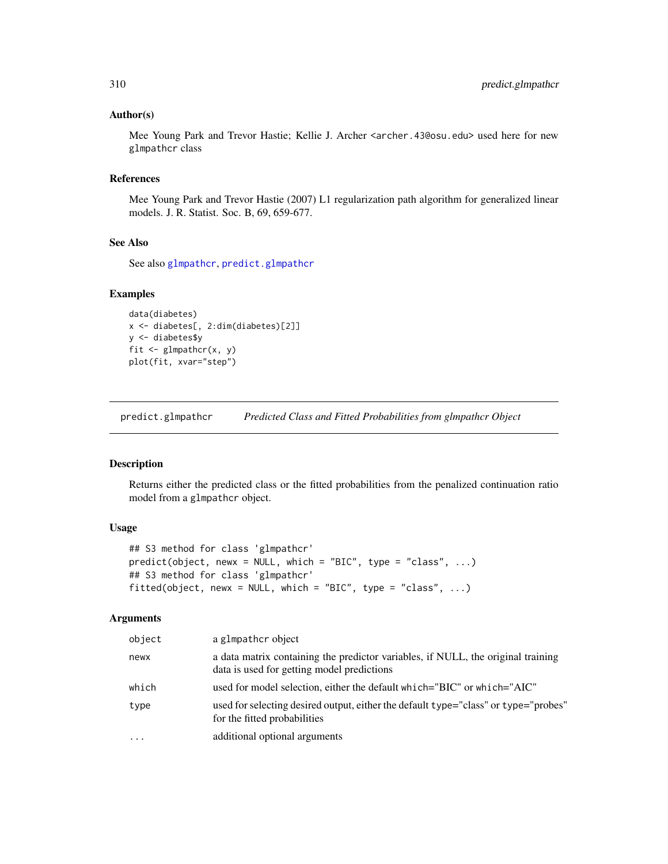#### <span id="page-309-1"></span>Author(s)

Mee Young Park and Trevor Hastie; Kellie J. Archer <archer.43@osu.edu> used here for new glmpathcr class

# References

Mee Young Park and Trevor Hastie (2007) L1 regularization path algorithm for generalized linear models. J. R. Statist. Soc. B, 69, 659-677.

# See Also

See also [glmpathcr](#page-303-0), [predict.glmpathcr](#page-309-0)

# Examples

```
data(diabetes)
x <- diabetes[, 2:dim(diabetes)[2]]
y <- diabetes$y
fit \leq glmpathcr(x, y)
plot(fit, xvar="step")
```
<span id="page-309-0"></span>predict.glmpathcr *Predicted Class and Fitted Probabilities from glmpathcr Object*

#### Description

Returns either the predicted class or the fitted probabilities from the penalized continuation ratio model from a glmpathcr object.

# Usage

```
## S3 method for class 'glmpathcr'
predict(object, newx = NULL, which = "BIC", type = "class", ...)
## S3 method for class 'glmpathcr'
fitted(object, newx = NULL, which = "BIC", type = "class", \ldots)
```
#### Arguments

| object   | a glmpather object                                                                                                             |
|----------|--------------------------------------------------------------------------------------------------------------------------------|
| newx     | a data matrix containing the predictor variables, if NULL, the original training<br>data is used for getting model predictions |
| which    | used for model selection, either the default which="BIC" or which="AIC"                                                        |
| type     | used for selecting desired output, either the default type="class" or type="probes"<br>for the fitted probabilities            |
| $\cdots$ | additional optional arguments                                                                                                  |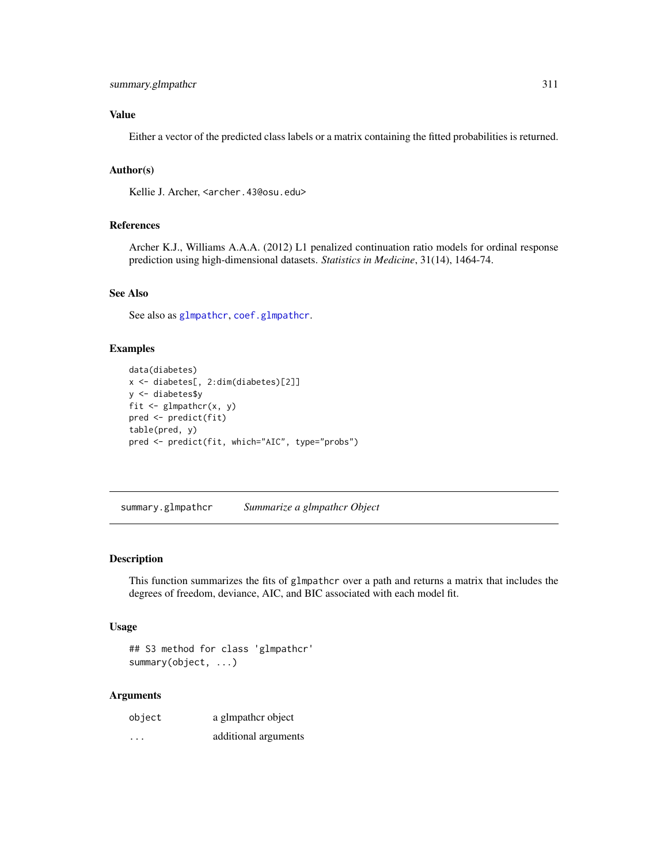# <span id="page-310-0"></span>Value

Either a vector of the predicted class labels or a matrix containing the fitted probabilities is returned.

### Author(s)

Kellie J. Archer, <archer.43@osu.edu>

# References

Archer K.J., Williams A.A.A. (2012) L1 penalized continuation ratio models for ordinal response prediction using high-dimensional datasets. *Statistics in Medicine*, 31(14), 1464-74.

# See Also

See also as [glmpathcr](#page-303-0), [coef.glmpathcr](#page-2-0).

# Examples

```
data(diabetes)
x <- diabetes[, 2:dim(diabetes)[2]]
y <- diabetes$y
fit \leq glmpathcr(x, y)
pred <- predict(fit)
table(pred, y)
pred <- predict(fit, which="AIC", type="probs")
```
summary.glmpathcr *Summarize a glmpathcr Object*

# Description

This function summarizes the fits of glmpathcr over a path and returns a matrix that includes the degrees of freedom, deviance, AIC, and BIC associated with each model fit.

#### Usage

```
## S3 method for class 'glmpathcr'
summary(object, ...)
```
## Arguments

| object               | a glmpather object   |
|----------------------|----------------------|
| $\ddot{\phantom{0}}$ | additional arguments |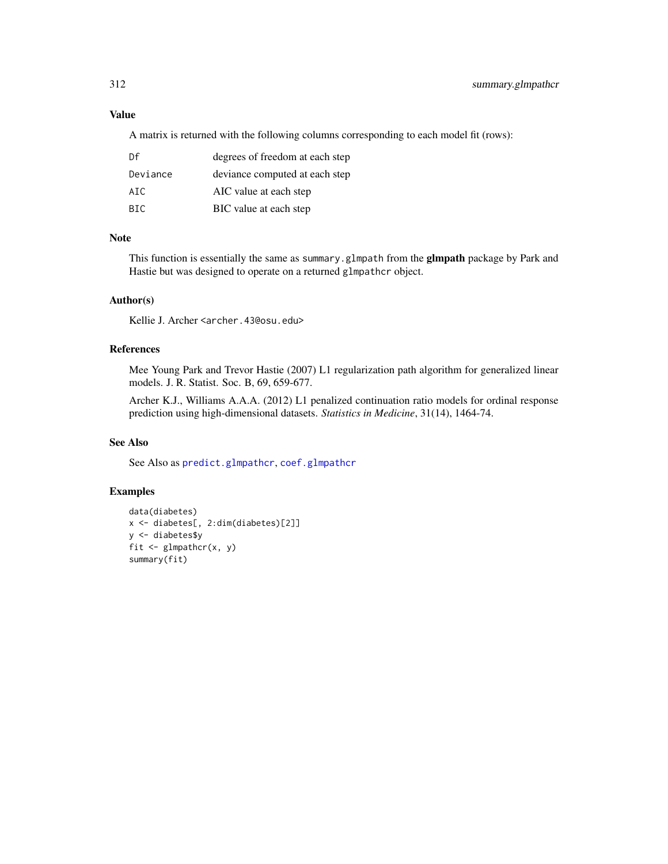# Value

A matrix is returned with the following columns corresponding to each model fit (rows):

| Df       | degrees of freedom at each step |
|----------|---------------------------------|
| Deviance | deviance computed at each step  |
| ATC.     | AIC value at each step          |
| BIC.     | BIC value at each step          |

# Note

This function is essentially the same as summary.glmpath from the **glmpath** package by Park and Hastie but was designed to operate on a returned glmpathcr object.

# Author(s)

Kellie J. Archer <archer.43@osu.edu>

# References

Mee Young Park and Trevor Hastie (2007) L1 regularization path algorithm for generalized linear models. J. R. Statist. Soc. B, 69, 659-677.

Archer K.J., Williams A.A.A. (2012) L1 penalized continuation ratio models for ordinal response prediction using high-dimensional datasets. *Statistics in Medicine*, 31(14), 1464-74.

# See Also

See Also as [predict.glmpathcr](#page-309-0), [coef.glmpathcr](#page-2-0)

```
data(diabetes)
x <- diabetes[, 2:dim(diabetes)[2]]
y <- diabetes$y
fit \leq glmpathcr(x, y)
summary(fit)
```
<span id="page-311-0"></span>